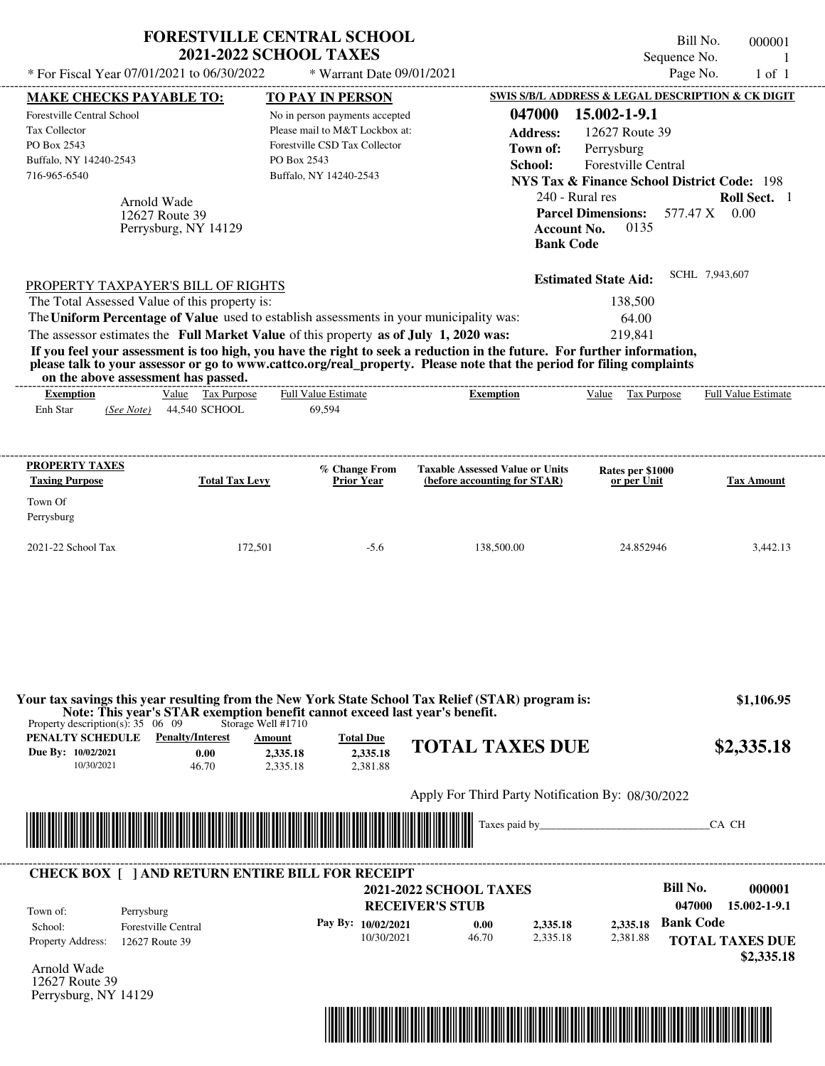|                                                                                                                                                                                                                                                                                                                | <b>2021-2022 SCHOOL TAXES</b>                        | <b>FORESTVILLE CENTRAL SCHOOL</b>                                                                                                                                     |                                                                                                                                                                                                                                                  | Sequence No.                                                                                                                                                                                                                                                            | Bill No.<br>000001<br>-1      |
|----------------------------------------------------------------------------------------------------------------------------------------------------------------------------------------------------------------------------------------------------------------------------------------------------------------|------------------------------------------------------|-----------------------------------------------------------------------------------------------------------------------------------------------------------------------|--------------------------------------------------------------------------------------------------------------------------------------------------------------------------------------------------------------------------------------------------|-------------------------------------------------------------------------------------------------------------------------------------------------------------------------------------------------------------------------------------------------------------------------|-------------------------------|
| * For Fiscal Year 07/01/2021 to 06/30/2022                                                                                                                                                                                                                                                                     |                                                      | * Warrant Date 09/01/2021                                                                                                                                             |                                                                                                                                                                                                                                                  |                                                                                                                                                                                                                                                                         | Page No.<br>$1$ of $1$        |
| <b>MAKE CHECKS PAYABLE TO:</b><br>Forestville Central School<br>Tax Collector<br>PO Box 2543<br>Buffalo, NY 14240-2543<br>716-965-6540<br>Arnold Wade                                                                                                                                                          | 12627 Route 39<br>Perrysburg, NY 14129               | <b>TO PAY IN PERSON</b><br>No in person payments accepted<br>Please mail to M&T Lockbox at:<br>Forestville CSD Tax Collector<br>PO Box 2543<br>Buffalo, NY 14240-2543 | 047000<br><b>Address:</b><br>Town of:<br>School:<br><b>Bank Code</b>                                                                                                                                                                             | SWIS S/B/L ADDRESS & LEGAL DESCRIPTION & CK DIGIT<br>15.002-1-9.1<br>12627 Route 39<br>Perrysburg<br><b>Forestville Central</b><br><b>NYS Tax &amp; Finance School District Code: 198</b><br>240 - Rural res<br><b>Parcel Dimensions:</b><br><b>Account No.</b><br>0135 | Roll Sect. 1<br>577.47 X 0.00 |
| PROPERTY TAXPAYER'S BILL OF RIGHTS<br>The Total Assessed Value of this property is:<br>The Uniform Percentage of Value used to establish assessments in your municipality was:<br>The assessor estimates the Full Market Value of this property as of July 1, 2020 was:<br>on the above assessment has passed. |                                                      |                                                                                                                                                                       | If you feel your assessment is too high, you have the right to seek a reduction in the future. For further information,<br>please talk to your assessor or go to www.cattco.org/real_property. Please note that the period for filing complaints | <b>Estimated State Aid:</b><br>138,500<br>64.00<br>219,841                                                                                                                                                                                                              | SCHL 7,943,607                |
| <b>Exemption</b><br>Enh Star<br>(See Note)                                                                                                                                                                                                                                                                     | Value Tax Purpose<br>44,540 SCHOOL                   | <b>Full Value Estimate</b><br>69,594                                                                                                                                  | <b>Exemption</b>                                                                                                                                                                                                                                 | Value Tax Purpose                                                                                                                                                                                                                                                       | <b>Full Value Estimate</b>    |
| <b>PROPERTY TAXES</b><br><b>Taxing Purpose</b><br>Town Of<br>Perrysburg                                                                                                                                                                                                                                        | <b>Total Tax Levy</b>                                | % Change From<br><b>Prior Year</b>                                                                                                                                    | <b>Taxable Assessed Value or Units</b><br>(before accounting for STAR)                                                                                                                                                                           | Rates per \$1000<br>or per Unit                                                                                                                                                                                                                                         | <b>Tax Amount</b>             |
| 2021-22 School Tax                                                                                                                                                                                                                                                                                             | 172,501                                              | $-5.6$                                                                                                                                                                | 138,500.00                                                                                                                                                                                                                                       | 24.852946                                                                                                                                                                                                                                                               | 3,442.13                      |
| Property description(s): $35 \quad 06 \quad 09$<br><b>PENALTY SCHEDULE</b> Penalty/Interest<br>Due By: 10/02/2021<br>10/30/2021                                                                                                                                                                                | Storage Well #1710<br><b>Amount</b><br>0.00<br>46.70 | Note: This year's STAR exemption benefit cannot exceed last year's benefit.<br><b>Total Due</b><br>2,335.18<br>2,335.18<br>2,335.18<br>2,381.88                       | Your tax savings this year resulting from the New York State School Tax Relief (STAR) program is:<br><b>TOTAL TAXES DUE</b>                                                                                                                      |                                                                                                                                                                                                                                                                         | \$1,106.95<br>\$2,335.18      |
|                                                                                                                                                                                                                                                                                                                |                                                      |                                                                                                                                                                       | Apply For Third Party Notification By: 08/30/2022                                                                                                                                                                                                |                                                                                                                                                                                                                                                                         |                               |
|                                                                                                                                                                                                                                                                                                                |                                                      |                                                                                                                                                                       | Taxes paid by_                                                                                                                                                                                                                                   |                                                                                                                                                                                                                                                                         | CA CH                         |
|                                                                                                                                                                                                                                                                                                                |                                                      |                                                                                                                                                                       |                                                                                                                                                                                                                                                  |                                                                                                                                                                                                                                                                         |                               |

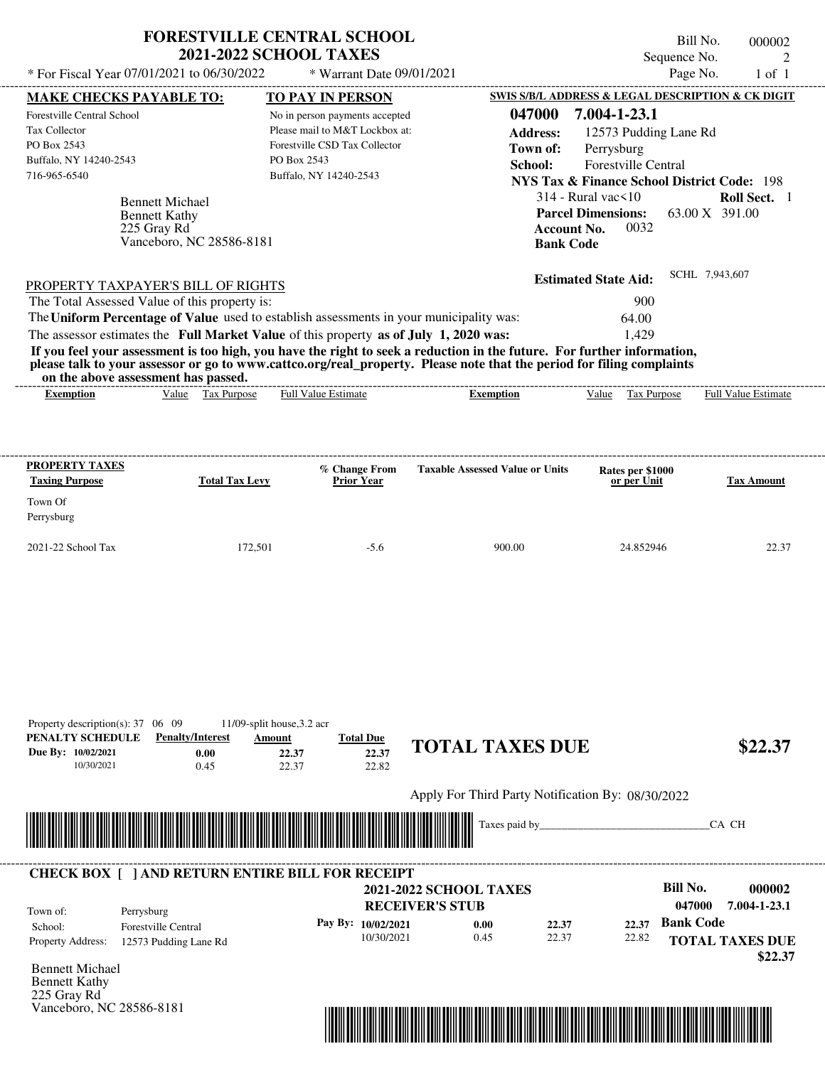|                                                                                                                                                                                                                                                                                         | <b>FORESTVILLE CENTRAL SCHOOL</b><br><b>2021-2022 SCHOOL TAXES</b>     |                                                                                                                             |                                                                                            | Sequence No.                                                                                                                                                                                                    | Bill No.<br>000002<br>2        |
|-----------------------------------------------------------------------------------------------------------------------------------------------------------------------------------------------------------------------------------------------------------------------------------------|------------------------------------------------------------------------|-----------------------------------------------------------------------------------------------------------------------------|--------------------------------------------------------------------------------------------|-----------------------------------------------------------------------------------------------------------------------------------------------------------------------------------------------------------------|--------------------------------|
| * For Fiscal Year 07/01/2021 to 06/30/2022                                                                                                                                                                                                                                              |                                                                        | * Warrant Date 09/01/2021                                                                                                   |                                                                                            | Page No.                                                                                                                                                                                                        | $1$ of $1$                     |
| <b>MAKE CHECKS PAYABLE TO:</b>                                                                                                                                                                                                                                                          |                                                                        | TO PAY IN PERSON                                                                                                            |                                                                                            | SWIS S/B/L ADDRESS & LEGAL DESCRIPTION & CK DIGIT                                                                                                                                                               |                                |
| Forestville Central School<br>Tax Collector<br>PO Box 2543<br>Buffalo, NY 14240-2543<br>716-965-6540<br><b>Bennett Michael</b><br><b>Bennett Kathy</b><br>225 Gray Rd                                                                                                                   | PO Box 2543<br>Vanceboro, NC 28586-8181                                | No in person payments accepted<br>Please mail to M&T Lockbox at:<br>Forestville CSD Tax Collector<br>Buffalo, NY 14240-2543 | 047000<br><b>Address:</b><br>Town of:<br>School:<br><b>Account No.</b><br><b>Bank Code</b> | 7.004-1-23.1<br>12573 Pudding Lane Rd<br>Perrysburg<br><b>Forestville Central</b><br><b>NYS Tax &amp; Finance School District Code: 198</b><br>$314$ - Rural vac $\leq 10$<br><b>Parcel Dimensions:</b><br>0032 | Roll Sect. 1<br>63.00 X 391.00 |
| PROPERTY TAXPAYER'S BILL OF RIGHTS                                                                                                                                                                                                                                                      |                                                                        |                                                                                                                             |                                                                                            | <b>Estimated State Aid:</b>                                                                                                                                                                                     | SCHL 7,943,607                 |
| The Total Assessed Value of this property is:                                                                                                                                                                                                                                           |                                                                        |                                                                                                                             |                                                                                            | 900                                                                                                                                                                                                             |                                |
| The Uniform Percentage of Value used to establish assessments in your municipality was:                                                                                                                                                                                                 |                                                                        |                                                                                                                             |                                                                                            | 64.00                                                                                                                                                                                                           |                                |
| The assessor estimates the Full Market Value of this property as of July 1, 2020 was:                                                                                                                                                                                                   |                                                                        |                                                                                                                             |                                                                                            | 1,429                                                                                                                                                                                                           |                                |
| If you feel your assessment is too high, you have the right to seek a reduction in the future. For further information,<br>please talk to your assessor or go to www.cattco.org/real_property. Please note that the period for filing complaints<br>on the above assessment has passed. |                                                                        |                                                                                                                             |                                                                                            |                                                                                                                                                                                                                 |                                |
| <b>Exemption</b>                                                                                                                                                                                                                                                                        | Value Tax Purpose                                                      | Full Value Estimate                                                                                                         | <b>Exemption</b>                                                                           | Value Tax Purpose                                                                                                                                                                                               | <b>Full Value Estimate</b>     |
| <b>PROPERTY TAXES</b><br><b>Taxing Purpose</b><br>Town Of<br>Perrysburg                                                                                                                                                                                                                 | <b>Total Tax Levy</b>                                                  | % Change From<br><b>Prior Year</b>                                                                                          | <b>Taxable Assessed Value or Units</b>                                                     | Rates per \$1000<br>or per Unit                                                                                                                                                                                 | <b>Tax Amount</b>              |
| 2021-22 School Tax                                                                                                                                                                                                                                                                      | 172,501                                                                | $-5.6$                                                                                                                      | 900.00                                                                                     | 24.852946                                                                                                                                                                                                       | 22.37                          |
| Property description(s): $37 \quad 06 \quad 09$<br>PENALTY SCHEDULE<br><b>Penalty/Interest</b><br>Due By: 10/02/2021<br>10/30/2021                                                                                                                                                      | 11/09-split house, 3.2 acr<br>Amount<br>0.00<br>22.37<br>22.37<br>0.45 | <b>Total Due</b><br>22.37<br>22.82                                                                                          | <b>TOTAL TAXES DUE</b>                                                                     |                                                                                                                                                                                                                 | \$22.37                        |
|                                                                                                                                                                                                                                                                                         |                                                                        |                                                                                                                             | Apply For Third Party Notification By: 08/30/2022                                          |                                                                                                                                                                                                                 |                                |
| <u>THE REAL PROPERTY AND RELEASED FOR A 40 MILLION CONTROL BETWEEN A 40 MILLION CONTROL BETWEEN A 40 MILLION CONT</u>                                                                                                                                                                   |                                                                        |                                                                                                                             | Taxes paid by_                                                                             |                                                                                                                                                                                                                 | CA CH                          |
|                                                                                                                                                                                                                                                                                         |                                                                        |                                                                                                                             |                                                                                            |                                                                                                                                                                                                                 |                                |
|                                                                                                                                                                                                                                                                                         |                                                                        |                                                                                                                             |                                                                                            |                                                                                                                                                                                                                 |                                |

|                                                                 | <b>CHECK BOX [ ] AND RETURN ENTIRE BILL FOR RECEIPT</b> | <b>RECEIVER'S STUB</b> | <b>2021-2022 SCHOOL TAXES</b> |       |       | Bill No.<br>000002<br>7.004-1-23.1<br>047000 |
|-----------------------------------------------------------------|---------------------------------------------------------|------------------------|-------------------------------|-------|-------|----------------------------------------------|
| Town of:<br>Perrysburg<br><b>Forestville Central</b><br>School: |                                                         | Pay By: 10/02/2021     | 0.00                          | 22.37 |       | 22.37 Bank Code                              |
| <b>Property Address:</b>                                        | 12573 Pudding Lane Rd                                   | 10/30/2021             | 0.45                          | 22.37 | 22.82 | <b>TOTAL TAXES DUE</b><br>\$22.37            |

Bennett Michael Bennett Kathy 225 Gray Rd Vanceboro, NC 28586-8181

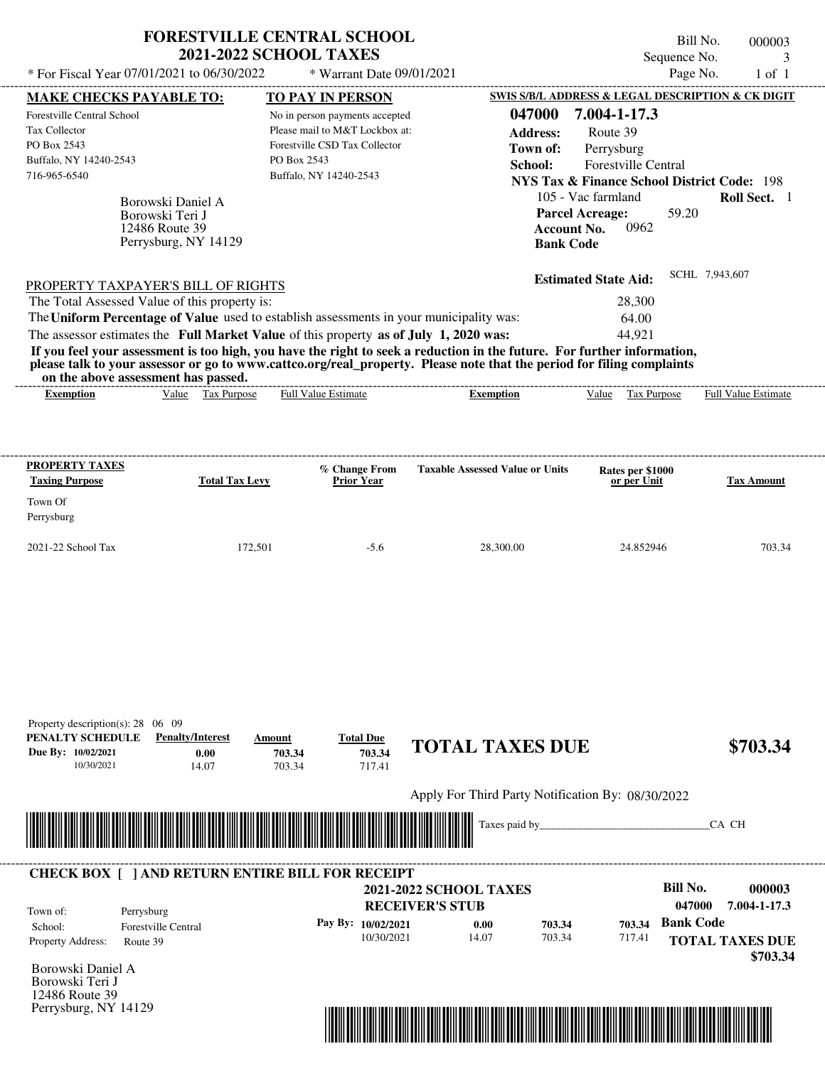Apply For Third Party Notification By: 08/30/2022



| Town of:                 | Perrysburg          | <b>RECEIVER'S STUB</b> | <b>2021-2022 SCHOOL TAXES</b> |        |        | Bill No.<br>047000 | 000003<br>7.004-1-17.3             |
|--------------------------|---------------------|------------------------|-------------------------------|--------|--------|--------------------|------------------------------------|
| School:                  | Forestville Central | Pay By: $10/02/2021$   | 0.00                          | 703.34 | 703.34 | <b>Bank Code</b>   |                                    |
| <b>Property Address:</b> | Route 39            | 10/30/2021             | 14.07                         | 703.34 | 717.41 |                    | <b>TOTAL TAXES DUE</b><br>\$703.34 |



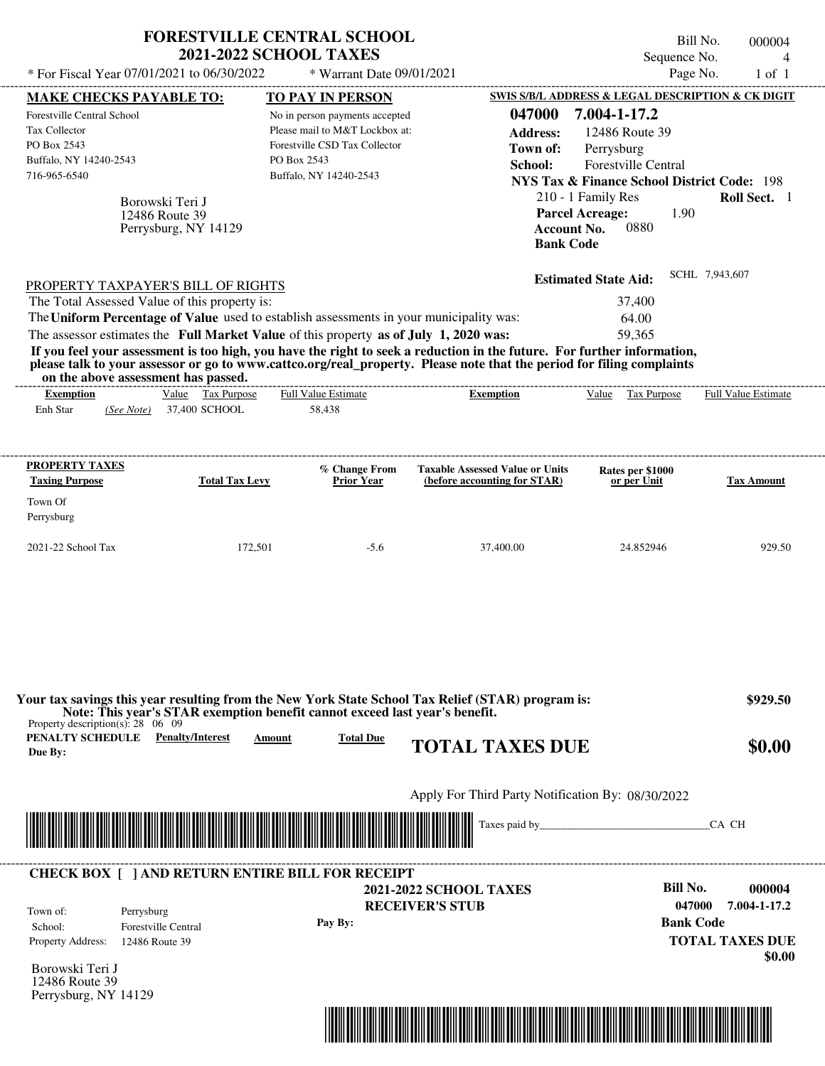|                                                                                                                                                                                                                                                                                                                | <b>2021-2022 SCHOOL TAXES</b>                                                         | <b>FORESTVILLE CENTRAL SCHOOL</b>                                                                                                                                     |                                                                                                                                                                                                                                                  | Bill No.<br>Sequence No.                                                                                                                                                                                                 | 000004<br>$\overline{4}$   |
|----------------------------------------------------------------------------------------------------------------------------------------------------------------------------------------------------------------------------------------------------------------------------------------------------------------|---------------------------------------------------------------------------------------|-----------------------------------------------------------------------------------------------------------------------------------------------------------------------|--------------------------------------------------------------------------------------------------------------------------------------------------------------------------------------------------------------------------------------------------|--------------------------------------------------------------------------------------------------------------------------------------------------------------------------------------------------------------------------|----------------------------|
| * For Fiscal Year 07/01/2021 to 06/30/2022                                                                                                                                                                                                                                                                     |                                                                                       | * Warrant Date 09/01/2021                                                                                                                                             |                                                                                                                                                                                                                                                  | Page No.                                                                                                                                                                                                                 | $1$ of $1$                 |
| <b>MAKE CHECKS PAYABLE TO:</b><br><b>Forestville Central School</b><br><b>Tax Collector</b><br>PO Box 2543<br>Buffalo, NY 14240-2543<br>716-965-6540<br>Borowski Teri J<br>12486 Route 39                                                                                                                      | Perrysburg, NY 14129                                                                  | <b>TO PAY IN PERSON</b><br>No in person payments accepted<br>Please mail to M&T Lockbox at:<br>Forestville CSD Tax Collector<br>PO Box 2543<br>Buffalo, NY 14240-2543 | 047000<br><b>Address:</b><br>Town of:<br>School:<br><b>Parcel Acreage:</b><br><b>Account No.</b><br><b>Bank Code</b>                                                                                                                             | SWIS S/B/L ADDRESS & LEGAL DESCRIPTION & CK DIGIT<br>7.004-1-17.2<br>12486 Route 39<br>Perrysburg<br>Forestville Central<br><b>NYS Tax &amp; Finance School District Code: 198</b><br>210 - 1 Family Res<br>1.90<br>0880 | Roll Sect. 1               |
| PROPERTY TAXPAYER'S BILL OF RIGHTS<br>The Total Assessed Value of this property is:<br>The Uniform Percentage of Value used to establish assessments in your municipality was:<br>The assessor estimates the Full Market Value of this property as of July 1, 2020 was:<br>on the above assessment has passed. |                                                                                       |                                                                                                                                                                       | If you feel your assessment is too high, you have the right to seek a reduction in the future. For further information,<br>please talk to your assessor or go to www.cattco.org/real property. Please note that the period for filing complaints | <b>Estimated State Aid:</b><br>37,400<br>64.00<br>59,365                                                                                                                                                                 | SCHL 7,943,607             |
| <b>Exemption</b><br>Enh Star<br>(See Note)                                                                                                                                                                                                                                                                     | Value Tax Purpose<br>37,400 SCHOOL                                                    | ------------------------<br><b>Full Value Estimate</b><br>58,438                                                                                                      | <b>Exemption</b>                                                                                                                                                                                                                                 | Value Tax Purpose                                                                                                                                                                                                        | <b>Full Value Estimate</b> |
| <b>PROPERTY TAXES</b><br><b>Taxing Purpose</b><br>Town Of                                                                                                                                                                                                                                                      | <b>Total Tax Levy</b>                                                                 | % Change From<br><b>Prior Year</b>                                                                                                                                    | <b>Taxable Assessed Value or Units</b><br>(before accounting for STAR)                                                                                                                                                                           | Rates per \$1000<br>or per Unit                                                                                                                                                                                          | <b>Tax Amount</b>          |
| Perrysburg<br>2021-22 School Tax                                                                                                                                                                                                                                                                               | 172,501                                                                               | $-5.6$                                                                                                                                                                | 37,400.00                                                                                                                                                                                                                                        | 24.852946                                                                                                                                                                                                                | 929.50                     |
|                                                                                                                                                                                                                                                                                                                |                                                                                       |                                                                                                                                                                       |                                                                                                                                                                                                                                                  |                                                                                                                                                                                                                          |                            |
|                                                                                                                                                                                                                                                                                                                | Note: This year's STAR exemption benefit cannot exceed last year's benefit.<br>Amount | <b>Total Due</b>                                                                                                                                                      | Your tax savings this year resulting from the New York State School Tax Relief (STAR) program is:<br><b>TOTAL TAXES DUE</b>                                                                                                                      |                                                                                                                                                                                                                          | \$929.50<br>\$0.00         |
| Property description(s): $28 \quad 06 \quad 09$<br><b>PENALTY SCHEDULE</b> Penalty/Interest<br>Due By:                                                                                                                                                                                                         |                                                                                       |                                                                                                                                                                       | Apply For Third Party Notification By: 08/30/2022                                                                                                                                                                                                |                                                                                                                                                                                                                          |                            |
|                                                                                                                                                                                                                                                                                                                |                                                                                       |                                                                                                                                                                       |                                                                                                                                                                                                                                                  |                                                                                                                                                                                                                          | CA CH                      |

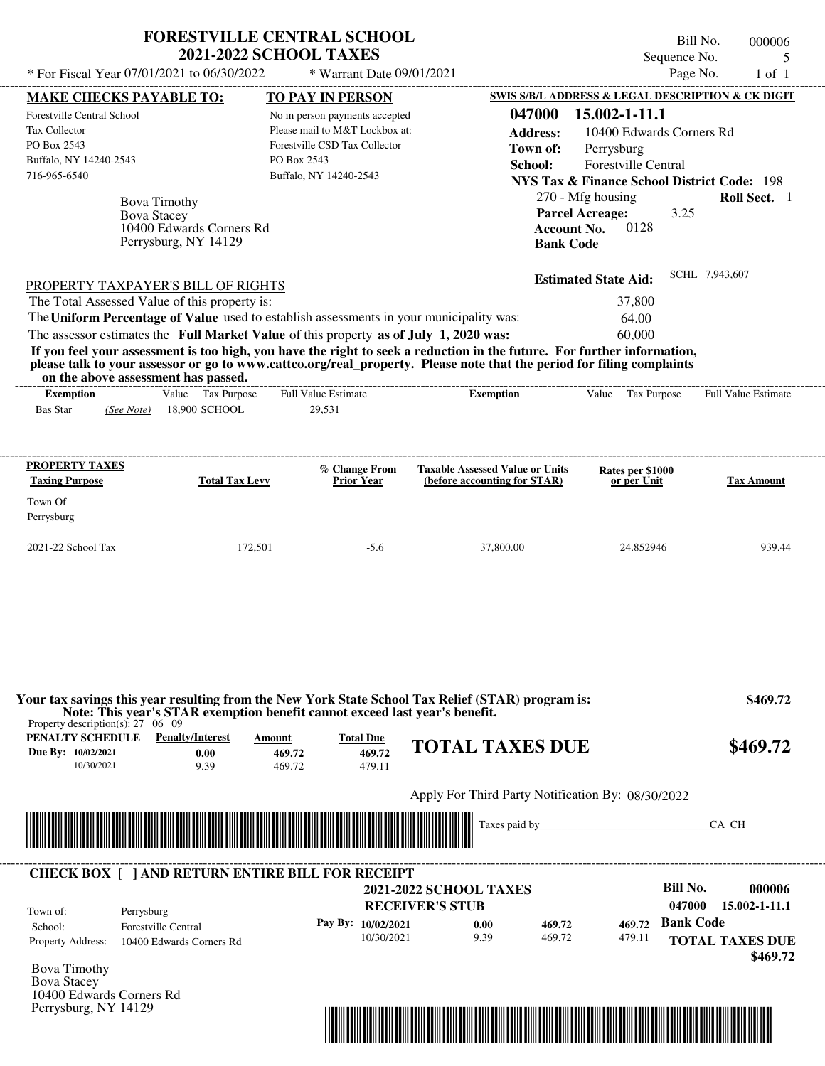| <b>FORESTVILLE CENTRAL SCHOOL</b> |  |
|-----------------------------------|--|
| <b>2021-2022 SCHOOL TAXES</b>     |  |

Bill No. 000006 Sequence No. 5<br>Page No. 1 of 1  $*$  For Fiscal Year 07/01/2021 to 06/30/2022  $*$  Warrant Date 09/01/2021 Page No. 1 of 1

|                                                                                                                                                                                                                                                 | <b>MAKE CHECKS PAYABLE TO:</b>                                   | <b>TO PAY IN PERSON</b>                                                                                                                                                          |                                                                                                                                                                                                                                                  | SWIS S/B/L ADDRESS & LEGAL DESCRIPTION & CK DIGIT                                    |                                                   |
|-------------------------------------------------------------------------------------------------------------------------------------------------------------------------------------------------------------------------------------------------|------------------------------------------------------------------|----------------------------------------------------------------------------------------------------------------------------------------------------------------------------------|--------------------------------------------------------------------------------------------------------------------------------------------------------------------------------------------------------------------------------------------------|--------------------------------------------------------------------------------------|---------------------------------------------------|
| Forestville Central School<br>Tax Collector<br>PO Box 2543                                                                                                                                                                                      |                                                                  | No in person payments accepted<br>Please mail to M&T Lockbox at:<br>Forestville CSD Tax Collector                                                                                | 047000<br><b>Address:</b><br>Town of:                                                                                                                                                                                                            | 15.002-1-11.1<br>10400 Edwards Corners Rd<br>Perrysburg                              |                                                   |
| Buffalo, NY 14240-2543<br>716-965-6540                                                                                                                                                                                                          |                                                                  | PO Box 2543<br>Buffalo, NY 14240-2543                                                                                                                                            | School:                                                                                                                                                                                                                                          | <b>Forestville Central</b><br><b>NYS Tax &amp; Finance School District Code: 198</b> |                                                   |
| <b>Bova Stacey</b>                                                                                                                                                                                                                              | Bova Timothy<br>10400 Edwards Corners Rd<br>Perrysburg, NY 14129 |                                                                                                                                                                                  | <b>Account No.</b><br><b>Bank Code</b>                                                                                                                                                                                                           | 270 - Mfg housing<br><b>Parcel Acreage:</b><br>3.25<br>0128                          | Roll Sect. 1                                      |
| PROPERTY TAXPAYER'S BILL OF RIGHTS                                                                                                                                                                                                              |                                                                  |                                                                                                                                                                                  |                                                                                                                                                                                                                                                  | <b>Estimated State Aid:</b>                                                          | SCHL 7,943,607                                    |
| The Total Assessed Value of this property is:                                                                                                                                                                                                   |                                                                  |                                                                                                                                                                                  |                                                                                                                                                                                                                                                  | 37,800                                                                               |                                                   |
| on the above assessment has passed.                                                                                                                                                                                                             |                                                                  | The Uniform Percentage of Value used to establish assessments in your municipality was:<br>The assessor estimates the Full Market Value of this property as of July 1, 2020 was: | If you feel your assessment is too high, you have the right to seek a reduction in the future. For further information,<br>please talk to your assessor or go to www.cattco.org/real property. Please note that the period for filing complaints | 64.00<br>60,000                                                                      |                                                   |
| <b>Exemption</b><br>Bas Star                                                                                                                                                                                                                    | Value Tax Purpose<br>(See Note) 18,900 SCHOOL                    | <b>Full Value Estimate</b><br>29,531                                                                                                                                             | <b>Exemption</b>                                                                                                                                                                                                                                 | Value Tax Purpose Full Value Estimate                                                |                                                   |
| PROPERTY TAXES<br><b>Taxing Purpose</b>                                                                                                                                                                                                         | <b>Total Tax Levy</b>                                            | % Change From<br><b>Prior Year</b>                                                                                                                                               | <b>Taxable Assessed Value or Units</b><br>(before accounting for STAR)                                                                                                                                                                           | Rates per \$1000<br>or per Unit                                                      | <b>Tax Amount</b>                                 |
| Town Of<br>Perrysburg                                                                                                                                                                                                                           |                                                                  |                                                                                                                                                                                  |                                                                                                                                                                                                                                                  |                                                                                      |                                                   |
|                                                                                                                                                                                                                                                 |                                                                  |                                                                                                                                                                                  |                                                                                                                                                                                                                                                  |                                                                                      |                                                   |
|                                                                                                                                                                                                                                                 | 172,501                                                          | $-5.6$                                                                                                                                                                           | 37,800.00                                                                                                                                                                                                                                        | 24.852946                                                                            | 939.44                                            |
| 10/30/2021                                                                                                                                                                                                                                      | <b>Penalty/Interest</b><br>0.00<br>9.39                          | Note: This year's STAR exemption benefit cannot exceed last year's benefit.<br><b>Total Due</b><br>Amount<br>469.72<br>469.72<br>469.72<br>479.11                                | Your tax savings this year resulting from the New York State School Tax Relief (STAR) program is:<br><b>TOTAL TAXES DUE</b>                                                                                                                      |                                                                                      |                                                   |
|                                                                                                                                                                                                                                                 |                                                                  |                                                                                                                                                                                  | Apply For Third Party Notification By: 08/30/2022                                                                                                                                                                                                |                                                                                      | \$469.72<br>\$469.72                              |
|                                                                                                                                                                                                                                                 |                                                                  |                                                                                                                                                                                  |                                                                                                                                                                                                                                                  |                                                                                      | CA CH                                             |
|                                                                                                                                                                                                                                                 |                                                                  | <b>CHECK BOX [ ] AND RETURN ENTIRE BILL FOR RECEIPT</b>                                                                                                                          | <b>2021-2022 SCHOOL TAXES</b>                                                                                                                                                                                                                    | <b>Bill No.</b>                                                                      |                                                   |
| 2021-22 School Tax<br>Property description(s): $27 \quad 06 \quad 09$<br>PENALTY SCHEDULE<br>Due By: 10/02/2021<br><u> 1989 - Johann Stoff, Amerikaansk politiker (* 1958)</u><br>Town of:<br>Perrysburg<br>School:<br><b>Property Address:</b> | <b>Forestville Central</b><br>10400 Edwards Corners Rd           | Pay By: 10/02/2021<br>10/30/2021                                                                                                                                                 | <b>RECEIVER'S STUB</b><br>0.00<br>469.72<br>9.39<br>469.72                                                                                                                                                                                       | 047000<br><b>Bank Code</b><br>469.72<br>479.11                                       | 000006<br>15.002-1-11.1<br><b>TOTAL TAXES DUE</b> |
| <b>Bova Timothy</b><br><b>Bova Stacey</b><br>10400 Edwards Corners Rd<br>Perrysburg, NY 14129                                                                                                                                                   |                                                                  |                                                                                                                                                                                  |                                                                                                                                                                                                                                                  |                                                                                      | \$469.72                                          |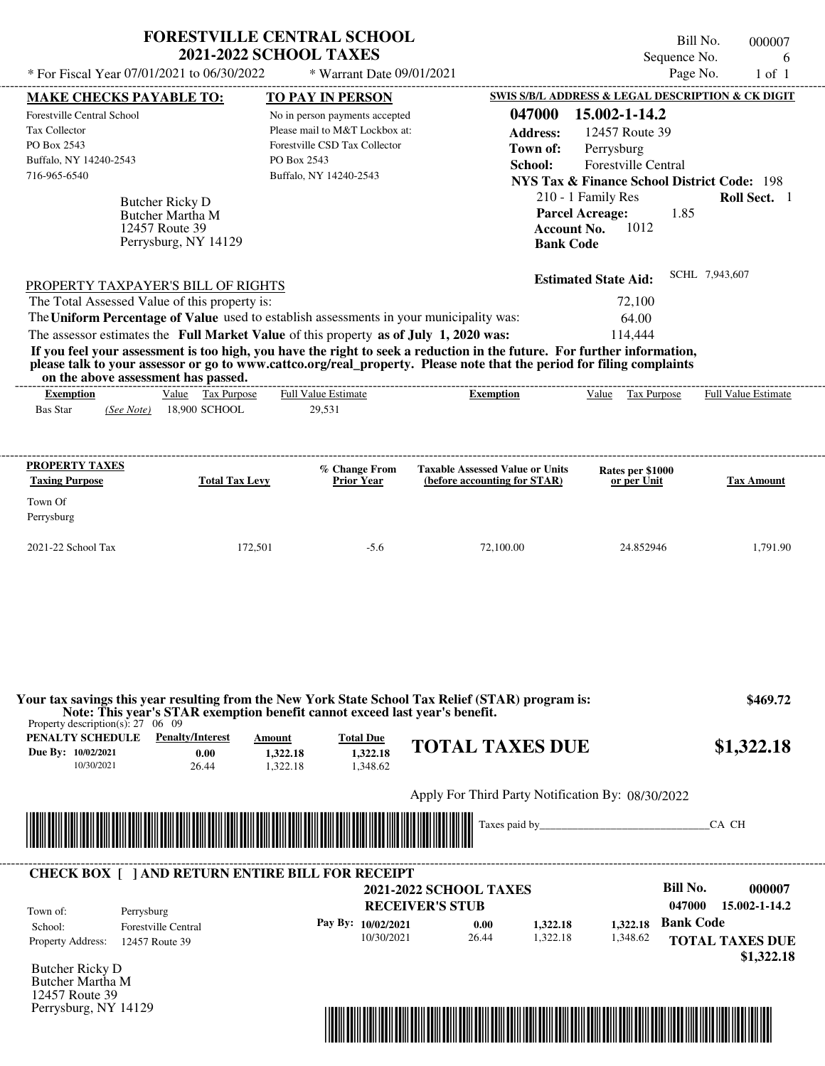| * For Fiscal Year 07/01/2021 to 06/30/2022                                                                                      | <b>2021-2022 SCHOOL TAXES</b>                   | <b>FORESTVILLE CENTRAL SCHOOL</b><br>* Warrant Date 09/01/2021                                                          |                                                                                                                                                                                                                                                                      | Sequence No.<br>Page No.                                                           | Bill No.<br>000007<br>6<br>$1$ of $1$ |
|---------------------------------------------------------------------------------------------------------------------------------|-------------------------------------------------|-------------------------------------------------------------------------------------------------------------------------|----------------------------------------------------------------------------------------------------------------------------------------------------------------------------------------------------------------------------------------------------------------------|------------------------------------------------------------------------------------|---------------------------------------|
|                                                                                                                                 |                                                 |                                                                                                                         |                                                                                                                                                                                                                                                                      | SWIS S/B/L ADDRESS & LEGAL DESCRIPTION & CK DIGIT                                  |                                       |
| <b>MAKE CHECKS PAYABLE TO:</b><br><b>Forestville Central School</b><br><b>Tax Collector</b>                                     |                                                 | <b>TO PAY IN PERSON</b><br>No in person payments accepted<br>Please mail to M&T Lockbox at:                             | 047000<br><b>Address:</b>                                                                                                                                                                                                                                            | 15.002-1-14.2<br>12457 Route 39                                                    |                                       |
| PO Box 2543                                                                                                                     |                                                 | Forestville CSD Tax Collector                                                                                           | Town of:                                                                                                                                                                                                                                                             | Perrysburg                                                                         |                                       |
| Buffalo, NY 14240-2543                                                                                                          |                                                 | PO Box 2543                                                                                                             | School:                                                                                                                                                                                                                                                              | Forestville Central                                                                |                                       |
| 716-965-6540                                                                                                                    |                                                 | Buffalo, NY 14240-2543                                                                                                  |                                                                                                                                                                                                                                                                      | <b>NYS Tax &amp; Finance School District Code: 198</b>                             |                                       |
| Butcher Ricky D<br>Butcher Martha M<br>12457 Route 39                                                                           | Perrysburg, NY 14129                            |                                                                                                                         | <b>Bank Code</b>                                                                                                                                                                                                                                                     | 210 - 1 Family Res<br><b>Parcel Acreage:</b><br>1.85<br>1012<br><b>Account No.</b> | Roll Sect. 1                          |
| PROPERTY TAXPAYER'S BILL OF RIGHTS                                                                                              |                                                 |                                                                                                                         |                                                                                                                                                                                                                                                                      | <b>Estimated State Aid:</b>                                                        | SCHL 7,943,607                        |
| The Total Assessed Value of this property is:                                                                                   |                                                 |                                                                                                                         |                                                                                                                                                                                                                                                                      | 72,100                                                                             |                                       |
| The Uniform Percentage of Value used to establish assessments in your municipality was:                                         |                                                 |                                                                                                                         |                                                                                                                                                                                                                                                                      | 64.00                                                                              |                                       |
| The assessor estimates the Full Market Value of this property as of July 1, 2020 was:                                           |                                                 |                                                                                                                         |                                                                                                                                                                                                                                                                      | 114,444                                                                            |                                       |
| on the above assessment has passed.<br><b>Exemption</b><br><b>Bas Star</b><br>(See Note)                                        | Value Tax Purpose<br>18,900 SCHOOL              | ------------------------<br><b>Full Value Estimate</b><br>29,531                                                        | If you feel your assessment is too high, you have the right to seek a reduction in the future. For further information,<br>please talk to your assessor or go to www.cattco.org/real_property. Please note that the period for filing complaints<br><b>Exemption</b> | Value Tax Purpose                                                                  | <b>Full Value Estimate</b>            |
| <b>PROPERTY TAXES</b><br><b>Taxing Purpose</b><br>Town Of<br>Perrysburg                                                         | <b>Total Tax Levy</b>                           | % Change From<br><b>Prior Year</b>                                                                                      | <b>Taxable Assessed Value or Units</b><br>(before accounting for STAR)                                                                                                                                                                                               | Rates per \$1000<br>or per Unit                                                    | <b>Tax Amount</b>                     |
| 2021-22 School Tax                                                                                                              | 172,501                                         | $-5.6$                                                                                                                  | 72,100.00                                                                                                                                                                                                                                                            | 24.852946                                                                          | 1,791.90                              |
| Property description(s): $27 \quad 06 \quad 09$<br><b>PENALTY SCHEDULE</b> Penalty/Interest<br>Due By: 10/02/2021<br>10/30/2021 | Amount<br>0.00<br>1.322.18<br>26.44<br>1,322.18 | Note: This year's STAR exemption benefit cannot exceed last year's benefit.<br><b>Total Due</b><br>1.322.18<br>1,348.62 | Your tax savings this year resulting from the New York State School Tax Relief (STAR) program is:<br><b>TOTAL TAXES DUE</b>                                                                                                                                          |                                                                                    | \$469.72<br>\$1,322.18                |
|                                                                                                                                 |                                                 |                                                                                                                         | Apply For Third Party Notification By: 08/30/2022                                                                                                                                                                                                                    |                                                                                    |                                       |
|                                                                                                                                 |                                                 |                                                                                                                         |                                                                                                                                                                                                                                                                      |                                                                                    | CA CH                                 |
| <b>CHECK BOX [ ] AND RETURN ENTIRE BILL FOR RECEIPT</b>                                                                         |                                                 |                                                                                                                         | <b>2021-2022 SCHOOL TAXES</b>                                                                                                                                                                                                                                        | <b>Bill No.</b>                                                                    | 000007                                |
|                                                                                                                                 |                                                 |                                                                                                                         | <b>RECEIVER'S STUB</b>                                                                                                                                                                                                                                               | 047000                                                                             | 15.002-1-14.2                         |
| Town of:<br>Perrysburg<br><b>Forestville Central</b><br>School:<br>Property Address:<br>12457 Route 39                          |                                                 | Pay By: 10/02/2021<br>10/30/2021                                                                                        | 1,322.18<br>0.00<br>1,322.18<br>26.44                                                                                                                                                                                                                                | <b>Bank Code</b><br>1.322.18<br>1,348.62                                           | <b>TOTAL TAXES DUE</b>                |
| <b>Rutcher Ricky D</b>                                                                                                          |                                                 |                                                                                                                         |                                                                                                                                                                                                                                                                      |                                                                                    | \$1,322.18                            |

Butcher Ricky D Butcher Martha M 12457 Route 39 Perrysburg, NY 14129

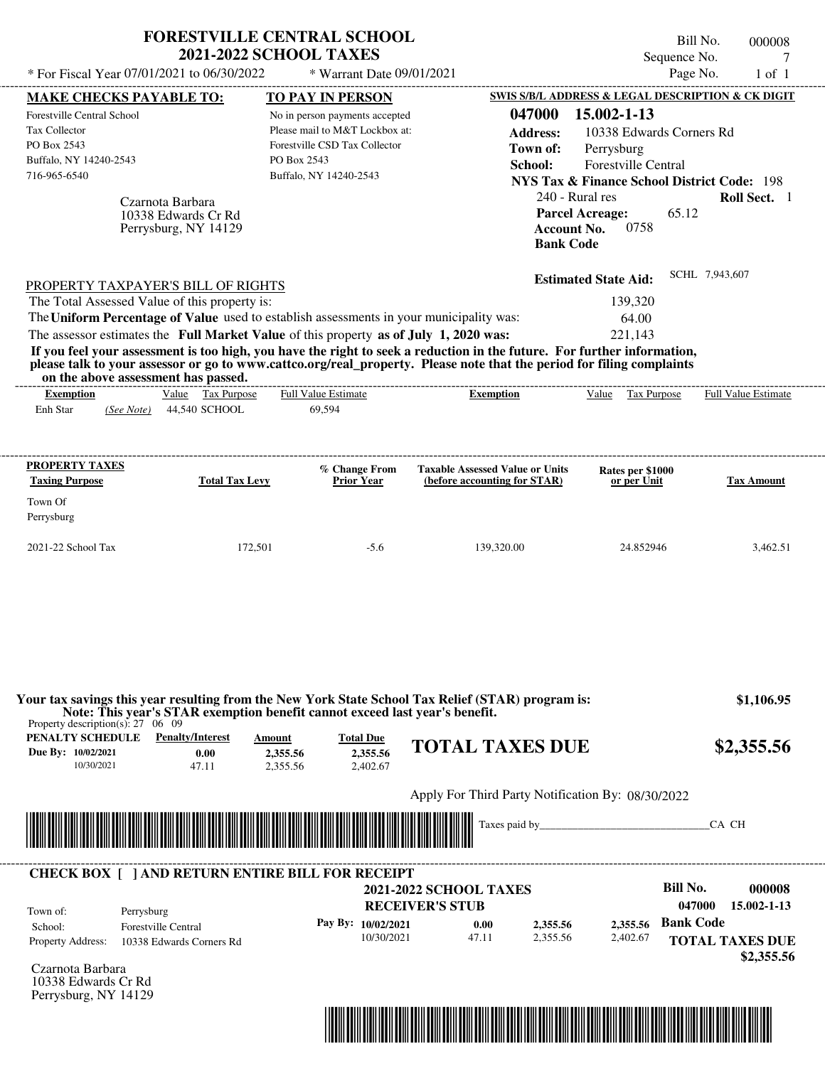|                                                                                                                                                                                                                                                                                                                                                                                                                                                                                                                              | <b>FORESTVILLE CENTRAL SCHOOL</b><br><b>2021-2022 SCHOOL TAXES</b>                                                                         |                                                                                                  |                                                                                                                                                                             | Bill No.<br>000008<br>Sequence No.<br>7                                                          |
|------------------------------------------------------------------------------------------------------------------------------------------------------------------------------------------------------------------------------------------------------------------------------------------------------------------------------------------------------------------------------------------------------------------------------------------------------------------------------------------------------------------------------|--------------------------------------------------------------------------------------------------------------------------------------------|--------------------------------------------------------------------------------------------------|-----------------------------------------------------------------------------------------------------------------------------------------------------------------------------|--------------------------------------------------------------------------------------------------|
| * For Fiscal Year 07/01/2021 to 06/30/2022                                                                                                                                                                                                                                                                                                                                                                                                                                                                                   | * Warrant Date 09/01/2021                                                                                                                  |                                                                                                  |                                                                                                                                                                             | Page No.<br>$1$ of $1$                                                                           |
| <b>MAKE CHECKS PAYABLE TO:</b>                                                                                                                                                                                                                                                                                                                                                                                                                                                                                               | TO PAY IN PERSON                                                                                                                           |                                                                                                  |                                                                                                                                                                             | SWIS S/B/L ADDRESS & LEGAL DESCRIPTION & CK DIGIT                                                |
| Forestville Central School<br><b>Tax Collector</b><br>PO Box 2543<br>Buffalo, NY 14240-2543<br>716-965-6540<br>Czarnota Barbara<br>10338 Edwards Cr Rd<br>Perrysburg, NY 14129                                                                                                                                                                                                                                                                                                                                               | No in person payments accepted<br>Please mail to M&T Lockbox at:<br>Forestville CSD Tax Collector<br>PO Box 2543<br>Buffalo, NY 14240-2543 | 047000<br><b>Address:</b><br>Town of:<br>School:                                                 | 15.002-1-13<br>10338 Edwards Corners Rd<br>Perrysburg<br>Forestville Central<br>240 - Rural res<br><b>Parcel Acreage:</b><br>0758<br><b>Account No.</b><br><b>Bank Code</b> | <b>NYS Tax &amp; Finance School District Code: 198</b><br>Roll Sect. 1<br>65.12                  |
| PROPERTY TAXPAYER'S BILL OF RIGHTS                                                                                                                                                                                                                                                                                                                                                                                                                                                                                           |                                                                                                                                            |                                                                                                  | <b>Estimated State Aid:</b>                                                                                                                                                 | SCHL 7,943,607                                                                                   |
| The Total Assessed Value of this property is:<br>The Uniform Percentage of Value used to establish assessments in your municipality was:<br>The assessor estimates the Full Market Value of this property as of July 1, 2020 was:<br>If you feel your assessment is too high, you have the right to seek a reduction in the future. For further information,<br>please talk to your assessor or go to www.cattco.org/real_property. Please note that the period for filing complaints<br>on the above assessment has passed. |                                                                                                                                            |                                                                                                  | 139,320<br>64.00<br>221,143                                                                                                                                                 |                                                                                                  |
| Value Tax Purpose<br><b>Exemption</b><br>Enh Star<br>44,540 SCHOOL<br>(See Note)                                                                                                                                                                                                                                                                                                                                                                                                                                             | <b>Full Value Estimate</b><br>69,594                                                                                                       | <b>Exemption</b>                                                                                 | Value Tax Purpose                                                                                                                                                           | Full Value Estimate                                                                              |
| <b>PROPERTY TAXES</b>                                                                                                                                                                                                                                                                                                                                                                                                                                                                                                        | % Change From                                                                                                                              | <b>Taxable Assessed Value or Units</b>                                                           | Rates per \$1000                                                                                                                                                            |                                                                                                  |
| <b>Taxing Purpose</b><br><b>Total Tax Levy</b><br>Town Of<br>Perrysburg                                                                                                                                                                                                                                                                                                                                                                                                                                                      | <b>Prior Year</b>                                                                                                                          | (before accounting for STAR)                                                                     | or per Unit                                                                                                                                                                 | <b>Tax Amount</b>                                                                                |
| 2021-22 School Tax                                                                                                                                                                                                                                                                                                                                                                                                                                                                                                           | 172,501<br>$-5.6$                                                                                                                          | 139,320.00                                                                                       | 24.852946                                                                                                                                                                   | 3,462.51                                                                                         |
| Your tax savings this year resulting from the New York State School Tax Relief (STAR) program is:<br>Note: This year's STAR exemption benefit cannot exceed last year's benefit.<br>Property description(s): $27 \quad 06 \quad 09$<br><b>PENALTY SCHEDULE</b> Penalty/Interest<br>Due By: 10/02/2021<br>0.00<br>10/30/2021<br>47.11                                                                                                                                                                                         | <b>Total Due</b><br>Amount<br>2,355.56<br>2,355.56<br>2,355.56<br>2,402.67                                                                 | <b>TOTAL TAXES DUE</b>                                                                           |                                                                                                                                                                             | \$1,106.95<br>\$2,355.56                                                                         |
|                                                                                                                                                                                                                                                                                                                                                                                                                                                                                                                              |                                                                                                                                            | Apply For Third Party Notification By: 08/30/2022                                                |                                                                                                                                                                             |                                                                                                  |
|                                                                                                                                                                                                                                                                                                                                                                                                                                                                                                                              |                                                                                                                                            |                                                                                                  | Taxes paid by                                                                                                                                                               | CA CH                                                                                            |
| <b>CHECK BOX [ ] AND RETURN ENTIRE BILL FOR RECEIPT</b>                                                                                                                                                                                                                                                                                                                                                                                                                                                                      |                                                                                                                                            |                                                                                                  |                                                                                                                                                                             |                                                                                                  |
| Town of:<br>Perrysburg<br><b>Forestville Central</b><br>School:<br>Property Address:<br>10338 Edwards Corners Rd                                                                                                                                                                                                                                                                                                                                                                                                             | Pay By: 10/02/2021<br>10/30/2021                                                                                                           | <b>2021-2022 SCHOOL TAXES</b><br><b>RECEIVER'S STUB</b><br>0.00<br>2,355.56<br>47.11<br>2.355.56 | 2,355.56<br>2,402.67                                                                                                                                                        | <b>Bill No.</b><br>000008<br>047000<br>15.002-1-13<br><b>Bank Code</b><br><b>TOTAL TAXES DUE</b> |
| Czarnota Barbara<br>10338 Edwards Cr Rd                                                                                                                                                                                                                                                                                                                                                                                                                                                                                      |                                                                                                                                            |                                                                                                  |                                                                                                                                                                             | \$2,355.56                                                                                       |

Perrysburg, NY 14129

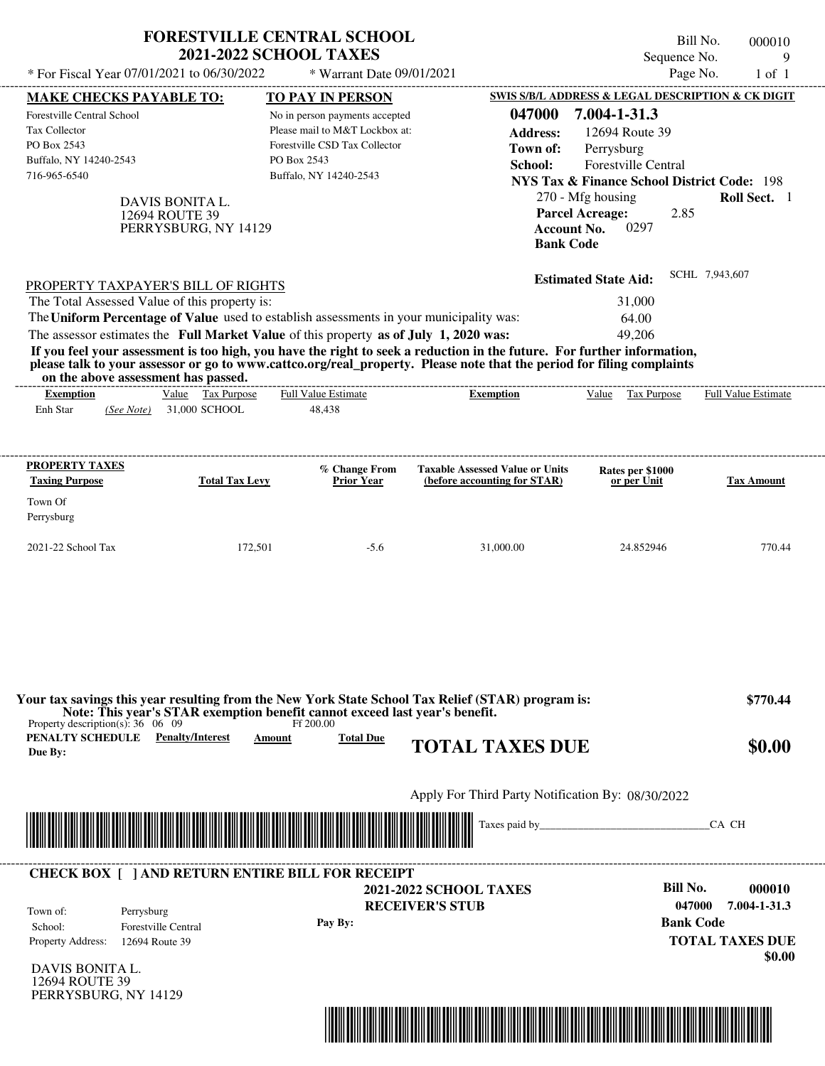| * For Fiscal Year 07/01/2021 to 06/30/2022                                                                                                                                                                                                                                                                     | <b>2021-2022 SCHOOL TAXES</b>                             | <b>FORESTVILLE CENTRAL SCHOOL</b><br>* Warrant Date 09/01/2021                                                                                                        |                                                                                                                                                                                                                                                  | Bill No.<br>Sequence No.<br>Page No.                                                                                                                                                                                                              | 000010<br>9<br>$1$ of $1$                  |
|----------------------------------------------------------------------------------------------------------------------------------------------------------------------------------------------------------------------------------------------------------------------------------------------------------------|-----------------------------------------------------------|-----------------------------------------------------------------------------------------------------------------------------------------------------------------------|--------------------------------------------------------------------------------------------------------------------------------------------------------------------------------------------------------------------------------------------------|---------------------------------------------------------------------------------------------------------------------------------------------------------------------------------------------------------------------------------------------------|--------------------------------------------|
| <b>MAKE CHECKS PAYABLE TO:</b><br><b>Forestville Central School</b><br><b>Tax Collector</b><br>PO Box 2543<br>Buffalo, NY 14240-2543<br>716-965-6540                                                                                                                                                           | DAVIS BONITA L.<br>12694 ROUTE 39<br>PERRYSBURG, NY 14129 | <b>TO PAY IN PERSON</b><br>No in person payments accepted<br>Please mail to M&T Lockbox at:<br>Forestville CSD Tax Collector<br>PO Box 2543<br>Buffalo, NY 14240-2543 | 047000<br><b>Address:</b><br>Town of:<br>School:<br><b>Account No.</b><br><b>Bank Code</b>                                                                                                                                                       | SWIS S/B/L ADDRESS & LEGAL DESCRIPTION & CK DIGIT<br>7.004-1-31.3<br>12694 Route 39<br>Perrysburg<br>Forestville Central<br><b>NYS Tax &amp; Finance School District Code: 198</b><br>270 - Mfg housing<br><b>Parcel Acreage:</b><br>2.85<br>0297 | Roll Sect. 1                               |
| PROPERTY TAXPAYER'S BILL OF RIGHTS<br>The Total Assessed Value of this property is:<br>The Uniform Percentage of Value used to establish assessments in your municipality was:<br>The assessor estimates the Full Market Value of this property as of July 1, 2020 was:<br>on the above assessment has passed. |                                                           | ------------------------                                                                                                                                              | If you feel your assessment is too high, you have the right to seek a reduction in the future. For further information,<br>please talk to your assessor or go to www.cattco.org/real_property. Please note that the period for filing complaints | <b>Estimated State Aid:</b><br>31,000<br>64.00<br>49,206                                                                                                                                                                                          | SCHL 7,943,607                             |
| <b>Exemption</b><br>Enh Star<br>(See Note)                                                                                                                                                                                                                                                                     | Value Tax Purpose<br>31,000 SCHOOL                        | <b>Full Value Estimate</b><br>48,438                                                                                                                                  | <b>Exemption</b>                                                                                                                                                                                                                                 | Value Tax Purpose                                                                                                                                                                                                                                 | <b>Full Value Estimate</b>                 |
| <b>PROPERTY TAXES</b><br><b>Taxing Purpose</b>                                                                                                                                                                                                                                                                 | <b>Total Tax Levy</b>                                     | % Change From<br><b>Prior Year</b>                                                                                                                                    | <b>Taxable Assessed Value or Units</b><br>(before accounting for STAR)                                                                                                                                                                           | Rates per \$1000<br>or per Unit                                                                                                                                                                                                                   | <b>Tax Amount</b>                          |
| Town Of<br>Perrysburg                                                                                                                                                                                                                                                                                          |                                                           |                                                                                                                                                                       |                                                                                                                                                                                                                                                  |                                                                                                                                                                                                                                                   |                                            |
| 2021-22 School Tax                                                                                                                                                                                                                                                                                             | 172,501                                                   | $-5.6$                                                                                                                                                                | 31,000.00                                                                                                                                                                                                                                        | 24.852946                                                                                                                                                                                                                                         | 770.44                                     |
| Property description(s): $36 \quad 06 \quad 09$<br><b>PENALTY SCHEDULE</b> Penalty/Interest<br>Due By:                                                                                                                                                                                                         | Amount                                                    | Note: This year's STAR exemption benefit cannot exceed last year's benefit.<br>Ff 200.00<br><b>Total Due</b>                                                          | Your tax savings this year resulting from the New York State School Tax Relief (STAR) program is:<br><b>TOTAL TAXES DUE</b>                                                                                                                      |                                                                                                                                                                                                                                                   | \$770.44<br>\$0.00                         |
|                                                                                                                                                                                                                                                                                                                |                                                           |                                                                                                                                                                       | Apply For Third Party Notification By: 08/30/2022                                                                                                                                                                                                |                                                                                                                                                                                                                                                   |                                            |
|                                                                                                                                                                                                                                                                                                                |                                                           |                                                                                                                                                                       |                                                                                                                                                                                                                                                  |                                                                                                                                                                                                                                                   | CA CH                                      |
| <b>CHECK BOX [ ] AND RETURN ENTIRE BILL FOR RECEIPT</b><br>Town of:<br>Perrysburg                                                                                                                                                                                                                              |                                                           |                                                                                                                                                                       | <b>2021-2022 SCHOOL TAXES</b><br><b>RECEIVER'S STUB</b>                                                                                                                                                                                          | <b>Bill No.</b><br>047000                                                                                                                                                                                                                         | 000010<br>7.004-1-31.3<br><b>Bank Code</b> |

\*04700000001000000000000000\*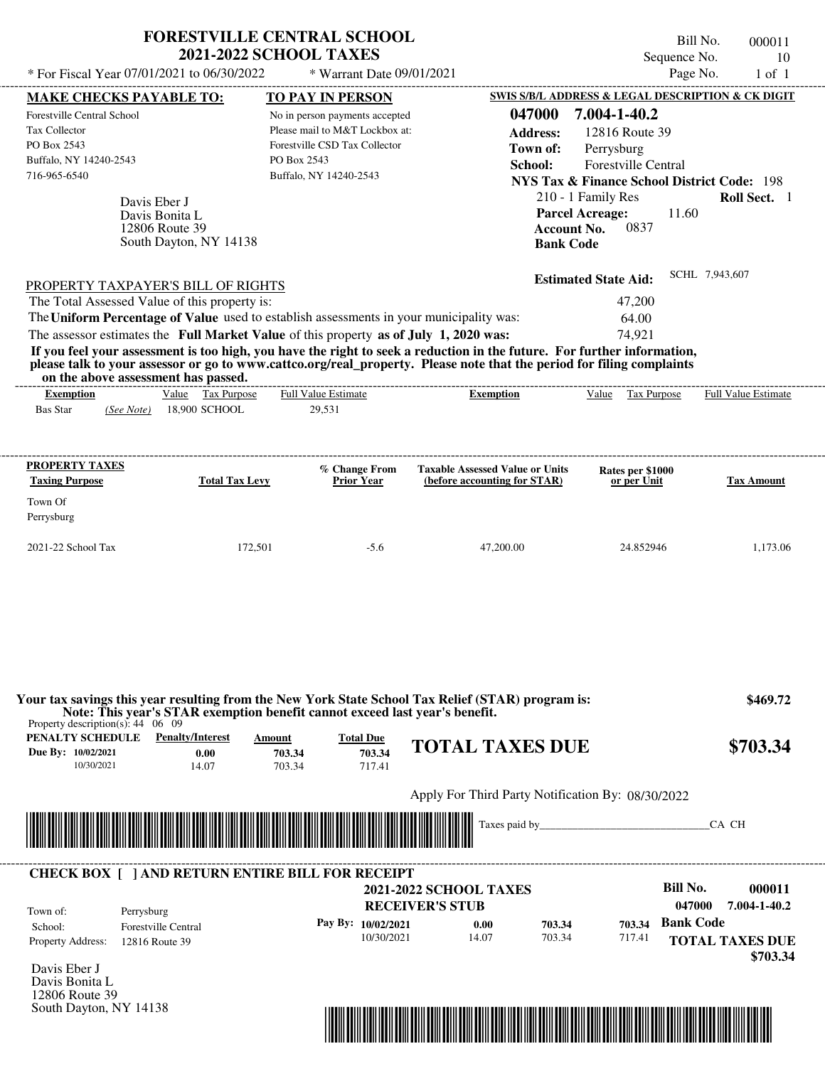| * For Fiscal Year 07/01/2021 to 06/30/2022                                                                                                                                                                                                                                              | <b>FORESTVILLE CENTRAL SCHOOL</b><br><b>2021-2022 SCHOOL TAXES</b><br>* Warrant Date 09/01/2021                                                                       | Bill No.<br>000011<br>Sequence No.<br>10<br>Page No.<br>$1$ of $1$                                                                                                                                                                                                                                                                               |
|-----------------------------------------------------------------------------------------------------------------------------------------------------------------------------------------------------------------------------------------------------------------------------------------|-----------------------------------------------------------------------------------------------------------------------------------------------------------------------|--------------------------------------------------------------------------------------------------------------------------------------------------------------------------------------------------------------------------------------------------------------------------------------------------------------------------------------------------|
| <b>MAKE CHECKS PAYABLE TO:</b><br>Forestville Central School<br>Tax Collector<br>PO Box 2543<br>Buffalo, NY 14240-2543<br>716-965-6540<br>Davis Eber J<br>Davis Bonita L<br>12806 Route 39                                                                                              | <b>TO PAY IN PERSON</b><br>No in person payments accepted<br>Please mail to M&T Lockbox at:<br>Forestville CSD Tax Collector<br>PO Box 2543<br>Buffalo, NY 14240-2543 | SWIS S/B/L ADDRESS & LEGAL DESCRIPTION & CK DIGIT<br>7.004-1-40.2<br>047000<br>12816 Route 39<br><b>Address:</b><br>Town of:<br>Perrysburg<br>School:<br><b>Forestville Central</b><br>NYS Tax & Finance School District Code: 198<br>210 - 1 Family Res<br><b>Roll Sect.</b> 1<br><b>Parcel Acreage:</b><br>11.60<br>0837<br><b>Account No.</b> |
| South Dayton, NY 14138                                                                                                                                                                                                                                                                  |                                                                                                                                                                       | <b>Bank Code</b>                                                                                                                                                                                                                                                                                                                                 |
| PROPERTY TAXPAYER'S BILL OF RIGHTS<br>The Total Assessed Value of this property is:<br>The Uniform Percentage of Value used to establish assessments in your municipality was:<br>The assessor estimates the Full Market Value of this property as of July 1, 2020 was:                 | SCHL 7,943,607<br><b>Estimated State Aid:</b><br>47,200<br>64.00<br>74.921                                                                                            |                                                                                                                                                                                                                                                                                                                                                  |
| If you feel your assessment is too high, you have the right to seek a reduction in the future. For further information,<br>please talk to your assessor or go to www.cattco.org/real_property. Please note that the period for filing complaints<br>on the above assessment has passed. |                                                                                                                                                                       |                                                                                                                                                                                                                                                                                                                                                  |

| <b>Exemption</b> |            | <u>Value</u> | <b>Tax Purpose</b> | <b>Full Value Estimate</b> | Exemption | <u>Value</u> | Tax Purpose | Full Value Estimate |
|------------------|------------|--------------|--------------------|----------------------------|-----------|--------------|-------------|---------------------|
| Bas Star         | (See Note) |              | 18.900 SCHOOL      | 29,531                     |           |              |             |                     |
|                  |            |              |                    |                            |           |              |             |                     |

| <b>PROPERTY TAXES</b><br><b>Taxing Purpose</b> | <b>Total Tax Levy</b> | % Change From<br><b>Prior Year</b> | <b>Taxable Assessed Value or Units</b><br>(before accounting for STAR) | Rates per \$1000<br>or per Unit | <b>Tax Amount</b> |
|------------------------------------------------|-----------------------|------------------------------------|------------------------------------------------------------------------|---------------------------------|-------------------|
| Town Of<br>Perrysburg                          |                       |                                    |                                                                        |                                 |                   |
| $2021 - 22$ School Tax                         | 172,501               | $-5.6$                             | 47,200.00                                                              | 24.852946                       | 1,173.06          |

| PENALTY SCHEDULE<br>Due By: 10/02/2021 | <b>Penalty/Interest</b><br>0.00                         | Amount<br>703.34                                     | <b>Total Due</b><br>703.34       | <b>TOTAL TAXES DUE</b>                            |                  |                  | \$703.34                                   |
|----------------------------------------|---------------------------------------------------------|------------------------------------------------------|----------------------------------|---------------------------------------------------|------------------|------------------|--------------------------------------------|
| 10/30/2021                             | 14.07                                                   | 703.34                                               | 717.41                           |                                                   |                  |                  |                                            |
|                                        |                                                         |                                                      |                                  | Apply For Third Party Notification By: 08/30/2022 |                  |                  |                                            |
|                                        |                                                         |                                                      |                                  |                                                   |                  |                  |                                            |
|                                        |                                                         |                                                      |                                  |                                                   |                  |                  |                                            |
|                                        |                                                         |                                                      |                                  |                                                   |                  |                  | CA CH                                      |
|                                        |                                                         |                                                      |                                  |                                                   |                  |                  |                                            |
|                                        |                                                         | <u> 1989 - Johann Stoff, Amerikaansk politiker (</u> |                                  |                                                   |                  |                  |                                            |
|                                        |                                                         |                                                      |                                  |                                                   |                  |                  |                                            |
|                                        | <b>CHECK BOX [ ] AND RETURN ENTIRE BILL FOR RECEIPT</b> |                                                      |                                  |                                                   |                  |                  | <b>Bill No.</b><br>000011                  |
|                                        |                                                         |                                                      |                                  | <b>2021-2022 SCHOOL TAXES</b>                     |                  |                  |                                            |
| Town of:                               | Perrysburg                                              |                                                      |                                  | <b>RECEIVER'S STUB</b>                            |                  |                  | 047000<br>7.004-1-40.2                     |
| School:<br><b>Property Address:</b>    | <b>Forestville Central</b><br>12816 Route 39            |                                                      | Pay By: 10/02/2021<br>10/30/2021 | 0.00<br>14.07                                     | 703.34<br>703.34 | 703.34<br>717.41 | <b>Bank Code</b><br><b>TOTAL TAXES DUE</b> |

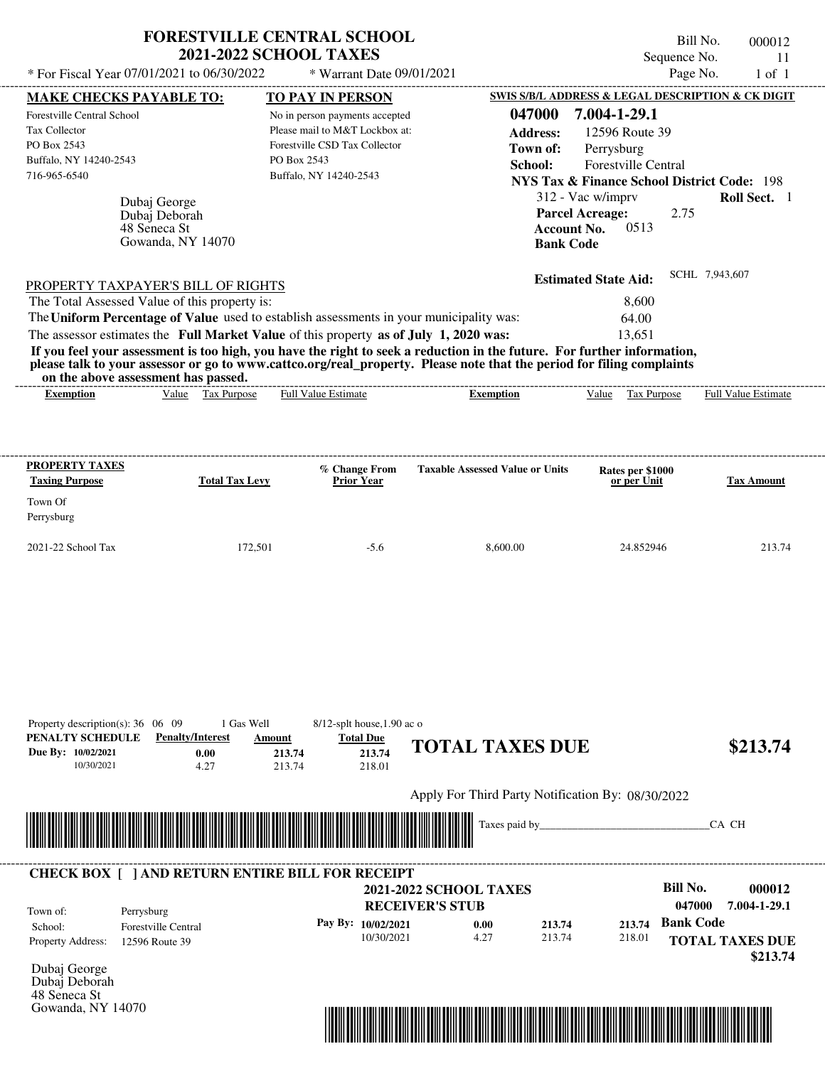|                                                                                                                                                              | <b>FORESTVILLE CENTRAL SCHOOL</b><br><b>2021-2022 SCHOOL TAXES</b> |                                    |                                                   | Sequence No.                                           | Bill No.<br>000012<br>11                          |
|--------------------------------------------------------------------------------------------------------------------------------------------------------------|--------------------------------------------------------------------|------------------------------------|---------------------------------------------------|--------------------------------------------------------|---------------------------------------------------|
| * For Fiscal Year 07/01/2021 to 06/30/2022                                                                                                                   |                                                                    | * Warrant Date 09/01/2021          |                                                   |                                                        | Page No.<br>$1$ of $1$                            |
| <b>MAKE CHECKS PAYABLE TO:</b>                                                                                                                               |                                                                    | <b>TO PAY IN PERSON</b>            |                                                   |                                                        | SWIS S/B/L ADDRESS & LEGAL DESCRIPTION & CK DIGIT |
| Forestville Central School                                                                                                                                   |                                                                    | No in person payments accepted     | 047000                                            | 7.004-1-29.1                                           |                                                   |
| Tax Collector                                                                                                                                                |                                                                    | Please mail to M&T Lockbox at:     | <b>Address:</b>                                   | 12596 Route 39                                         |                                                   |
| PO Box 2543                                                                                                                                                  |                                                                    | Forestville CSD Tax Collector      | Town of:                                          | Perrysburg                                             |                                                   |
| Buffalo, NY 14240-2543                                                                                                                                       | PO Box 2543                                                        |                                    | School:                                           | <b>Forestville Central</b>                             |                                                   |
| 716-965-6540                                                                                                                                                 |                                                                    | Buffalo, NY 14240-2543             |                                                   | <b>NYS Tax &amp; Finance School District Code: 198</b> |                                                   |
|                                                                                                                                                              |                                                                    |                                    |                                                   |                                                        |                                                   |
| Dubaj George                                                                                                                                                 |                                                                    |                                    |                                                   | 312 - Vac w/imprv                                      | Roll Sect. 1                                      |
| Dubaj Deborah<br>48 Seneca St                                                                                                                                |                                                                    |                                    | <b>Account No.</b>                                | <b>Parcel Acreage:</b><br>2.75<br>0513                 |                                                   |
| Gowanda, NY 14070                                                                                                                                            |                                                                    |                                    | <b>Bank Code</b>                                  |                                                        |                                                   |
|                                                                                                                                                              |                                                                    |                                    |                                                   |                                                        |                                                   |
|                                                                                                                                                              |                                                                    |                                    |                                                   | <b>Estimated State Aid:</b>                            | SCHL 7,943,607                                    |
| PROPERTY TAXPAYER'S BILL OF RIGHTS                                                                                                                           |                                                                    |                                    |                                                   |                                                        |                                                   |
| The Total Assessed Value of this property is:                                                                                                                |                                                                    |                                    |                                                   | 8,600                                                  |                                                   |
| The Uniform Percentage of Value used to establish assessments in your municipality was:                                                                      |                                                                    |                                    |                                                   | 64.00                                                  |                                                   |
| The assessor estimates the Full Market Value of this property as of July 1, 2020 was:                                                                        |                                                                    |                                    |                                                   | 13,651                                                 |                                                   |
| If you feel your assessment is too high, you have the right to seek a reduction in the future. For further information,                                      |                                                                    |                                    |                                                   |                                                        |                                                   |
| please talk to your assessor or go to www.cattco.org/real_property. Please note that the period for filing complaints<br>on the above assessment has passed. |                                                                    |                                    |                                                   |                                                        |                                                   |
| <b>Exemption</b>                                                                                                                                             | Value Tax Purpose                                                  | Full Value Estimate                | <b>Exemption</b>                                  | Value Tax Purpose                                      | <b>Full Value Estimate</b>                        |
|                                                                                                                                                              |                                                                    |                                    |                                                   |                                                        |                                                   |
|                                                                                                                                                              |                                                                    |                                    |                                                   |                                                        |                                                   |
|                                                                                                                                                              |                                                                    |                                    |                                                   |                                                        |                                                   |
| <b>PROPERTY TAXES</b>                                                                                                                                        |                                                                    |                                    |                                                   |                                                        |                                                   |
| <b>Taxing Purpose</b>                                                                                                                                        | <b>Total Tax Levy</b>                                              | % Change From<br><b>Prior Year</b> | <b>Taxable Assessed Value or Units</b>            | Rates per \$1000<br>or per Unit                        | <b>Tax Amount</b>                                 |
|                                                                                                                                                              |                                                                    |                                    |                                                   |                                                        |                                                   |
| Town Of                                                                                                                                                      |                                                                    |                                    |                                                   |                                                        |                                                   |
| Perrysburg                                                                                                                                                   |                                                                    |                                    |                                                   |                                                        |                                                   |
| 2021-22 School Tax                                                                                                                                           | 172,501                                                            | $-5.6$                             | 8,600.00                                          | 24.852946                                              | 213.74                                            |
|                                                                                                                                                              |                                                                    |                                    |                                                   |                                                        |                                                   |
|                                                                                                                                                              |                                                                    |                                    |                                                   |                                                        |                                                   |
|                                                                                                                                                              |                                                                    |                                    |                                                   |                                                        |                                                   |
|                                                                                                                                                              |                                                                    |                                    |                                                   |                                                        |                                                   |
|                                                                                                                                                              |                                                                    |                                    |                                                   |                                                        |                                                   |
|                                                                                                                                                              |                                                                    |                                    |                                                   |                                                        |                                                   |
|                                                                                                                                                              |                                                                    |                                    |                                                   |                                                        |                                                   |
|                                                                                                                                                              |                                                                    |                                    |                                                   |                                                        |                                                   |
|                                                                                                                                                              |                                                                    |                                    |                                                   |                                                        |                                                   |
|                                                                                                                                                              |                                                                    |                                    |                                                   |                                                        |                                                   |
| Property description(s): $36 \quad 06 \quad 09$                                                                                                              | 1 Gas Well                                                         | $8/12$ -splt house, 1.90 ac o      |                                                   |                                                        |                                                   |
| PENALTY SCHEDULE<br><b>Penalty/Interest</b>                                                                                                                  | Amount                                                             | <b>Total Due</b>                   | <b>TOTAL TAXES DUE</b>                            |                                                        | \$213.74                                          |
| Due By: 10/02/2021<br>10/30/2021                                                                                                                             | 0.00<br>213.74                                                     | 213.74                             |                                                   |                                                        |                                                   |
|                                                                                                                                                              | 4.27<br>213.74                                                     | 218.01                             |                                                   |                                                        |                                                   |
|                                                                                                                                                              |                                                                    |                                    | Apply For Third Party Notification By: 08/30/2022 |                                                        |                                                   |
|                                                                                                                                                              |                                                                    |                                    |                                                   |                                                        |                                                   |
|                                                                                                                                                              |                                                                    |                                    | Taxes paid by_                                    |                                                        | CA CH                                             |
|                                                                                                                                                              |                                                                    |                                    |                                                   |                                                        |                                                   |
|                                                                                                                                                              |                                                                    |                                    |                                                   |                                                        |                                                   |
| <b>CHECK BOX [ ] AND RETURN ENTIRE BILL FOR RECEIPT</b>                                                                                                      |                                                                    |                                    |                                                   |                                                        |                                                   |
|                                                                                                                                                              |                                                                    |                                    | <b>2021-2022 SCHOOL TAXES</b>                     |                                                        | <b>Bill No.</b><br>000012                         |
| Town of:<br>Perrysburg                                                                                                                                       |                                                                    |                                    | <b>RECEIVER'S STUB</b>                            |                                                        | 047000<br>7.004-1-29.1                            |
| <b>Forestville Central</b><br>School:                                                                                                                        |                                                                    | Pay By: 10/02/2021                 | 0.00<br>213.74                                    | 213.74                                                 | <b>Bank Code</b>                                  |
| Property Address:<br>12596 Route 39                                                                                                                          |                                                                    | 10/30/2021                         | 4.27<br>213.74                                    | 218.01                                                 | <b>TOTAL TAXES DUE</b>                            |
|                                                                                                                                                              |                                                                    |                                    |                                                   |                                                        |                                                   |

Dubaj George Dubaj Deborah 48 Seneca St Gowanda, NY 14070



 **\$213.74**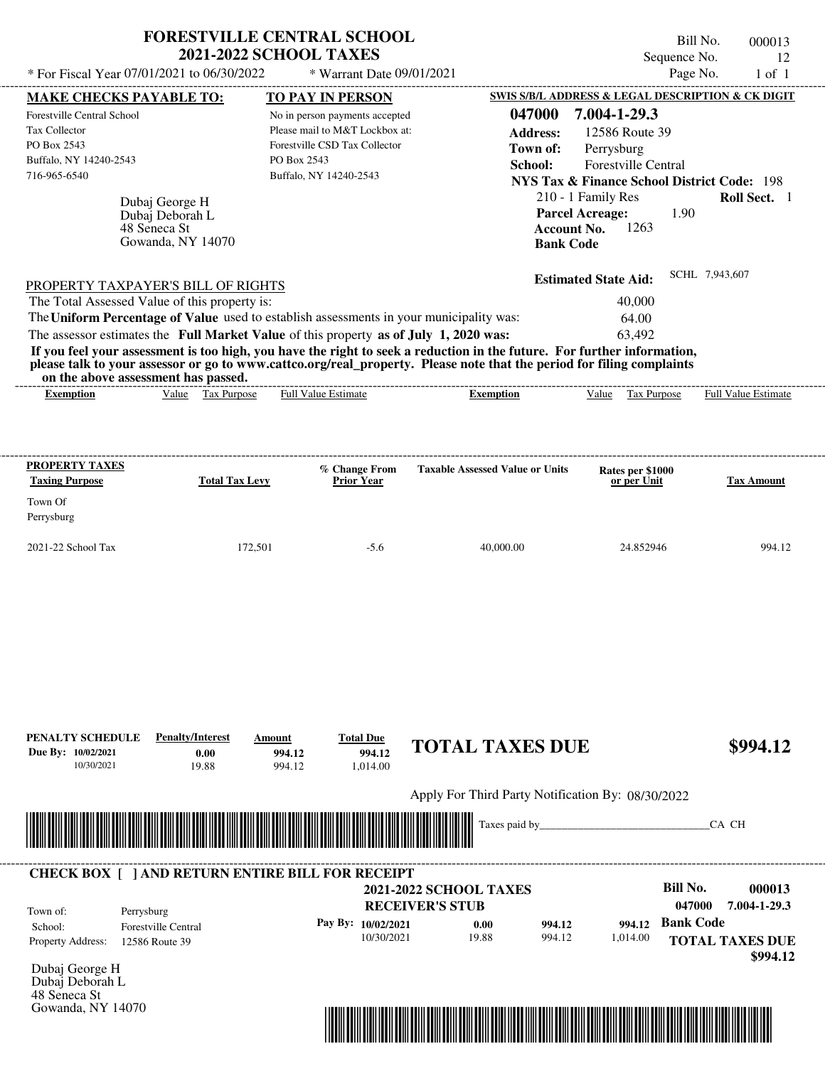| * For Fiscal Year 07/01/2021 to 06/30/2022                                                           |                                                                        | <b>FORESTVILLE CENTRAL SCHOOL</b><br><b>2021-2022 SCHOOL TAXES</b><br>* Warrant Date 09/01/2021                                            |                                                                                            | Bill No.<br>Sequence No.<br>Page No.                                                                                                                                                                 | 000013<br>12<br>$1$ of $1$ |
|------------------------------------------------------------------------------------------------------|------------------------------------------------------------------------|--------------------------------------------------------------------------------------------------------------------------------------------|--------------------------------------------------------------------------------------------|------------------------------------------------------------------------------------------------------------------------------------------------------------------------------------------------------|----------------------------|
| <b>MAKE CHECKS PAYABLE TO:</b>                                                                       |                                                                        | TO PAY IN PERSON                                                                                                                           |                                                                                            | SWIS S/B/L ADDRESS & LEGAL DESCRIPTION & CK DIGIT                                                                                                                                                    |                            |
| Forestville Central School<br>Tax Collector<br>PO Box 2543<br>Buffalo, NY 14240-2543<br>716-965-6540 | Dubaj George H<br>Dubaj Deborah L<br>48 Seneca St<br>Gowanda, NY 14070 | No in person payments accepted<br>Please mail to M&T Lockbox at:<br>Forestville CSD Tax Collector<br>PO Box 2543<br>Buffalo, NY 14240-2543 | 047000<br><b>Address:</b><br>Town of:<br>School:<br><b>Account No.</b><br><b>Bank Code</b> | 7.004-1-29.3<br>12586 Route 39<br>Perrysburg<br><b>Forestville Central</b><br><b>NYS Tax &amp; Finance School District Code: 198</b><br>210 - 1 Family Res<br><b>Parcel Acreage:</b><br>1.90<br>1263 | Roll Sect. 1               |
| PROPERTY TAXPAYER'S BILL OF RIGHTS                                                                   |                                                                        |                                                                                                                                            |                                                                                            | <b>Estimated State Aid:</b>                                                                                                                                                                          | SCHL 7,943,607             |
| The Total Assessed Value of this property is:                                                        |                                                                        |                                                                                                                                            |                                                                                            | 40,000                                                                                                                                                                                               |                            |
|                                                                                                      |                                                                        | The Uniform Percentage of Value used to establish assessments in your municipality was:                                                    |                                                                                            | 64.00                                                                                                                                                                                                |                            |
|                                                                                                      |                                                                        | The assessor estimates the Full Market Value of this property as of July 1, 2020 was:                                                      |                                                                                            | 63,492                                                                                                                                                                                               |                            |
| <b>Exemption</b>                                                                                     | Value Tax Purpose                                                      | <b>Full Value Estimate</b>                                                                                                                 | <b>Exemption</b>                                                                           | Value Tax Purpose                                                                                                                                                                                    | <b>Full Value Estimate</b> |
|                                                                                                      |                                                                        |                                                                                                                                            |                                                                                            |                                                                                                                                                                                                      |                            |
| PROPERTY TAXES                                                                                       |                                                                        | % Change From                                                                                                                              | <b>Taxable Assessed Value or Units</b>                                                     | Rates per \$1000                                                                                                                                                                                     |                            |
| <b>Taxing Purpose</b><br>Town Of<br>Perrysburg                                                       | <b>Total Tax Levy</b>                                                  | <b>Prior Year</b>                                                                                                                          |                                                                                            | or per Unit                                                                                                                                                                                          | <b>Tax Amount</b>          |
| 2021-22 School Tax                                                                                   | 172,501                                                                | $-5.6$                                                                                                                                     | 40,000.00                                                                                  | 24.852946                                                                                                                                                                                            |                            |
| PENALTY SCHEDULE<br>Due By: 10/02/2021<br>10/30/2021                                                 | <b>Penalty/Interest</b><br>0.00<br>19.88                               | <b>Total Due</b><br>Amount<br>994.12<br>994.12<br>994.12<br>1,014.00                                                                       | <b>TOTAL TAXES DUE</b><br>Apply For Third Party Notification By: 08/30/2022                |                                                                                                                                                                                                      | 994.12<br>\$994.12         |



| Town of:                 | Perrysburg                 | <b>RECEIVER'S STUB</b> | <b>2021-2022 SCHOOL TAXES</b> |        |          | Bill No.<br>047000 | 000013<br>7.004-1-29.3             |
|--------------------------|----------------------------|------------------------|-------------------------------|--------|----------|--------------------|------------------------------------|
| School:                  | <b>Forestville Central</b> | Pay By: $10/02/2021$   | 0.00                          | 994.12 | 994.12   | <b>Bank Code</b>   |                                    |
| <b>Property Address:</b> | 12586 Route 39             | 10/30/2021             | 19.88                         | 994.12 | 1,014.00 |                    | <b>TOTAL TAXES DUE</b><br>\$994.12 |

Dubaj Deborah L 48 Seneca St Gowanda, NY 14070



 $C_A$  CH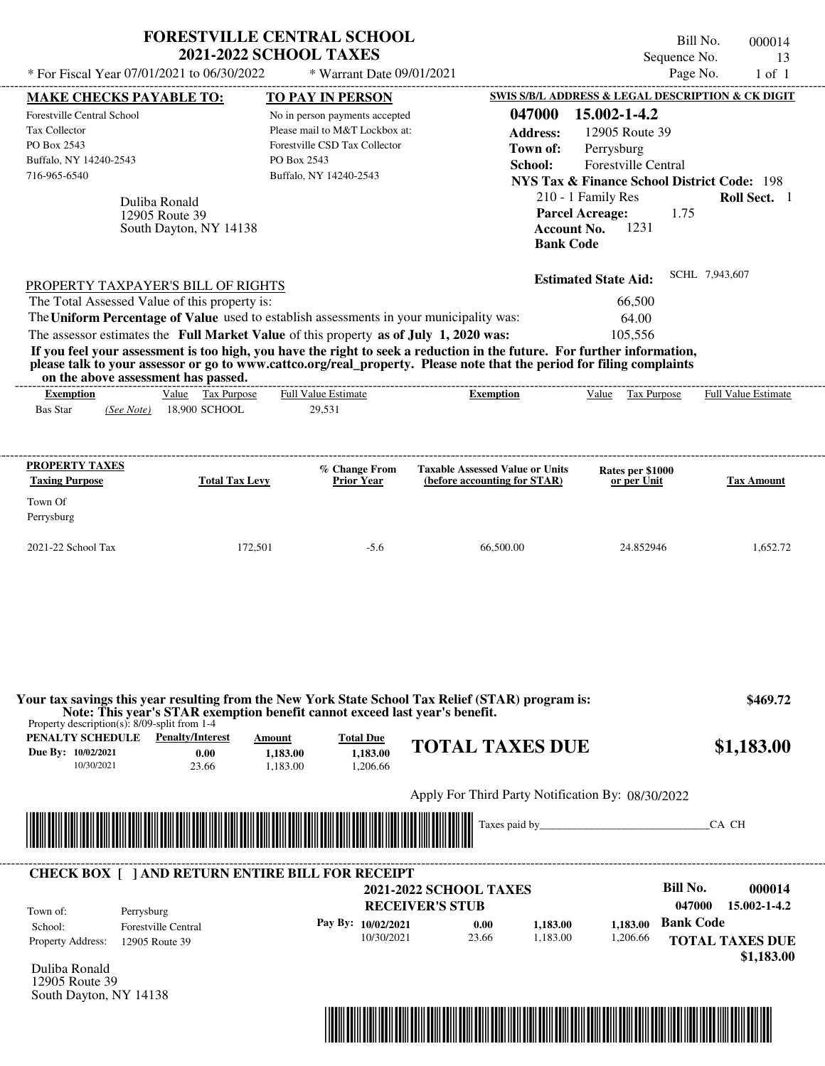| * For Fiscal Year 07/01/2021 to 06/30/2022                                                                                                                                                                                                                                                                                                                          | <b>FORESTVILLE CENTRAL SCHOOL</b><br><b>2021-2022 SCHOOL TAXES</b>                                        | * Warrant Date 09/01/2021                                                                                                                                             |                                                                                                                                                                                                                                                                      | Sequence No.<br>Page No.                                                                                                                                                                                                                                                        | Bill No.<br>000014<br>13<br>$1$ of $1$                         |
|---------------------------------------------------------------------------------------------------------------------------------------------------------------------------------------------------------------------------------------------------------------------------------------------------------------------------------------------------------------------|-----------------------------------------------------------------------------------------------------------|-----------------------------------------------------------------------------------------------------------------------------------------------------------------------|----------------------------------------------------------------------------------------------------------------------------------------------------------------------------------------------------------------------------------------------------------------------|---------------------------------------------------------------------------------------------------------------------------------------------------------------------------------------------------------------------------------------------------------------------------------|----------------------------------------------------------------|
| <b>MAKE CHECKS PAYABLE TO:</b><br><b>Forestville Central School</b><br>Tax Collector<br>PO Box 2543<br>Buffalo, NY 14240-2543<br>716-965-6540<br>Duliba Ronald<br>12905 Route 39                                                                                                                                                                                    | South Dayton, NY 14138                                                                                    | <b>TO PAY IN PERSON</b><br>No in person payments accepted<br>Please mail to M&T Lockbox at:<br>Forestville CSD Tax Collector<br>PO Box 2543<br>Buffalo, NY 14240-2543 | 047000<br><b>Address:</b><br>Town of:<br>School:<br><b>Bank Code</b>                                                                                                                                                                                                 | SWIS S/B/L ADDRESS & LEGAL DESCRIPTION & CK DIGIT<br>15.002-1-4.2<br>12905 Route 39<br>Perrysburg<br><b>Forestville Central</b><br><b>NYS Tax &amp; Finance School District Code: 198</b><br>210 - 1 Family Res<br><b>Parcel Acreage:</b><br>1.75<br>1231<br><b>Account No.</b> | Roll Sect. 1                                                   |
| PROPERTY TAXPAYER'S BILL OF RIGHTS<br>The Total Assessed Value of this property is:<br>The Uniform Percentage of Value used to establish assessments in your municipality was:<br>The assessor estimates the Full Market Value of this property as of July 1, 2020 was:<br>on the above assessment has passed.<br><b>Exemption</b><br><b>Bas Star</b><br>(See Note) | Value Tax Purpose<br>18,900 SCHOOL                                                                        | ------------------------<br><b>Full Value Estimate</b><br>29,531                                                                                                      | If you feel your assessment is too high, you have the right to seek a reduction in the future. For further information,<br>please talk to your assessor or go to www.cattco.org/real_property. Please note that the period for filing complaints<br><b>Exemption</b> | <b>Estimated State Aid:</b><br>66,500<br>64.00<br>105,556<br>Value Tax Purpose                                                                                                                                                                                                  | SCHL 7,943,607<br><b>Full Value Estimate</b>                   |
| <b>PROPERTY TAXES</b><br><b>Taxing Purpose</b><br>Town Of                                                                                                                                                                                                                                                                                                           | <b>Total Tax Levy</b>                                                                                     | % Change From<br><b>Prior Year</b>                                                                                                                                    | <b>Taxable Assessed Value or Units</b><br>(before accounting for STAR)                                                                                                                                                                                               | Rates per \$1000<br>or per Unit                                                                                                                                                                                                                                                 | Tax Amount                                                     |
| Perrysburg<br>2021-22 School Tax                                                                                                                                                                                                                                                                                                                                    | 172,501                                                                                                   | $-5.6$                                                                                                                                                                | 66,500.00                                                                                                                                                                                                                                                            | 24.852946                                                                                                                                                                                                                                                                       | 1,652.72                                                       |
| Property description(s): $8/09$ -split from 1-4<br><b>PENALTY SCHEDULE</b> Penalty/Interest<br>Due By: 10/02/2021                                                                                                                                                                                                                                                   | Note: This year's STAR exemption benefit cannot exceed last year's benefit.<br>Amount<br>0.00<br>1,183.00 | <b>Total Due</b><br>1.183.00                                                                                                                                          | Your tax savings this year resulting from the New York State School Tax Relief (STAR) program is:<br><b>TOTAL TAXES DUE</b>                                                                                                                                          |                                                                                                                                                                                                                                                                                 | \$469.72<br>\$1,183.00                                         |
| 10/30/2021                                                                                                                                                                                                                                                                                                                                                          | 23.66<br>1,183.00                                                                                         | 1,206.66                                                                                                                                                              | Apply For Third Party Notification By: 08/30/2022                                                                                                                                                                                                                    |                                                                                                                                                                                                                                                                                 |                                                                |
|                                                                                                                                                                                                                                                                                                                                                                     |                                                                                                           |                                                                                                                                                                       |                                                                                                                                                                                                                                                                      | Taxes paid by <u>containing</u>                                                                                                                                                                                                                                                 | CA CH                                                          |
| <b>CHECK BOX [ ] AND RETURN ENTIRE BILL FOR RECEIPT</b><br>Town of:<br>Perrysburg<br><b>Forestville Central</b><br>School:<br>Property Address:<br>12905 Route 39<br>Duliba Ronald<br>12905 Route 39<br>South Dayton, NY 14138                                                                                                                                      |                                                                                                           | Pay By: 10/02/2021<br>10/30/2021                                                                                                                                      | <b>2021-2022 SCHOOL TAXES</b><br><b>RECEIVER'S STUB</b><br>1,183.00<br>0.00<br>23.66<br>1,183.00                                                                                                                                                                     | <b>Bill No.</b><br>047000<br><b>Bank Code</b><br>1.183.00<br>1,206.66                                                                                                                                                                                                           | 000014<br>15.002-1-4.2<br><b>TOTAL TAXES DUE</b><br>\$1,183.00 |

\*04700000001400000000118300\*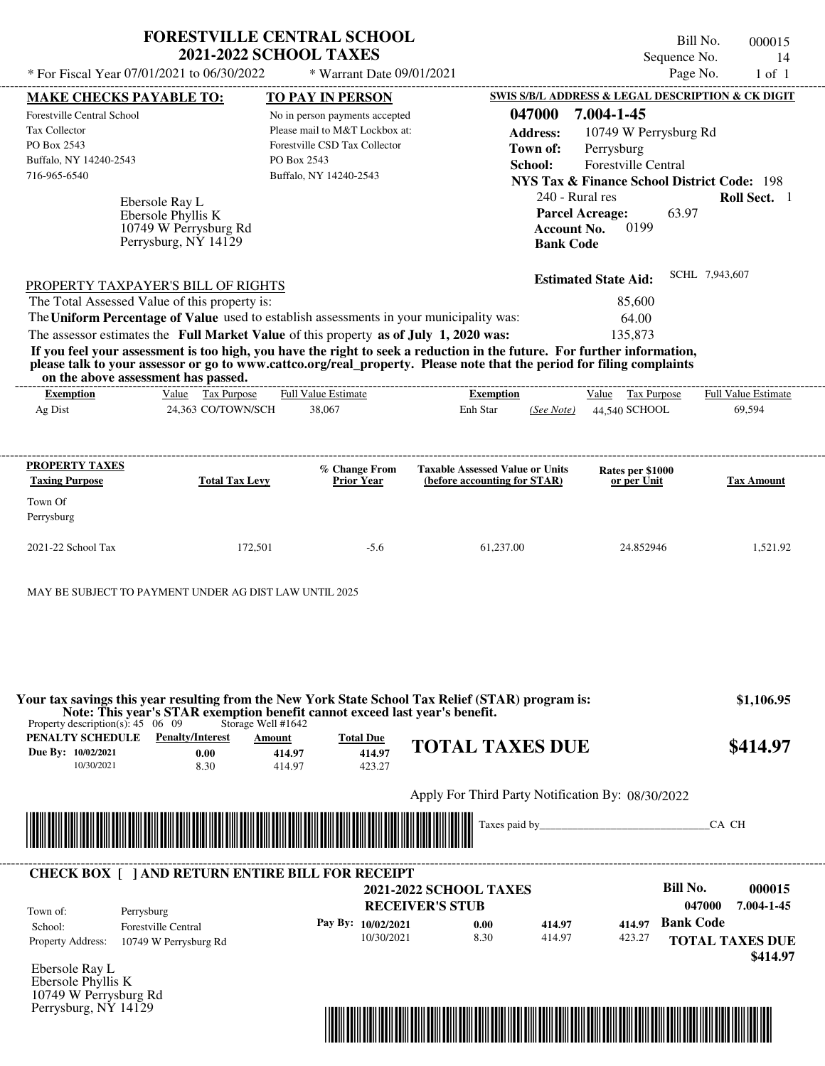|                                                                                                                                                                                                                                                                                         | <b>FORESTVILLE CENTRAL SCHOOL</b><br><b>2021-2022 SCHOOL TAXES</b> |                                        | Sequence No.                                                                                                                        | Bill No.       | 000015<br>14               |
|-----------------------------------------------------------------------------------------------------------------------------------------------------------------------------------------------------------------------------------------------------------------------------------------|--------------------------------------------------------------------|----------------------------------------|-------------------------------------------------------------------------------------------------------------------------------------|----------------|----------------------------|
| * For Fiscal Year 07/01/2021 to 06/30/2022                                                                                                                                                                                                                                              | * Warrant Date 09/01/2021                                          |                                        |                                                                                                                                     | Page No.       | $1$ of $1$                 |
| <u>MAKE CHECKS PAYABLE TO:</u>                                                                                                                                                                                                                                                          | <b>TO PAY IN PERSON</b>                                            |                                        | SWIS S/B/L ADDRESS & LEGAL DESCRIPTION & CK DIGIT                                                                                   |                |                            |
| <b>Forestville Central School</b>                                                                                                                                                                                                                                                       | No in person payments accepted                                     | 047000                                 | 7.004-1-45                                                                                                                          |                |                            |
| Tax Collector                                                                                                                                                                                                                                                                           | Please mail to M&T Lockbox at:                                     | <b>Address:</b>                        | 10749 W Perrysburg Rd                                                                                                               |                |                            |
| PO Box 2543                                                                                                                                                                                                                                                                             | Forestville CSD Tax Collector                                      | Town of:                               | Perrysburg                                                                                                                          |                |                            |
| Buffalo, NY 14240-2543                                                                                                                                                                                                                                                                  | PO Box 2543                                                        | School:                                | <b>Forestville Central</b>                                                                                                          |                |                            |
| 716-965-6540                                                                                                                                                                                                                                                                            | Buffalo, NY 14240-2543                                             |                                        | <b>NYS Tax &amp; Finance School District Code: 198</b>                                                                              |                |                            |
| Ebersole Ray L<br>Ebersole Phyllis K<br>10749 W Perrysburg Rd<br>Perrysburg, NY 14129<br>PROPERTY TAXPAYER'S BILL OF RIGHTS                                                                                                                                                             |                                                                    |                                        | 240 - Rural res<br><b>Parcel Acreage:</b><br>63.97<br>0199<br><b>Account No.</b><br><b>Bank Code</b><br><b>Estimated State Aid:</b> | SCHL 7,943,607 | Roll Sect. 1               |
| The Total Assessed Value of this property is:                                                                                                                                                                                                                                           |                                                                    |                                        | 85,600                                                                                                                              |                |                            |
| The Uniform Percentage of Value used to establish assessments in your municipality was:                                                                                                                                                                                                 |                                                                    |                                        | 64.00                                                                                                                               |                |                            |
| The assessor estimates the Full Market Value of this property as of July 1, 2020 was:                                                                                                                                                                                                   |                                                                    |                                        | 135.873                                                                                                                             |                |                            |
| If you feel your assessment is too high, you have the right to seek a reduction in the future. For further information,<br>please talk to your assessor or go to www.cattco.org/real_property. Please note that the period for filing complaints<br>on the above assessment has passed. |                                                                    |                                        |                                                                                                                                     |                |                            |
| Value Tax Purpose<br><b>Exemption</b>                                                                                                                                                                                                                                                   | <b>Full Value Estimate</b>                                         | <b>Exemption</b>                       | Value Tax Purpose                                                                                                                   |                | <b>Full Value Estimate</b> |
| Ag Dist<br>24,363 CO/TOWN/SCH                                                                                                                                                                                                                                                           | 38,067                                                             | Enh Star<br>(See Note)                 | 44,540 SCHOOL                                                                                                                       |                | 69,594                     |
|                                                                                                                                                                                                                                                                                         |                                                                    |                                        |                                                                                                                                     |                |                            |
| PROPERTY TAXES                                                                                                                                                                                                                                                                          | % Change From                                                      | <b>Taxable Assessed Value or Units</b> | Rates per \$1000                                                                                                                    |                |                            |

| PROPERTY TAXES<br><b>Taxing Purpose</b> | <b>Total Tax Levy</b> | % Change From<br><b>Prior Year</b> | <b>Taxable Assessed Value or Units</b><br>(before accounting for STAR) | Rates per \$1000<br>or per Unit | <b>Tax Amount</b> |
|-----------------------------------------|-----------------------|------------------------------------|------------------------------------------------------------------------|---------------------------------|-------------------|
| Town Of<br>Perrysburg                   |                       |                                    |                                                                        |                                 |                   |
| $2021-22$ School Tax                    | 172.501               | $-5.6$                             | 61,237.00                                                              | 24.852946                       | 1,521.92          |

MAY BE SUBJECT TO PAYMENT UNDER AG DIST LAW UNTIL 2025

**PENALTY SCHEDULE Penalty/Interest Amount Total Due Due By: 10/02/2021** 10/30/2021 8.30 **0.00** 414.97 **414.97** 423.27 **414.97 TOTAL TAXES DUE \$414.97** Apply For Third Party Notification By: 08/30/2022 Ebersole Ray L **RECEIVER'S STUB Bill No. 000015 Bank Code 414.97** Property Address: 10749 W Perrysburg Rd Perrysburg School: Forestville Central **TOTAL TAXES DUE \$414.97 2021-2022 SCHOOL TAXES \$1,106.95 047000 7.004-1-45 Pay By: 10/02/2021** 10/30/2021 8.30 **0.00** 414.97 **414.97** 423.27 Taxes paid by\_\_\_\_\_\_\_\_\_\_\_\_\_\_\_\_\_\_\_\_\_\_\_\_\_\_\_\_\_\_\_CA CH Property description(s): 45 06 09 Storage Well #1642 Town of: **Your tax savings this year resulting from the New York State School Tax Relief (STAR) program is: Note: This year's STAR exemption benefit cannot exceed last year's benefit.** ---------------------------------------------------------------------------------------------------------------------------------------------------------------------------------------------------- **CHECK BOX [ ] AND RETURN ENTIRE BILL FOR RECEIPT** \*04700000001500000000041497\*

Ebersole Phyllis K 10749 W Perrysburg Rd Perrysburg, NY 14129

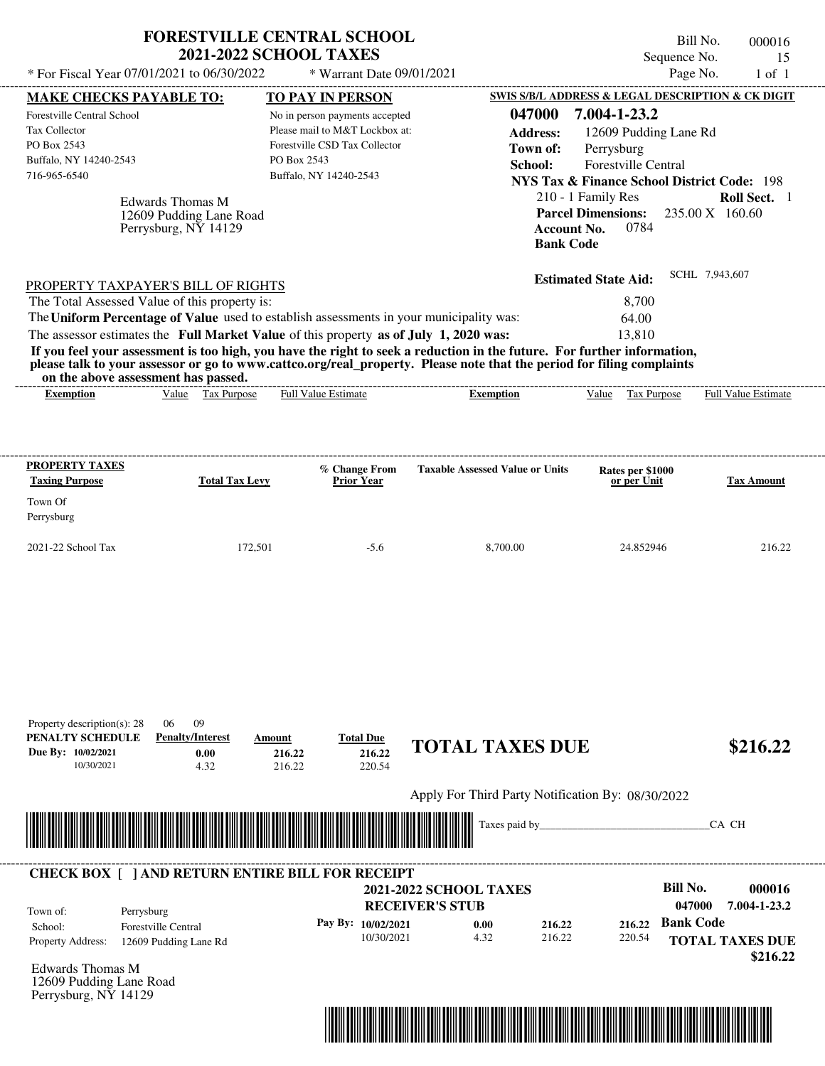| * For Fiscal Year 07/01/2021 to 06/30/2022                                                                                                                                                                                                                                                                                                                                                                                                                                                                                                                         | <b>FORESTVILLE CENTRAL SCHOOL</b><br><b>2021-2022 SCHOOL TAXES</b><br>* Warrant Date 09/01/2021                                                                |                                                                                             | Bill No.<br>Sequence No.<br>Page No.                                                                                                                                                                                                                 | 000016<br>15<br>$1$ of $1$                                   |
|--------------------------------------------------------------------------------------------------------------------------------------------------------------------------------------------------------------------------------------------------------------------------------------------------------------------------------------------------------------------------------------------------------------------------------------------------------------------------------------------------------------------------------------------------------------------|----------------------------------------------------------------------------------------------------------------------------------------------------------------|---------------------------------------------------------------------------------------------|------------------------------------------------------------------------------------------------------------------------------------------------------------------------------------------------------------------------------------------------------|--------------------------------------------------------------|
| <b>MAKE CHECKS PAYABLE TO:</b><br>Forestville Central School<br>Tax Collector<br>PO Box 2543<br>Buffalo, NY 14240-2543<br>716-965-6540<br><b>Edwards Thomas M</b><br>12609 Pudding Lane Road<br>Perrysburg, NY 14129                                                                                                                                                                                                                                                                                                                                               | TO PAY IN PERSON<br>No in person payments accepted<br>Please mail to M&T Lockbox at:<br>Forestville CSD Tax Collector<br>PO Box 2543<br>Buffalo, NY 14240-2543 | 047000<br><b>Address:</b><br>Town of:<br>School:<br><b>Account No.</b><br><b>Bank Code</b>  | SWIS S/B/L ADDRESS & LEGAL DESCRIPTION & CK DIGIT<br>7.004-1-23.2<br>12609 Pudding Lane Rd<br>Perrysburg<br>Forestville Central<br><b>NYS Tax &amp; Finance School District Code: 198</b><br>210 - 1 Family Res<br><b>Parcel Dimensions:</b><br>0784 | Roll Sect. 1<br>235.00 X 160.60                              |
| PROPERTY TAXPAYER'S BILL OF RIGHTS<br>The Total Assessed Value of this property is:<br>The Uniform Percentage of Value used to establish assessments in your municipality was:<br>The assessor estimates the Full Market Value of this property as of July 1, 2020 was:<br>If you feel your assessment is too high, you have the right to seek a reduction in the future. For further information,<br>please talk to your assessor or go to www.cattco.org/real_property. Please note that the period for filing complaints<br>on the above assessment has passed. |                                                                                                                                                                |                                                                                             | <b>Estimated State Aid:</b><br>8,700<br>64.00<br>13,810                                                                                                                                                                                              | SCHL 7,943,607                                               |
| Value Tax Purpose<br><b>Exemption</b>                                                                                                                                                                                                                                                                                                                                                                                                                                                                                                                              | Full Value Estimate                                                                                                                                            | <b>Exemption</b>                                                                            | Value<br>Tax Purpose                                                                                                                                                                                                                                 | Full Value Estimate                                          |
| <b>PROPERTY TAXES</b><br><b>Taxing Purpose</b><br><b>Total Tax Levy</b><br>Town Of<br>Perrysburg                                                                                                                                                                                                                                                                                                                                                                                                                                                                   | % Change From<br><b>Prior Year</b>                                                                                                                             | <b>Taxable Assessed Value or Units</b>                                                      | Rates per \$1000<br>or per Unit                                                                                                                                                                                                                      | <b>Tax Amount</b>                                            |
| 2021-22 School Tax<br>172,501                                                                                                                                                                                                                                                                                                                                                                                                                                                                                                                                      | $-5.6$                                                                                                                                                         | 8,700.00                                                                                    | 24.852946                                                                                                                                                                                                                                            | 216.22                                                       |
| Property description(s): 28<br>09<br>06<br>PENALTY SCHEDULE<br><b>Penalty/Interest</b><br>Due By: 10/02/2021<br>0.00<br>10/30/2021<br>4.32                                                                                                                                                                                                                                                                                                                                                                                                                         | <b>Total Due</b><br>Amount<br>216.22<br>216.22<br>216.22<br>220.54                                                                                             | <b>TOTAL TAXES DUE</b><br>Apply For Third Party Notification By: 08/30/2022                 |                                                                                                                                                                                                                                                      | \$216.22                                                     |
|                                                                                                                                                                                                                                                                                                                                                                                                                                                                                                                                                                    |                                                                                                                                                                | Taxes paid by_                                                                              |                                                                                                                                                                                                                                                      | CA CH                                                        |
| <b>CHECK BOX [ ] AND RETURN ENTIRE BILL FOR RECEIPT</b><br>Town of:<br>Perrysburg<br>Forestville Central<br>School:<br>Property Address:<br>12609 Pudding Lane Rd                                                                                                                                                                                                                                                                                                                                                                                                  | Pay By: 10/02/2021<br>10/30/2021                                                                                                                               | <b>2021-2022 SCHOOL TAXES</b><br><b>RECEIVER'S STUB</b><br>216.22<br>0.00<br>216.22<br>4.32 | <b>Bill No.</b><br>047000<br><b>Bank Code</b><br>216.22<br>220.54                                                                                                                                                                                    | 000016<br>7.004-1-23.2<br><b>TOTAL TAXES DUE</b><br>\$216.22 |

Edwards Thomas M 12609 Pudding Lane Road Perrysburg, NY 14129

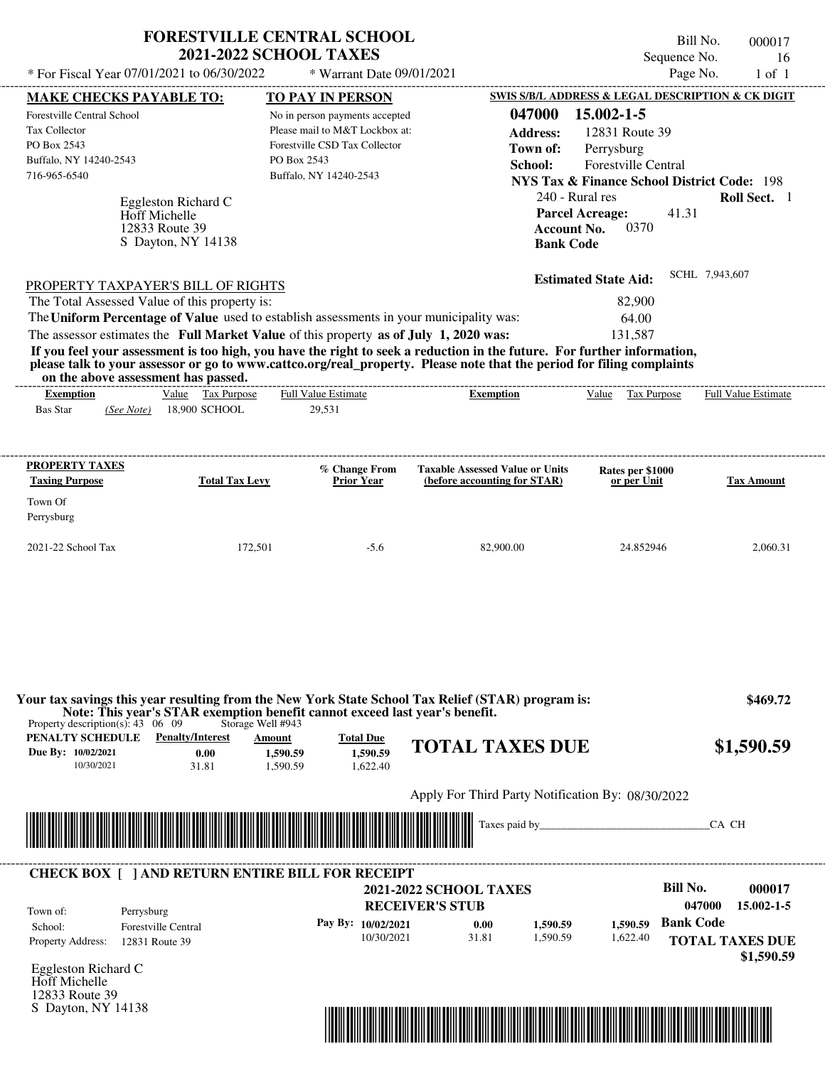|                                                                                                                                                                                                                                     | <b>FORESTVILLE CENTRAL SCHOOL</b><br><b>2021-2022 SCHOOL TAXES</b>                                                                         |                                          |                                                                                                                                         | Bill No.<br>Sequence No.                                                                                                                            | 000017<br>16        |
|-------------------------------------------------------------------------------------------------------------------------------------------------------------------------------------------------------------------------------------|--------------------------------------------------------------------------------------------------------------------------------------------|------------------------------------------|-----------------------------------------------------------------------------------------------------------------------------------------|-----------------------------------------------------------------------------------------------------------------------------------------------------|---------------------|
| * For Fiscal Year 07/01/2021 to 06/30/2022                                                                                                                                                                                          |                                                                                                                                            | * Warrant Date 09/01/2021                |                                                                                                                                         | Page No.                                                                                                                                            | $1$ of $1$          |
| <b>MAKE CHECKS PAYABLE TO:</b>                                                                                                                                                                                                      | <b>TO PAY IN PERSON</b>                                                                                                                    |                                          |                                                                                                                                         | SWIS S/B/L ADDRESS & LEGAL DESCRIPTION & CK DIGIT                                                                                                   |                     |
| Forestville Central School<br>Tax Collector<br>PO Box 2543<br>Buffalo, NY 14240-2543<br>716-965-6540<br>Eggleston Richard C<br><b>Hoff Michelle</b><br>12833 Route 39<br>S Dayton, NY 14138                                         | No in person payments accepted<br>Please mail to M&T Lockbox at:<br>Forestville CSD Tax Collector<br>PO Box 2543<br>Buffalo, NY 14240-2543 |                                          | 047000<br><b>Address:</b><br>Town of:<br>School:<br>240 - Rural res<br><b>Parcel Acreage:</b><br><b>Account No.</b><br><b>Bank Code</b> | 15.002-1-5<br>12831 Route 39<br>Perrysburg<br><b>Forestville Central</b><br><b>NYS Tax &amp; Finance School District Code: 198</b><br>41.31<br>0370 | <b>Roll Sect.</b> 1 |
| PROPERTY TAXPAYER'S BILL OF RIGHTS                                                                                                                                                                                                  |                                                                                                                                            |                                          |                                                                                                                                         | <b>Estimated State Aid:</b>                                                                                                                         | SCHL 7,943,607      |
| The Total Assessed Value of this property is:                                                                                                                                                                                       |                                                                                                                                            |                                          |                                                                                                                                         | 82,900                                                                                                                                              |                     |
| The Uniform Percentage of Value used to establish assessments in your municipality was:                                                                                                                                             |                                                                                                                                            |                                          |                                                                                                                                         | 64.00                                                                                                                                               |                     |
| The assessor estimates the Full Market Value of this property as of July 1, 2020 was:                                                                                                                                               |                                                                                                                                            |                                          |                                                                                                                                         | 131,587                                                                                                                                             |                     |
| If you feel your assessment is too high, you have the right to seek a reduction in the future. For further information,                                                                                                             |                                                                                                                                            |                                          |                                                                                                                                         |                                                                                                                                                     |                     |
| please talk to your assessor or go to www.cattco.org/real_property. Please note that the period for filing complaints<br>on the above assessment has passed.                                                                        |                                                                                                                                            |                                          |                                                                                                                                         |                                                                                                                                                     |                     |
| Value Tax Purpose<br><b>Exemption</b>                                                                                                                                                                                               | <b>Full Value Estimate</b>                                                                                                                 |                                          | <b>Exemption</b>                                                                                                                        | Value<br>Tax Purpose                                                                                                                                | Full Value Estimate |
| <b>Bas Star</b><br>18,900 SCHOOL<br>(See Note)                                                                                                                                                                                      | 29,531                                                                                                                                     |                                          |                                                                                                                                         |                                                                                                                                                     |                     |
| <b>PROPERTY TAXES</b><br><b>Taxing Purpose</b><br>Town Of                                                                                                                                                                           | <b>Total Tax Levy</b>                                                                                                                      | % Change From<br>Prior Year              | <b>Taxable Assessed Value or Units</b><br>(before accounting for STAR)                                                                  | Rates per \$1000<br>or per Unit                                                                                                                     | <b>Tax Amount</b>   |
| Perrysburg                                                                                                                                                                                                                          |                                                                                                                                            |                                          |                                                                                                                                         |                                                                                                                                                     |                     |
| 2021-22 School Tax                                                                                                                                                                                                                  | 172,501                                                                                                                                    | $-5.6$                                   | 82,900.00                                                                                                                               | 24.852946                                                                                                                                           | 2,060.31            |
|                                                                                                                                                                                                                                     |                                                                                                                                            |                                          |                                                                                                                                         |                                                                                                                                                     |                     |
|                                                                                                                                                                                                                                     |                                                                                                                                            |                                          |                                                                                                                                         |                                                                                                                                                     |                     |
| Your tax savings this year resulting from the New York State School Tax Relief (STAR) program is:<br>Note: This year's STAR exemption benefit cannot exceed last year's benefit.<br>Property description(s): $43 \quad 06 \quad 09$ | Storage Well #943                                                                                                                          |                                          |                                                                                                                                         |                                                                                                                                                     | \$469.72            |
| PENALTY SCHEDULE<br><b>Penalty/Interest</b><br>Due By: 10/02/2021<br>0.00<br>10/30/2021<br>31.81                                                                                                                                    | Amount<br>1,590.59<br>1,590.59                                                                                                             | <b>Total Due</b><br>1,590.59<br>1,622.40 | <b>TOTAL TAXES DUE</b>                                                                                                                  |                                                                                                                                                     | \$1,590.59          |
|                                                                                                                                                                                                                                     |                                                                                                                                            |                                          | Apply For Third Party Notification By: 08/30/2022                                                                                       |                                                                                                                                                     |                     |



Eggleston Richard C Hoff Michelle 12833 Route 39 S Dayton, NY 14138

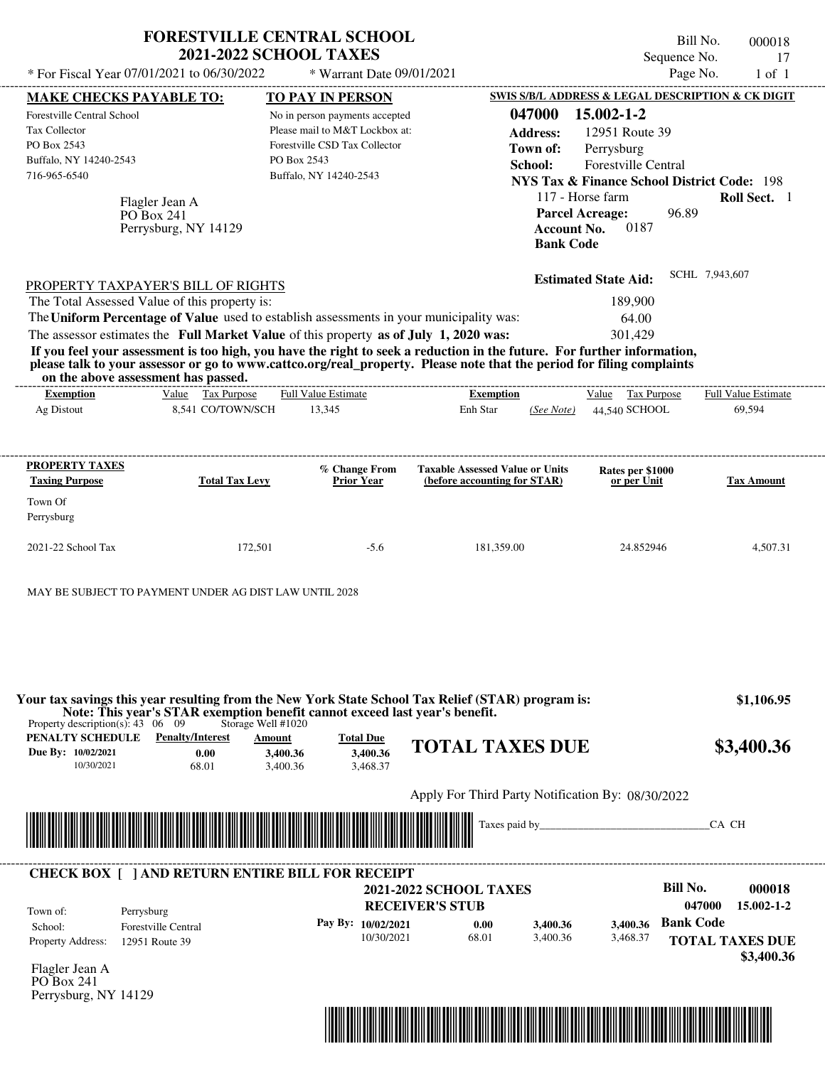|                                                                                                                                                                             |                              | <b>FORESTVILLE CENTRAL SCHOOL</b><br><b>2021-2022 SCHOOL TAXES</b>                                                                                                                                                                     |                                                   |                    |                                                                  | Bill No.                 | 000018                     |
|-----------------------------------------------------------------------------------------------------------------------------------------------------------------------------|------------------------------|----------------------------------------------------------------------------------------------------------------------------------------------------------------------------------------------------------------------------------------|---------------------------------------------------|--------------------|------------------------------------------------------------------|--------------------------|----------------------------|
| * For Fiscal Year 07/01/2021 to 06/30/2022                                                                                                                                  |                              | * Warrant Date 09/01/2021                                                                                                                                                                                                              |                                                   |                    |                                                                  | Sequence No.<br>Page No. | 17<br>$1$ of $1$           |
|                                                                                                                                                                             |                              |                                                                                                                                                                                                                                        |                                                   |                    | <b>SWIS S/B/L ADDRESS &amp; LEGAL DESCRIPTION &amp; CK DIGIT</b> |                          |                            |
| <b>MAKE CHECKS PAYABLE TO:</b><br>Forestville Central School                                                                                                                |                              | <b>TO PAY IN PERSON</b><br>No in person payments accepted                                                                                                                                                                              |                                                   | 047000             | 15.002-1-2                                                       |                          |                            |
| Tax Collector                                                                                                                                                               |                              | Please mail to M&T Lockbox at:                                                                                                                                                                                                         |                                                   | <b>Address:</b>    | 12951 Route 39                                                   |                          |                            |
| PO Box 2543                                                                                                                                                                 |                              | Forestville CSD Tax Collector                                                                                                                                                                                                          |                                                   | Town of:           | Perrysburg                                                       |                          |                            |
| Buffalo, NY 14240-2543                                                                                                                                                      |                              | PO Box 2543                                                                                                                                                                                                                            |                                                   | School:            | Forestville Central                                              |                          |                            |
| 716-965-6540                                                                                                                                                                |                              | Buffalo, NY 14240-2543                                                                                                                                                                                                                 |                                                   |                    | <b>NYS Tax &amp; Finance School District Code: 198</b>           |                          |                            |
|                                                                                                                                                                             |                              |                                                                                                                                                                                                                                        |                                                   |                    | 117 - Horse farm                                                 |                          | Roll Sect. 1               |
|                                                                                                                                                                             | Flagler Jean A<br>PO Box 241 |                                                                                                                                                                                                                                        |                                                   |                    | <b>Parcel Acreage:</b>                                           | 96.89                    |                            |
|                                                                                                                                                                             | Perrysburg, NY 14129         |                                                                                                                                                                                                                                        |                                                   | <b>Account No.</b> | 0187                                                             |                          |                            |
|                                                                                                                                                                             |                              |                                                                                                                                                                                                                                        |                                                   | <b>Bank Code</b>   |                                                                  |                          |                            |
|                                                                                                                                                                             |                              |                                                                                                                                                                                                                                        |                                                   |                    | <b>Estimated State Aid:</b>                                      | SCHL 7,943,607           |                            |
| PROPERTY TAXPAYER'S BILL OF RIGHTS<br>The Total Assessed Value of this property is:                                                                                         |                              |                                                                                                                                                                                                                                        |                                                   |                    | 189,900                                                          |                          |                            |
|                                                                                                                                                                             |                              | The Uniform Percentage of Value used to establish assessments in your municipality was:                                                                                                                                                |                                                   |                    | 64.00                                                            |                          |                            |
|                                                                                                                                                                             |                              | The assessor estimates the Full Market Value of this property as of July 1, 2020 was:                                                                                                                                                  |                                                   |                    | 301,429                                                          |                          |                            |
|                                                                                                                                                                             |                              | If you feel your assessment is too high, you have the right to seek a reduction in the future. For further information,                                                                                                                |                                                   |                    |                                                                  |                          |                            |
|                                                                                                                                                                             |                              | please talk to your assessor or go to www.cattco.org/real_property. Please note that the period for filing complaints                                                                                                                  |                                                   |                    |                                                                  |                          |                            |
| on the above assessment has passed.<br><b>Exemption</b>                                                                                                                     | Value Tax Purpose            | <b>Full Value Estimate</b>                                                                                                                                                                                                             | <b>Exemption</b>                                  |                    | Value Tax Purpose                                                |                          | <b>Full Value Estimate</b> |
| Ag Distout                                                                                                                                                                  | 8,541 CO/TOWN/SCH            | 13,345                                                                                                                                                                                                                                 | Enh Star                                          | (See Note)         | 44,540 SCHOOL                                                    |                          | 69,594                     |
|                                                                                                                                                                             |                              |                                                                                                                                                                                                                                        |                                                   |                    |                                                                  |                          |                            |
| <b>PROPERTY TAXES</b>                                                                                                                                                       |                              |                                                                                                                                                                                                                                        | <b>Taxable Assessed Value or Units</b>            |                    |                                                                  |                          |                            |
| <b>Taxing Purpose</b>                                                                                                                                                       | <b>Total Tax Levy</b>        | % Change From<br><b>Prior Year</b>                                                                                                                                                                                                     | (before accounting for STAR)                      |                    | Rates per \$1000<br>or per Unit                                  |                          | <b>Tax Amount</b>          |
| Town Of                                                                                                                                                                     |                              |                                                                                                                                                                                                                                        |                                                   |                    |                                                                  |                          |                            |
| Perrysburg                                                                                                                                                                  |                              |                                                                                                                                                                                                                                        |                                                   |                    |                                                                  |                          |                            |
|                                                                                                                                                                             |                              |                                                                                                                                                                                                                                        |                                                   |                    |                                                                  |                          |                            |
| 2021-22 School Tax                                                                                                                                                          | 172,501                      | $-5.6$                                                                                                                                                                                                                                 | 181,359.00                                        |                    | 24.852946                                                        |                          | 4,507.31                   |
| MAY BE SUBJECT TO PAYMENT UNDER AG DIST LAW UNTIL 2028<br>Property description(s): $43 \quad 06 \quad 09$<br><b>PENALTY SCHEDULE</b> Penalty/Interest<br>Due By: 10/02/2021 | Storage Well #1020<br>0.00   | Your tax savings this year resulting from the New York State School Tax Relief (STAR) program is:<br>Note: This year's STAR exemption benefit cannot exceed last year's benefit.<br><b>Total Due</b><br>Amount<br>3.400.36<br>3,400.36 | <b>TOTAL TAXES DUE</b>                            |                    |                                                                  |                          | \$1,106.95<br>\$3,400.36   |
| 10/30/2021                                                                                                                                                                  | 68.01                        | 3,400.36<br>3,468.37                                                                                                                                                                                                                   |                                                   |                    |                                                                  |                          |                            |
|                                                                                                                                                                             |                              |                                                                                                                                                                                                                                        | Apply For Third Party Notification By: 08/30/2022 |                    |                                                                  |                          |                            |
|                                                                                                                                                                             |                              |                                                                                                                                                                                                                                        |                                                   |                    | Taxes paid by                                                    | CA CH                    |                            |
|                                                                                                                                                                             |                              |                                                                                                                                                                                                                                        |                                                   |                    |                                                                  |                          |                            |
|                                                                                                                                                                             |                              | <b>CHECK BOX [ ] AND RETURN ENTIRE BILL FOR RECEIPT</b>                                                                                                                                                                                |                                                   |                    |                                                                  |                          |                            |
|                                                                                                                                                                             |                              |                                                                                                                                                                                                                                        | <b>2021-2022 SCHOOL TAXES</b>                     |                    |                                                                  | <b>Bill No.</b>          | 000018                     |
| Town of:<br>Perrysburg                                                                                                                                                      |                              |                                                                                                                                                                                                                                        | <b>RECEIVER'S STUB</b>                            |                    |                                                                  | 047000                   | $15.002 - 1 - 2$           |
| School:                                                                                                                                                                     | <b>Forestville Central</b>   | Pay By: 10/02/2021                                                                                                                                                                                                                     | 0.00                                              | 3,400.36           | 3,400.36                                                         | <b>Bank Code</b>         |                            |
| Property Address:                                                                                                                                                           | 12951 Route 39               | 10/30/2021                                                                                                                                                                                                                             | 68.01                                             | 3,400.36           | 3,468.37                                                         | <b>TOTAL TAXES DUE</b>   |                            |
|                                                                                                                                                                             |                              |                                                                                                                                                                                                                                        |                                                   |                    |                                                                  |                          | \$3,400.36                 |
| $Eleft$ dar Ioan $\Lambda$                                                                                                                                                  |                              |                                                                                                                                                                                                                                        |                                                   |                    |                                                                  |                          |                            |

Flagler Jean A PO Box 241 Perrysburg, NY 14129

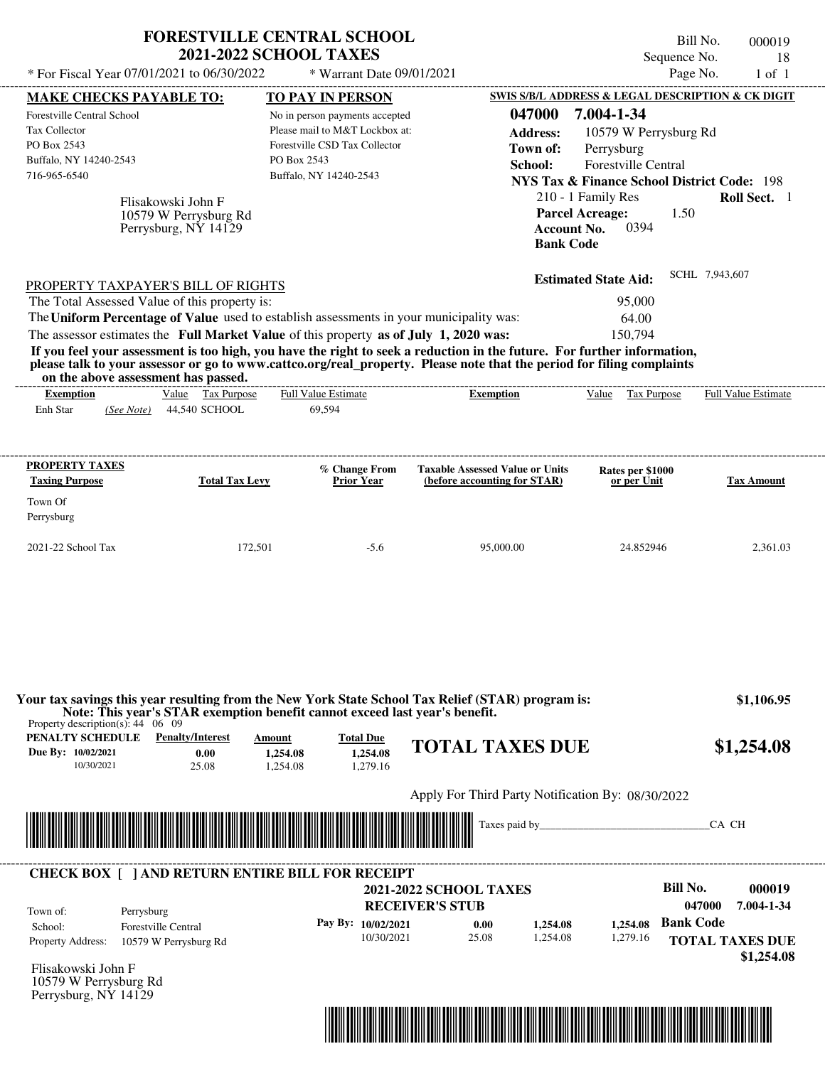| * For Fiscal Year 07/01/2021 to 06/30/2022                                                                                                                                                                                                                                                                                                                                                                                                                                                                                                                         | <b>FORESTVILLE CENTRAL SCHOOL</b><br><b>2021-2022 SCHOOL TAXES</b> | * Warrant Date 09/01/2021                                                                                                                       |                                                                                                  | Sequence No.                                                                                                                                                                                                                                                                  | Bill No.<br>000019<br>18<br>Page No.<br>$1$ of $1$                     |
|--------------------------------------------------------------------------------------------------------------------------------------------------------------------------------------------------------------------------------------------------------------------------------------------------------------------------------------------------------------------------------------------------------------------------------------------------------------------------------------------------------------------------------------------------------------------|--------------------------------------------------------------------|-------------------------------------------------------------------------------------------------------------------------------------------------|--------------------------------------------------------------------------------------------------|-------------------------------------------------------------------------------------------------------------------------------------------------------------------------------------------------------------------------------------------------------------------------------|------------------------------------------------------------------------|
|                                                                                                                                                                                                                                                                                                                                                                                                                                                                                                                                                                    |                                                                    |                                                                                                                                                 |                                                                                                  |                                                                                                                                                                                                                                                                               |                                                                        |
| <b>MAKE CHECKS PAYABLE TO:</b><br>Forestville Central School<br>Tax Collector<br>PO Box 2543<br>Buffalo, NY 14240-2543<br>716-965-6540<br>Flisakowski John F<br>10579 W Perrysburg Rd<br>Perrysburg, NY 14129                                                                                                                                                                                                                                                                                                                                                      | PO Box 2543                                                        | TO PAY IN PERSON<br>No in person payments accepted<br>Please mail to M&T Lockbox at:<br>Forestville CSD Tax Collector<br>Buffalo, NY 14240-2543 | 047000<br><b>Address:</b><br>Town of:<br>School:<br><b>Bank Code</b>                             | SWIS S/B/L ADDRESS & LEGAL DESCRIPTION & CK DIGIT<br>7.004-1-34<br>10579 W Perrysburg Rd<br>Perrysburg<br>Forestville Central<br><b>NYS Tax &amp; Finance School District Code: 198</b><br>210 - 1 Family Res<br><b>Parcel Acreage:</b><br>1.50<br>0394<br><b>Account No.</b> | Roll Sect. 1                                                           |
| PROPERTY TAXPAYER'S BILL OF RIGHTS<br>The Total Assessed Value of this property is:<br>The Uniform Percentage of Value used to establish assessments in your municipality was:<br>The assessor estimates the Full Market Value of this property as of July 1, 2020 was:<br>If you feel your assessment is too high, you have the right to seek a reduction in the future. For further information,<br>please talk to your assessor or go to www.cattco.org/real_property. Please note that the period for filing complaints<br>on the above assessment has passed. |                                                                    |                                                                                                                                                 |                                                                                                  | <b>Estimated State Aid:</b><br>95,000<br>64.00<br>150.794                                                                                                                                                                                                                     | SCHL 7,943,607                                                         |
| <b>Exemption</b><br>Enh Star<br>(See Note)                                                                                                                                                                                                                                                                                                                                                                                                                                                                                                                         | Value Tax Purpose<br>44,540 SCHOOL                                 | <b>Full Value Estimate</b><br>69,594                                                                                                            | <b>Exemption</b>                                                                                 | Value Tax Purpose                                                                                                                                                                                                                                                             | Full Value Estimate                                                    |
| Town Of<br>Perrysburg<br>2021-22 School Tax                                                                                                                                                                                                                                                                                                                                                                                                                                                                                                                        | 172,501                                                            | $-5.6$                                                                                                                                          | 95,000.00                                                                                        | 24.852946                                                                                                                                                                                                                                                                     | 2,361.03                                                               |
| Your tax savings this year resulting from the New York State School Tax Relief (STAR) program is:<br>Note: This year's STAR exemption benefit cannot exceed last year's benefit.<br>Property description(s): $44 \quad 06 \quad 09$                                                                                                                                                                                                                                                                                                                                |                                                                    |                                                                                                                                                 |                                                                                                  |                                                                                                                                                                                                                                                                               | \$1,106.95                                                             |
| <b>PENALTY SCHEDULE</b> Penalty/Interest<br>Due By: 10/02/2021<br>10/30/2021                                                                                                                                                                                                                                                                                                                                                                                                                                                                                       | Amount<br>0.00<br>1,254.08<br>25.08<br>1,254.08                    | <b>Total Due</b><br>1.254.08<br>1,279.16                                                                                                        | <b>TOTAL TAXES DUE</b>                                                                           |                                                                                                                                                                                                                                                                               | \$1,254.08                                                             |
|                                                                                                                                                                                                                                                                                                                                                                                                                                                                                                                                                                    |                                                                    |                                                                                                                                                 | Apply For Third Party Notification By: 08/30/2022                                                |                                                                                                                                                                                                                                                                               |                                                                        |
|                                                                                                                                                                                                                                                                                                                                                                                                                                                                                                                                                                    |                                                                    |                                                                                                                                                 |                                                                                                  | Taxes paid by                                                                                                                                                                                                                                                                 | CA CH                                                                  |
| <b>CHECK BOX [ ] AND RETURN ENTIRE BILL FOR RECEIPT</b><br>Town of:<br>Perrysburg<br><b>Forestville Central</b><br>School:<br>Property Address:<br>10579 W Perrysburg Rd                                                                                                                                                                                                                                                                                                                                                                                           |                                                                    | Pay By: 10/02/2021<br>10/30/2021                                                                                                                | <b>2021-2022 SCHOOL TAXES</b><br><b>RECEIVER'S STUB</b><br>1,254.08<br>0.00<br>25.08<br>1.254.08 | <b>Bill No.</b><br><b>Bank Code</b><br>1,254.08<br>1,279.16                                                                                                                                                                                                                   | 000019<br>047000<br>7.004-1-34<br><b>TOTAL TAXES DUE</b><br>\$1,254.08 |
| Flisakowski John F<br>10579 W Perrysburg Rd<br>Perrysburg, NY 14129                                                                                                                                                                                                                                                                                                                                                                                                                                                                                                |                                                                    |                                                                                                                                                 |                                                                                                  |                                                                                                                                                                                                                                                                               |                                                                        |

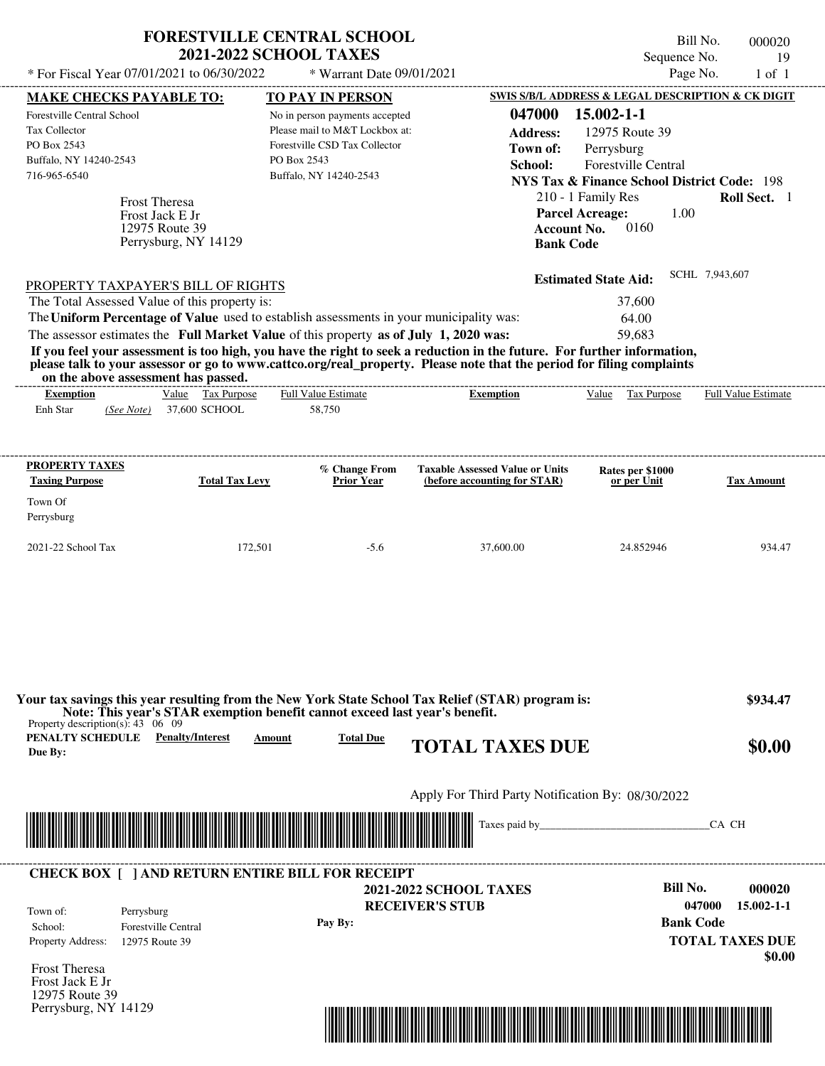|                                                                                                      | <b>FORESTVILLE CENTRAL SCHOOL</b><br><b>2021-2022 SCHOOL TAXES</b>          |                                                                                                                             |                                                                                                                                                                                                                                                  | Sequence No.                                                                                                                | Bill No.<br>000020<br>19   |
|------------------------------------------------------------------------------------------------------|-----------------------------------------------------------------------------|-----------------------------------------------------------------------------------------------------------------------------|--------------------------------------------------------------------------------------------------------------------------------------------------------------------------------------------------------------------------------------------------|-----------------------------------------------------------------------------------------------------------------------------|----------------------------|
| * For Fiscal Year 07/01/2021 to 06/30/2022                                                           |                                                                             | * Warrant Date 09/01/2021                                                                                                   |                                                                                                                                                                                                                                                  | Page No.                                                                                                                    | $1$ of $1$                 |
| <b>MAKE CHECKS PAYABLE TO:</b>                                                                       |                                                                             | <b>TO PAY IN PERSON</b>                                                                                                     |                                                                                                                                                                                                                                                  | SWIS S/B/L ADDRESS & LEGAL DESCRIPTION & CK DIGIT                                                                           |                            |
| Forestville Central School<br>Tax Collector<br>PO Box 2543<br>Buffalo, NY 14240-2543<br>716-965-6540 | PO Box 2543                                                                 | No in person payments accepted<br>Please mail to M&T Lockbox at:<br>Forestville CSD Tax Collector<br>Buffalo, NY 14240-2543 | 047000<br><b>Address:</b><br>Town of:<br>School:                                                                                                                                                                                                 | 15.002-1-1<br>12975 Route 39<br>Perrysburg<br>Forestville Central<br><b>NYS Tax &amp; Finance School District Code: 198</b> |                            |
| Frost Theresa<br>Frost Jack E Jr<br>12975 Route 39<br>Perrysburg, NY 14129                           |                                                                             |                                                                                                                             | <b>Account No.</b><br><b>Bank Code</b>                                                                                                                                                                                                           | 210 - 1 Family Res<br><b>Parcel Acreage:</b><br>1.00<br>0160                                                                | Roll Sect. 1               |
|                                                                                                      |                                                                             |                                                                                                                             |                                                                                                                                                                                                                                                  | <b>Estimated State Aid:</b>                                                                                                 | SCHL 7,943,607             |
| PROPERTY TAXPAYER'S BILL OF RIGHTS<br>The Total Assessed Value of this property is:                  |                                                                             |                                                                                                                             |                                                                                                                                                                                                                                                  | 37,600                                                                                                                      |                            |
| The Uniform Percentage of Value used to establish assessments in your municipality was:              |                                                                             |                                                                                                                             |                                                                                                                                                                                                                                                  | 64.00                                                                                                                       |                            |
| The assessor estimates the Full Market Value of this property as of July 1, 2020 was:                |                                                                             |                                                                                                                             |                                                                                                                                                                                                                                                  | 59,683                                                                                                                      |                            |
| on the above assessment has passed.                                                                  |                                                                             |                                                                                                                             | If you feel your assessment is too high, you have the right to seek a reduction in the future. For further information,<br>please talk to your assessor or go to www.cattco.org/real_property. Please note that the period for filing complaints |                                                                                                                             |                            |
| <b>Exemption</b>                                                                                     | Value Tax Purpose                                                           | <b>Full Value Estimate</b>                                                                                                  | <b>Exemption</b>                                                                                                                                                                                                                                 | Value Tax Purpose                                                                                                           | <b>Full Value Estimate</b> |
| Enh Star<br>(See Note)                                                                               | 37,600 SCHOOL                                                               | 58,750                                                                                                                      |                                                                                                                                                                                                                                                  |                                                                                                                             |                            |
| <b>PROPERTY TAXES</b>                                                                                |                                                                             | % Change From                                                                                                               | <b>Taxable Assessed Value or Units</b>                                                                                                                                                                                                           | Rates per \$1000                                                                                                            |                            |
| <b>Taxing Purpose</b>                                                                                | <b>Total Tax Levy</b>                                                       | <b>Prior Year</b>                                                                                                           | (before accounting for STAR)                                                                                                                                                                                                                     | or per Unit                                                                                                                 | <b>Tax Amount</b>          |
| Town Of<br>Perrysburg                                                                                |                                                                             |                                                                                                                             |                                                                                                                                                                                                                                                  |                                                                                                                             |                            |
| 2021-22 School Tax                                                                                   | 172,501                                                                     | $-5.6$                                                                                                                      | 37,600.00                                                                                                                                                                                                                                        | 24.852946                                                                                                                   | 934.47                     |
| Property description(s): $43 \quad 06 \quad 09$                                                      | Note: This year's STAR exemption benefit cannot exceed last year's benefit. |                                                                                                                             | Your tax savings this year resulting from the New York State School Tax Relief (STAR) program is:                                                                                                                                                |                                                                                                                             | \$934.47                   |
| <b>PENALTY SCHEDULE</b> Penalty/Interest<br>Due By:                                                  | Amount                                                                      | <b>Total Due</b>                                                                                                            | <b>TOTAL TAXES DUE</b>                                                                                                                                                                                                                           |                                                                                                                             | \$0.00                     |
|                                                                                                      |                                                                             |                                                                                                                             |                                                                                                                                                                                                                                                  |                                                                                                                             |                            |
|                                                                                                      |                                                                             |                                                                                                                             | Apply For Third Party Notification By: 08/30/2022                                                                                                                                                                                                |                                                                                                                             |                            |
|                                                                                                      |                                                                             |                                                                                                                             |                                                                                                                                                                                                                                                  |                                                                                                                             | CA CH                      |
| <b>CHECK BOX [ ] AND RETURN ENTIRE BILL FOR RECEIPT</b>                                              |                                                                             |                                                                                                                             |                                                                                                                                                                                                                                                  |                                                                                                                             |                            |
|                                                                                                      |                                                                             |                                                                                                                             | <b>2021-2022 SCHOOL TAXES</b>                                                                                                                                                                                                                    | <b>Bill No.</b>                                                                                                             | 000020                     |
| Perrysburg<br>Town of:                                                                               |                                                                             |                                                                                                                             | <b>RECEIVER'S STUB</b>                                                                                                                                                                                                                           |                                                                                                                             | 047000<br>$15.002 - 1 - 1$ |

**Pay By:**

Property Address: 12975 Route 39 School: Forestville Central

Frost Theresa Frost Jack E Jr 12975 Route 39 Perrysburg, NY 14129



**Bank Code**

**TOTAL TAXES DUE**

 **\$0.00**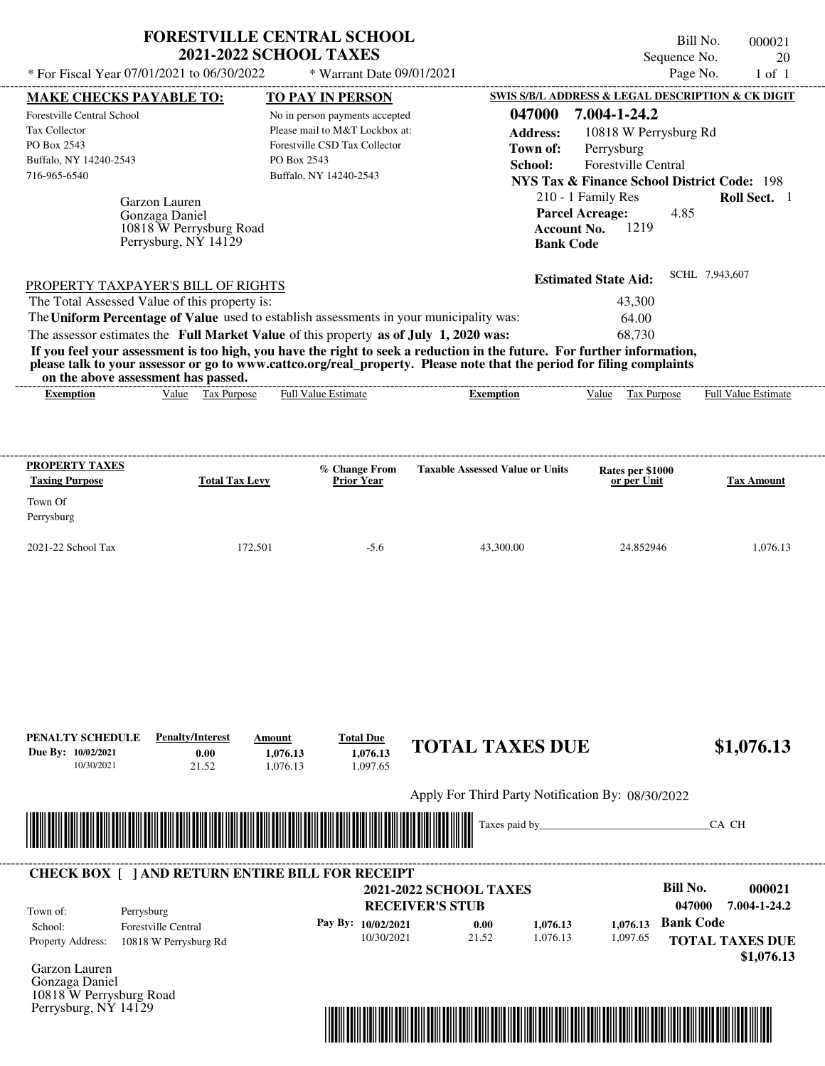| * For Fiscal Year 07/01/2021 to 06/30/2022 * Warrant Date 09/01/2021                                                                                                                                                                                                                                                                                                                                                                                                                                                                                                                   | <b>FORESTVILLE CENTRAL SCHOOL</b><br><b>2021-2022 SCHOOL TAXES</b>                                                                                                    |                                                                      |                                                                                                                                                                                                                                                              | Bill No.<br>Sequence No.<br>Page No. | 000021<br>20<br>$1$ of $1$ |
|----------------------------------------------------------------------------------------------------------------------------------------------------------------------------------------------------------------------------------------------------------------------------------------------------------------------------------------------------------------------------------------------------------------------------------------------------------------------------------------------------------------------------------------------------------------------------------------|-----------------------------------------------------------------------------------------------------------------------------------------------------------------------|----------------------------------------------------------------------|--------------------------------------------------------------------------------------------------------------------------------------------------------------------------------------------------------------------------------------------------------------|--------------------------------------|----------------------------|
| <b>MAKE CHECKS PAYABLE TO:</b><br>Forestville Central School<br><b>Tax Collector</b><br>PO Box 2543<br>Buffalo, NY 14240-2543<br>716-965-6540<br>Garzon Lauren<br>Gonzaga Daniel<br>10818 W Perrysburg Road<br>Perrysburg, NY 14129                                                                                                                                                                                                                                                                                                                                                    | <b>TO PAY IN PERSON</b><br>No in person payments accepted<br>Please mail to M&T Lockbox at:<br>Forestville CSD Tax Collector<br>PO Box 2543<br>Buffalo, NY 14240-2543 | 047000<br><b>Address:</b><br>Town of:<br>School:<br><b>Bank Code</b> | SWIS S/B/L ADDRESS & LEGAL DESCRIPTION & CK DIGIT<br>7.004-1-24.2<br>10818 W Perrysburg Rd<br>Perrysburg<br><b>Forestville Central</b><br>NYS Tax & Finance School District Code: 198<br>210 - 1 Family Res<br><b>Parcel Acreage:</b><br>1219<br>Account No. | 4.85                                 | Roll Sect. 1               |
| PROPERTY TAXPAYER'S BILL OF RIGHTS<br>The Total Assessed Value of this property is:<br>The Uniform Percentage of Value used to establish assessments in your municipality was:<br>The assessor estimates the Full Market Value of this property as of July 1, 2020 was:<br>If you feel your assessment is too high, you have the right to seek a reduction in the future. For further information,<br>please talk to your assessor or go to www.cattco.org/real_property. Please note that the period for filing complaints<br>on the above assessment has passed.<br><b>Exemption</b> | Value Tax Purpose Full Value Estimate                                                                                                                                 | -----------------------------------<br><b>Exemption</b>              | <b>Estimated State Aid:</b><br>43,300<br>64.00<br>68.730<br>Value Tax Purpose                                                                                                                                                                                | SCHL 7,943,607                       | <b>Full Value Estimate</b> |
| PROPERTY TAXES<br><b>Taxing Purpose</b><br><b>Total Tax Levy</b><br>Town Of                                                                                                                                                                                                                                                                                                                                                                                                                                                                                                            | % Change From<br><b>Prior Year</b>                                                                                                                                    | <b>Taxable Assessed Value or Units</b>                               | Rates per \$1000<br>or per Unit                                                                                                                                                                                                                              |                                      | <b>Tax Amount</b>          |

2021-22 School Tax 172,501 -5.6 43,300.00 24.852946 1,076.13

Perrysburg

| PENALTY SCHEDULE<br>Due By: 10/02/2021<br>10/30/2021                               | <b>Penalty/Interest</b><br>0.00<br>21.52                | Amount<br>1,076.13<br>1,076.13 | <b>Total Due</b><br>1,076.13<br>1,097.65 | <b>TOTAL TAXES DUE</b>                            |          |          |                  | \$1,076.13                           |
|------------------------------------------------------------------------------------|---------------------------------------------------------|--------------------------------|------------------------------------------|---------------------------------------------------|----------|----------|------------------|--------------------------------------|
|                                                                                    |                                                         |                                |                                          | Apply For Third Party Notification By: 08/30/2022 |          |          |                  |                                      |
|                                                                                    | <u> 1989 - Johann Stoff, Amerikaansk politiker (</u>    |                                |                                          | Taxes paid by                                     |          |          |                  | CA CH                                |
|                                                                                    |                                                         |                                |                                          |                                                   |          |          |                  |                                      |
|                                                                                    | <b>CHECK BOX [ ] AND RETURN ENTIRE BILL FOR RECEIPT</b> |                                |                                          | <b>2021-2022 SCHOOL TAXES</b>                     |          |          | <b>Bill No.</b>  | 000021                               |
| Town of:                                                                           | Perrysburg                                              |                                |                                          | <b>RECEIVER'S STUB</b>                            |          |          | 047000           | 7.004-1-24.2                         |
| School:                                                                            | <b>Forestville Central</b>                              |                                | Pay By: 10/02/2021                       | 0.00                                              | 1,076.13 | 1,076.13 | <b>Bank Code</b> |                                      |
| Property Address:                                                                  | 10818 W Perrysburg Rd                                   |                                | 10/30/2021                               | 21.52                                             | 1,076.13 | 1,097.65 |                  | <b>TOTAL TAXES DUE</b><br>\$1,076.13 |
| Garzon Lauren<br>Gonzaga Daniel<br>10818 W Perrysburg Road<br>Perrysburg, NY 14129 |                                                         |                                |                                          |                                                   |          |          |                  |                                      |

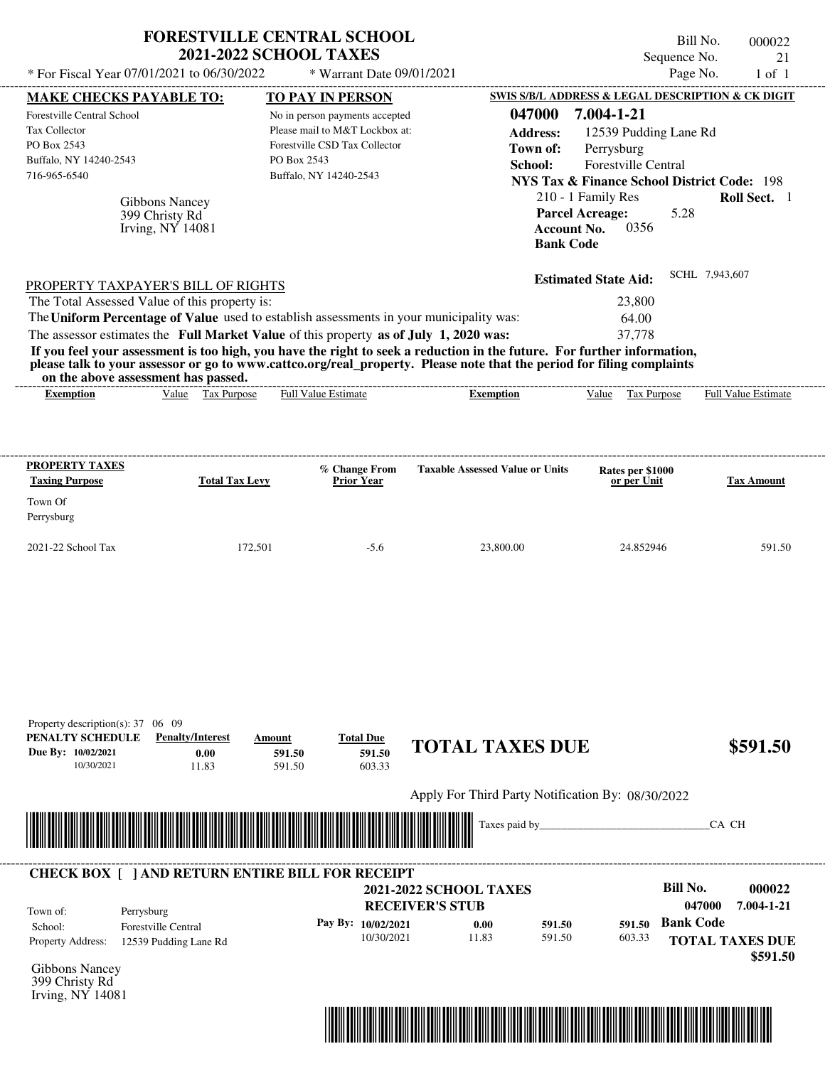| 000022<br>21<br>$1$ of $1$        | Bill No.<br>Sequence No.<br>Page No.                                                                                                                                                                    |                                                                                                                                                                                                                                                  | <b>FORESTVILLE CENTRAL SCHOOL</b><br>* Warrant Date 09/01/2021                                                                                                                   |                  | <b>2021-2022 SCHOOL TAXES</b>   | * For Fiscal Year 07/01/2021 to 06/30/2022                                                                                                                                                       |
|-----------------------------------|---------------------------------------------------------------------------------------------------------------------------------------------------------------------------------------------------------|--------------------------------------------------------------------------------------------------------------------------------------------------------------------------------------------------------------------------------------------------|----------------------------------------------------------------------------------------------------------------------------------------------------------------------------------|------------------|---------------------------------|--------------------------------------------------------------------------------------------------------------------------------------------------------------------------------------------------|
| Roll Sect. 1                      | SWIS S/B/L ADDRESS & LEGAL DESCRIPTION & CK DIGIT<br>7.004-1-21<br>12539 Pudding Lane Rd<br>Perrysburg<br>Forestville Central<br><b>NYS Tax &amp; Finance School District Code: 198</b><br>5.28<br>0356 | 047000<br><b>Address:</b><br>Town of:<br>School:<br>210 - 1 Family Res<br><b>Parcel Acreage:</b><br><b>Account No.</b><br><b>Bank Code</b>                                                                                                       | <b>TO PAY IN PERSON</b><br>No in person payments accepted<br>Please mail to M&T Lockbox at:<br>Forestville CSD Tax Collector<br>Buffalo, NY 14240-2543                           | PO Box 2543      |                                 | <b>MAKE CHECKS PAYABLE TO:</b><br>Forestville Central School<br>Tax Collector<br>PO Box 2543<br>Buffalo, NY 14240-2543<br>716-965-6540<br>Gibbons Nancey<br>399 Christy Rd<br>Irving, $NY$ 14081 |
| SCHL 7,943,607                    | <b>Estimated State Aid:</b><br>23,800<br>64.00<br>37,778                                                                                                                                                | If you feel your assessment is too high, you have the right to seek a reduction in the future. For further information,<br>please talk to your assessor or go to www.cattco.org/real_property. Please note that the period for filing complaints | The Uniform Percentage of Value used to establish assessments in your municipality was:<br>The assessor estimates the Full Market Value of this property as of July 1, 2020 was: |                  |                                 | PROPERTY TAXPAYER'S BILL OF RIGHTS<br>The Total Assessed Value of this property is:<br>on the above assessment has passed.                                                                       |
| Full Value Estimate               | Tax Purpose<br>Value                                                                                                                                                                                    | <b>Exemption</b>                                                                                                                                                                                                                                 | <b>Full Value Estimate</b>                                                                                                                                                       |                  | Value Tax Purpose               | <b>Exemption</b>                                                                                                                                                                                 |
| <b>Tax Amount</b>                 | Rates per \$1000<br>or per Unit                                                                                                                                                                         | <b>Taxable Assessed Value or Units</b>                                                                                                                                                                                                           | % Change From<br><b>Prior Year</b>                                                                                                                                               |                  | <b>Total Tax Levy</b>           | <b>PROPERTY TAXES</b><br><b>Taxing Purpose</b><br>Town Of                                                                                                                                        |
| 591.50                            | 24.852946                                                                                                                                                                                               | 23,800.00                                                                                                                                                                                                                                        | $-5.6$                                                                                                                                                                           | 172,501          |                                 | Perrysburg<br>2021-22 School Tax                                                                                                                                                                 |
| \$591.50                          |                                                                                                                                                                                                         | <b>TOTAL TAXES DUE</b>                                                                                                                                                                                                                           | <b>Total Due</b><br>591.50                                                                                                                                                       | Amount<br>591.50 | <b>Penalty/Interest</b><br>0.00 | Property description(s): 37 06 09<br>PENALTY SCHEDULE<br>Due By: 10/02/2021                                                                                                                      |
|                                   |                                                                                                                                                                                                         |                                                                                                                                                                                                                                                  | 603.33                                                                                                                                                                           | 591.50           | 11.83                           | 10/30/2021                                                                                                                                                                                       |
| CA CH                             |                                                                                                                                                                                                         | Apply For Third Party Notification By: 08/30/2022<br>Taxes paid by_                                                                                                                                                                              |                                                                                                                                                                                  |                  |                                 |                                                                                                                                                                                                  |
| 000022<br>047000<br>$7.004 \pm 2$ | <b>Bill No.</b>                                                                                                                                                                                         |                                                                                                                                                                                                                                                  | <b>2021-2022 SCHOOL TAXES</b><br>DECEIVEDIC CTIID                                                                                                                                |                  |                                 | <b>CHECK BOX [ ] AND RETURN ENTIRE BILL FOR RECEIPT</b>                                                                                                                                          |

**RECEIVER'S STUB Bank Code 591.50** Property Address: 12539 Pudding Lane Rd Perrysburg School: Forestville Central **TOTAL TAXES DUE \$591.50 047000 7.004-1-21 Pay By: 10/02/2021** 10/30/2021 11.83 **0.00** 591.50 **591.50** 603.33 Town of:

Gibbons Nancey 399 Christy Rd Irving, NY 14081

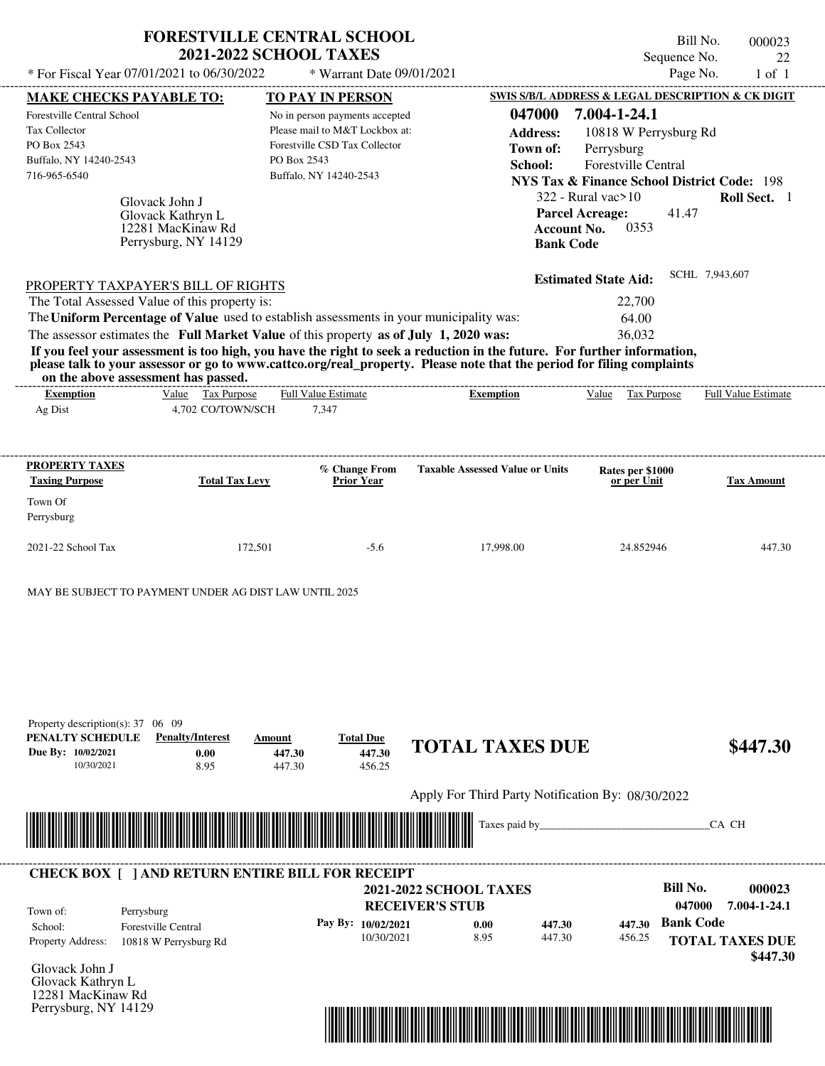|                                                                                                                                                     |                                                                                  | <b>FORESTVILLE CENTRAL SCHOOL</b><br><b>2021-2022 SCHOOL TAXES</b>                                                                         |                                                                                                                                                                                                                                                  | Bill No.<br>Sequence No.                                                                                                                                   | 000023<br>22               |
|-----------------------------------------------------------------------------------------------------------------------------------------------------|----------------------------------------------------------------------------------|--------------------------------------------------------------------------------------------------------------------------------------------|--------------------------------------------------------------------------------------------------------------------------------------------------------------------------------------------------------------------------------------------------|------------------------------------------------------------------------------------------------------------------------------------------------------------|----------------------------|
| * For Fiscal Year 07/01/2021 to 06/30/2022                                                                                                          |                                                                                  | * Warrant Date 09/01/2021                                                                                                                  |                                                                                                                                                                                                                                                  | Page No.                                                                                                                                                   | $1$ of $1$                 |
| <b>MAKE CHECKS PAYABLE TO:</b>                                                                                                                      |                                                                                  | <b>TO PAY IN PERSON</b>                                                                                                                    |                                                                                                                                                                                                                                                  | SWIS S/B/L ADDRESS & LEGAL DESCRIPTION & CK DIGIT                                                                                                          |                            |
| Forestville Central School<br>Tax Collector<br>PO Box 2543<br>Buffalo, NY 14240-2543<br>716-965-6540                                                |                                                                                  | No in person payments accepted<br>Please mail to M&T Lockbox at:<br>Forestville CSD Tax Collector<br>PO Box 2543<br>Buffalo, NY 14240-2543 | 047000<br><b>Address:</b><br>Town of:<br>School:                                                                                                                                                                                                 | 7.004-1-24.1<br>10818 W Perrysburg Rd<br>Perrysburg<br>Forestville Central<br><b>NYS Tax &amp; Finance School District Code: 198</b><br>322 - Rural vac>10 | Roll Sect. 1               |
|                                                                                                                                                     | Glovack John J<br>Glovack Kathryn L<br>12281 MacKinaw Rd<br>Perrysburg, NY 14129 |                                                                                                                                            | <b>Account No.</b><br><b>Bank Code</b>                                                                                                                                                                                                           | <b>Parcel Acreage:</b><br>41.47<br>0353                                                                                                                    |                            |
| PROPERTY TAXPAYER'S BILL OF RIGHTS                                                                                                                  |                                                                                  |                                                                                                                                            |                                                                                                                                                                                                                                                  | <b>Estimated State Aid:</b>                                                                                                                                | SCHL 7,943,607             |
| The Total Assessed Value of this property is:                                                                                                       |                                                                                  |                                                                                                                                            |                                                                                                                                                                                                                                                  | 22,700                                                                                                                                                     |                            |
|                                                                                                                                                     |                                                                                  | The Uniform Percentage of Value used to establish assessments in your municipality was:                                                    |                                                                                                                                                                                                                                                  | 64.00                                                                                                                                                      |                            |
| on the above assessment has passed.                                                                                                                 |                                                                                  | The assessor estimates the Full Market Value of this property as of July 1, 2020 was:                                                      | If you feel your assessment is too high, you have the right to seek a reduction in the future. For further information,<br>please talk to your assessor or go to www.cattco.org/real_property. Please note that the period for filing complaints | 36,032                                                                                                                                                     |                            |
| <b>Exemption</b><br>Ag Dist                                                                                                                         | Value Tax Purpose<br>4,702 CO/TOWN/SCH                                           | <b>Full Value Estimate</b><br>7,347                                                                                                        | <b>Exemption</b>                                                                                                                                                                                                                                 | Value Tax Purpose                                                                                                                                          | <b>Full Value Estimate</b> |
| <b>PROPERTY TAXES</b>                                                                                                                               |                                                                                  | % Change From                                                                                                                              | <b>Taxable Assessed Value or Units</b>                                                                                                                                                                                                           | Rates per \$1000                                                                                                                                           |                            |
| <b>Taxing Purpose</b>                                                                                                                               | <b>Total Tax Levy</b>                                                            | <b>Prior Year</b>                                                                                                                          |                                                                                                                                                                                                                                                  | or per Unit                                                                                                                                                | <b>Tax Amount</b>          |
| Town Of<br>Perrysburg                                                                                                                               |                                                                                  |                                                                                                                                            |                                                                                                                                                                                                                                                  |                                                                                                                                                            |                            |
| 2021-22 School Tax                                                                                                                                  | 172,501                                                                          | $-5.6$                                                                                                                                     | 17,998.00                                                                                                                                                                                                                                        | 24.852946                                                                                                                                                  | 447.30                     |
| MAY BE SUBJECT TO PAYMENT UNDER AG DIST LAW UNTIL 2025<br>Property description(s): $37 \quad 06 \quad 09$<br>PENALTY SCHEDULE<br>Due By: 10/02/2021 | <b>Penalty/Interest</b><br>Amount<br>0.00                                        | <b>Total Due</b><br>447.30<br>447.30                                                                                                       | <b>TOTAL TAXES DUE</b>                                                                                                                                                                                                                           |                                                                                                                                                            | \$447.30                   |
| 10/30/2021                                                                                                                                          | 8.95                                                                             | 447.30<br>456.25                                                                                                                           |                                                                                                                                                                                                                                                  |                                                                                                                                                            |                            |
|                                                                                                                                                     |                                                                                  |                                                                                                                                            | Apply For Third Party Notification By: 08/30/2022<br>Taxes paid by_                                                                                                                                                                              |                                                                                                                                                            | CA CH                      |
|                                                                                                                                                     |                                                                                  |                                                                                                                                            |                                                                                                                                                                                                                                                  |                                                                                                                                                            |                            |
|                                                                                                                                                     |                                                                                  | <b>CHECK BOX [ ] AND RETURN ENTIRE BILL FOR RECEIPT</b>                                                                                    | <b>2021-2022 SCHOOL TAXES</b>                                                                                                                                                                                                                    | <b>Bill No.</b>                                                                                                                                            | 000023                     |
| Town of:<br>Perrysburg                                                                                                                              |                                                                                  |                                                                                                                                            | <b>RECEIVER'S STUB</b>                                                                                                                                                                                                                           | 047000<br><b>Bank Code</b>                                                                                                                                 | 7.004-1-24.1               |
|                                                                                                                                                     |                                                                                  | Pay By: 10/02/2021                                                                                                                         | 0.00<br>447.30                                                                                                                                                                                                                                   | 447.30                                                                                                                                                     |                            |

10/30/2021 8.95

| School:                  | Forestville Central   |
|--------------------------|-----------------------|
| <b>Property Address:</b> | 10818 W Perrysburg Rd |
| $Clocal$ , Label I       |                       |

Glovack John J Glovack Kathryn L 12281 MacKinaw Rd Perrysburg, NY 14129



447.30 **447.30** 456.25 **447.30**

**TOTAL TAXES DUE**

 **\$447.30**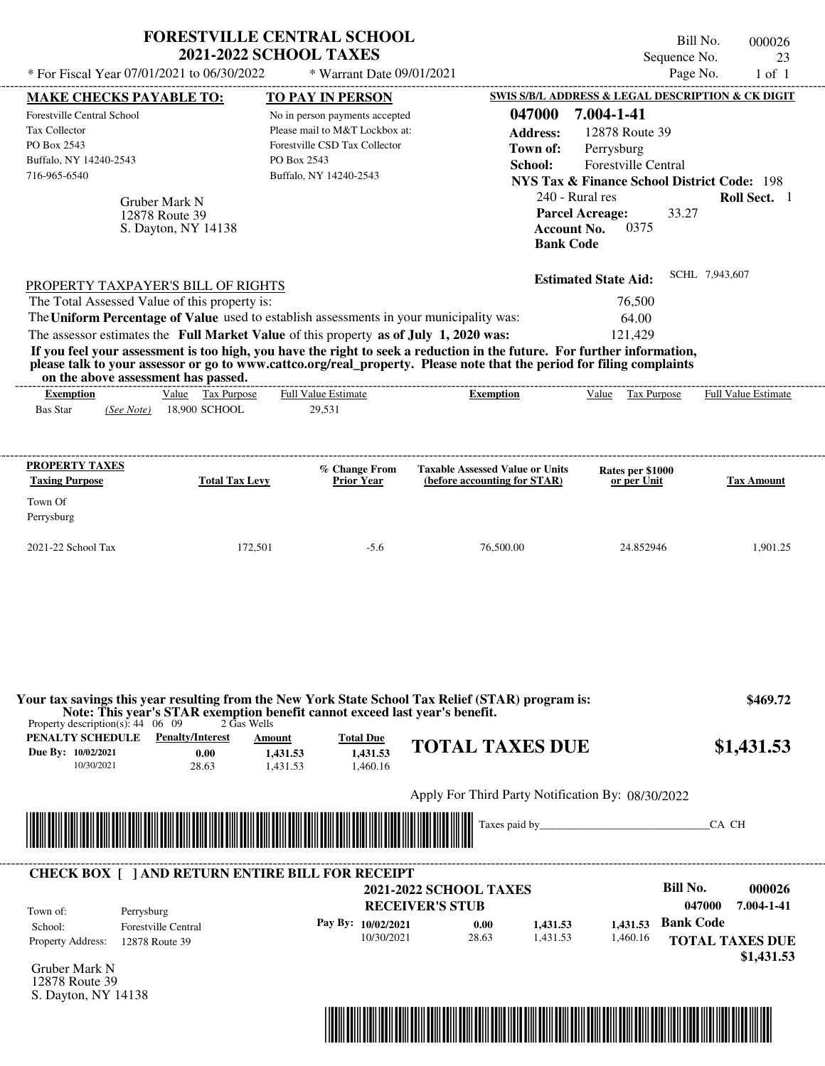| * For Fiscal Year 07/01/2021 to 06/30/2022                                                                                                                                                                                                                                                                     | <b>FORESTVILLE CENTRAL SCHOOL</b><br><b>2021-2022 SCHOOL TAXES</b>                         | * Warrant Date 09/01/2021                                                                                                                                             |                                                                                                                                                                                                                                                  | Sequence No.<br>Page No.                                                                                                                                                                                                    | Bill No.<br>000026<br>23<br>$1$ of $1$                                 |
|----------------------------------------------------------------------------------------------------------------------------------------------------------------------------------------------------------------------------------------------------------------------------------------------------------------|--------------------------------------------------------------------------------------------|-----------------------------------------------------------------------------------------------------------------------------------------------------------------------|--------------------------------------------------------------------------------------------------------------------------------------------------------------------------------------------------------------------------------------------------|-----------------------------------------------------------------------------------------------------------------------------------------------------------------------------------------------------------------------------|------------------------------------------------------------------------|
| <b>MAKE CHECKS PAYABLE TO:</b><br><b>Forestville Central School</b><br>Tax Collector<br>PO Box 2543<br>Buffalo, NY 14240-2543<br>716-965-6540<br>Gruber Mark N<br>12878 Route 39                                                                                                                               | S. Dayton, NY 14138                                                                        | <b>TO PAY IN PERSON</b><br>No in person payments accepted<br>Please mail to M&T Lockbox at:<br>Forestville CSD Tax Collector<br>PO Box 2543<br>Buffalo, NY 14240-2543 | 047000<br><b>Address:</b><br>Town of:<br>School:<br>240 - Rural res<br><b>Account No.</b><br><b>Bank Code</b>                                                                                                                                    | SWIS S/B/L ADDRESS & LEGAL DESCRIPTION & CK DIGIT<br>7.004-1-41<br>12878 Route 39<br>Perrysburg<br>Forestville Central<br><b>NYS Tax &amp; Finance School District Code: 198</b><br>33.27<br><b>Parcel Acreage:</b><br>0375 | Roll Sect. 1                                                           |
| PROPERTY TAXPAYER'S BILL OF RIGHTS<br>The Total Assessed Value of this property is:<br>The Uniform Percentage of Value used to establish assessments in your municipality was:<br>The assessor estimates the Full Market Value of this property as of July 1, 2020 was:<br>on the above assessment has passed. |                                                                                            | ------------------------                                                                                                                                              | If you feel your assessment is too high, you have the right to seek a reduction in the future. For further information,<br>please talk to your assessor or go to www.cattco.org/real property. Please note that the period for filing complaints | <b>Estimated State Aid:</b><br>76,500<br>64.00<br>121,429                                                                                                                                                                   | SCHL 7,943,607                                                         |
| <b>Exemption</b><br><b>Bas Star</b><br>(See Note)                                                                                                                                                                                                                                                              | Value Tax Purpose<br>18,900 SCHOOL                                                         | <b>Full Value Estimate</b><br>29,531                                                                                                                                  | <b>Exemption</b>                                                                                                                                                                                                                                 | Value Tax Purpose                                                                                                                                                                                                           | <b>Full Value Estimate</b>                                             |
| <b>PROPERTY TAXES</b><br><b>Taxing Purpose</b><br>Town Of<br>Perrysburg<br>2021-22 School Tax                                                                                                                                                                                                                  | <b>Total Tax Levy</b><br>172,501                                                           | % Change From<br><b>Prior Year</b><br>$-5.6$                                                                                                                          | <b>Taxable Assessed Value or Units</b><br>(before accounting for STAR)<br>76,500.00                                                                                                                                                              | Rates per \$1000<br>or per Unit<br>24.852946                                                                                                                                                                                | <b>Tax Amount</b><br>1,901.25                                          |
| Property description(s): $44 \quad 06 \quad 09$                                                                                                                                                                                                                                                                | Note: This year's STAR exemption benefit cannot exceed last year's benefit.<br>2 Gas Wells |                                                                                                                                                                       | Your tax savings this year resulting from the New York State School Tax Relief (STAR) program is:                                                                                                                                                |                                                                                                                                                                                                                             | \$469.72                                                               |
| <b>PENALTY SCHEDULE</b> Penalty/Interest<br>Due By: 10/02/2021<br>10/30/2021                                                                                                                                                                                                                                   | Amount<br>0.00<br>1,431.53<br>28.63<br>1.431.53                                            | <b>Total Due</b><br>1.431.53<br>1.460.16                                                                                                                              | <b>TOTAL TAXES DUE</b>                                                                                                                                                                                                                           |                                                                                                                                                                                                                             | \$1,431.53                                                             |
|                                                                                                                                                                                                                                                                                                                |                                                                                            |                                                                                                                                                                       | Apply For Third Party Notification By: 08/30/2022                                                                                                                                                                                                |                                                                                                                                                                                                                             |                                                                        |
|                                                                                                                                                                                                                                                                                                                |                                                                                            |                                                                                                                                                                       |                                                                                                                                                                                                                                                  |                                                                                                                                                                                                                             | CA CH                                                                  |
| <b>CHECK BOX [ ] AND RETURN ENTIRE BILL FOR RECEIPT</b><br>Town of:<br>Perrysburg<br><b>Forestville Central</b><br>School:<br><b>Property Address:</b><br>12878 Route 39<br>Gruber Mark N<br>12878 Route 39<br>S. Dayton, NY 14138                                                                             |                                                                                            | Pay By: 10/02/2021<br>10/30/2021                                                                                                                                      | <b>2021-2022 SCHOOL TAXES</b><br><b>RECEIVER'S STUB</b><br>1,431.53<br>0.00<br>28.63<br>1,431.53                                                                                                                                                 | <b>Bill No.</b><br><b>Bank Code</b><br>1.431.53<br>1,460.16                                                                                                                                                                 | 000026<br>7.004-1-41<br>047000<br><b>TOTAL TAXES DUE</b><br>\$1,431.53 |

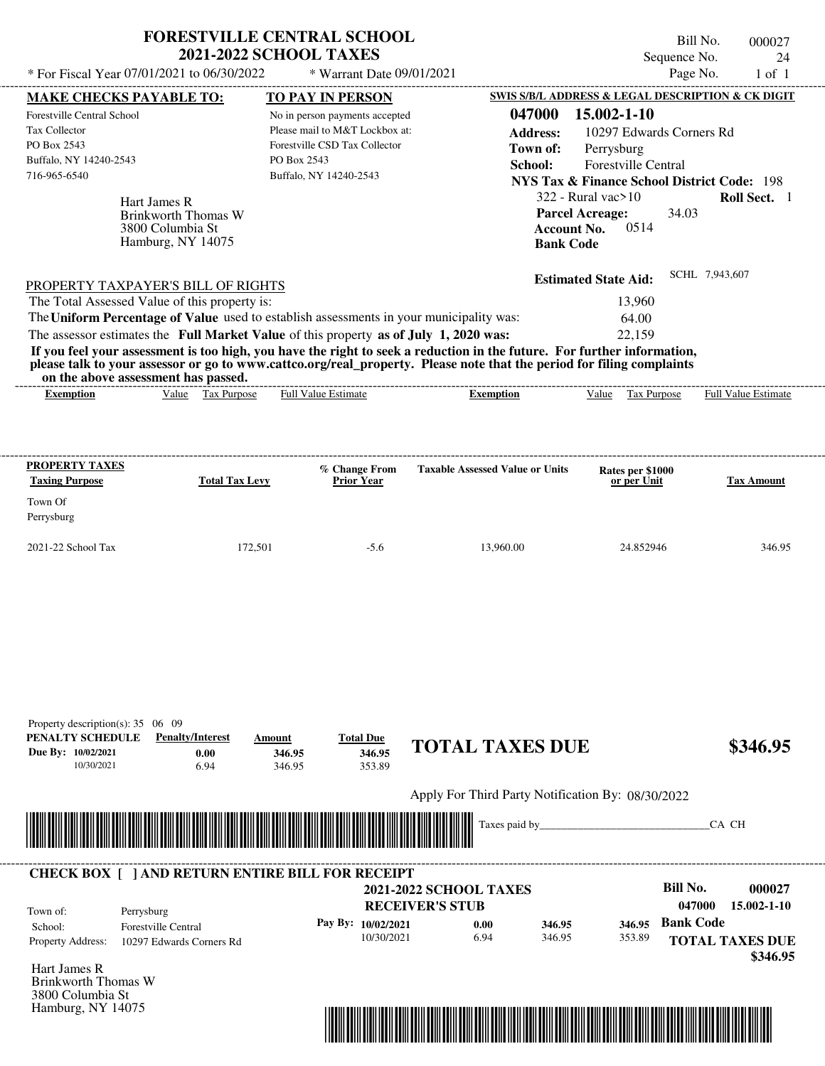| * For Fiscal Year 07/01/2021 to 06/30/2022<br>Page No.<br>* Warrant Date 09/01/2021<br><b>SWIS S/B/L ADDRESS &amp; LEGAL DESCRIPTION &amp; CK DIGIT</b><br><b>MAKE CHECKS PAYABLE TO:</b><br>TO PAY IN PERSON<br>15.002-1-10<br>047000<br><b>Forestville Central School</b><br>No in person payments accepted<br>Please mail to M&T Lockbox at:<br>Tax Collector<br>10297 Edwards Corners Rd<br><b>Address:</b><br>Forestville CSD Tax Collector<br>PO Box 2543<br>Perrysburg<br>Town of:<br>Buffalo, NY 14240-2543<br>PO Box 2543<br>Forestville Central<br>School:<br>716-965-6540<br>Buffalo, NY 14240-2543<br><b>NYS Tax &amp; Finance School District Code: 198</b><br>$322$ - Rural vac $>10$<br>Hart James R<br><b>Parcel Acreage:</b><br>34.03<br>Brinkworth Thomas W<br>0514<br>3800 Columbia St<br><b>Account No.</b><br>Hamburg, NY 14075<br><b>Bank Code</b><br>SCHL 7,943,607<br><b>Estimated State Aid:</b><br>PROPERTY TAXPAYER'S BILL OF RIGHTS<br>The Total Assessed Value of this property is:<br>13.960<br>The Uniform Percentage of Value used to establish assessments in your municipality was:<br>64.00<br>The assessor estimates the Full Market Value of this property as of July 1, 2020 was:<br>22.159<br>If you feel your assessment is too high, you have the right to seek a reduction in the future. For further information,<br>please talk to your assessor or go to www.cattco.org/real property. Please note that the period for filing complaints<br>on the above assessment has passed.<br>Tax Purpose<br>Value<br><b>Full Value Estimate</b><br>Tax Purpose<br><b>Exemption</b><br>Value<br><b>Exemption</b><br>% Change From<br><b>Taxable Assessed Value or Units</b><br>Rates per \$1000<br><b>Total Tax Levy</b><br><b>Prior Year</b><br>or per Unit<br>Town Of<br>Perrysburg |                                                | <b>FORESTVILLE CENTRAL SCHOOL</b><br><b>2021-2022 SCHOOL TAXES</b> | Sequence No. | Bill No.<br>000027<br>24   |
|-------------------------------------------------------------------------------------------------------------------------------------------------------------------------------------------------------------------------------------------------------------------------------------------------------------------------------------------------------------------------------------------------------------------------------------------------------------------------------------------------------------------------------------------------------------------------------------------------------------------------------------------------------------------------------------------------------------------------------------------------------------------------------------------------------------------------------------------------------------------------------------------------------------------------------------------------------------------------------------------------------------------------------------------------------------------------------------------------------------------------------------------------------------------------------------------------------------------------------------------------------------------------------------------------------------------------------------------------------------------------------------------------------------------------------------------------------------------------------------------------------------------------------------------------------------------------------------------------------------------------------------------------------------------------------------------------------------------------------------------------------------------------------------------------------------------------|------------------------------------------------|--------------------------------------------------------------------|--------------|----------------------------|
|                                                                                                                                                                                                                                                                                                                                                                                                                                                                                                                                                                                                                                                                                                                                                                                                                                                                                                                                                                                                                                                                                                                                                                                                                                                                                                                                                                                                                                                                                                                                                                                                                                                                                                                                                                                                                         |                                                |                                                                    |              | $1$ of $1$                 |
|                                                                                                                                                                                                                                                                                                                                                                                                                                                                                                                                                                                                                                                                                                                                                                                                                                                                                                                                                                                                                                                                                                                                                                                                                                                                                                                                                                                                                                                                                                                                                                                                                                                                                                                                                                                                                         |                                                |                                                                    |              |                            |
|                                                                                                                                                                                                                                                                                                                                                                                                                                                                                                                                                                                                                                                                                                                                                                                                                                                                                                                                                                                                                                                                                                                                                                                                                                                                                                                                                                                                                                                                                                                                                                                                                                                                                                                                                                                                                         |                                                |                                                                    |              |                            |
|                                                                                                                                                                                                                                                                                                                                                                                                                                                                                                                                                                                                                                                                                                                                                                                                                                                                                                                                                                                                                                                                                                                                                                                                                                                                                                                                                                                                                                                                                                                                                                                                                                                                                                                                                                                                                         |                                                |                                                                    |              |                            |
|                                                                                                                                                                                                                                                                                                                                                                                                                                                                                                                                                                                                                                                                                                                                                                                                                                                                                                                                                                                                                                                                                                                                                                                                                                                                                                                                                                                                                                                                                                                                                                                                                                                                                                                                                                                                                         |                                                |                                                                    |              |                            |
|                                                                                                                                                                                                                                                                                                                                                                                                                                                                                                                                                                                                                                                                                                                                                                                                                                                                                                                                                                                                                                                                                                                                                                                                                                                                                                                                                                                                                                                                                                                                                                                                                                                                                                                                                                                                                         |                                                |                                                                    |              |                            |
|                                                                                                                                                                                                                                                                                                                                                                                                                                                                                                                                                                                                                                                                                                                                                                                                                                                                                                                                                                                                                                                                                                                                                                                                                                                                                                                                                                                                                                                                                                                                                                                                                                                                                                                                                                                                                         |                                                |                                                                    |              |                            |
|                                                                                                                                                                                                                                                                                                                                                                                                                                                                                                                                                                                                                                                                                                                                                                                                                                                                                                                                                                                                                                                                                                                                                                                                                                                                                                                                                                                                                                                                                                                                                                                                                                                                                                                                                                                                                         |                                                |                                                                    |              | Roll Sect. 1               |
|                                                                                                                                                                                                                                                                                                                                                                                                                                                                                                                                                                                                                                                                                                                                                                                                                                                                                                                                                                                                                                                                                                                                                                                                                                                                                                                                                                                                                                                                                                                                                                                                                                                                                                                                                                                                                         |                                                |                                                                    |              |                            |
|                                                                                                                                                                                                                                                                                                                                                                                                                                                                                                                                                                                                                                                                                                                                                                                                                                                                                                                                                                                                                                                                                                                                                                                                                                                                                                                                                                                                                                                                                                                                                                                                                                                                                                                                                                                                                         |                                                |                                                                    |              |                            |
|                                                                                                                                                                                                                                                                                                                                                                                                                                                                                                                                                                                                                                                                                                                                                                                                                                                                                                                                                                                                                                                                                                                                                                                                                                                                                                                                                                                                                                                                                                                                                                                                                                                                                                                                                                                                                         |                                                |                                                                    |              |                            |
|                                                                                                                                                                                                                                                                                                                                                                                                                                                                                                                                                                                                                                                                                                                                                                                                                                                                                                                                                                                                                                                                                                                                                                                                                                                                                                                                                                                                                                                                                                                                                                                                                                                                                                                                                                                                                         |                                                |                                                                    |              |                            |
|                                                                                                                                                                                                                                                                                                                                                                                                                                                                                                                                                                                                                                                                                                                                                                                                                                                                                                                                                                                                                                                                                                                                                                                                                                                                                                                                                                                                                                                                                                                                                                                                                                                                                                                                                                                                                         |                                                |                                                                    |              |                            |
|                                                                                                                                                                                                                                                                                                                                                                                                                                                                                                                                                                                                                                                                                                                                                                                                                                                                                                                                                                                                                                                                                                                                                                                                                                                                                                                                                                                                                                                                                                                                                                                                                                                                                                                                                                                                                         |                                                |                                                                    |              |                            |
|                                                                                                                                                                                                                                                                                                                                                                                                                                                                                                                                                                                                                                                                                                                                                                                                                                                                                                                                                                                                                                                                                                                                                                                                                                                                                                                                                                                                                                                                                                                                                                                                                                                                                                                                                                                                                         |                                                |                                                                    |              |                            |
|                                                                                                                                                                                                                                                                                                                                                                                                                                                                                                                                                                                                                                                                                                                                                                                                                                                                                                                                                                                                                                                                                                                                                                                                                                                                                                                                                                                                                                                                                                                                                                                                                                                                                                                                                                                                                         |                                                |                                                                    |              |                            |
|                                                                                                                                                                                                                                                                                                                                                                                                                                                                                                                                                                                                                                                                                                                                                                                                                                                                                                                                                                                                                                                                                                                                                                                                                                                                                                                                                                                                                                                                                                                                                                                                                                                                                                                                                                                                                         |                                                |                                                                    |              |                            |
|                                                                                                                                                                                                                                                                                                                                                                                                                                                                                                                                                                                                                                                                                                                                                                                                                                                                                                                                                                                                                                                                                                                                                                                                                                                                                                                                                                                                                                                                                                                                                                                                                                                                                                                                                                                                                         |                                                |                                                                    |              | <b>Full Value Estimate</b> |
|                                                                                                                                                                                                                                                                                                                                                                                                                                                                                                                                                                                                                                                                                                                                                                                                                                                                                                                                                                                                                                                                                                                                                                                                                                                                                                                                                                                                                                                                                                                                                                                                                                                                                                                                                                                                                         | <b>PROPERTY TAXES</b><br><b>Taxing Purpose</b> |                                                                    |              | <b>Tax Amount</b>          |
|                                                                                                                                                                                                                                                                                                                                                                                                                                                                                                                                                                                                                                                                                                                                                                                                                                                                                                                                                                                                                                                                                                                                                                                                                                                                                                                                                                                                                                                                                                                                                                                                                                                                                                                                                                                                                         |                                                |                                                                    |              |                            |
| 2021-22 School Tax<br>172,501<br>$-5.6$<br>13,960.00<br>24.852946<br>346.95                                                                                                                                                                                                                                                                                                                                                                                                                                                                                                                                                                                                                                                                                                                                                                                                                                                                                                                                                                                                                                                                                                                                                                                                                                                                                                                                                                                                                                                                                                                                                                                                                                                                                                                                             |                                                |                                                                    |              |                            |

| Property description(s): $35 \quad 06 \quad 09$ |                         |               |                  |                        |          |
|-------------------------------------------------|-------------------------|---------------|------------------|------------------------|----------|
| PENALTY SCHEDULE                                | <b>Penalty/Interest</b> | <u>Amount</u> | <b>Total Due</b> |                        |          |
| Due By: 10/02/2021                              | 0.00                    | 346.95        | 346.95           | <b>TOTAL TAXES DUE</b> | \$346.95 |
| 10/30/2021                                      | 6.94                    | 346.95        | 353.89           |                        |          |
|                                                 |                         |               |                  |                        |          |

Apply For Third Party Notification By: 08/30/2022



| Town of:          | Perrysburg                 | <b>2021-2022 SCHOOL TAXES</b><br><b>RECEIVER'S STUB</b> |      |        |        | Bill No.<br>047000 | 000027<br>$15.002 - 1 - 10$ |
|-------------------|----------------------------|---------------------------------------------------------|------|--------|--------|--------------------|-----------------------------|
| School:           | <b>Forestville Central</b> | Pay By: $10/02/2021$                                    | 0.00 | 346.95 | 346.95 | <b>Bank Code</b>   |                             |
| Property Address: | 10297 Edwards Corners Rd   | 10/30/2021                                              | 6.94 | 346.95 | 353.89 |                    | <b>TOTAL TAXES DUE</b>      |
|                   |                            |                                                         |      |        |        |                    | \$346.95                    |

Hart James R Brinkworth Thomas W 3800 Columbia St Hamburg, NY 14075

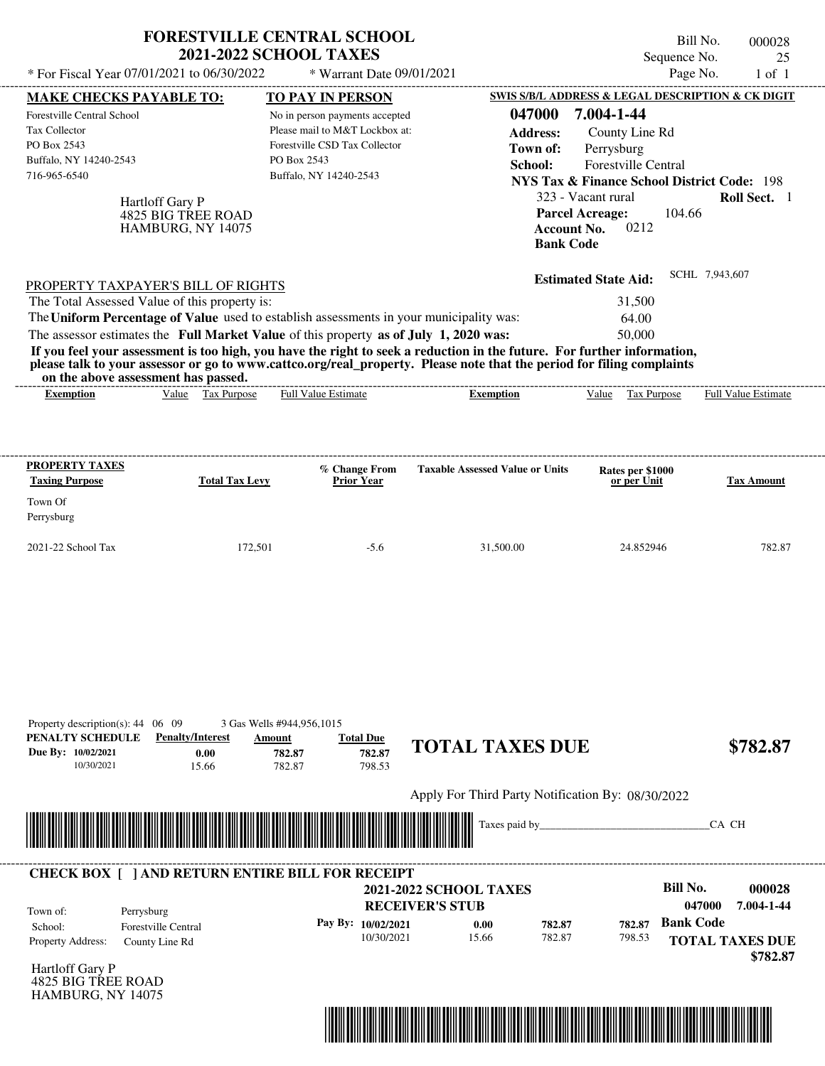| * For Fiscal Year 07/01/2021 to 06/30/2022                                                                                                                                                                                                                                                                                                                                                                                                                                                                                                                         | <b>FORESTVILLE CENTRAL SCHOOL</b><br><b>2021-2022 SCHOOL TAXES</b>                                                                         | * Warrant Date 09/01/2021                                  |                                                                                                                      | Bill No.<br>Sequence No.<br>Page No.                                                                                                                                | 000028<br>25<br>$1$ of $1$                                 |
|--------------------------------------------------------------------------------------------------------------------------------------------------------------------------------------------------------------------------------------------------------------------------------------------------------------------------------------------------------------------------------------------------------------------------------------------------------------------------------------------------------------------------------------------------------------------|--------------------------------------------------------------------------------------------------------------------------------------------|------------------------------------------------------------|----------------------------------------------------------------------------------------------------------------------|---------------------------------------------------------------------------------------------------------------------------------------------------------------------|------------------------------------------------------------|
| <b>MAKE CHECKS PAYABLE TO:</b>                                                                                                                                                                                                                                                                                                                                                                                                                                                                                                                                     | <b>TO PAY IN PERSON</b>                                                                                                                    |                                                            |                                                                                                                      | SWIS S/B/L ADDRESS & LEGAL DESCRIPTION & CK DIGIT                                                                                                                   |                                                            |
| <b>Forestville Central School</b><br>Tax Collector<br>PO Box 2543<br>Buffalo, NY 14240-2543<br>716-965-6540<br>Hartloff Gary P<br>4825 BIG TREE ROAD<br>HAMBURG, NY 14075                                                                                                                                                                                                                                                                                                                                                                                          | No in person payments accepted<br>Please mail to M&T Lockbox at:<br>Forestville CSD Tax Collector<br>PO Box 2543<br>Buffalo, NY 14240-2543 |                                                            | 047000<br><b>Address:</b><br>Town of:<br>School:<br><b>Parcel Acreage:</b><br><b>Account No.</b><br><b>Bank Code</b> | 7.004-1-44<br>County Line Rd<br>Perrysburg<br>Forestville Central<br><b>NYS Tax &amp; Finance School District Code: 198</b><br>323 - Vacant rural<br>104.66<br>0212 | Roll Sect. 1                                               |
| PROPERTY TAXPAYER'S BILL OF RIGHTS<br>The Total Assessed Value of this property is:<br>The Uniform Percentage of Value used to establish assessments in your municipality was:<br>The assessor estimates the Full Market Value of this property as of July 1, 2020 was:<br>If you feel your assessment is too high, you have the right to seek a reduction in the future. For further information,<br>please talk to your assessor or go to www.cattco.org/real_property. Please note that the period for filing complaints<br>on the above assessment has passed. |                                                                                                                                            |                                                            |                                                                                                                      | <b>Estimated State Aid:</b><br>31,500<br>64.00<br>50,000                                                                                                            | SCHL 7,943,607                                             |
| Value Tax Purpose<br><b>Exemption</b>                                                                                                                                                                                                                                                                                                                                                                                                                                                                                                                              | <b>Full Value Estimate</b>                                                                                                                 |                                                            | <b>Exemption</b>                                                                                                     | Value<br>Tax Purpose                                                                                                                                                | Full Value Estimate                                        |
| PROPERTY TAXES<br><b>Taxing Purpose</b><br>Town Of<br>Perrysburg<br>2021-22 School Tax                                                                                                                                                                                                                                                                                                                                                                                                                                                                             | <b>Total Tax Levy</b><br>172,501                                                                                                           | % Change From<br><b>Prior Year</b><br>$-5.6$               | <b>Taxable Assessed Value or Units</b><br>31,500.00                                                                  | Rates per \$1000<br>or per Unit<br>24.852946                                                                                                                        | <b>Tax Amount</b><br>782.87                                |
| Property description(s): $44 \quad 06 \quad 09$<br>PENALTY SCHEDULE<br><b>Penalty/Interest</b><br>Due By: 10/02/2021<br>0.00<br>10/30/2021<br>15.66                                                                                                                                                                                                                                                                                                                                                                                                                | 3 Gas Wells #944,956,1015<br>Amount<br>782.87<br>782.87                                                                                    | <b>Total Due</b><br>782.87<br>798.53                       | <b>TOTAL TAXES DUE</b>                                                                                               |                                                                                                                                                                     | \$782.87                                                   |
|                                                                                                                                                                                                                                                                                                                                                                                                                                                                                                                                                                    |                                                                                                                                            |                                                            | Apply For Third Party Notification By: 08/30/2022<br>Taxes paid by_                                                  |                                                                                                                                                                     | CA CH                                                      |
| <b>CHECK BOX [ ] AND RETURN ENTIRE BILL FOR RECEIPT</b><br>Town of:<br>Perrysburg<br>Forestville Central<br>School:<br>Property Address:<br>County Line Rd                                                                                                                                                                                                                                                                                                                                                                                                         |                                                                                                                                            | <b>RECEIVER'S STUB</b><br>Pay By: 10/02/2021<br>10/30/2021 | <b>2021-2022 SCHOOL TAXES</b><br>782.87<br>0.00<br>15.66<br>782.87                                                   | <b>Bill No.</b><br>047000<br><b>Bank Code</b><br>782.87<br>798.53                                                                                                   | 000028<br>7.004-1-44<br><b>TOTAL TAXES DUE</b><br>\$782.87 |

Hartloff Gary P 4825 BIG TREE ROAD HAMBURG, NY 14075

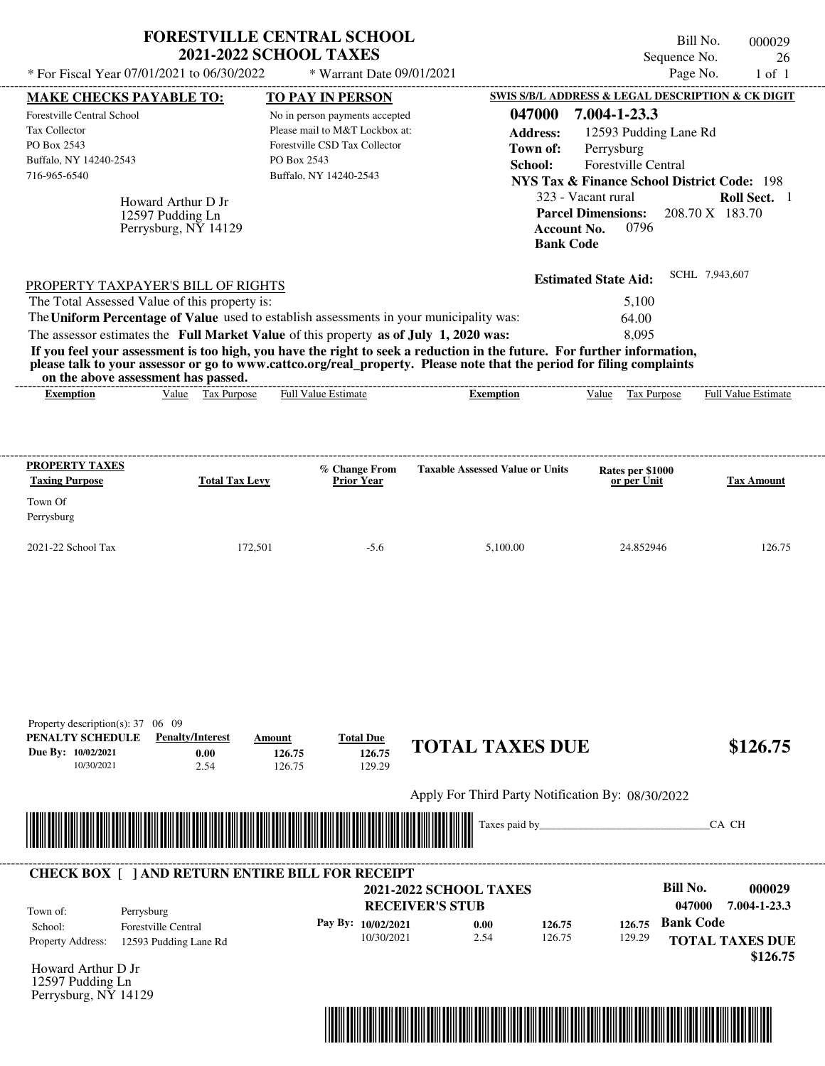| * For Fiscal Year 07/01/2021 to 06/30/2022                                                                                             |                                                                | <b>FORESTVILLE CENTRAL SCHOOL</b><br><b>2021-2022 SCHOOL TAXES</b><br>* Warrant Date 09/01/2021                                                                                  |                                                                                                                                                                                                                                                  | Sequence No.<br>Page No.                                                                                                                                                                                                                                                                       | Bill No.<br>000029<br>26<br>$1$ of $1$                       |
|----------------------------------------------------------------------------------------------------------------------------------------|----------------------------------------------------------------|----------------------------------------------------------------------------------------------------------------------------------------------------------------------------------|--------------------------------------------------------------------------------------------------------------------------------------------------------------------------------------------------------------------------------------------------|------------------------------------------------------------------------------------------------------------------------------------------------------------------------------------------------------------------------------------------------------------------------------------------------|--------------------------------------------------------------|
|                                                                                                                                        |                                                                |                                                                                                                                                                                  |                                                                                                                                                                                                                                                  |                                                                                                                                                                                                                                                                                                |                                                              |
| <b>MAKE CHECKS PAYABLE TO:</b><br>Forestville Central School<br>Tax Collector<br>PO Box 2543<br>Buffalo, NY 14240-2543<br>716-965-6540 | Howard Arthur D Jr<br>12597 Pudding Ln<br>Perrysburg, NY 14129 | TO PAY IN PERSON<br>No in person payments accepted<br>Please mail to M&T Lockbox at:<br>Forestville CSD Tax Collector<br>PO Box 2543<br>Buffalo, NY 14240-2543                   | 047000<br><b>Address:</b><br>Town of:<br>School:                                                                                                                                                                                                 | SWIS S/B/L ADDRESS & LEGAL DESCRIPTION & CK DIGIT<br>7.004-1-23.3<br>12593 Pudding Lane Rd<br>Perrysburg<br>Forestville Central<br><b>NYS Tax &amp; Finance School District Code: 198</b><br>323 - Vacant rural<br><b>Parcel Dimensions:</b><br>0796<br><b>Account No.</b><br><b>Bank Code</b> | Roll Sect. 1<br>208.70 X 183.70                              |
| PROPERTY TAXPAYER'S BILL OF RIGHTS<br>The Total Assessed Value of this property is:<br>on the above assessment has passed.             |                                                                | The Uniform Percentage of Value used to establish assessments in your municipality was:<br>The assessor estimates the Full Market Value of this property as of July 1, 2020 was: | If you feel your assessment is too high, you have the right to seek a reduction in the future. For further information,<br>please talk to your assessor or go to www.cattco.org/real_property. Please note that the period for filing complaints | <b>Estimated State Aid:</b><br>5,100<br>64.00<br>8.095                                                                                                                                                                                                                                         | SCHL 7,943,607                                               |
| Exemption                                                                                                                              | Value Tax Purpose                                              | <b>Full Value Estimate</b>                                                                                                                                                       | <b>Exemption</b>                                                                                                                                                                                                                                 | Value<br>Tax Purpose                                                                                                                                                                                                                                                                           | <b>Full Value Estimate</b>                                   |
| <b>PROPERTY TAXES</b><br><b>Taxing Purpose</b><br>Town Of<br>Perrysburg                                                                | <b>Total Tax Levy</b>                                          | % Change From<br><b>Prior Year</b>                                                                                                                                               | <b>Taxable Assessed Value or Units</b>                                                                                                                                                                                                           | Rates per \$1000<br>or per Unit                                                                                                                                                                                                                                                                | <b>Tax Amount</b>                                            |
| 2021-22 School Tax                                                                                                                     | 172,501                                                        | $-5.6$                                                                                                                                                                           | 5,100.00                                                                                                                                                                                                                                         | 24.852946                                                                                                                                                                                                                                                                                      | 126.75                                                       |
| Property description(s): $37 \quad 06 \quad 09$<br>PENALTY SCHEDULE<br>Due By: 10/02/2021<br>10/30/2021                                | <b>Penalty/Interest</b><br>0.00<br>2.54                        | <b>Total Due</b><br>Amount<br>126.75<br>126.75<br>126.75<br>129.29                                                                                                               | <b>TOTAL TAXES DUE</b>                                                                                                                                                                                                                           |                                                                                                                                                                                                                                                                                                | \$126.75                                                     |
|                                                                                                                                        |                                                                |                                                                                                                                                                                  | Apply For Third Party Notification By: 08/30/2022<br>Taxes paid by____                                                                                                                                                                           |                                                                                                                                                                                                                                                                                                | CA CH                                                        |
|                                                                                                                                        |                                                                | <b>CHECK BOX [ ] AND RETURN ENTIRE BILL FOR RECEIPT</b>                                                                                                                          |                                                                                                                                                                                                                                                  |                                                                                                                                                                                                                                                                                                |                                                              |
| Town of:<br>Perrysburg<br>School:<br>Property Address:                                                                                 | Forestville Central<br>12593 Pudding Lane Rd                   | Pay By: 10/02/2021<br>10/30/2021                                                                                                                                                 | <b>2021-2022 SCHOOL TAXES</b><br><b>RECEIVER'S STUB</b><br>0.00<br>126.75<br>2.54<br>126.75                                                                                                                                                      | <b>Bill No.</b><br>047000<br><b>Bank Code</b><br>126.75<br>129.29                                                                                                                                                                                                                              | 000029<br>7.004-1-23.3<br><b>TOTAL TAXES DUE</b><br>\$126.75 |

Howard Arthur D Jr 12597 Pudding Ln Perrysburg, NY 14129

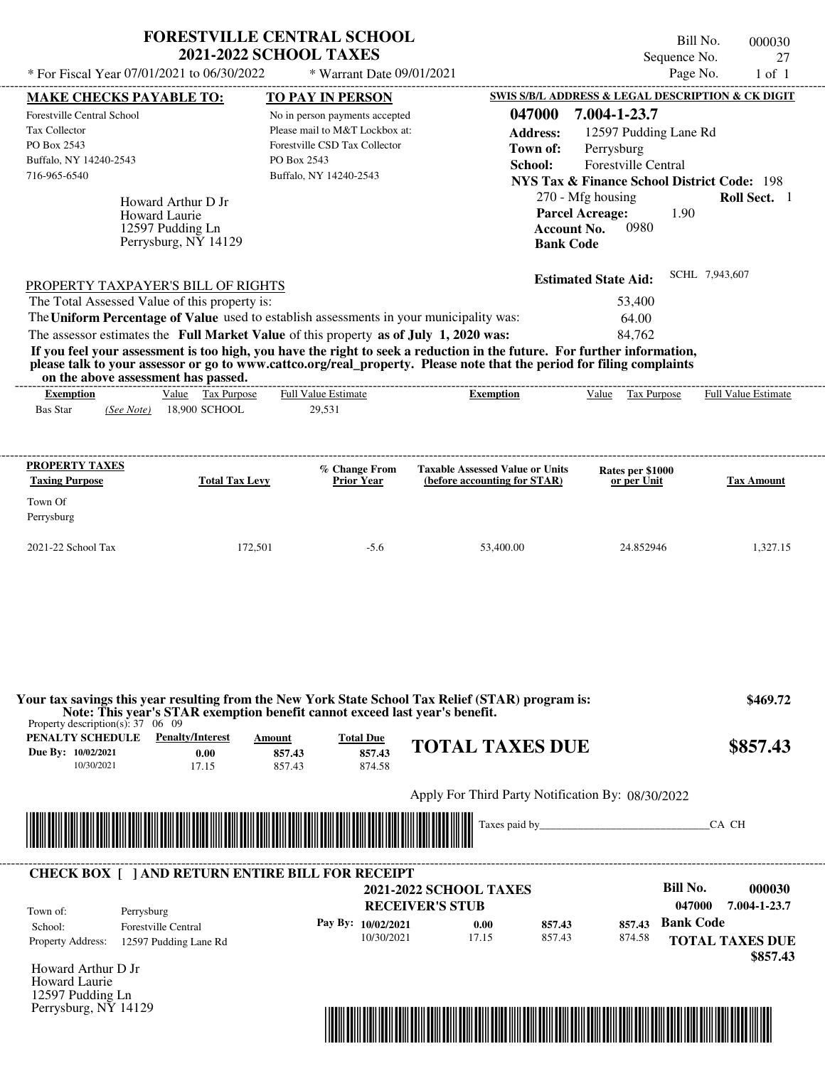|                                                                                                                            |                                                                                                | <b>FORESTVILLE CENTRAL SCHOOL</b>                                                                                                                                                |                                                                                                                                                                                                                                                  |                                                                                                                                                                                                                                  | Bill No.<br>000030         |
|----------------------------------------------------------------------------------------------------------------------------|------------------------------------------------------------------------------------------------|----------------------------------------------------------------------------------------------------------------------------------------------------------------------------------|--------------------------------------------------------------------------------------------------------------------------------------------------------------------------------------------------------------------------------------------------|----------------------------------------------------------------------------------------------------------------------------------------------------------------------------------------------------------------------------------|----------------------------|
|                                                                                                                            |                                                                                                | <b>2021-2022 SCHOOL TAXES</b>                                                                                                                                                    |                                                                                                                                                                                                                                                  | Sequence No.                                                                                                                                                                                                                     | 27                         |
| * For Fiscal Year 07/01/2021 to 06/30/2022                                                                                 |                                                                                                | * Warrant Date 09/01/2021                                                                                                                                                        |                                                                                                                                                                                                                                                  |                                                                                                                                                                                                                                  | Page No.<br>$1$ of $1$     |
| <b>MAKE CHECKS PAYABLE TO:</b>                                                                                             |                                                                                                | <b>TO PAY IN PERSON</b>                                                                                                                                                          |                                                                                                                                                                                                                                                  | SWIS S/B/L ADDRESS & LEGAL DESCRIPTION & CK DIGIT                                                                                                                                                                                |                            |
| <b>Forestville Central School</b><br><b>Tax Collector</b><br>PO Box 2543<br>Buffalo, NY 14240-2543<br>716-965-6540         | Howard Arthur D Jr<br><b>Howard Laurie</b><br>12597 Pudding Ln<br>Perrysburg, $N\bar{Y}$ 14129 | No in person payments accepted<br>Please mail to M&T Lockbox at:<br>Forestville CSD Tax Collector<br>PO Box 2543<br>Buffalo, NY 14240-2543                                       | 047000<br><b>Address:</b><br>Town of:<br>School:<br><b>Bank Code</b>                                                                                                                                                                             | 7.004-1-23.7<br>12597 Pudding Lane Rd<br>Perrysburg<br><b>Forestville Central</b><br><b>NYS Tax &amp; Finance School District Code: 198</b><br>270 - Mfg housing<br><b>Parcel Acreage:</b><br>1.90<br>0980<br><b>Account No.</b> | Roll Sect. 1               |
| PROPERTY TAXPAYER'S BILL OF RIGHTS<br>The Total Assessed Value of this property is:<br>on the above assessment has passed. |                                                                                                | The Uniform Percentage of Value used to establish assessments in your municipality was:<br>The assessor estimates the Full Market Value of this property as of July 1, 2020 was: | If you feel your assessment is too high, you have the right to seek a reduction in the future. For further information,<br>please talk to your assessor or go to www.cattco.org/real_property. Please note that the period for filing complaints | <b>Estimated State Aid:</b><br>53,400<br>64.00<br>84.762                                                                                                                                                                         | SCHL 7.943.607             |
| <b>Exemption</b>                                                                                                           | Value Tax Purpose                                                                              | <b>Full Value Estimate</b>                                                                                                                                                       | <b>Exemption</b>                                                                                                                                                                                                                                 | Value Tax Purpose                                                                                                                                                                                                                | <b>Full Value Estimate</b> |
| <b>Bas Star</b><br>PROPERTY TAXES                                                                                          | (See Note) 18.900 SCHOOL                                                                       | 29.531<br>% Change From<br><b>Prior Year</b>                                                                                                                                     | <b>Taxable Assessed Value or Units</b>                                                                                                                                                                                                           | Rates per \$1000                                                                                                                                                                                                                 |                            |
| <b>Taxing Purpose</b><br>Town Of<br>Perrysburg                                                                             | <b>Total Tax Levy</b>                                                                          |                                                                                                                                                                                  | (before accounting for STAR)                                                                                                                                                                                                                     | or per Unit                                                                                                                                                                                                                      | <b>Tax Amount</b>          |
| 2021-22 School Tax                                                                                                         | 172,501                                                                                        | $-5.6$                                                                                                                                                                           | 53.400.00                                                                                                                                                                                                                                        | 24.852946                                                                                                                                                                                                                        | 1.327.15                   |

| PENALTY SCHEDULE                 | Property description(s): $37 \quad 06 \quad 09$<br><b>Penalty/Interest</b> | Amount           | <b>Total Due</b>   |                                                         |               |        |                                              |
|----------------------------------|----------------------------------------------------------------------------|------------------|--------------------|---------------------------------------------------------|---------------|--------|----------------------------------------------|
| Due By: 10/02/2021<br>10/30/2021 | 0.00<br>17.15                                                              | 857.43<br>857.43 | 857.43<br>874.58   | <b>TOTAL TAXES DUE</b>                                  |               |        | \$857.43                                     |
|                                  |                                                                            |                  |                    | Apply For Third Party Notification By: 08/30/2022       |               |        |                                              |
|                                  |                                                                            |                  |                    |                                                         |               |        |                                              |
|                                  |                                                                            |                  |                    |                                                         | Taxes paid by |        | CA CH                                        |
|                                  | <b>CHECK BOX [ ] AND RETURN ENTIRE BILL FOR RECEIPT</b>                    |                  |                    |                                                         |               |        |                                              |
|                                  |                                                                            |                  |                    | <b>2021-2022 SCHOOL TAXES</b><br><b>RECEIVER'S STUB</b> |               |        | Bill No.<br>000030<br>047000<br>7.004-1-23.7 |
| Town of:<br>School:              | Perrysburg<br><b>Forestville Central</b>                                   |                  | Pay By: 10/02/2021 | 0.00                                                    | 857.43        | 857.43 | <b>Bank Code</b>                             |

Perrysburg, NY 14129

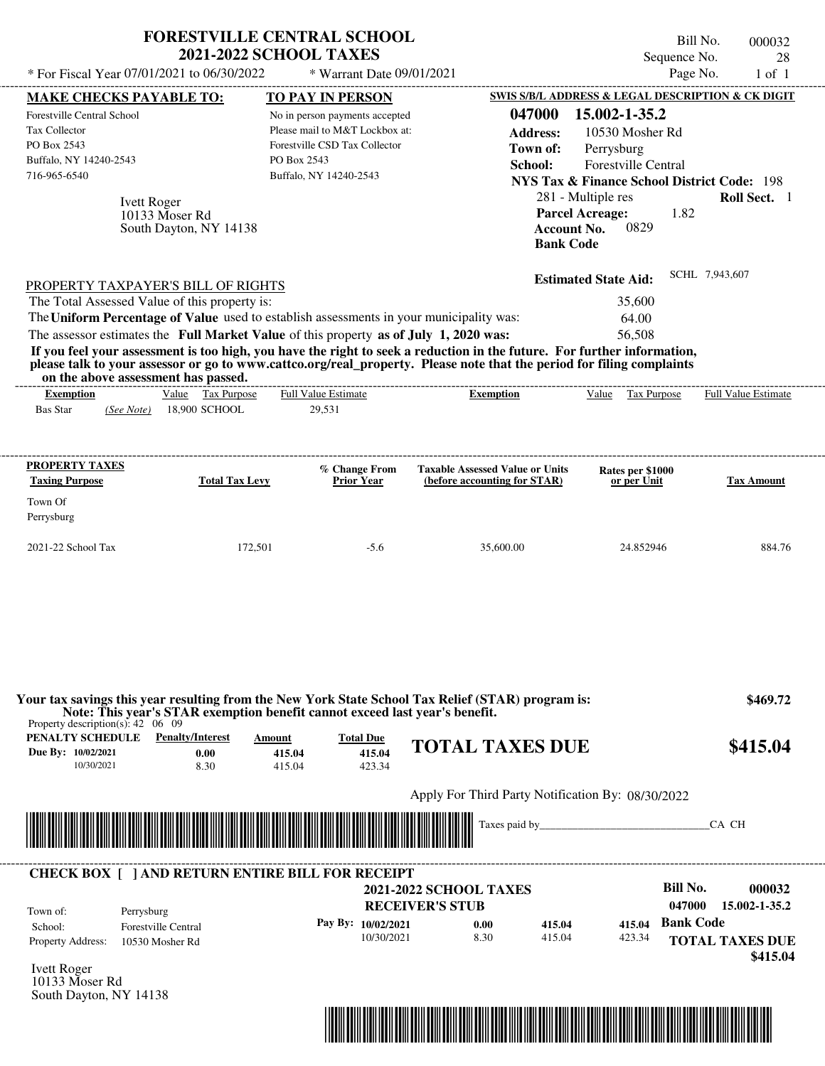| * For Fiscal Year 07/01/2021 to 06/30/2022                                                                                                                                                                                                                                                                     | <b>FORESTVILLE CENTRAL SCHOOL</b><br><b>2021-2022 SCHOOL TAXES</b>                                                        | * Warrant Date 09/01/2021                                                                                                                                             |                                                                                                                                                                                                                                                  | Sequence No.<br>Page No.                                                                                                                                                                                                                                                   | Bill No.<br>000032<br>28<br>$1$ of $1$                        |
|----------------------------------------------------------------------------------------------------------------------------------------------------------------------------------------------------------------------------------------------------------------------------------------------------------------|---------------------------------------------------------------------------------------------------------------------------|-----------------------------------------------------------------------------------------------------------------------------------------------------------------------|--------------------------------------------------------------------------------------------------------------------------------------------------------------------------------------------------------------------------------------------------|----------------------------------------------------------------------------------------------------------------------------------------------------------------------------------------------------------------------------------------------------------------------------|---------------------------------------------------------------|
| <b>MAKE CHECKS PAYABLE TO:</b><br><b>Forestville Central School</b><br>Tax Collector<br>PO Box 2543<br>Buffalo, NY 14240-2543<br>716-965-6540<br><b>Ivett Roger</b><br>10133 Moser Rd                                                                                                                          | South Dayton, NY 14138                                                                                                    | <b>TO PAY IN PERSON</b><br>No in person payments accepted<br>Please mail to M&T Lockbox at:<br>Forestville CSD Tax Collector<br>PO Box 2543<br>Buffalo, NY 14240-2543 | 047000<br><b>Address:</b><br>Town of:<br>School:<br><b>Bank Code</b>                                                                                                                                                                             | SWIS S/B/L ADDRESS & LEGAL DESCRIPTION & CK DIGIT<br>15.002-1-35.2<br>10530 Mosher Rd<br>Perrysburg<br>Forestville Central<br><b>NYS Tax &amp; Finance School District Code: 198</b><br>281 - Multiple res<br><b>Parcel Acreage:</b><br>1.82<br>0829<br><b>Account No.</b> | Roll Sect. 1                                                  |
| PROPERTY TAXPAYER'S BILL OF RIGHTS<br>The Total Assessed Value of this property is:<br>The Uniform Percentage of Value used to establish assessments in your municipality was:<br>The assessor estimates the Full Market Value of this property as of July 1, 2020 was:<br>on the above assessment has passed. |                                                                                                                           | -------------------------                                                                                                                                             | If you feel your assessment is too high, you have the right to seek a reduction in the future. For further information,<br>please talk to your assessor or go to www.cattco.org/real_property. Please note that the period for filing complaints | <b>Estimated State Aid:</b><br>35,600<br>64.00<br>56,508                                                                                                                                                                                                                   | SCHL 7,943,607                                                |
| <b>Exemption</b><br><b>Bas Star</b><br>(See Note)                                                                                                                                                                                                                                                              | Value Tax Purpose<br>18,900 SCHOOL                                                                                        | <b>Full Value Estimate</b><br>29,531                                                                                                                                  | <b>Exemption</b>                                                                                                                                                                                                                                 | Value Tax Purpose                                                                                                                                                                                                                                                          | <b>Full Value Estimate</b>                                    |
| <b>PROPERTY TAXES</b><br><b>Taxing Purpose</b><br>Town Of<br>Perrysburg<br>2021-22 School Tax                                                                                                                                                                                                                  | <b>Total Tax Levy</b><br>172,501                                                                                          | % Change From<br><b>Prior Year</b><br>$-5.6$                                                                                                                          | <b>Taxable Assessed Value or Units</b><br>(before accounting for STAR)<br>35,600.00                                                                                                                                                              | Rates per \$1000<br>or per Unit<br>24.852946                                                                                                                                                                                                                               | <b>Tax Amount</b><br>884.76                                   |
| Property description(s): $42 \quad 06 \quad 09$<br><b>PENALTY SCHEDULE</b> Penalty/Interest<br>Due By: 10/02/2021<br>10/30/2021                                                                                                                                                                                | Note: This year's STAR exemption benefit cannot exceed last year's benefit.<br>Amount<br>0.00<br>415.04<br>8.30<br>415.04 | <b>Total Due</b><br>415.04<br>423.34                                                                                                                                  | Your tax savings this year resulting from the New York State School Tax Relief (STAR) program is:<br><b>TOTAL TAXES DUE</b>                                                                                                                      |                                                                                                                                                                                                                                                                            | \$469.72<br>\$415.04                                          |
|                                                                                                                                                                                                                                                                                                                |                                                                                                                           |                                                                                                                                                                       | Apply For Third Party Notification By: 08/30/2022                                                                                                                                                                                                |                                                                                                                                                                                                                                                                            | CA CH                                                         |
| <b>CHECK BOX [ ] AND RETURN ENTIRE BILL FOR RECEIPT</b><br>Town of:<br>Perrysburg<br><b>Forestville Central</b><br>School:<br><b>Property Address:</b><br>10530 Mosher Rd<br><b>Ivett Roger</b><br>10133 Moser Rd<br>South Dayton, NY 14138                                                                    |                                                                                                                           | Pay By: 10/02/2021<br>10/30/2021                                                                                                                                      | <b>2021-2022 SCHOOL TAXES</b><br><b>RECEIVER'S STUB</b><br>0.00<br>415.04<br>8.30<br>415.04                                                                                                                                                      | <b>Bill No.</b><br>047000<br><b>Bank Code</b><br>415.04<br>423.34                                                                                                                                                                                                          | 000032<br>15.002-1-35.2<br><b>TOTAL TAXES DUE</b><br>\$415.04 |

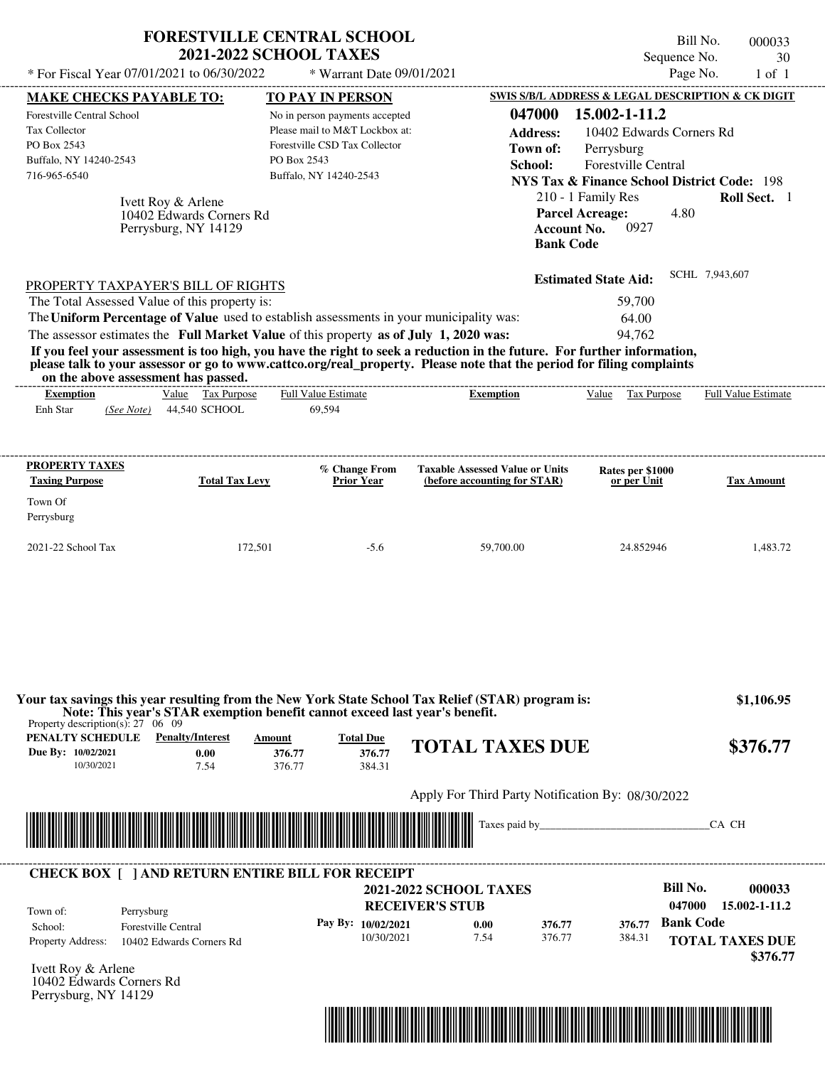| * For Fiscal Year 07/01/2021 to 06/30/2022                                                           |                                                                        | * Warrant Date 09/01/2021                                                                                                                                                                                                                                                                                                                                                                                                            |                                                                        | Sequence No.                                                                                                                             | 30<br>Page No.<br>$1$ of $1$ |
|------------------------------------------------------------------------------------------------------|------------------------------------------------------------------------|--------------------------------------------------------------------------------------------------------------------------------------------------------------------------------------------------------------------------------------------------------------------------------------------------------------------------------------------------------------------------------------------------------------------------------------|------------------------------------------------------------------------|------------------------------------------------------------------------------------------------------------------------------------------|------------------------------|
| <b>MAKE CHECKS PAYABLE TO:</b>                                                                       |                                                                        | <b>TO PAY IN PERSON</b>                                                                                                                                                                                                                                                                                                                                                                                                              |                                                                        | SWIS S/B/L ADDRESS & LEGAL DESCRIPTION & CK DIGIT                                                                                        |                              |
| Forestville Central School<br>Tax Collector<br>PO Box 2543<br>Buffalo, NY 14240-2543<br>716-965-6540 |                                                                        | No in person payments accepted<br>Please mail to M&T Lockbox at:<br>Forestville CSD Tax Collector<br>PO Box 2543<br>Buffalo, NY 14240-2543                                                                                                                                                                                                                                                                                           | 047000<br><b>Address:</b><br>Town of:<br>School:                       | 15.002-1-11.2<br>10402 Edwards Corners Rd<br>Perrysburg<br>Forestville Central<br><b>NYS Tax &amp; Finance School District Code: 198</b> |                              |
|                                                                                                      | Ivett Roy & Arlene<br>10402 Edwards Corners Rd<br>Perrysburg, NY 14129 |                                                                                                                                                                                                                                                                                                                                                                                                                                      |                                                                        | 210 - 1 Family Res<br><b>Parcel Acreage:</b><br>0927<br><b>Account No.</b><br><b>Bank Code</b>                                           | Roll Sect. 1<br>4.80         |
|                                                                                                      |                                                                        |                                                                                                                                                                                                                                                                                                                                                                                                                                      |                                                                        |                                                                                                                                          | SCHL 7,943,607               |
| PROPERTY TAXPAYER'S BILL OF RIGHTS<br>The Total Assessed Value of this property is:                  |                                                                        | The Uniform Percentage of Value used to establish assessments in your municipality was:<br>The assessor estimates the Full Market Value of this property as of July 1, 2020 was:<br>If you feel your assessment is too high, you have the right to seek a reduction in the future. For further information,<br>please talk to your assessor or go to www.cattco.org/real_property. Please note that the period for filing complaints |                                                                        | <b>Estimated State Aid:</b><br>59,700<br>64.00<br>94,762                                                                                 |                              |
| on the above assessment has passed.<br><b>Exemption</b>                                              | Value Tax Purpose                                                      | <b>Full Value Estimate</b>                                                                                                                                                                                                                                                                                                                                                                                                           | <b>Exemption</b>                                                       | Tax Purpose<br>Value                                                                                                                     | <b>Full Value Estimate</b>   |
| Enh Star                                                                                             | (See Note) 44.540 SCHOOL                                               | 69.594                                                                                                                                                                                                                                                                                                                                                                                                                               |                                                                        |                                                                                                                                          |                              |
| <b>PROPERTY TAXES</b><br><b>Taxing Purpose</b>                                                       | <b>Total Tax Levy</b>                                                  | % Change From<br><b>Prior Year</b>                                                                                                                                                                                                                                                                                                                                                                                                   | <b>Taxable Assessed Value or Units</b><br>(before accounting for STAR) | Rates per \$1000<br>or per Unit                                                                                                          | <b>Tax Amount</b>            |
| Town Of                                                                                              |                                                                        |                                                                                                                                                                                                                                                                                                                                                                                                                                      |                                                                        |                                                                                                                                          |                              |
| Perrysburg                                                                                           |                                                                        |                                                                                                                                                                                                                                                                                                                                                                                                                                      |                                                                        |                                                                                                                                          |                              |

| PENALTY SCHEDULE<br>Due By: 10/02/2021<br>10/30/2021 | <b>Penalty/Interest</b><br>0.00<br>7.54                 | Amount<br>376.77<br>376.77                      | <b>Total Due</b><br>376.77<br>384.31 | <b>TOTAL TAXES DUE</b>                            |               |        | \$376.77                                    |  |
|------------------------------------------------------|---------------------------------------------------------|-------------------------------------------------|--------------------------------------|---------------------------------------------------|---------------|--------|---------------------------------------------|--|
|                                                      |                                                         |                                                 |                                      | Apply For Third Party Notification By: 08/30/2022 |               |        |                                             |  |
|                                                      |                                                         | <u> 1999 - Johann Barnett, fransk politik (</u> |                                      |                                                   | Taxes paid by |        | CA CH                                       |  |
|                                                      | <b>CHECK BOX [ ] AND RETURN ENTIRE BILL FOR RECEIPT</b> |                                                 |                                      | <b>2021-2022 SCHOOL TAXES</b>                     |               |        | <b>Bill No.</b><br>000033                   |  |
| Town of:<br>School:                                  | Perrysburg<br><b>Forestville Central</b>                |                                                 | Pay By: 10/02/2021                   | <b>RECEIVER'S STUB</b><br>0.00                    | 376.77        | 376.77 | 15.002-1-11.2<br>047000<br><b>Bank Code</b> |  |

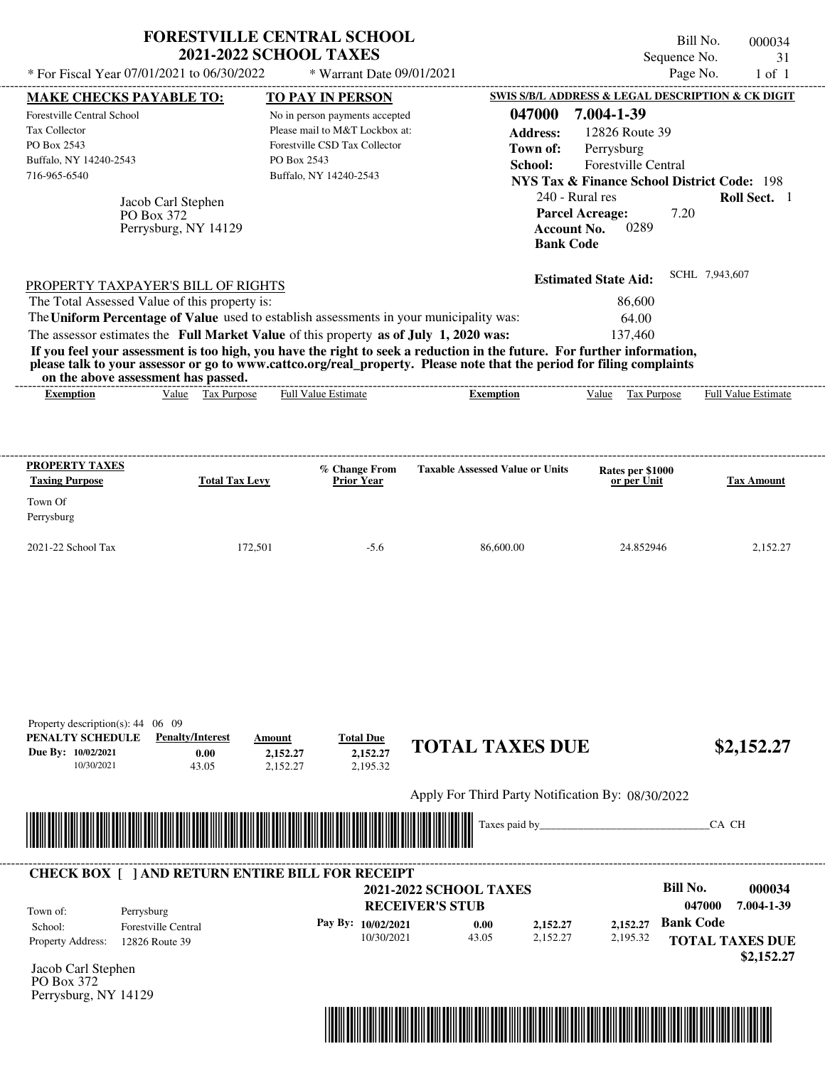|                                                                                                                                                      | <b>FORESTVILLE CENTRAL SCHOOL</b><br><b>2021-2022 SCHOOL TAXES</b>                                                                                                               |                                                                                                                                                                |                                                                                                                                                                                                                                                  | Sequence No.                                                                                                                                                                                                                                                        | Bill No.<br>000034<br>31   |
|------------------------------------------------------------------------------------------------------------------------------------------------------|----------------------------------------------------------------------------------------------------------------------------------------------------------------------------------|----------------------------------------------------------------------------------------------------------------------------------------------------------------|--------------------------------------------------------------------------------------------------------------------------------------------------------------------------------------------------------------------------------------------------|---------------------------------------------------------------------------------------------------------------------------------------------------------------------------------------------------------------------------------------------------------------------|----------------------------|
| * For Fiscal Year 07/01/2021 to 06/30/2022                                                                                                           |                                                                                                                                                                                  | * Warrant Date 09/01/2021                                                                                                                                      |                                                                                                                                                                                                                                                  |                                                                                                                                                                                                                                                                     | Page No.<br>$1$ of $1$     |
| <b>MAKE CHECKS PAYABLE TO:</b><br>Forestville Central School<br>Tax Collector<br>PO Box 2543<br>Buffalo, NY 14240-2543<br>716-965-6540<br>PO Box 372 | Jacob Carl Stephen<br>Perrysburg, NY 14129                                                                                                                                       | TO PAY IN PERSON<br>No in person payments accepted<br>Please mail to M&T Lockbox at:<br>Forestville CSD Tax Collector<br>PO Box 2543<br>Buffalo, NY 14240-2543 | 047000<br><b>Address:</b><br>Town of:<br>School:<br><b>Account No.</b><br><b>Bank Code</b>                                                                                                                                                       | <b>SWIS S/B/L ADDRESS &amp; LEGAL DESCRIPTION &amp; CK DIGIT</b><br>7.004-1-39<br>12826 Route 39<br>Perrysburg<br><b>Forestville Central</b><br><b>NYS Tax &amp; Finance School District Code: 198</b><br>240 - Rural res<br><b>Parcel Acreage:</b><br>7.20<br>0289 | Roll Sect. 1               |
| PROPERTY TAXPAYER'S BILL OF RIGHTS<br>The Total Assessed Value of this property is:<br>on the above assessment has passed.                           | The Uniform Percentage of Value used to establish assessments in your municipality was:<br>The assessor estimates the Full Market Value of this property as of July 1, 2020 was: |                                                                                                                                                                | If you feel your assessment is too high, you have the right to seek a reduction in the future. For further information,<br>please talk to your assessor or go to www.cattco.org/real_property. Please note that the period for filing complaints | <b>Estimated State Aid:</b><br>86,600<br>64.00<br>137,460                                                                                                                                                                                                           | SCHL 7,943,607             |
| <b>Exemption</b>                                                                                                                                     | Value Tax Purpose                                                                                                                                                                | <b>Full Value Estimate</b>                                                                                                                                     | <b>Exemption</b>                                                                                                                                                                                                                                 | Value Tax Purpose                                                                                                                                                                                                                                                   | <b>Full Value Estimate</b> |
| <b>PROPERTY TAXES</b><br><b>Taxing Purpose</b>                                                                                                       | <b>Total Tax Levy</b>                                                                                                                                                            | % Change From<br><b>Prior Year</b>                                                                                                                             | <b>Taxable Assessed Value or Units</b>                                                                                                                                                                                                           | Rates per \$1000<br>or per Unit                                                                                                                                                                                                                                     | <b>Tax Amount</b>          |
| Town Of<br>Perrysburg                                                                                                                                |                                                                                                                                                                                  |                                                                                                                                                                |                                                                                                                                                                                                                                                  |                                                                                                                                                                                                                                                                     |                            |
| 2021-22 School Tax                                                                                                                                   | 172,501                                                                                                                                                                          | $-5.6$                                                                                                                                                         | 86,600.00                                                                                                                                                                                                                                        | 24.852946                                                                                                                                                                                                                                                           | 2,152.27                   |
| Property description(s): 44 06 09<br>PENALTY SCHEDULE<br>Due By: 10/02/2021                                                                          | <b>Penalty/Interest</b><br>Amount                                                                                                                                                | <b>Total Due</b>                                                                                                                                               | <b>TOTAL TAXES DUE</b>                                                                                                                                                                                                                           |                                                                                                                                                                                                                                                                     | \$2,152.27                 |
| 10/30/2021                                                                                                                                           | 0.00<br>2,152.27<br>43.05<br>2,152.27                                                                                                                                            | 2,152.27<br>2,195.32                                                                                                                                           |                                                                                                                                                                                                                                                  |                                                                                                                                                                                                                                                                     |                            |
|                                                                                                                                                      |                                                                                                                                                                                  |                                                                                                                                                                | Apply For Third Party Notification By: 08/30/2022<br>Taxes paid by_                                                                                                                                                                              |                                                                                                                                                                                                                                                                     | CA CH                      |
|                                                                                                                                                      | <b>CHECK BOX [ ] AND RETURN ENTIRE BILL FOR RECEIPT</b>                                                                                                                          |                                                                                                                                                                |                                                                                                                                                                                                                                                  |                                                                                                                                                                                                                                                                     |                            |

| Town of:                                                                                                               | Perrysburg                 | <b>CHECK BOX     AND RETURN ENTIRE BILL FOR RECEIPT</b><br><b>2021-2022 SCHOOL TAXES</b><br><b>RECEIVER'S STUB</b> |       |          |          | Bill No.<br>047000 | 000034<br>7.004-1-39                 |
|------------------------------------------------------------------------------------------------------------------------|----------------------------|--------------------------------------------------------------------------------------------------------------------|-------|----------|----------|--------------------|--------------------------------------|
| School:                                                                                                                | <b>Forestville Central</b> | Pay By: $10/02/2021$                                                                                               | 0.00  | 2.152.27 | 2.152.27 | <b>Bank Code</b>   |                                      |
| <b>Property Address:</b><br>$\mathbf{I}$ $\mathbf{I}$ $\mathbf{C}$ $\mathbf{I}$ $\mathbf{C}$ $\mathbf{I}$ $\mathbf{I}$ | 12826 Route 39             | 10/30/2021                                                                                                         | 43.05 | 2,152.27 | 2,195.32 |                    | <b>TOTAL TAXES DUE</b><br>\$2,152,27 |

Jacob Carl Stephen PO Box 372 Perrysburg, NY 14129

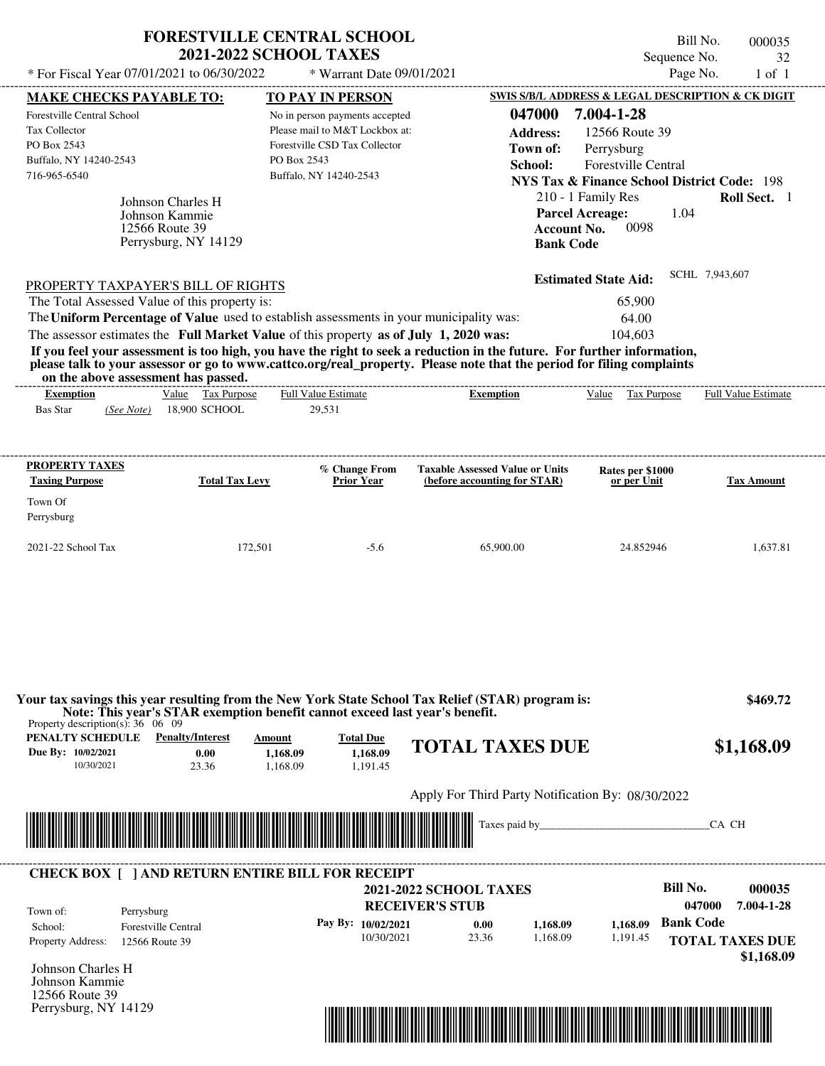|                                                                                                                        | <b>FORESTVILLE CENTRAL SCHOOL</b><br><b>2021-2022 SCHOOL TAXES</b>            |                                       |                                                                                                   |                                                                                                                                                                                                                                                  | Sequence No.                                                                                                                                                                                | Bill No.<br>000035<br>32   |
|------------------------------------------------------------------------------------------------------------------------|-------------------------------------------------------------------------------|---------------------------------------|---------------------------------------------------------------------------------------------------|--------------------------------------------------------------------------------------------------------------------------------------------------------------------------------------------------------------------------------------------------|---------------------------------------------------------------------------------------------------------------------------------------------------------------------------------------------|----------------------------|
| * For Fiscal Year 07/01/2021 to 06/30/2022                                                                             |                                                                               |                                       | * Warrant Date 09/01/2021                                                                         |                                                                                                                                                                                                                                                  |                                                                                                                                                                                             | Page No.<br>$1$ of $1$     |
| <b>MAKE CHECKS PAYABLE TO:</b>                                                                                         |                                                                               |                                       | <b>TO PAY IN PERSON</b>                                                                           |                                                                                                                                                                                                                                                  | SWIS S/B/L ADDRESS & LEGAL DESCRIPTION & CK DIGIT                                                                                                                                           |                            |
| <b>Forestville Central School</b><br>Tax Collector<br>PO Box 2543<br>Buffalo, NY 14240-2543<br>716-965-6540            | Johnson Charles H<br>Johnson Kammie<br>12566 Route 39<br>Perrysburg, NY 14129 | PO Box 2543<br>Buffalo, NY 14240-2543 | No in person payments accepted<br>Please mail to M&T Lockbox at:<br>Forestville CSD Tax Collector | 047000<br><b>Address:</b><br>Town of:<br>School:<br><b>Account No.</b><br><b>Bank Code</b>                                                                                                                                                       | 7.004-1-28<br>12566 Route 39<br>Perrysburg<br>Forestville Central<br><b>NYS Tax &amp; Finance School District Code: 198</b><br>210 - 1 Family Res<br><b>Parcel Acreage:</b><br>1.04<br>0098 | <b>Roll Sect.</b> 1        |
| PROPERTY TAXPAYER'S BILL OF RIGHTS                                                                                     |                                                                               |                                       |                                                                                                   |                                                                                                                                                                                                                                                  | <b>Estimated State Aid:</b>                                                                                                                                                                 | SCHL 7,943,607             |
| The Total Assessed Value of this property is:                                                                          |                                                                               |                                       |                                                                                                   |                                                                                                                                                                                                                                                  | 65,900                                                                                                                                                                                      |                            |
| The Uniform Percentage of Value used to establish assessments in your municipality was:                                |                                                                               |                                       |                                                                                                   |                                                                                                                                                                                                                                                  | 64.00                                                                                                                                                                                       |                            |
| The assessor estimates the Full Market Value of this property as of July 1, 2020 was:                                  |                                                                               |                                       |                                                                                                   |                                                                                                                                                                                                                                                  | 104.603                                                                                                                                                                                     |                            |
| on the above assessment has passed.                                                                                    |                                                                               |                                       |                                                                                                   | If you feel your assessment is too high, you have the right to seek a reduction in the future. For further information,<br>please talk to your assessor or go to www.cattco.org/real_property. Please note that the period for filing complaints |                                                                                                                                                                                             |                            |
| <b>Exemption</b>                                                                                                       | Value Tax Purpose                                                             | <b>Full Value Estimate</b>            |                                                                                                   | <b>Exemption</b>                                                                                                                                                                                                                                 | Value<br>Tax Purpose                                                                                                                                                                        | <b>Full Value Estimate</b> |
| Bas Star<br>(See Note)                                                                                                 | 18,900 SCHOOL                                                                 | 29,531                                |                                                                                                   |                                                                                                                                                                                                                                                  |                                                                                                                                                                                             |                            |
| PROPERTY TAXES<br><b>Taxing Purpose</b><br>Town Of<br>Perrysburg                                                       | <b>Total Tax Levy</b>                                                         |                                       | % Change From<br><b>Prior Year</b>                                                                | <b>Taxable Assessed Value or Units</b><br>(before accounting for STAR)                                                                                                                                                                           | Rates per \$1000<br>or per Unit                                                                                                                                                             | <b>Tax Amount</b>          |
|                                                                                                                        | 172,501                                                                       |                                       | $-5.6$                                                                                            |                                                                                                                                                                                                                                                  |                                                                                                                                                                                             |                            |
|                                                                                                                        |                                                                               |                                       |                                                                                                   | 65,900.00                                                                                                                                                                                                                                        | 24.852946                                                                                                                                                                                   | 1.637.81                   |
| 2021-22 School Tax                                                                                                     |                                                                               |                                       |                                                                                                   |                                                                                                                                                                                                                                                  |                                                                                                                                                                                             |                            |
| Property description(s): $36 \quad 06 \quad 09$                                                                        | Note: This year's STAR exemption benefit cannot exceed last year's benefit.   |                                       |                                                                                                   | Your tax savings this year resulting from the New York State School Tax Relief (STAR) program is:                                                                                                                                                |                                                                                                                                                                                             |                            |
| PENALTY SCHEDULE                                                                                                       | <b>Penalty/Interest</b>                                                       | Amount                                | <b>Total Due</b>                                                                                  |                                                                                                                                                                                                                                                  |                                                                                                                                                                                             | \$469.72                   |
| Due By: 10/02/2021                                                                                                     | 0.00                                                                          | 1,168.09                              | 1,168.09                                                                                          | <b>TOTAL TAXES DUE</b>                                                                                                                                                                                                                           |                                                                                                                                                                                             | \$1,168.09                 |
| 10/30/2021                                                                                                             | 23.36                                                                         | 1,168.09                              | 1,191.45                                                                                          |                                                                                                                                                                                                                                                  |                                                                                                                                                                                             |                            |
|                                                                                                                        |                                                                               |                                       |                                                                                                   | Apply For Third Party Notification By: 08/30/2022                                                                                                                                                                                                |                                                                                                                                                                                             |                            |
| <u> 1989 - Andrea Stadt Britain, marwolaeth a bhann an t-Alban an t-Alban an t-Alban an t-Alban an t-Alban an t-Al</u> |                                                                               |                                       |                                                                                                   |                                                                                                                                                                                                                                                  |                                                                                                                                                                                             | CA CH                      |

| Town of:                 | Perrysburg                 | <b>2021-2022 SCHOOL TAXES</b><br><b>RECEIVER'S STUB</b> |                      |       |          |          | Bill No.<br>047000     | 000035<br>7.004-1-28 |
|--------------------------|----------------------------|---------------------------------------------------------|----------------------|-------|----------|----------|------------------------|----------------------|
| School:                  | <b>Forestville Central</b> |                                                         | Pay By: $10/02/2021$ | 0.00  | 1.168.09 | 1.168.09 | <b>Bank Code</b>       |                      |
| <b>Property Address:</b> | 12566 Route 39             |                                                         | 10/30/2021           | 23.36 | 1.168.09 | 1,191.45 | <b>TOTAL TAXES DUE</b> |                      |

Johnson Charles H Johnson Kammie 12566 Route 39 Perrysburg, NY 14129

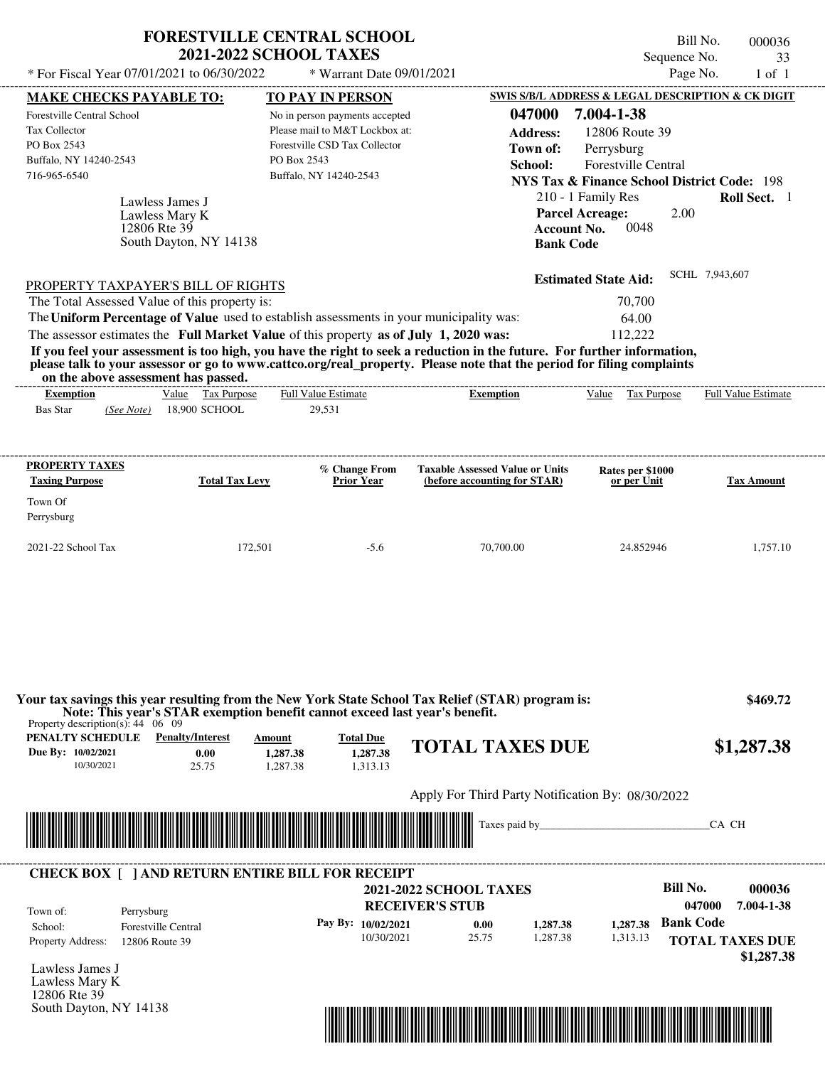| SWIS S/B/L ADDRESS & LEGAL DESCRIPTION & CK DIGIT<br>TO PAY IN PERSON<br><b>MAKE CHECKS PAYABLE TO:</b><br>047000<br>7.004-1-38<br>Forestville Central School<br>No in person payments accepted<br>Please mail to M&T Lockbox at:<br>Tax Collector<br>12806 Route 39<br><b>Address:</b><br>Forestville CSD Tax Collector<br>PO Box 2543<br>Perrysburg<br>Town of:<br>PO Box 2543<br>Buffalo, NY 14240-2543<br>Forestville Central<br>School:<br>716-965-6540<br>Buffalo, NY 14240-2543<br><b>NYS Tax &amp; Finance School District Code: 198</b><br>Roll Sect. 1<br>210 - 1 Family Res<br>Lawless James J<br><b>Parcel Acreage:</b><br>2.00<br>Lawless Mary K<br>12806 Rte 39<br><b>Account No.</b><br>0048<br>South Dayton, NY 14138<br><b>Bank Code</b><br>SCHL 7,943,607<br><b>Estimated State Aid:</b><br>PROPERTY TAXPAYER'S BILL OF RIGHTS<br>The Total Assessed Value of this property is:<br>70,700<br>The Uniform Percentage of Value used to establish assessments in your municipality was:<br>64.00<br>The assessor estimates the Full Market Value of this property as of July 1, 2020 was:<br>112,222<br>If you feel your assessment is too high, you have the right to seek a reduction in the future. For further information,<br>please talk to your assessor or go to www.cattco.org/real_property. Please note that the period for filing complaints<br>on the above assessment has passed.<br>Value Tax Purpose<br><b>Full Value Estimate</b><br>Value Tax Purpose<br>Exemption<br><b>Exemption</b><br>18,900 SCHOOL<br><b>Bas Star</b><br>29.531<br>(See Note)<br>PROPERTY TAXES<br>% Change From<br><b>Taxable Assessed Value or Units</b><br>Rates per \$1000<br><b>Taxing Purpose</b><br><b>Total Tax Levy</b><br><b>Prior Year</b><br>(before accounting for STAR)<br>or per Unit<br>Town Of<br>Perrysburg | * For Fiscal Year 07/01/2021 to 06/30/2022 | FORESTVILLE CENTRAL SCHOOL<br><b>2021-2022 SCHOOL TAXES</b><br>* Warrant Date 09/01/2021 | Sequence No. | Bill No.<br>000036<br>33<br>Page No.<br>$1$ of $1$ |
|-------------------------------------------------------------------------------------------------------------------------------------------------------------------------------------------------------------------------------------------------------------------------------------------------------------------------------------------------------------------------------------------------------------------------------------------------------------------------------------------------------------------------------------------------------------------------------------------------------------------------------------------------------------------------------------------------------------------------------------------------------------------------------------------------------------------------------------------------------------------------------------------------------------------------------------------------------------------------------------------------------------------------------------------------------------------------------------------------------------------------------------------------------------------------------------------------------------------------------------------------------------------------------------------------------------------------------------------------------------------------------------------------------------------------------------------------------------------------------------------------------------------------------------------------------------------------------------------------------------------------------------------------------------------------------------------------------------------------------------------------------------------------------------------------------------------------------------|--------------------------------------------|------------------------------------------------------------------------------------------|--------------|----------------------------------------------------|
|                                                                                                                                                                                                                                                                                                                                                                                                                                                                                                                                                                                                                                                                                                                                                                                                                                                                                                                                                                                                                                                                                                                                                                                                                                                                                                                                                                                                                                                                                                                                                                                                                                                                                                                                                                                                                                     |                                            |                                                                                          |              |                                                    |
|                                                                                                                                                                                                                                                                                                                                                                                                                                                                                                                                                                                                                                                                                                                                                                                                                                                                                                                                                                                                                                                                                                                                                                                                                                                                                                                                                                                                                                                                                                                                                                                                                                                                                                                                                                                                                                     |                                            |                                                                                          |              |                                                    |
|                                                                                                                                                                                                                                                                                                                                                                                                                                                                                                                                                                                                                                                                                                                                                                                                                                                                                                                                                                                                                                                                                                                                                                                                                                                                                                                                                                                                                                                                                                                                                                                                                                                                                                                                                                                                                                     |                                            |                                                                                          |              |                                                    |
|                                                                                                                                                                                                                                                                                                                                                                                                                                                                                                                                                                                                                                                                                                                                                                                                                                                                                                                                                                                                                                                                                                                                                                                                                                                                                                                                                                                                                                                                                                                                                                                                                                                                                                                                                                                                                                     |                                            |                                                                                          |              |                                                    |
|                                                                                                                                                                                                                                                                                                                                                                                                                                                                                                                                                                                                                                                                                                                                                                                                                                                                                                                                                                                                                                                                                                                                                                                                                                                                                                                                                                                                                                                                                                                                                                                                                                                                                                                                                                                                                                     |                                            |                                                                                          |              |                                                    |
|                                                                                                                                                                                                                                                                                                                                                                                                                                                                                                                                                                                                                                                                                                                                                                                                                                                                                                                                                                                                                                                                                                                                                                                                                                                                                                                                                                                                                                                                                                                                                                                                                                                                                                                                                                                                                                     |                                            |                                                                                          |              |                                                    |
|                                                                                                                                                                                                                                                                                                                                                                                                                                                                                                                                                                                                                                                                                                                                                                                                                                                                                                                                                                                                                                                                                                                                                                                                                                                                                                                                                                                                                                                                                                                                                                                                                                                                                                                                                                                                                                     |                                            |                                                                                          |              |                                                    |
|                                                                                                                                                                                                                                                                                                                                                                                                                                                                                                                                                                                                                                                                                                                                                                                                                                                                                                                                                                                                                                                                                                                                                                                                                                                                                                                                                                                                                                                                                                                                                                                                                                                                                                                                                                                                                                     |                                            |                                                                                          |              |                                                    |
|                                                                                                                                                                                                                                                                                                                                                                                                                                                                                                                                                                                                                                                                                                                                                                                                                                                                                                                                                                                                                                                                                                                                                                                                                                                                                                                                                                                                                                                                                                                                                                                                                                                                                                                                                                                                                                     |                                            |                                                                                          |              |                                                    |
|                                                                                                                                                                                                                                                                                                                                                                                                                                                                                                                                                                                                                                                                                                                                                                                                                                                                                                                                                                                                                                                                                                                                                                                                                                                                                                                                                                                                                                                                                                                                                                                                                                                                                                                                                                                                                                     |                                            |                                                                                          |              |                                                    |
|                                                                                                                                                                                                                                                                                                                                                                                                                                                                                                                                                                                                                                                                                                                                                                                                                                                                                                                                                                                                                                                                                                                                                                                                                                                                                                                                                                                                                                                                                                                                                                                                                                                                                                                                                                                                                                     |                                            |                                                                                          |              |                                                    |
|                                                                                                                                                                                                                                                                                                                                                                                                                                                                                                                                                                                                                                                                                                                                                                                                                                                                                                                                                                                                                                                                                                                                                                                                                                                                                                                                                                                                                                                                                                                                                                                                                                                                                                                                                                                                                                     |                                            |                                                                                          |              | <b>Full Value Estimate</b>                         |
|                                                                                                                                                                                                                                                                                                                                                                                                                                                                                                                                                                                                                                                                                                                                                                                                                                                                                                                                                                                                                                                                                                                                                                                                                                                                                                                                                                                                                                                                                                                                                                                                                                                                                                                                                                                                                                     |                                            |                                                                                          |              | <b>Tax Amount</b>                                  |
|                                                                                                                                                                                                                                                                                                                                                                                                                                                                                                                                                                                                                                                                                                                                                                                                                                                                                                                                                                                                                                                                                                                                                                                                                                                                                                                                                                                                                                                                                                                                                                                                                                                                                                                                                                                                                                     |                                            |                                                                                          |              |                                                    |
|                                                                                                                                                                                                                                                                                                                                                                                                                                                                                                                                                                                                                                                                                                                                                                                                                                                                                                                                                                                                                                                                                                                                                                                                                                                                                                                                                                                                                                                                                                                                                                                                                                                                                                                                                                                                                                     |                                            |                                                                                          |              |                                                    |
| 2021-22 School Tax<br>172,501<br>$-5.6$<br>70,700.00<br>24.852946<br>1,757.10                                                                                                                                                                                                                                                                                                                                                                                                                                                                                                                                                                                                                                                                                                                                                                                                                                                                                                                                                                                                                                                                                                                                                                                                                                                                                                                                                                                                                                                                                                                                                                                                                                                                                                                                                       |                                            |                                                                                          |              |                                                    |

| Property description(s): $44 \quad 06 \quad 09$      | Note: This year's STAR exemption benefit cannot exceed last year's benefit. |                                                                                                           |                                          |                               | Your tax savings this year resulting from the New York State School Tax Relief (STAR) program is: |          |                  | \$469.72                             |
|------------------------------------------------------|-----------------------------------------------------------------------------|-----------------------------------------------------------------------------------------------------------|------------------------------------------|-------------------------------|---------------------------------------------------------------------------------------------------|----------|------------------|--------------------------------------|
| PENALTY SCHEDULE<br>Due By: 10/02/2021<br>10/30/2021 | <b>Penalty/Interest</b><br>0.00<br>25.75                                    | Amount<br>1,287.38<br>1.287.38                                                                            | <b>Total Due</b><br>1,287.38<br>1,313.13 |                               | <b>TOTAL TAXES DUE</b>                                                                            |          |                  | \$1,287.38                           |
|                                                      |                                                                             |                                                                                                           |                                          |                               | Apply For Third Party Notification By: 08/30/2022                                                 |          |                  |                                      |
|                                                      |                                                                             | <b>THE REAL PROPERTY OF STATE OF STATE OF STATE OF STATE OF STATE OF STATE OF STATE OF STATE OF STATE</b> |                                          |                               | Taxes paid by                                                                                     |          |                  | CA CH                                |
|                                                      |                                                                             |                                                                                                           |                                          |                               |                                                                                                   |          |                  |                                      |
|                                                      | <b>CHECK BOX [ ] AND RETURN ENTIRE BILL FOR RECEIPT</b>                     |                                                                                                           |                                          |                               |                                                                                                   |          |                  |                                      |
|                                                      |                                                                             |                                                                                                           |                                          | <b>2021-2022 SCHOOL TAXES</b> |                                                                                                   |          | Bill No.         | 000036                               |
| Town of:                                             | Perrysburg                                                                  |                                                                                                           |                                          | <b>RECEIVER'S STUB</b>        |                                                                                                   |          | 047000           | 7.004-1-38                           |
| School:                                              | <b>Forestville Central</b>                                                  |                                                                                                           | Pay By: 10/02/2021                       | 0.00                          | 1,287.38                                                                                          | 1,287.38 | <b>Bank Code</b> |                                      |
| Property Address:                                    | 12806 Route 39                                                              |                                                                                                           | 10/30/2021                               | 25.75                         | 1,287.38                                                                                          | 1,313.13 |                  | <b>TOTAL TAXES DUE</b><br>\$1,287.38 |
| Lawless James J                                      |                                                                             |                                                                                                           |                                          |                               |                                                                                                   |          |                  |                                      |
| Lawless Mary K                                       |                                                                             |                                                                                                           |                                          |                               |                                                                                                   |          |                  |                                      |
| 12806 Rte 39                                         |                                                                             |                                                                                                           |                                          |                               |                                                                                                   |          |                  |                                      |

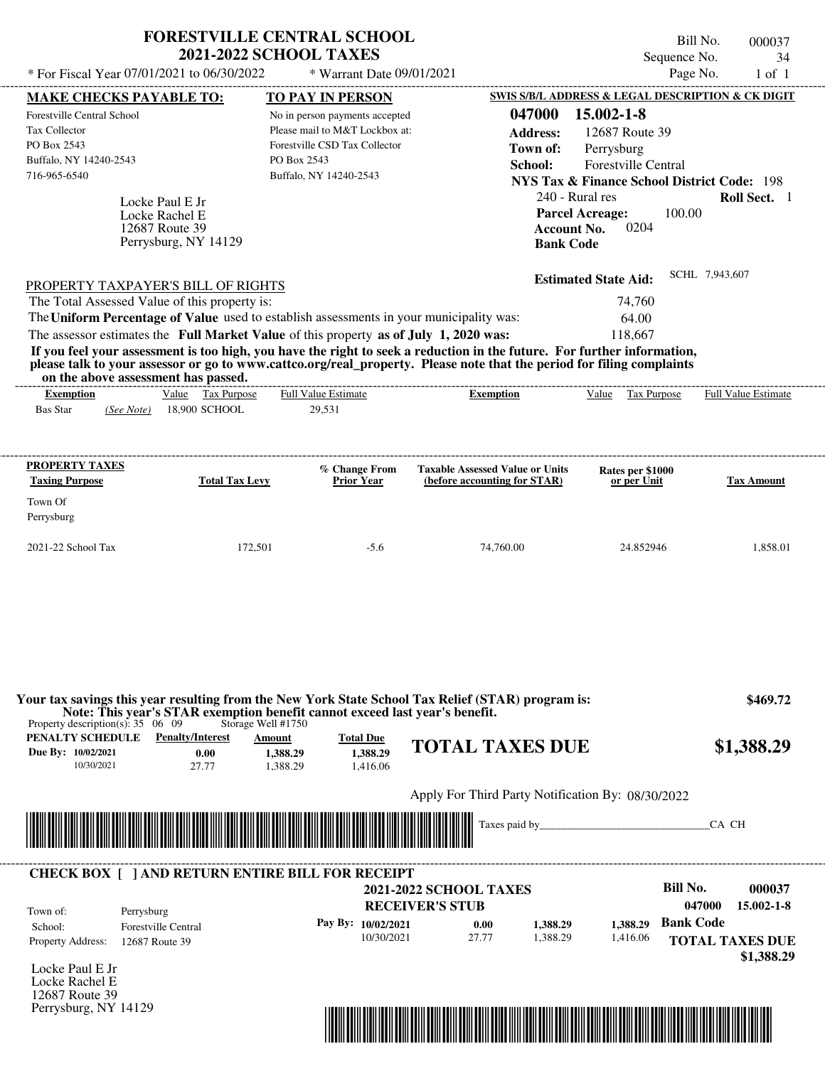|                                                                                                                                                                                                                                                                                                                                                                                                                                                                                                                                                                    | <b>FORESTVILLE CENTRAL SCHOOL</b><br><b>2021-2022 SCHOOL TAXES</b>                                                                         |                                                                                            | Bill No.<br>Sequence No.                                                                                                                                                                                                       | 000037<br>34        |
|--------------------------------------------------------------------------------------------------------------------------------------------------------------------------------------------------------------------------------------------------------------------------------------------------------------------------------------------------------------------------------------------------------------------------------------------------------------------------------------------------------------------------------------------------------------------|--------------------------------------------------------------------------------------------------------------------------------------------|--------------------------------------------------------------------------------------------|--------------------------------------------------------------------------------------------------------------------------------------------------------------------------------------------------------------------------------|---------------------|
| * For Fiscal Year 07/01/2021 to 06/30/2022                                                                                                                                                                                                                                                                                                                                                                                                                                                                                                                         | * Warrant Date 09/01/2021                                                                                                                  |                                                                                            | Page No.                                                                                                                                                                                                                       | $1$ of $1$          |
| <u>MAKE CHECKS PAYABLE TO:</u>                                                                                                                                                                                                                                                                                                                                                                                                                                                                                                                                     | <b>TO PAY IN PERSON</b>                                                                                                                    |                                                                                            | SWIS S/B/L ADDRESS & LEGAL DESCRIPTION & CK DIGIT                                                                                                                                                                              |                     |
| Forestville Central School<br>Tax Collector<br>PO Box 2543<br>Buffalo, NY 14240-2543<br>716-965-6540<br>Locke Paul E Jr<br>Locke Rachel E<br>12687 Route 39<br>Perrysburg, NY 14129                                                                                                                                                                                                                                                                                                                                                                                | No in person payments accepted<br>Please mail to M&T Lockbox at:<br>Forestville CSD Tax Collector<br>PO Box 2543<br>Buffalo, NY 14240-2543 | 047000<br><b>Address:</b><br>Town of:<br>School:<br><b>Account No.</b><br><b>Bank Code</b> | 15.002-1-8<br>12687 Route 39<br>Perrysburg<br>Forestville Central<br><b>NYS Tax &amp; Finance School District Code: 198</b><br>240 - Rural res<br>100.00<br><b>Parcel Acreage:</b><br>0204                                     | Roll Sect. 1        |
| PROPERTY TAXPAYER'S BILL OF RIGHTS<br>The Total Assessed Value of this property is:<br>The Uniform Percentage of Value used to establish assessments in your municipality was:<br>The assessor estimates the Full Market Value of this property as of July 1, 2020 was:<br>If you feel your assessment is too high, you have the right to seek a reduction in the future. For further information,<br>please talk to your assessor or go to www.cattco.org/real_property. Please note that the period for filing complaints<br>on the above assessment has passed. |                                                                                                                                            |                                                                                            | <b>Estimated State Aid:</b><br>74,760<br>64.00<br>118,667                                                                                                                                                                      | SCHL 7,943,607      |
| Value Tax Purpose<br><b>Exemption</b><br>18,900 SCHOOL<br><b>Bas Star</b><br>(See Note)                                                                                                                                                                                                                                                                                                                                                                                                                                                                            | Full Value Estimate<br>29,531                                                                                                              | <b>Exemption</b>                                                                           | Value Tax Purpose                                                                                                                                                                                                              | Full Value Estimate |
| PROPERTY TAXES<br><b>Taxing Purpose</b><br><b>Total Tax Levy</b><br>Town Of<br>Perrysburg                                                                                                                                                                                                                                                                                                                                                                                                                                                                          | % Change From<br><b>Prior Year</b>                                                                                                         | <b>Taxable Assessed Value or Units</b><br>(before accounting for STAR)                     | Rates per \$1000<br>or per Unit                                                                                                                                                                                                | <b>Tax Amount</b>   |
| 2021-22 School Tax                                                                                                                                                                                                                                                                                                                                                                                                                                                                                                                                                 | 172,501<br>$-5.6$                                                                                                                          | 74,760.00                                                                                  | 24.852946                                                                                                                                                                                                                      | 1,858.01            |
| Your tax savings this year resulting from the New York State School Tax Relief (STAR) program is:<br>Note: This year's STAR exemption benefit cannot exceed last year's benefit.<br>Property description(s): $35 \quad 06 \quad 09$                                                                                                                                                                                                                                                                                                                                | Storage Well #1750                                                                                                                         |                                                                                            |                                                                                                                                                                                                                                | \$469.72            |
| <b>PENALTY SCHEDULE</b> Penalty/Interest<br>Due By: 10/02/2021<br>0.00<br>10/30/2021<br>27.77                                                                                                                                                                                                                                                                                                                                                                                                                                                                      | <b>Total Due</b><br><b>Amount</b><br>1.388.29<br>1,388.29<br>1,388.29<br>1,416.06                                                          | <b>TOTAL TAXES DUE</b>                                                                     |                                                                                                                                                                                                                                | \$1,388.29          |
|                                                                                                                                                                                                                                                                                                                                                                                                                                                                                                                                                                    |                                                                                                                                            | Apply For Third Party Notification By: 08/30/2022                                          |                                                                                                                                                                                                                                |                     |
|                                                                                                                                                                                                                                                                                                                                                                                                                                                                                                                                                                    |                                                                                                                                            |                                                                                            | Taxes paid by we have a series of the same of the same of the same of the same of the same of the same of the same of the same of the same of the same of the same of the same of the same of the same of the same of the same | CA CH               |
| <b>CHECK BOX [ ] AND RETURN ENTIRE BILL FOR RECEIPT</b>                                                                                                                                                                                                                                                                                                                                                                                                                                                                                                            |                                                                                                                                            | <b>2021-2022 SCHOOL TAXES</b>                                                              | <b>Bill No.</b>                                                                                                                                                                                                                | 000037              |

**RECEIVER'S STUB Bank Code 1,388.29** Property Address: 12687 Route 39 Perrysburg School: Forestville Central **TOTAL TAXES DUE \$1,388.29 047000 15.002-1-8 Pay By: 10/02/2021** 10/30/2021 27.77 **0.00** 1,388.29 **1,388.29** 1,416.06 Town of:

Locke Paul E Jr Locke Rachel E 12687 Route 39 Perrysburg, NY 14129

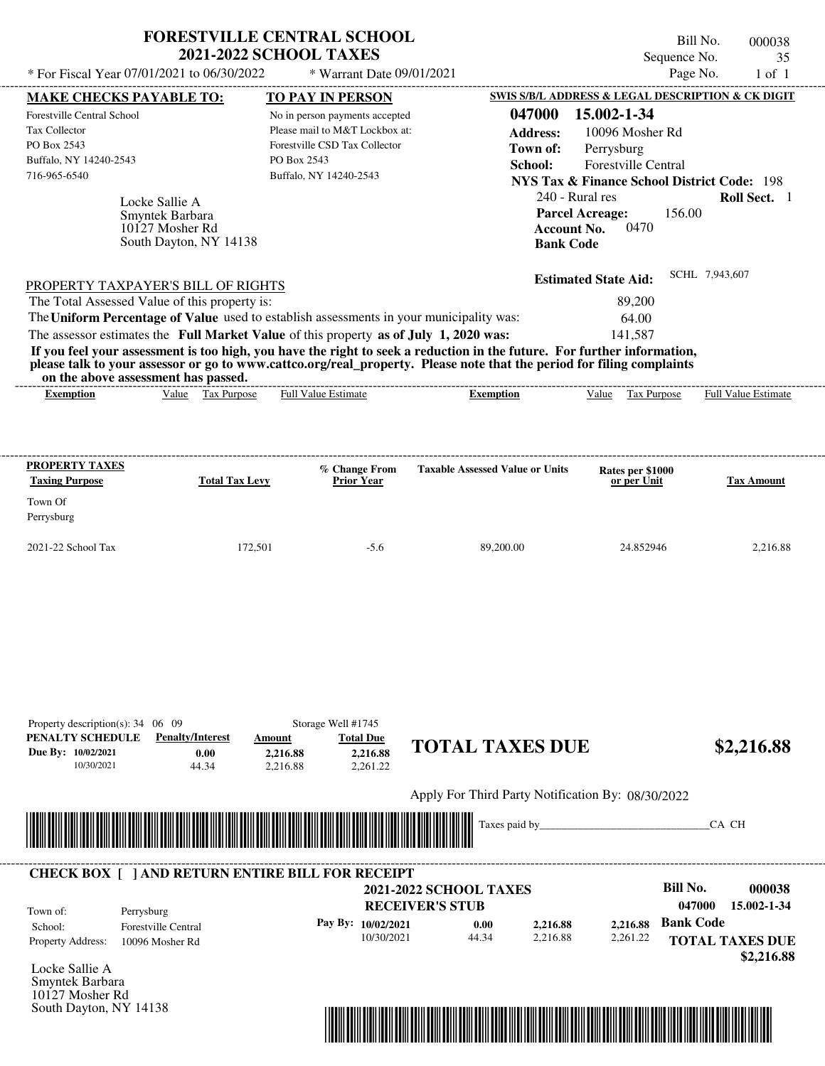|                                                |                                                                                | <b>FORESTVILLE CENTRAL SCHOOL</b><br><b>2021-2022 SCHOOL TAXES</b>                      |                                                                                                                                                                                                                                                  | Sequence No.                                                                      | Bill No.<br>000038<br>35 |
|------------------------------------------------|--------------------------------------------------------------------------------|-----------------------------------------------------------------------------------------|--------------------------------------------------------------------------------------------------------------------------------------------------------------------------------------------------------------------------------------------------|-----------------------------------------------------------------------------------|--------------------------|
| * For Fiscal Year 07/01/2021 to 06/30/2022     |                                                                                | * Warrant Date 09/01/2021                                                               |                                                                                                                                                                                                                                                  | Page No.                                                                          | $1$ of $1$               |
| <b>MAKE CHECKS PAYABLE TO:</b>                 |                                                                                | <b>TO PAY IN PERSON</b>                                                                 |                                                                                                                                                                                                                                                  | SWIS S/B/L ADDRESS & LEGAL DESCRIPTION & CK DIGIT                                 |                          |
| <b>Forestville Central School</b>              |                                                                                | No in person payments accepted                                                          | 047000                                                                                                                                                                                                                                           | 15.002-1-34                                                                       |                          |
| <b>Tax Collector</b>                           |                                                                                | Please mail to M&T Lockbox at:                                                          | <b>Address:</b>                                                                                                                                                                                                                                  | 10096 Mosher Rd                                                                   |                          |
| PO Box 2543                                    |                                                                                | Forestville CSD Tax Collector                                                           | Town of:                                                                                                                                                                                                                                         | Perrysburg                                                                        |                          |
| Buffalo, NY 14240-2543                         |                                                                                | PO Box 2543                                                                             | School:                                                                                                                                                                                                                                          | <b>Forestville Central</b>                                                        |                          |
| 716-965-6540                                   |                                                                                | Buffalo, NY 14240-2543                                                                  |                                                                                                                                                                                                                                                  | NYS Tax & Finance School District Code: 198                                       |                          |
|                                                | Locke Sallie A<br>Smyntek Barbara<br>10127 Mosher Rd<br>South Dayton, NY 14138 |                                                                                         | <b>Bank Code</b>                                                                                                                                                                                                                                 | 240 - Rural res<br><b>Parcel Acreage:</b><br>156.00<br>0470<br><b>Account No.</b> | Roll Sect. 1             |
| PROPERTY TAXPAYER'S BILL OF RIGHTS             |                                                                                |                                                                                         |                                                                                                                                                                                                                                                  | <b>Estimated State Aid:</b>                                                       | SCHL 7,943,607           |
| The Total Assessed Value of this property is:  |                                                                                |                                                                                         |                                                                                                                                                                                                                                                  | 89,200                                                                            |                          |
|                                                |                                                                                | The Uniform Percentage of Value used to establish assessments in your municipality was: |                                                                                                                                                                                                                                                  | 64.00                                                                             |                          |
|                                                |                                                                                | The assessor estimates the Full Market Value of this property as of July 1, 2020 was:   |                                                                                                                                                                                                                                                  | 141.587                                                                           |                          |
| on the above assessment has passed.            |                                                                                |                                                                                         | If you feel your assessment is too high, you have the right to seek a reduction in the future. For further information,<br>please talk to your assessor or go to www.cattco.org/real_property. Please note that the period for filing complaints |                                                                                   |                          |
| <b>Exemption</b>                               | Value Tax Purpose                                                              | Full Value Estimate                                                                     | <b>Exemption</b>                                                                                                                                                                                                                                 | Value Tax Purpose                                                                 | Full Value Estimate      |
|                                                |                                                                                |                                                                                         |                                                                                                                                                                                                                                                  |                                                                                   |                          |
| <b>PROPERTY TAXES</b><br><b>Taxing Purpose</b> | <b>Total Tax Levy</b>                                                          | % Change From<br><b>Prior Year</b>                                                      | <b>Taxable Assessed Value or Units</b>                                                                                                                                                                                                           | Rates per \$1000<br>or per Unit                                                   | <b>Tax Amount</b>        |
| Town Of                                        |                                                                                |                                                                                         |                                                                                                                                                                                                                                                  |                                                                                   |                          |

2021-22 School Tax 172,501 -5.6 89,200.00 24.852946 2,216.88

| Property description(s): $34 \quad 06 \quad 09$ |                                                         | Storage Well #1745          |                        |                                                   |          |          |                           |
|-------------------------------------------------|---------------------------------------------------------|-----------------------------|------------------------|---------------------------------------------------|----------|----------|---------------------------|
| PENALTY SCHEDULE                                | <b>Penalty/Interest</b>                                 | Amount                      | <b>Total Due</b>       | <b>TOTAL TAXES DUE</b>                            |          |          |                           |
| Due By: 10/02/2021                              | 0.00                                                    | 2,216.88                    | 2,216.88               |                                                   |          |          | \$2,216.88                |
| 10/30/2021                                      | 44.34                                                   | 2,216.88                    | 2,261.22               |                                                   |          |          |                           |
|                                                 |                                                         |                             |                        | Apply For Third Party Notification By: 08/30/2022 |          |          |                           |
|                                                 |                                                         |                             |                        |                                                   |          |          |                           |
|                                                 |                                                         | <u> Tanzania (h. 1878).</u> |                        |                                                   |          |          | CA CH                     |
|                                                 |                                                         |                             |                        |                                                   |          |          |                           |
|                                                 | <b>CHECK BOX     AND RETURN ENTIRE BILL FOR RECEIPT</b> |                             |                        |                                                   |          |          |                           |
|                                                 |                                                         |                             |                        | <b>2021-2022 SCHOOL TAXES</b>                     |          |          | <b>Bill No.</b><br>000038 |
| Town of:                                        | Perrysburg                                              |                             | <b>RECEIVER'S STUB</b> |                                                   |          |          | 047000<br>15.002-1-34     |
|                                                 |                                                         |                             | Pay By: 10/02/2021     | 0.00                                              | 2,216.88 | 2,216.88 | <b>Bank Code</b>          |
| School:                                         | <b>Forestville Central</b>                              |                             |                        |                                                   |          |          |                           |
| Property Address:                               | 10096 Mosher Rd                                         |                             | 10/30/2021             | 44.34                                             | 2.216.88 | 2,261.22 | <b>TOTAL TAXES DUE</b>    |

Locke Sallie A Smyntek Barbara 10127 Mosher Rd South Dayton, NY 14138

Perrysburg

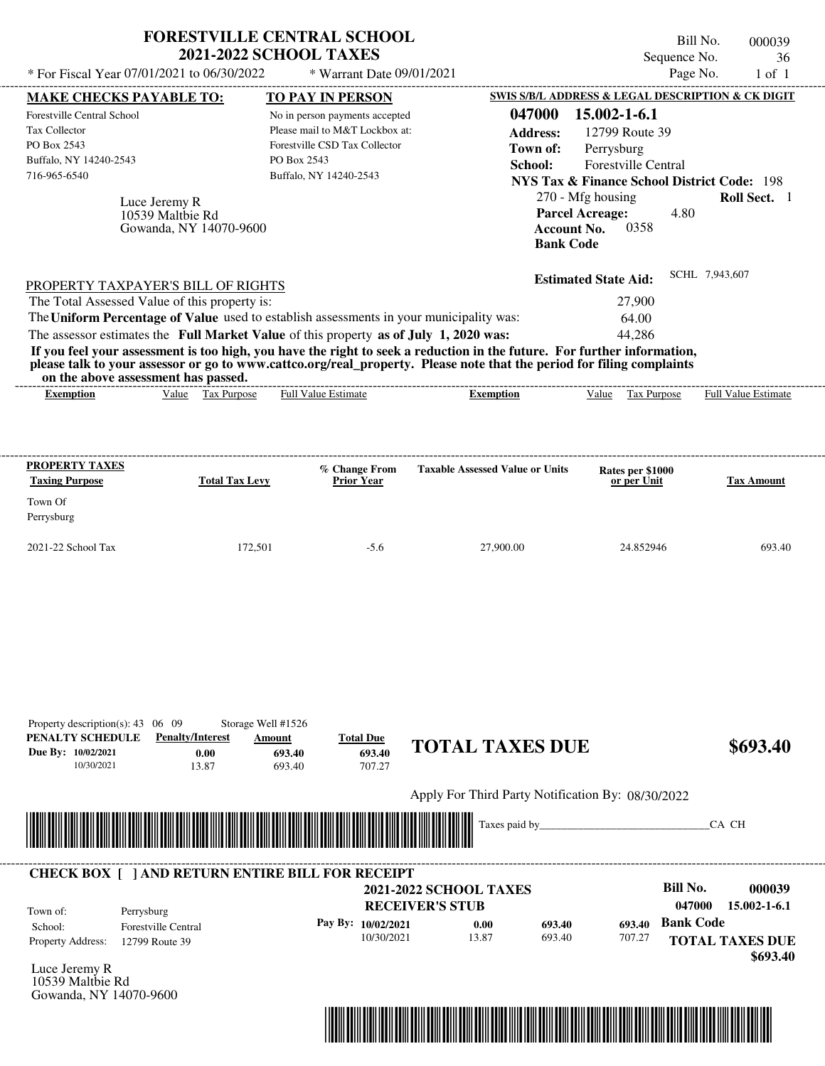|                                                                                                                                               | * For Fiscal Year 07/01/2021 to 06/30/2022                                                                                 | <b>FORESTVILLE CENTRAL SCHOOL</b><br><b>2021-2022 SCHOOL TAXES</b><br>* Warrant Date 09/01/2021                                                                                  |                                                                                                                                                                                                                                                  | Bill No.<br>Sequence No.<br>Page No.                                                                                                                                                                                                              | 000039<br>36<br>$1$ of $1$   |
|-----------------------------------------------------------------------------------------------------------------------------------------------|----------------------------------------------------------------------------------------------------------------------------|----------------------------------------------------------------------------------------------------------------------------------------------------------------------------------|--------------------------------------------------------------------------------------------------------------------------------------------------------------------------------------------------------------------------------------------------|---------------------------------------------------------------------------------------------------------------------------------------------------------------------------------------------------------------------------------------------------|------------------------------|
|                                                                                                                                               |                                                                                                                            |                                                                                                                                                                                  |                                                                                                                                                                                                                                                  |                                                                                                                                                                                                                                                   |                              |
| <b>MAKE CHECKS PAYABLE TO:</b><br>Forestville Central School<br><b>Tax Collector</b><br>PO Box 2543<br>Buffalo, NY 14240-2543<br>716-965-6540 | Luce Jeremy R<br>10539 Maltbie Rd<br>Gowanda, NY 14070-9600                                                                | TO PAY IN PERSON<br>No in person payments accepted<br>Please mail to M&T Lockbox at:<br>Forestville CSD Tax Collector<br>PO Box 2543<br>Buffalo, NY 14240-2543                   | 047000<br><b>Address:</b><br>Town of:<br>School:<br><b>Account No.</b><br><b>Bank Code</b>                                                                                                                                                       | SWIS S/B/L ADDRESS & LEGAL DESCRIPTION & CK DIGIT<br>15.002-1-6.1<br>12799 Route 39<br>Perrysburg<br>Forestville Central<br><b>NYS Tax &amp; Finance School District Code: 198</b><br>270 - Mfg housing<br><b>Parcel Acreage:</b><br>4.80<br>0358 | Roll Sect. 1                 |
|                                                                                                                                               | PROPERTY TAXPAYER'S BILL OF RIGHTS<br>The Total Assessed Value of this property is:<br>on the above assessment has passed. | The Uniform Percentage of Value used to establish assessments in your municipality was:<br>The assessor estimates the Full Market Value of this property as of July 1, 2020 was: | If you feel your assessment is too high, you have the right to seek a reduction in the future. For further information,<br>please talk to your assessor or go to www.cattco.org/real_property. Please note that the period for filing complaints | <b>Estimated State Aid:</b><br>27,900<br>64.00<br>44,286                                                                                                                                                                                          | SCHL 7,943,607               |
| <b>Exemption</b>                                                                                                                              | Value Tax Purpose                                                                                                          | <b>Full Value Estimate</b>                                                                                                                                                       | <b>Exemption</b>                                                                                                                                                                                                                                 | Value<br>Tax Purpose                                                                                                                                                                                                                              | Full Value Estimate          |
| <b>PROPERTY TAXES</b><br><b>Taxing Purpose</b>                                                                                                | <b>Total Tax Levy</b>                                                                                                      | % Change From<br>Prior Year                                                                                                                                                      | <b>Taxable Assessed Value or Units</b>                                                                                                                                                                                                           | Rates per \$1000<br>or per Unit                                                                                                                                                                                                                   | <b>Tax Amount</b>            |
| Town Of<br>Perrysburg                                                                                                                         |                                                                                                                            |                                                                                                                                                                                  |                                                                                                                                                                                                                                                  |                                                                                                                                                                                                                                                   |                              |
| 2021-22 School Tax                                                                                                                            | 172,501                                                                                                                    | $-5.6$                                                                                                                                                                           | 27,900.00                                                                                                                                                                                                                                        | 24.852946                                                                                                                                                                                                                                         | 693.40                       |
| Property description(s): $43 \quad 06 \quad 09$<br>PENALTY SCHEDULE<br>Due By: 10/02/2021<br>10/30/2021                                       | Storage Well #1526<br><b>Penalty/Interest</b><br>0.00<br>13.87                                                             | <b>Total Due</b><br>Amount<br>693.40<br>693.40<br>693.40<br>707.27                                                                                                               | <b>TOTAL TAXES DUE</b>                                                                                                                                                                                                                           |                                                                                                                                                                                                                                                   | \$693.40                     |
|                                                                                                                                               |                                                                                                                            |                                                                                                                                                                                  | Apply For Third Party Notification By: 08/30/2022                                                                                                                                                                                                |                                                                                                                                                                                                                                                   |                              |
|                                                                                                                                               |                                                                                                                            |                                                                                                                                                                                  | Taxes paid by_                                                                                                                                                                                                                                   |                                                                                                                                                                                                                                                   | CA CH                        |
| Town of:                                                                                                                                      | Perrysburg                                                                                                                 | <b>CHECK BOX [ ] AND RETURN ENTIRE BILL FOR RECEIPT</b>                                                                                                                          | <b>2021-2022 SCHOOL TAXES</b><br><b>RECEIVER'S STUB</b>                                                                                                                                                                                          | <b>Bill No.</b><br>047000                                                                                                                                                                                                                         | 000039<br>$15.002 - 1 - 6.1$ |
| School:                                                                                                                                       | Forestville Central                                                                                                        | Pay By: 10/02/2021                                                                                                                                                               | 0.00<br>693.40                                                                                                                                                                                                                                   | <b>Bank Code</b><br>693.40                                                                                                                                                                                                                        |                              |

10/30/2021 13.87

Luce Jeremy R Property Address: 12799 Route 39

10539 Maltbie Rd Gowanda, NY 14070-9600



693.40

707.27

**TOTAL TAXES DUE**

 **\$693.40**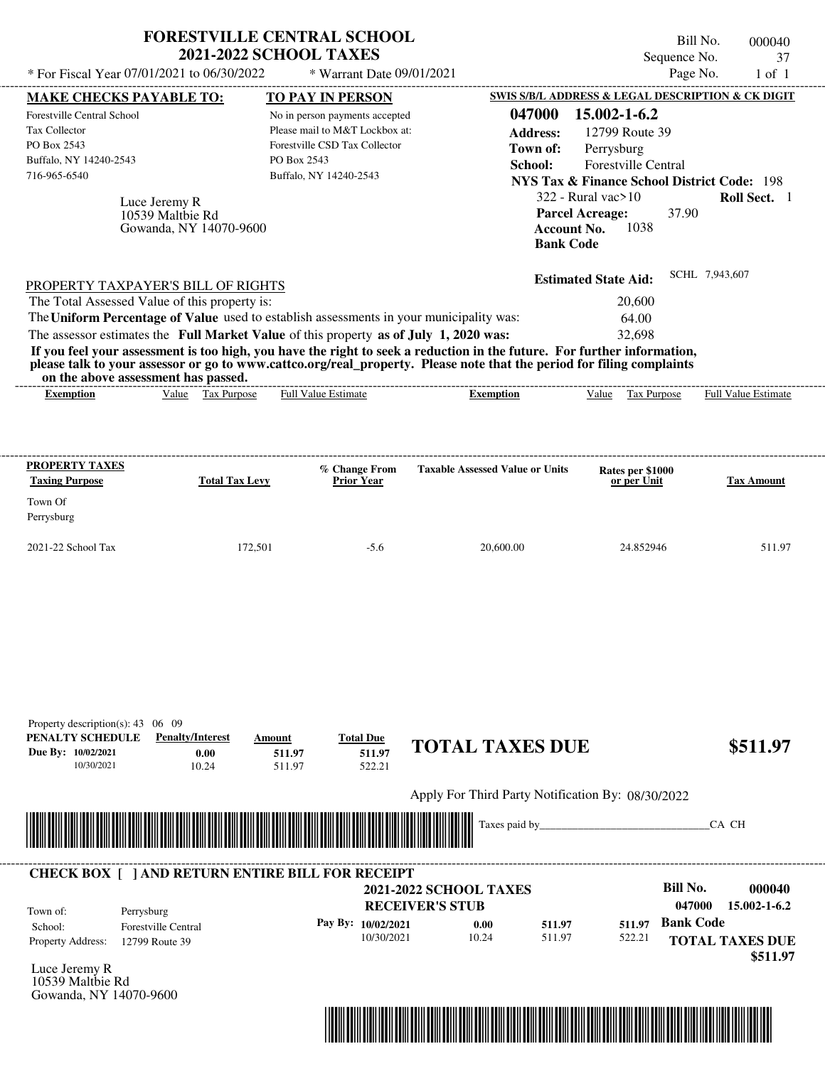|                                                                                                      | <b>FORESTVILLE CENTRAL SCHOOL</b><br><b>2021-2022 SCHOOL TAXES</b>                      |                                                                                                                             |                                                                                                                                                                                                                                                  | Bill No.<br>Sequence No.                                                                                                      | 000040<br>37                 |
|------------------------------------------------------------------------------------------------------|-----------------------------------------------------------------------------------------|-----------------------------------------------------------------------------------------------------------------------------|--------------------------------------------------------------------------------------------------------------------------------------------------------------------------------------------------------------------------------------------------|-------------------------------------------------------------------------------------------------------------------------------|------------------------------|
| * For Fiscal Year 07/01/2021 to 06/30/2022                                                           |                                                                                         | * Warrant Date 09/01/2021                                                                                                   |                                                                                                                                                                                                                                                  | Page No.                                                                                                                      | $1$ of $1$                   |
| <b>MAKE CHECKS PAYABLE TO:</b>                                                                       |                                                                                         | <b>TO PAY IN PERSON</b>                                                                                                     |                                                                                                                                                                                                                                                  | SWIS S/B/L ADDRESS & LEGAL DESCRIPTION & CK DIGIT                                                                             |                              |
| Forestville Central School<br>Tax Collector<br>PO Box 2543<br>Buffalo, NY 14240-2543<br>716-965-6540 | PO Box 2543                                                                             | No in person payments accepted<br>Please mail to M&T Lockbox at:<br>Forestville CSD Tax Collector<br>Buffalo, NY 14240-2543 | 047000<br><b>Address:</b><br>Town of:<br>School:                                                                                                                                                                                                 | 15.002-1-6.2<br>12799 Route 39<br>Perrysburg<br>Forestville Central<br><b>NYS Tax &amp; Finance School District Code: 198</b> |                              |
| Luce Jeremy R                                                                                        | 10539 Maltbie Rd<br>Gowanda, NY 14070-9600                                              |                                                                                                                             | <b>Account No.</b><br><b>Bank Code</b>                                                                                                                                                                                                           | $322$ - Rural vac $>10$<br><b>Parcel Acreage:</b><br>37.90<br>1038                                                            | Roll Sect. 1                 |
| PROPERTY TAXPAYER'S BILL OF RIGHTS                                                                   |                                                                                         |                                                                                                                             |                                                                                                                                                                                                                                                  | <b>Estimated State Aid:</b>                                                                                                   | SCHL 7,943,607               |
| The Total Assessed Value of this property is:                                                        |                                                                                         |                                                                                                                             |                                                                                                                                                                                                                                                  | 20,600                                                                                                                        |                              |
|                                                                                                      | The Uniform Percentage of Value used to establish assessments in your municipality was: |                                                                                                                             |                                                                                                                                                                                                                                                  | 64.00                                                                                                                         |                              |
|                                                                                                      | The assessor estimates the Full Market Value of this property as of July 1, 2020 was:   |                                                                                                                             |                                                                                                                                                                                                                                                  | 32,698                                                                                                                        |                              |
| on the above assessment has passed.                                                                  |                                                                                         |                                                                                                                             | If you feel your assessment is too high, you have the right to seek a reduction in the future. For further information,<br>please talk to your assessor or go to www.cattco.org/real_property. Please note that the period for filing complaints |                                                                                                                               |                              |
| <b>Exemption</b>                                                                                     | Value Tax Purpose                                                                       | Full Value Estimate                                                                                                         | <b>Exemption</b>                                                                                                                                                                                                                                 | <b>Tax Purpose</b><br>Value                                                                                                   | Full Value Estimate          |
| <b>PROPERTY TAXES</b><br><b>Taxing Purpose</b><br>Town Of                                            | <b>Total Tax Levy</b>                                                                   | % Change From<br><b>Prior Year</b>                                                                                          | <b>Taxable Assessed Value or Units</b>                                                                                                                                                                                                           | Rates per \$1000<br>or per Unit                                                                                               | <b>Tax Amount</b>            |
| Perrysburg                                                                                           |                                                                                         |                                                                                                                             |                                                                                                                                                                                                                                                  |                                                                                                                               |                              |
| 2021-22 School Tax                                                                                   | 172,501                                                                                 | $-5.6$                                                                                                                      | 20,600.00                                                                                                                                                                                                                                        | 24.852946                                                                                                                     | 511.97                       |
| Property description(s): $43 \quad 06 \quad 09$                                                      |                                                                                         |                                                                                                                             |                                                                                                                                                                                                                                                  |                                                                                                                               |                              |
| PENALTY SCHEDULE<br>Due By: 10/02/2021<br>10/30/2021                                                 | <b>Penalty/Interest</b><br>Amount<br>0.00<br>511.97<br>10.24<br>511.97                  | <b>Total Due</b><br>511.97<br>522.21                                                                                        | <b>TOTAL TAXES DUE</b>                                                                                                                                                                                                                           |                                                                                                                               | \$511.97                     |
|                                                                                                      |                                                                                         |                                                                                                                             | Apply For Third Party Notification By: 08/30/2022                                                                                                                                                                                                |                                                                                                                               |                              |
|                                                                                                      |                                                                                         |                                                                                                                             | Taxes paid by                                                                                                                                                                                                                                    |                                                                                                                               | CA CH                        |
|                                                                                                      | <b>CHECK BOX [ ] AND RETURN ENTIRE BILL FOR RECEIPT</b>                                 |                                                                                                                             |                                                                                                                                                                                                                                                  | <b>Bill No.</b>                                                                                                               |                              |
|                                                                                                      |                                                                                         |                                                                                                                             | <b>2021-2022 SCHOOL TAXES</b><br><b>RECEIVER'S STUB</b>                                                                                                                                                                                          | 047000                                                                                                                        | 000040<br>$15.002 - 1 - 6.2$ |

Luce Jeremy R 10539 Maltbie Rd Gowanda, NY 14070-9600

Property Address: 12799 Route 39

School: Forestville Central



511.97 **511.97**

**TOTAL TAXES DUE**

522.21 **511.97**

 **\$511.97**

**Pay By:** 10/02/2021 **b** 0.00 **c** 511.97 **511.97 Bank Code** 

**0.00**

10/30/2021 10.24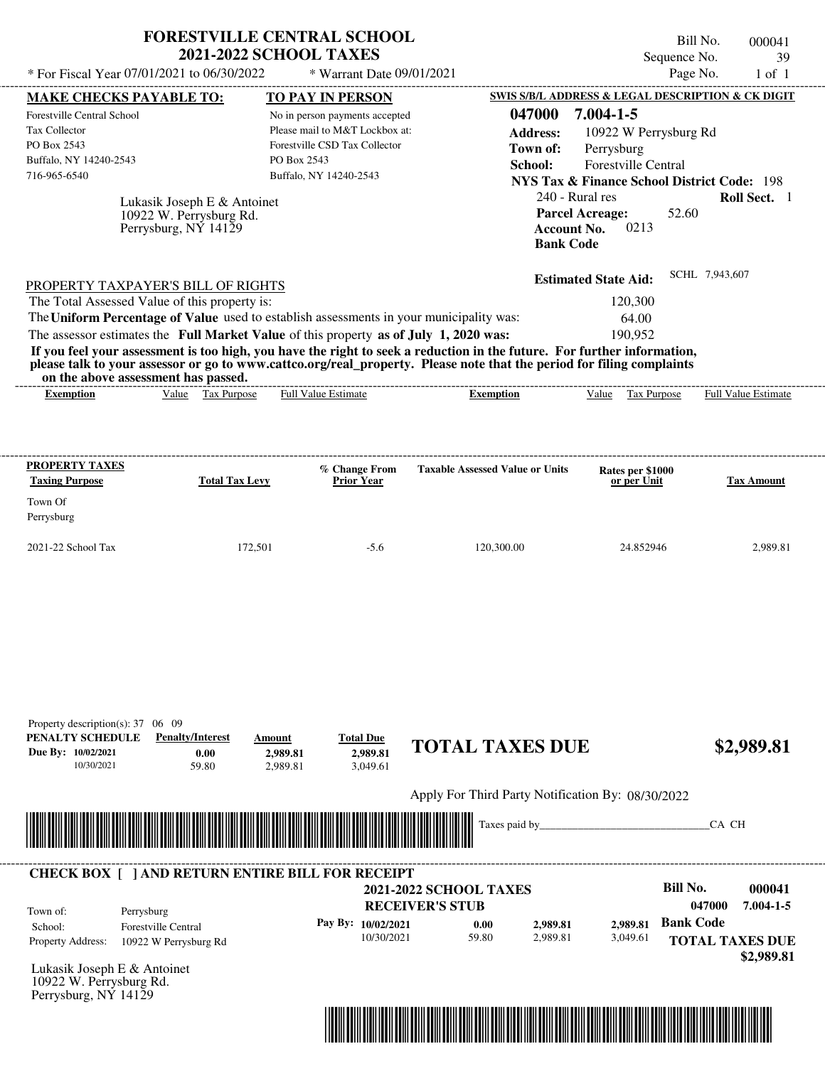| * For Fiscal Year 07/01/2021 to 06/30/2022                                                              |                                                                                | <b>FORESTVILLE CENTRAL SCHOOL</b><br><b>2021-2022 SCHOOL TAXES</b><br>* Warrant Date 09/01/2021                                                                                  |                                                                                                                                                                                                                                                                      | Bill No.<br>Sequence No.<br>Page No.                                                                                                                                                                  | 000041<br>39<br>$1$ of $1$                                    |
|---------------------------------------------------------------------------------------------------------|--------------------------------------------------------------------------------|----------------------------------------------------------------------------------------------------------------------------------------------------------------------------------|----------------------------------------------------------------------------------------------------------------------------------------------------------------------------------------------------------------------------------------------------------------------|-------------------------------------------------------------------------------------------------------------------------------------------------------------------------------------------------------|---------------------------------------------------------------|
| <b>MAKE CHECKS PAYABLE TO:</b>                                                                          |                                                                                | <b>TO PAY IN PERSON</b>                                                                                                                                                          |                                                                                                                                                                                                                                                                      | SWIS S/B/L ADDRESS & LEGAL DESCRIPTION & CK DIGIT                                                                                                                                                     |                                                               |
| Forestville Central School<br>Tax Collector<br>PO Box 2543<br>Buffalo, NY 14240-2543<br>716-965-6540    | Lukasik Joseph E & Antoinet<br>10922 W. Perrysburg Rd.<br>Perrysburg, NY 14129 | No in person payments accepted<br>Please mail to M&T Lockbox at:<br>Forestville CSD Tax Collector<br>PO Box 2543<br>Buffalo, NY 14240-2543                                       | 047000<br><b>Address:</b><br>Town of:<br>School:<br><b>Account No.</b>                                                                                                                                                                                               | $7.004 - 1 - 5$<br>10922 W Perrysburg Rd<br>Perrysburg<br>Forestville Central<br><b>NYS Tax &amp; Finance School District Code: 198</b><br>240 - Rural res<br><b>Parcel Acreage:</b><br>52.60<br>0213 | Roll Sect. 1                                                  |
| PROPERTY TAXPAYER'S BILL OF RIGHTS<br>The Total Assessed Value of this property is:                     |                                                                                | The Uniform Percentage of Value used to establish assessments in your municipality was:<br>The assessor estimates the Full Market Value of this property as of July 1, 2020 was: | <b>Bank Code</b><br>If you feel your assessment is too high, you have the right to seek a reduction in the future. For further information,<br>please talk to your assessor or go to www.cattco.org/real_property. Please note that the period for filing complaints | <b>Estimated State Aid:</b><br>120,300<br>64.00<br>190,952                                                                                                                                            | SCHL 7,943,607                                                |
| on the above assessment has passed.<br><b>Exemption</b>                                                 | Value Tax Purpose                                                              | Full Value Estimate                                                                                                                                                              | <b>Exemption</b>                                                                                                                                                                                                                                                     | Value Tax Purpose                                                                                                                                                                                     | <b>Full Value Estimate</b>                                    |
| <b>PROPERTY TAXES</b><br><b>Taxing Purpose</b><br>Town Of<br>Perrysburg<br>2021-22 School Tax           | <b>Total Tax Levy</b><br>172,501                                               | % Change From<br>Prior Year<br>$-5.6$                                                                                                                                            | <b>Taxable Assessed Value or Units</b><br>120,300.00                                                                                                                                                                                                                 | Rates per \$1000<br>or per Unit<br>24.852946                                                                                                                                                          | <b>Tax Amount</b><br>2,989.81                                 |
| Property description(s): $37 \quad 06 \quad 09$<br>PENALTY SCHEDULE<br>Due By: 10/02/2021<br>10/30/2021 | <b>Penalty/Interest</b><br>0.00<br>59.80                                       | <b>Total Due</b><br>Amount<br>2.989.81<br>2,989.81<br>3,049.61<br>2,989.81                                                                                                       | <b>TOTAL TAXES DUE</b>                                                                                                                                                                                                                                               |                                                                                                                                                                                                       | \$2,989.81                                                    |
|                                                                                                         |                                                                                |                                                                                                                                                                                  | Apply For Third Party Notification By: 08/30/2022                                                                                                                                                                                                                    |                                                                                                                                                                                                       |                                                               |
|                                                                                                         |                                                                                |                                                                                                                                                                                  | Taxes paid by_                                                                                                                                                                                                                                                       |                                                                                                                                                                                                       | CA CH                                                         |
|                                                                                                         |                                                                                | <b>CHECK BOX [ ] AND RETURN ENTIRE BILL FOR RECEIPT</b>                                                                                                                          |                                                                                                                                                                                                                                                                      |                                                                                                                                                                                                       |                                                               |
| Town of:<br>Perrysburg<br>School:<br>Property Address:                                                  | Forestville Central<br>10922 W Perrysburg Rd                                   | Pay By: 10/02/2021<br>10/30/2021                                                                                                                                                 | 2021-2022 SCHOOL TAXES<br><b>RECEIVER'S STUB</b><br>0.00<br>2,989.81<br>59.80<br>2,989.81                                                                                                                                                                            | <b>Bill No.</b><br><b>Bank Code</b><br>2.989.81<br>3,049.61                                                                                                                                           | 000041<br>047000<br>$7.004 - 1 - 5$<br><b>TOTAL TAXES DUE</b> |

Lukasik Joseph E & Antoinet 10922 W. Perrysburg Rd. Perrysburg, NY 14129



 **\$2,989.81**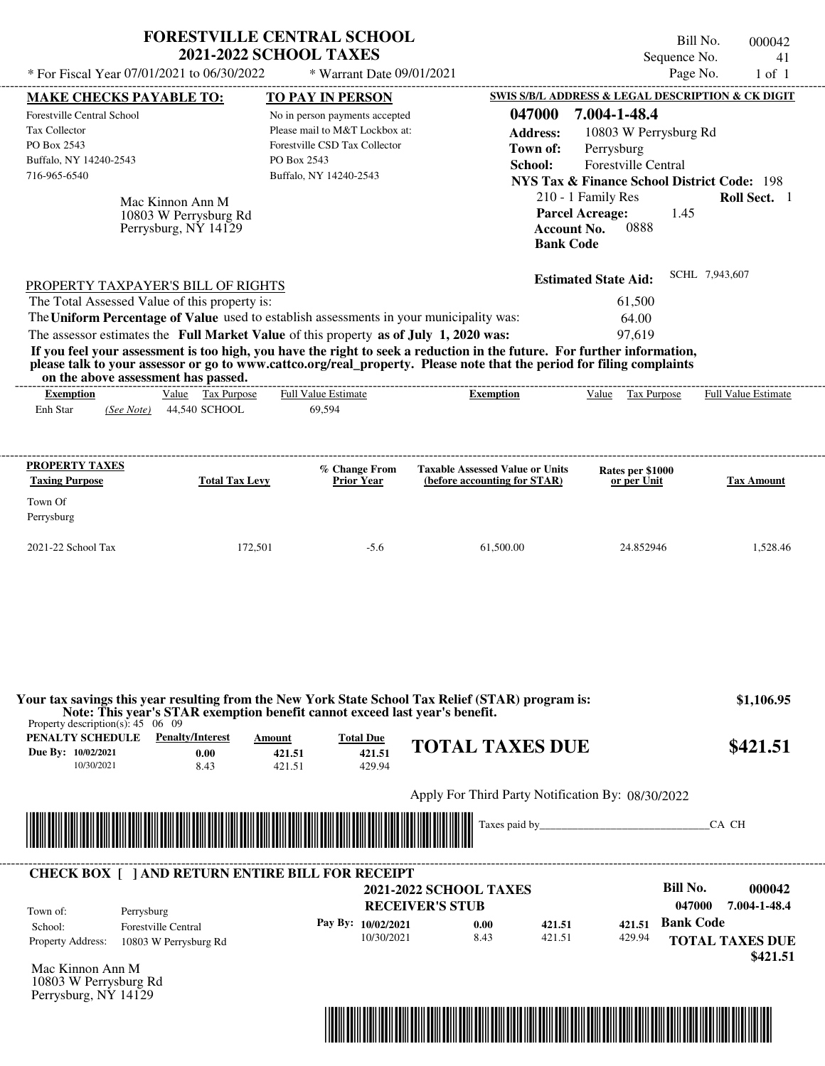|                                                                                                                                                                                                                                                                                                                                                                                  | <b>FORESTVILLE CENTRAL SCHOOL</b><br><b>2021-2022 SCHOOL TAXES</b>                                                                         |                                                                      |                                                                                                                                                          | Bill No.<br>000042<br>Sequence No.<br>41                                       |
|----------------------------------------------------------------------------------------------------------------------------------------------------------------------------------------------------------------------------------------------------------------------------------------------------------------------------------------------------------------------------------|--------------------------------------------------------------------------------------------------------------------------------------------|----------------------------------------------------------------------|----------------------------------------------------------------------------------------------------------------------------------------------------------|--------------------------------------------------------------------------------|
| * For Fiscal Year 07/01/2021 to 06/30/2022                                                                                                                                                                                                                                                                                                                                       | * Warrant Date 09/01/2021                                                                                                                  |                                                                      |                                                                                                                                                          | Page No.<br>$1$ of $1$                                                         |
| <b>MAKE CHECKS PAYABLE TO:</b>                                                                                                                                                                                                                                                                                                                                                   | TO PAY IN PERSON                                                                                                                           |                                                                      |                                                                                                                                                          | SWIS S/B/L ADDRESS & LEGAL DESCRIPTION & CK DIGIT                              |
| Forestville Central School<br><b>Tax Collector</b><br>PO Box 2543<br>Buffalo, NY 14240-2543<br>716-965-6540<br>Mac Kinnon Ann M<br>10803 W Perrysburg Rd<br>Perrysburg, NY 14129                                                                                                                                                                                                 | No in person payments accepted<br>Please mail to M&T Lockbox at:<br>Forestville CSD Tax Collector<br>PO Box 2543<br>Buffalo, NY 14240-2543 | 047000<br><b>Address:</b><br>Town of:<br>School:<br><b>Bank Code</b> | 7.004-1-48.4<br>10803 W Perrysburg Rd<br>Perrysburg<br>Forestville Central<br>210 - 1 Family Res<br><b>Parcel Acreage:</b><br>0888<br><b>Account No.</b> | <b>NYS Tax &amp; Finance School District Code: 198</b><br>Roll Sect. 1<br>1.45 |
| PROPERTY TAXPAYER'S BILL OF RIGHTS                                                                                                                                                                                                                                                                                                                                               |                                                                                                                                            |                                                                      | <b>Estimated State Aid:</b>                                                                                                                              | SCHL 7,943,607                                                                 |
| The Total Assessed Value of this property is:                                                                                                                                                                                                                                                                                                                                    |                                                                                                                                            |                                                                      | 61,500                                                                                                                                                   |                                                                                |
| The Uniform Percentage of Value used to establish assessments in your municipality was:                                                                                                                                                                                                                                                                                          |                                                                                                                                            |                                                                      | 64.00                                                                                                                                                    |                                                                                |
| The assessor estimates the Full Market Value of this property as of July 1, 2020 was:<br>If you feel your assessment is too high, you have the right to seek a reduction in the future. For further information,<br>please talk to your assessor or go to www.cattco.org/real_property. Please note that the period for filing complaints<br>on the above assessment has passed. |                                                                                                                                            |                                                                      | 97,619                                                                                                                                                   |                                                                                |
| Value Tax Purpose<br><b>Exemption</b>                                                                                                                                                                                                                                                                                                                                            | <b>Full Value Estimate</b>                                                                                                                 | <b>Exemption</b>                                                     | Value Tax Purpose                                                                                                                                        | Full Value Estimate                                                            |
| Enh Star<br>44,540 SCHOOL<br>(See Note)                                                                                                                                                                                                                                                                                                                                          | 69,594                                                                                                                                     |                                                                      |                                                                                                                                                          |                                                                                |
| <b>PROPERTY TAXES</b>                                                                                                                                                                                                                                                                                                                                                            | % Change From                                                                                                                              | <b>Taxable Assessed Value or Units</b>                               | Rates per \$1000                                                                                                                                         |                                                                                |
| <b>Taxing Purpose</b><br><b>Total Tax Levy</b>                                                                                                                                                                                                                                                                                                                                   | <b>Prior Year</b>                                                                                                                          | (before accounting for STAR)                                         | or per Unit                                                                                                                                              | <b>Tax Amount</b>                                                              |
| Town Of<br>Perrysburg                                                                                                                                                                                                                                                                                                                                                            |                                                                                                                                            |                                                                      |                                                                                                                                                          |                                                                                |
| 2021-22 School Tax<br>172,501                                                                                                                                                                                                                                                                                                                                                    | $-5.6$                                                                                                                                     | 61,500.00                                                            | 24.852946                                                                                                                                                | 1,528.46                                                                       |
| Your tax savings this year resulting from the New York State School Tax Relief (STAR) program is:<br>Note: This year's STAR exemption benefit cannot exceed last year's benefit.<br>Property description(s): $45 \quad 06 \quad 09$<br><b>PENALTY SCHEDULE</b> Penalty/Interest<br>Due By: 10/02/2021<br>0.00<br>10/30/2021<br>8.43                                              | <b>Total Due</b><br>Amount<br>421.51<br>421.51<br>421.51<br>429.94                                                                         | <b>TOTAL TAXES DUE</b>                                               |                                                                                                                                                          | \$1,106.95<br>\$421.51                                                         |
|                                                                                                                                                                                                                                                                                                                                                                                  |                                                                                                                                            | Apply For Third Party Notification By: 08/30/2022                    |                                                                                                                                                          |                                                                                |
|                                                                                                                                                                                                                                                                                                                                                                                  |                                                                                                                                            |                                                                      | Taxes paid by                                                                                                                                            | CA CH                                                                          |
| <b>CHECK BOX [ ] AND RETURN ENTIRE BILL FOR RECEIPT</b>                                                                                                                                                                                                                                                                                                                          |                                                                                                                                            |                                                                      |                                                                                                                                                          |                                                                                |
|                                                                                                                                                                                                                                                                                                                                                                                  |                                                                                                                                            | <b>2021-2022 SCHOOL TAXES</b>                                        |                                                                                                                                                          | <b>Bill No.</b><br>000042<br>047000                                            |
| Town of:<br>Perrysburg                                                                                                                                                                                                                                                                                                                                                           |                                                                                                                                            | <b>RECEIVER'S STUB</b>                                               |                                                                                                                                                          | 7.004-1-48.4<br><b>Bank Code</b>                                               |
| <b>Forestville Central</b><br>School:<br>Property Address:<br>10803 W Perrysburg Rd                                                                                                                                                                                                                                                                                              | Pay By: 10/02/2021<br>10/30/2021                                                                                                           | 421.51<br>0.00<br>8.43<br>421.51                                     | 421.51<br>429.94                                                                                                                                         | <b>TOTAL TAXES DUE</b>                                                         |
| Mac Kinnon Ann M<br>10803 W Perrysburg Rd                                                                                                                                                                                                                                                                                                                                        |                                                                                                                                            |                                                                      |                                                                                                                                                          | \$421.51                                                                       |

Perrysburg, NY 14129

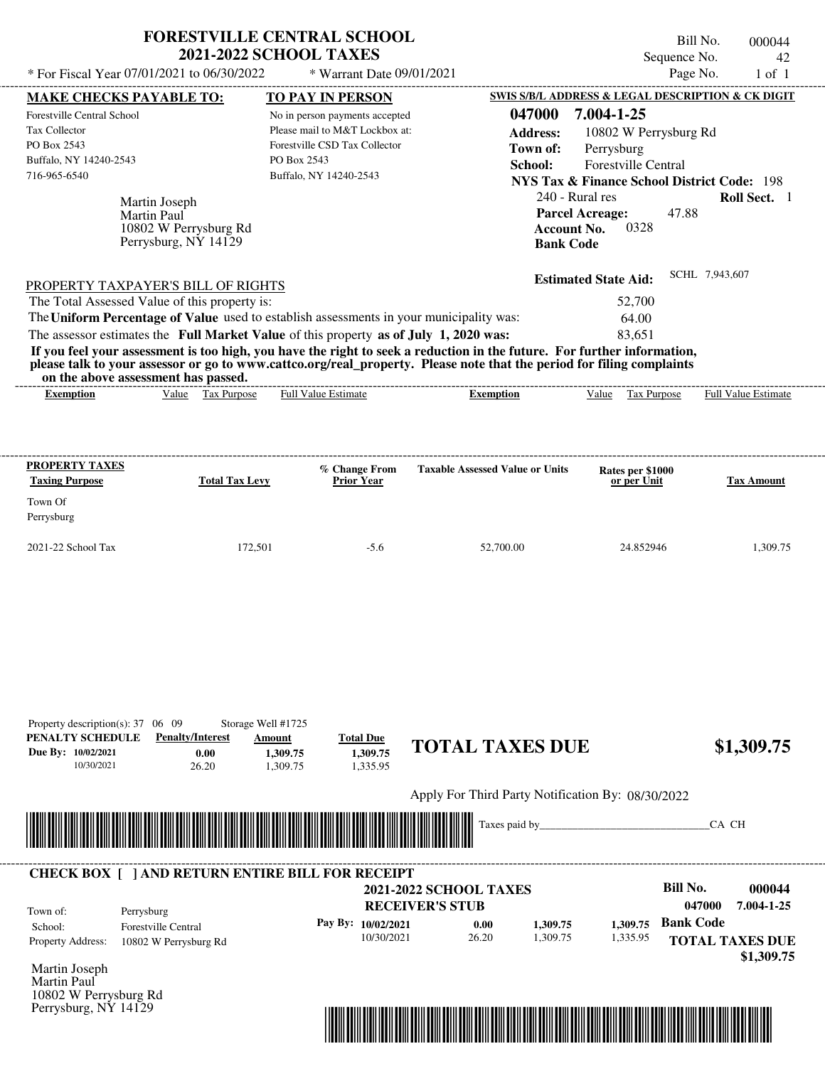| * For Fiscal Year 07/01/2021 to 06/30/2022                                                                                                                                                                                                                                                                                                                                                                                                                                                                                                                         | <b>FORESTVILLE CENTRAL SCHOOL</b><br><b>2021-2022 SCHOOL TAXES</b><br>* Warrant Date 09/01/2021                                                                |                                                  | Sequence No.<br>Page No.                                                                                                                                                                                                                                                                               | Bill No.<br>000044<br>42<br>$1$ of $1$ |
|--------------------------------------------------------------------------------------------------------------------------------------------------------------------------------------------------------------------------------------------------------------------------------------------------------------------------------------------------------------------------------------------------------------------------------------------------------------------------------------------------------------------------------------------------------------------|----------------------------------------------------------------------------------------------------------------------------------------------------------------|--------------------------------------------------|--------------------------------------------------------------------------------------------------------------------------------------------------------------------------------------------------------------------------------------------------------------------------------------------------------|----------------------------------------|
| <b>MAKE CHECKS PAYABLE TO:</b><br><b>Forestville Central School</b><br><b>Tax Collector</b><br>PO Box 2543<br>Buffalo, NY 14240-2543<br>716-965-6540<br>Martin Joseph<br>Martin Paul<br>10802 W Perrysburg Rd<br>Perrysburg, NY 14129                                                                                                                                                                                                                                                                                                                              | TO PAY IN PERSON<br>No in person payments accepted<br>Please mail to M&T Lockbox at:<br>Forestville CSD Tax Collector<br>PO Box 2543<br>Buffalo, NY 14240-2543 | 047000<br><b>Address:</b><br>Town of:<br>School: | SWIS S/B/L ADDRESS & LEGAL DESCRIPTION & CK DIGIT<br>7.004-1-25<br>10802 W Perrysburg Rd<br>Perrysburg<br><b>Forestville Central</b><br><b>NYS Tax &amp; Finance School District Code: 198</b><br>240 - Rural res<br>47.88<br><b>Parcel Acreage:</b><br>0328<br><b>Account No.</b><br><b>Bank Code</b> | Roll Sect. 1                           |
| PROPERTY TAXPAYER'S BILL OF RIGHTS<br>The Total Assessed Value of this property is:<br>The Uniform Percentage of Value used to establish assessments in your municipality was:<br>The assessor estimates the Full Market Value of this property as of July 1, 2020 was:<br>If you feel your assessment is too high, you have the right to seek a reduction in the future. For further information,<br>please talk to your assessor or go to www.cattco.org/real_property. Please note that the period for filing complaints<br>on the above assessment has passed. |                                                                                                                                                                |                                                  | <b>Estimated State Aid:</b><br>52,700<br>64.00<br>83.651                                                                                                                                                                                                                                               | SCHL 7,943,607                         |
| Value Tax Purpose<br><b>Exemption</b>                                                                                                                                                                                                                                                                                                                                                                                                                                                                                                                              | <b>Full Value Estimate</b>                                                                                                                                     | <b>Exemption</b>                                 | Value<br>Tax Purpose                                                                                                                                                                                                                                                                                   | <b>Full Value Estimate</b>             |
| PROPERTY TAXES<br><b>Taxing Purpose</b><br>Town Of<br>Perrysburg                                                                                                                                                                                                                                                                                                                                                                                                                                                                                                   | % Change From<br><b>Total Tax Levy</b><br><b>Prior Year</b>                                                                                                    | <b>Taxable Assessed Value or Units</b>           | Rates per \$1000<br>or per Unit                                                                                                                                                                                                                                                                        | <b>Tax Amount</b>                      |
| 2021-22 School Tax                                                                                                                                                                                                                                                                                                                                                                                                                                                                                                                                                 | 172.501<br>$-5.6$                                                                                                                                              | 52.700.00                                        | 24.852946                                                                                                                                                                                                                                                                                              | 1.309.75                               |

| Property description(s): $37 \quad 06 \quad 09$<br>PENALTY SCHEDULE<br>Due By: 10/02/2021<br>10/30/2021 | <b>Penalty/Interest</b><br>0.00<br>26.20                | Storage Well #1725<br>Amount<br>1,309.75<br>1,309.75                                                                 | <b>Total Due</b><br>1,309.75<br>1,335.95 | <b>TOTAL TAXES DUE</b>                                  |                        |          |                           | \$1,309.75                           |
|---------------------------------------------------------------------------------------------------------|---------------------------------------------------------|----------------------------------------------------------------------------------------------------------------------|------------------------------------------|---------------------------------------------------------|------------------------|----------|---------------------------|--------------------------------------|
|                                                                                                         |                                                         |                                                                                                                      |                                          | Apply For Third Party Notification By: 08/30/2022       |                        |          |                           |                                      |
|                                                                                                         |                                                         | <u> Tanzania di Baratta di Baratta di Baratta di Baratta di Baratta di Baratta di Baratta di Baratta di Baratta </u> |                                          |                                                         | Taxes paid by_________ |          |                           | CA CH                                |
|                                                                                                         |                                                         |                                                                                                                      |                                          |                                                         |                        |          |                           |                                      |
|                                                                                                         | <b>CHECK BOX [ ] AND RETURN ENTIRE BILL FOR RECEIPT</b> |                                                                                                                      |                                          |                                                         |                        |          |                           |                                      |
|                                                                                                         |                                                         |                                                                                                                      |                                          | <b>2021-2022 SCHOOL TAXES</b><br><b>RECEIVER'S STUB</b> |                        |          | <b>Bill No.</b><br>047000 | 000044<br>7.004-1-25                 |
| Town of:<br>School:                                                                                     | Perrysburg<br><b>Forestville Central</b>                |                                                                                                                      | Pay By: 10/02/2021                       | 0.00                                                    | 1,309.75               | 1,309.75 | <b>Bank Code</b>          |                                      |
| Property Address:                                                                                       | 10802 W Perrysburg Rd                                   |                                                                                                                      | 10/30/2021                               | 26.20                                                   | 1,309.75               | 1,335.95 |                           | <b>TOTAL TAXES DUE</b><br>\$1,309.75 |
| Martin Joseph<br><b>Martin Paul</b><br>10802 W Perrysburg Rd                                            | Perrysburg, NY 14129                                    |                                                                                                                      |                                          |                                                         |                        |          |                           |                                      |

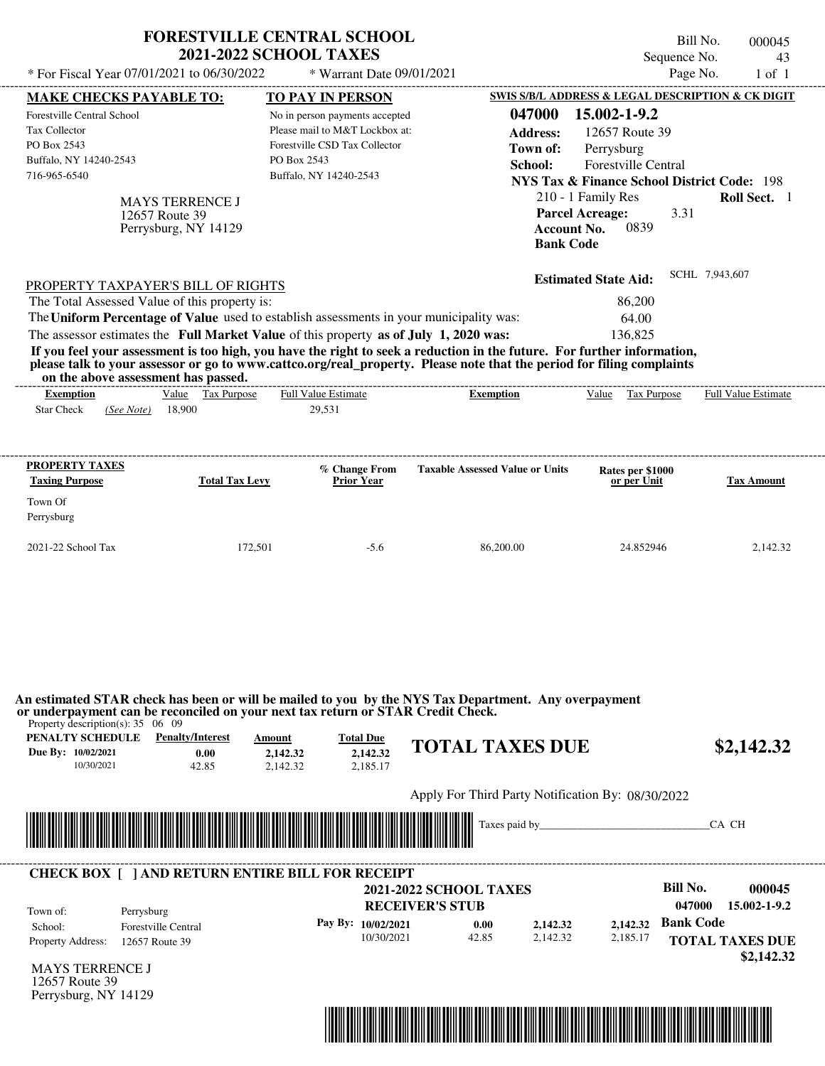| * For Fiscal Year 07/01/2021 to 06/30/2022                                                                  |                                                                  | <b>2021-2022 SCHOOL TAXES</b>                                                                                                              | <b>FORESTVILLE CENTRAL SCHOOL</b>                                                          | Bill No.<br>Sequence No.                                                                                                                                                                             | 000045<br>43               |
|-------------------------------------------------------------------------------------------------------------|------------------------------------------------------------------|--------------------------------------------------------------------------------------------------------------------------------------------|--------------------------------------------------------------------------------------------|------------------------------------------------------------------------------------------------------------------------------------------------------------------------------------------------------|----------------------------|
| <b>MAKE CHECKS PAYABLE TO:</b>                                                                              |                                                                  | * Warrant Date 09/01/2021                                                                                                                  |                                                                                            | Page No.                                                                                                                                                                                             | $1$ of $1$                 |
|                                                                                                             |                                                                  | TO PAY IN PERSON                                                                                                                           |                                                                                            | SWIS S/B/L ADDRESS & LEGAL DESCRIPTION & CK DIGIT                                                                                                                                                    |                            |
| Forestville Central School<br><b>Tax Collector</b><br>PO Box 2543<br>Buffalo, NY 14240-2543<br>716-965-6540 | <b>MAYS TERRENCE J</b><br>12657 Route 39<br>Perrysburg, NY 14129 | No in person payments accepted<br>Please mail to M&T Lockbox at:<br>Forestville CSD Tax Collector<br>PO Box 2543<br>Buffalo, NY 14240-2543 | 047000<br><b>Address:</b><br>Town of:<br>School:<br><b>Account No.</b><br><b>Bank Code</b> | 15.002-1-9.2<br>12657 Route 39<br>Perrysburg<br><b>Forestville Central</b><br><b>NYS Tax &amp; Finance School District Code: 198</b><br>210 - 1 Family Res<br><b>Parcel Acreage:</b><br>3.31<br>0839 | Roll Sect. 1               |
| PROPERTY TAXPAYER'S BILL OF RIGHTS                                                                          |                                                                  |                                                                                                                                            |                                                                                            | <b>Estimated State Aid:</b>                                                                                                                                                                          | SCHL 7,943,607             |
| The Total Assessed Value of this property is:                                                               |                                                                  |                                                                                                                                            |                                                                                            | 86,200                                                                                                                                                                                               |                            |
|                                                                                                             |                                                                  | The Uniform Percentage of Value used to establish assessments in your municipality was:                                                    |                                                                                            | 64.00                                                                                                                                                                                                |                            |
|                                                                                                             |                                                                  | The assessor estimates the Full Market Value of this property as of July 1, 2020 was:                                                      |                                                                                            | 136,825                                                                                                                                                                                              |                            |
| <b>Exemption</b><br><b>Star Check</b><br>(See Note)                                                         | Value Tax Purpose<br>18,900                                      | <b>Full Value Estimate</b><br>29,531                                                                                                       | <b>Exemption</b>                                                                           | Value Tax Purpose                                                                                                                                                                                    | <b>Full Value Estimate</b> |
| <b>PROPERTY TAXES</b><br><b>Taxing Purpose</b>                                                              | <b>Total Tax Levy</b>                                            | % Change From<br><b>Prior Year</b>                                                                                                         | <b>Taxable Assessed Value or Units</b>                                                     | Rates per \$1000<br>or per Unit                                                                                                                                                                      | <b>Tax Amount</b>          |
| Town Of<br>Perrysburg                                                                                       |                                                                  |                                                                                                                                            |                                                                                            |                                                                                                                                                                                                      |                            |
|                                                                                                             |                                                                  |                                                                                                                                            |                                                                                            |                                                                                                                                                                                                      |                            |

Taxes paid by\_\_\_\_\_\_\_\_\_\_\_\_\_\_\_\_\_\_\_\_\_\_\_\_\_\_\_\_\_\_\_CA CH \*04700000004500000000214232\*

MAYS TERRENCE J **RECEIVER'S STUB Bill No. 000045 Pay By:** 10/02/2021 **b** 0.00 **c** 2,142.32 **b** 2,142.32 **Bank Code** Property Address: 12657 Route 39 Perrysburg School: Forestville Central **TOTAL TAXES DUE \$2,142.32 2021-2022 SCHOOL TAXES 047000 15.002-1-9.2** 10/30/2021 42.85 **0.00** 2,142.32 **2,142.32** 2,185.17 **2,142.32** Town of: ---------------------------------------------------------------------------------------------------------------------------------------------------------------------------------------------------- **CHECK BOX [ ] AND RETURN ENTIRE BILL FOR RECEIPT**

12657 Route 39 Perrysburg, NY 14129

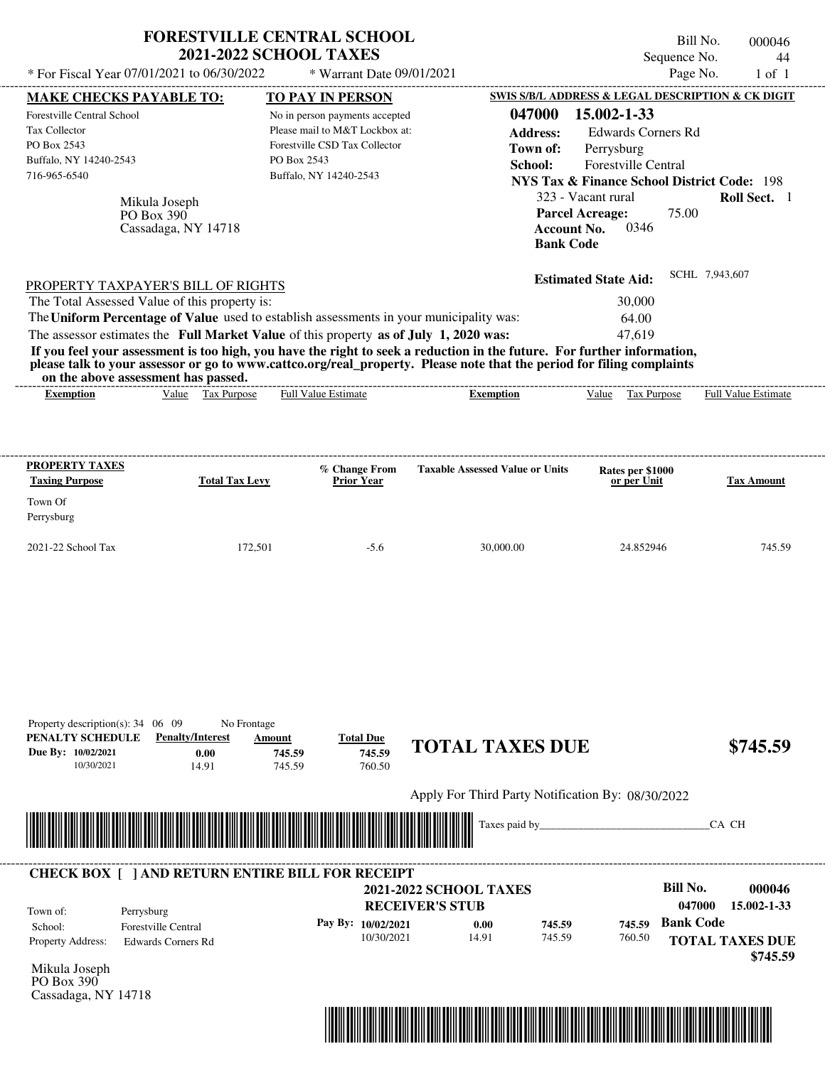| * For Fiscal Year 07/01/2021 to 06/30/2022                                                                                                                                                                                                                                                                                                                                                                                                                                                                                                                         | <b>FORESTVILLE CENTRAL SCHOOL</b><br><b>2021-2022 SCHOOL TAXES</b><br>* Warrant Date 09/01/2021                                            |                                                                                              | Bill No.<br>Sequence No.<br>Page No.                                                                                                                                                                     | 000046<br>44<br>$1$ of $1$                                  |
|--------------------------------------------------------------------------------------------------------------------------------------------------------------------------------------------------------------------------------------------------------------------------------------------------------------------------------------------------------------------------------------------------------------------------------------------------------------------------------------------------------------------------------------------------------------------|--------------------------------------------------------------------------------------------------------------------------------------------|----------------------------------------------------------------------------------------------|----------------------------------------------------------------------------------------------------------------------------------------------------------------------------------------------------------|-------------------------------------------------------------|
| <b>MAKE CHECKS PAYABLE TO:</b>                                                                                                                                                                                                                                                                                                                                                                                                                                                                                                                                     | <b>TO PAY IN PERSON</b>                                                                                                                    |                                                                                              | <b>SWIS S/B/L ADDRESS &amp; LEGAL DESCRIPTION &amp; CK DIGIT</b>                                                                                                                                         |                                                             |
| Forestville Central School<br><b>Tax Collector</b><br>PO Box 2543<br>Buffalo, NY 14240-2543<br>716-965-6540<br>Mikula Joseph<br>PO Box 390<br>Cassadaga, NY 14718                                                                                                                                                                                                                                                                                                                                                                                                  | No in person payments accepted<br>Please mail to M&T Lockbox at:<br>Forestville CSD Tax Collector<br>PO Box 2543<br>Buffalo, NY 14240-2543 | 047000<br><b>Address:</b><br>Town of:<br>School:<br><b>Account No.</b><br><b>Bank Code</b>   | 15.002-1-33<br><b>Edwards Corners Rd</b><br>Perrysburg<br>Forestville Central<br><b>NYS Tax &amp; Finance School District Code: 198</b><br>323 - Vacant rural<br><b>Parcel Acreage:</b><br>75.00<br>0346 | Roll Sect. 1                                                |
| PROPERTY TAXPAYER'S BILL OF RIGHTS<br>The Total Assessed Value of this property is:<br>The Uniform Percentage of Value used to establish assessments in your municipality was:<br>The assessor estimates the Full Market Value of this property as of July 1, 2020 was:<br>If you feel your assessment is too high, you have the right to seek a reduction in the future. For further information,<br>please talk to your assessor or go to www.cattco.org/real_property. Please note that the period for filing complaints<br>on the above assessment has passed. |                                                                                                                                            |                                                                                              | <b>Estimated State Aid:</b><br>30,000<br>64.00<br>47,619                                                                                                                                                 | SCHL 7,943,607                                              |
| Value Tax Purpose<br><b>Exemption</b>                                                                                                                                                                                                                                                                                                                                                                                                                                                                                                                              | <b>Full Value Estimate</b>                                                                                                                 | <b>Exemption</b>                                                                             | Value Tax Purpose                                                                                                                                                                                        | <b>Full Value Estimate</b>                                  |
| <b>PROPERTY TAXES</b><br><b>Taxing Purpose</b><br>Town Of<br>Perrysburg                                                                                                                                                                                                                                                                                                                                                                                                                                                                                            | % Change From<br><b>Total Tax Levy</b><br><b>Prior Year</b>                                                                                | <b>Taxable Assessed Value or Units</b>                                                       | Rates per \$1000<br>or per Unit                                                                                                                                                                          | <b>Tax Amount</b>                                           |
| 2021-22 School Tax                                                                                                                                                                                                                                                                                                                                                                                                                                                                                                                                                 | 172,501<br>$-5.6$                                                                                                                          | 30,000.00                                                                                    | 24.852946                                                                                                                                                                                                | 745.59                                                      |
| Property description(s): $34 \quad 06 \quad 09$<br>PENALTY SCHEDULE<br><b>Penalty/Interest</b><br>Due By: 10/02/2021<br>0.00<br>10/30/2021<br>14.91                                                                                                                                                                                                                                                                                                                                                                                                                | No Frontage<br><b>Total Due</b><br>Amount<br>745.59<br>745.59<br>745.59<br>760.50                                                          | <b>TOTAL TAXES DUE</b><br>Apply For Third Party Notification By: 08/30/2022                  |                                                                                                                                                                                                          | \$745.59                                                    |
|                                                                                                                                                                                                                                                                                                                                                                                                                                                                                                                                                                    |                                                                                                                                            | Taxes paid by                                                                                |                                                                                                                                                                                                          | CA CH                                                       |
| <b>CHECK BOX     AND RETURN ENTIRE BILL FOR RECEIPT</b><br>Town of:<br>Perrysburg<br><b>Forestville Central</b><br>School:<br><b>Property Address:</b><br><b>Edwards Corners Rd</b>                                                                                                                                                                                                                                                                                                                                                                                | Pay By: 10/02/2021<br>10/30/2021                                                                                                           | <b>2021-2022 SCHOOL TAXES</b><br><b>RECEIVER'S STUB</b><br>0.00<br>745.59<br>745.59<br>14.91 | <b>Bill No.</b><br>047000<br><b>Bank Code</b><br>745.59<br>760.50                                                                                                                                        | 000046<br>15.002-1-33<br><b>TOTAL TAXES DUE</b><br>\$745.59 |

Mikula Joseph PO Box 390 Cassadaga, NY 14718

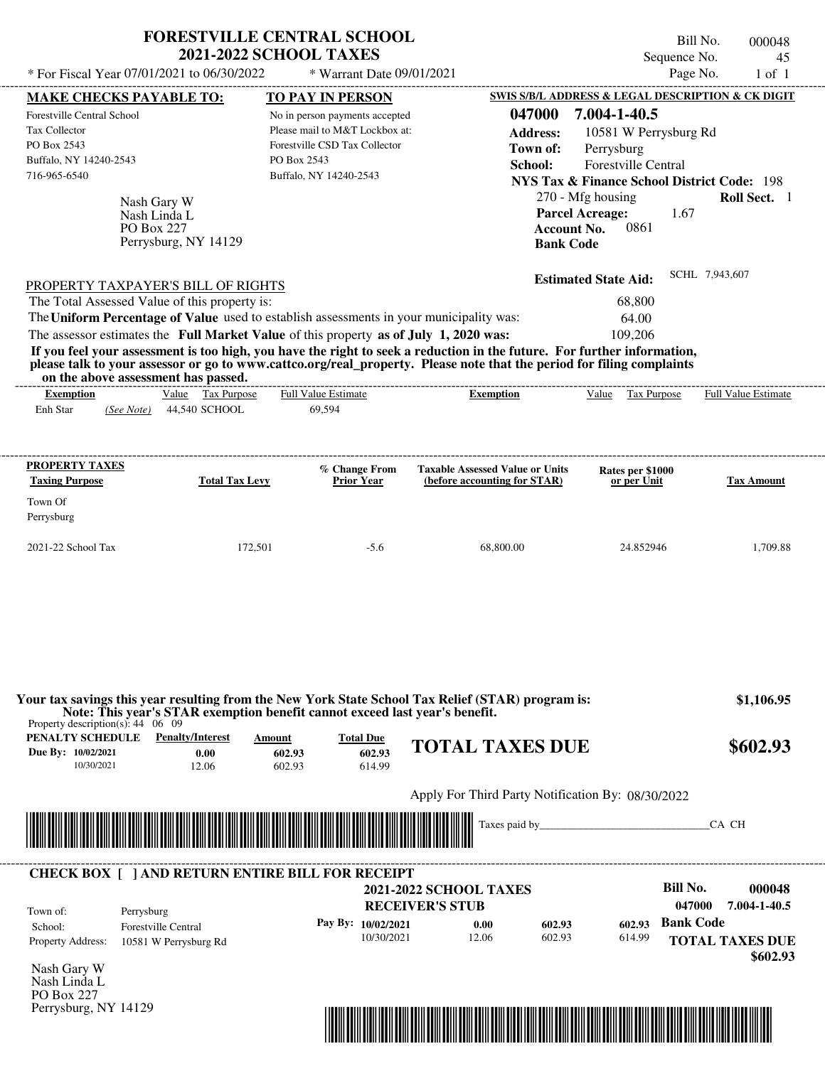|                                                                                                                                     |                                                     | <b>FORESTVILLE CENTRAL SCHOOL</b><br><b>2021-2022 SCHOOL TAXES</b>                                                                                                               |                                                                                                                                                                                                                                                  | Sequence No.                                                                                                                                                                                | Bill No.<br>000048<br>45 |
|-------------------------------------------------------------------------------------------------------------------------------------|-----------------------------------------------------|----------------------------------------------------------------------------------------------------------------------------------------------------------------------------------|--------------------------------------------------------------------------------------------------------------------------------------------------------------------------------------------------------------------------------------------------|---------------------------------------------------------------------------------------------------------------------------------------------------------------------------------------------|--------------------------|
| * For Fiscal Year 07/01/2021 to 06/30/2022                                                                                          |                                                     | * Warrant Date 09/01/2021                                                                                                                                                        |                                                                                                                                                                                                                                                  | Page No.                                                                                                                                                                                    | $1$ of $1$               |
| <b>MAKE CHECKS PAYABLE TO:</b>                                                                                                      |                                                     | <b>TO PAY IN PERSON</b>                                                                                                                                                          |                                                                                                                                                                                                                                                  | SWIS S/B/L ADDRESS & LEGAL DESCRIPTION & CK DIGIT                                                                                                                                           |                          |
| Forestville Central School<br>Tax Collector<br>PO Box 2543<br>Buffalo, NY 14240-2543<br>716-965-6540<br>Nash Gary W<br>Nash Linda L |                                                     | No in person payments accepted<br>Please mail to M&T Lockbox at:<br>Forestville CSD Tax Collector<br>PO Box 2543<br>Buffalo, NY 14240-2543                                       | 047000<br><b>Address:</b><br>Town of:<br>School:                                                                                                                                                                                                 | 7.004-1-40.5<br>10581 W Perrysburg Rd<br>Perrysburg<br>Forestville Central<br><b>NYS Tax &amp; Finance School District Code: 198</b><br>270 - Mfg housing<br><b>Parcel Acreage:</b><br>1.67 | Roll Sect. 1             |
| PO Box 227<br>PROPERTY TAXPAYER'S BILL OF RIGHTS<br>The Total Assessed Value of this property is:                                   | Perrysburg, NY 14129                                |                                                                                                                                                                                  |                                                                                                                                                                                                                                                  | 0861<br><b>Account No.</b><br><b>Bank Code</b><br><b>Estimated State Aid:</b><br>68,800                                                                                                     | SCHL 7,943,607           |
| on the above assessment has passed.                                                                                                 |                                                     | The Uniform Percentage of Value used to establish assessments in your municipality was:<br>The assessor estimates the Full Market Value of this property as of July 1, 2020 was: | If you feel your assessment is too high, you have the right to seek a reduction in the future. For further information,<br>please talk to your assessor or go to www.cattco.org/real_property. Please note that the period for filing complaints | 64.00<br>109,206                                                                                                                                                                            |                          |
| <b>Exemption</b><br>Enh Star<br>(See Note)                                                                                          | Value Tax Purpose<br>44,540 SCHOOL                  | Full Value Estimate<br>69,594                                                                                                                                                    | <b>Exemption</b>                                                                                                                                                                                                                                 | Value Tax Purpose                                                                                                                                                                           | Full Value Estimate      |
| PROPERTY TAXES                                                                                                                      |                                                     | % Change From                                                                                                                                                                    | <b>Taxable Assessed Value or Units</b>                                                                                                                                                                                                           | Rates per \$1000                                                                                                                                                                            |                          |
| <b>Taxing Purpose</b><br>Town Of<br>Perrysburg                                                                                      | <b>Total Tax Levy</b>                               | <b>Prior Year</b>                                                                                                                                                                | (before accounting for STAR)                                                                                                                                                                                                                     | or per Unit                                                                                                                                                                                 | <b>Tax Amount</b>        |
| 2021-22 School Tax                                                                                                                  | 172,501                                             | $-5.6$                                                                                                                                                                           | 68,800.00                                                                                                                                                                                                                                        | 24.852946                                                                                                                                                                                   | 1,709.88                 |
| Property description(s): $44 \quad 06 \quad 09$<br>PENALTY SCHEDULE                                                                 | <b>Penalty/Interest</b>                             | Note: This year's STAR exemption benefit cannot exceed last year's benefit.                                                                                                      | Your tax savings this year resulting from the New York State School Tax Relief (STAR) program is:                                                                                                                                                |                                                                                                                                                                                             | \$1,106.95               |
| Due By: 10/02/2021<br>10/30/2021                                                                                                    | 0.00<br>12.06                                       | <b>Total Due</b><br>Amount<br>602.93<br>602.93<br>602.93<br>614.99                                                                                                               | <b>TOTAL TAXES DUE</b>                                                                                                                                                                                                                           |                                                                                                                                                                                             | \$602.93                 |
|                                                                                                                                     |                                                     |                                                                                                                                                                                  | Apply For Third Party Notification By: 08/30/2022                                                                                                                                                                                                |                                                                                                                                                                                             |                          |
|                                                                                                                                     |                                                     |                                                                                                                                                                                  | Taxes paid by                                                                                                                                                                                                                                    |                                                                                                                                                                                             | CA CH                    |
|                                                                                                                                     |                                                     | <b>CHECK BOX [ ] AND RETURN ENTIRE BILL FOR RECEIPT</b>                                                                                                                          |                                                                                                                                                                                                                                                  |                                                                                                                                                                                             |                          |
| Town of:<br>Perrysburg<br>School:                                                                                                   |                                                     |                                                                                                                                                                                  | <b>2021-2022 SCHOOL TAXES</b><br><b>RECEIVER'S STUB</b>                                                                                                                                                                                          | <b>Bill No.</b><br>047000<br><b>Bank Code</b>                                                                                                                                               | 000048<br>7.004-1-40.5   |
|                                                                                                                                     | <b>Forestville Central</b><br>10581 W Perrysburg Rd | Pay By: 10/02/2021<br>10/30/2021                                                                                                                                                 | 602.93<br>0.00<br>12.06<br>602.93                                                                                                                                                                                                                | 602.93<br>614.99                                                                                                                                                                            | <b>TOTAL TAXES DUE</b>   |

Nash Gary W Nash Linda L PO Box 227 Perrysburg, NY 14129

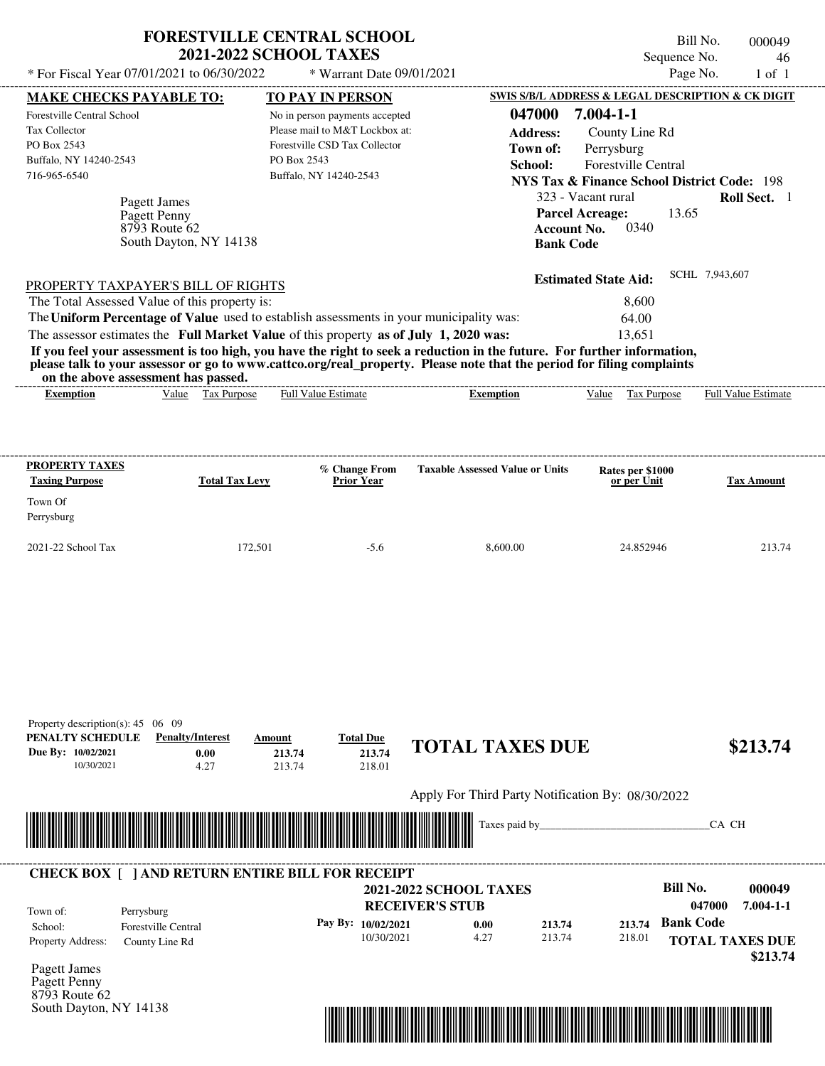|                                                                                                                                               |                                               |                        | <b>FORESTVILLE CENTRAL SCHOOL</b><br><b>2021-2022 SCHOOL TAXES</b><br>* For Fiscal Year 07/01/2021 to 06/30/2022 * Warrant Date 09/01/2021                                       |                                                                                                                                                                                                                                                  |                                                                                                                                                                                                                                                                                                    | Bill No.<br>Sequence No.<br>Page No. | 000049<br>46<br>$1$ of $1$ |  |
|-----------------------------------------------------------------------------------------------------------------------------------------------|-----------------------------------------------|------------------------|----------------------------------------------------------------------------------------------------------------------------------------------------------------------------------|--------------------------------------------------------------------------------------------------------------------------------------------------------------------------------------------------------------------------------------------------|----------------------------------------------------------------------------------------------------------------------------------------------------------------------------------------------------------------------------------------------------------------------------------------------------|--------------------------------------|----------------------------|--|
| <b>MAKE CHECKS PAYABLE TO:</b><br>Forestville Central School<br><b>Tax Collector</b><br>PO Box 2543<br>Buffalo, NY 14240-2543<br>716-965-6540 | Pagett James<br>Pagett Penny<br>8793 Route 62 | South Dayton, NY 14138 | TO PAY IN PERSON<br>No in person payments accepted<br>Please mail to M&T Lockbox at:<br>Forestville CSD Tax Collector<br>PO Box 2543<br>Buffalo, NY 14240-2543                   | 047000<br><b>Address:</b><br>Town of:<br>School:                                                                                                                                                                                                 | <b>SWIS S/B/L ADDRESS &amp; LEGAL DESCRIPTION &amp; CK DIGIT</b><br>$7.004 - 1 - 1$<br>County Line Rd<br>Perrysburg<br><b>Forestville Central</b><br>NYS Tax & Finance School District Code: 198<br>323 - Vacant rural<br><b>Parcel Acreage:</b><br>0340<br><b>Account No.</b><br><b>Bank Code</b> | 13.65                                | Roll Sect. 1               |  |
| PROPERTY TAXPAYER'S BILL OF RIGHTS<br>The Total Assessed Value of this property is:<br>on the above assessment has passed.                    |                                               |                        | The Uniform Percentage of Value used to establish assessments in your municipality was:<br>The assessor estimates the Full Market Value of this property as of July 1, 2020 was: | If you feel your assessment is too high, you have the right to seek a reduction in the future. For further information,<br>please talk to your assessor or go to www.cattco.org/real_property. Please note that the period for filing complaints | <b>Estimated State Aid:</b><br>8,600<br>64.00<br>13.651                                                                                                                                                                                                                                            | SCHL 7,943,607                       |                            |  |
| <b>Exemption</b>                                                                                                                              |                                               | Value Tax Purpose      | <b>Full Value Estimate</b>                                                                                                                                                       | <b>Exemption</b>                                                                                                                                                                                                                                 | Value Tax Purpose                                                                                                                                                                                                                                                                                  |                                      | <b>Full Value Estimate</b> |  |
| PROPERTY TAXES<br><b>Taxing Purpose</b>                                                                                                       |                                               | <b>Total Tax Levy</b>  | % Change From<br><b>Prior Year</b>                                                                                                                                               | <b>Taxable Assessed Value or Units</b>                                                                                                                                                                                                           | Rates per \$1000<br>or per Unit                                                                                                                                                                                                                                                                    |                                      | <b>Tax Amount</b>          |  |

2021-22 School Tax 172,501 -5.6 8,600.00 24.852946 213.74

| PENALTY SCHEDULE   | <b>Penalty/Interest</b>                                 | Amount                                                        | <b>Total Due</b>   |                                                   |        |        |                        |                 |
|--------------------|---------------------------------------------------------|---------------------------------------------------------------|--------------------|---------------------------------------------------|--------|--------|------------------------|-----------------|
| Due By: 10/02/2021 | 0.00                                                    | 213.74                                                        | 213.74             | <b>TOTAL TAXES DUE</b>                            |        |        |                        | \$213.74        |
| 10/30/2021         | 4.27                                                    | 213.74                                                        | 218.01             |                                                   |        |        |                        |                 |
|                    |                                                         |                                                               |                    | Apply For Third Party Notification By: 08/30/2022 |        |        |                        |                 |
|                    |                                                         |                                                               |                    |                                                   |        |        |                        |                 |
|                    | <b>IIII</b>                                             | <u> 1989 - Andrea Stadt British, fransk politik (d. 1989)</u> |                    | Taxes paid by                                     |        |        | CA CH                  |                 |
|                    |                                                         |                                                               |                    |                                                   |        |        |                        |                 |
|                    |                                                         |                                                               |                    |                                                   |        |        |                        |                 |
|                    | <b>CHECK BOX     AND RETURN ENTIRE BILL FOR RECEIPT</b> |                                                               |                    |                                                   |        |        |                        |                 |
|                    |                                                         |                                                               |                    | <b>2021-2022 SCHOOL TAXES</b>                     |        |        | Bill No.               | 000049          |
| Town of:           | Perrysburg                                              |                                                               |                    | <b>RECEIVER'S STUB</b>                            |        |        | 047000                 | $7.004 - 1 - 1$ |
| School:            | <b>Forestville Central</b>                              |                                                               | Pay By: 10/02/2021 | 0.00                                              | 213.74 | 213.74 | <b>Bank Code</b>       |                 |
| Property Address:  | County Line Rd                                          |                                                               | 10/30/2021         | 4.27                                              | 213.74 | 218.01 | <b>TOTAL TAXES DUE</b> |                 |
|                    |                                                         |                                                               |                    |                                                   |        |        |                        | \$213.74        |
| Pagett James       |                                                         |                                                               |                    |                                                   |        |        |                        |                 |
| Dagett Denny       |                                                         |                                                               |                    |                                                   |        |        |                        |                 |

Pagett Penny 8793 Route 62 South Dayton, NY 14138

Property description(s): 45 06 09

Town Of Perrysburg

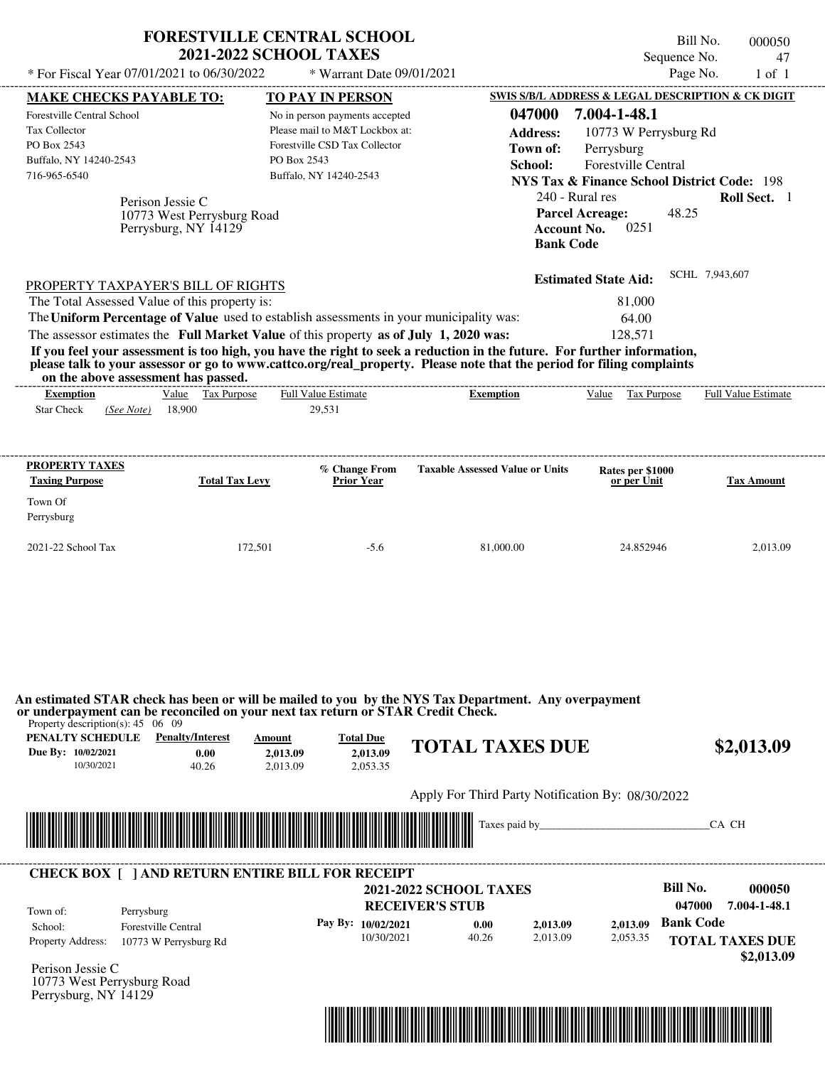|                                                                            | <b>2021-2022 SCHOOL TAXES</b>                                                           | <b>FORESTVILLE CENTRAL SCHOOL</b>            |                                                                                                                                           | Sequence No.                                                     | Bill No.<br>000050<br>47                                    |
|----------------------------------------------------------------------------|-----------------------------------------------------------------------------------------|----------------------------------------------|-------------------------------------------------------------------------------------------------------------------------------------------|------------------------------------------------------------------|-------------------------------------------------------------|
| * For Fiscal Year 07/01/2021 to 06/30/2022                                 |                                                                                         | * Warrant Date 09/01/2021                    |                                                                                                                                           | Page No.                                                         | $1$ of $1$                                                  |
| <b>MAKE CHECKS PAYABLE TO:</b>                                             |                                                                                         | <b>TO PAY IN PERSON</b>                      |                                                                                                                                           | <b>SWIS S/B/L ADDRESS &amp; LEGAL DESCRIPTION &amp; CK DIGIT</b> |                                                             |
| Forestville Central School                                                 |                                                                                         | No in person payments accepted               | 047000                                                                                                                                    | 7.004-1-48.1                                                     |                                                             |
| <b>Tax Collector</b>                                                       |                                                                                         | Please mail to M&T Lockbox at:               | <b>Address:</b>                                                                                                                           | 10773 W Perrysburg Rd                                            |                                                             |
| PO Box 2543                                                                |                                                                                         | Forestville CSD Tax Collector                | Town of:                                                                                                                                  | Perrysburg                                                       |                                                             |
| Buffalo, NY 14240-2543                                                     |                                                                                         | PO Box 2543                                  | School:                                                                                                                                   | <b>Forestville Central</b>                                       |                                                             |
| 716-965-6540                                                               |                                                                                         | Buffalo, NY 14240-2543                       |                                                                                                                                           | <b>NYS Tax &amp; Finance School District Code: 198</b>           |                                                             |
|                                                                            | Perison Jessie C                                                                        |                                              |                                                                                                                                           | 240 - Rural res                                                  | Roll Sect. 1                                                |
|                                                                            | 10773 West Perrysburg Road                                                              |                                              |                                                                                                                                           | <b>Parcel Acreage:</b><br>48.25                                  |                                                             |
|                                                                            | Perrysburg, NY 14129                                                                    |                                              | <b>Account No.</b>                                                                                                                        | 0251                                                             |                                                             |
|                                                                            |                                                                                         |                                              | <b>Bank Code</b>                                                                                                                          |                                                                  |                                                             |
|                                                                            |                                                                                         |                                              |                                                                                                                                           |                                                                  | SCHL 7,943,607                                              |
|                                                                            | PROPERTY TAXPAYER'S BILL OF RIGHTS                                                      |                                              |                                                                                                                                           | <b>Estimated State Aid:</b>                                      |                                                             |
|                                                                            | The Total Assessed Value of this property is:                                           |                                              |                                                                                                                                           | 81,000                                                           |                                                             |
|                                                                            | The Uniform Percentage of Value used to establish assessments in your municipality was: |                                              |                                                                                                                                           | 64.00                                                            |                                                             |
|                                                                            | The assessor estimates the Full Market Value of this property as of July 1, 2020 was:   |                                              |                                                                                                                                           | 128,571                                                          |                                                             |
|                                                                            |                                                                                         |                                              | If you feel your assessment is too high, you have the right to seek a reduction in the future. For further information,                   |                                                                  |                                                             |
| on the above assessment has passed.<br><b>Exemption</b>                    | Value Tax Purpose                                                                       | <b>Full Value Estimate</b>                   | please talk to your assessor or go to www.cattco.org/real_property. Please note that the period for filing complaints<br><b>Exemption</b> | Value<br>Tax Purpose                                             |                                                             |
| <b>Star Check</b><br>(See Note)<br>PROPERTY TAXES<br><b>Taxing Purpose</b> | 18,900<br><b>Total Tax Levy</b>                                                         | 29,531<br>% Change From<br><b>Prior Year</b> | <b>Taxable Assessed Value or Units</b>                                                                                                    | Rates per \$1000<br>or per Unit                                  |                                                             |
|                                                                            |                                                                                         |                                              |                                                                                                                                           |                                                                  |                                                             |
| Town Of<br>Perrysburg<br>2021-22 School Tax                                | 172,501                                                                                 | $-5.6$                                       | 81,000.00                                                                                                                                 | 24.852946                                                        | <b>Full Value Estimate</b><br><b>Tax Amount</b><br>2.013.09 |

**or underpayment can be reconciled on your next tax return or STAR Credit Check.**

Property description(s): 45 06 09

| PENALTY SCHEDULE   | <b>Penalty/Interest</b> | Amount   | <b>Total Due</b> |                        |            |
|--------------------|-------------------------|----------|------------------|------------------------|------------|
| Due By: 10/02/2021 | 0.00                    | 2.013.09 | 2.013.09         | <b>TOTAL TAXES DUE</b> | \$2,013.09 |
| 10/30/2021         | 40.26                   | 2.013.09 | 2.053.35         |                        |            |
|                    |                         |          |                  |                        |            |

Apply For Third Party Notification By: 08/30/2022



| Town of:                 | Perrysburg                 | <b>2021-2022 SCHOOL TAXES</b><br><b>RECEIVER'S STUB</b> |                      |       |          |          | Bill No.<br>047000 | 000050<br>7.004-1-48.1               |
|--------------------------|----------------------------|---------------------------------------------------------|----------------------|-------|----------|----------|--------------------|--------------------------------------|
| School:                  | <b>Forestville Central</b> |                                                         | Pay By: $10/02/2021$ | 0.00  | 2,013.09 | 2.013.09 | <b>Bank Code</b>   |                                      |
| <b>Property Address:</b> | 10773 W Perrysburg Rd      |                                                         | 10/30/2021           | 40.26 | 2,013.09 | 2,053.35 |                    | <b>TOTAL TAXES DUE</b><br>\$2,013.09 |

10773 West Perrysburg Road Perrysburg, NY 14129

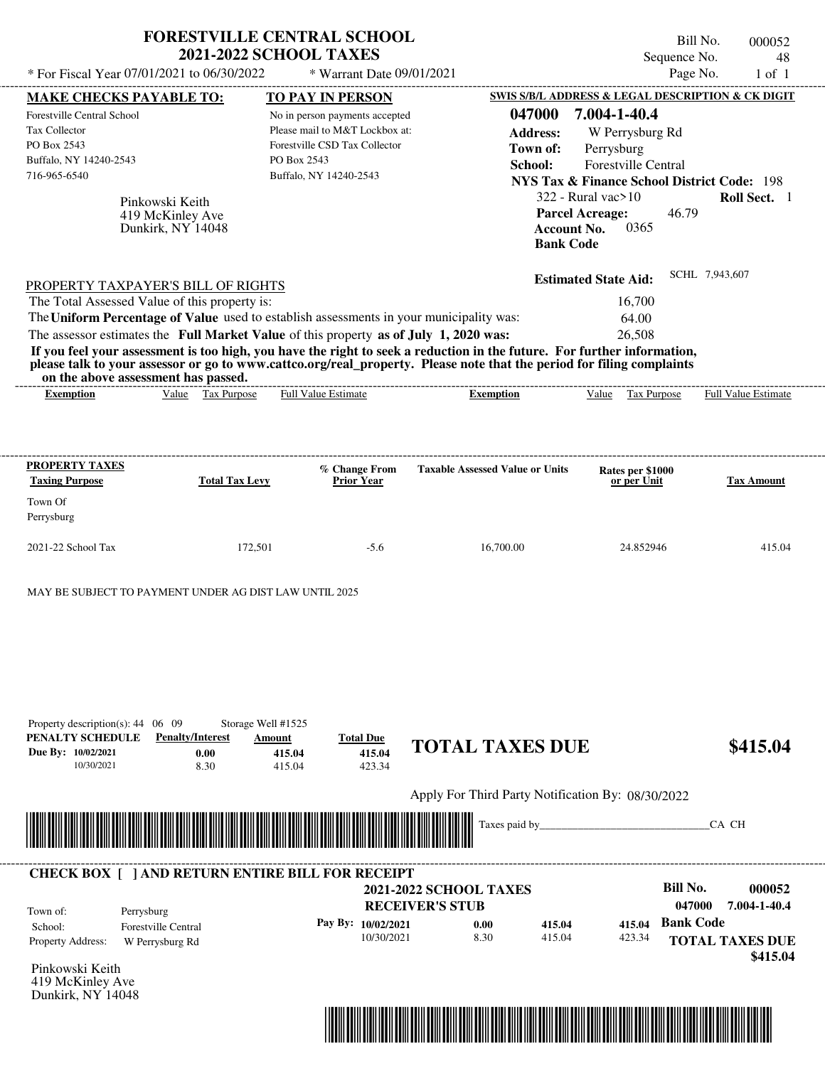|                                                                                                                                                                                                                                                                                                                                                                                                                                                                                                                                                                    |                                                          |                       |                                                  | <b>FORESTVILLE CENTRAL SCHOOL</b><br><b>2021-2022 SCHOOL TAXES</b>                                                                                     |                               |                                                                                                       |                                                                                                                                                                                     |                                                | Bill No.<br>Sequence No. |       | 000052<br>48        |
|--------------------------------------------------------------------------------------------------------------------------------------------------------------------------------------------------------------------------------------------------------------------------------------------------------------------------------------------------------------------------------------------------------------------------------------------------------------------------------------------------------------------------------------------------------------------|----------------------------------------------------------|-----------------------|--------------------------------------------------|--------------------------------------------------------------------------------------------------------------------------------------------------------|-------------------------------|-------------------------------------------------------------------------------------------------------|-------------------------------------------------------------------------------------------------------------------------------------------------------------------------------------|------------------------------------------------|--------------------------|-------|---------------------|
| * For Fiscal Year 07/01/2021 to 06/30/2022                                                                                                                                                                                                                                                                                                                                                                                                                                                                                                                         |                                                          |                       |                                                  | * Warrant Date 09/01/2021                                                                                                                              |                               |                                                                                                       |                                                                                                                                                                                     |                                                | Page No.                 |       | $1$ of $1$          |
| <b>MAKE CHECKS PAYABLE TO:</b><br>Forestville Central School<br>Tax Collector<br>PO Box 2543<br>Buffalo, NY 14240-2543<br>716-965-6540                                                                                                                                                                                                                                                                                                                                                                                                                             | Pinkowski Keith<br>419 McKinley Ave<br>Dunkirk, NY 14048 |                       | PO Box 2543                                      | <b>TO PAY IN PERSON</b><br>No in person payments accepted<br>Please mail to M&T Lockbox at:<br>Forestville CSD Tax Collector<br>Buffalo, NY 14240-2543 |                               | SWIS S/B/L ADDRESS & LEGAL DESCRIPTION & CK DIGIT<br>047000<br><b>Address:</b><br>Town of:<br>School: | 7.004-1-40.4<br>Perrysburg<br><b>NYS Tax &amp; Finance School District Code: 198</b><br>$322$ - Rural vac $>10$<br><b>Parcel Acreage:</b><br><b>Account No.</b><br><b>Bank Code</b> | W Perrysburg Rd<br>Forestville Central<br>0365 | 46.79                    |       | Roll Sect. 1        |
| PROPERTY TAXPAYER'S BILL OF RIGHTS<br>The Total Assessed Value of this property is:<br>The Uniform Percentage of Value used to establish assessments in your municipality was:<br>The assessor estimates the Full Market Value of this property as of July 1, 2020 was:<br>If you feel your assessment is too high, you have the right to seek a reduction in the future. For further information,<br>please talk to your assessor or go to www.cattco.org/real_property. Please note that the period for filing complaints<br>on the above assessment has passed. |                                                          |                       |                                                  |                                                                                                                                                        |                               |                                                                                                       | <b>Estimated State Aid:</b>                                                                                                                                                         | 16,700<br>64.00<br>26,508                      | SCHL 7,943,607           |       |                     |
| <b>Exemption</b>                                                                                                                                                                                                                                                                                                                                                                                                                                                                                                                                                   | Value                                                    | Tax Purpose           |                                                  | <b>Full Value Estimate</b>                                                                                                                             |                               | <b>Exemption</b>                                                                                      | $V$ alue                                                                                                                                                                            | Tax Purpose                                    |                          |       | Full Value Estimate |
| PROPERTY TAXES<br><b>Taxing Purpose</b>                                                                                                                                                                                                                                                                                                                                                                                                                                                                                                                            |                                                          | <b>Total Tax Levy</b> |                                                  | % Change From<br>Prior Year                                                                                                                            |                               | <b>Taxable Assessed Value or Units</b>                                                                |                                                                                                                                                                                     | Rates per \$1000<br>or per Unit                |                          |       | <b>Tax Amount</b>   |
| Town Of<br>Perrysburg                                                                                                                                                                                                                                                                                                                                                                                                                                                                                                                                              |                                                          |                       |                                                  |                                                                                                                                                        |                               |                                                                                                       |                                                                                                                                                                                     |                                                |                          |       |                     |
| 2021-22 School Tax                                                                                                                                                                                                                                                                                                                                                                                                                                                                                                                                                 |                                                          | 172,501               |                                                  | $-5.6$                                                                                                                                                 |                               | 16,700.00                                                                                             |                                                                                                                                                                                     | 24.852946                                      |                          |       | 415.04              |
| MAY BE SUBJECT TO PAYMENT UNDER AG DIST LAW UNTIL 2025<br>Property description(s): $44 \quad 06 \quad 09$<br>PENALTY SCHEDULE<br>Due By: 10/02/2021<br>10/30/2021                                                                                                                                                                                                                                                                                                                                                                                                  | <b>Penalty/Interest</b>                                  | 0.00<br>8.30          | Storage Well #1525<br>Amount<br>415.04<br>415.04 | <b>Total Due</b><br>415.04<br>423.34                                                                                                                   |                               | <b>TOTAL TAXES DUE</b>                                                                                |                                                                                                                                                                                     |                                                |                          |       | \$415.04            |
|                                                                                                                                                                                                                                                                                                                                                                                                                                                                                                                                                                    |                                                          |                       |                                                  |                                                                                                                                                        |                               | Apply For Third Party Notification By: 08/30/2022                                                     |                                                                                                                                                                                     |                                                |                          |       |                     |
|                                                                                                                                                                                                                                                                                                                                                                                                                                                                                                                                                                    |                                                          |                       |                                                  |                                                                                                                                                        |                               | Taxes paid by_                                                                                        |                                                                                                                                                                                     |                                                |                          | CA CH |                     |
| <b>CHECK BOX [ ] AND RETURN ENTIRE BILL FOR RECEIPT</b>                                                                                                                                                                                                                                                                                                                                                                                                                                                                                                            |                                                          |                       |                                                  |                                                                                                                                                        | <b>2021-2022 SCHOOL TAXES</b> |                                                                                                       |                                                                                                                                                                                     |                                                | <b>Bill No.</b>          |       | 000052              |
|                                                                                                                                                                                                                                                                                                                                                                                                                                                                                                                                                                    |                                                          |                       |                                                  |                                                                                                                                                        |                               |                                                                                                       |                                                                                                                                                                                     |                                                |                          |       |                     |

Pinkowski Keith 419 McKinley Ave Dunkirk, NY 14048



 **\$415.04**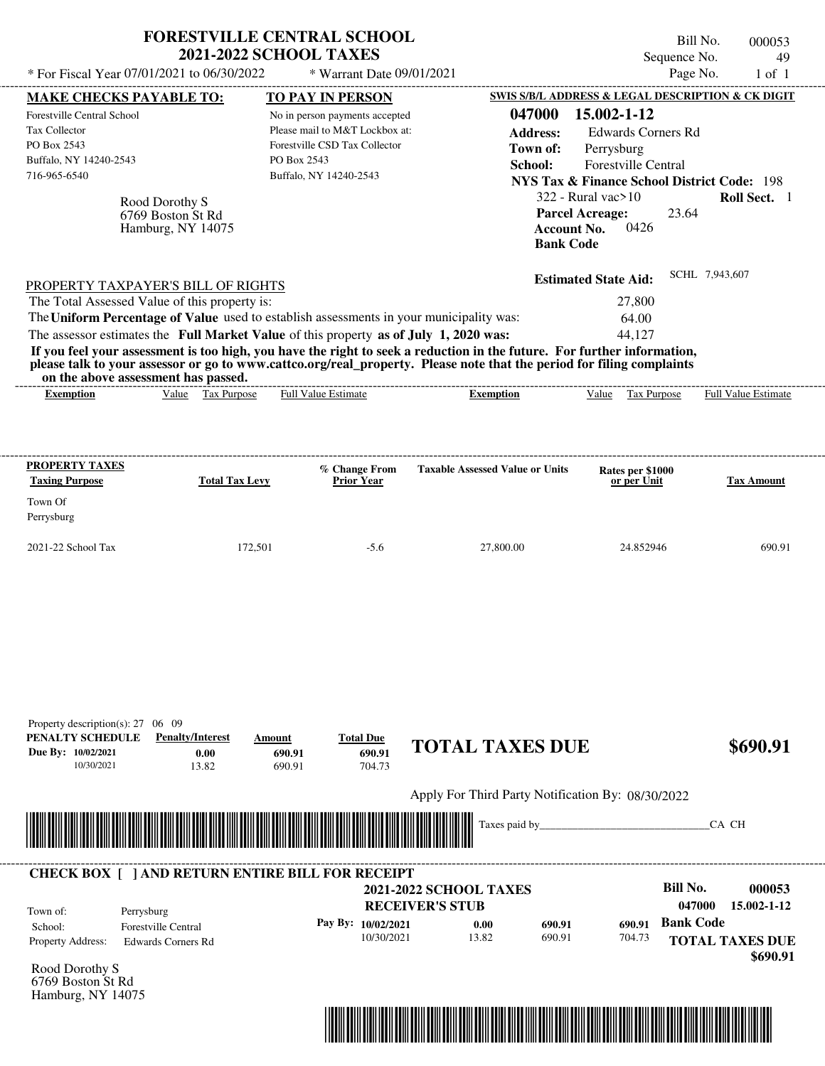| * For Fiscal Year 07/01/2021 to 06/30/2022                                                                                                                                                                                                                                                                                                                                                                                                                                                                                                                         |                                                          |                       |                            | <b>FORESTVILLE CENTRAL SCHOOL</b><br><b>2021-2022 SCHOOL TAXES</b><br>* Warrant Date 09/01/2021                             |                               |                                                   |                                                                                                                                                                                    |                                 | Bill No.<br>Sequence No.<br>Page No. |                | 000053<br>49<br>$1$ of $1$ |
|--------------------------------------------------------------------------------------------------------------------------------------------------------------------------------------------------------------------------------------------------------------------------------------------------------------------------------------------------------------------------------------------------------------------------------------------------------------------------------------------------------------------------------------------------------------------|----------------------------------------------------------|-----------------------|----------------------------|-----------------------------------------------------------------------------------------------------------------------------|-------------------------------|---------------------------------------------------|------------------------------------------------------------------------------------------------------------------------------------------------------------------------------------|---------------------------------|--------------------------------------|----------------|----------------------------|
| <b>MAKE CHECKS PAYABLE TO:</b>                                                                                                                                                                                                                                                                                                                                                                                                                                                                                                                                     |                                                          |                       |                            | TO PAY IN PERSON                                                                                                            |                               | SWIS S/B/L ADDRESS & LEGAL DESCRIPTION & CK DIGIT |                                                                                                                                                                                    |                                 |                                      |                |                            |
| Forestville Central School<br><b>Tax Collector</b><br>PO Box 2543<br>Buffalo, NY 14240-2543<br>716-965-6540                                                                                                                                                                                                                                                                                                                                                                                                                                                        | Rood Dorothy S<br>6769 Boston St Rd<br>Hamburg, NY 14075 |                       | PO Box 2543                | No in person payments accepted<br>Please mail to M&T Lockbox at:<br>Forestville CSD Tax Collector<br>Buffalo, NY 14240-2543 |                               | 047000<br><b>Address:</b><br>Town of:<br>School:  | 15.002-1-12<br>Perrysburg<br><b>NYS Tax &amp; Finance School District Code: 198</b><br>$322$ - Rural vac $>10$<br><b>Parcel Acreage:</b><br><b>Account No.</b><br><b>Bank Code</b> | Forestville Central<br>0426     | <b>Edwards Corners Rd</b><br>23.64   |                | Roll Sect. 1               |
| PROPERTY TAXPAYER'S BILL OF RIGHTS<br>The Total Assessed Value of this property is:<br>The Uniform Percentage of Value used to establish assessments in your municipality was:<br>The assessor estimates the Full Market Value of this property as of July 1, 2020 was:<br>If you feel your assessment is too high, you have the right to seek a reduction in the future. For further information,<br>please talk to your assessor or go to www.cattco.org/real_property. Please note that the period for filing complaints<br>on the above assessment has passed. |                                                          |                       |                            |                                                                                                                             |                               |                                                   | <b>Estimated State Aid:</b>                                                                                                                                                        | 27,800<br>64.00<br>44,127       |                                      | SCHL 7,943,607 |                            |
| <b>Exemption</b>                                                                                                                                                                                                                                                                                                                                                                                                                                                                                                                                                   |                                                          | Value Tax Purpose     |                            | <b>Full Value Estimate</b>                                                                                                  |                               | <b>Exemption</b>                                  |                                                                                                                                                                                    | Value Tax Purpose               |                                      |                | Full Value Estimate        |
| PROPERTY TAXES<br><b>Taxing Purpose</b>                                                                                                                                                                                                                                                                                                                                                                                                                                                                                                                            |                                                          | <b>Total Tax Levy</b> |                            | % Change From<br><b>Prior Year</b>                                                                                          |                               | <b>Taxable Assessed Value or Units</b>            |                                                                                                                                                                                    | Rates per \$1000<br>or per Unit |                                      |                | <b>Tax Amount</b>          |
| Town Of<br>Perrysburg                                                                                                                                                                                                                                                                                                                                                                                                                                                                                                                                              |                                                          |                       |                            |                                                                                                                             |                               |                                                   |                                                                                                                                                                                    |                                 |                                      |                |                            |
| 2021-22 School Tax                                                                                                                                                                                                                                                                                                                                                                                                                                                                                                                                                 |                                                          | 172,501               |                            | $-5.6$                                                                                                                      |                               | 27,800.00                                         |                                                                                                                                                                                    | 24.852946                       |                                      |                | 690.91                     |
| Property description(s): $27 \quad 06 \quad 09$<br>PENALTY SCHEDULE<br>Due By: 10/02/2021<br>10/30/2021                                                                                                                                                                                                                                                                                                                                                                                                                                                            | <b>Penalty/Interest</b>                                  | 0.00<br>13.82         | Amount<br>690.91<br>690.91 | <b>Total Due</b><br>690.91<br>704.73                                                                                        |                               | <b>TOTAL TAXES DUE</b>                            |                                                                                                                                                                                    |                                 |                                      |                | \$690.91                   |
|                                                                                                                                                                                                                                                                                                                                                                                                                                                                                                                                                                    |                                                          |                       |                            |                                                                                                                             |                               | Apply For Third Party Notification By: 08/30/2022 |                                                                                                                                                                                    |                                 |                                      |                |                            |
|                                                                                                                                                                                                                                                                                                                                                                                                                                                                                                                                                                    |                                                          |                       |                            |                                                                                                                             |                               | Taxes paid by_                                    |                                                                                                                                                                                    |                                 |                                      | CA CH          |                            |
| <b>CHECK BOX [ ] AND RETURN ENTIRE BILL FOR RECEIPT</b>                                                                                                                                                                                                                                                                                                                                                                                                                                                                                                            |                                                          |                       |                            |                                                                                                                             | <b>2021-2022 SCHOOL TAXES</b> |                                                   |                                                                                                                                                                                    |                                 | <b>Bill No.</b>                      |                | 000053                     |
| Town of:<br>Perrysburg<br>School:                                                                                                                                                                                                                                                                                                                                                                                                                                                                                                                                  | <b>Forestville Central</b>                               |                       |                            | Pay By: 10/02/2021                                                                                                          | <b>RECEIVER'S STUB</b>        | 0.00<br>690.91                                    |                                                                                                                                                                                    | 690.91                          | 047000<br><b>Bank Code</b>           |                | 15.002-1-12                |
| Property Address:                                                                                                                                                                                                                                                                                                                                                                                                                                                                                                                                                  | <b>Edwards Corners Rd</b>                                |                       |                            | 10/30/2021                                                                                                                  |                               | 690.91<br>13.82                                   |                                                                                                                                                                                    | 704.73                          |                                      |                | <b>TOTAL TAXES DUE</b>     |

Rood Dorothy S 6769 Boston St Rd Hamburg, NY 14075

Property Address: Edwards Corners Rd



**TOTAL TAXES DUE**

 **\$690.91**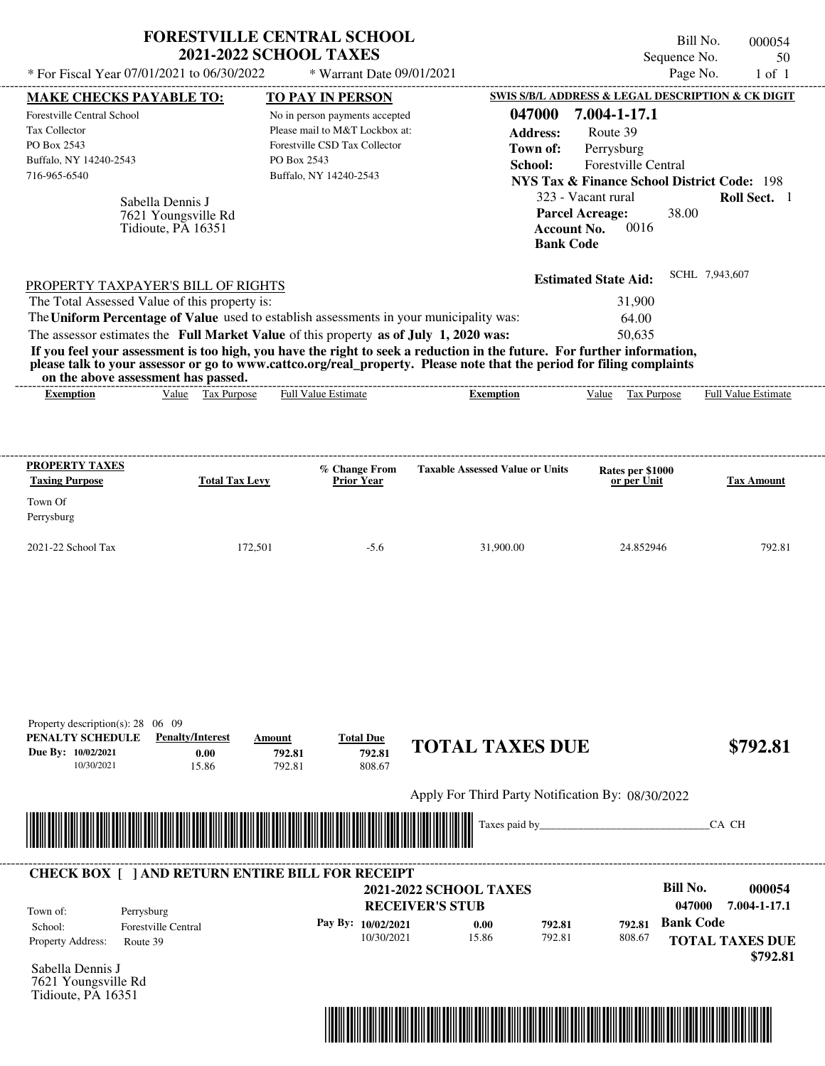| * For Fiscal Year 07/01/2021 to 06/30/2022                                                                                                                                                                                                                                                                     | <b>FORESTVILLE CENTRAL SCHOOL</b><br><b>2021-2022 SCHOOL TAXES</b>     | * Warrant Date 09/01/2021                                                                                                                              |                                                                                                                                                                                                                                                  | Bill No.<br>Sequence No.<br>Page No.                                                                                                                                                                                       | 000054<br>50<br>$1$ of $1$ |
|----------------------------------------------------------------------------------------------------------------------------------------------------------------------------------------------------------------------------------------------------------------------------------------------------------------|------------------------------------------------------------------------|--------------------------------------------------------------------------------------------------------------------------------------------------------|--------------------------------------------------------------------------------------------------------------------------------------------------------------------------------------------------------------------------------------------------|----------------------------------------------------------------------------------------------------------------------------------------------------------------------------------------------------------------------------|----------------------------|
| <b>MAKE CHECKS PAYABLE TO:</b><br>Forestville Central School<br>Tax Collector<br>PO Box 2543<br>Buffalo, NY 14240-2543<br>716-965-6540<br>Sabella Dennis J<br>7621 Youngsville Rd<br>Tidioute, PA 16351                                                                                                        | PO Box 2543                                                            | <b>TO PAY IN PERSON</b><br>No in person payments accepted<br>Please mail to M&T Lockbox at:<br>Forestville CSD Tax Collector<br>Buffalo, NY 14240-2543 | 047000<br><b>Address:</b><br>Town of:<br>School:<br><b>Parcel Acreage:</b><br><b>Account No.</b><br><b>Bank Code</b>                                                                                                                             | SWIS S/B/L ADDRESS & LEGAL DESCRIPTION & CK DIGIT<br>7.004-1-17.1<br>Route 39<br>Perrysburg<br><b>Forestville Central</b><br><b>NYS Tax &amp; Finance School District Code: 198</b><br>323 - Vacant rural<br>38.00<br>0016 | <b>Roll Sect.</b> 1        |
| PROPERTY TAXPAYER'S BILL OF RIGHTS<br>The Total Assessed Value of this property is:<br>The Uniform Percentage of Value used to establish assessments in your municipality was:<br>The assessor estimates the Full Market Value of this property as of July 1, 2020 was:<br>on the above assessment has passed. | Value Tax Purpose                                                      | Full Value Estimate                                                                                                                                    | If you feel your assessment is too high, you have the right to seek a reduction in the future. For further information,<br>please talk to your assessor or go to www.cattco.org/real_property. Please note that the period for filing complaints | SCHL 7,943,607<br><b>Estimated State Aid:</b><br>31,900<br>64.00<br>50.635<br>Value Tax Purpose                                                                                                                            | <b>Full Value Estimate</b> |
| <b>Exemption</b>                                                                                                                                                                                                                                                                                               |                                                                        |                                                                                                                                                        | <b>Exemption</b>                                                                                                                                                                                                                                 |                                                                                                                                                                                                                            |                            |
| <b>PROPERTY TAXES</b><br><b>Taxing Purpose</b><br>Town Of<br>Perrysburg                                                                                                                                                                                                                                        | <b>Total Tax Levy</b>                                                  | % Change From<br>Prior Year                                                                                                                            | <b>Taxable Assessed Value or Units</b>                                                                                                                                                                                                           | Rates per \$1000<br>or per Unit                                                                                                                                                                                            | <b>Tax Amount</b>          |
| 2021-22 School Tax                                                                                                                                                                                                                                                                                             | 172,501                                                                | $-5.6$                                                                                                                                                 | 31.900.00                                                                                                                                                                                                                                        | 24.852946                                                                                                                                                                                                                  | 792.81                     |
|                                                                                                                                                                                                                                                                                                                |                                                                        |                                                                                                                                                        |                                                                                                                                                                                                                                                  |                                                                                                                                                                                                                            |                            |
| Property description(s): $28 \quad 06 \quad 09$<br>PENALTY SCHEDULE<br>Due By: 10/02/2021<br>10/30/2021                                                                                                                                                                                                        | <b>Penalty/Interest</b><br>Amount<br>0.00<br>792.81<br>792.81<br>15.86 | <b>Total Due</b><br>792.81<br>808.67                                                                                                                   | <b>TOTAL TAXES DUE</b>                                                                                                                                                                                                                           |                                                                                                                                                                                                                            | \$792.81                   |
|                                                                                                                                                                                                                                                                                                                |                                                                        |                                                                                                                                                        | Apply For Third Party Notification By: 08/30/2022                                                                                                                                                                                                |                                                                                                                                                                                                                            |                            |
|                                                                                                                                                                                                                                                                                                                |                                                                        |                                                                                                                                                        | Taxes paid by_                                                                                                                                                                                                                                   |                                                                                                                                                                                                                            | CA CH                      |
| <b>CHECK BOX [ ] AND RETURN ENTIRE BILL FOR RECEIPT</b><br>Town of:<br>Perrysburg<br>School:<br><b>Forestville Central</b><br>Property Address:                                                                                                                                                                |                                                                        | Pay By: 10/02/2021                                                                                                                                     | <b>2021-2022 SCHOOL TAXES</b><br><b>RECEIVER'S STUB</b><br>792.81<br>0.00                                                                                                                                                                        | <b>Bill No.</b><br>047000<br><b>Bank Code</b><br>792.81                                                                                                                                                                    | 000054<br>7.004-1-17.1     |

Sabella Dennis J 7621 Youngsville Rd Tidioute, PA 16351

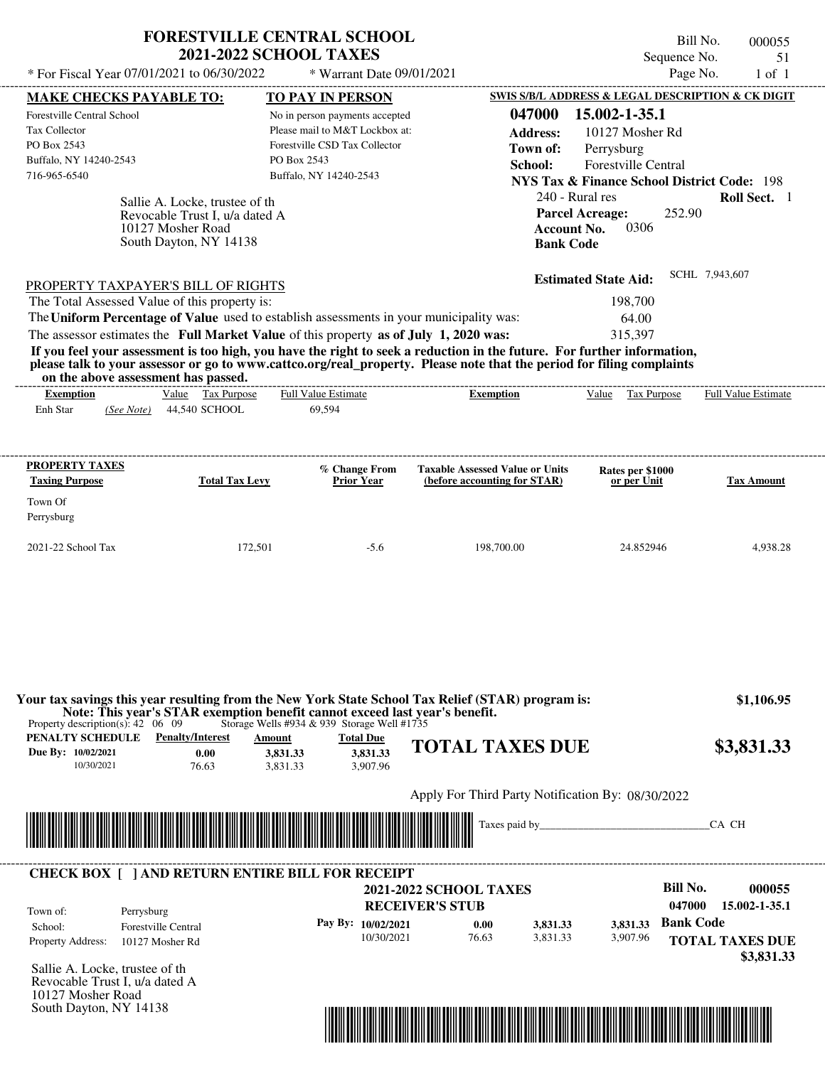| <b>FORESTVILLE CENTRAL SCHOOL</b> |  |
|-----------------------------------|--|
| <b>2021-2022 SCHOOL TAXES</b>     |  |

Bill No. 000055 Sequence No. 51

| * For Fiscal Year 07/01/2021 to 06/30/2022<br>* Warrant Date 09/01/2021    |                                                                                                                                                                                  |                                                                                                                                                                                                                                                                                                                                                                                        | Page No.<br>$1$ of $1$                                                                                                                                                                                                                                                                                                                                                                                                                                                                                                                                                                                                                                                                                                                                                                               |
|----------------------------------------------------------------------------|----------------------------------------------------------------------------------------------------------------------------------------------------------------------------------|----------------------------------------------------------------------------------------------------------------------------------------------------------------------------------------------------------------------------------------------------------------------------------------------------------------------------------------------------------------------------------------|------------------------------------------------------------------------------------------------------------------------------------------------------------------------------------------------------------------------------------------------------------------------------------------------------------------------------------------------------------------------------------------------------------------------------------------------------------------------------------------------------------------------------------------------------------------------------------------------------------------------------------------------------------------------------------------------------------------------------------------------------------------------------------------------------|
| <b>TO PAY IN PERSON</b>                                                    |                                                                                                                                                                                  |                                                                                                                                                                                                                                                                                                                                                                                        |                                                                                                                                                                                                                                                                                                                                                                                                                                                                                                                                                                                                                                                                                                                                                                                                      |
| No in person payments accepted                                             | 047000                                                                                                                                                                           | 15.002-1-35.1                                                                                                                                                                                                                                                                                                                                                                          |                                                                                                                                                                                                                                                                                                                                                                                                                                                                                                                                                                                                                                                                                                                                                                                                      |
|                                                                            | <b>Address:</b>                                                                                                                                                                  | 10127 Mosher Rd                                                                                                                                                                                                                                                                                                                                                                        |                                                                                                                                                                                                                                                                                                                                                                                                                                                                                                                                                                                                                                                                                                                                                                                                      |
|                                                                            | Town of:                                                                                                                                                                         | Perrysburg                                                                                                                                                                                                                                                                                                                                                                             |                                                                                                                                                                                                                                                                                                                                                                                                                                                                                                                                                                                                                                                                                                                                                                                                      |
|                                                                            | School:                                                                                                                                                                          |                                                                                                                                                                                                                                                                                                                                                                                        |                                                                                                                                                                                                                                                                                                                                                                                                                                                                                                                                                                                                                                                                                                                                                                                                      |
|                                                                            |                                                                                                                                                                                  |                                                                                                                                                                                                                                                                                                                                                                                        |                                                                                                                                                                                                                                                                                                                                                                                                                                                                                                                                                                                                                                                                                                                                                                                                      |
| Sallie A. Locke, trustee of the<br>Revocable Trust I, u/a dated A          |                                                                                                                                                                                  | 0306                                                                                                                                                                                                                                                                                                                                                                                   | Roll Sect. 1                                                                                                                                                                                                                                                                                                                                                                                                                                                                                                                                                                                                                                                                                                                                                                                         |
| PROPERTY TAXPAYER'S BILL OF RIGHTS                                         |                                                                                                                                                                                  |                                                                                                                                                                                                                                                                                                                                                                                        | SCHL 7,943,607                                                                                                                                                                                                                                                                                                                                                                                                                                                                                                                                                                                                                                                                                                                                                                                       |
| The Total Assessed Value of this property is:                              |                                                                                                                                                                                  | 198,700                                                                                                                                                                                                                                                                                                                                                                                |                                                                                                                                                                                                                                                                                                                                                                                                                                                                                                                                                                                                                                                                                                                                                                                                      |
|                                                                            |                                                                                                                                                                                  | 64.00                                                                                                                                                                                                                                                                                                                                                                                  |                                                                                                                                                                                                                                                                                                                                                                                                                                                                                                                                                                                                                                                                                                                                                                                                      |
|                                                                            |                                                                                                                                                                                  | 315,397                                                                                                                                                                                                                                                                                                                                                                                |                                                                                                                                                                                                                                                                                                                                                                                                                                                                                                                                                                                                                                                                                                                                                                                                      |
|                                                                            |                                                                                                                                                                                  |                                                                                                                                                                                                                                                                                                                                                                                        |                                                                                                                                                                                                                                                                                                                                                                                                                                                                                                                                                                                                                                                                                                                                                                                                      |
|                                                                            |                                                                                                                                                                                  |                                                                                                                                                                                                                                                                                                                                                                                        | Full Value Estimate                                                                                                                                                                                                                                                                                                                                                                                                                                                                                                                                                                                                                                                                                                                                                                                  |
| <b>Total Tax Levy</b><br><b>Prior Year</b>                                 | (before accounting for STAR)                                                                                                                                                     | or per Unit                                                                                                                                                                                                                                                                                                                                                                            | <b>Tax Amount</b>                                                                                                                                                                                                                                                                                                                                                                                                                                                                                                                                                                                                                                                                                                                                                                                    |
| 172,501<br>$-5.6$                                                          | 198,700.00                                                                                                                                                                       | 24.852946                                                                                                                                                                                                                                                                                                                                                                              | 4,938.28                                                                                                                                                                                                                                                                                                                                                                                                                                                                                                                                                                                                                                                                                                                                                                                             |
| <b>Total Due</b><br>Amount<br>3,831.33<br>3,831.33<br>3,907.96<br>3,831.33 |                                                                                                                                                                                  |                                                                                                                                                                                                                                                                                                                                                                                        | \$1,106.95<br>\$3,831.33                                                                                                                                                                                                                                                                                                                                                                                                                                                                                                                                                                                                                                                                                                                                                                             |
|                                                                            |                                                                                                                                                                                  |                                                                                                                                                                                                                                                                                                                                                                                        |                                                                                                                                                                                                                                                                                                                                                                                                                                                                                                                                                                                                                                                                                                                                                                                                      |
|                                                                            |                                                                                                                                                                                  |                                                                                                                                                                                                                                                                                                                                                                                        | CA CH                                                                                                                                                                                                                                                                                                                                                                                                                                                                                                                                                                                                                                                                                                                                                                                                |
|                                                                            |                                                                                                                                                                                  |                                                                                                                                                                                                                                                                                                                                                                                        |                                                                                                                                                                                                                                                                                                                                                                                                                                                                                                                                                                                                                                                                                                                                                                                                      |
|                                                                            |                                                                                                                                                                                  |                                                                                                                                                                                                                                                                                                                                                                                        |                                                                                                                                                                                                                                                                                                                                                                                                                                                                                                                                                                                                                                                                                                                                                                                                      |
| <b>CHECK BOX   JAND RETURN ENTIRE BILL FOR RECEIPT</b>                     |                                                                                                                                                                                  |                                                                                                                                                                                                                                                                                                                                                                                        |                                                                                                                                                                                                                                                                                                                                                                                                                                                                                                                                                                                                                                                                                                                                                                                                      |
|                                                                            | <b>2021-2022 SCHOOL TAXES</b>                                                                                                                                                    | <b>Bill No.</b>                                                                                                                                                                                                                                                                                                                                                                        | 000055                                                                                                                                                                                                                                                                                                                                                                                                                                                                                                                                                                                                                                                                                                                                                                                               |
|                                                                            | <b>RECEIVER'S STUB</b>                                                                                                                                                           |                                                                                                                                                                                                                                                                                                                                                                                        | 047000<br>15.002-1-35.1                                                                                                                                                                                                                                                                                                                                                                                                                                                                                                                                                                                                                                                                                                                                                                              |
| Pay By: 10/02/2021<br>10/30/2021                                           | 3,831.33<br>0.00<br>76.63<br>3,831.33                                                                                                                                            | 3,831.33<br>3,907.96                                                                                                                                                                                                                                                                                                                                                                   | <b>Bank Code</b><br><b>TOTAL TAXES DUE</b><br>\$3,831.33                                                                                                                                                                                                                                                                                                                                                                                                                                                                                                                                                                                                                                                                                                                                             |
|                                                                            | Forestville CSD Tax Collector<br>PO Box 2543<br>Buffalo, NY 14240-2543<br>Full Value Estimate<br>69,594<br>% Change From<br><u> 1989 - Johann Stoff, Amerikaansk politiker (</u> | Please mail to M&T Lockbox at:<br>The Uniform Percentage of Value used to establish assessments in your municipality was:<br>The assessor estimates the Full Market Value of this property as of July 1, 2020 was:<br><b>Exemption</b><br>Note: This year's STAR exemption benefit cannot exceed last year's benefit.<br>Storage Wells #934 & 939 Storage Well #1735<br>Taxes paid by_ | SWIS S/B/L ADDRESS & LEGAL DESCRIPTION & CK DIGIT<br><b>Forestville Central</b><br><b>NYS Tax &amp; Finance School District Code: 198</b><br>240 - Rural res<br><b>Parcel Acreage:</b><br>252.90<br><b>Account No.</b><br><b>Bank Code</b><br><b>Estimated State Aid:</b><br>If you feel your assessment is too high, you have the right to seek a reduction in the future. For further information,<br>please talk to your assessor or go to www.cattco.org/real_property. Please note that the period for filing complaints<br>Value Tax Purpose<br><b>Taxable Assessed Value or Units</b><br>Rates per \$1000<br>Your tax savings this year resulting from the New York State School Tax Relief (STAR) program is:<br><b>TOTAL TAXES DUE</b><br>Apply For Third Party Notification By: 08/30/2022 |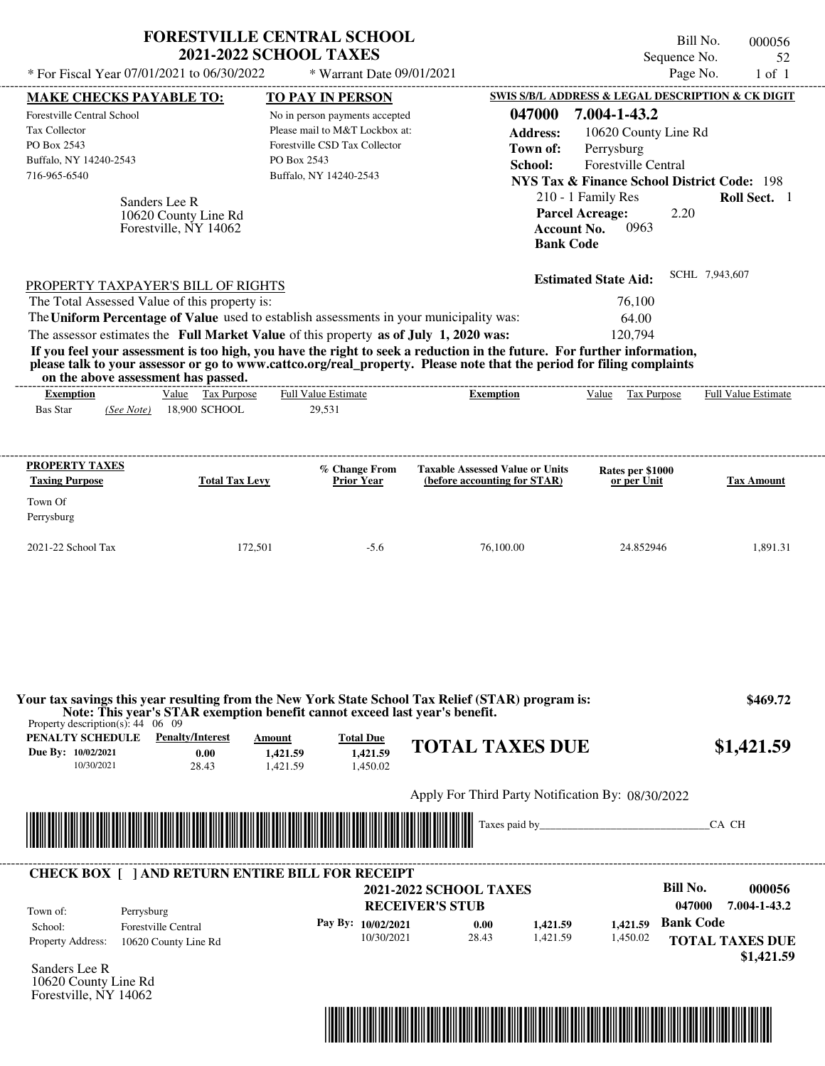| * For Fiscal Year 07/01/2021 to 06/30/2022                                                                                                              | <b>FORESTVILLE CENTRAL SCHOOL</b><br><b>2021-2022 SCHOOL TAXES</b>                                                                                                                                    | * Warrant Date 09/01/2021                                                                                                                              |                                                                                                                                                                                                                                                                      | Bill No.<br>Sequence No.<br>Page No.                                                                                                                                                                                                                                                               | 000056<br>52<br>$1$ of $1$                                     |
|---------------------------------------------------------------------------------------------------------------------------------------------------------|-------------------------------------------------------------------------------------------------------------------------------------------------------------------------------------------------------|--------------------------------------------------------------------------------------------------------------------------------------------------------|----------------------------------------------------------------------------------------------------------------------------------------------------------------------------------------------------------------------------------------------------------------------|----------------------------------------------------------------------------------------------------------------------------------------------------------------------------------------------------------------------------------------------------------------------------------------------------|----------------------------------------------------------------|
|                                                                                                                                                         |                                                                                                                                                                                                       |                                                                                                                                                        |                                                                                                                                                                                                                                                                      |                                                                                                                                                                                                                                                                                                    |                                                                |
| <b>MAKE CHECKS PAYABLE TO:</b><br>Forestville Central School<br>Tax Collector<br>PO Box 2543<br>Buffalo, NY 14240-2543<br>716-965-6540<br>Sanders Lee R | PO Box 2543<br>10620 County Line Rd<br>Forestville, NY 14062                                                                                                                                          | <b>TO PAY IN PERSON</b><br>No in person payments accepted<br>Please mail to M&T Lockbox at:<br>Forestville CSD Tax Collector<br>Buffalo, NY 14240-2543 | 047000<br><b>Address:</b><br>Town of:<br>School:                                                                                                                                                                                                                     | SWIS S/B/L ADDRESS & LEGAL DESCRIPTION & CK DIGIT<br>7.004-1-43.2<br>10620 County Line Rd<br>Perrysburg<br>Forestville Central<br><b>NYS Tax &amp; Finance School District Code: 198</b><br>210 - 1 Family Res<br><b>Parcel Acreage:</b><br>2.20<br><b>Account No.</b><br>0963<br><b>Bank Code</b> | Roll Sect. 1                                                   |
| PROPERTY TAXPAYER'S BILL OF RIGHTS<br>The Total Assessed Value of this property is:<br>on the above assessment has passed.<br><b>Exemption</b>          | The Uniform Percentage of Value used to establish assessments in your municipality was:<br>The assessor estimates the Full Market Value of this property as of July 1, 2020 was:<br>Value Tax Purpose | <b>Full Value Estimate</b>                                                                                                                             | If you feel your assessment is too high, you have the right to seek a reduction in the future. For further information,<br>please talk to your assessor or go to www.cattco.org/real_property. Please note that the period for filing complaints<br><b>Exemption</b> | <b>Estimated State Aid:</b><br>76,100<br>64.00<br>120,794<br>Value Tax Purpose                                                                                                                                                                                                                     | SCHL 7,943,607<br><b>Full Value Estimate</b>                   |
| <b>Bas Star</b><br>(See Note)                                                                                                                           | 18,900 SCHOOL                                                                                                                                                                                         | 29,531                                                                                                                                                 |                                                                                                                                                                                                                                                                      |                                                                                                                                                                                                                                                                                                    |                                                                |
| <b>PROPERTY TAXES</b><br><b>Taxing Purpose</b><br>Town Of<br>Perrysburg<br>2021-22 School Tax                                                           | <b>Total Tax Levy</b><br>172,501                                                                                                                                                                      | % Change From<br><b>Prior Year</b><br>$-5.6$                                                                                                           | <b>Taxable Assessed Value or Units</b><br>(before accounting for STAR)<br>76,100.00                                                                                                                                                                                  | Rates per \$1000<br>or per Unit<br>24.852946                                                                                                                                                                                                                                                       | <b>Tax Amount</b><br>1,891.31                                  |
| Property description(s): $44 \quad 06 \quad 09$<br><b>PENALTY SCHEDULE</b> Penalty/Interest<br>Due By: 10/02/2021<br>10/30/2021                         | Note: This year's STAR exemption benefit cannot exceed last year's benefit.<br>Amount<br>0.00<br>1,421.59<br>28.43<br>1,421.59                                                                        | <b>Total Due</b><br>1,421.59<br>1,450.02                                                                                                               | Your tax savings this year resulting from the New York State School Tax Relief (STAR) program is:<br><b>TOTAL TAXES DUE</b>                                                                                                                                          |                                                                                                                                                                                                                                                                                                    | \$469.72<br>\$1,421.59                                         |
|                                                                                                                                                         |                                                                                                                                                                                                       |                                                                                                                                                        | Apply For Third Party Notification By: 08/30/2022                                                                                                                                                                                                                    |                                                                                                                                                                                                                                                                                                    |                                                                |
|                                                                                                                                                         |                                                                                                                                                                                                       |                                                                                                                                                        | Taxes paid by_                                                                                                                                                                                                                                                       |                                                                                                                                                                                                                                                                                                    | CA CH                                                          |
| Perrysburg<br>Town of:<br>School:<br>Property Address:<br>Sanders Lee R<br>10620 County Line Rd<br>Forestville, NY 14062                                | <b>CHECK BOX [ ] AND RETURN ENTIRE BILL FOR RECEIPT</b><br><b>Forestville Central</b><br>10620 County Line Rd                                                                                         | Pay By: 10/02/2021<br>10/30/2021                                                                                                                       | <b>2021-2022 SCHOOL TAXES</b><br><b>RECEIVER'S STUB</b><br>1,421.59<br>0.00<br>28.43<br>1,421.59                                                                                                                                                                     | <b>Bill No.</b><br>047000<br><b>Bank Code</b><br>1,421.59<br>1,450.02                                                                                                                                                                                                                              | 000056<br>7.004-1-43.2<br><b>TOTAL TAXES DUE</b><br>\$1,421.59 |

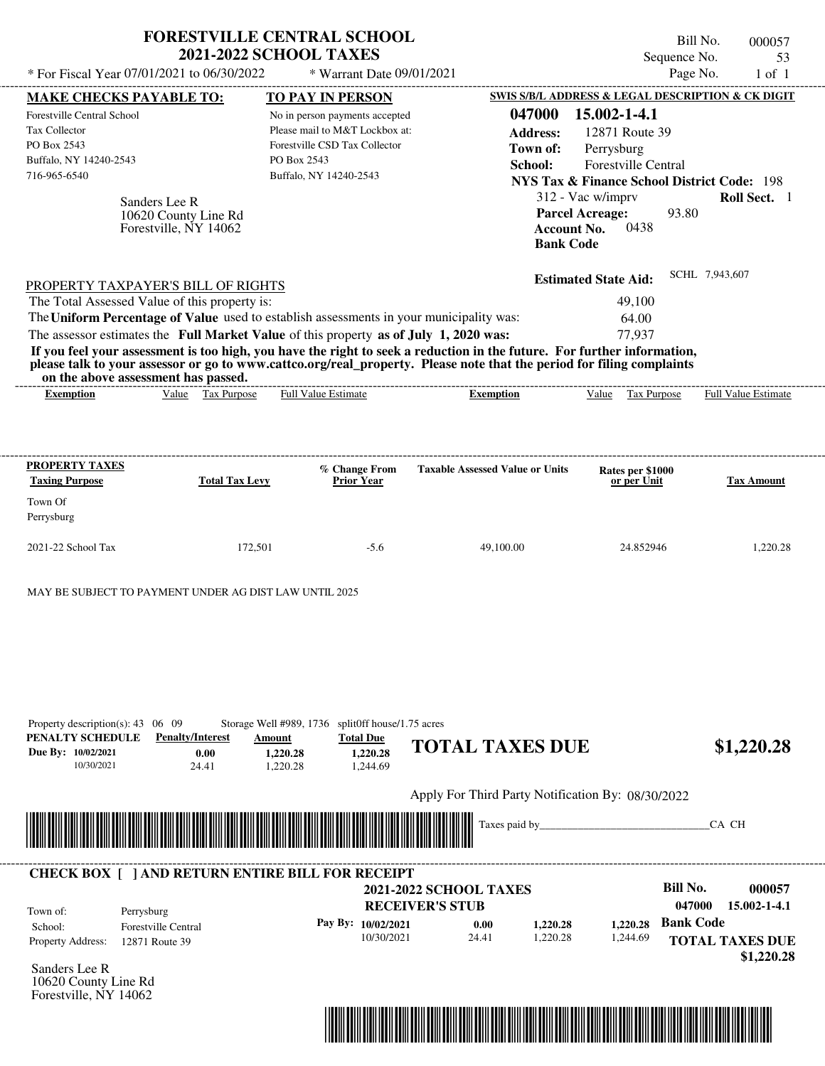|                                                                                                             | * For Fiscal Year 07/01/2021 to 06/30/2022                                                         | <b>FORESTVILLE CENTRAL SCHOOL</b><br><b>2021-2022 SCHOOL TAXES</b><br>* Warrant Date 09/01/2021                                                                                  |                                                                                                                                                                                                                                                  |                                                                           | Bill No.<br>000057<br>Sequence No.<br>53<br>Page No.<br>$1$ of $1$      |
|-------------------------------------------------------------------------------------------------------------|----------------------------------------------------------------------------------------------------|----------------------------------------------------------------------------------------------------------------------------------------------------------------------------------|--------------------------------------------------------------------------------------------------------------------------------------------------------------------------------------------------------------------------------------------------|---------------------------------------------------------------------------|-------------------------------------------------------------------------|
| <b>MAKE CHECKS PAYABLE TO:</b>                                                                              |                                                                                                    | TO PAY IN PERSON                                                                                                                                                                 |                                                                                                                                                                                                                                                  |                                                                           | <b>SWIS S/B/L ADDRESS &amp; LEGAL DESCRIPTION &amp; CK DIGIT</b>        |
| Forestville Central School<br><b>Tax Collector</b><br>PO Box 2543<br>Buffalo, NY 14240-2543<br>716-965-6540 |                                                                                                    | No in person payments accepted<br>Please mail to M&T Lockbox at:<br>Forestville CSD Tax Collector<br>PO Box 2543<br>Buffalo, NY 14240-2543                                       | 047000<br><b>Address:</b><br>Town of:<br>School:                                                                                                                                                                                                 | 15.002-1-4.1<br>12871 Route 39<br>Perrysburg<br>Forestville Central       | <b>NYS Tax &amp; Finance School District Code: 198</b>                  |
|                                                                                                             | Sanders Lee R<br>10620 County Line Rd<br>Forestville, NY 14062                                     |                                                                                                                                                                                  | <b>Bank Code</b>                                                                                                                                                                                                                                 | 312 - Vac w/imprv<br><b>Parcel Acreage:</b><br>0438<br><b>Account No.</b> | Roll Sect. 1<br>93.80                                                   |
|                                                                                                             | PROPERTY TAXPAYER'S BILL OF RIGHTS                                                                 |                                                                                                                                                                                  |                                                                                                                                                                                                                                                  | <b>Estimated State Aid:</b>                                               | SCHL 7,943,607                                                          |
|                                                                                                             | The Total Assessed Value of this property is:<br>on the above assessment has passed.               | The Uniform Percentage of Value used to establish assessments in your municipality was:<br>The assessor estimates the Full Market Value of this property as of July 1, 2020 was: | If you feel your assessment is too high, you have the right to seek a reduction in the future. For further information,<br>please talk to your assessor or go to www.cattco.org/real_property. Please note that the period for filing complaints | 49,100<br>64.00<br>77,937                                                 |                                                                         |
| <b>Exemption</b>                                                                                            | Value Tax Purpose                                                                                  | <b>Full Value Estimate</b>                                                                                                                                                       | <b>Exemption</b>                                                                                                                                                                                                                                 | Value Tax Purpose                                                         | <b>Full Value Estimate</b>                                              |
| <b>PROPERTY TAXES</b><br><b>Taxing Purpose</b>                                                              | <b>Total Tax Levy</b>                                                                              | % Change From<br><b>Prior Year</b>                                                                                                                                               | <b>Taxable Assessed Value or Units</b>                                                                                                                                                                                                           | Rates per \$1000<br>or per Unit                                           | <b>Tax Amount</b>                                                       |
| Town Of<br>Perrysburg                                                                                       |                                                                                                    |                                                                                                                                                                                  |                                                                                                                                                                                                                                                  |                                                                           |                                                                         |
| 2021-22 School Tax                                                                                          | 172,501                                                                                            | $-5.6$                                                                                                                                                                           | 49,100.00                                                                                                                                                                                                                                        | 24.852946                                                                 | 1,220.28                                                                |
| Property description(s): $43 \quad 06 \quad 09$<br>PENALTY SCHEDULE<br>Due By: 10/02/2021<br>10/30/2021     | MAY BE SUBJECT TO PAYMENT UNDER AG DIST LAW UNTIL 2025<br><b>Penalty/Interest</b><br>0.00<br>24.41 | Storage Well #989, 1736 split0ff house/1.75 acres<br><b>Total Due</b><br>Amount<br>1,220.28<br>1,220.28<br>1,220.28<br>1,244.69                                                  | <b>TOTAL TAXES DUE</b>                                                                                                                                                                                                                           |                                                                           | \$1,220.28                                                              |
|                                                                                                             |                                                                                                    |                                                                                                                                                                                  | Apply For Third Party Notification By: 08/30/2022                                                                                                                                                                                                |                                                                           |                                                                         |
|                                                                                                             |                                                                                                    |                                                                                                                                                                                  | Taxes paid by                                                                                                                                                                                                                                    |                                                                           | CA CH                                                                   |
|                                                                                                             |                                                                                                    | <b>CHECK BOX [ ] AND RETURN ENTIRE BILL FOR RECEIPT</b>                                                                                                                          |                                                                                                                                                                                                                                                  |                                                                           |                                                                         |
| Town of:<br>School:                                                                                         | Perrysburg<br><b>Forestville Central</b>                                                           | Pay By: 10/02/2021                                                                                                                                                               | <b>2021-2022 SCHOOL TAXES</b><br><b>RECEIVER'S STUB</b><br>0.00<br>1,220.28                                                                                                                                                                      | 1,220.28                                                                  | <b>Bill No.</b><br>000057<br>047000<br>15.002-1-4.1<br><b>Bank Code</b> |
| Property Address:<br>Sanders Lee R<br>10620 County Line Rd                                                  | 12871 Route 39                                                                                     | 10/30/2021                                                                                                                                                                       | 1,220.28<br>24.41                                                                                                                                                                                                                                | 1,244.69                                                                  | <b>TOTAL TAXES DUE</b><br>\$1,220.28                                    |

Forestville, NY 14062

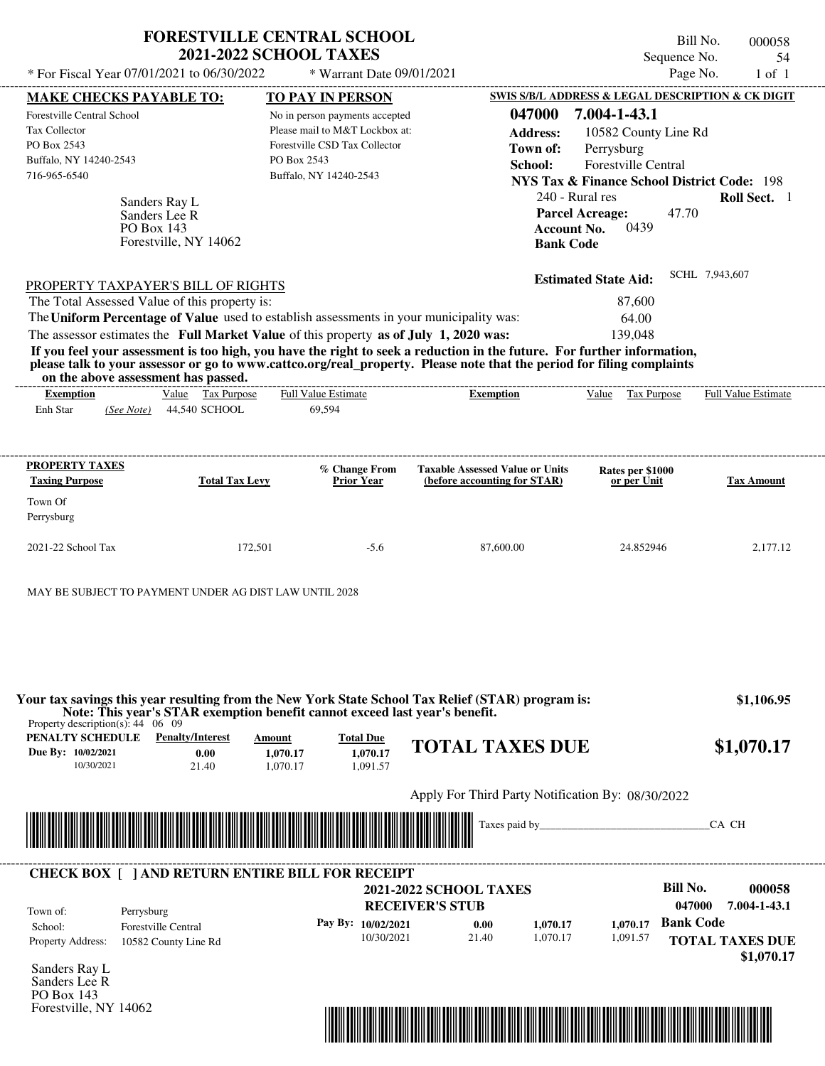| * For Fiscal Year 07/01/2021 to 06/30/2022                                                                                      |                                                         | <b>FORESTVILLE CENTRAL SCHOOL</b><br><b>2021-2022 SCHOOL TAXES</b><br>* Warrant Date 09/01/2021                                                                                  |                                                                                                                                                                                                                                                  | Sequence No.<br>Page No.                                                                                                                                                                                 | Bill No.<br>000058<br>54<br>$1$ of $1$ |
|---------------------------------------------------------------------------------------------------------------------------------|---------------------------------------------------------|----------------------------------------------------------------------------------------------------------------------------------------------------------------------------------|--------------------------------------------------------------------------------------------------------------------------------------------------------------------------------------------------------------------------------------------------|----------------------------------------------------------------------------------------------------------------------------------------------------------------------------------------------------------|----------------------------------------|
| <b>MAKE CHECKS PAYABLE TO:</b>                                                                                                  |                                                         | TO PAY IN PERSON                                                                                                                                                                 |                                                                                                                                                                                                                                                  | SWIS S/B/L ADDRESS & LEGAL DESCRIPTION & CK DIGIT                                                                                                                                                        |                                        |
| <b>Forestville Central School</b><br>Tax Collector<br>PO Box 2543<br>Buffalo, NY 14240-2543<br>716-965-6540<br>PO Box 143       | Sanders Ray L<br>Sanders Lee R<br>Forestville, NY 14062 | No in person payments accepted<br>Please mail to M&T Lockbox at:<br>Forestville CSD Tax Collector<br>PO Box 2543<br>Buffalo, NY 14240-2543                                       | 047000<br><b>Address:</b><br>Town of:<br>School:<br><b>Account No.</b><br><b>Bank Code</b>                                                                                                                                                       | 7.004-1-43.1<br>10582 County Line Rd<br>Perrysburg<br><b>Forestville Central</b><br><b>NYS Tax &amp; Finance School District Code: 198</b><br>240 - Rural res<br>47.70<br><b>Parcel Acreage:</b><br>0439 | Roll Sect. 1                           |
| PROPERTY TAXPAYER'S BILL OF RIGHTS<br>The Total Assessed Value of this property is:                                             |                                                         | The Uniform Percentage of Value used to establish assessments in your municipality was:<br>The assessor estimates the Full Market Value of this property as of July 1, 2020 was: | If you feel your assessment is too high, you have the right to seek a reduction in the future. For further information,<br>please talk to your assessor or go to www.cattco.org/real_property. Please note that the period for filing complaints | <b>Estimated State Aid:</b><br>87,600<br>64.00<br>139,048                                                                                                                                                | SCHL 7,943,607                         |
| on the above assessment has passed.                                                                                             | Value Tax Purpose                                       | <b>Full Value Estimate</b>                                                                                                                                                       |                                                                                                                                                                                                                                                  |                                                                                                                                                                                                          | Full Value Estimate                    |
| <b>Exemption</b><br>Enh Star<br>(See Note)                                                                                      | 44,540 SCHOOL                                           | 69,594                                                                                                                                                                           | <b>Exemption</b>                                                                                                                                                                                                                                 | Value Tax Purpose                                                                                                                                                                                        |                                        |
| <b>Taxing Purpose</b><br>Town Of<br>Perrysburg<br>2021-22 School Tax<br>MAY BE SUBJECT TO PAYMENT UNDER AG DIST LAW UNTIL 2028  | <b>Total Tax Levy</b><br>172,501                        | <b>Prior Year</b><br>$-5.6$                                                                                                                                                      | (before accounting for STAR)<br>87,600.00                                                                                                                                                                                                        | or per Unit<br>24.852946                                                                                                                                                                                 | <b>Tax Amount</b><br>2,177.12          |
| Property description(s): $44 \quad 06 \quad 09$<br><b>PENALTY SCHEDULE</b> Penalty/Interest<br>Due By: 10/02/2021<br>10/30/2021 | 0.00<br>21.40                                           | Note: This year's STAR exemption benefit cannot exceed last year's benefit.<br><b>Total Due</b><br>Amount<br>1.070.17<br>1,070.17<br>1,070.17<br>1,091.57                        | Your tax savings this year resulting from the New York State School Tax Relief (STAR) program is:<br><b>TOTAL TAXES DUE</b>                                                                                                                      |                                                                                                                                                                                                          | \$1,106.95<br>\$1,070.17               |
|                                                                                                                                 |                                                         |                                                                                                                                                                                  | Apply For Third Party Notification By: 08/30/2022                                                                                                                                                                                                |                                                                                                                                                                                                          |                                        |
|                                                                                                                                 |                                                         |                                                                                                                                                                                  | Taxes paid by                                                                                                                                                                                                                                    |                                                                                                                                                                                                          | CA CH                                  |
|                                                                                                                                 |                                                         | <b>CHECK BOX [ ] AND RETURN ENTIRE BILL FOR RECEIPT</b>                                                                                                                          |                                                                                                                                                                                                                                                  |                                                                                                                                                                                                          |                                        |
| $T_{\alpha \mu \mu \alpha}$ of $\epsilon$<br>$Dover$ <i>robur</i>                                                               |                                                         |                                                                                                                                                                                  | <b>2021-2022 SCHOOL TAXES</b><br><b>RECEIVER'S STUB</b>                                                                                                                                                                                          | <b>Bill No.</b><br>047000                                                                                                                                                                                | 000058<br>7.004-1-43.1                 |

| Town of:                 | Perrysburg                 | <b>RECEIVER'S STUB</b> |       |          |          | 047000<br>7.004-1-43.1 |
|--------------------------|----------------------------|------------------------|-------|----------|----------|------------------------|
| School:                  | <b>Forestville Central</b> | Pay By: 10/02/2021     | 0.00  | 1.070.17 | 1.070.17 | <b>Bank Code</b>       |
| <b>Property Address:</b> | 10582 County Line Rd       | 10/30/2021             | 21.40 | 1.070.17 | 1,091.57 | <b>TOTAL TAXES DUE</b> |
|                          |                            |                        |       |          |          | \$1,070.17             |

Sanders Ray L Sanders Lee R PO Box 143 Forestville, NY 14062

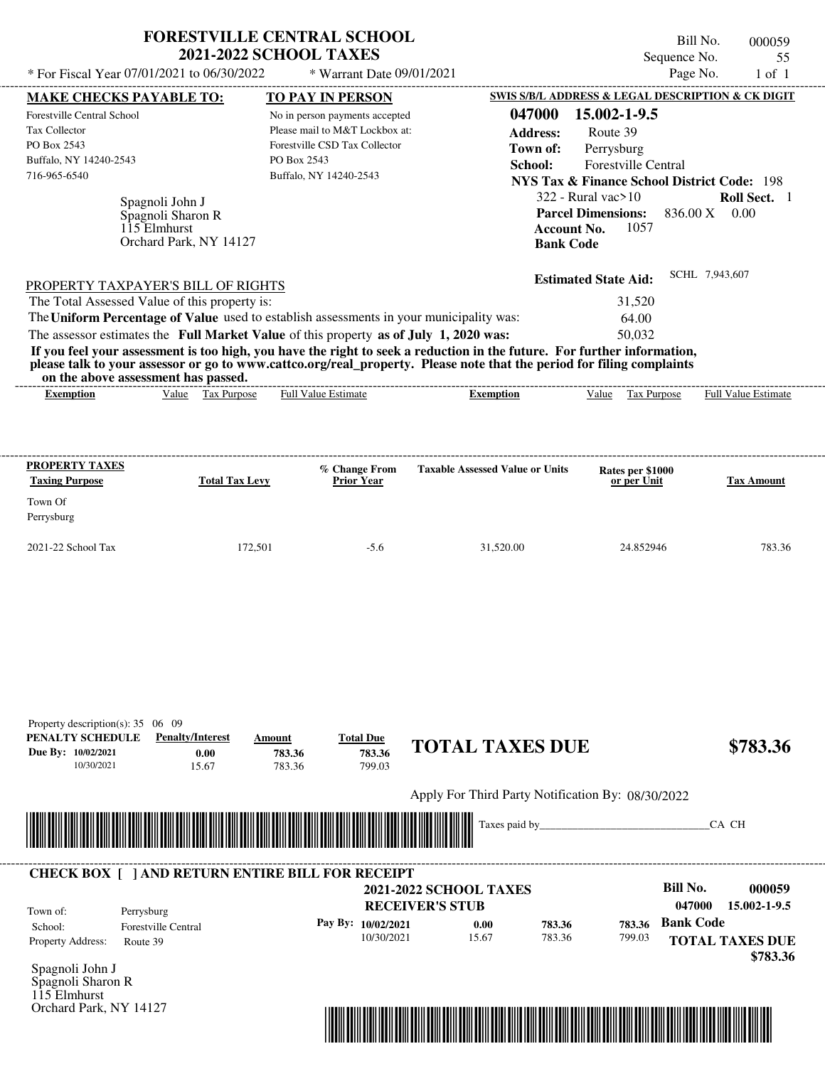|                                                                                                      | <b>2021-2022 SCHOOL TAXES</b>                                                           | <b>FORESTVILLE CENTRAL SCHOOL</b>                                                                                                          |                                                  | Sequence No.                                                                                                                                         | Bill No.<br>000059<br>55   |
|------------------------------------------------------------------------------------------------------|-----------------------------------------------------------------------------------------|--------------------------------------------------------------------------------------------------------------------------------------------|--------------------------------------------------|------------------------------------------------------------------------------------------------------------------------------------------------------|----------------------------|
| * For Fiscal Year 07/01/2021 to 06/30/2022                                                           |                                                                                         | * Warrant Date 09/01/2021                                                                                                                  |                                                  | Page No.                                                                                                                                             | $1$ of $1$                 |
| <b>MAKE CHECKS PAYABLE TO:</b>                                                                       |                                                                                         | TO PAY IN PERSON                                                                                                                           |                                                  | SWIS S/B/L ADDRESS & LEGAL DESCRIPTION & CK DIGIT                                                                                                    |                            |
| Forestville Central School<br>Tax Collector<br>PO Box 2543<br>Buffalo, NY 14240-2543<br>716-965-6540 | Spagnoli John J                                                                         | No in person payments accepted<br>Please mail to M&T Lockbox at:<br>Forestville CSD Tax Collector<br>PO Box 2543<br>Buffalo, NY 14240-2543 | 047000<br><b>Address:</b><br>Town of:<br>School: | 15.002-1-9.5<br>Route 39<br>Perrysburg<br><b>Forestville Central</b><br><b>NYS Tax &amp; Finance School District Code: 198</b><br>322 - Rural vac>10 | Roll Sect. 1               |
|                                                                                                      | Spagnoli Sharon R<br>115 Elmhurst<br>Orchard Park, NY 14127                             |                                                                                                                                            | <b>Account No.</b><br><b>Bank Code</b>           | <b>Parcel Dimensions:</b><br>1057                                                                                                                    | 836.00 X 0.00              |
|                                                                                                      | PROPERTY TAXPAYER'S BILL OF RIGHTS                                                      |                                                                                                                                            |                                                  | <b>Estimated State Aid:</b>                                                                                                                          | SCHL 7,943,607             |
| The Total Assessed Value of this property is:                                                        |                                                                                         |                                                                                                                                            |                                                  | 31,520                                                                                                                                               |                            |
|                                                                                                      | The Uniform Percentage of Value used to establish assessments in your municipality was: |                                                                                                                                            |                                                  | 64.00                                                                                                                                                |                            |
|                                                                                                      | The assessor estimates the Full Market Value of this property as of July 1, 2020 was:   |                                                                                                                                            |                                                  | 50.032                                                                                                                                               |                            |
| on the above assessment has passed.<br>Exemption                                                     | Value Tax Purpose                                                                       | <b>Full Value Estimate</b>                                                                                                                 | <b>Exemption</b>                                 | Value<br>Tax Purpose                                                                                                                                 | <b>Full Value Estimate</b> |
|                                                                                                      |                                                                                         |                                                                                                                                            |                                                  |                                                                                                                                                      |                            |
| <b>PROPERTY TAXES</b>                                                                                |                                                                                         | % Change From                                                                                                                              | <b>Taxable Assessed Value or Units</b>           | Rates per \$1000                                                                                                                                     |                            |
| <b>Taxing Purpose</b><br>Town Of<br>Perrysburg                                                       | <b>Total Tax Levy</b>                                                                   | Prior Year                                                                                                                                 |                                                  | or per Unit                                                                                                                                          | <b>Tax Amount</b>          |
| 2021-22 School Tax                                                                                   | 172,501                                                                                 | $-5.6$                                                                                                                                     | 31,520.00                                        | 24.852946                                                                                                                                            |                            |
| Property description(s): 35 06 09                                                                    |                                                                                         |                                                                                                                                            |                                                  |                                                                                                                                                      | 783.36                     |
| PENALTY SCHEDULE<br>Due By: 10/02/2021                                                               | <b>Penalty/Interest</b><br>Amount<br>0.00                                               | <b>Total Due</b><br>783.36<br>783.36                                                                                                       | <b>TOTAL TAXES DUE</b>                           |                                                                                                                                                      | \$783.36                   |

Apply For Third Party Notification By: 08/30/2022



**RECEIVER'S STUB Bill No. 000059 Bank Code 783.36** Property Address: Route 39 Perrysburg School: Forestville Central **TOTAL TAXES DUE \$783.36 2021-2022 SCHOOL TAXES 047000 15.002-1-9.5 Pay By: 10/02/2021** 10/30/2021 15.67 **0.00** 783.36 **783.36** 799.03 Town of: ---------------------------------------------------------------------------------------------------------------------------------------------------------------------------------------------------- **CHECK BOX [ ] AND RETURN ENTIRE BILL FOR RECEIPT**

Spagnoli John J Spagnoli Sharon R 115 Elmhurst Orchard Park, NY 14127

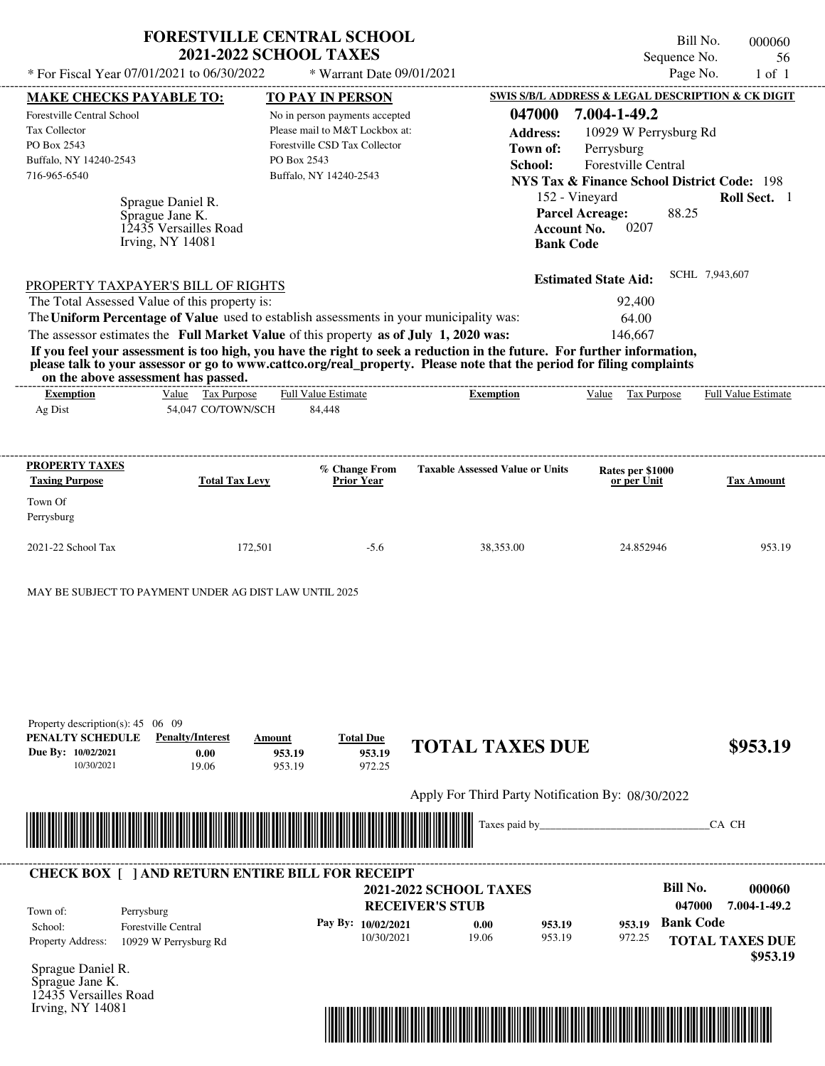|                                                                                                                                               | * For Fiscal Year 07/01/2021 to 06/30/2022                                                 | <b>FORESTVILLE CENTRAL SCHOOL</b><br><b>2021-2022 SCHOOL TAXES</b><br>* Warrant Date 09/01/2021                                                                                  |                                                                                                                                                                                                                                                  | Bill No.<br>Sequence No.<br>Page No.                                                                                                                                                                                                                          | 000060<br>56<br>$1$ of $1$  |
|-----------------------------------------------------------------------------------------------------------------------------------------------|--------------------------------------------------------------------------------------------|----------------------------------------------------------------------------------------------------------------------------------------------------------------------------------|--------------------------------------------------------------------------------------------------------------------------------------------------------------------------------------------------------------------------------------------------|---------------------------------------------------------------------------------------------------------------------------------------------------------------------------------------------------------------------------------------------------------------|-----------------------------|
|                                                                                                                                               |                                                                                            |                                                                                                                                                                                  |                                                                                                                                                                                                                                                  |                                                                                                                                                                                                                                                               |                             |
| <b>MAKE CHECKS PAYABLE TO:</b><br>Forestville Central School<br><b>Tax Collector</b><br>PO Box 2543<br>Buffalo, NY 14240-2543<br>716-965-6540 | Sprague Daniel R.<br>Sprague Jane K.<br>12435 Versailles Road<br><b>Irving, NY 14081</b>   | <b>TO PAY IN PERSON</b><br>No in person payments accepted<br>Please mail to M&T Lockbox at:<br>Forestville CSD Tax Collector<br>PO Box 2543<br>Buffalo, NY 14240-2543            | 047000<br><b>Address:</b><br>Town of:<br>School:<br><b>Account No.</b><br><b>Bank Code</b>                                                                                                                                                       | SWIS S/B/L ADDRESS & LEGAL DESCRIPTION & CK DIGIT<br>7.004-1-49.2<br>10929 W Perrysburg Rd<br>Perrysburg<br><b>Forestville Central</b><br><b>NYS Tax &amp; Finance School District Code: 198</b><br>152 - Vineyard<br>88.25<br><b>Parcel Acreage:</b><br>0207 | Roll Sect. 1                |
|                                                                                                                                               | PROPERTY TAXPAYER'S BILL OF RIGHTS<br>The Total Assessed Value of this property is:        | The Uniform Percentage of Value used to establish assessments in your municipality was:<br>The assessor estimates the Full Market Value of this property as of July 1, 2020 was: |                                                                                                                                                                                                                                                  | <b>Estimated State Aid:</b><br>92,400<br>64.00<br>146,667                                                                                                                                                                                                     | SCHL 7,943,607              |
|                                                                                                                                               | on the above assessment has passed.                                                        |                                                                                                                                                                                  | If you feel your assessment is too high, you have the right to seek a reduction in the future. For further information,<br>please talk to your assessor or go to www.cattco.org/real_property. Please note that the period for filing complaints |                                                                                                                                                                                                                                                               |                             |
| <b>Exemption</b><br>Ag Dist                                                                                                                   | Value Tax Purpose<br>54,047 CO/TOWN/SCH                                                    | <b>Full Value Estimate</b><br>84,448                                                                                                                                             | <b>Exemption</b>                                                                                                                                                                                                                                 | Value Tax Purpose                                                                                                                                                                                                                                             | <b>Full Value Estimate</b>  |
| <b>PROPERTY TAXES</b><br><b>Taxing Purpose</b><br>Town Of<br>Perrysburg<br>2021-22 School Tax                                                 | <b>Total Tax Levy</b><br>172,501<br>MAY BE SUBJECT TO PAYMENT UNDER AG DIST LAW UNTIL 2025 | % Change From<br><b>Prior Year</b><br>$-5.6$                                                                                                                                     | <b>Taxable Assessed Value or Units</b><br>38,353.00                                                                                                                                                                                              | Rates per \$1000<br>or per Unit<br>24.852946                                                                                                                                                                                                                  | <b>Tax Amount</b><br>953.19 |
|                                                                                                                                               |                                                                                            | <b>Total Due</b><br>Amount                                                                                                                                                       | <b>TOTAL TAXES DUE</b>                                                                                                                                                                                                                           |                                                                                                                                                                                                                                                               | \$953.19                    |
| Property description(s): $45 \quad 06 \quad 09$<br>PENALTY SCHEDULE<br>Due By: 10/02/2021<br>10/30/2021                                       | <b>Penalty/Interest</b><br>0.00<br>19.06                                                   | 953.19<br>953.19<br>953.19<br>972.25                                                                                                                                             | Apply For Third Party Notification By: 08/30/2022                                                                                                                                                                                                |                                                                                                                                                                                                                                                               |                             |
|                                                                                                                                               |                                                                                            |                                                                                                                                                                                  | Taxes paid by_                                                                                                                                                                                                                                   |                                                                                                                                                                                                                                                               | CA CH                       |

10/30/2021 19.06

Sprague Daniel R. Property Address: 10929 W Perrysburg Rd

Sprague Jane K. 12435 Versailles Road Irving, NY 14081



953.19

**TOTAL TAXES DUE** 972.25

 **\$953.19**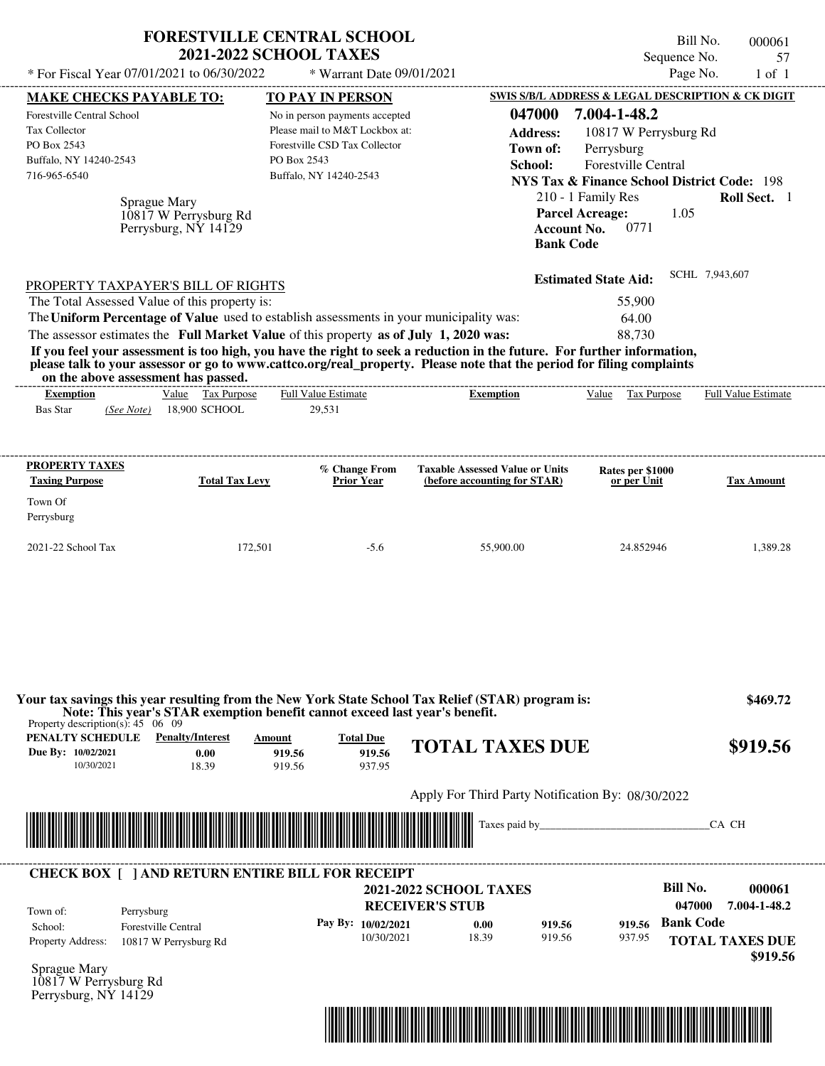| * For Fiscal Year 07/01/2021 to 06/30/2022                                                                                                                                                                                                                                                                     | <b>FORESTVILLE CENTRAL SCHOOL</b><br><b>2021-2022 SCHOOL TAXES</b>                    | * Warrant Date 09/01/2021                                                                                                                       |                                                                                                                                                                                                                                                  | Sequence No.                                                                                                                                                                                                               | Bill No.<br>000061<br>57<br>Page No.<br>$1$ of $1$ |
|----------------------------------------------------------------------------------------------------------------------------------------------------------------------------------------------------------------------------------------------------------------------------------------------------------------|---------------------------------------------------------------------------------------|-------------------------------------------------------------------------------------------------------------------------------------------------|--------------------------------------------------------------------------------------------------------------------------------------------------------------------------------------------------------------------------------------------------|----------------------------------------------------------------------------------------------------------------------------------------------------------------------------------------------------------------------------|----------------------------------------------------|
|                                                                                                                                                                                                                                                                                                                |                                                                                       |                                                                                                                                                 |                                                                                                                                                                                                                                                  | SWIS S/B/L ADDRESS & LEGAL DESCRIPTION & CK DIGIT                                                                                                                                                                          |                                                    |
| <b>MAKE CHECKS PAYABLE TO:</b><br>Forestville Central School<br><b>Tax Collector</b><br>PO Box 2543<br>Buffalo, NY 14240-2543<br>716-965-6540<br>Sprague Mary                                                                                                                                                  | PO Box 2543<br>10817 W Perrysburg Rd<br>Perrysburg, NY 14129                          | TO PAY IN PERSON<br>No in person payments accepted<br>Please mail to M&T Lockbox at:<br>Forestville CSD Tax Collector<br>Buffalo, NY 14240-2543 | 047000<br><b>Address:</b><br>Town of:<br>School:<br><b>Bank Code</b>                                                                                                                                                                             | 7.004-1-48.2<br>10817 W Perrysburg Rd<br>Perrysburg<br>Forestville Central<br><b>NYS Tax &amp; Finance School District Code: 198</b><br>210 - 1 Family Res<br><b>Parcel Acreage:</b><br>1.05<br>0771<br><b>Account No.</b> | Roll Sect. 1                                       |
| PROPERTY TAXPAYER'S BILL OF RIGHTS<br>The Total Assessed Value of this property is:<br>The Uniform Percentage of Value used to establish assessments in your municipality was:<br>The assessor estimates the Full Market Value of this property as of July 1, 2020 was:<br>on the above assessment has passed. |                                                                                       |                                                                                                                                                 | If you feel your assessment is too high, you have the right to seek a reduction in the future. For further information,<br>please talk to your assessor or go to www.cattco.org/real_property. Please note that the period for filing complaints | <b>Estimated State Aid:</b><br>55,900<br>64.00<br>88,730                                                                                                                                                                   | SCHL 7,943,607                                     |
| <b>Exemption</b><br><b>Bas Star</b><br>(See Note)                                                                                                                                                                                                                                                              | Value Tax Purpose<br>18,900 SCHOOL                                                    | <b>Full Value Estimate</b><br>29,531                                                                                                            | <b>Exemption</b>                                                                                                                                                                                                                                 | Value Tax Purpose                                                                                                                                                                                                          | Full Value Estimate                                |
| Perrysburg<br>2021-22 School Tax                                                                                                                                                                                                                                                                               | 172,501                                                                               | $-5.6$                                                                                                                                          | 55,900.00                                                                                                                                                                                                                                        | 24.852946                                                                                                                                                                                                                  | 1,389.28                                           |
| Property description(s): $45 \quad 06 \quad 09$<br><b>PENALTY SCHEDULE</b> Penalty/Interest                                                                                                                                                                                                                    | Note: This year's STAR exemption benefit cannot exceed last year's benefit.<br>Amount | <b>Total Due</b>                                                                                                                                | Your tax savings this year resulting from the New York State School Tax Relief (STAR) program is:                                                                                                                                                |                                                                                                                                                                                                                            | \$469.72                                           |
| Due By: 10/02/2021<br>10/30/2021                                                                                                                                                                                                                                                                               | 0.00<br>919.56<br>18.39<br>919.56                                                     | 919.56<br>937.95                                                                                                                                | <b>TOTAL TAXES DUE</b>                                                                                                                                                                                                                           |                                                                                                                                                                                                                            | \$919.56                                           |
|                                                                                                                                                                                                                                                                                                                |                                                                                       |                                                                                                                                                 |                                                                                                                                                                                                                                                  |                                                                                                                                                                                                                            |                                                    |
|                                                                                                                                                                                                                                                                                                                |                                                                                       |                                                                                                                                                 | Apply For Third Party Notification By: 08/30/2022                                                                                                                                                                                                |                                                                                                                                                                                                                            |                                                    |
|                                                                                                                                                                                                                                                                                                                |                                                                                       |                                                                                                                                                 |                                                                                                                                                                                                                                                  |                                                                                                                                                                                                                            |                                                    |
|                                                                                                                                                                                                                                                                                                                |                                                                                       |                                                                                                                                                 |                                                                                                                                                                                                                                                  | Taxes paid by                                                                                                                                                                                                              | CA CH                                              |

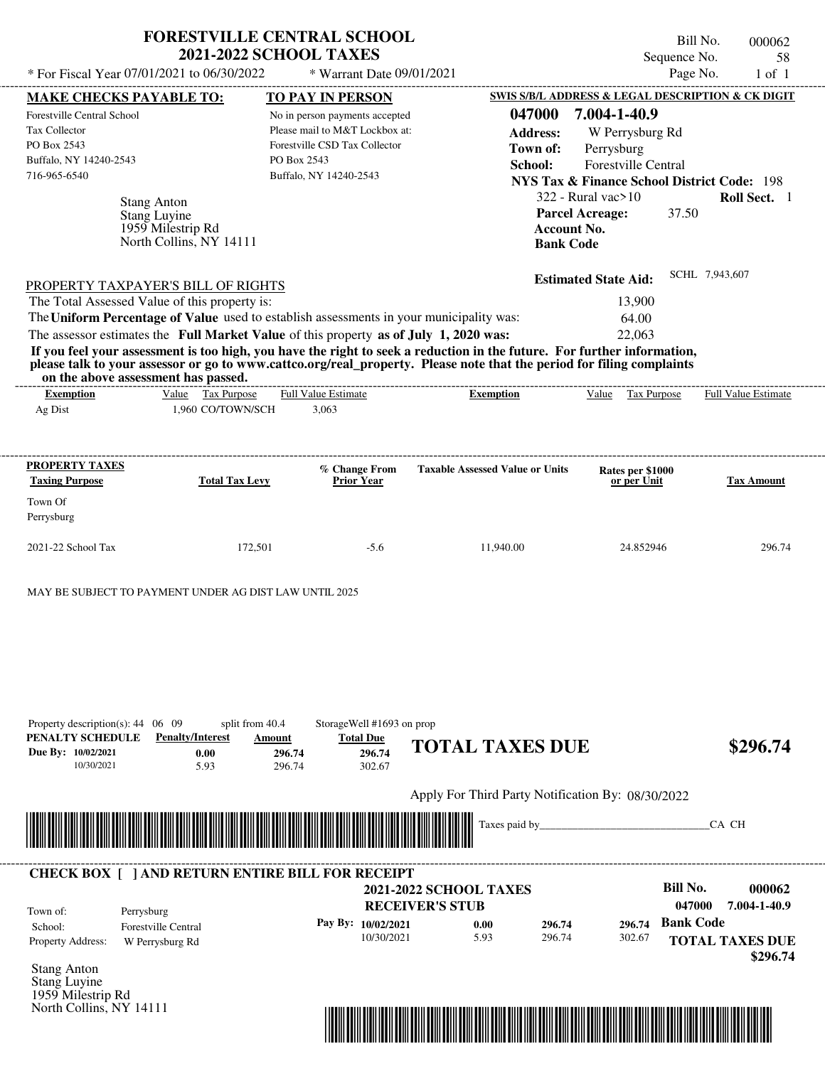|                                                                     |                                                        | <b>FORESTVILLE CENTRAL SCHOOL</b><br><b>2021-2022 SCHOOL TAXES</b>                      |                                                                                                                                                                                                                                                  | Sequence No.                                                     | Bill No.<br>000062                               |
|---------------------------------------------------------------------|--------------------------------------------------------|-----------------------------------------------------------------------------------------|--------------------------------------------------------------------------------------------------------------------------------------------------------------------------------------------------------------------------------------------------|------------------------------------------------------------------|--------------------------------------------------|
|                                                                     | * For Fiscal Year 07/01/2021 to 06/30/2022             | * Warrant Date 09/01/2021                                                               |                                                                                                                                                                                                                                                  | Page No.                                                         | 58<br>$1$ of $1$                                 |
|                                                                     |                                                        |                                                                                         |                                                                                                                                                                                                                                                  | <b>SWIS S/B/L ADDRESS &amp; LEGAL DESCRIPTION &amp; CK DIGIT</b> |                                                  |
| <b>MAKE CHECKS PAYABLE TO:</b><br>Forestville Central School        |                                                        | <b>TO PAY IN PERSON</b><br>No in person payments accepted                               | 047000                                                                                                                                                                                                                                           | 7.004-1-40.9                                                     |                                                  |
| <b>Tax Collector</b>                                                |                                                        | Please mail to M&T Lockbox at:                                                          | <b>Address:</b>                                                                                                                                                                                                                                  | W Perrysburg Rd                                                  |                                                  |
| PO Box 2543                                                         |                                                        | Forestville CSD Tax Collector                                                           | Town of:                                                                                                                                                                                                                                         |                                                                  |                                                  |
| Buffalo, NY 14240-2543                                              |                                                        | PO Box 2543                                                                             |                                                                                                                                                                                                                                                  | Perrysburg<br><b>Forestville Central</b>                         |                                                  |
| 716-965-6540                                                        |                                                        | Buffalo, NY 14240-2543                                                                  | School:                                                                                                                                                                                                                                          |                                                                  |                                                  |
|                                                                     |                                                        |                                                                                         |                                                                                                                                                                                                                                                  | <b>NYS Tax &amp; Finance School District Code: 198</b>           |                                                  |
|                                                                     | <b>Stang Anton</b>                                     |                                                                                         |                                                                                                                                                                                                                                                  | $322$ - Rural vac $>10$                                          | Roll Sect. 1                                     |
|                                                                     | Stang Luyine<br>1959 Milestrip Rd                      |                                                                                         | Account No.                                                                                                                                                                                                                                      | 37.50<br><b>Parcel Acreage:</b>                                  |                                                  |
|                                                                     | North Collins, NY 14111                                |                                                                                         | <b>Bank Code</b>                                                                                                                                                                                                                                 |                                                                  |                                                  |
|                                                                     |                                                        |                                                                                         |                                                                                                                                                                                                                                                  |                                                                  |                                                  |
|                                                                     |                                                        |                                                                                         |                                                                                                                                                                                                                                                  | <b>Estimated State Aid:</b>                                      | SCHL 7,943,607                                   |
|                                                                     | PROPERTY TAXPAYER'S BILL OF RIGHTS                     |                                                                                         |                                                                                                                                                                                                                                                  |                                                                  |                                                  |
|                                                                     | The Total Assessed Value of this property is:          |                                                                                         |                                                                                                                                                                                                                                                  | 13,900                                                           |                                                  |
|                                                                     |                                                        | The Uniform Percentage of Value used to establish assessments in your municipality was: |                                                                                                                                                                                                                                                  | 64.00                                                            |                                                  |
|                                                                     |                                                        | The assessor estimates the Full Market Value of this property as of July 1, 2020 was:   |                                                                                                                                                                                                                                                  | 22,063                                                           |                                                  |
|                                                                     |                                                        |                                                                                         | If you feel your assessment is too high, you have the right to seek a reduction in the future. For further information,<br>please talk to your assessor or go to www.cattco.org/real_property. Please note that the period for filing complaints |                                                                  |                                                  |
| on the above assessment has passed.                                 |                                                        |                                                                                         |                                                                                                                                                                                                                                                  |                                                                  |                                                  |
| <b>Exemption</b>                                                    | Value Tax Purpose                                      | <b>Full Value Estimate</b>                                                              | <b>Exemption</b>                                                                                                                                                                                                                                 | Value Tax Purpose                                                | Full Value Estimate                              |
| Ag Dist                                                             | 1,960 CO/TOWN/SCH                                      | 3,063                                                                                   |                                                                                                                                                                                                                                                  |                                                                  |                                                  |
|                                                                     |                                                        |                                                                                         |                                                                                                                                                                                                                                                  |                                                                  |                                                  |
|                                                                     |                                                        |                                                                                         |                                                                                                                                                                                                                                                  |                                                                  |                                                  |
| <b>PROPERTY TAXES</b>                                               |                                                        | % Change From                                                                           | <b>Taxable Assessed Value or Units</b>                                                                                                                                                                                                           | Rates per \$1000                                                 |                                                  |
| <b>Taxing Purpose</b>                                               | <b>Total Tax Levy</b>                                  | <b>Prior Year</b>                                                                       |                                                                                                                                                                                                                                                  | or per Unit                                                      | <b>Tax Amount</b>                                |
|                                                                     |                                                        |                                                                                         |                                                                                                                                                                                                                                                  |                                                                  |                                                  |
| Town Of                                                             |                                                        |                                                                                         |                                                                                                                                                                                                                                                  |                                                                  |                                                  |
| Perrysburg                                                          |                                                        |                                                                                         |                                                                                                                                                                                                                                                  |                                                                  |                                                  |
|                                                                     |                                                        |                                                                                         |                                                                                                                                                                                                                                                  |                                                                  |                                                  |
| 2021-22 School Tax                                                  | 172,501                                                | $-5.6$                                                                                  | 11,940.00                                                                                                                                                                                                                                        | 24.852946                                                        | 296.74                                           |
|                                                                     | MAY BE SUBJECT TO PAYMENT UNDER AG DIST LAW UNTIL 2025 |                                                                                         |                                                                                                                                                                                                                                                  |                                                                  |                                                  |
|                                                                     |                                                        |                                                                                         |                                                                                                                                                                                                                                                  |                                                                  |                                                  |
|                                                                     |                                                        |                                                                                         |                                                                                                                                                                                                                                                  |                                                                  |                                                  |
|                                                                     |                                                        |                                                                                         |                                                                                                                                                                                                                                                  |                                                                  |                                                  |
| Property description(s): $44 \quad 06 \quad 09$<br>PENALTY SCHEDULE | split from 40.4<br><b>Penalty/Interest</b>             | StorageWell #1693 on prop<br><b>Total Due</b><br>Amount                                 |                                                                                                                                                                                                                                                  |                                                                  |                                                  |
| Due By: 10/02/2021                                                  | 0.00                                                   | 296.74<br>296.74                                                                        | <b>TOTAL TAXES DUE</b>                                                                                                                                                                                                                           |                                                                  | \$296.74                                         |
| 10/30/2021                                                          | 5.93                                                   | 296.74<br>302.67                                                                        |                                                                                                                                                                                                                                                  |                                                                  |                                                  |
|                                                                     |                                                        |                                                                                         |                                                                                                                                                                                                                                                  |                                                                  |                                                  |
|                                                                     |                                                        |                                                                                         | Apply For Third Party Notification By: 08/30/2022                                                                                                                                                                                                |                                                                  |                                                  |
|                                                                     |                                                        |                                                                                         | Taxes paid by                                                                                                                                                                                                                                    |                                                                  | CA CH                                            |
|                                                                     |                                                        |                                                                                         |                                                                                                                                                                                                                                                  |                                                                  |                                                  |
|                                                                     |                                                        | <b>CHECK BOX [ ] AND RETURN ENTIRE BILL FOR RECEIPT</b>                                 |                                                                                                                                                                                                                                                  | <b>Bill No.</b>                                                  |                                                  |
|                                                                     |                                                        |                                                                                         | <b>2021-2022 SCHOOL TAXES</b>                                                                                                                                                                                                                    | 047000                                                           |                                                  |
| Town of:<br>Perrysburg                                              |                                                        |                                                                                         | <b>RECEIVER'S STUB</b>                                                                                                                                                                                                                           |                                                                  |                                                  |
| School:<br>Property Address:                                        | <b>Forestville Central</b><br>W Perrysburg Rd          | Pay By: 10/02/2021<br>10/30/2021                                                        | 0.00<br>296.74<br>5.93<br>296.74                                                                                                                                                                                                                 | <b>Bank Code</b><br>296.74<br>302.67                             | 000062<br>7.004-1-40.9<br><b>TOTAL TAXES DUE</b> |

Stang Anton Stang Luyine 1959 Milestrip Rd North Collins, NY 14111

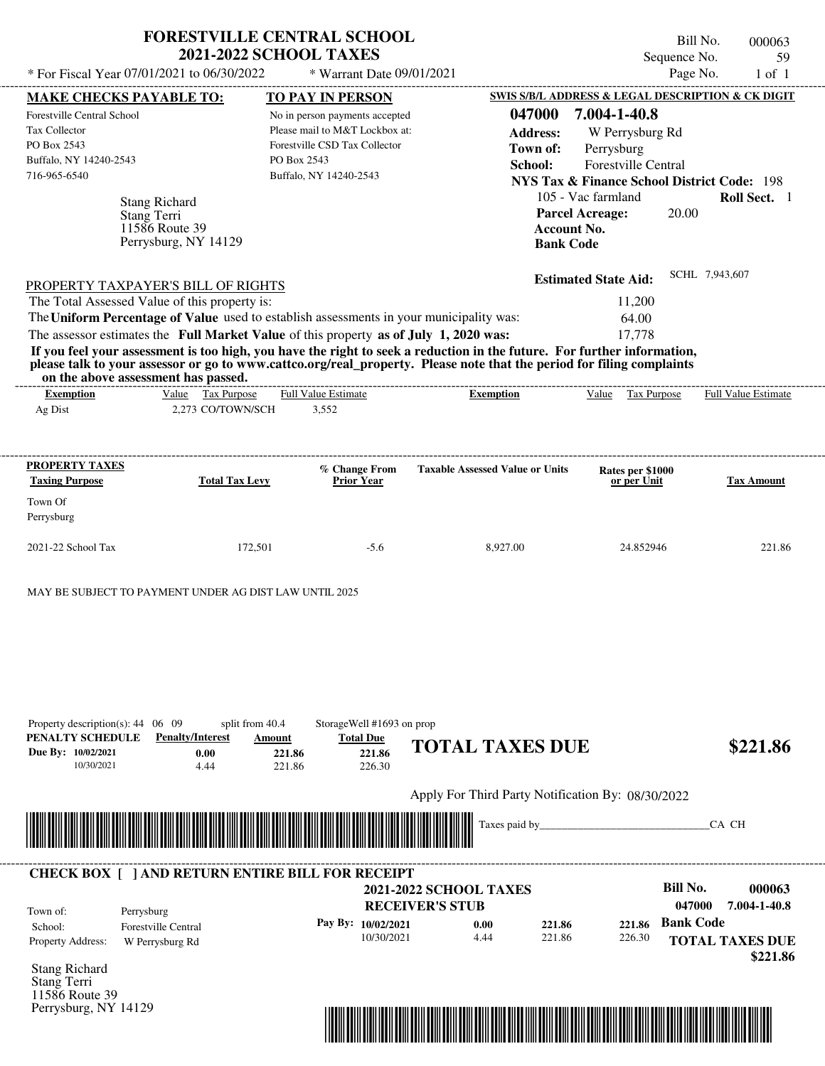| * For Fiscal Year 07/01/2021 to 06/30/2022                                                                                                    | <b>FORESTVILLE CENTRAL SCHOOL</b><br><b>2021-2022 SCHOOL TAXES</b>                                                                                                                                                     | * Warrant Date 09/01/2021                                                                                                                                             |                                                                                                                                                                                                                                                  | Sequence No.<br>Page No.                                                                                                                                                                                                                     | Bill No.<br>000063<br>59<br>$1$ of $1$ |
|-----------------------------------------------------------------------------------------------------------------------------------------------|------------------------------------------------------------------------------------------------------------------------------------------------------------------------------------------------------------------------|-----------------------------------------------------------------------------------------------------------------------------------------------------------------------|--------------------------------------------------------------------------------------------------------------------------------------------------------------------------------------------------------------------------------------------------|----------------------------------------------------------------------------------------------------------------------------------------------------------------------------------------------------------------------------------------------|----------------------------------------|
| <b>MAKE CHECKS PAYABLE TO:</b><br>Forestville Central School<br><b>Tax Collector</b><br>PO Box 2543<br>Buffalo, NY 14240-2543<br>716-965-6540 | <b>Stang Richard</b><br>Stang Terri<br>11586 Route 39<br>Perrysburg, NY 14129                                                                                                                                          | <b>TO PAY IN PERSON</b><br>No in person payments accepted<br>Please mail to M&T Lockbox at:<br>Forestville CSD Tax Collector<br>PO Box 2543<br>Buffalo, NY 14240-2543 | 047000<br><b>Address:</b><br>Town of:<br>School:<br>Account No.<br><b>Bank Code</b>                                                                                                                                                              | SWIS S/B/L ADDRESS & LEGAL DESCRIPTION & CK DIGIT<br>7.004-1-40.8<br>W Perrysburg Rd<br>Perrysburg<br>Forestville Central<br><b>NYS Tax &amp; Finance School District Code: 198</b><br>105 - Vac farmland<br>20.00<br><b>Parcel Acreage:</b> | Roll Sect. 1                           |
| The Total Assessed Value of this property is:<br>on the above assessment has passed.                                                          | PROPERTY TAXPAYER'S BILL OF RIGHTS<br>The Uniform Percentage of Value used to establish assessments in your municipality was:<br>The assessor estimates the Full Market Value of this property as of July 1, 2020 was: | --------------------------                                                                                                                                            | If you feel your assessment is too high, you have the right to seek a reduction in the future. For further information,<br>please talk to your assessor or go to www.cattco.org/real property. Please note that the period for filing complaints | <b>Estimated State Aid:</b><br>11,200<br>64.00<br>17,778                                                                                                                                                                                     | SCHL 7,943,607                         |
| <b>Exemption</b><br>Ag Dist                                                                                                                   | Value Tax Purpose<br>2,273 CO/TOWN/SCH                                                                                                                                                                                 | Full Value Estimate<br>3,552                                                                                                                                          | <b>Exemption</b>                                                                                                                                                                                                                                 | Value Tax Purpose                                                                                                                                                                                                                            | <b>Full Value Estimate</b>             |
| PROPERTY TAXES<br><b>Taxing Purpose</b><br>Town Of<br>Perrysburg                                                                              | <b>Total Tax Levy</b>                                                                                                                                                                                                  | % Change From<br><b>Prior Year</b>                                                                                                                                    | <b>Taxable Assessed Value or Units</b>                                                                                                                                                                                                           | Rates per \$1000<br>or per Unit                                                                                                                                                                                                              | Tax Amount                             |
| 2021-22 School Tax                                                                                                                            | 172,501                                                                                                                                                                                                                | $-5.6$                                                                                                                                                                | 8,927.00                                                                                                                                                                                                                                         | 24.852946                                                                                                                                                                                                                                    | 221.86                                 |
| Property description(s): $44 \quad 06 \quad 09$<br>PENALTY SCHEDULE<br>Due By: 10/02/2021<br>10/30/2021                                       | MAY BE SUBJECT TO PAYMENT UNDER AG DIST LAW UNTIL 2025<br>split from 40.4<br><b>Penalty/Interest</b><br>Amount<br>0.00<br>4.44                                                                                         | StorageWell #1693 on prop<br><b>Total Due</b><br>221.86<br>221.86<br>221.86<br>226.30                                                                                 | <b>TOTAL TAXES DUE</b>                                                                                                                                                                                                                           |                                                                                                                                                                                                                                              | \$221.86                               |
|                                                                                                                                               |                                                                                                                                                                                                                        |                                                                                                                                                                       | Apply For Third Party Notification By: 08/30/2022                                                                                                                                                                                                |                                                                                                                                                                                                                                              |                                        |
|                                                                                                                                               |                                                                                                                                                                                                                        |                                                                                                                                                                       | Taxes paid by_                                                                                                                                                                                                                                   |                                                                                                                                                                                                                                              | CA CH                                  |
| Town of:<br>Perrysburg                                                                                                                        | <b>CHECK BOX [ ] AND RETURN ENTIRE BILL FOR RECEIPT</b>                                                                                                                                                                | Pay By: 10/02/2021                                                                                                                                                    | <b>2021-2022 SCHOOL TAXES</b><br><b>RECEIVER'S STUB</b><br>0.00<br>221.86                                                                                                                                                                        | <b>Bill No.</b><br>047000<br><b>Bank Code</b><br>221.86                                                                                                                                                                                      | 000063<br>7.004-1-40.8                 |
| School:<br>Property Address:                                                                                                                  | <b>Forestville Central</b><br>W Perrysburg Rd                                                                                                                                                                          | 10/30/2021                                                                                                                                                            | 221.86<br>4.44                                                                                                                                                                                                                                   | 226.30                                                                                                                                                                                                                                       | <b>TOTAL TAXES DUE</b><br>\$221.86     |

Stang Richard Stang Terri 11586 Route 39 Perrysburg, NY 14129

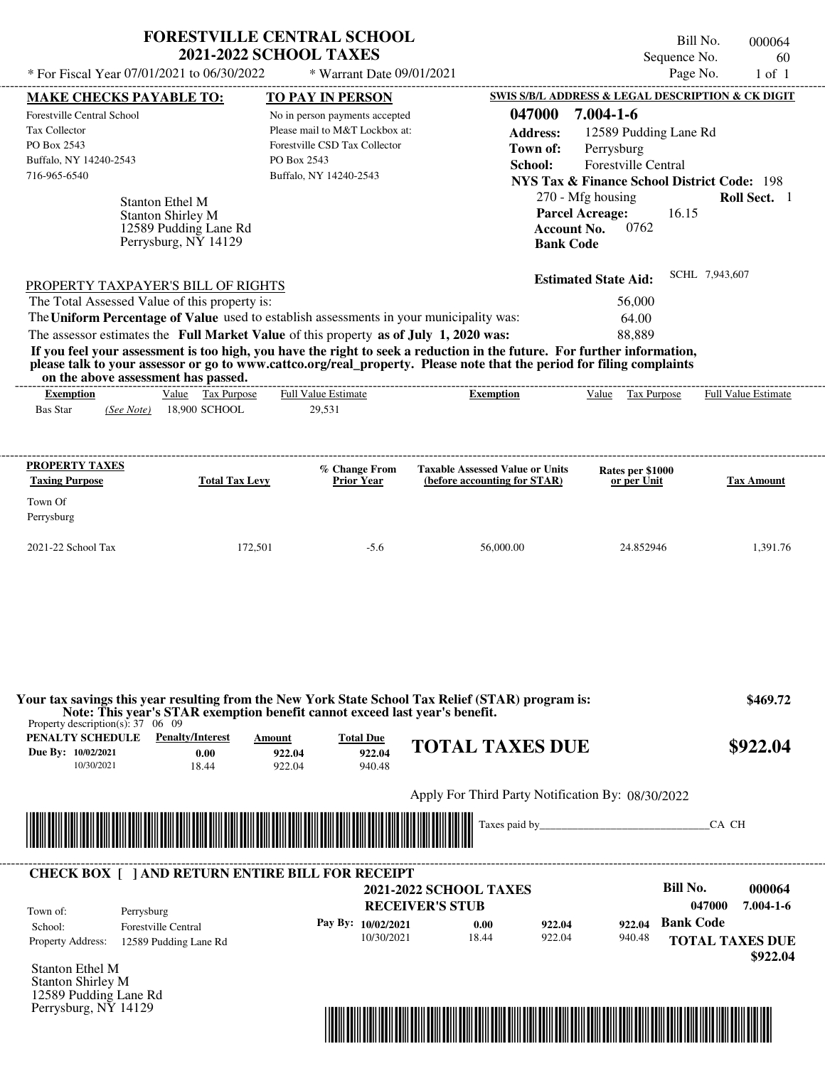|                                                                                                                                               |                                                                           | <b>FORESTVILLE CENTRAL SCHOOL</b><br><b>2021-2022 SCHOOL TAXES</b>                                                                                                               |                                                                                                                                                                                                                                                  | Bill No.<br>Sequence No.                                                                                                                                                                                          | 000064<br>60               |
|-----------------------------------------------------------------------------------------------------------------------------------------------|---------------------------------------------------------------------------|----------------------------------------------------------------------------------------------------------------------------------------------------------------------------------|--------------------------------------------------------------------------------------------------------------------------------------------------------------------------------------------------------------------------------------------------|-------------------------------------------------------------------------------------------------------------------------------------------------------------------------------------------------------------------|----------------------------|
| * For Fiscal Year 07/01/2021 to 06/30/2022                                                                                                    |                                                                           | * Warrant Date 09/01/2021                                                                                                                                                        |                                                                                                                                                                                                                                                  | Page No.                                                                                                                                                                                                          | $1$ of $1$                 |
| <b>MAKE CHECKS PAYABLE TO:</b><br><b>Forestville Central School</b><br>Tax Collector<br>PO Box 2543<br>Buffalo, NY 14240-2543<br>716-965-6540 | <b>Stanton Ethel M</b>                                                    | <b>TO PAY IN PERSON</b><br>No in person payments accepted<br>Please mail to M&T Lockbox at:<br>Forestville CSD Tax Collector<br>PO Box 2543<br>Buffalo, NY 14240-2543            | 047000<br><b>Address:</b><br>Town of:<br>School:                                                                                                                                                                                                 | SWIS S/B/L ADDRESS & LEGAL DESCRIPTION & CK DIGIT<br>$7.004 - 1 - 6$<br>12589 Pudding Lane Rd<br>Perrysburg<br>Forestville Central<br><b>NYS Tax &amp; Finance School District Code: 198</b><br>270 - Mfg housing | Roll Sect. 1               |
| PROPERTY TAXPAYER'S BILL OF RIGHTS<br>The Total Assessed Value of this property is:                                                           | <b>Stanton Shirley M</b><br>12589 Pudding Lane Rd<br>Perrysburg, NY 14129 | The Uniform Percentage of Value used to establish assessments in your municipality was:<br>The assessor estimates the Full Market Value of this property as of July 1, 2020 was: | <b>Account No.</b><br><b>Bank Code</b>                                                                                                                                                                                                           | <b>Parcel Acreage:</b><br>16.15<br>0762<br><b>Estimated State Aid:</b><br>56,000<br>64.00<br>88,889                                                                                                               | SCHL 7,943,607             |
| on the above assessment has passed.                                                                                                           |                                                                           |                                                                                                                                                                                  | If you feel your assessment is too high, you have the right to seek a reduction in the future. For further information,<br>please talk to your assessor or go to www.cattco.org/real property. Please note that the period for filing complaints |                                                                                                                                                                                                                   |                            |
| <b>Exemption</b><br><b>Bas Star</b><br>(See Note)                                                                                             | Value Tax Purpose<br>18,900 SCHOOL                                        | <b>Full Value Estimate</b><br>29,531                                                                                                                                             | <b>Exemption</b>                                                                                                                                                                                                                                 | Value Tax Purpose                                                                                                                                                                                                 | <b>Full Value Estimate</b> |
| <b>PROPERTY TAXES</b><br><b>Taxing Purpose</b>                                                                                                | <b>Total Tax Levy</b>                                                     | % Change From<br>Prior Year                                                                                                                                                      | <b>Taxable Assessed Value or Units</b><br>(before accounting for STAR)                                                                                                                                                                           | Rates per \$1000<br>or per Unit                                                                                                                                                                                   | <b>Tax Amount</b>          |
| Town Of<br>Perrysburg                                                                                                                         |                                                                           |                                                                                                                                                                                  |                                                                                                                                                                                                                                                  |                                                                                                                                                                                                                   |                            |
| 2021-22 School Tax                                                                                                                            | 172,501                                                                   | $-5.6$                                                                                                                                                                           | 56,000.00                                                                                                                                                                                                                                        | 24.852946                                                                                                                                                                                                         | 1,391.76                   |
|                                                                                                                                               |                                                                           | Note: This year's STAR exemption benefit cannot exceed last year's benefit.                                                                                                      | Your tax savings this year resulting from the New York State School Tax Relief (STAR) program is:                                                                                                                                                |                                                                                                                                                                                                                   | \$469.72                   |
| Property description(s): $37 \quad 06 \quad 09$<br>PENALTY SCHEDULE<br>Due By: 10/02/2021<br>10/30/2021                                       | <b>Penalty/Interest</b><br>0.00<br>18.44                                  | Amount<br><b>Total Due</b><br>922.04<br>922.04<br>922.04<br>940.48                                                                                                               | <b>TOTAL TAXES DUE</b>                                                                                                                                                                                                                           |                                                                                                                                                                                                                   | \$922.04                   |
|                                                                                                                                               |                                                                           |                                                                                                                                                                                  | Apply For Third Party Notification By: 08/30/2022                                                                                                                                                                                                |                                                                                                                                                                                                                   |                            |
|                                                                                                                                               |                                                                           |                                                                                                                                                                                  |                                                                                                                                                                                                                                                  |                                                                                                                                                                                                                   | CA CH                      |
|                                                                                                                                               |                                                                           |                                                                                                                                                                                  |                                                                                                                                                                                                                                                  |                                                                                                                                                                                                                   |                            |
|                                                                                                                                               |                                                                           | <b>CHECK BOX [ ] AND RETURN ENTIRE BILL FOR RECEIPT</b>                                                                                                                          |                                                                                                                                                                                                                                                  | <b>Bill No.</b>                                                                                                                                                                                                   | 000064                     |

**Pay By: 10/02/2021**

10/30/2021 18.44

Stanton Ethel M Stanton Shirley M 12589 Pudding Lane Rd Perrysburg, NY 14129

Property Address: 12589 Pudding Lane Rd

School: Forestville Central



922.04

**0.00 922.04**

**Bank Code 922.04**

940.48

**TOTAL TAXES DUE**

 **\$922.04**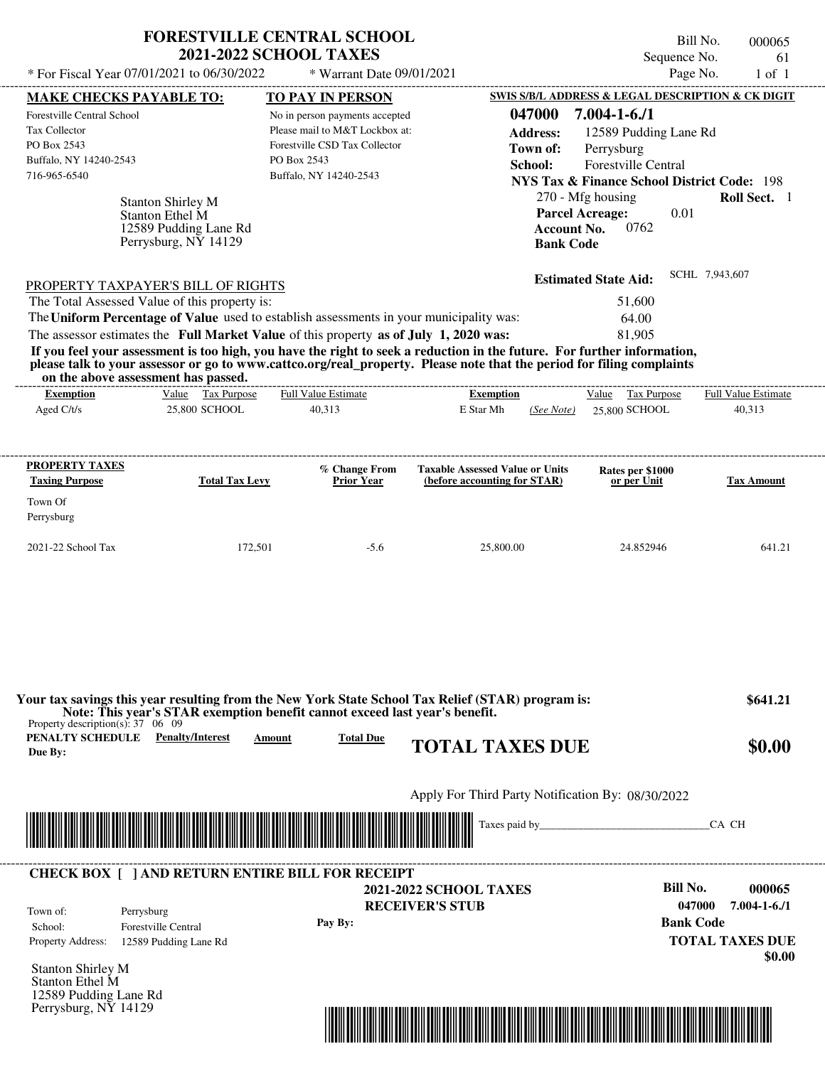|                                                                                                     | <b>FORESTVILLE CENTRAL SCHOOL</b> | Bill No.<br>000065                                                                                                                                                                                                                               |
|-----------------------------------------------------------------------------------------------------|-----------------------------------|--------------------------------------------------------------------------------------------------------------------------------------------------------------------------------------------------------------------------------------------------|
|                                                                                                     | <b>2021-2022 SCHOOL TAXES</b>     | Sequence No.<br>61                                                                                                                                                                                                                               |
| * For Fiscal Year 07/01/2021 to 06/30/2022                                                          | * Warrant Date 09/01/2021         | Page No.<br>$1$ of $1$                                                                                                                                                                                                                           |
| <b>MAKE CHECKS PAYABLE TO:</b>                                                                      | <b>TO PAY IN PERSON</b>           | SWIS S/B/L ADDRESS & LEGAL DESCRIPTION & CK DIGIT                                                                                                                                                                                                |
| Forestville Central School                                                                          | No in person payments accepted    | 047000<br>$7.004 - 1 - 6.71$                                                                                                                                                                                                                     |
| <b>Tax Collector</b>                                                                                | Please mail to M&T Lockbox at:    | <b>Address:</b><br>12589 Pudding Lane Rd                                                                                                                                                                                                         |
| PO Box 2543                                                                                         | Forestville CSD Tax Collector     | Perrysburg<br>Town of:                                                                                                                                                                                                                           |
| Buffalo, NY 14240-2543                                                                              | PO Box 2543                       | School:<br><b>Forestville Central</b>                                                                                                                                                                                                            |
| 716-965-6540                                                                                        | Buffalo, NY 14240-2543            | NYS Tax & Finance School District Code: 198                                                                                                                                                                                                      |
| <b>Stanton Shirley M</b><br><b>Stanton Ethel M</b><br>12589 Pudding Lane Rd<br>Perrysburg, NY 14129 |                                   | 270 - Mfg housing<br><b>Roll Sect.</b> 1<br><b>Parcel Acreage:</b><br>0.01<br>0762<br><b>Account No.</b><br><b>Bank Code</b>                                                                                                                     |
| PROPERTY TAXPAYER'S BILL OF RIGHTS                                                                  |                                   | SCHL 7,943,607<br><b>Estimated State Aid:</b>                                                                                                                                                                                                    |
| The Total Assessed Value of this property is:                                                       |                                   | 51,600                                                                                                                                                                                                                                           |
| The Uniform Percentage of Value used to establish assessments in your municipality was:             |                                   | 64.00                                                                                                                                                                                                                                            |
| The assessor estimates the Full Market Value of this property as of July 1, 2020 was:               |                                   | 81,905                                                                                                                                                                                                                                           |
| on the above assessment has passed.                                                                 |                                   | If you feel your assessment is too high, you have the right to seek a reduction in the future. For further information,<br>please talk to your assessor or go to www.cattco.org/real_property. Please note that the period for filing complaints |

| on the above assessment has passed. |                       |                            |                                        |                                         |                            |
|-------------------------------------|-----------------------|----------------------------|----------------------------------------|-----------------------------------------|----------------------------|
| <b>Exemption</b>                    | Tax Purpose<br>Value  | <b>Full Value Estimate</b> | <b>Exemption</b>                       | Tax Purpose<br>Value                    | <b>Full Value Estimate</b> |
| Aged $C/t/s$                        | 25,800 SCHOOL         | 40,313                     | E Star Mh<br>(See Note)                | 25,800 SCHOOL                           | 40,313                     |
| <b>PROPERTY TAXES</b>               |                       | % Change From              | <b>Taxable Assessed Value or Units</b> | <b>Rates per \$1000<br/>or per Unit</b> |                            |
| <b>Taxing Purpose</b><br>Town Of    | <b>Total Tax Levy</b> | <b>Prior Year</b>          | (before accounting for STAR)           |                                         | <b>Tax Amount</b>          |
| Perrysburg                          |                       |                            |                                        |                                         |                            |
| 2021-22 School Tax                  | 172,501               | $-5.6$                     | 25,800.00                              | 24.852946                               | 641.21                     |
|                                     |                       |                            |                                        |                                         |                            |

| Property description(s): $37 \quad 06 \quad 09$    |                                                         |        | Your tax savings this year resulting from the New York State School Tax Relief (STAR) program is:<br>Note: This year's STAR exemption benefit cannot exceed last year's benefit. | \$641.21                                         |
|----------------------------------------------------|---------------------------------------------------------|--------|----------------------------------------------------------------------------------------------------------------------------------------------------------------------------------|--------------------------------------------------|
| PENALTY SCHEDULE<br>Due By:                        | <b>Penalty/Interest</b>                                 | Amount | <b>Total Due</b><br><b>TOTAL TAXES DUE</b>                                                                                                                                       | \$0.00                                           |
|                                                    |                                                         |        | Apply For Third Party Notification By: 08/30/2022                                                                                                                                |                                                  |
|                                                    |                                                         |        | Taxes paid by                                                                                                                                                                    | CA CH                                            |
|                                                    |                                                         |        |                                                                                                                                                                                  |                                                  |
|                                                    | <b>CHECK BOX [ ] AND RETURN ENTIRE BILL FOR RECEIPT</b> |        | <b>2021-2022 SCHOOL TAXES</b>                                                                                                                                                    | Bill No.<br>000065                               |
| Town of:<br>School:                                | Perrysburg<br><b>Forestville Central</b>                |        | <b>RECEIVER'S STUB</b><br>Pay By:                                                                                                                                                | 047000<br>$7.004 - 1 - 6.71$<br><b>Bank Code</b> |
| Property Address:                                  | 12589 Pudding Lane Rd                                   |        |                                                                                                                                                                                  | <b>TOTAL TAXES DUE</b><br>\$0.00                 |
| <b>Stanton Shirley M</b><br><b>Stanton Ethel M</b> |                                                         |        |                                                                                                                                                                                  |                                                  |
| 12589 Pudding Lane Rd<br>Perrysburg, NY 14129      |                                                         |        |                                                                                                                                                                                  |                                                  |
|                                                    |                                                         |        |                                                                                                                                                                                  |                                                  |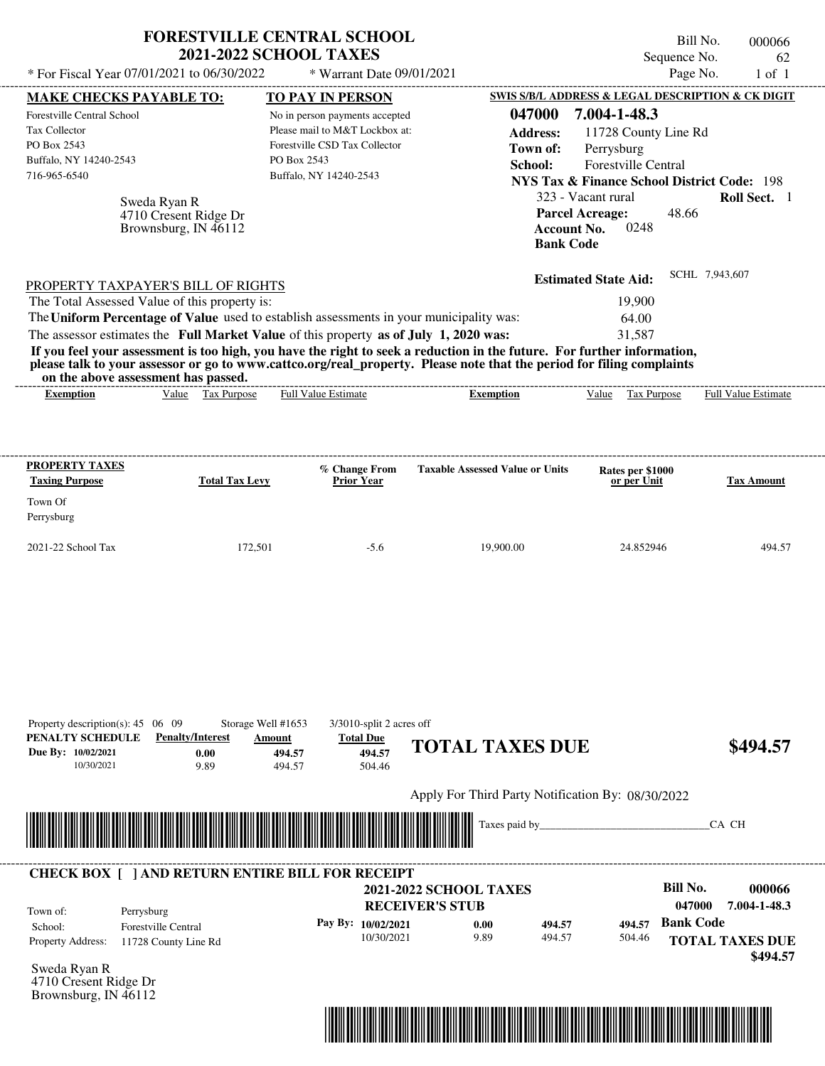|                                                                                                                               |                                                                                                                            | <b>FORESTVILLE CENTRAL SCHOOL</b><br><b>2021-2022 SCHOOL TAXES</b>                                                                                                                                                                                                                                                                                                                                                                   |                                                    |                                                  |                                                                                                                                                                                                                   | Bill No.<br>Sequence No. | 000066<br>62        |
|-------------------------------------------------------------------------------------------------------------------------------|----------------------------------------------------------------------------------------------------------------------------|--------------------------------------------------------------------------------------------------------------------------------------------------------------------------------------------------------------------------------------------------------------------------------------------------------------------------------------------------------------------------------------------------------------------------------------|----------------------------------------------------|--------------------------------------------------|-------------------------------------------------------------------------------------------------------------------------------------------------------------------------------------------------------------------|--------------------------|---------------------|
|                                                                                                                               | * For Fiscal Year 07/01/2021 to 06/30/2022                                                                                 |                                                                                                                                                                                                                                                                                                                                                                                                                                      | * Warrant Date 09/01/2021                          |                                                  |                                                                                                                                                                                                                   | Page No.                 | $1$ of $1$          |
| <b>MAKE CHECKS PAYABLE TO:</b>                                                                                                |                                                                                                                            | <b>TO PAY IN PERSON</b>                                                                                                                                                                                                                                                                                                                                                                                                              |                                                    |                                                  | SWIS S/B/L ADDRESS & LEGAL DESCRIPTION & CK DIGIT                                                                                                                                                                 |                          |                     |
| Forestville Central School<br><b>Tax Collector</b><br>PO Box 2543<br>Buffalo, NY 14240-2543<br>716-965-6540                   | Sweda Ryan R<br>4710 Cresent Ridge Dr<br>Brownsburg, IN 46112                                                              | No in person payments accepted<br>Please mail to M&T Lockbox at:<br>Forestville CSD Tax Collector<br>PO Box 2543<br>Buffalo, NY 14240-2543                                                                                                                                                                                                                                                                                           |                                                    | 047000<br><b>Address:</b><br>Town of:<br>School: | 7.004-1-48.3<br>11728 County Line Rd<br>Perrysburg<br>Forestville Central<br><b>NYS Tax &amp; Finance School District Code: 198</b><br>323 - Vacant rural<br><b>Parcel Acreage:</b><br><b>Account No.</b><br>0248 | 48.66                    | Roll Sect. 1        |
|                                                                                                                               |                                                                                                                            |                                                                                                                                                                                                                                                                                                                                                                                                                                      |                                                    | <b>Bank Code</b>                                 |                                                                                                                                                                                                                   |                          |                     |
|                                                                                                                               | PROPERTY TAXPAYER'S BILL OF RIGHTS<br>The Total Assessed Value of this property is:<br>on the above assessment has passed. | The Uniform Percentage of Value used to establish assessments in your municipality was:<br>The assessor estimates the Full Market Value of this property as of July 1, 2020 was:<br>If you feel your assessment is too high, you have the right to seek a reduction in the future. For further information,<br>please talk to your assessor or go to www.cattco.org/real_property. Please note that the period for filing complaints |                                                    |                                                  | <b>Estimated State Aid:</b><br>19,900<br>64.00<br>31,587                                                                                                                                                          | SCHL 7,943,607           |                     |
| <b>Exemption</b>                                                                                                              | Value Tax Purpose                                                                                                          | <b>Full Value Estimate</b>                                                                                                                                                                                                                                                                                                                                                                                                           |                                                    | <b>Exemption</b>                                 | Value<br>Tax Purpose                                                                                                                                                                                              |                          | Full Value Estimate |
| Town Of<br>Perrysburg                                                                                                         |                                                                                                                            |                                                                                                                                                                                                                                                                                                                                                                                                                                      |                                                    |                                                  |                                                                                                                                                                                                                   |                          |                     |
|                                                                                                                               | 172,501                                                                                                                    | $-5.6$                                                                                                                                                                                                                                                                                                                                                                                                                               |                                                    | 19,900.00                                        | 24.852946                                                                                                                                                                                                         |                          | 494.57              |
| 2021-22 School Tax<br>Property description(s): $45 \quad 06 \quad 09$<br>PENALTY SCHEDULE<br>Due By: 10/02/2021<br>10/30/2021 | <b>Penalty/Interest</b><br>0.00<br>9.89                                                                                    | Storage Well #1653<br>Amount<br><b>Total Due</b><br>494.57<br>494.57<br>494.57<br>504.46                                                                                                                                                                                                                                                                                                                                             | 3/3010-split 2 acres off<br><b>TOTAL TAXES DUE</b> |                                                  |                                                                                                                                                                                                                   |                          | \$494.57            |
|                                                                                                                               |                                                                                                                            |                                                                                                                                                                                                                                                                                                                                                                                                                                      |                                                    |                                                  |                                                                                                                                                                                                                   |                          |                     |
|                                                                                                                               |                                                                                                                            |                                                                                                                                                                                                                                                                                                                                                                                                                                      |                                                    |                                                  | Apply For Third Party Notification By: 08/30/2022                                                                                                                                                                 |                          |                     |
|                                                                                                                               |                                                                                                                            |                                                                                                                                                                                                                                                                                                                                                                                                                                      |                                                    | Taxes paid by_                                   |                                                                                                                                                                                                                   |                          | CA CH               |

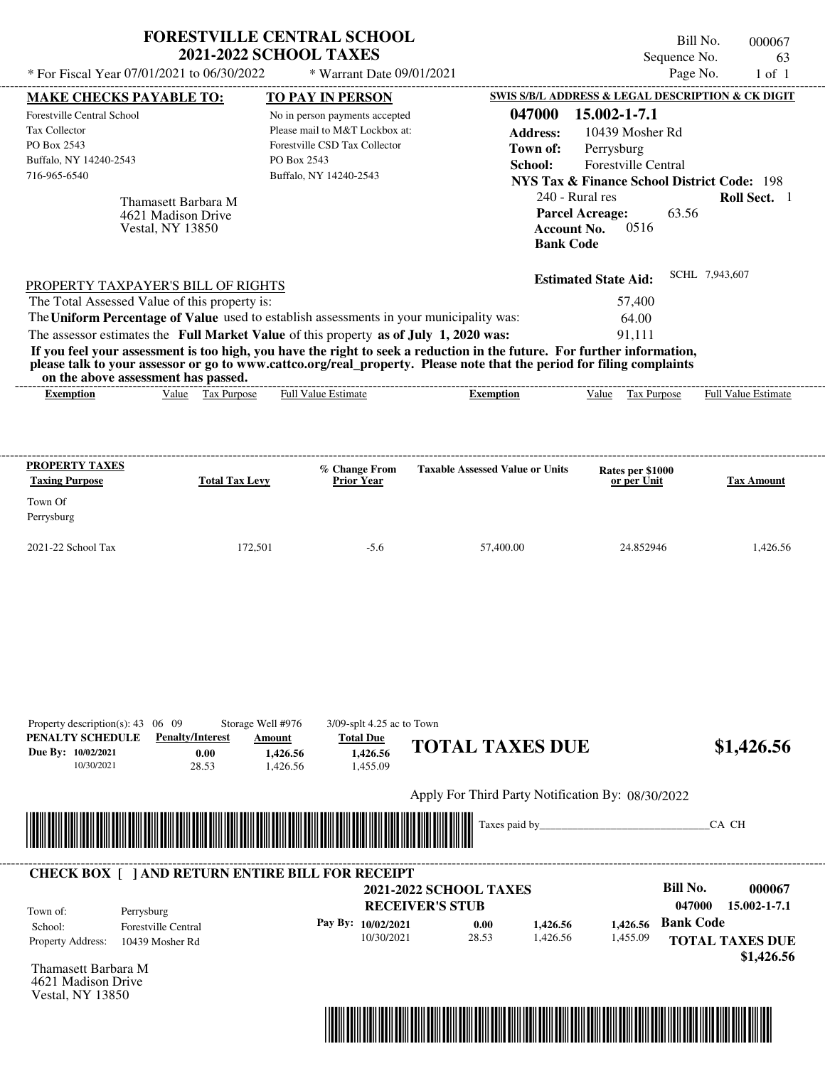| * For Fiscal Year 07/01/2021 to 06/30/2022                                                                                                                                                                                                                                                                                                                                                                                                                                                                                  | <b>FORESTVILLE CENTRAL SCHOOL</b>                                    | <b>2021-2022 SCHOOL TAXES</b>                                                                                                              | * Warrant Date 09/01/2021                                             |                                                                          |                                                   |                                                                                                                                                         |                                                       | Bill No.<br>Sequence No.<br>Page No.                                    |       | 000067<br>63<br>$1$ of $1$ |
|-----------------------------------------------------------------------------------------------------------------------------------------------------------------------------------------------------------------------------------------------------------------------------------------------------------------------------------------------------------------------------------------------------------------------------------------------------------------------------------------------------------------------------|----------------------------------------------------------------------|--------------------------------------------------------------------------------------------------------------------------------------------|-----------------------------------------------------------------------|--------------------------------------------------------------------------|---------------------------------------------------|---------------------------------------------------------------------------------------------------------------------------------------------------------|-------------------------------------------------------|-------------------------------------------------------------------------|-------|----------------------------|
|                                                                                                                                                                                                                                                                                                                                                                                                                                                                                                                             |                                                                      | TO PAY IN PERSON                                                                                                                           |                                                                       |                                                                          | SWIS S/B/L ADDRESS & LEGAL DESCRIPTION & CK DIGIT |                                                                                                                                                         |                                                       |                                                                         |       |                            |
| <b>MAKE CHECKS PAYABLE TO:</b><br>Forestville Central School<br>Tax Collector<br>PO Box 2543<br>Buffalo, NY 14240-2543<br>716-965-6540                                                                                                                                                                                                                                                                                                                                                                                      | Thamasett Barbara M<br>4621 Madison Drive<br><b>Vestal, NY 13850</b> | No in person payments accepted<br>Please mail to M&T Lockbox at:<br>Forestville CSD Tax Collector<br>PO Box 2543<br>Buffalo, NY 14240-2543 |                                                                       |                                                                          | 047000<br><b>Address:</b><br>Town of:<br>School:  | 15.002-1-7.1<br>Perrysburg<br><b>NYS Tax &amp; Finance School District Code: 198</b><br>240 - Rural res<br><b>Parcel Acreage:</b><br><b>Account No.</b> | 10439 Mosher Rd<br><b>Forestville Central</b><br>0516 | 63.56                                                                   |       | Roll Sect. 1               |
| PROPERTY TAXPAYER'S BILL OF RIGHTS<br>The Total Assessed Value of this property is:<br>The Uniform Percentage of Value used to establish assessments in your municipality was:<br>The assessor estimates the Full Market Value of this property as of July 1, 2020 was:<br>If you feel your assessment is too high, you have the right to seek a reduction in the future. For further information,<br>please talk to your assessor or go to www.cattco.org/real_property. Please note that the period for filing complaints |                                                                      |                                                                                                                                            |                                                                       |                                                                          |                                                   | <b>Bank Code</b><br><b>Estimated State Aid:</b>                                                                                                         | 57,400<br>64.00<br>91,111                             | SCHL 7,943,607                                                          |       |                            |
| on the above assessment has passed.<br><b>Exemption</b>                                                                                                                                                                                                                                                                                                                                                                                                                                                                     | Value Tax Purpose                                                    | <b>Full Value Estimate</b>                                                                                                                 |                                                                       |                                                                          | <b>Exemption</b>                                  |                                                                                                                                                         | Value Tax Purpose                                     |                                                                         |       | <b>Full Value Estimate</b> |
| <b>PROPERTY TAXES</b><br><b>Taxing Purpose</b><br>Town Of                                                                                                                                                                                                                                                                                                                                                                                                                                                                   | <b>Total Tax Levy</b>                                                |                                                                                                                                            | % Change From<br><b>Prior Year</b>                                    |                                                                          | <b>Taxable Assessed Value or Units</b>            |                                                                                                                                                         | Rates per \$1000<br>or per Unit                       |                                                                         |       | <b>Tax Amount</b>          |
| Perrysburg<br>2021-22 School Tax                                                                                                                                                                                                                                                                                                                                                                                                                                                                                            | 172,501                                                              |                                                                                                                                            | $-5.6$                                                                |                                                                          | 57,400.00                                         |                                                                                                                                                         | 24.852946                                             |                                                                         |       | 1,426.56                   |
| Property description(s): $43 \quad 06 \quad 09$<br>PENALTY SCHEDULE<br>Due By: 10/02/2021<br>10/30/2021                                                                                                                                                                                                                                                                                                                                                                                                                     | <b>Penalty/Interest</b><br>0.00<br>28.53                             | Storage Well #976<br>Amount<br>1,426.56<br>1.426.56                                                                                        | 3/09-splt 4.25 ac to Town<br><b>Total Due</b><br>1,426.56<br>1,455.09 | <b>TOTAL TAXES DUE</b>                                                   |                                                   |                                                                                                                                                         |                                                       |                                                                         |       | \$1,426.56                 |
|                                                                                                                                                                                                                                                                                                                                                                                                                                                                                                                             |                                                                      |                                                                                                                                            |                                                                       | Apply For Third Party Notification By: 08/30/2022                        |                                                   |                                                                                                                                                         |                                                       |                                                                         |       |                            |
|                                                                                                                                                                                                                                                                                                                                                                                                                                                                                                                             |                                                                      |                                                                                                                                            |                                                                       |                                                                          | Taxes paid by_                                    |                                                                                                                                                         |                                                       |                                                                         | CA CH |                            |
| <b>CHECK BOX [ ] AND RETURN ENTIRE BILL FOR RECEIPT</b>                                                                                                                                                                                                                                                                                                                                                                                                                                                                     |                                                                      |                                                                                                                                            |                                                                       |                                                                          |                                                   |                                                                                                                                                         |                                                       |                                                                         |       |                            |
| Town of:<br>Perrysburg<br>School:<br>Property Address:                                                                                                                                                                                                                                                                                                                                                                                                                                                                      | <b>Forestville Central</b><br>10439 Mosher Rd                        |                                                                                                                                            | Pay By: 10/02/2021<br>10/30/2021                                      | <b>2021-2022 SCHOOL TAXES</b><br><b>RECEIVER'S STUB</b><br>0.00<br>28.53 | 1,426.56<br>1,426.56                              |                                                                                                                                                         | 1,426.56<br>1,455.09                                  | <b>Bill No.</b><br>047000<br><b>Bank Code</b><br><b>TOTAL TAXES DUE</b> |       | 000067<br>15.002-1-7.1     |

Thamasett Barbara M 4621 Madison Drive Vestal, NY 13850



 **\$1,426.56**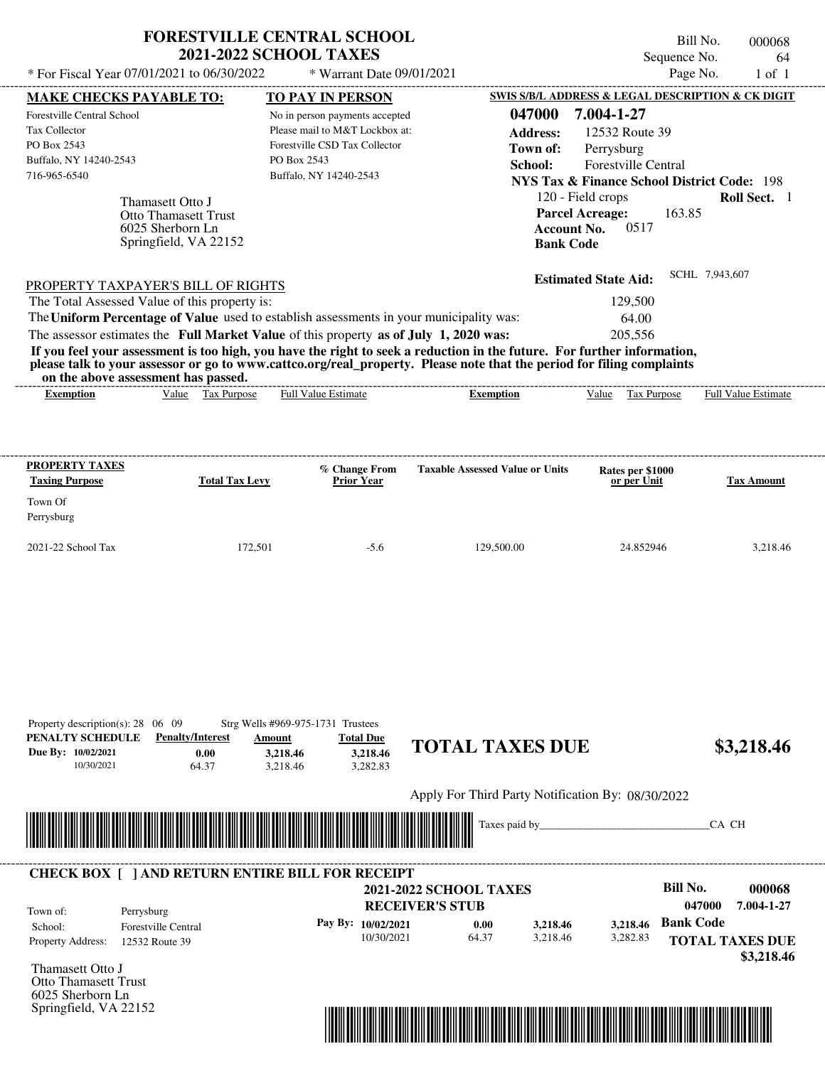|                                                                                                                         | <b>FORESTVILLE CENTRAL SCHOOL</b><br><b>2021-2022 SCHOOL TAXES</b>                                                                         |                                                  | Bill No.<br>Sequence No.                                                                                                           | 000068<br>64               |
|-------------------------------------------------------------------------------------------------------------------------|--------------------------------------------------------------------------------------------------------------------------------------------|--------------------------------------------------|------------------------------------------------------------------------------------------------------------------------------------|----------------------------|
| * For Fiscal Year 07/01/2021 to 06/30/2022                                                                              | * Warrant Date 09/01/2021                                                                                                                  |                                                  | Page No.                                                                                                                           | $1$ of $1$                 |
| <b>MAKE CHECKS PAYABLE TO:</b>                                                                                          | TO PAY IN PERSON                                                                                                                           |                                                  | <b>SWIS S/B/L ADDRESS &amp; LEGAL DESCRIPTION &amp; CK DIGIT</b>                                                                   |                            |
| Forestville Central School<br><b>Tax Collector</b><br>PO Box 2543<br>Buffalo, NY 14240-2543<br>716-965-6540             | No in person payments accepted<br>Please mail to M&T Lockbox at:<br>Forestville CSD Tax Collector<br>PO Box 2543<br>Buffalo, NY 14240-2543 | 047000<br><b>Address:</b><br>Town of:<br>School: | 7.004-1-27<br>12532 Route 39<br>Perrysburg<br><b>Forestville Central</b><br><b>NYS Tax &amp; Finance School District Code: 198</b> |                            |
| Thamasett Otto J<br><b>Otto Thamasett Trust</b><br>6025 Sherborn Ln<br>Springfield, VA 22152                            |                                                                                                                                            | <b>Account No.</b><br><b>Bank Code</b>           | 120 - Field crops<br><b>Parcel Acreage:</b><br>163.85<br>0517                                                                      | Roll Sect. 1               |
| PROPERTY TAXPAYER'S BILL OF RIGHTS                                                                                      |                                                                                                                                            |                                                  | <b>Estimated State Aid:</b>                                                                                                        | SCHL 7,943,607             |
| The Total Assessed Value of this property is:                                                                           |                                                                                                                                            |                                                  | 129,500                                                                                                                            |                            |
| The Uniform Percentage of Value used to establish assessments in your municipality was:                                 |                                                                                                                                            |                                                  | 64.00                                                                                                                              |                            |
| The assessor estimates the Full Market Value of this property as of July 1, 2020 was:                                   |                                                                                                                                            |                                                  | 205,556                                                                                                                            |                            |
| If you feel your assessment is too high, you have the right to seek a reduction in the future. For further information, | please talk to your assessor or go to www.cattco.org/real_property. Please note that the period for filing complaints                      |                                                  |                                                                                                                                    |                            |
| on the above assessment has passed.                                                                                     |                                                                                                                                            |                                                  |                                                                                                                                    |                            |
| Tax Purpose<br>Value<br><b>Exemption</b>                                                                                | Full Value Estimate                                                                                                                        | <b>Exemption</b>                                 | Value<br>Tax Purpose                                                                                                               | <b>Full Value Estimate</b> |
| <b>PROPERTY TAXES</b><br><b>Taxing Purpose</b><br><b>Total Tax Levy</b><br>Town Of                                      | % Change From<br><b>Prior Year</b>                                                                                                         | <b>Taxable Assessed Value or Units</b>           | Rates per \$1000<br>or per Unit                                                                                                    | <b>Tax Amount</b>          |
| Perrysburg<br>2021-22 School Tax                                                                                        | 172,501<br>$-5.6$                                                                                                                          | 129,500.00                                       | 24.852946                                                                                                                          | 3,218.46                   |

Apply For Third Party Notification By: 08/30/2022



## Thamasett Otto J **RECEIVER'S STUB Bill No. 000068** 0.00 **b** 3,218.46 **Bank Code** Property Address: 12532 Route 39 Perrysburg School: Forestville Central **TOTAL TAXES DUE \$3,218.46 2021-2022 SCHOOL TAXES 047000 7.004-1-27 Pay By: 10/02/2021** 10/30/2021 3,218.46 **3,218.46** 3,282.83 **3,218.46** Town of: ---------------------------------------------------------------------------------------------------------------------------------------------------------------------------------------------------- **CHECK BOX [ ] AND RETURN ENTIRE BILL FOR RECEIPT**

Otto Thamasett Trust 6025 Sherborn Ln Springfield, VA 22152

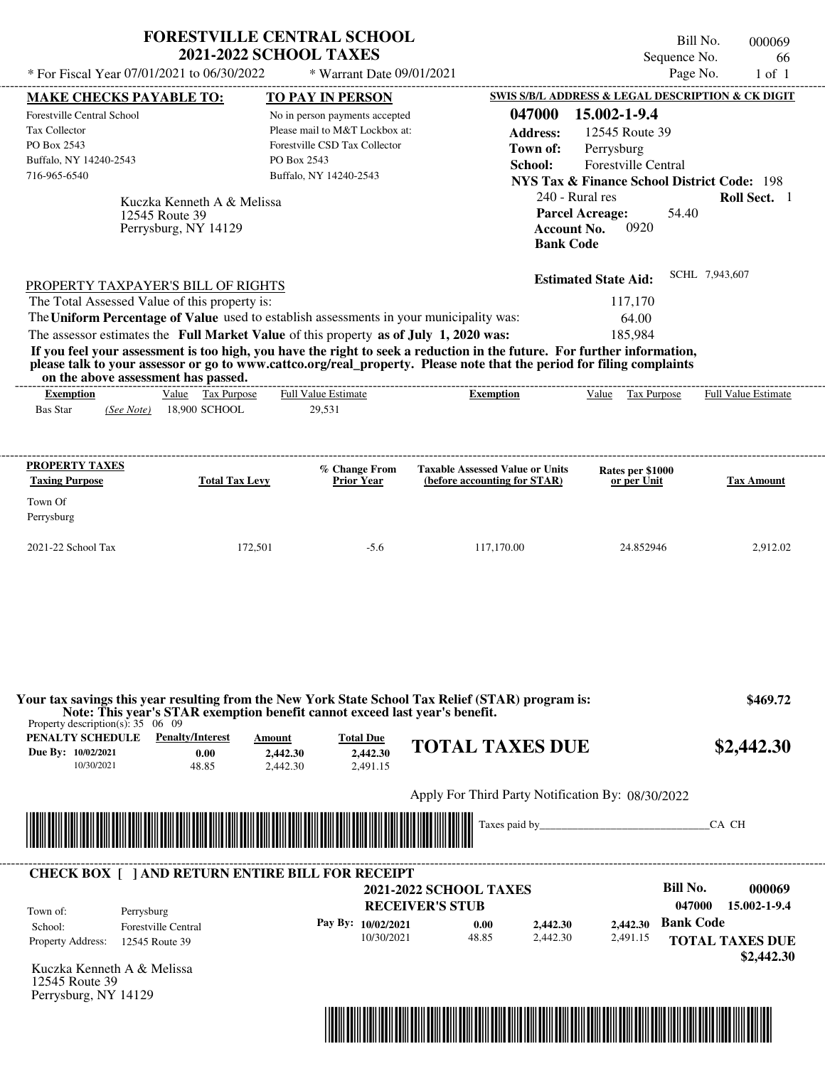| * For Fiscal Year 07/01/2021 to 06/30/2022                                                                                                                                                                                                                                                                     | <b>2021-2022 SCHOOL TAXES</b>                                        | <b>FORESTVILLE CENTRAL SCHOOL</b><br>* Warrant Date 09/01/2021                                                                                                        |                                                                                                                                                                                                                                                                      | Bill No.<br>Sequence No.<br>Page No.                                                                                                                                                        | 000069<br>66<br>$1$ of $1$ |
|----------------------------------------------------------------------------------------------------------------------------------------------------------------------------------------------------------------------------------------------------------------------------------------------------------------|----------------------------------------------------------------------|-----------------------------------------------------------------------------------------------------------------------------------------------------------------------|----------------------------------------------------------------------------------------------------------------------------------------------------------------------------------------------------------------------------------------------------------------------|---------------------------------------------------------------------------------------------------------------------------------------------------------------------------------------------|----------------------------|
|                                                                                                                                                                                                                                                                                                                |                                                                      |                                                                                                                                                                       |                                                                                                                                                                                                                                                                      | SWIS S/B/L ADDRESS & LEGAL DESCRIPTION & CK DIGIT                                                                                                                                           |                            |
| <b>MAKE CHECKS PAYABLE TO:</b><br>Forestville Central School<br>Tax Collector<br>PO Box 2543<br>Buffalo, NY 14240-2543<br>716-965-6540                                                                                                                                                                         | Kuczka Kenneth A & Melissa<br>12545 Route 39<br>Perrysburg, NY 14129 | <b>TO PAY IN PERSON</b><br>No in person payments accepted<br>Please mail to M&T Lockbox at:<br>Forestville CSD Tax Collector<br>PO Box 2543<br>Buffalo, NY 14240-2543 | 047000<br><b>Address:</b><br>Town of:<br>School:<br><b>Account No.</b>                                                                                                                                                                                               | 15.002-1-9.4<br>12545 Route 39<br>Perrysburg<br>Forestville Central<br><b>NYS Tax &amp; Finance School District Code: 198</b><br>240 - Rural res<br><b>Parcel Acreage:</b><br>54.40<br>0920 | Roll Sect. 1               |
| PROPERTY TAXPAYER'S BILL OF RIGHTS<br>The Total Assessed Value of this property is:<br>The Uniform Percentage of Value used to establish assessments in your municipality was:<br>The assessor estimates the Full Market Value of this property as of July 1, 2020 was:<br>on the above assessment has passed. |                                                                      |                                                                                                                                                                       | <b>Bank Code</b><br>If you feel your assessment is too high, you have the right to seek a reduction in the future. For further information,<br>please talk to your assessor or go to www.cattco.org/real_property. Please note that the period for filing complaints | <b>Estimated State Aid:</b><br>117,170<br>64.00<br>185.984                                                                                                                                  | SCHL 7.943.607             |
| <b>Exemption</b>                                                                                                                                                                                                                                                                                               | Value Tax Purpose                                                    | <b>Full Value Estimate</b>                                                                                                                                            | <b>Exemption</b>                                                                                                                                                                                                                                                     | Value Tax Purpose                                                                                                                                                                           | <b>Full Value Estimate</b> |
| <b>Bas Star</b><br>(See Note)                                                                                                                                                                                                                                                                                  | 18,900 SCHOOL                                                        | 29,531                                                                                                                                                                |                                                                                                                                                                                                                                                                      |                                                                                                                                                                                             |                            |
| <b>PROPERTY TAXES</b><br><b>Taxing Purpose</b><br>Town Of<br>Perrysburg                                                                                                                                                                                                                                        | <b>Total Tax Levy</b>                                                | % Change From<br><b>Prior Year</b>                                                                                                                                    | <b>Taxable Assessed Value or Units</b><br>(before accounting for STAR)                                                                                                                                                                                               | Rates per \$1000<br>or per Unit                                                                                                                                                             | <b>Tax Amount</b>          |
| 2021-22 School Tax                                                                                                                                                                                                                                                                                             | 172,501                                                              | $-5.6$                                                                                                                                                                | 117,170.00                                                                                                                                                                                                                                                           | 24.852946                                                                                                                                                                                   | 2,912.02                   |
| Property description(s): $35 \quad 06 \quad 09$<br>PENALTY SCHEDULE<br>Due By: 10/02/2021                                                                                                                                                                                                                      | <b>Penalty/Interest</b><br><b>Amount</b><br>0.00                     | Note: This year's STAR exemption benefit cannot exceed last year's benefit.<br><b>Total Due</b><br>2,442.30<br>2,442.30                                               | Your tax savings this year resulting from the New York State School Tax Relief (STAR) program is:<br><b>TOTAL TAXES DUE</b>                                                                                                                                          |                                                                                                                                                                                             | \$469.72<br>\$2,442.30     |
| 10/30/2021                                                                                                                                                                                                                                                                                                     | 48.85                                                                | 2,491.15<br>2,442.30                                                                                                                                                  |                                                                                                                                                                                                                                                                      |                                                                                                                                                                                             |                            |
|                                                                                                                                                                                                                                                                                                                |                                                                      |                                                                                                                                                                       | Apply For Third Party Notification By: 08/30/2022                                                                                                                                                                                                                    |                                                                                                                                                                                             | CA CH                      |
|                                                                                                                                                                                                                                                                                                                |                                                                      |                                                                                                                                                                       |                                                                                                                                                                                                                                                                      |                                                                                                                                                                                             |                            |

|                   | <b>CHECK BOX [ ] AND RETURN ENTIRE BILL FOR RECEIPT</b> |                        | <b>2021-2022 SCHOOL TAXES</b> |          |          | Bill No.         | 000069                               |
|-------------------|---------------------------------------------------------|------------------------|-------------------------------|----------|----------|------------------|--------------------------------------|
| Town of:          | Perrysburg                                              | <b>RECEIVER'S STUB</b> |                               |          |          | 047000           | 15.002-1-9.4                         |
| School:           | <b>Forestville Central</b>                              | Pay By: $10/02/2021$   | 0.00                          | 2,442.30 | 2.442.30 | <b>Bank Code</b> |                                      |
| Property Address: | 12545 Route 39                                          | 10/30/2021             | 48.85                         | 2.442.30 | 2,491.15 |                  | <b>TOTAL TAXES DUE</b><br>\$2,442.30 |

Kuczka Kenneth A & Melissa 12545 Route 39 Perrysburg, NY 14129

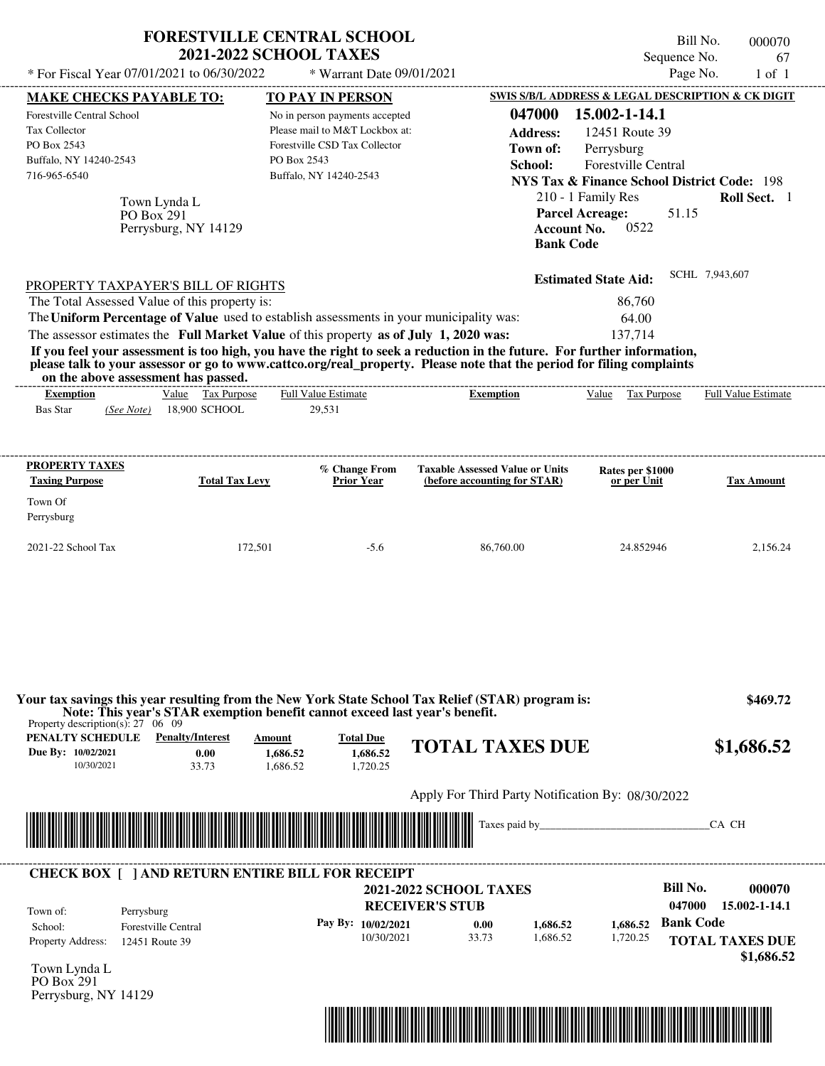| * For Fiscal Year 07/01/2021 to 06/30/2022                                                                                                                                                                                                                                                                                                                                                                                                                                                                                                                         | <b>FORESTVILLE CENTRAL SCHOOL</b>  | <b>2021-2022 SCHOOL TAXES</b>                                                                                                                                         | * Warrant Date 09/01/2021                |                                                                        |                                                                  |                                                                                                    | Bill No.<br>Sequence No.<br>Page No.          | 000070<br>67<br>$1$ of $1$                                                                                                  |
|--------------------------------------------------------------------------------------------------------------------------------------------------------------------------------------------------------------------------------------------------------------------------------------------------------------------------------------------------------------------------------------------------------------------------------------------------------------------------------------------------------------------------------------------------------------------|------------------------------------|-----------------------------------------------------------------------------------------------------------------------------------------------------------------------|------------------------------------------|------------------------------------------------------------------------|------------------------------------------------------------------|----------------------------------------------------------------------------------------------------|-----------------------------------------------|-----------------------------------------------------------------------------------------------------------------------------|
| <b>MAKE CHECKS PAYABLE TO:</b><br>Forestville Central School<br><b>Tax Collector</b><br>PO Box 2543<br>Buffalo, NY 14240-2543<br>716-965-6540<br>Town Lynda L<br>PO Box 291                                                                                                                                                                                                                                                                                                                                                                                        | Perrysburg, NY 14129               | <b>TO PAY IN PERSON</b><br>No in person payments accepted<br>Please mail to M&T Lockbox at:<br>Forestville CSD Tax Collector<br>PO Box 2543<br>Buffalo, NY 14240-2543 |                                          | 047000<br><b>Address:</b><br>Town of:<br>School:                       | <b>Parcel Acreage:</b><br><b>Account No.</b><br><b>Bank Code</b> | 15.002-1-14.1<br>12451 Route 39<br>Perrysburg<br>Forestville Central<br>210 - 1 Family Res<br>0522 | 51.15                                         | SWIS S/B/L ADDRESS & LEGAL DESCRIPTION & CK DIGIT<br><b>NYS Tax &amp; Finance School District Code: 198</b><br>Roll Sect. 1 |
| PROPERTY TAXPAYER'S BILL OF RIGHTS<br>The Total Assessed Value of this property is:<br>The Uniform Percentage of Value used to establish assessments in your municipality was:<br>The assessor estimates the Full Market Value of this property as of July 1, 2020 was:<br>If you feel your assessment is too high, you have the right to seek a reduction in the future. For further information,<br>please talk to your assessor or go to www.cattco.org/real_property. Please note that the period for filing complaints<br>on the above assessment has passed. |                                    |                                                                                                                                                                       |                                          |                                                                        |                                                                  | <b>Estimated State Aid:</b><br>86,760<br>64.00<br>137,714                                          | SCHL 7,943,607                                |                                                                                                                             |
| <b>Exemption</b><br><b>Bas Star</b><br>(See Note)                                                                                                                                                                                                                                                                                                                                                                                                                                                                                                                  | Value Tax Purpose<br>18,900 SCHOOL | <b>Full Value Estimate</b><br>29,531                                                                                                                                  | ------------------------                 | <b>Exemption</b>                                                       |                                                                  | Value Tax Purpose                                                                                  |                                               | <b>Full Value Estimate</b>                                                                                                  |
| <b>PROPERTY TAXES</b><br><b>Taxing Purpose</b><br>Town Of<br>Perrysburg                                                                                                                                                                                                                                                                                                                                                                                                                                                                                            | <b>Total Tax Levy</b>              |                                                                                                                                                                       | % Change From<br><b>Prior Year</b>       | <b>Taxable Assessed Value or Units</b><br>(before accounting for STAR) |                                                                  | Rates per \$1000<br>or per Unit                                                                    |                                               | Tax Amount                                                                                                                  |
| 2021-22 School Tax                                                                                                                                                                                                                                                                                                                                                                                                                                                                                                                                                 | 172,501                            |                                                                                                                                                                       | $-5.6$                                   | 86,760.00                                                              |                                                                  | 24.852946                                                                                          |                                               | 2,156.24                                                                                                                    |
| Your tax savings this year resulting from the New York State School Tax Relief (STAR) program is:<br>Note: This year's STAR exemption benefit cannot exceed last year's benefit.<br>Property description(s): $27 \quad 06 \quad 09$<br><b>PENALTY SCHEDULE</b> Penalty/Interest<br>Due By: 10/02/2021<br>10/30/2021                                                                                                                                                                                                                                                | 0.00<br>33.73                      | Amount<br>1,686.52<br>1.686.52                                                                                                                                        | <b>Total Due</b><br>1.686.52<br>1,720.25 | <b>TOTAL TAXES DUE</b>                                                 |                                                                  |                                                                                                    |                                               | \$469.72<br>\$1,686.52                                                                                                      |
|                                                                                                                                                                                                                                                                                                                                                                                                                                                                                                                                                                    |                                    |                                                                                                                                                                       |                                          | Apply For Third Party Notification By: 08/30/2022                      |                                                                  |                                                                                                    |                                               |                                                                                                                             |
|                                                                                                                                                                                                                                                                                                                                                                                                                                                                                                                                                                    |                                    |                                                                                                                                                                       |                                          |                                                                        |                                                                  |                                                                                                    |                                               | CA CH                                                                                                                       |
| <b>CHECK BOX [ ] AND RETURN ENTIRE BILL FOR RECEIPT</b><br>Town of:<br>Perrysburg<br><b>Forestville Central</b><br>School:                                                                                                                                                                                                                                                                                                                                                                                                                                         |                                    |                                                                                                                                                                       |                                          | <b>2021-2022 SCHOOL TAXES</b><br><b>RECEIVER'S STUB</b>                |                                                                  |                                                                                                    | <b>Bill No.</b><br>047000<br><b>Bank Code</b> | 000070<br>15.002-1-14.1                                                                                                     |

Perrysburg, NY 14129

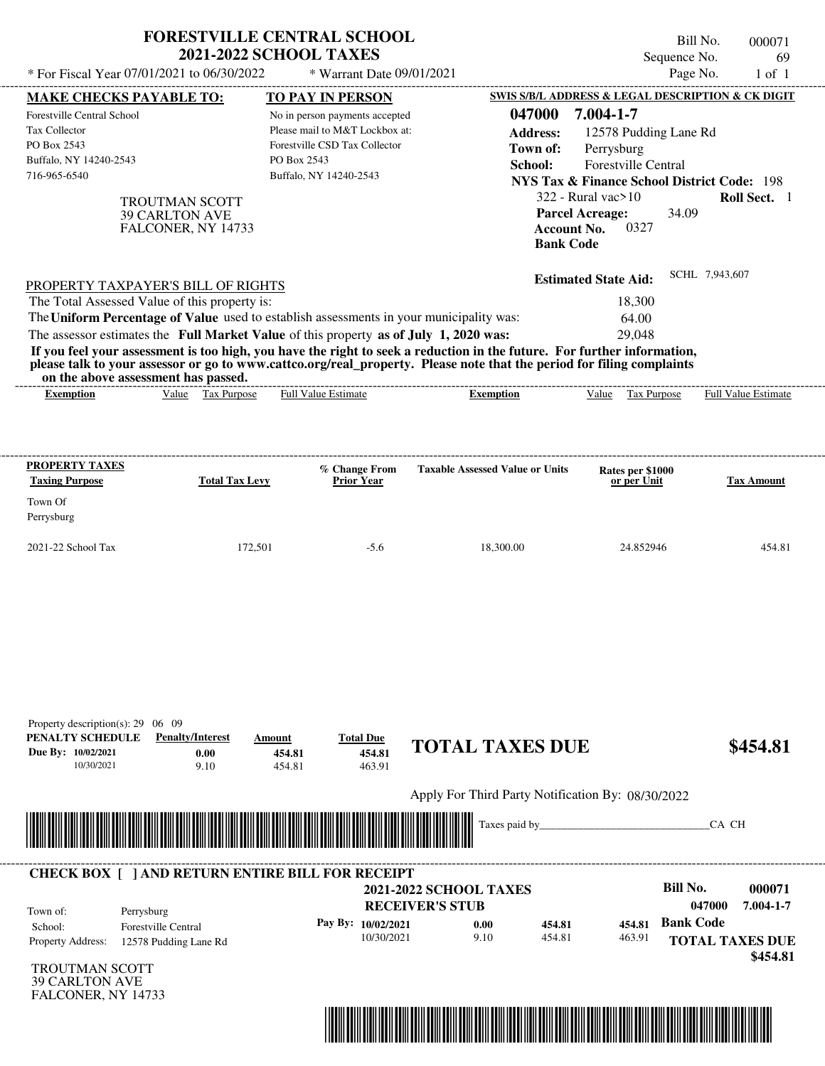|                                                                                                                                                                                                                                                                          | <b>FORESTVILLE CENTRAL SCHOOL</b><br><b>2021-2022 SCHOOL TAXES</b>    |                                                                                                                             |                                                                                                                                                                                                                                                  | Sequence No.                                                                                                                                                                               | Bill No.<br>000071<br>69    |
|--------------------------------------------------------------------------------------------------------------------------------------------------------------------------------------------------------------------------------------------------------------------------|-----------------------------------------------------------------------|-----------------------------------------------------------------------------------------------------------------------------|--------------------------------------------------------------------------------------------------------------------------------------------------------------------------------------------------------------------------------------------------|--------------------------------------------------------------------------------------------------------------------------------------------------------------------------------------------|-----------------------------|
| * For Fiscal Year 07/01/2021 to 06/30/2022                                                                                                                                                                                                                               |                                                                       | * Warrant Date 09/01/2021                                                                                                   |                                                                                                                                                                                                                                                  | Page No.                                                                                                                                                                                   | $1$ of $1$                  |
| <b>MAKE CHECKS PAYABLE TO:</b>                                                                                                                                                                                                                                           |                                                                       | <b>TO PAY IN PERSON</b>                                                                                                     |                                                                                                                                                                                                                                                  | SWIS S/B/L ADDRESS & LEGAL DESCRIPTION & CK DIGIT                                                                                                                                          |                             |
| Forestville Central School<br>Tax Collector<br>PO Box 2543<br>Buffalo, NY 14240-2543<br>716-965-6540                                                                                                                                                                     | PO Box 2543<br><b>TROUTMAN SCOTT</b>                                  | No in person payments accepted<br>Please mail to M&T Lockbox at:<br>Forestville CSD Tax Collector<br>Buffalo, NY 14240-2543 | 047000<br><b>Address:</b><br>Town of:<br>School:                                                                                                                                                                                                 | 7.004-1-7<br>12578 Pudding Lane Rd<br>Perrysburg<br>Forestville Central<br><b>NYS Tax &amp; Finance School District Code: 198</b><br>322 - Rural vac>10<br><b>Parcel Acreage:</b><br>34.09 | Roll Sect. 1                |
| <b>39 CARLTON AVE</b>                                                                                                                                                                                                                                                    | FALCONER, NY 14733                                                    |                                                                                                                             | <b>Account No.</b><br><b>Bank Code</b>                                                                                                                                                                                                           | 0327                                                                                                                                                                                       | SCHL 7,943,607              |
| PROPERTY TAXPAYER'S BILL OF RIGHTS                                                                                                                                                                                                                                       |                                                                       |                                                                                                                             |                                                                                                                                                                                                                                                  | <b>Estimated State Aid:</b>                                                                                                                                                                |                             |
| The Total Assessed Value of this property is:<br>The Uniform Percentage of Value used to establish assessments in your municipality was:<br>The assessor estimates the Full Market Value of this property as of July 1, 2020 was:<br>on the above assessment has passed. |                                                                       |                                                                                                                             | If you feel your assessment is too high, you have the right to seek a reduction in the future. For further information,<br>please talk to your assessor or go to www.cattco.org/real_property. Please note that the period for filing complaints | 18,300<br>64.00<br>29,048                                                                                                                                                                  |                             |
| <b>Exemption</b>                                                                                                                                                                                                                                                         | Value Tax Purpose                                                     | <b>Full Value Estimate</b>                                                                                                  | <b>Exemption</b>                                                                                                                                                                                                                                 | Value<br>Tax Purpose                                                                                                                                                                       | Full Value Estimate         |
| PROPERTY TAXES<br><b>Taxing Purpose</b><br>Town Of<br>Perrysburg<br>2021-22 School Tax                                                                                                                                                                                   | <b>Total Tax Levy</b><br>172,501                                      | % Change From<br><b>Prior Year</b><br>$-5.6$                                                                                | <b>Taxable Assessed Value or Units</b><br>18,300.00                                                                                                                                                                                              | Rates per \$1000<br>or per Unit<br>24.852946                                                                                                                                               | <b>Tax Amount</b><br>454.81 |
| Property description(s): $29 \quad 06 \quad 09$<br>PENALTY SCHEDULE<br>Due By: 10/02/2021<br>10/30/2021                                                                                                                                                                  | <b>Penalty/Interest</b><br>Amount<br>0.00<br>454.81<br>9.10<br>454.81 | <b>Total Due</b><br>454.81<br>463.91                                                                                        | <b>TOTAL TAXES DUE</b>                                                                                                                                                                                                                           |                                                                                                                                                                                            | \$454.81                    |
|                                                                                                                                                                                                                                                                          |                                                                       |                                                                                                                             | Apply For Third Party Notification By: 08/30/2022                                                                                                                                                                                                |                                                                                                                                                                                            |                             |
|                                                                                                                                                                                                                                                                          |                                                                       |                                                                                                                             |                                                                                                                                                                                                                                                  |                                                                                                                                                                                            |                             |
|                                                                                                                                                                                                                                                                          |                                                                       |                                                                                                                             | Taxes paid by_                                                                                                                                                                                                                                   |                                                                                                                                                                                            | CA CH                       |
| <b>CHECK BOX [ ] AND RETURN ENTIRE BILL FOR RECEIPT</b>                                                                                                                                                                                                                  |                                                                       |                                                                                                                             |                                                                                                                                                                                                                                                  |                                                                                                                                                                                            |                             |
|                                                                                                                                                                                                                                                                          |                                                                       |                                                                                                                             | <b>2021-2022 SCHOOL TAXES</b>                                                                                                                                                                                                                    | <b>Bill No.</b>                                                                                                                                                                            | 000071                      |
| Town of:<br>Perrysburg                                                                                                                                                                                                                                                   |                                                                       | Pay By: 10/02/2021                                                                                                          | <b>RECEIVER'S STUB</b>                                                                                                                                                                                                                           | <b>Bank Code</b><br>454.81                                                                                                                                                                 | 7.004-1-7<br>047000         |
| Forestville Central<br>School:<br>Property Address:<br>12578 Pudding Lane Rd                                                                                                                                                                                             |                                                                       | 10/30/2021                                                                                                                  | 454.81<br>0.00<br>9.10<br>454.81                                                                                                                                                                                                                 | 463.91                                                                                                                                                                                     | <b>TOTAL TAXES DUE</b>      |
| <b>TROUTMAN SCOTT</b><br><b>39 CARLTON AVE</b><br>FALCONER, NY 14733                                                                                                                                                                                                     |                                                                       |                                                                                                                             |                                                                                                                                                                                                                                                  |                                                                                                                                                                                            | \$454.81                    |

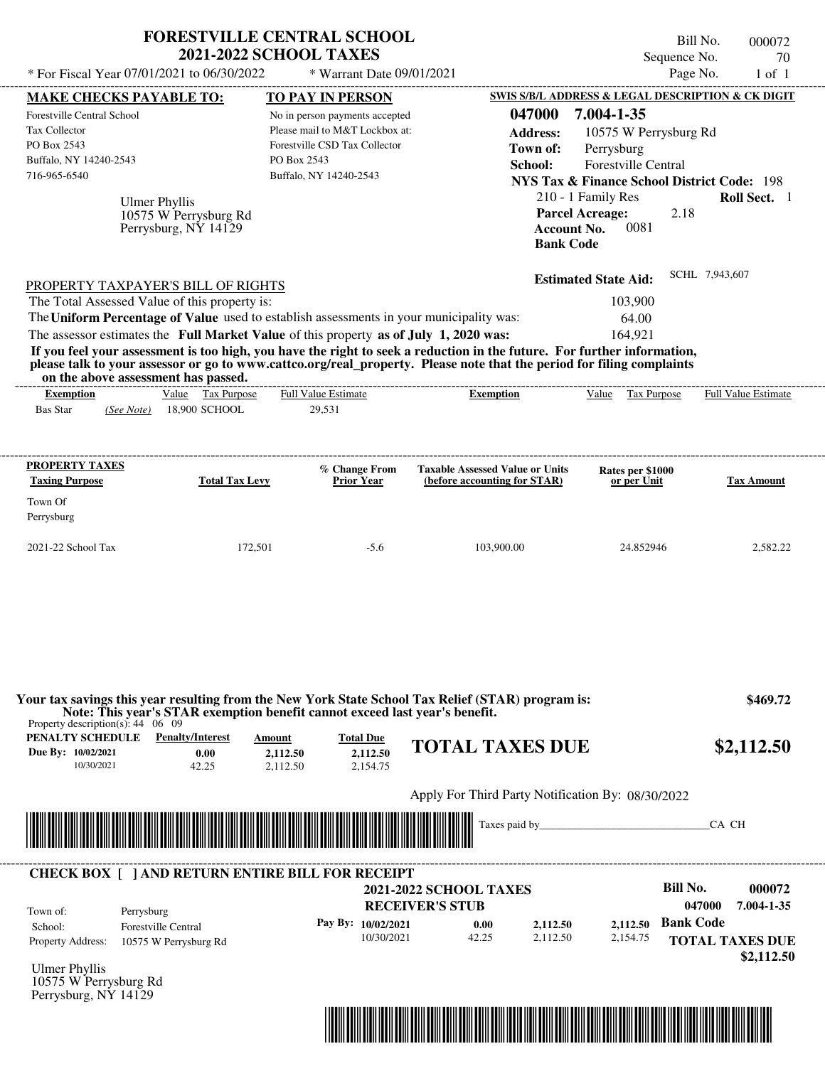|                                                                                                                                                                                                                                                                                                                | <b>FORESTVILLE CENTRAL SCHOOL</b><br><b>2021-2022 SCHOOL TAXES</b>                                                                                        |                                                                                                                                                        |                                                                                                                                                                                                                                                  | Sequence No.                                                                                                                                                                                                                                            | Bill No.<br>000072<br>70                                                                   |
|----------------------------------------------------------------------------------------------------------------------------------------------------------------------------------------------------------------------------------------------------------------------------------------------------------------|-----------------------------------------------------------------------------------------------------------------------------------------------------------|--------------------------------------------------------------------------------------------------------------------------------------------------------|--------------------------------------------------------------------------------------------------------------------------------------------------------------------------------------------------------------------------------------------------|---------------------------------------------------------------------------------------------------------------------------------------------------------------------------------------------------------------------------------------------------------|--------------------------------------------------------------------------------------------|
| * For Fiscal Year 07/01/2021 to 06/30/2022                                                                                                                                                                                                                                                                     |                                                                                                                                                           | * Warrant Date 09/01/2021                                                                                                                              |                                                                                                                                                                                                                                                  |                                                                                                                                                                                                                                                         | Page No.<br>$1$ of $1$                                                                     |
| <b>MAKE CHECKS PAYABLE TO:</b><br>Forestville Central School<br><b>Tax Collector</b><br>PO Box 2543<br>Buffalo, NY 14240-2543<br>716-965-6540<br>Ulmer Phyllis                                                                                                                                                 | PO Box 2543<br>10575 W Perrysburg Rd<br>Perrysburg, NY 14129                                                                                              | <b>TO PAY IN PERSON</b><br>No in person payments accepted<br>Please mail to M&T Lockbox at:<br>Forestville CSD Tax Collector<br>Buffalo, NY 14240-2543 | 047000<br><b>Address:</b><br>Town of:<br>School:<br><b>Account No.</b><br><b>Bank Code</b>                                                                                                                                                       | SWIS S/B/L ADDRESS & LEGAL DESCRIPTION & CK DIGIT<br>7.004-1-35<br>10575 W Perrysburg Rd<br>Perrysburg<br>Forestville Central<br><b>NYS Tax &amp; Finance School District Code: 198</b><br>210 - 1 Family Res<br><b>Parcel Acreage:</b><br>2.18<br>0081 | Roll Sect. 1                                                                               |
| PROPERTY TAXPAYER'S BILL OF RIGHTS<br>The Total Assessed Value of this property is:<br>The Uniform Percentage of Value used to establish assessments in your municipality was:<br>The assessor estimates the Full Market Value of this property as of July 1, 2020 was:<br>on the above assessment has passed. |                                                                                                                                                           |                                                                                                                                                        | If you feel your assessment is too high, you have the right to seek a reduction in the future. For further information,<br>please talk to your assessor or go to www.cattco.org/real_property. Please note that the period for filing complaints | <b>Estimated State Aid:</b><br>103,900<br>64.00<br>164,921                                                                                                                                                                                              | SCHL 7,943,607                                                                             |
| <b>Exemption</b><br><b>Bas Star</b><br>(See Note)                                                                                                                                                                                                                                                              | Value Tax Purpose<br>18,900 SCHOOL                                                                                                                        | <b>Full Value Estimate</b><br>29,531                                                                                                                   | <b>Exemption</b>                                                                                                                                                                                                                                 | Value Tax Purpose                                                                                                                                                                                                                                       | Full Value Estimate                                                                        |
| PROPERTY TAXES<br><b>Taxing Purpose</b><br>Town Of<br>Perrysburg<br>2021-22 School Tax                                                                                                                                                                                                                         | <b>Total Tax Levy</b><br>172,501                                                                                                                          | % Change From<br><b>Prior Year</b><br>$-5.6$                                                                                                           | <b>Taxable Assessed Value or Units</b><br>(before accounting for STAR)<br>103,900.00                                                                                                                                                             | Rates per \$1000<br>or per Unit<br>24.852946                                                                                                                                                                                                            | <b>Tax Amount</b><br>2,582.22                                                              |
| Property description(s): $44 \quad 06 \quad 09$<br>PENALTY SCHEDULE<br>Due By: 10/02/2021<br>10/30/2021                                                                                                                                                                                                        | Note: This year's STAR exemption benefit cannot exceed last year's benefit.<br><b>Penalty/Interest</b><br>Amount<br>0.00<br>2,112.50<br>42.25<br>2,112.50 | <b>Total Due</b><br>2,112.50<br>2,154.75                                                                                                               | Your tax savings this year resulting from the New York State School Tax Relief (STAR) program is:<br><b>TOTAL TAXES DUE</b>                                                                                                                      |                                                                                                                                                                                                                                                         | \$469.72<br>\$2,112.50                                                                     |
|                                                                                                                                                                                                                                                                                                                |                                                                                                                                                           |                                                                                                                                                        | Apply For Third Party Notification By: 08/30/2022                                                                                                                                                                                                |                                                                                                                                                                                                                                                         |                                                                                            |
|                                                                                                                                                                                                                                                                                                                |                                                                                                                                                           |                                                                                                                                                        | Taxes paid by_                                                                                                                                                                                                                                   |                                                                                                                                                                                                                                                         | CA CH                                                                                      |
| <b>CHECK BOX [ ] AND RETURN ENTIRE BILL FOR RECEIPT</b><br>Town of:<br>Perrysburg<br><b>Forestville Central</b><br>School:<br><b>Property Address:</b><br><b>Ulmer Phyllis</b><br>10575 W Perrysburg Rd<br>Perrysburg, NY 14129                                                                                | 10575 W Perrysburg Rd                                                                                                                                     | Pay By: 10/02/2021<br>10/30/2021                                                                                                                       | <b>2021-2022 SCHOOL TAXES</b><br><b>RECEIVER'S STUB</b><br>0.00<br>2,112.50<br>42.25<br>2.112.50                                                                                                                                                 | <b>Bill No.</b><br>2,112.50<br>2.154.75                                                                                                                                                                                                                 | 000072<br>7.004-1-35<br>047000<br><b>Bank Code</b><br><b>TOTAL TAXES DUE</b><br>\$2,112.50 |

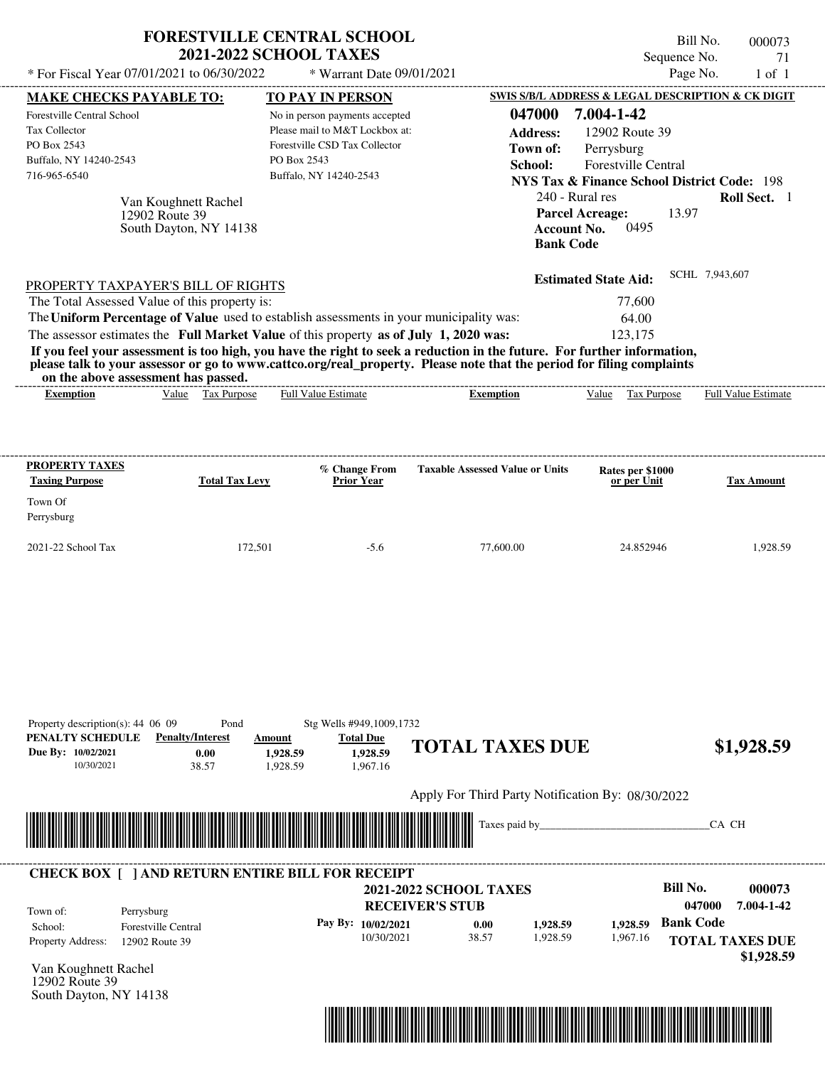| * For Fiscal Year 07/01/2021 to 06/30/2022                                                                                                                                                                                                                                                                     | <b>FORESTVILLE CENTRAL SCHOOL</b><br><b>2021-2022 SCHOOL TAXES</b>                 | * Warrant Date 09/01/2021                                                                                                                       |                                                                                                                                                                                                                                                  | Sequence No.<br>Page No.                                                                                                                                                                                                | Bill No.<br>000073<br>71<br>$1$ of $1$                                 |
|----------------------------------------------------------------------------------------------------------------------------------------------------------------------------------------------------------------------------------------------------------------------------------------------------------------|------------------------------------------------------------------------------------|-------------------------------------------------------------------------------------------------------------------------------------------------|--------------------------------------------------------------------------------------------------------------------------------------------------------------------------------------------------------------------------------------------------|-------------------------------------------------------------------------------------------------------------------------------------------------------------------------------------------------------------------------|------------------------------------------------------------------------|
| <b>MAKE CHECKS PAYABLE TO:</b><br>Forestville Central School<br><b>Tax Collector</b><br>PO Box 2543<br>Buffalo, NY 14240-2543<br>716-965-6540<br>12902 Route 39                                                                                                                                                | PO Box 2543<br>Van Koughnett Rachel<br>South Dayton, NY 14138                      | TO PAY IN PERSON<br>No in person payments accepted<br>Please mail to M&T Lockbox at:<br>Forestville CSD Tax Collector<br>Buffalo, NY 14240-2543 | 047000<br><b>Address:</b><br>Town of:<br>School:<br>240 - Rural res<br><b>Parcel Acreage:</b><br><b>Account No.</b><br><b>Bank Code</b>                                                                                                          | <b>SWIS S/B/L ADDRESS &amp; LEGAL DESCRIPTION &amp; CK DIGIT</b><br>7.004-1-42<br>12902 Route 39<br>Perrysburg<br><b>Forestville Central</b><br><b>NYS Tax &amp; Finance School District Code: 198</b><br>13.97<br>0495 | Roll Sect. 1                                                           |
| PROPERTY TAXPAYER'S BILL OF RIGHTS<br>The Total Assessed Value of this property is:<br>The Uniform Percentage of Value used to establish assessments in your municipality was:<br>The assessor estimates the Full Market Value of this property as of July 1, 2020 was:<br>on the above assessment has passed. |                                                                                    |                                                                                                                                                 | If you feel your assessment is too high, you have the right to seek a reduction in the future. For further information,<br>please talk to your assessor or go to www.cattco.org/real_property. Please note that the period for filing complaints | <b>Estimated State Aid:</b><br>77,600<br>64.00<br>123,175                                                                                                                                                               | SCHL 7,943,607                                                         |
| <b>Exemption</b>                                                                                                                                                                                                                                                                                               | Tax Purpose<br>Value                                                               | <b>Full Value Estimate</b>                                                                                                                      | <b>Exemption</b>                                                                                                                                                                                                                                 | Value<br>Tax Purpose                                                                                                                                                                                                    | <b>Full Value Estimate</b>                                             |
| <b>PROPERTY TAXES</b><br><b>Taxing Purpose</b><br>Town Of<br>Perrysburg                                                                                                                                                                                                                                        | <b>Total Tax Levy</b>                                                              | % Change From<br><b>Prior Year</b>                                                                                                              | <b>Taxable Assessed Value or Units</b>                                                                                                                                                                                                           | Rates per \$1000<br>or per Unit                                                                                                                                                                                         | <b>Tax Amount</b>                                                      |
| 2021-22 School Tax                                                                                                                                                                                                                                                                                             | 172,501                                                                            | $-5.6$                                                                                                                                          | 77,600.00                                                                                                                                                                                                                                        | 24.852946                                                                                                                                                                                                               | 1,928.59                                                               |
| Property description(s): $44\,06\,09$<br>PENALTY SCHEDULE<br>Due By: 10/02/2021<br>10/30/2021                                                                                                                                                                                                                  | Pond<br><b>Penalty/Interest</b><br>Amount<br>0.00<br>1,928.59<br>38.57<br>1,928.59 | Stg Wells #949,1009,1732<br><b>Total Due</b><br>1.928.59<br>1,967.16                                                                            | <b>TOTAL TAXES DUE</b>                                                                                                                                                                                                                           |                                                                                                                                                                                                                         | \$1,928.59                                                             |
|                                                                                                                                                                                                                                                                                                                |                                                                                    |                                                                                                                                                 | Apply For Third Party Notification By: 08/30/2022                                                                                                                                                                                                |                                                                                                                                                                                                                         |                                                                        |
|                                                                                                                                                                                                                                                                                                                |                                                                                    |                                                                                                                                                 | Taxes paid by_                                                                                                                                                                                                                                   |                                                                                                                                                                                                                         | CA CH                                                                  |
| <b>CHECK BOX [ ] AND RETURN ENTIRE BILL FOR RECEIPT</b><br>Town of:<br>Perrysburg<br>School:<br><b>Forestville Central</b><br>Property Address:<br>12902 Route 39                                                                                                                                              |                                                                                    | <b>RECEIVER'S STUB</b><br>Pay By: 10/02/2021<br>10/30/2021                                                                                      | <b>2021-2022 SCHOOL TAXES</b><br>0.00<br>1,928.59<br>38.57<br>1,928.59                                                                                                                                                                           | <b>Bill No.</b><br><b>Bank Code</b><br>1.928.59<br>1,967.16                                                                                                                                                             | 000073<br>7.004-1-42<br>047000<br><b>TOTAL TAXES DUE</b><br>\$1,928.59 |

Van Koughnett Rachel 12902 Route 39 South Dayton, NY 14138

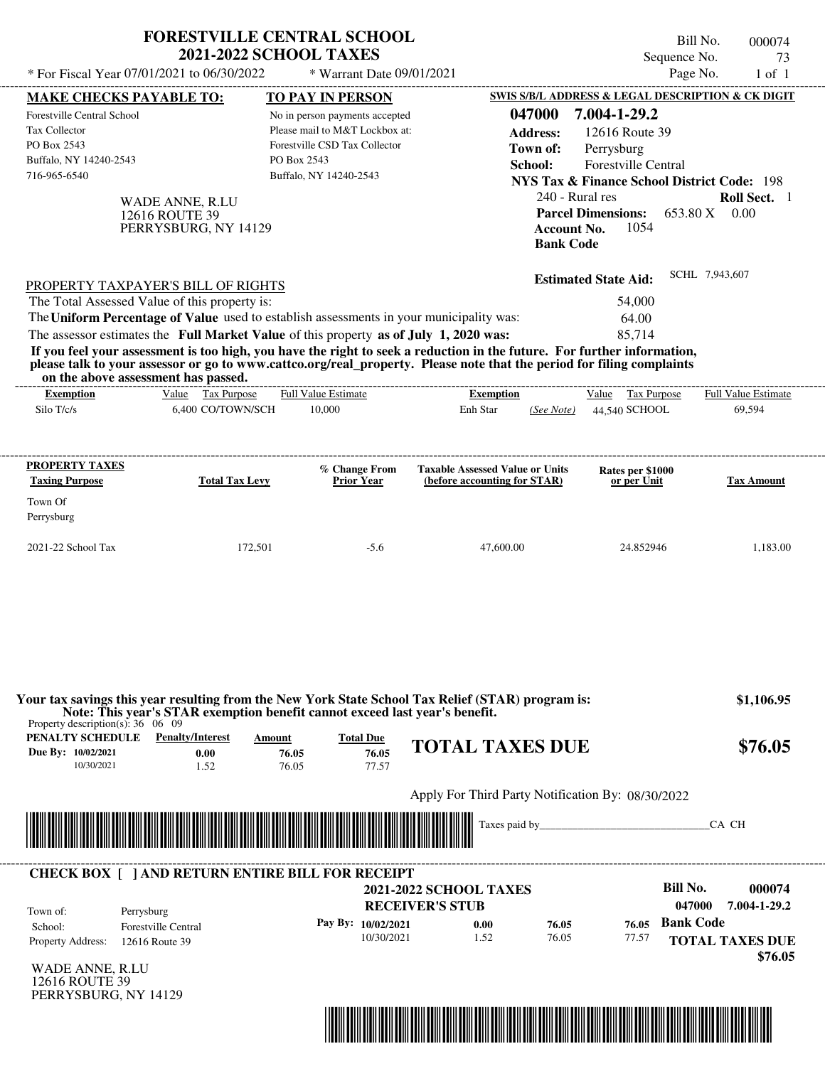|                                                 |                                               | <b>FORESTVILLE CENTRAL SCHOOL</b>                                                                                                                                                |                                                   |                    |                                                        | Bill No.         | 000074                     |
|-------------------------------------------------|-----------------------------------------------|----------------------------------------------------------------------------------------------------------------------------------------------------------------------------------|---------------------------------------------------|--------------------|--------------------------------------------------------|------------------|----------------------------|
|                                                 |                                               | <b>2021-2022 SCHOOL TAXES</b>                                                                                                                                                    |                                                   |                    |                                                        | Sequence No.     | 73                         |
|                                                 | * For Fiscal Year 07/01/2021 to 06/30/2022    | * Warrant Date 09/01/2021                                                                                                                                                        |                                                   |                    |                                                        | Page No.         | $1$ of $1$                 |
| <b>MAKE CHECKS PAYABLE TO:</b>                  |                                               | <b>TO PAY IN PERSON</b>                                                                                                                                                          |                                                   |                    | SWIS S/B/L ADDRESS & LEGAL DESCRIPTION & CK DIGIT      |                  |                            |
| Forestville Central School                      |                                               | No in person payments accepted                                                                                                                                                   |                                                   | 047000             | 7.004-1-29.2                                           |                  |                            |
| <b>Tax Collector</b>                            |                                               | Please mail to M&T Lockbox at:                                                                                                                                                   |                                                   | <b>Address:</b>    | 12616 Route 39                                         |                  |                            |
| PO Box 2543                                     |                                               | Forestville CSD Tax Collector                                                                                                                                                    |                                                   | Town of:           | Perrysburg                                             |                  |                            |
| Buffalo, NY 14240-2543                          |                                               | PO Box 2543                                                                                                                                                                      |                                                   | School:            | Forestville Central                                    |                  |                            |
| 716-965-6540                                    |                                               | Buffalo, NY 14240-2543                                                                                                                                                           |                                                   |                    | <b>NYS Tax &amp; Finance School District Code: 198</b> |                  |                            |
|                                                 | WADE ANNE, R.LU                               |                                                                                                                                                                                  |                                                   | 240 - Rural res    |                                                        |                  | Roll Sect. 1               |
|                                                 | 12616 ROUTE 39                                |                                                                                                                                                                                  |                                                   |                    | <b>Parcel Dimensions:</b>                              | 653.80 X 0.00    |                            |
|                                                 | PERRYSBURG, NY 14129                          |                                                                                                                                                                                  |                                                   | <b>Account No.</b> | 1054                                                   |                  |                            |
|                                                 |                                               |                                                                                                                                                                                  |                                                   | <b>Bank Code</b>   |                                                        |                  |                            |
|                                                 |                                               |                                                                                                                                                                                  |                                                   |                    |                                                        | SCHL 7,943,607   |                            |
|                                                 | PROPERTY TAXPAYER'S BILL OF RIGHTS            |                                                                                                                                                                                  |                                                   |                    | <b>Estimated State Aid:</b>                            |                  |                            |
|                                                 | The Total Assessed Value of this property is: |                                                                                                                                                                                  |                                                   |                    | 54,000                                                 |                  |                            |
|                                                 |                                               | The Uniform Percentage of Value used to establish assessments in your municipality was:                                                                                          |                                                   |                    | 64.00                                                  |                  |                            |
|                                                 |                                               | The assessor estimates the Full Market Value of this property as of July 1, 2020 was:                                                                                            |                                                   |                    | 85,714                                                 |                  |                            |
|                                                 |                                               | If you feel your assessment is too high, you have the right to seek a reduction in the future. For further information,                                                          |                                                   |                    |                                                        |                  |                            |
|                                                 | on the above assessment has passed.           | please talk to your assessor or go to www.cattco.org/real_property. Please note that the period for filing complaints                                                            |                                                   |                    |                                                        |                  |                            |
| <b>Exemption</b>                                | Value Tax Purpose                             | Full Value Estimate                                                                                                                                                              | -----------------------<br><b>Exemption</b>       |                    | Value Tax Purpose                                      |                  | <b>Full Value Estimate</b> |
| Silo T/c/s                                      | 6.400 CO/TOWN/SCH                             | 10,000                                                                                                                                                                           | Enh Star                                          | (See Note)         | 44.540 SCHOOL                                          |                  | 69,594                     |
|                                                 |                                               |                                                                                                                                                                                  |                                                   |                    |                                                        |                  |                            |
|                                                 |                                               |                                                                                                                                                                                  |                                                   |                    |                                                        |                  |                            |
| PROPERTY TAXES                                  |                                               | % Change From                                                                                                                                                                    | <b>Taxable Assessed Value or Units</b>            |                    | Rates per \$1000                                       |                  |                            |
| <b>Taxing Purpose</b>                           | <b>Total Tax Levy</b>                         | <b>Prior Year</b>                                                                                                                                                                | (before accounting for STAR)                      |                    | or per Unit                                            |                  | <b>Tax Amount</b>          |
| Town Of                                         |                                               |                                                                                                                                                                                  |                                                   |                    |                                                        |                  |                            |
| Perrysburg                                      |                                               |                                                                                                                                                                                  |                                                   |                    |                                                        |                  |                            |
|                                                 |                                               |                                                                                                                                                                                  |                                                   |                    |                                                        |                  |                            |
| 2021-22 School Tax                              | 172,501                                       | $-5.6$                                                                                                                                                                           | 47,600.00                                         |                    | 24.852946                                              |                  | 1,183.00                   |
|                                                 |                                               |                                                                                                                                                                                  |                                                   |                    |                                                        |                  |                            |
|                                                 |                                               |                                                                                                                                                                                  |                                                   |                    |                                                        |                  |                            |
|                                                 |                                               |                                                                                                                                                                                  |                                                   |                    |                                                        |                  |                            |
| Property description(s): $36 \quad 06 \quad 09$ |                                               | Your tax savings this year resulting from the New York State School Tax Relief (STAR) program is:<br>Note: This year's STAR exemption benefit cannot exceed last year's benefit. |                                                   |                    |                                                        |                  | \$1,106.95                 |
| <b>PENALTY SCHEDULE</b> Penalty/Interest        |                                               | <b>Total Due</b><br>Amount                                                                                                                                                       | <b>TOTAL TAXES DUE</b>                            |                    |                                                        |                  | \$76.05                    |
| Due By: 10/02/2021                              | 0.00                                          | 76.05<br>76.05                                                                                                                                                                   |                                                   |                    |                                                        |                  |                            |
| 10/30/2021                                      | 1.52                                          | 76.05<br>77.57                                                                                                                                                                   |                                                   |                    |                                                        |                  |                            |
|                                                 |                                               |                                                                                                                                                                                  | Apply For Third Party Notification By: 08/30/2022 |                    |                                                        |                  |                            |
|                                                 |                                               |                                                                                                                                                                                  |                                                   |                    |                                                        |                  |                            |
|                                                 |                                               |                                                                                                                                                                                  |                                                   |                    |                                                        |                  | CA CH                      |
|                                                 |                                               |                                                                                                                                                                                  |                                                   |                    |                                                        |                  |                            |
|                                                 |                                               | <b>CHECK BOX [ ] AND RETURN ENTIRE BILL FOR RECEIPT</b>                                                                                                                          |                                                   |                    |                                                        |                  |                            |
|                                                 |                                               |                                                                                                                                                                                  | <b>2021-2022 SCHOOL TAXES</b>                     |                    |                                                        | <b>Bill No.</b>  | 000074                     |
| Town of:                                        |                                               |                                                                                                                                                                                  | <b>RECEIVER'S STUB</b>                            |                    |                                                        | 047000           | 7.004-1-29.2               |
| School:                                         | Perrysburg<br><b>Forestville Central</b>      | Pay By: 10/02/2021                                                                                                                                                               | 0.00                                              | 76.05              | 76.05                                                  | <b>Bank Code</b> |                            |
| Property Address:                               | 12616 Route 39                                | 10/30/2021                                                                                                                                                                       | 1.52                                              | 76.05              | 77.57                                                  |                  | <b>TOTAL TAXES DUE</b>     |
|                                                 |                                               |                                                                                                                                                                                  |                                                   |                    |                                                        |                  |                            |

WADE ANNE, R.LU 12616 ROUTE 39 PERRYSBURG, NY 14129



 **\$76.05**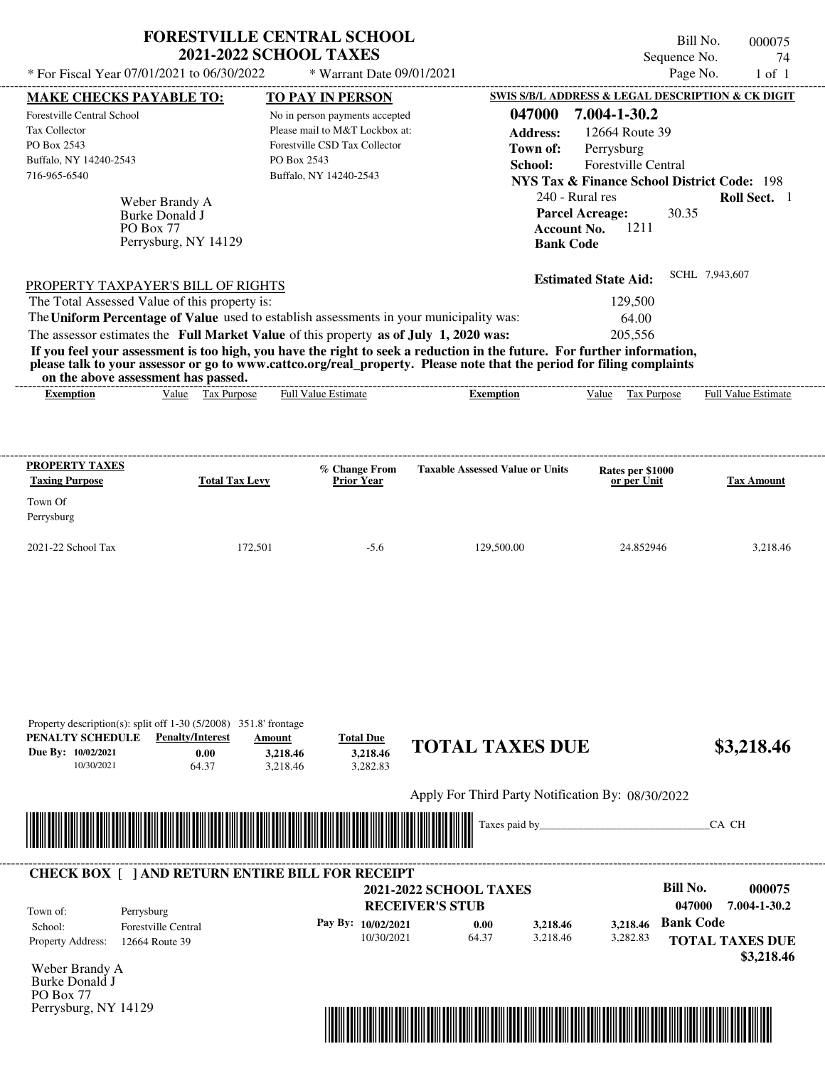|                                                                                             |                                                                       | <b>FORESTVILLE CENTRAL SCHOOL</b><br><b>2021-2022 SCHOOL TAXES</b>                                                                                                               |                                                                                                                                                                                                                                                  | Sequence No.                                                                                                         | Bill No.<br>000075<br>74   |
|---------------------------------------------------------------------------------------------|-----------------------------------------------------------------------|----------------------------------------------------------------------------------------------------------------------------------------------------------------------------------|--------------------------------------------------------------------------------------------------------------------------------------------------------------------------------------------------------------------------------------------------|----------------------------------------------------------------------------------------------------------------------|----------------------------|
|                                                                                             | * For Fiscal Year 07/01/2021 to 06/30/2022                            | * Warrant Date 09/01/2021                                                                                                                                                        |                                                                                                                                                                                                                                                  |                                                                                                                      | Page No.<br>$1$ of $1$     |
| <b>MAKE CHECKS PAYABLE TO:</b>                                                              |                                                                       | TO PAY IN PERSON                                                                                                                                                                 |                                                                                                                                                                                                                                                  | <b>SWIS S/B/L ADDRESS &amp; LEGAL DESCRIPTION &amp; CK DIGIT</b>                                                     |                            |
| Forestville Central School<br><b>Tax Collector</b><br>PO Box 2543<br>Buffalo, NY 14240-2543 |                                                                       | No in person payments accepted<br>Please mail to M&T Lockbox at:<br>Forestville CSD Tax Collector<br>PO Box 2543                                                                 | 047000<br><b>Address:</b><br>Town of:<br>School:                                                                                                                                                                                                 | 7.004-1-30.2<br>12664 Route 39<br>Perrysburg<br><b>Forestville Central</b>                                           |                            |
| 716-965-6540                                                                                | Weber Brandy A<br>Burke Donald J<br>PO Box 77<br>Perrysburg, NY 14129 | Buffalo, NY 14240-2543                                                                                                                                                           | <b>Account No.</b><br><b>Bank Code</b>                                                                                                                                                                                                           | <b>NYS Tax &amp; Finance School District Code: 198</b><br>240 - Rural res<br><b>Parcel Acreage:</b><br>30.35<br>1211 | Roll Sect. 1               |
| The Total Assessed Value of this property is:                                               | PROPERTY TAXPAYER'S BILL OF RIGHTS                                    |                                                                                                                                                                                  |                                                                                                                                                                                                                                                  | <b>Estimated State Aid:</b><br>129,500                                                                               | SCHL 7,943,607             |
|                                                                                             |                                                                       | The Uniform Percentage of Value used to establish assessments in your municipality was:<br>The assessor estimates the Full Market Value of this property as of July 1, 2020 was: | If you feel your assessment is too high, you have the right to seek a reduction in the future. For further information,<br>please talk to your assessor or go to www.cattco.org/real_property. Please note that the period for filing complaints | 64.00<br>205,556                                                                                                     |                            |
| <b>Exemption</b>                                                                            | on the above assessment has passed.<br>Value Tax Purpose              | <b>Full Value Estimate</b>                                                                                                                                                       | <b>Exemption</b>                                                                                                                                                                                                                                 | Value<br>Tax Purpose                                                                                                 | <b>Full Value Estimate</b> |
| PROPERTY TAXES<br><b>Taxing Purpose</b>                                                     | <b>Total Tax Levy</b>                                                 | % Change From<br><b>Prior Year</b>                                                                                                                                               | <b>Taxable Assessed Value or Units</b>                                                                                                                                                                                                           | Rates per \$1000<br>or per Unit                                                                                      | <b>Tax Amount</b>          |
| Town Of<br>Perrysburg                                                                       |                                                                       |                                                                                                                                                                                  |                                                                                                                                                                                                                                                  |                                                                                                                      |                            |
| 2021-22 School Tax                                                                          | 172,501                                                               | $-5.6$                                                                                                                                                                           | 129,500.00                                                                                                                                                                                                                                       | 24.852946                                                                                                            | 3,218.46                   |

|                    | Property description(s): split off $1-30$ (5/2008) 351.8' frontage |                                                             |                    |                                                   |               |          |                  |                        |
|--------------------|--------------------------------------------------------------------|-------------------------------------------------------------|--------------------|---------------------------------------------------|---------------|----------|------------------|------------------------|
| PENALTY SCHEDULE   | <b>Penalty/Interest</b>                                            | Amount                                                      | <b>Total Due</b>   |                                                   |               |          |                  |                        |
| Due By: 10/02/2021 | 0.00                                                               | 3,218.46                                                    | 3,218.46           | <b>TOTAL TAXES DUE</b>                            |               |          |                  | \$3,218.46             |
| 10/30/2021         | 64.37                                                              | 3,218.46                                                    | 3,282.83           |                                                   |               |          |                  |                        |
|                    |                                                                    |                                                             |                    | Apply For Third Party Notification By: 08/30/2022 |               |          |                  |                        |
|                    |                                                                    |                                                             |                    |                                                   |               |          |                  |                        |
|                    |                                                                    | <u> 1989 - Johann Stoff, Amerikaansk politiker († 1958)</u> |                    |                                                   | Taxes paid by |          |                  | CA CH                  |
|                    |                                                                    |                                                             |                    |                                                   |               |          |                  |                        |
|                    |                                                                    |                                                             |                    |                                                   |               |          |                  |                        |
|                    | <b>CHECK BOX   JAND RETURN ENTIRE BILL FOR RECEIPT</b>             |                                                             |                    |                                                   |               |          |                  |                        |
|                    |                                                                    |                                                             |                    | <b>2021-2022 SCHOOL TAXES</b>                     |               |          | <b>Bill No.</b>  | 000075                 |
|                    |                                                                    |                                                             |                    | <b>RECEIVER'S STUB</b>                            |               |          | 047000           | 7.004-1-30.2           |
| Town of:           | Perrysburg                                                         |                                                             |                    |                                                   |               |          |                  |                        |
| School:            | <b>Forestville Central</b>                                         |                                                             | Pay By: 10/02/2021 | 0.00                                              | 3,218.46      | 3,218.46 | <b>Bank Code</b> |                        |
| Property Address:  | 12664 Route 39                                                     |                                                             | 10/30/2021         | 64.37                                             | 3,218.46      | 3,282.83 |                  | <b>TOTAL TAXES DUE</b> |
|                    |                                                                    |                                                             |                    |                                                   |               |          |                  | \$3,218.46             |
| Weber Brandy A     |                                                                    |                                                             |                    |                                                   |               |          |                  |                        |
| Burke Donald J     |                                                                    |                                                             |                    |                                                   |               |          |                  |                        |
| PO Box 77          |                                                                    |                                                             |                    |                                                   |               |          |                  |                        |



Perrysburg, NY 14129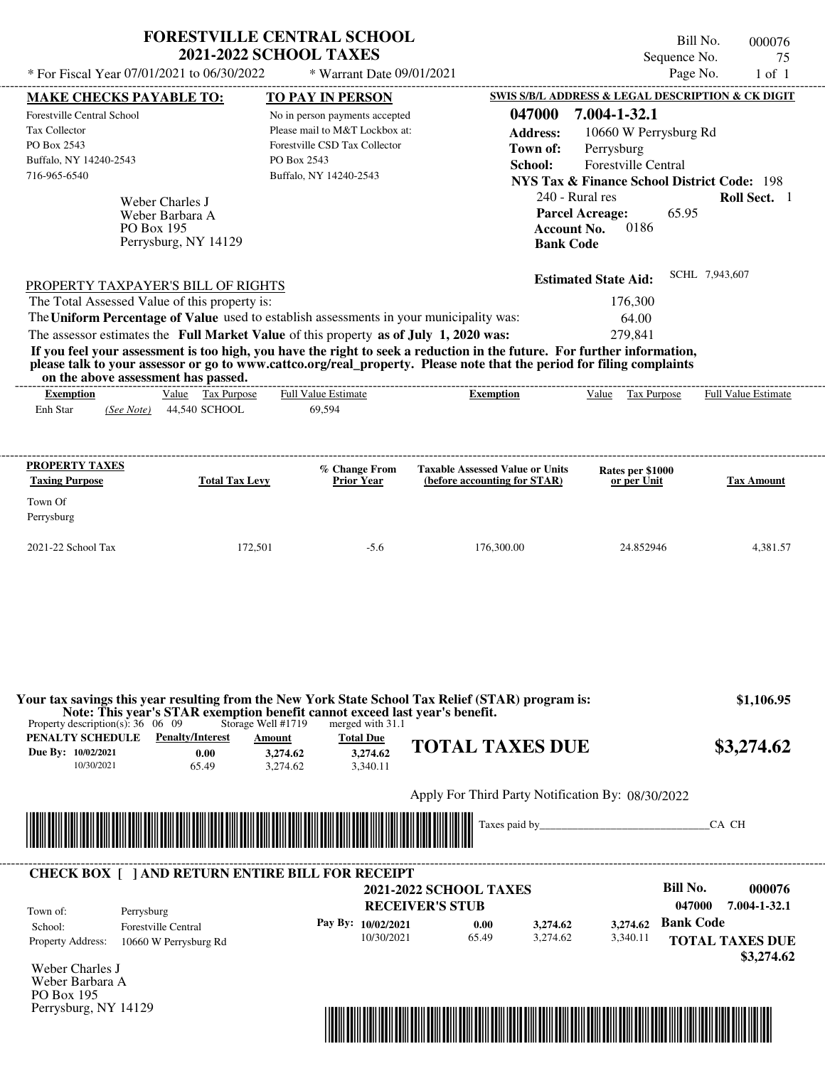|                                                                                         | <b>FORESTVILLE CENTRAL SCHOOL</b><br><b>2021-2022 SCHOOL TAXES</b>                                |                                |                                                                                                                         |                             | Bill No.<br>000076<br>Sequence No.<br>75               |
|-----------------------------------------------------------------------------------------|---------------------------------------------------------------------------------------------------|--------------------------------|-------------------------------------------------------------------------------------------------------------------------|-----------------------------|--------------------------------------------------------|
| * For Fiscal Year 07/01/2021 to 06/30/2022                                              |                                                                                                   | * Warrant Date 09/01/2021      |                                                                                                                         |                             | Page No.<br>$1$ of $1$                                 |
| <b>MAKE CHECKS PAYABLE TO:</b>                                                          |                                                                                                   | <b>TO PAY IN PERSON</b>        |                                                                                                                         |                             | SWIS S/B/L ADDRESS & LEGAL DESCRIPTION & CK DIGIT      |
| Forestville Central School                                                              |                                                                                                   | No in person payments accepted | 047000                                                                                                                  | 7.004-1-32.1                |                                                        |
| <b>Tax Collector</b>                                                                    |                                                                                                   | Please mail to M&T Lockbox at: | <b>Address:</b>                                                                                                         | 10660 W Perrysburg Rd       |                                                        |
| PO Box 2543                                                                             |                                                                                                   | Forestville CSD Tax Collector  | Town of:                                                                                                                | Perrysburg                  |                                                        |
| Buffalo, NY 14240-2543                                                                  | PO Box 2543                                                                                       |                                | School:                                                                                                                 | Forestville Central         |                                                        |
| 716-965-6540                                                                            |                                                                                                   | Buffalo, NY 14240-2543         |                                                                                                                         |                             | <b>NYS Tax &amp; Finance School District Code: 198</b> |
|                                                                                         |                                                                                                   |                                |                                                                                                                         | 240 - Rural res             | Roll Sect. 1                                           |
| Weber Charles J                                                                         |                                                                                                   |                                |                                                                                                                         | <b>Parcel Acreage:</b>      | 65.95                                                  |
| PO Box 195                                                                              | Weber Barbara A                                                                                   |                                | <b>Account No.</b>                                                                                                      | 0186                        |                                                        |
|                                                                                         | Perrysburg, NY 14129                                                                              |                                | <b>Bank Code</b>                                                                                                        |                             |                                                        |
|                                                                                         |                                                                                                   |                                |                                                                                                                         |                             |                                                        |
| PROPERTY TAXPAYER'S BILL OF RIGHTS                                                      |                                                                                                   |                                |                                                                                                                         | <b>Estimated State Aid:</b> | SCHL 7,943,607                                         |
| The Total Assessed Value of this property is:                                           |                                                                                                   |                                |                                                                                                                         | 176,300                     |                                                        |
| The Uniform Percentage of Value used to establish assessments in your municipality was: |                                                                                                   |                                |                                                                                                                         | 64.00                       |                                                        |
| The assessor estimates the Full Market Value of this property as of July 1, 2020 was:   |                                                                                                   |                                |                                                                                                                         | 279,841                     |                                                        |
|                                                                                         |                                                                                                   |                                | If you feel your assessment is too high, you have the right to seek a reduction in the future. For further information, |                             |                                                        |
|                                                                                         |                                                                                                   |                                | please talk to your assessor or go to www.cattco.org/real_property. Please note that the period for filing complaints   |                             |                                                        |
| on the above assessment has passed.                                                     | Value Tax Purpose                                                                                 | <b>Full Value Estimate</b>     |                                                                                                                         | Value<br>Tax Purpose        | <b>Full Value Estimate</b>                             |
| <b>Exemption</b><br>Enh Star<br>(See Note)                                              | 44,540 SCHOOL                                                                                     | 69,594                         | <b>Exemption</b>                                                                                                        |                             |                                                        |
|                                                                                         |                                                                                                   |                                |                                                                                                                         |                             |                                                        |
|                                                                                         |                                                                                                   |                                |                                                                                                                         |                             |                                                        |
| <b>PROPERTY TAXES</b>                                                                   |                                                                                                   | % Change From                  | <b>Taxable Assessed Value or Units</b>                                                                                  | Rates per \$1000            |                                                        |
| <b>Taxing Purpose</b>                                                                   | <b>Total Tax Levy</b>                                                                             | Prior Year                     | (before accounting for STAR)                                                                                            | or per Unit                 | <b>Tax Amount</b>                                      |
| Town Of                                                                                 |                                                                                                   |                                |                                                                                                                         |                             |                                                        |
| Perrysburg                                                                              |                                                                                                   |                                |                                                                                                                         |                             |                                                        |
| 2021-22 School Tax                                                                      | 172,501                                                                                           | $-5.6$                         | 176,300.00                                                                                                              | 24.852946                   | 4.381.57                                               |
|                                                                                         |                                                                                                   |                                |                                                                                                                         |                             |                                                        |
|                                                                                         |                                                                                                   |                                |                                                                                                                         |                             |                                                        |
|                                                                                         |                                                                                                   |                                | Your tax savings this year resulting from the New York State School Tax Relief (STAR) program is:                       |                             | \$1,106.95                                             |
| Property description(s): $36 \quad 06 \quad 09$                                         | Note: This year's STAR exemption benefit cannot exceed last year's benefit.<br>Storage Well #1719 | merged with 31.1               |                                                                                                                         |                             |                                                        |
| PENALTY SCHEDULE                                                                        | <b>Penalty/Interest</b><br>Amount                                                                 | <b>Total Due</b>               | <b>TOTAL TAXES DUE</b>                                                                                                  |                             |                                                        |
| Due By: 10/02/2021                                                                      | 0.00<br>3,274.62                                                                                  | 3,274.62                       |                                                                                                                         |                             | \$3,274.62                                             |
| 10/30/2021                                                                              | 3.274.62<br>65.49                                                                                 | 3,340.11                       |                                                                                                                         |                             |                                                        |
|                                                                                         |                                                                                                   |                                | Apply For Third Party Notification By: 08/30/2022                                                                       |                             |                                                        |
|                                                                                         |                                                                                                   |                                |                                                                                                                         |                             |                                                        |
|                                                                                         |                                                                                                   |                                | Taxes paid by_                                                                                                          |                             | CA CH                                                  |
|                                                                                         |                                                                                                   |                                |                                                                                                                         |                             |                                                        |
| <b>CHECK BOX [ ] AND RETURN ENTIRE BILL FOR RECEIPT</b>                                 |                                                                                                   |                                |                                                                                                                         |                             |                                                        |
|                                                                                         |                                                                                                   |                                | <b>2021-2022 SCHOOL TAXES</b>                                                                                           |                             | <b>Bill No.</b><br>000076                              |
| Perrysburg<br>Town of:                                                                  |                                                                                                   |                                | <b>RECEIVER'S STUB</b>                                                                                                  |                             | 047000<br>7.004-1-32.1                                 |
| <b>Forestville Central</b><br>School:                                                   |                                                                                                   | Pay By: 10/02/2021             | 0.00<br>3,274.62                                                                                                        | 3,274.62                    | <b>Bank Code</b>                                       |
| Property Address:                                                                       | 10660 W Perrysburg Rd                                                                             | 10/30/2021                     | 65.49<br>3.274.62                                                                                                       | 3,340.11                    | <b>TOTAL TAXES DUE</b>                                 |
|                                                                                         |                                                                                                   |                                |                                                                                                                         |                             | \$3,274.62                                             |
| Weber Charles J<br>Weber Barbara A<br>PO Box 195                                        |                                                                                                   |                                |                                                                                                                         |                             |                                                        |

\*04700000007600000000327462\*

Perrysburg, NY 14129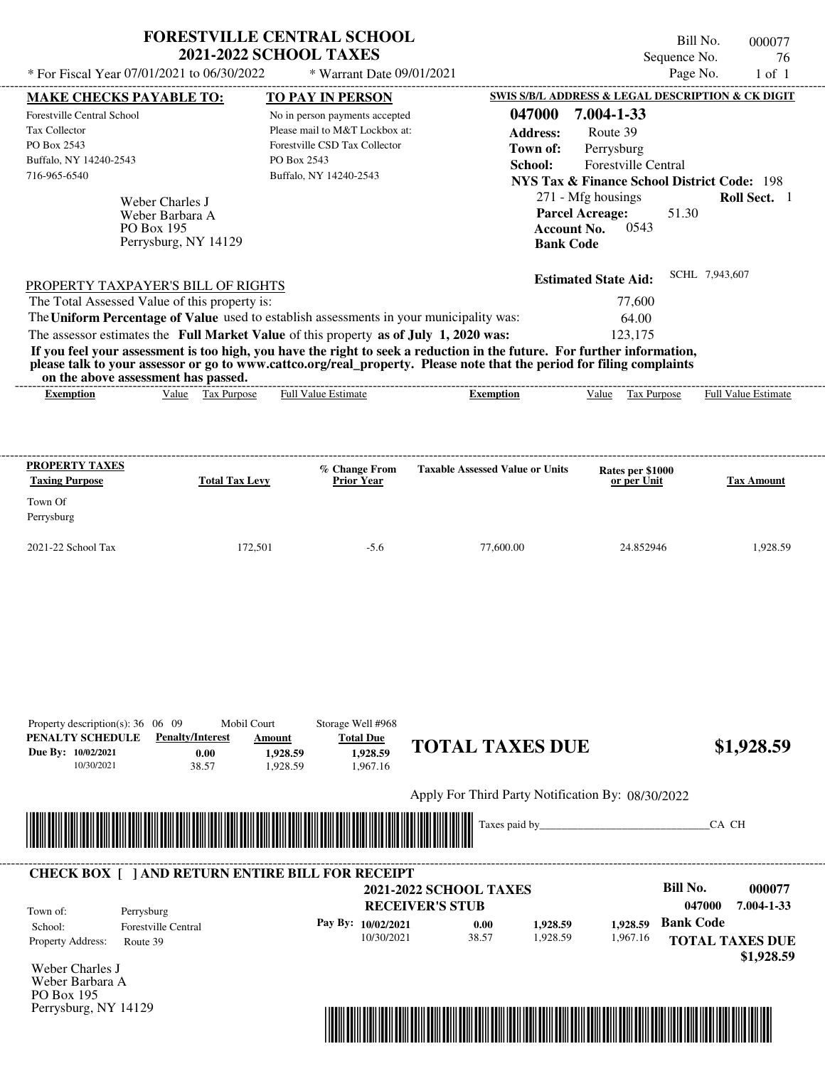| * For Fiscal Year 07/01/2021 to 06/30/2022<br>* Warrant Date 09/01/2021<br><b>MAKE CHECKS PAYABLE TO:</b><br><b>TO PAY IN PERSON</b><br>Forestville Central School<br>No in person payments accepted<br>Please mail to M&T Lockbox at:<br>Tax Collector<br>Forestville CSD Tax Collector<br>PO Box 2543<br>Buffalo, NY 14240-2543<br>PO Box 2543                                                                                                                                                                                                                   | Page No.<br>$1$ of $1$<br>SWIS S/B/L ADDRESS & LEGAL DESCRIPTION & CK DIGIT                                                                                                                                                                                                                                  |
|--------------------------------------------------------------------------------------------------------------------------------------------------------------------------------------------------------------------------------------------------------------------------------------------------------------------------------------------------------------------------------------------------------------------------------------------------------------------------------------------------------------------------------------------------------------------|--------------------------------------------------------------------------------------------------------------------------------------------------------------------------------------------------------------------------------------------------------------------------------------------------------------|
|                                                                                                                                                                                                                                                                                                                                                                                                                                                                                                                                                                    |                                                                                                                                                                                                                                                                                                              |
| 716-965-6540<br>Buffalo, NY 14240-2543<br>Weber Charles J<br>Weber Barbara A<br>PO Box 195<br>Perrysburg, NY 14129                                                                                                                                                                                                                                                                                                                                                                                                                                                 | 047000<br>7.004-1-33<br><b>Address:</b><br>Route 39<br>Perrysburg<br>Town of:<br><b>Forestville Central</b><br>School:<br><b>NYS Tax &amp; Finance School District Code: 198</b><br>271 - Mfg housings<br>Roll Sect. 1<br><b>Parcel Acreage:</b><br>51.30<br>0.543<br><b>Account No.</b><br><b>Bank Code</b> |
| PROPERTY TAXPAYER'S BILL OF RIGHTS<br>The Total Assessed Value of this property is:<br>The Uniform Percentage of Value used to establish assessments in your municipality was:<br>The assessor estimates the Full Market Value of this property as of July 1, 2020 was:<br>If you feel your assessment is too high, you have the right to seek a reduction in the future. For further information,<br>please talk to your assessor or go to www.cattco.org/real_property. Please note that the period for filing complaints<br>on the above assessment has passed. | SCHL 7,943,607<br><b>Estimated State Aid:</b><br>77,600<br>64.00<br>123,175                                                                                                                                                                                                                                  |
| <b>Full Value Estimate</b><br>Tax Purpose<br><b>Exemption</b><br>Value                                                                                                                                                                                                                                                                                                                                                                                                                                                                                             | Value<br>Tax Purpose<br>Full Value Estimate<br><b>Exemption</b>                                                                                                                                                                                                                                              |
| PROPERTY TAXES<br>% Change From<br><b>Taxing Purpose</b><br><b>Total Tax Levy</b><br><b>Prior Year</b><br>Town Of<br>Perrysburg                                                                                                                                                                                                                                                                                                                                                                                                                                    | <b>Taxable Assessed Value or Units</b><br>Rates per \$1000<br><b>Tax Amount</b><br>or per Unit                                                                                                                                                                                                               |
| 2021-22 School Tax<br>172,501<br>$-5.6$                                                                                                                                                                                                                                                                                                                                                                                                                                                                                                                            | 1,928.59<br>77,600.00<br>24.852946                                                                                                                                                                                                                                                                           |
| Storage Well #968<br>Property description(s): $36 \quad 06 \quad 09$<br>Mobil Court<br>PENALTY SCHEDULE<br><b>Penalty/Interest</b><br><b>Total Due</b><br>Amount<br>Due By: 10/02/2021<br>1,928.59<br>0.00<br>1.928.59<br>38.57<br>1.928.59<br>1,967.16<br>10/30/2021                                                                                                                                                                                                                                                                                              | <b>TOTAL TAXES DUE</b><br>\$1,928.59                                                                                                                                                                                                                                                                         |
|                                                                                                                                                                                                                                                                                                                                                                                                                                                                                                                                                                    | Apply For Third Party Notification By: 08/30/2022                                                                                                                                                                                                                                                            |
|                                                                                                                                                                                                                                                                                                                                                                                                                                                                                                                                                                    | Taxes paid by_<br>CA CH                                                                                                                                                                                                                                                                                      |

| <b>CHECK BOX 1</b>                                                                                                                                                                                                                                                                                                                                                                                                                                  | <b>TAND RETURN ENTIRE BILL FOR RECEIPT</b> |                      |                        |                               |          |          |                  |                                      |
|-----------------------------------------------------------------------------------------------------------------------------------------------------------------------------------------------------------------------------------------------------------------------------------------------------------------------------------------------------------------------------------------------------------------------------------------------------|--------------------------------------------|----------------------|------------------------|-------------------------------|----------|----------|------------------|--------------------------------------|
|                                                                                                                                                                                                                                                                                                                                                                                                                                                     |                                            |                      |                        | <b>2021-2022 SCHOOL TAXES</b> |          |          | Bill No.         | 000077                               |
| Town of:                                                                                                                                                                                                                                                                                                                                                                                                                                            | Perrysburg                                 |                      | <b>RECEIVER'S STUB</b> |                               |          |          | 047000           | 7.004-1-33                           |
| School:                                                                                                                                                                                                                                                                                                                                                                                                                                             | <b>Forestville Central</b>                 | Pay By: $10/02/2021$ |                        | 0.00                          | 1.928.59 | .928.59  | <b>Bank Code</b> |                                      |
| <b>Property Address:</b><br>$\mathbf{X} \mathbf{Y} \mathbf{Y} = \mathbf{X} \mathbf{Y} \mathbf{Y} \mathbf{Y} \mathbf{Y} \mathbf{Y} \mathbf{Y} \mathbf{Y} \mathbf{Y} \mathbf{Y} \mathbf{Y} \mathbf{Y} \mathbf{Y} \mathbf{Y} \mathbf{Y} \mathbf{Y} \mathbf{Y} \mathbf{Y} \mathbf{Y} \mathbf{Y} \mathbf{Y} \mathbf{Y} \mathbf{Y} \mathbf{Y} \mathbf{Y} \mathbf{Y} \mathbf{Y} \mathbf{Y} \mathbf{Y} \mathbf{Y} \mathbf{Y} \mathbf{Y} \mathbf{Y} \mathbf$ | Route 39                                   | 10/30/2021           |                        | 38.57                         | 1.928.59 | 1.967.16 |                  | <b>TOTAL TAXES DUE</b><br>\$1,928.59 |

Weber Charles J Weber Barbara A PO Box 195 Perrysburg, NY 14129

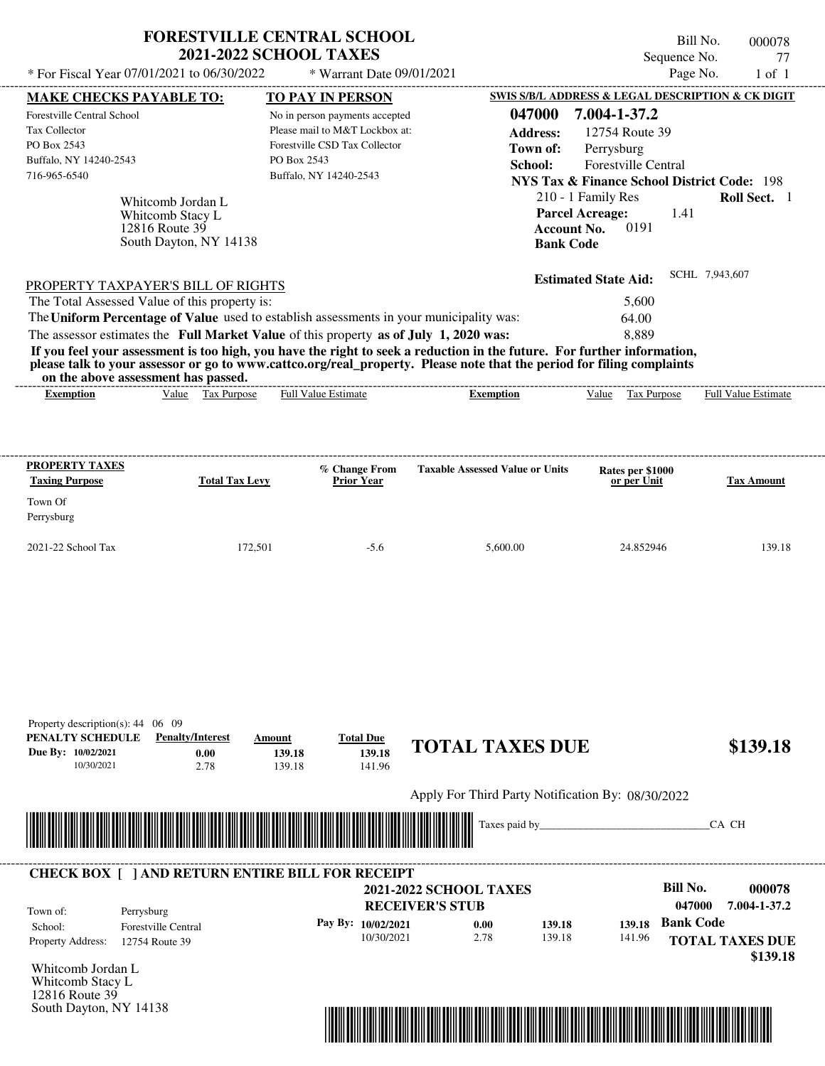|                                                                                                      | <b>FORESTVILLE CENTRAL SCHOOL</b>                                                 | <b>2021-2022 SCHOOL TAXES</b>                                                                                                              |                                      |                                                  |                                                                                                                                                                                                                                        | Bill No.<br>000078<br>Sequence No.<br>77 |
|------------------------------------------------------------------------------------------------------|-----------------------------------------------------------------------------------|--------------------------------------------------------------------------------------------------------------------------------------------|--------------------------------------|--------------------------------------------------|----------------------------------------------------------------------------------------------------------------------------------------------------------------------------------------------------------------------------------------|------------------------------------------|
| * For Fiscal Year 07/01/2021 to 06/30/2022                                                           |                                                                                   |                                                                                                                                            | * Warrant Date 09/01/2021            |                                                  |                                                                                                                                                                                                                                        | Page No.<br>$1$ of $1$                   |
| <b>MAKE CHECKS PAYABLE TO:</b>                                                                       |                                                                                   | <b>TO PAY IN PERSON</b>                                                                                                                    |                                      |                                                  | SWIS S/B/L ADDRESS & LEGAL DESCRIPTION & CK DIGIT                                                                                                                                                                                      |                                          |
| Forestville Central School<br>Tax Collector<br>PO Box 2543<br>Buffalo, NY 14240-2543<br>716-965-6540 | Whitcomb Jordan L<br>Whitcomb Stacy L<br>12816 Route 39<br>South Dayton, NY 14138 | No in person payments accepted<br>Please mail to M&T Lockbox at:<br>Forestville CSD Tax Collector<br>PO Box 2543<br>Buffalo, NY 14240-2543 |                                      | 047000<br><b>Address:</b><br>Town of:<br>School: | 7.004-1-37.2<br>12754 Route 39<br>Perrysburg<br><b>Forestville Central</b><br><b>NYS Tax &amp; Finance School District Code: 198</b><br>210 - 1 Family Res<br><b>Parcel Acreage:</b><br>0191<br><b>Account No.</b><br><b>Bank Code</b> | <b>Roll Sect.</b> 1<br>1.41              |
|                                                                                                      |                                                                                   |                                                                                                                                            |                                      |                                                  | <b>Estimated State Aid:</b>                                                                                                                                                                                                            | SCHL 7,943,607                           |
| PROPERTY TAXPAYER'S BILL OF RIGHTS<br>The Total Assessed Value of this property is:                  |                                                                                   |                                                                                                                                            |                                      |                                                  | 5,600                                                                                                                                                                                                                                  |                                          |
| The Uniform Percentage of Value used to establish assessments in your municipality was:              |                                                                                   |                                                                                                                                            |                                      |                                                  | 64.00                                                                                                                                                                                                                                  |                                          |
| The assessor estimates the Full Market Value of this property as of July 1, 2020 was:                |                                                                                   |                                                                                                                                            |                                      |                                                  | 8,889                                                                                                                                                                                                                                  |                                          |
|                                                                                                      |                                                                                   |                                                                                                                                            |                                      |                                                  |                                                                                                                                                                                                                                        |                                          |
| <b>Exemption</b>                                                                                     | Value Tax Purpose                                                                 | <b>Full Value Estimate</b>                                                                                                                 |                                      | <b>Exemption</b>                                 | Value Tax Purpose                                                                                                                                                                                                                      | <b>Full Value Estimate</b>               |
| PROPERTY TAXES<br><b>Taxing Purpose</b>                                                              | <b>Total Tax Levy</b>                                                             |                                                                                                                                            | % Change From<br><b>Prior Year</b>   | <b>Taxable Assessed Value or Units</b>           | Rates per \$1000<br>or per Unit                                                                                                                                                                                                        | Tax Amount                               |
|                                                                                                      |                                                                                   |                                                                                                                                            |                                      |                                                  |                                                                                                                                                                                                                                        |                                          |
|                                                                                                      |                                                                                   |                                                                                                                                            |                                      |                                                  |                                                                                                                                                                                                                                        |                                          |
| Town Of<br>Perrysburg<br>2021-22 School Tax                                                          |                                                                                   | 172,501                                                                                                                                    | $-5.6$                               | 5,600.00                                         | 24.852946                                                                                                                                                                                                                              | 139.18                                   |
| Property description(s): 44 06 09<br>PENALTY SCHEDULE<br>Due By: 10/02/2021<br>10/30/2021            | <b>Penalty/Interest</b><br>0.00<br>2.78                                           | Amount<br>139.18<br>139.18                                                                                                                 | <b>Total Due</b><br>139.18<br>141.96 | <b>TOTAL TAXES DUE</b>                           |                                                                                                                                                                                                                                        | \$139.18                                 |



## **RECEIVER'S STUB Bill No. 000078 0.00 c 139.18 b 139.18 Bank Code** Property Address: 12754 Route 39 Perrysburg School: Forestville Central **TOTAL TAXES DUE \$139.18 2021-2022 SCHOOL TAXES 047000 7.004-1-37.2 Pay By: 10/02/2021** 10/30/2021 139.18 **139.18** 141.96 **139.18** Town of: ---------------------------------------------------------------------------------------------------------------------------------------------------------------------------------------------------- **CHECK BOX [ ] AND RETURN ENTIRE BILL FOR RECEIPT**

Whitcomb Jordan L Whitcomb Stacy L 12816 Route 39 South Dayton, NY 14138

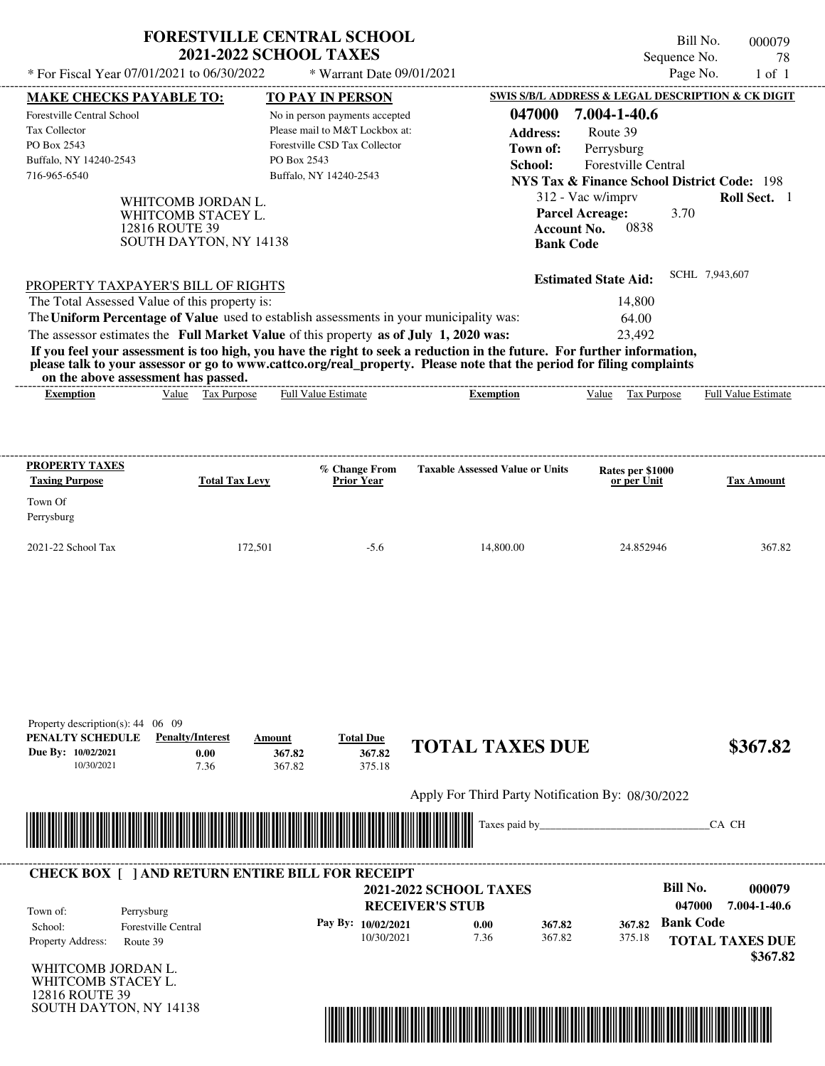| * For Fiscal Year 07/01/2021 to 06/30/2022                                                                      | <b>FORESTVILLE CENTRAL SCHOOL</b><br><b>2021-2022 SCHOOL TAXES</b>                   |                            | * Warrant Date 09/01/2021                                                                                                   |                                                                                         | Sequence No.                                                                                                                   | Bill No.<br>000079<br>78<br>Page No.<br>$1$ of $1$ |
|-----------------------------------------------------------------------------------------------------------------|--------------------------------------------------------------------------------------|----------------------------|-----------------------------------------------------------------------------------------------------------------------------|-----------------------------------------------------------------------------------------|--------------------------------------------------------------------------------------------------------------------------------|----------------------------------------------------|
| <b>MAKE CHECKS PAYABLE TO:</b>                                                                                  |                                                                                      |                            | TO PAY IN PERSON                                                                                                            |                                                                                         | SWIS S/B/L ADDRESS & LEGAL DESCRIPTION & CK DIGIT                                                                              |                                                    |
| Forestville Central School<br><b>Tax Collector</b><br>PO Box 2543<br>Buffalo, NY 14240-2543<br>716-965-6540     |                                                                                      | PO Box 2543                | No in person payments accepted<br>Please mail to M&T Lockbox at:<br>Forestville CSD Tax Collector<br>Buffalo, NY 14240-2543 | 047000<br><b>Address:</b><br>Town of:<br>School:                                        | 7.004-1-40.6<br>Route 39<br>Perrysburg<br><b>Forestville Central</b><br><b>NYS Tax &amp; Finance School District Code: 198</b> |                                                    |
|                                                                                                                 | WHITCOMB JORDAN L.<br>WHITCOMB STACEY L.<br>12816 ROUTE 39<br>SOUTH DAYTON, NY 14138 |                            |                                                                                                                             | <b>Account No.</b><br><b>Bank Code</b>                                                  | 312 - Vac w/imprv<br><b>Parcel Acreage:</b><br>3.70<br>0838                                                                    | <b>Roll Sect.</b> 1                                |
| PROPERTY TAXPAYER'S BILL OF RIGHTS                                                                              |                                                                                      |                            |                                                                                                                             |                                                                                         | <b>Estimated State Aid:</b>                                                                                                    | SCHL 7,943,607                                     |
| The Total Assessed Value of this property is:                                                                   |                                                                                      |                            |                                                                                                                             |                                                                                         | 14,800                                                                                                                         |                                                    |
|                                                                                                                 |                                                                                      |                            |                                                                                                                             | The Uniform Percentage of Value used to establish assessments in your municipality was: | 64.00                                                                                                                          |                                                    |
| The assessor estimates the Full Market Value of this property as of July 1, 2020 was:                           |                                                                                      |                            |                                                                                                                             |                                                                                         | 23.492                                                                                                                         |                                                    |
| <b>Exemption</b>                                                                                                | Value Tax Purpose                                                                    |                            | <b>Full Value Estimate</b>                                                                                                  | <b>Exemption</b>                                                                        | Value Tax Purpose                                                                                                              | <b>Full Value Estimate</b>                         |
|                                                                                                                 |                                                                                      |                            |                                                                                                                             |                                                                                         |                                                                                                                                |                                                    |
| <b>PROPERTY TAXES</b>                                                                                           |                                                                                      |                            | % Change From                                                                                                               | <b>Taxable Assessed Value or Units</b>                                                  | Rates per \$1000                                                                                                               |                                                    |
| <b>Taxing Purpose</b>                                                                                           | <b>Total Tax Levy</b>                                                                |                            | <b>Prior Year</b>                                                                                                           |                                                                                         | or per Unit                                                                                                                    | <b>Tax Amount</b>                                  |
| Town Of<br>Perrysburg                                                                                           |                                                                                      |                            |                                                                                                                             |                                                                                         |                                                                                                                                |                                                    |
|                                                                                                                 |                                                                                      | 172,501                    | $-5.6$                                                                                                                      | 14,800.00                                                                               | 24.852946                                                                                                                      | 367.82                                             |
| 2021-22 School Tax<br>Property description(s): 44 06 09<br>PENALTY SCHEDULE<br>Due By: 10/02/2021<br>10/30/2021 | <b>Penalty/Interest</b><br>0.00<br>7.36                                              | Amount<br>367.82<br>367.82 | <b>Total Due</b><br>367.82<br>375.18                                                                                        | <b>TOTAL TAXES DUE</b>                                                                  |                                                                                                                                |                                                    |
|                                                                                                                 |                                                                                      |                            |                                                                                                                             | Apply For Third Party Notification By: 08/30/2022                                       |                                                                                                                                | \$367.82                                           |



## WHITCOMB JORDAN L. **RECEIVER'S STUB Bill No. 000079 Pay By: 10/02/2021 b 0.00 b 367.82 b 367.82 Bank Code** Property Address: Route 39 Perrysburg School: Forestville Central **TOTAL TAXES DUE \$367.82 2021-2022 SCHOOL TAXES 047000 7.004-1-40.6** 10/30/2021 7.36 **0.00** 367.82 **367.82** 375.18 **367.82** Town of: ---------------------------------------------------------------------------------------------------------------------------------------------------------------------------------------------------- **CHECK BOX [ ] AND RETURN ENTIRE BILL FOR RECEIPT**

WHITCOMB STACEY L. 12816 ROUTE 39 SOUTH DAYTON, NY 14138

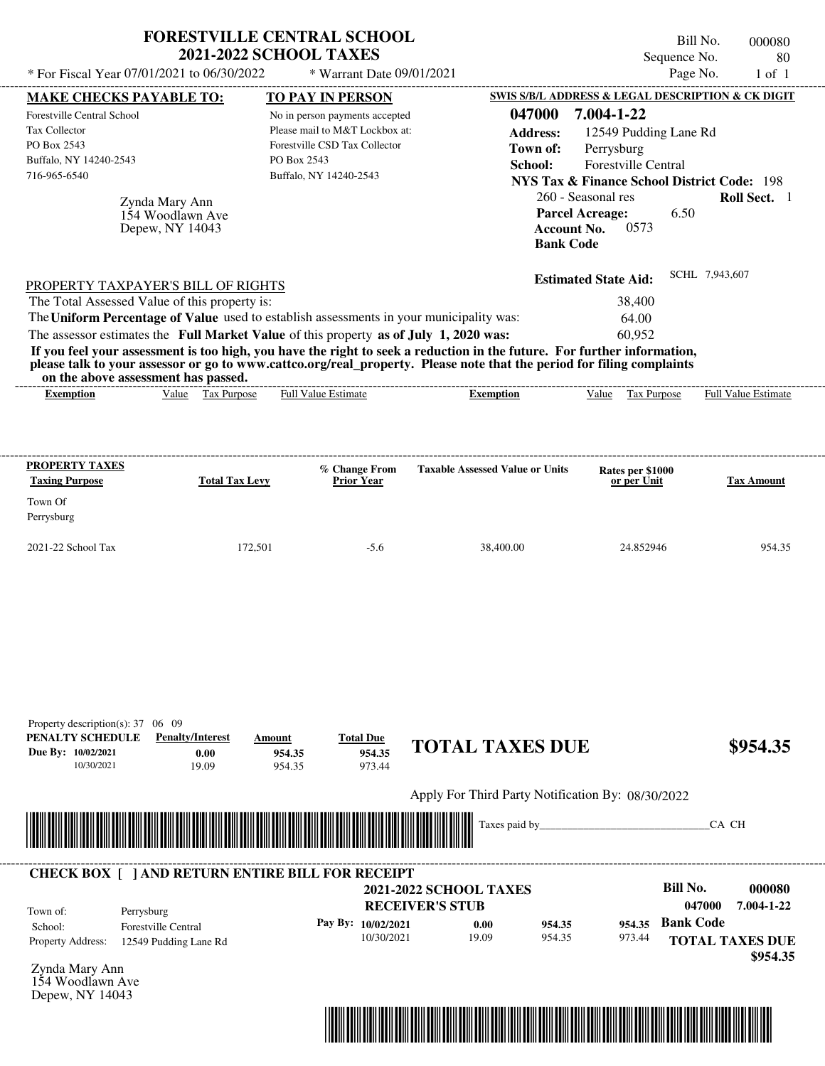| * For Fiscal Year 07/01/2021 to 06/30/2022                                                                                                           |                                                       | <b>FORESTVILLE CENTRAL SCHOOL</b><br><b>2021-2022 SCHOOL TAXES</b><br>* Warrant Date 09/01/2021                                                                                  |                                                                                                                                                                                                                                                  | Bill No.<br>Sequence No.<br>Page No.                                                                                                                                                                                                                    | 000080<br>80<br>$1$ of $1$  |
|------------------------------------------------------------------------------------------------------------------------------------------------------|-------------------------------------------------------|----------------------------------------------------------------------------------------------------------------------------------------------------------------------------------|--------------------------------------------------------------------------------------------------------------------------------------------------------------------------------------------------------------------------------------------------|---------------------------------------------------------------------------------------------------------------------------------------------------------------------------------------------------------------------------------------------------------|-----------------------------|
|                                                                                                                                                      |                                                       |                                                                                                                                                                                  |                                                                                                                                                                                                                                                  |                                                                                                                                                                                                                                                         |                             |
| <b>MAKE CHECKS PAYABLE TO:</b><br><b>Forestville Central School</b><br><b>Tax Collector</b><br>PO Box 2543<br>Buffalo, NY 14240-2543<br>716-965-6540 | Zynda Mary Ann<br>154 Woodlawn Ave<br>Depew, NY 14043 | <b>TO PAY IN PERSON</b><br>No in person payments accepted<br>Please mail to M&T Lockbox at:<br>Forestville CSD Tax Collector<br>PO Box 2543<br>Buffalo, NY 14240-2543            | 047000<br><b>Address:</b><br>Town of:<br>School:<br><b>Account No.</b><br><b>Bank Code</b>                                                                                                                                                       | SWIS S/B/L ADDRESS & LEGAL DESCRIPTION & CK DIGIT<br>7.004-1-22<br>12549 Pudding Lane Rd<br>Perrysburg<br>Forestville Central<br><b>NYS Tax &amp; Finance School District Code: 198</b><br>260 - Seasonal res<br><b>Parcel Acreage:</b><br>6.50<br>0573 | Roll Sect. 1                |
| PROPERTY TAXPAYER'S BILL OF RIGHTS<br>The Total Assessed Value of this property is:<br>on the above assessment has passed.                           |                                                       | The Uniform Percentage of Value used to establish assessments in your municipality was:<br>The assessor estimates the Full Market Value of this property as of July 1, 2020 was: | If you feel your assessment is too high, you have the right to seek a reduction in the future. For further information,<br>please talk to your assessor or go to www.cattco.org/real_property. Please note that the period for filing complaints | <b>Estimated State Aid:</b><br>38,400<br>64.00<br>60,952                                                                                                                                                                                                | SCHL 7,943,607              |
| <b>Exemption</b>                                                                                                                                     | Value Tax Purpose                                     | Full Value Estimate                                                                                                                                                              | <b>Exemption</b>                                                                                                                                                                                                                                 | Tax Purpose<br>Value                                                                                                                                                                                                                                    | Full Value Estimate         |
| <b>PROPERTY TAXES</b><br><b>Taxing Purpose</b><br>Town Of<br>Perrysburg<br>2021-22 School Tax                                                        | <b>Total Tax Levy</b><br>172,501                      | % Change From<br><b>Prior Year</b><br>$-5.6$                                                                                                                                     | <b>Taxable Assessed Value or Units</b><br>38,400.00                                                                                                                                                                                              | Rates per \$1000<br>or per Unit<br>24.852946                                                                                                                                                                                                            | <b>Tax Amount</b><br>954.35 |
| Property description(s): 37 06 09<br>PENALTY SCHEDULE<br>Due By: 10/02/2021<br>10/30/2021                                                            | <b>Penalty/Interest</b><br>0.00<br>19.09              | <b>Total Due</b><br>Amount<br>954.35<br>954.35<br>954.35<br>973.44                                                                                                               | <b>TOTAL TAXES DUE</b><br>Apply For Third Party Notification By: 08/30/2022<br>Taxes paid by_                                                                                                                                                    |                                                                                                                                                                                                                                                         | \$954.35<br>CA CH           |
|                                                                                                                                                      |                                                       | <b>CHECK BOX [ ] AND RETURN ENTIRE BILL FOR RECEIPT</b>                                                                                                                          |                                                                                                                                                                                                                                                  |                                                                                                                                                                                                                                                         |                             |
| Town of:<br>Perrysburg<br>School:                                                                                                                    | Forestville Central                                   | Pay By: 10/02/2021                                                                                                                                                               | <b>2021-2022 SCHOOL TAXES</b><br><b>RECEIVER'S STUB</b><br>0.00<br>954.35                                                                                                                                                                        | <b>Bill No.</b><br>047000<br><b>Bank Code</b><br>954.35                                                                                                                                                                                                 | 000080<br>7.004-1-22        |

10/30/2021 19.09

Zynda Mary Ann Property Address: 12549 Pudding Lane Rd

154 Woodlawn Ave Depew, NY 14043



954.35

973.44

**TOTAL TAXES DUE**

 **\$954.35**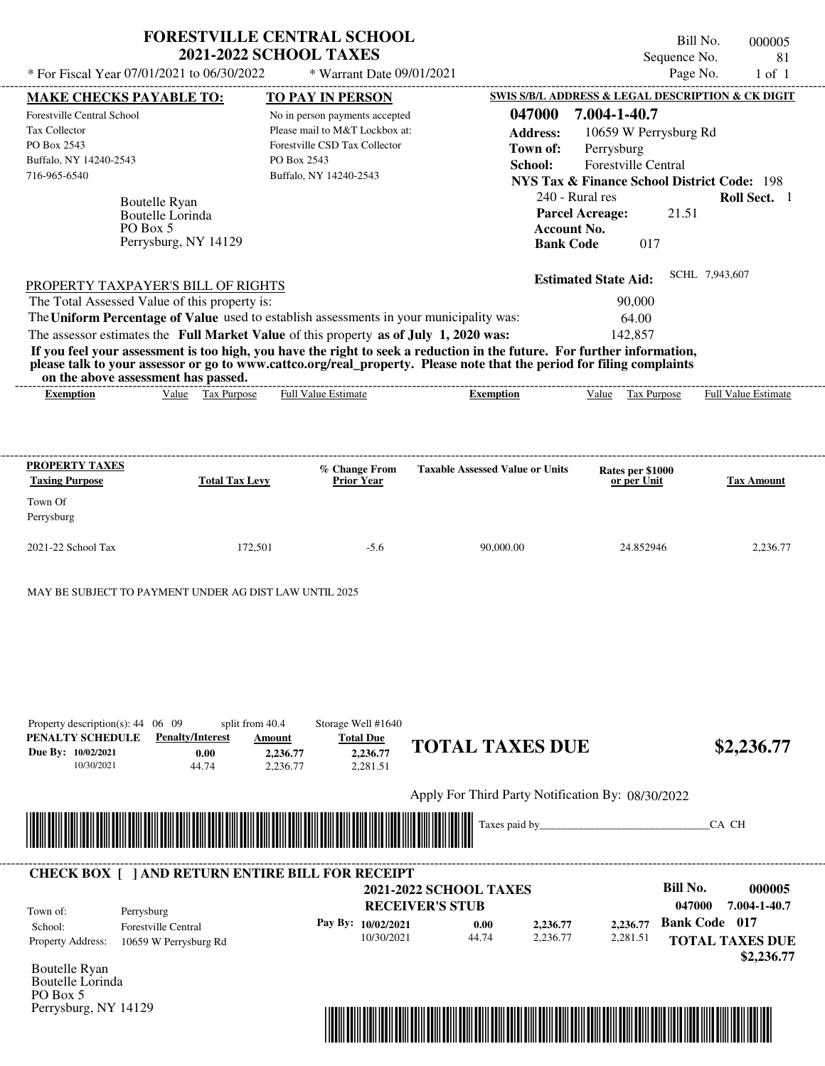| * For Fiscal Year 07/01/2021 to 06/30/2022                                                                                                                                                                                                                                                                                                                                                                                              | <b>FORESTVILLE CENTRAL SCHOOL</b><br><b>2021-2022 SCHOOL TAXES</b>                            | * Warrant Date 09/01/2021                                                                                                                              |                                                                                                                                         | Sequence No.<br>Page No.                                                                                                                                                                                  | Bill No.<br>000005<br>81<br>$1$ of $1$ |
|-----------------------------------------------------------------------------------------------------------------------------------------------------------------------------------------------------------------------------------------------------------------------------------------------------------------------------------------------------------------------------------------------------------------------------------------|-----------------------------------------------------------------------------------------------|--------------------------------------------------------------------------------------------------------------------------------------------------------|-----------------------------------------------------------------------------------------------------------------------------------------|-----------------------------------------------------------------------------------------------------------------------------------------------------------------------------------------------------------|----------------------------------------|
|                                                                                                                                                                                                                                                                                                                                                                                                                                         |                                                                                               |                                                                                                                                                        |                                                                                                                                         |                                                                                                                                                                                                           |                                        |
| <b>MAKE CHECKS PAYABLE TO:</b><br>Forestville Central School<br>Tax Collector<br>PO Box 2543<br>Buffalo, NY 14240-2543<br>716-965-6540<br>Boutelle Ryan<br>Boutelle Lorinda<br>PO Box 5                                                                                                                                                                                                                                                 | PO Box 2543<br>Perrysburg, NY 14129                                                           | <b>TO PAY IN PERSON</b><br>No in person payments accepted<br>Please mail to M&T Lockbox at:<br>Forestville CSD Tax Collector<br>Buffalo, NY 14240-2543 | 047000<br><b>Address:</b><br>Town of:<br>School:<br>240 - Rural res<br><b>Parcel Acreage:</b><br><b>Account No.</b><br><b>Bank Code</b> | SWIS S/B/L ADDRESS & LEGAL DESCRIPTION & CK DIGIT<br>7.004-1-40.7<br>10659 W Perrysburg Rd<br>Perrysburg<br>Forestville Central<br><b>NYS Tax &amp; Finance School District Code: 198</b><br>21.51<br>017 | Roll Sect. 1                           |
| PROPERTY TAXPAYER'S BILL OF RIGHTS<br>The Total Assessed Value of this property is:<br>The Uniform Percentage of Value used to establish assessments in your municipality was:<br>The assessor estimates the Full Market Value of this property as of July 1, 2020 was:<br>please talk to your assessor or go to www.cattco.org/real_property. Please note that the period for filing complaints<br>on the above assessment has passed. |                                                                                               |                                                                                                                                                        | If you feel your assessment is too high, you have the right to seek a reduction in the future. For further information,                 | <b>Estimated State Aid:</b><br>90,000<br>64.00<br>142,857                                                                                                                                                 | SCHL 7,943,607                         |
| <b>Exemption</b>                                                                                                                                                                                                                                                                                                                                                                                                                        | Value Tax Purpose                                                                             | <b>Full Value Estimate</b>                                                                                                                             | <b>Exemption</b>                                                                                                                        | Value Tax Purpose                                                                                                                                                                                         | <b>Full Value Estimate</b>             |
| <b>PROPERTY TAXES</b><br><b>Taxing Purpose</b><br>Town Of<br>Perrysburg<br>2021-22 School Tax                                                                                                                                                                                                                                                                                                                                           | <b>Total Tax Levy</b><br>172,501                                                              | % Change From<br><b>Prior Year</b><br>$-5.6$                                                                                                           | <b>Taxable Assessed Value or Units</b><br>90.000.00                                                                                     | Rates per \$1000<br>or per Unit<br>24.852946                                                                                                                                                              | <b>Tax Amount</b><br>2,236.77          |
| MAY BE SUBJECT TO PAYMENT UNDER AG DIST LAW UNTIL 2025                                                                                                                                                                                                                                                                                                                                                                                  |                                                                                               |                                                                                                                                                        |                                                                                                                                         |                                                                                                                                                                                                           |                                        |
| Property description(s): $44 \quad 06 \quad 09$<br>PENALTY SCHEDULE<br>Due By: 10/02/2021<br>10/30/2021                                                                                                                                                                                                                                                                                                                                 | split from 40.4<br><b>Penalty/Interest</b><br>Amount<br>0.00<br>2,236.77<br>2,236.77<br>44.74 | Storage Well #1640<br><b>Total Due</b><br>2,236.77<br>2,281.51                                                                                         | <b>TOTAL TAXES DUE</b>                                                                                                                  |                                                                                                                                                                                                           | \$2,236.77                             |
|                                                                                                                                                                                                                                                                                                                                                                                                                                         |                                                                                               |                                                                                                                                                        | Apply For Third Party Notification By: 08/30/2022                                                                                       |                                                                                                                                                                                                           |                                        |
|                                                                                                                                                                                                                                                                                                                                                                                                                                         |                                                                                               |                                                                                                                                                        | Taxes paid by_                                                                                                                          |                                                                                                                                                                                                           | CA CH                                  |
| <b>CHECK BOX [ ] AND RETURN ENTIRE BILL FOR RECEIPT</b>                                                                                                                                                                                                                                                                                                                                                                                 |                                                                                               |                                                                                                                                                        |                                                                                                                                         | <b>Bill No.</b>                                                                                                                                                                                           | 000005                                 |
| Town of:<br>Perrysburg                                                                                                                                                                                                                                                                                                                                                                                                                  |                                                                                               | <b>RECEIVER'S STUB</b>                                                                                                                                 | <b>2021-2022 SCHOOL TAXES</b>                                                                                                           | 047000                                                                                                                                                                                                    | 7.004-1-40.7                           |

**Pay By: 10/02/2021**

10/30/2021 44.74

**0.00**

| Property Address:                        | 10659 W Perrysburg Rd |
|------------------------------------------|-----------------------|
| <b>Boutelle Ryan</b><br>Routelle Lorinda |                       |

School: Forestville Central

Boutelle Lorinda PO Box 5 Perrysburg, NY 14129



2,236.77 **2,236.77** 2,281.51 **2,236.77** **Bank Code 017**

**TOTAL TAXES DUE**

 **\$2,236.77**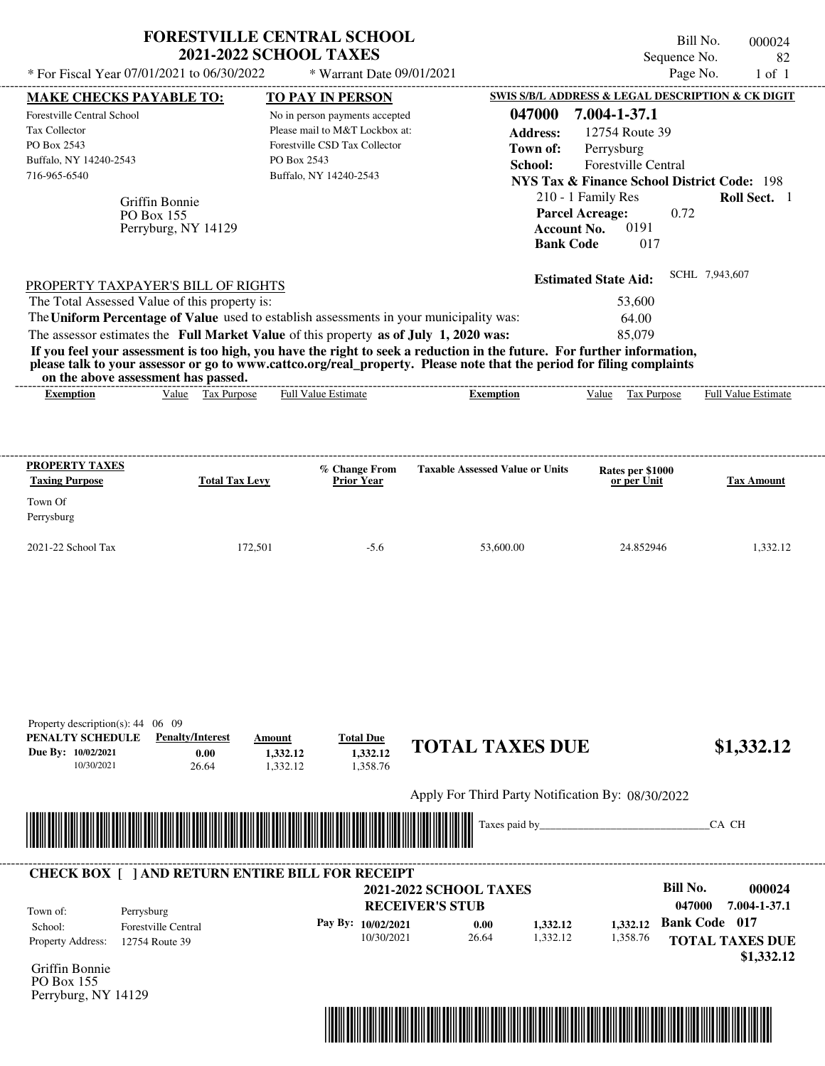| * For Fiscal Year 07/01/2021 to 06/30/2022                                                                                             |                                                     | <b>FORESTVILLE CENTRAL SCHOOL</b><br><b>2021-2022 SCHOOL TAXES</b><br>* Warrant Date 09/01/2021                                                                                                                                                                                                                                                                                                                                      |                                                         |                                                                                                                                            |                                                                                           | Bill No.<br>Sequence No.<br>Page No.                                           | 000024<br>82<br>$1$ of $1$ |
|----------------------------------------------------------------------------------------------------------------------------------------|-----------------------------------------------------|--------------------------------------------------------------------------------------------------------------------------------------------------------------------------------------------------------------------------------------------------------------------------------------------------------------------------------------------------------------------------------------------------------------------------------------|---------------------------------------------------------|--------------------------------------------------------------------------------------------------------------------------------------------|-------------------------------------------------------------------------------------------|--------------------------------------------------------------------------------|----------------------------|
|                                                                                                                                        |                                                     |                                                                                                                                                                                                                                                                                                                                                                                                                                      |                                                         |                                                                                                                                            |                                                                                           | SWIS S/B/L ADDRESS & LEGAL DESCRIPTION & CK DIGIT                              |                            |
| <b>MAKE CHECKS PAYABLE TO:</b><br>Forestville Central School<br>Tax Collector<br>PO Box 2543<br>Buffalo, NY 14240-2543<br>716-965-6540 | Griffin Bonnie<br>PO Box 155<br>Perryburg, NY 14129 | <b>TO PAY IN PERSON</b><br>No in person payments accepted<br>Please mail to M&T Lockbox at:<br>Forestville CSD Tax Collector<br>PO Box 2543<br>Buffalo, NY 14240-2543                                                                                                                                                                                                                                                                |                                                         | 047000<br><b>Address:</b><br>Town of:<br>School:<br>210 - 1 Family Res<br><b>Parcel Acreage:</b><br><b>Account No.</b><br><b>Bank Code</b> | 7.004-1-37.1<br>12754 Route 39<br>Perrysburg<br><b>Forestville Central</b><br>0191<br>017 | <b>NYS Tax &amp; Finance School District Code: 198</b><br>Roll Sect. 1<br>0.72 |                            |
| PROPERTY TAXPAYER'S BILL OF RIGHTS<br>The Total Assessed Value of this property is:<br>on the above assessment has passed.             |                                                     | The Uniform Percentage of Value used to establish assessments in your municipality was:<br>The assessor estimates the Full Market Value of this property as of July 1, 2020 was:<br>If you feel your assessment is too high, you have the right to seek a reduction in the future. For further information,<br>please talk to your assessor or go to www.cattco.org/real_property. Please note that the period for filing complaints |                                                         | <b>Estimated State Aid:</b>                                                                                                                | 53,600<br>64.00<br>85,079                                                                 | SCHL 7,943,607                                                                 |                            |
| <b>Exemption</b>                                                                                                                       | Value Tax Purpose                                   | <b>Full Value Estimate</b>                                                                                                                                                                                                                                                                                                                                                                                                           | <b>Exemption</b>                                        |                                                                                                                                            | Tax Purpose<br>Value                                                                      | <b>Full Value Estimate</b>                                                     |                            |
| <b>PROPERTY TAXES</b><br><b>Taxing Purpose</b><br>Town Of<br>Perrysburg<br>2021-22 School Tax                                          | <b>Total Tax Levy</b><br>172,501                    | % Change From<br><b>Prior Year</b><br>$-5.6$                                                                                                                                                                                                                                                                                                                                                                                         | <b>Taxable Assessed Value or Units</b><br>53,600.00     |                                                                                                                                            | Rates per \$1000<br>or per Unit<br>24.852946                                              | <b>Tax Amount</b>                                                              | 1,332.12                   |
| Property description(s): 44 06 09<br>PENALTY SCHEDULE                                                                                  | <b>Penalty/Interest</b>                             | <b>Total Due</b><br>Amount                                                                                                                                                                                                                                                                                                                                                                                                           | <b>TOTAL TAXES DUE</b>                                  |                                                                                                                                            |                                                                                           |                                                                                |                            |
| Due By: 10/02/2021<br>10/30/2021                                                                                                       | 0.00<br>26.64                                       | 1,332.12<br>1,332.12<br>1,358.76<br>1,332.12                                                                                                                                                                                                                                                                                                                                                                                         |                                                         |                                                                                                                                            |                                                                                           | \$1,332.12                                                                     |                            |
|                                                                                                                                        |                                                     |                                                                                                                                                                                                                                                                                                                                                                                                                                      | Apply For Third Party Notification By: 08/30/2022       |                                                                                                                                            |                                                                                           |                                                                                |                            |
|                                                                                                                                        |                                                     |                                                                                                                                                                                                                                                                                                                                                                                                                                      | Taxes paid by_                                          |                                                                                                                                            |                                                                                           | CA CH                                                                          |                            |
|                                                                                                                                        |                                                     | <b>CHECK BOX [ ] AND RETURN ENTIRE BILL FOR RECEIPT</b>                                                                                                                                                                                                                                                                                                                                                                              |                                                         |                                                                                                                                            |                                                                                           |                                                                                |                            |
| Town of:<br>Perrysburg                                                                                                                 |                                                     |                                                                                                                                                                                                                                                                                                                                                                                                                                      | <b>2021-2022 SCHOOL TAXES</b><br><b>RECEIVER'S STUB</b> |                                                                                                                                            |                                                                                           | <b>Bill No.</b><br>047000<br>7.004-1-37.1                                      | 000024                     |
| School:                                                                                                                                | <b>Forestville Central</b>                          | Pay By: 10/02/2021                                                                                                                                                                                                                                                                                                                                                                                                                   | 0.00                                                    | 1,332.12                                                                                                                                   | 1,332.12                                                                                  | <b>Bank Code 017</b>                                                           |                            |

Griffin Bonnie PO Box 155 Perryburg, NY 14129



 **\$1,332.12**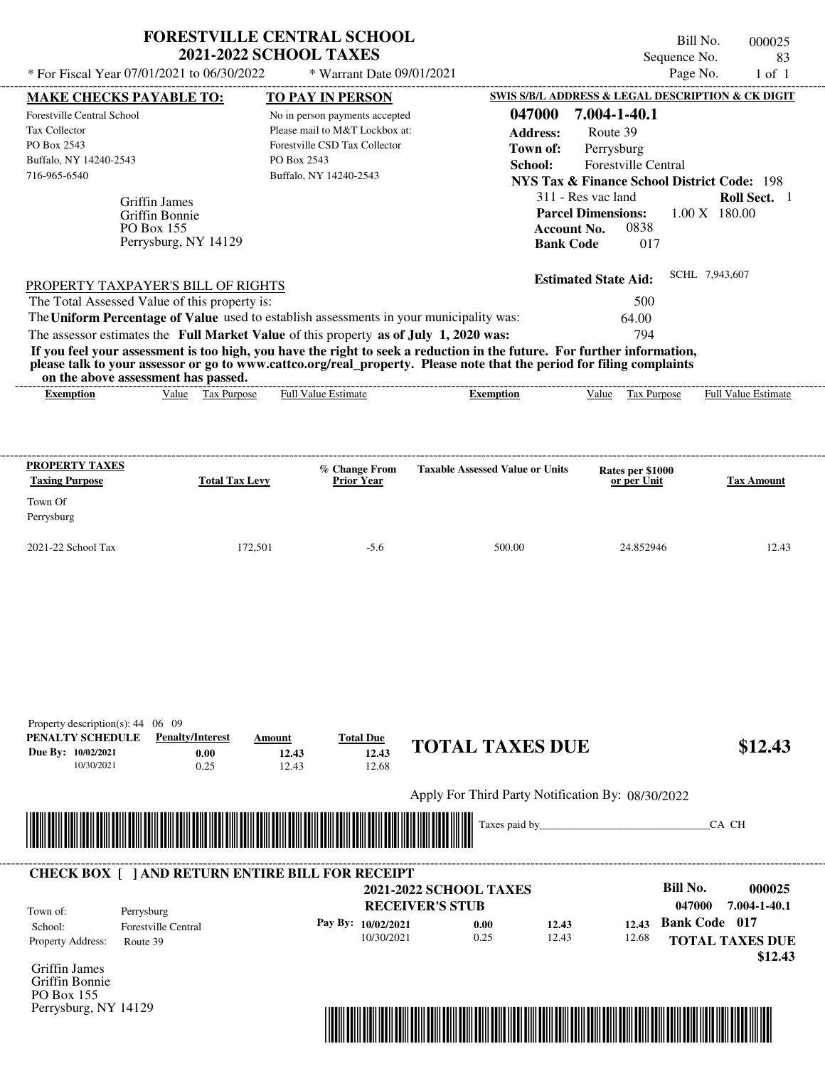|                                                                                                                                                                                                                                                                                                                | <b>FORESTVILLE CENTRAL SCHOOL</b><br><b>2021-2022 SCHOOL TAXES</b>    |                          |                                                                                                                                                        |                                                                                                                                                                                                                                                  | Sequence No.                                                                                                                                                                                                                                                                | Bill No.<br>000025<br>83         |
|----------------------------------------------------------------------------------------------------------------------------------------------------------------------------------------------------------------------------------------------------------------------------------------------------------------|-----------------------------------------------------------------------|--------------------------|--------------------------------------------------------------------------------------------------------------------------------------------------------|--------------------------------------------------------------------------------------------------------------------------------------------------------------------------------------------------------------------------------------------------|-----------------------------------------------------------------------------------------------------------------------------------------------------------------------------------------------------------------------------------------------------------------------------|----------------------------------|
| * For Fiscal Year 07/01/2021 to 06/30/2022                                                                                                                                                                                                                                                                     |                                                                       |                          | * Warrant Date 09/01/2021                                                                                                                              |                                                                                                                                                                                                                                                  |                                                                                                                                                                                                                                                                             | Page No.<br>$1$ of $1$           |
| <b>MAKE CHECKS PAYABLE TO:</b><br>Forestville Central School<br>Tax Collector<br>PO Box 2543<br>Buffalo, NY 14240-2543<br>716-965-6540                                                                                                                                                                         | Griffin James<br>Griffin Bonnie<br>PO Box 155<br>Perrysburg, NY 14129 | PO Box 2543              | <b>TO PAY IN PERSON</b><br>No in person payments accepted<br>Please mail to M&T Lockbox at:<br>Forestville CSD Tax Collector<br>Buffalo, NY 14240-2543 | 047000<br><b>Address:</b><br>Town of:<br>School:<br><b>Bank Code</b>                                                                                                                                                                             | SWIS S/B/L ADDRESS & LEGAL DESCRIPTION & CK DIGIT<br>7.004-1-40.1<br>Route 39<br>Perrysburg<br><b>Forestville Central</b><br><b>NYS Tax &amp; Finance School District Code: 198</b><br>311 - Res vac land<br><b>Parcel Dimensions:</b><br>0838<br><b>Account No.</b><br>017 | Roll Sect. 1<br>1.00 X 180.00    |
| PROPERTY TAXPAYER'S BILL OF RIGHTS<br>The Total Assessed Value of this property is:<br>The Uniform Percentage of Value used to establish assessments in your municipality was:<br>The assessor estimates the Full Market Value of this property as of July 1, 2020 was:<br>on the above assessment has passed. |                                                                       |                          |                                                                                                                                                        | If you feel your assessment is too high, you have the right to seek a reduction in the future. For further information,<br>please talk to your assessor or go to www.cattco.org/real_property. Please note that the period for filing complaints | <b>Estimated State Aid:</b><br>500<br>64.00<br>794                                                                                                                                                                                                                          | SCHL 7,943,607                   |
| <b>Exemption</b>                                                                                                                                                                                                                                                                                               | Value Tax Purpose                                                     |                          | Full Value Estimate                                                                                                                                    | <b>Exemption</b>                                                                                                                                                                                                                                 | Value Tax Purpose                                                                                                                                                                                                                                                           | <b>Full Value Estimate</b>       |
| <b>PROPERTY TAXES</b><br><b>Taxing Purpose</b><br>Town Of<br>Perrysburg<br>2021-22 School Tax                                                                                                                                                                                                                  | <b>Total Tax Levy</b>                                                 | 172,501                  | % Change From<br>Prior Year<br>$-5.6$                                                                                                                  | <b>Taxable Assessed Value or Units</b><br>500.00                                                                                                                                                                                                 | Rates per \$1000<br>or per Unit<br>24.852946                                                                                                                                                                                                                                | <b>Tax Amount</b><br>12.43       |
| Property description(s): $44 \quad 06 \quad 09$<br>PENALTY SCHEDULE<br>Due By: 10/02/2021<br>10/30/2021                                                                                                                                                                                                        | <b>Penalty/Interest</b><br>0.00<br>0.25                               | Amount<br>12.43<br>12.43 | <b>Total Due</b><br>12.43<br>12.68                                                                                                                     | <b>TOTAL TAXES DUE</b>                                                                                                                                                                                                                           |                                                                                                                                                                                                                                                                             | \$12.43                          |
|                                                                                                                                                                                                                                                                                                                |                                                                       |                          |                                                                                                                                                        | Apply For Third Party Notification By: 08/30/2022                                                                                                                                                                                                |                                                                                                                                                                                                                                                                             |                                  |
|                                                                                                                                                                                                                                                                                                                |                                                                       |                          |                                                                                                                                                        | Taxes paid by_                                                                                                                                                                                                                                   |                                                                                                                                                                                                                                                                             | CA CH                            |
| <b>CHECK BOX [ ] AND RETURN ENTIRE BILL FOR RECEIPT</b>                                                                                                                                                                                                                                                        |                                                                       |                          |                                                                                                                                                        | <b>2021-2022 SCHOOL TAXES</b><br><b>RECEIVER'S STUB</b>                                                                                                                                                                                          | <b>Bill No.</b>                                                                                                                                                                                                                                                             | 000025<br>047000<br>7.004-1-40.1 |

**Pay By: 10/02/2021**

10/30/2021 0.25

**0.00**

Property Address: Route 39 School: Forestville Central Town of:

Griffin James Griffin Bonnie PO Box 155 Perrysburg, NY 14129

Perrysburg



12.43 **12.43** **Bank Code 017**

12.68 **12.43**

**TOTAL TAXES DUE**

 **\$12.43**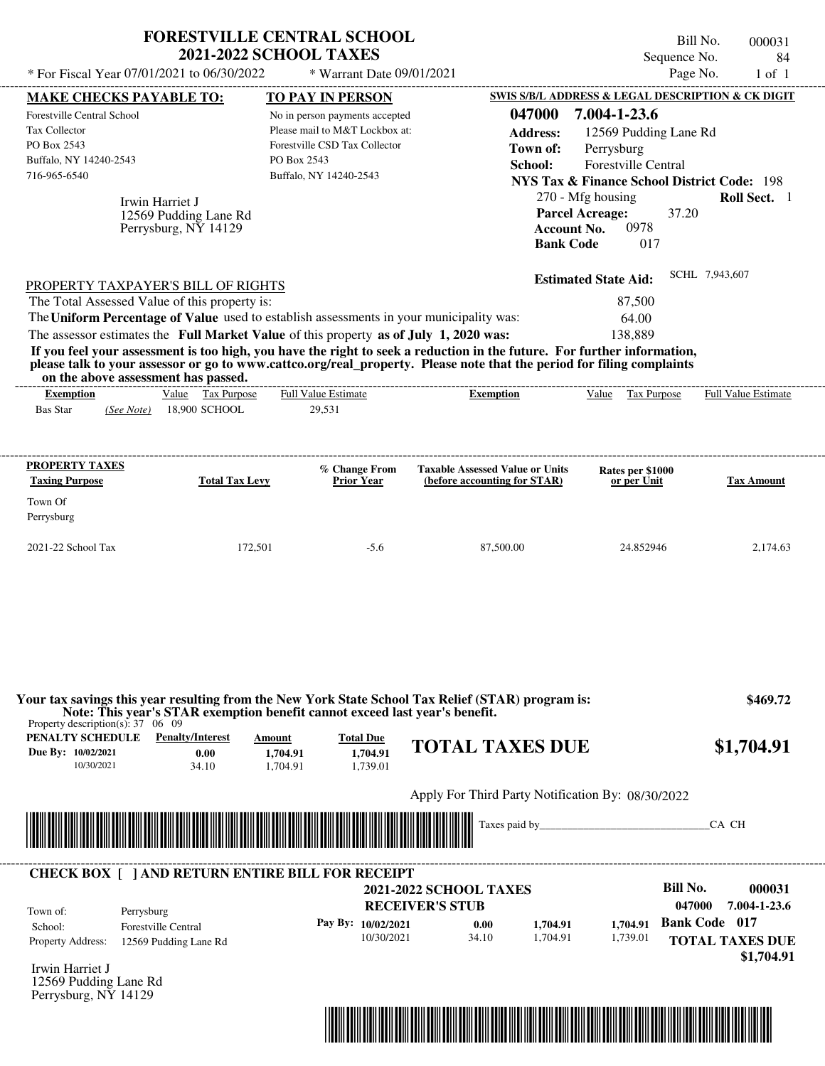| <b>FORESTVILLE CENTRAL SCHOOL</b><br>* For Fiscal Year 07/01/2021 to 06/30/2022                                                                                                                                                                                                                                                                                                                                                                                                                                                                                    | <b>2021-2022 SCHOOL TAXES</b>                                                                                                              | * Warrant Date 09/01/2021                |                                                                            | Bill No.<br>Sequence No.<br>Page No.                                                                                                                               | 000031<br>84<br>$1$ of $1$                                   |
|--------------------------------------------------------------------------------------------------------------------------------------------------------------------------------------------------------------------------------------------------------------------------------------------------------------------------------------------------------------------------------------------------------------------------------------------------------------------------------------------------------------------------------------------------------------------|--------------------------------------------------------------------------------------------------------------------------------------------|------------------------------------------|----------------------------------------------------------------------------|--------------------------------------------------------------------------------------------------------------------------------------------------------------------|--------------------------------------------------------------|
| <u>MAKE CHECKS PAYABLE TO:</u>                                                                                                                                                                                                                                                                                                                                                                                                                                                                                                                                     | <b>TO PAY IN PERSON</b>                                                                                                                    |                                          |                                                                            | SWIS S/B/L ADDRESS & LEGAL DESCRIPTION & CK DIGIT                                                                                                                  |                                                              |
| Forestville Central School<br>Tax Collector<br>PO Box 2543<br>Buffalo, NY 14240-2543<br>716-965-6540<br>Irwin Harriet J                                                                                                                                                                                                                                                                                                                                                                                                                                            | No in person payments accepted<br>Please mail to M&T Lockbox at:<br>Forestville CSD Tax Collector<br>PO Box 2543<br>Buffalo, NY 14240-2543 |                                          | 047000<br><b>Address:</b><br>Town of:<br>School:<br><b>Parcel Acreage:</b> | 7.004-1-23.6<br>12569 Pudding Lane Rd<br>Perrysburg<br>Forestville Central<br><b>NYS Tax &amp; Finance School District Code: 198</b><br>270 - Mfg housing<br>37.20 | Roll Sect. 1                                                 |
| 12569 Pudding Lane Rd<br>Perrysburg, NY 14129                                                                                                                                                                                                                                                                                                                                                                                                                                                                                                                      |                                                                                                                                            |                                          | <b>Account No.</b><br><b>Bank Code</b>                                     | 0978<br>017                                                                                                                                                        |                                                              |
| PROPERTY TAXPAYER'S BILL OF RIGHTS<br>The Total Assessed Value of this property is:<br>The Uniform Percentage of Value used to establish assessments in your municipality was:<br>The assessor estimates the Full Market Value of this property as of July 1, 2020 was:<br>If you feel your assessment is too high, you have the right to seek a reduction in the future. For further information,<br>please talk to your assessor or go to www.cattco.org/real_property. Please note that the period for filing complaints<br>on the above assessment has passed. |                                                                                                                                            |                                          |                                                                            | <b>Estimated State Aid:</b><br>87,500<br>64.00<br>138,889                                                                                                          | SCHL 7,943,607                                               |
| Value Tax Purpose<br><b>Exemption</b>                                                                                                                                                                                                                                                                                                                                                                                                                                                                                                                              | Full Value Estimate                                                                                                                        |                                          | <b>Exemption</b>                                                           | Value Tax Purpose                                                                                                                                                  | Full Value Estimate                                          |
| PROPERTY TAXES<br><b>Taxing Purpose</b><br><b>Total Tax Levy</b><br>Town Of<br>Perrysburg                                                                                                                                                                                                                                                                                                                                                                                                                                                                          |                                                                                                                                            | % Change From<br><b>Prior Year</b>       | <b>Taxable Assessed Value or Units</b><br>(before accounting for STAR)     | Rates per \$1000<br>or per Unit                                                                                                                                    | <b>Tax Amount</b>                                            |
| 2021-22 School Tax                                                                                                                                                                                                                                                                                                                                                                                                                                                                                                                                                 | 172,501                                                                                                                                    | $-5.6$                                   | 87,500.00                                                                  | 24.852946                                                                                                                                                          | 2,174.63                                                     |
| Your tax savings this year resulting from the New York State School Tax Relief (STAR) program is:<br>Note: This year's STAR exemption benefit cannot exceed last year's benefit.<br>Property description(s): $37 \quad 06 \quad 09$                                                                                                                                                                                                                                                                                                                                |                                                                                                                                            |                                          |                                                                            |                                                                                                                                                                    | \$469.72                                                     |
| <b>PENALTY SCHEDULE</b> Penalty/Interest<br>Due By: 10/02/2021<br>0.00<br>10/30/2021<br>34.10                                                                                                                                                                                                                                                                                                                                                                                                                                                                      | Amount<br>1,704.91<br>1,704.91                                                                                                             | <b>Total Due</b><br>1,704.91<br>1,739.01 | <b>TOTAL TAXES DUE</b>                                                     |                                                                                                                                                                    | \$1,704.91                                                   |
|                                                                                                                                                                                                                                                                                                                                                                                                                                                                                                                                                                    |                                                                                                                                            |                                          | Apply For Third Party Notification By: 08/30/2022                          |                                                                                                                                                                    |                                                              |
|                                                                                                                                                                                                                                                                                                                                                                                                                                                                                                                                                                    |                                                                                                                                            |                                          | Taxes paid by                                                              |                                                                                                                                                                    | CA CH                                                        |
| <b>CHECK BOX [ ] AND RETURN ENTIRE BILL FOR RECEIPT</b><br>Town of:<br>Perrysburg                                                                                                                                                                                                                                                                                                                                                                                                                                                                                  |                                                                                                                                            | <b>RECEIVER'S STUB</b>                   | <b>2021-2022 SCHOOL TAXES</b>                                              | <b>Bill No.</b><br>047000                                                                                                                                          | 000031<br>7.004-1-23.6                                       |
| School:<br><b>Forestville Central</b><br>Property Address:<br>12569 Pudding Lane Rd                                                                                                                                                                                                                                                                                                                                                                                                                                                                                |                                                                                                                                            | Pay By: 10/02/2021<br>10/30/2021         | 1,704.91<br>0.00<br>34.10<br>1,704.91                                      | 1.704.91<br>1,739.01                                                                                                                                               | <b>Bank Code</b> 017<br><b>TOTAL TAXES DUE</b><br>\$1,704.91 |
| Irwin Harriet J<br>12569 Pudding Lane Rd<br>Perrysburg, NY 14129                                                                                                                                                                                                                                                                                                                                                                                                                                                                                                   |                                                                                                                                            |                                          |                                                                            |                                                                                                                                                                    |                                                              |

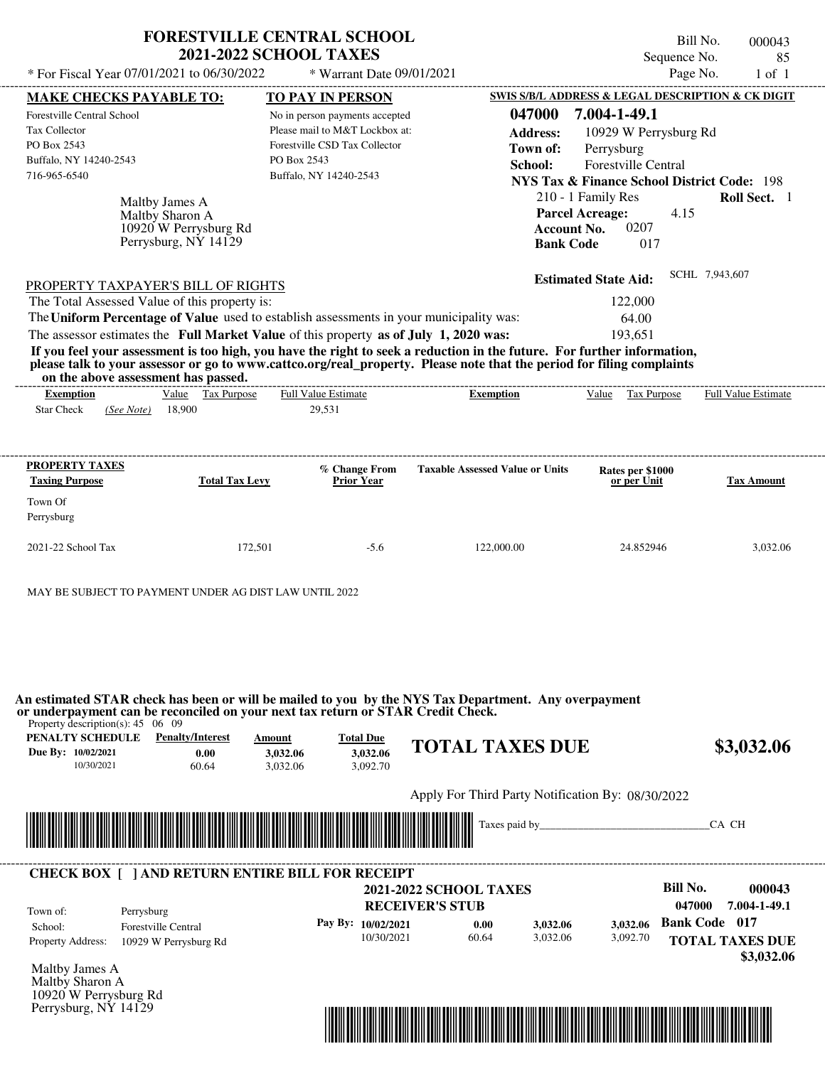| * For Fiscal Year 07/01/2021 to 06/30/2022                                                                                                                        | <b>2021-2022 SCHOOL TAXES</b>                                                                                                                                                    | <b>FORESTVILLE CENTRAL SCHOOL</b><br>* Warrant Date 09/01/2021                                                                             |                                                                                                                                                                                                                                                                                         | Bill No.<br>Sequence No.<br>Page No.                                                                                                                                              | 000043<br>85<br>$1$ of $1$ |
|-------------------------------------------------------------------------------------------------------------------------------------------------------------------|----------------------------------------------------------------------------------------------------------------------------------------------------------------------------------|--------------------------------------------------------------------------------------------------------------------------------------------|-----------------------------------------------------------------------------------------------------------------------------------------------------------------------------------------------------------------------------------------------------------------------------------------|-----------------------------------------------------------------------------------------------------------------------------------------------------------------------------------|----------------------------|
|                                                                                                                                                                   |                                                                                                                                                                                  | TO PAY IN PERSON                                                                                                                           |                                                                                                                                                                                                                                                                                         | SWIS S/B/L ADDRESS & LEGAL DESCRIPTION & CK DIGIT                                                                                                                                 |                            |
| <b>MAKE CHECKS PAYABLE TO:</b><br>Forestville Central School<br>Tax Collector<br>PO Box 2543<br>Buffalo, NY 14240-2543<br>716-965-6540                            | Maltby James A<br>Maltby Sharon A<br>10920 W Perrysburg Rd<br>Perrysburg, NY 14129                                                                                               | No in person payments accepted<br>Please mail to M&T Lockbox at:<br>Forestville CSD Tax Collector<br>PO Box 2543<br>Buffalo, NY 14240-2543 | 047000<br><b>Address:</b><br>Town of:<br>School:<br><b>Parcel Acreage:</b><br><b>Account No.</b><br><b>Bank Code</b>                                                                                                                                                                    | 7.004-1-49.1<br>10929 W Perrysburg Rd<br>Perrysburg<br>Forestville Central<br><b>NYS Tax &amp; Finance School District Code: 198</b><br>210 - 1 Family Res<br>4.15<br>0207<br>017 | Roll Sect. 1               |
| <b>PROPERTY TAXPAYER'S BILL OF RIGHTS</b><br>The Total Assessed Value of this property is:                                                                        | The Uniform Percentage of Value used to establish assessments in your municipality was:<br>The assessor estimates the Full Market Value of this property as of July 1, 2020 was: |                                                                                                                                            | If you feel your assessment is too high, you have the right to seek a reduction in the future. For further information,<br>please talk to your assessor or go to www.cattco.org/real_property. Please note that the period for filing complaints                                        | <b>Estimated State Aid:</b><br>122,000<br>64.00<br>193,651                                                                                                                        | SCHL 7,943,607             |
| on the above assessment has passed.<br><b>Exemption</b><br><b>Star Check</b><br>(See Note)                                                                        | Value Tax Purpose<br>18,900                                                                                                                                                      | <b>Full Value Estimate</b><br>29,531                                                                                                       | <b>Exemption</b>                                                                                                                                                                                                                                                                        | Value Tax Purpose                                                                                                                                                                 | Full Value Estimate        |
| <b>PROPERTY TAXES</b><br><b>Taxing Purpose</b><br>Town Of                                                                                                         | <b>Total Tax Levy</b>                                                                                                                                                            | % Change From<br><b>Prior Year</b>                                                                                                         | <b>Taxable Assessed Value or Units</b>                                                                                                                                                                                                                                                  | Rates per \$1000<br>or per Unit                                                                                                                                                   | <b>Tax Amount</b>          |
| Perrysburg                                                                                                                                                        |                                                                                                                                                                                  |                                                                                                                                            |                                                                                                                                                                                                                                                                                         |                                                                                                                                                                                   |                            |
| 2021-22 School Tax                                                                                                                                                | 172,501                                                                                                                                                                          | $-5.6$                                                                                                                                     | 122,000.00                                                                                                                                                                                                                                                                              | 24.852946                                                                                                                                                                         | 3,032.06                   |
|                                                                                                                                                                   |                                                                                                                                                                                  |                                                                                                                                            |                                                                                                                                                                                                                                                                                         |                                                                                                                                                                                   |                            |
| MAY BE SUBJECT TO PAYMENT UNDER AG DIST LAW UNTIL 2022<br>Property description(s): $45 \quad 06 \quad 09$<br>PENALTY SCHEDULE<br>Due By: 10/02/2021<br>10/30/2021 | <b>Penalty/Interest</b><br>Amount<br>0.00<br>3.032.06<br>60.64<br>3,032.06                                                                                                       | <b>Total Due</b><br>3,032.06<br>3,092.70                                                                                                   | An estimated STAR check has been or will be mailed to you by the NYS Tax Department. Any overpayment<br><b>TOTAL TAXES DUE</b>                                                                                                                                                          |                                                                                                                                                                                   | \$3,032.06                 |
| or underpayment can be reconciled on your next tax return or STAR Credit Check.                                                                                   |                                                                                                                                                                                  |                                                                                                                                            | Apply For Third Party Notification By: 08/30/2022<br><b>Table 1996</b> Taxes paid by the set of the set of the set of the set of the set of the set of the set of the set of the set of the set of the set of the set of the set of the set of the set of the set of the set of the set |                                                                                                                                                                                   |                            |



| Town of:                 | Perrysburg                 | <b>2021-2022 SCHOOL TAXES</b><br><b>RECEIVER'S STUB</b> |       |          |          | Bill No.<br>047000   | 000043<br>7.004-1-49.1 |
|--------------------------|----------------------------|---------------------------------------------------------|-------|----------|----------|----------------------|------------------------|
| School:                  | <b>Forestville Central</b> | Pay By: 10/02/2021                                      | 0.00  | 3,032.06 | 3.032.06 | <b>Bank Code</b> 017 |                        |
| <b>Property Address:</b> | 10929 W Perrysburg Rd      | 10/30/2021                                              | 60.64 | 3.032.06 | 3,092.70 |                      | <b>TOTAL TAXES DUE</b> |

Maltby James A Maltby Sharon A 10920 W Perrysburg Rd Perrysburg, NY 14129

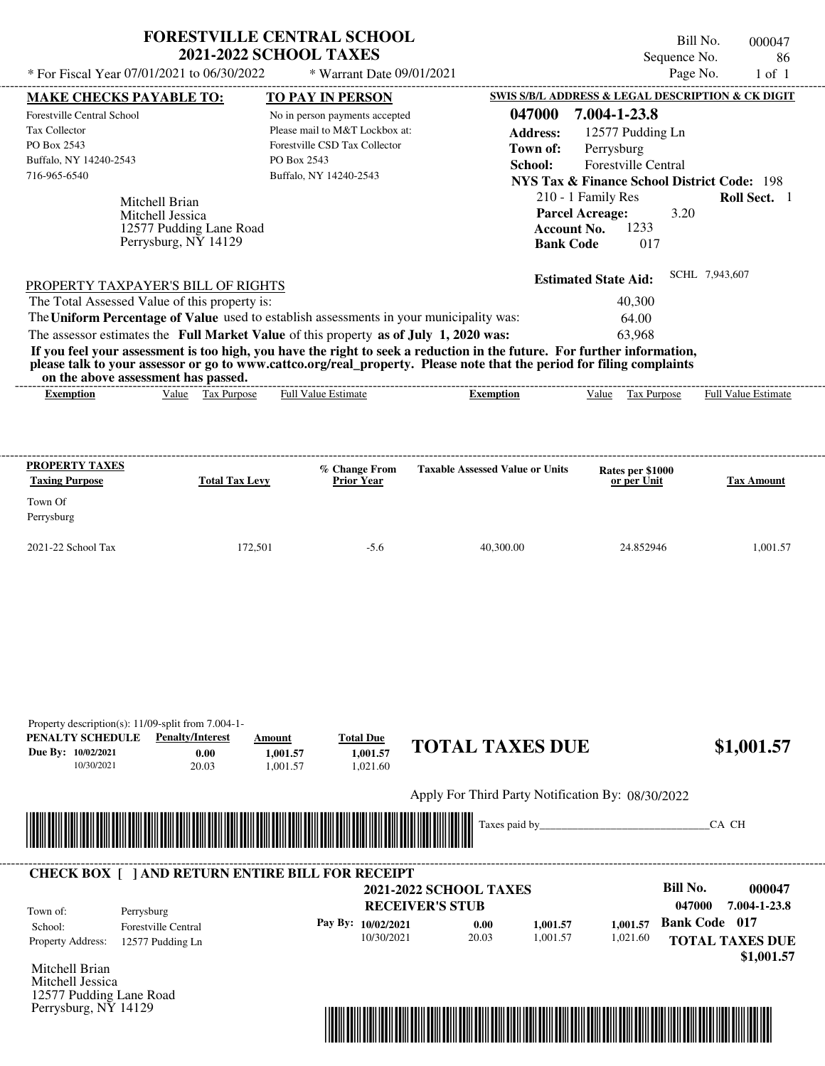|                                                                                                                            |                                                                                       | <b>FORESTVILLE CENTRAL SCHOOL</b><br><b>2021-2022 SCHOOL TAXES</b>                                                                                                               |                                                                                                                                                                                                                                                  | Sequence No.                                                                                                                                                                                                                                     | Bill No.<br>000047<br>86   |
|----------------------------------------------------------------------------------------------------------------------------|---------------------------------------------------------------------------------------|----------------------------------------------------------------------------------------------------------------------------------------------------------------------------------|--------------------------------------------------------------------------------------------------------------------------------------------------------------------------------------------------------------------------------------------------|--------------------------------------------------------------------------------------------------------------------------------------------------------------------------------------------------------------------------------------------------|----------------------------|
| * For Fiscal Year 07/01/2021 to 06/30/2022                                                                                 |                                                                                       | * Warrant Date 09/01/2021                                                                                                                                                        |                                                                                                                                                                                                                                                  | Page No.                                                                                                                                                                                                                                         | $1$ of $1$                 |
| <b>MAKE CHECKS PAYABLE TO:</b>                                                                                             |                                                                                       | <b>TO PAY IN PERSON</b>                                                                                                                                                          |                                                                                                                                                                                                                                                  | SWIS S/B/L ADDRESS & LEGAL DESCRIPTION & CK DIGIT                                                                                                                                                                                                |                            |
| Forestville Central School<br><b>Tax Collector</b><br>PO Box 2543<br>Buffalo, NY 14240-2543<br>716-965-6540                | Mitchell Brian<br>Mitchell Jessica<br>12577 Pudding Lane Road<br>Perrysburg, NY 14129 | No in person payments accepted<br>Please mail to M&T Lockbox at:<br>Forestville CSD Tax Collector<br>PO Box 2543<br>Buffalo, NY 14240-2543                                       | 047000<br><b>Address:</b><br>Town of:<br>School:                                                                                                                                                                                                 | 7.004-1-23.8<br>12577 Pudding Ln<br>Perrysburg<br><b>Forestville Central</b><br><b>NYS Tax &amp; Finance School District Code: 198</b><br>210 - 1 Family Res<br><b>Parcel Acreage:</b><br>3.20<br>1233<br>Account No.<br>017<br><b>Bank Code</b> | Roll Sect. 1               |
| PROPERTY TAXPAYER'S BILL OF RIGHTS<br>The Total Assessed Value of this property is:<br>on the above assessment has passed. |                                                                                       | The Uniform Percentage of Value used to establish assessments in your municipality was:<br>The assessor estimates the Full Market Value of this property as of July 1, 2020 was: | If you feel your assessment is too high, you have the right to seek a reduction in the future. For further information,<br>please talk to your assessor or go to www.cattco.org/real_property. Please note that the period for filing complaints | <b>Estimated State Aid:</b><br>40,300<br>64.00<br>63.968                                                                                                                                                                                         | SCHL 7,943,607             |
| <b>Exemption</b>                                                                                                           | Value Tax Purpose                                                                     | <b>Full Value Estimate</b>                                                                                                                                                       | <b>Exemption</b>                                                                                                                                                                                                                                 | Tax Purpose<br>Value                                                                                                                                                                                                                             | <b>Full Value Estimate</b> |
| <b>PROPERTY TAXES</b><br><b>Taxing Purpose</b><br>Town Of<br>Perrysburg                                                    | <b>Total Tax Levy</b>                                                                 | % Change From<br><b>Prior Year</b>                                                                                                                                               | <b>Taxable Assessed Value or Units</b>                                                                                                                                                                                                           | Rates per \$1000<br>or per Unit                                                                                                                                                                                                                  | <b>Tax Amount</b>          |
| 2021-22 School Tax                                                                                                         | 172.501                                                                               | $-5.6$                                                                                                                                                                           | 40.300.00                                                                                                                                                                                                                                        | 24.852946                                                                                                                                                                                                                                        | 1.001.57                   |

| PENALTY SCHEDULE<br>Due By: 10/02/2021<br>10/30/2021                                  | Property description(s): 11/09-split from 7.004-1-<br><b>Penalty/Interest</b><br>0.00<br>20.03 | Amount<br>1,001.57<br>1.001.57 | <b>Total Due</b><br>1,001.57<br>1,021.60 | <b>TOTAL TAXES DUE</b>                                  |          |          |                      | \$1,001.57                           |
|---------------------------------------------------------------------------------------|------------------------------------------------------------------------------------------------|--------------------------------|------------------------------------------|---------------------------------------------------------|----------|----------|----------------------|--------------------------------------|
|                                                                                       |                                                                                                |                                |                                          | Apply For Third Party Notification By: 08/30/2022       |          |          |                      |                                      |
|                                                                                       |                                                                                                | <u> Tanzania (h. 1878).</u>    |                                          |                                                         |          |          |                      | CA CH                                |
|                                                                                       |                                                                                                |                                |                                          |                                                         |          |          |                      |                                      |
| Town of:                                                                              | <b>CHECK BOX [ ] AND RETURN ENTIRE BILL FOR RECEIPT</b><br>Perrysburg                          |                                |                                          | <b>2021-2022 SCHOOL TAXES</b><br><b>RECEIVER'S STUB</b> |          |          | Bill No.<br>047000   | 000047<br>7.004-1-23.8               |
| School:                                                                               | <b>Forestville Central</b>                                                                     |                                | Pay By: 10/02/2021                       | 0.00                                                    | 1,001.57 | 1,001.57 | <b>Bank Code</b> 017 |                                      |
| Property Address:                                                                     | 12577 Pudding Ln                                                                               |                                | 10/30/2021                               | 20.03                                                   | 1,001.57 | 1,021.60 |                      | <b>TOTAL TAXES DUE</b><br>\$1,001.57 |
| Mitchell Brian<br>Mitchell Jessica<br>12577 Pudding Lane Road<br>Perrysburg, NY 14129 |                                                                                                |                                |                                          |                                                         |          |          |                      |                                      |

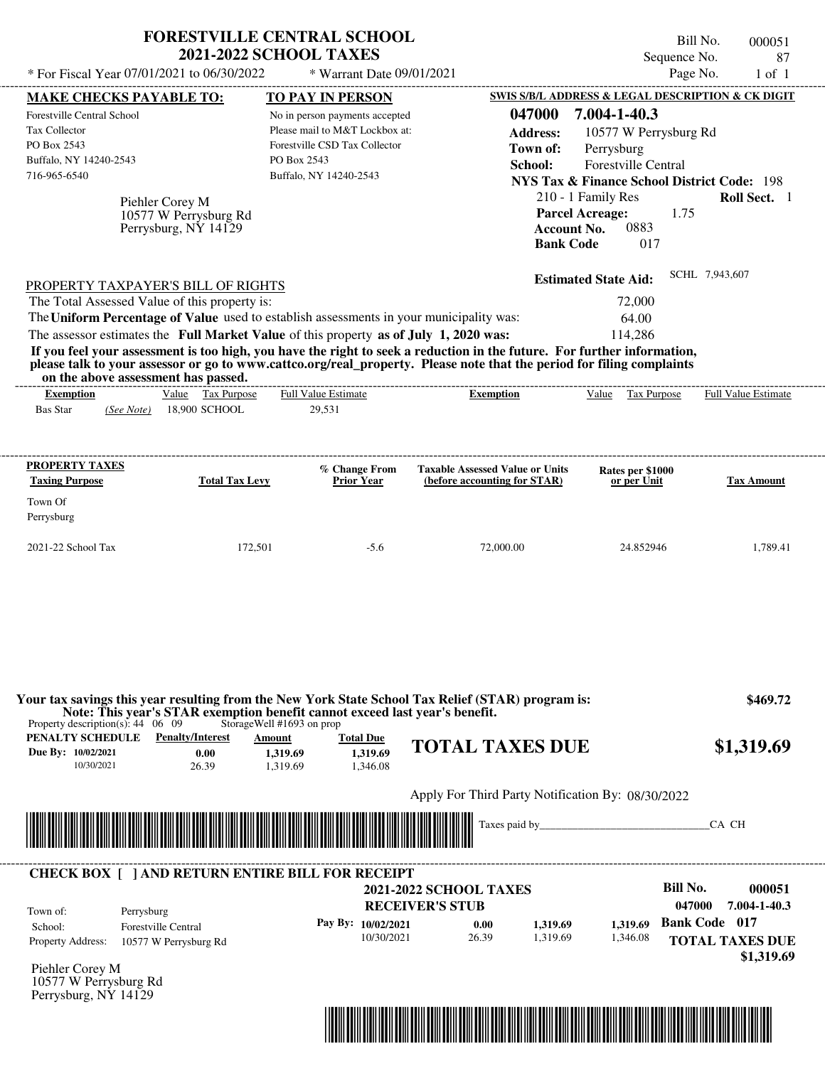| * For Fiscal Year 07/01/2021 to 06/30/2022                                                                                                  |                                                                  | <b>FORESTVILLE CENTRAL SCHOOL</b><br><b>2021-2022 SCHOOL TAXES</b>                                                                                                                            |                                                                                                                                                                                                                                                  | Sequence No.                                                                                                                                                                                                | Bill No.<br>000051<br>87                                                               |
|---------------------------------------------------------------------------------------------------------------------------------------------|------------------------------------------------------------------|-----------------------------------------------------------------------------------------------------------------------------------------------------------------------------------------------|--------------------------------------------------------------------------------------------------------------------------------------------------------------------------------------------------------------------------------------------------|-------------------------------------------------------------------------------------------------------------------------------------------------------------------------------------------------------------|----------------------------------------------------------------------------------------|
|                                                                                                                                             |                                                                  | * Warrant Date 09/01/2021                                                                                                                                                                     |                                                                                                                                                                                                                                                  |                                                                                                                                                                                                             | Page No.<br>$1$ of $1$                                                                 |
| <b>MAKE CHECKS PAYABLE TO:</b>                                                                                                              |                                                                  | <b>TO PAY IN PERSON</b>                                                                                                                                                                       |                                                                                                                                                                                                                                                  | SWIS S/B/L ADDRESS & LEGAL DESCRIPTION & CK DIGIT                                                                                                                                                           |                                                                                        |
| <b>Forestville Central School</b><br>Tax Collector<br>PO Box 2543<br>Buffalo, NY 14240-2543<br>716-965-6540                                 | Piehler Corey M<br>10577 W Perrysburg Rd<br>Perrysburg, NY 14129 | No in person payments accepted<br>Please mail to M&T Lockbox at:<br>Forestville CSD Tax Collector<br>PO Box 2543<br>Buffalo, NY 14240-2543                                                    | 047000<br><b>Address:</b><br>Town of:<br>School:<br><b>Account No.</b><br><b>Bank Code</b>                                                                                                                                                       | 7.004-1-40.3<br>10577 W Perrysburg Rd<br>Perrysburg<br>Forestville Central<br><b>NYS Tax &amp; Finance School District Code: 198</b><br>210 - 1 Family Res<br><b>Parcel Acreage:</b><br>1.75<br>0883<br>017 | <b>Roll Sect.</b> 1                                                                    |
| PROPERTY TAXPAYER'S BILL OF RIGHTS<br>The Total Assessed Value of this property is:                                                         |                                                                  | The Uniform Percentage of Value used to establish assessments in your municipality was:<br>The assessor estimates the Full Market Value of this property as of July 1, 2020 was:              |                                                                                                                                                                                                                                                  | <b>Estimated State Aid:</b><br>72,000<br>64.00<br>114,286                                                                                                                                                   | SCHL 7,943,607                                                                         |
| on the above assessment has passed.                                                                                                         |                                                                  |                                                                                                                                                                                               | If you feel your assessment is too high, you have the right to seek a reduction in the future. For further information,<br>please talk to your assessor or go to www.cattco.org/real_property. Please note that the period for filing complaints |                                                                                                                                                                                                             |                                                                                        |
| <b>Exemption</b>                                                                                                                            | Value Tax Purpose                                                | Full Value Estimate                                                                                                                                                                           | <b>Exemption</b>                                                                                                                                                                                                                                 | Value<br>Tax Purpose                                                                                                                                                                                        | <b>Full Value Estimate</b>                                                             |
| <b>Bas Star</b><br>(See Note)                                                                                                               | 18,900 SCHOOL                                                    | 29,531                                                                                                                                                                                        |                                                                                                                                                                                                                                                  |                                                                                                                                                                                                             |                                                                                        |
| PROPERTY TAXES                                                                                                                              |                                                                  | % Change From                                                                                                                                                                                 | <b>Taxable Assessed Value or Units</b>                                                                                                                                                                                                           | Rates per \$1000                                                                                                                                                                                            |                                                                                        |
| <b>Taxing Purpose</b><br>Town Of                                                                                                            | <b>Total Tax Levy</b>                                            | <b>Prior Year</b>                                                                                                                                                                             | (before accounting for STAR)                                                                                                                                                                                                                     | or per Unit                                                                                                                                                                                                 | <b>Tax Amount</b>                                                                      |
|                                                                                                                                             |                                                                  |                                                                                                                                                                                               |                                                                                                                                                                                                                                                  |                                                                                                                                                                                                             |                                                                                        |
|                                                                                                                                             |                                                                  |                                                                                                                                                                                               |                                                                                                                                                                                                                                                  |                                                                                                                                                                                                             |                                                                                        |
|                                                                                                                                             | 172,501                                                          | $-5.6$                                                                                                                                                                                        | 72,000.00                                                                                                                                                                                                                                        | 24.852946                                                                                                                                                                                                   | 1,789.41                                                                               |
| Perrysburg<br>2021-22 School Tax<br>Property description(s): $44 \quad 06 \quad 09$<br>PENALTY SCHEDULE<br>Due By: 10/02/2021<br>10/30/2021 | <b>Penalty/Interest</b><br>0.00<br>26.39                         | Note: This year's STAR exemption benefit cannot exceed last year's benefit.<br>StorageWell #1693 on prop<br><b>Total Due</b><br><b>Amount</b><br>1,319.69<br>1,319.69<br>1,319.69<br>1,346.08 | Your tax savings this year resulting from the New York State School Tax Relief (STAR) program is:<br><b>TOTAL TAXES DUE</b>                                                                                                                      |                                                                                                                                                                                                             | \$469.72<br>\$1,319.69                                                                 |
|                                                                                                                                             |                                                                  |                                                                                                                                                                                               | Apply For Third Party Notification By: 08/30/2022                                                                                                                                                                                                |                                                                                                                                                                                                             |                                                                                        |
|                                                                                                                                             |                                                                  |                                                                                                                                                                                               | Taxes paid by                                                                                                                                                                                                                                    |                                                                                                                                                                                                             | CA CH                                                                                  |
|                                                                                                                                             |                                                                  | <b>CHECK BOX [ ] AND RETURN ENTIRE BILL FOR RECEIPT</b>                                                                                                                                       |                                                                                                                                                                                                                                                  |                                                                                                                                                                                                             |                                                                                        |
|                                                                                                                                             |                                                                  |                                                                                                                                                                                               | <b>2021-2022 SCHOOL TAXES</b>                                                                                                                                                                                                                    | Bill No.                                                                                                                                                                                                    | 000051                                                                                 |
| Town of:<br>Perrysburg<br>School:<br><b>Property Address:</b>                                                                               | <b>Forestville Central</b><br>10577 W Perrysburg Rd              | Pay By: 10/02/2021<br>10/30/2021                                                                                                                                                              | <b>RECEIVER'S STUB</b><br>0.00<br>1,319.69<br>26.39<br>1,319.69                                                                                                                                                                                  | 1,319.69<br>1,346.08                                                                                                                                                                                        | 047000<br>7.004-1-40.3<br><b>Bank Code 017</b><br><b>TOTAL TAXES DUE</b><br>\$1,319.69 |

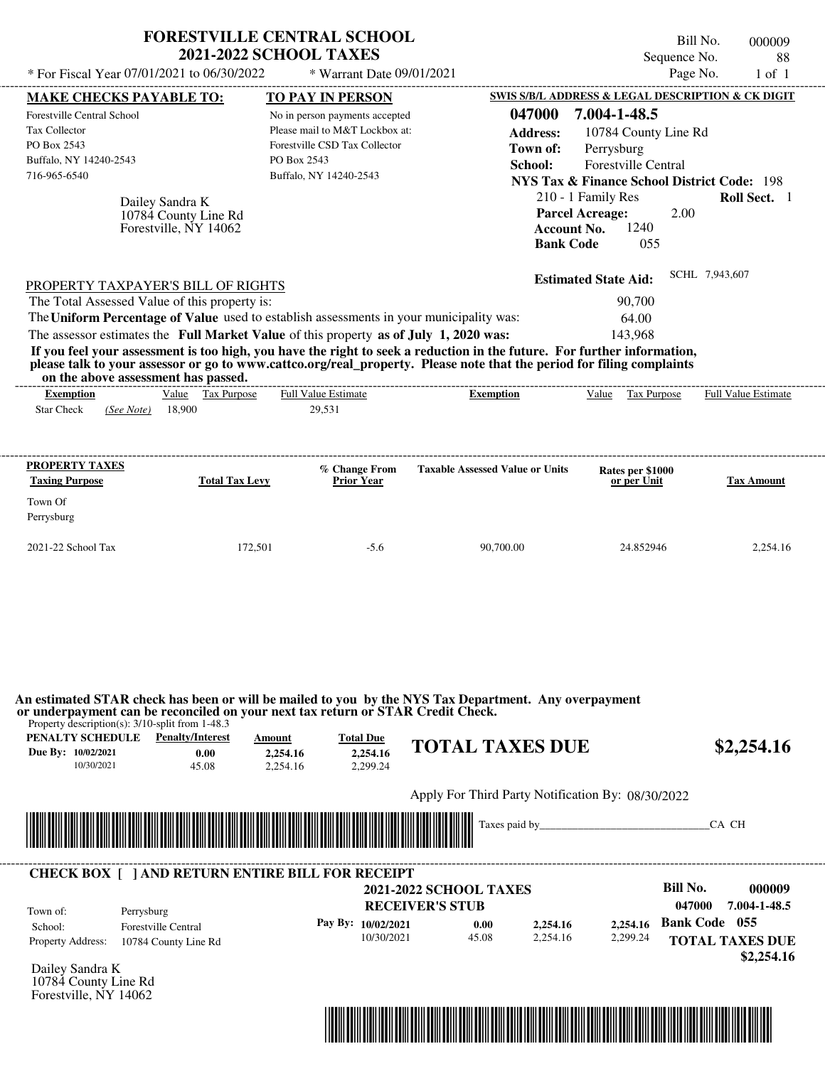| * For Fiscal Year 07/01/2021 to 06/30/2022                                                                                                                                                                                                                                                                                                                                                                                                                                                                                                                         | <b>FORESTVILLE CENTRAL SCHOOL</b><br><b>2021-2022 SCHOOL TAXES</b> | * Warrant Date 09/01/2021                                                                                                    |                                                                          |                                                                                                                      |                                                                                                                                                                          | Bill No.<br>Sequence No.<br>Page No.              | 000009<br>88<br>$1$ of $1$                                     |
|--------------------------------------------------------------------------------------------------------------------------------------------------------------------------------------------------------------------------------------------------------------------------------------------------------------------------------------------------------------------------------------------------------------------------------------------------------------------------------------------------------------------------------------------------------------------|--------------------------------------------------------------------|------------------------------------------------------------------------------------------------------------------------------|--------------------------------------------------------------------------|----------------------------------------------------------------------------------------------------------------------|--------------------------------------------------------------------------------------------------------------------------------------------------------------------------|---------------------------------------------------|----------------------------------------------------------------|
|                                                                                                                                                                                                                                                                                                                                                                                                                                                                                                                                                                    |                                                                    |                                                                                                                              |                                                                          |                                                                                                                      | SWIS S/B/L ADDRESS & LEGAL DESCRIPTION & CK DIGIT                                                                                                                        |                                                   |                                                                |
| <b>MAKE CHECKS PAYABLE TO:</b><br>Forestville Central School<br>Tax Collector<br>PO Box 2543<br>Buffalo, NY 14240-2543<br>716-965-6540<br>Dailey Sandra K<br>10784 County Line Rd<br>Forestville, NY 14062                                                                                                                                                                                                                                                                                                                                                         | PO Box 2543<br>Buffalo, NY 14240-2543                              | <b>TO PAY IN PERSON</b><br>No in person payments accepted<br>Please mail to M&T Lockbox at:<br>Forestville CSD Tax Collector |                                                                          | 047000<br><b>Address:</b><br>Town of:<br>School:<br><b>Parcel Acreage:</b><br><b>Account No.</b><br><b>Bank Code</b> | 7.004-1-48.5<br>10784 County Line Rd<br>Perrysburg<br>Forestville Central<br><b>NYS Tax &amp; Finance School District Code: 198</b><br>210 - 1 Family Res<br>1240<br>055 | 2.00                                              | <b>Roll Sect.</b> 1                                            |
| PROPERTY TAXPAYER'S BILL OF RIGHTS<br>The Total Assessed Value of this property is:<br>The Uniform Percentage of Value used to establish assessments in your municipality was:<br>The assessor estimates the Full Market Value of this property as of July 1, 2020 was:<br>If you feel your assessment is too high, you have the right to seek a reduction in the future. For further information,<br>please talk to your assessor or go to www.cattco.org/real_property. Please note that the period for filing complaints<br>on the above assessment has passed. |                                                                    |                                                                                                                              |                                                                          |                                                                                                                      | <b>Estimated State Aid:</b><br>90,700<br>64.00<br>143.968                                                                                                                | SCHL 7,943,607                                    |                                                                |
| <b>Exemption</b><br><b>Star Check</b><br>18,900<br>(See Note)                                                                                                                                                                                                                                                                                                                                                                                                                                                                                                      | Value Tax Purpose<br>29,531                                        | Full Value Estimate                                                                                                          | <b>Exemption</b>                                                         |                                                                                                                      | Value Tax Purpose                                                                                                                                                        |                                                   | <b>Full Value Estimate</b>                                     |
| <b>PROPERTY TAXES</b><br><b>Taxing Purpose</b><br>Town Of<br>Perrysburg                                                                                                                                                                                                                                                                                                                                                                                                                                                                                            | <b>Total Tax Levy</b>                                              | % Change From<br>Prior Year                                                                                                  | <b>Taxable Assessed Value or Units</b>                                   |                                                                                                                      | Rates per \$1000<br>or per Unit                                                                                                                                          |                                                   | <b>Tax Amount</b>                                              |
| 2021-22 School Tax                                                                                                                                                                                                                                                                                                                                                                                                                                                                                                                                                 | 172,501                                                            | $-5.6$                                                                                                                       | 90,700.00                                                                |                                                                                                                      | 24.852946                                                                                                                                                                |                                                   | 2,254.16                                                       |
| An estimated STAR check has been or will be mailed to you by the NYS Tax Department. Any overpayment<br>or underpayment can be reconciled on your next tax return or STAR Credit Check.<br>Property description(s): 3/10-split from 1-48.3<br><b>PENALTY SCHEDULE</b> Penalty/Interest<br>Due By: 10/02/2021<br>0.00<br>10/30/2021<br>45.08                                                                                                                                                                                                                        | Amount<br>2,254.16<br>2,254.16                                     | <b>Total Due</b><br>2.254.16<br>2,299.24                                                                                     | <b>TOTAL TAXES DUE</b>                                                   |                                                                                                                      |                                                                                                                                                                          |                                                   | \$2,254.16                                                     |
|                                                                                                                                                                                                                                                                                                                                                                                                                                                                                                                                                                    |                                                                    |                                                                                                                              | Apply For Third Party Notification By: 08/30/2022<br>Taxes paid by_      |                                                                                                                      |                                                                                                                                                                          | CA CH                                             |                                                                |
| <b>CHECK BOX [ ] AND RETURN ENTIRE BILL FOR RECEIPT</b><br>Town of:<br>Perrysburg<br>Forestville Central<br>School:<br><b>Property Address:</b><br>10784 County Line Rd                                                                                                                                                                                                                                                                                                                                                                                            |                                                                    | Pay By: 10/02/2021<br>10/30/2021                                                                                             | <b>2021-2022 SCHOOL TAXES</b><br><b>RECEIVER'S STUB</b><br>0.00<br>45.08 | 2,254.16<br>2,254.16                                                                                                 | 2,254.16<br>2,299.24                                                                                                                                                     | <b>Bill No.</b><br>047000<br><b>Bank Code</b> 055 | 000009<br>7.004-1-48.5<br><b>TOTAL TAXES DUE</b><br>\$2,254.16 |



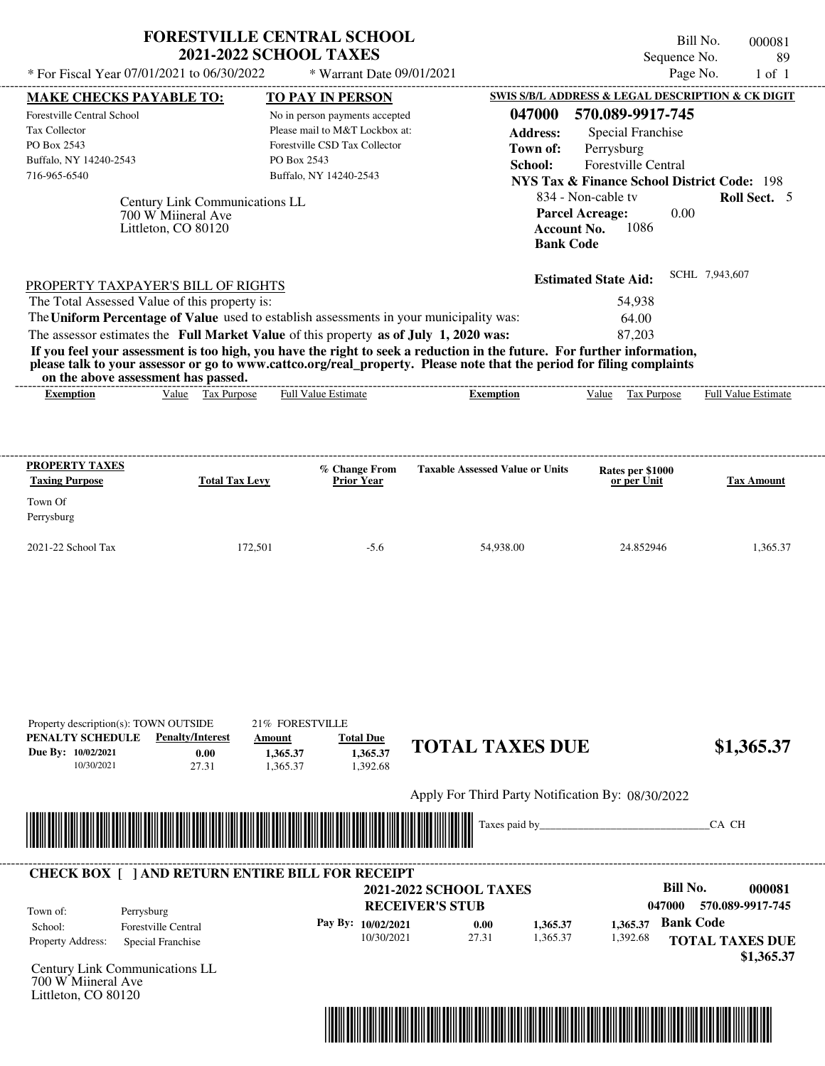| * For Fiscal Year 07/01/2021 to 06/30/2022<br><b>MAKE CHECKS PAYABLE TO:</b><br>Forestville Central School<br><b>Tax Collector</b><br>PO Box 2543                                                                                                                                                              | <b>FORESTVILLE CENTRAL SCHOOL</b><br><b>2021-2022 SCHOOL TAXES</b><br>$*$ Warrant Date 09/01/2021<br><b>TO PAY IN PERSON</b><br>No in person payments accepted<br>Please mail to M&T Lockbox at:<br>Forestville CSD Tax Collector | Bill No.<br>000081<br>Sequence No.<br>89<br>Page No.<br>$1$ of $1$<br>SWIS S/B/L ADDRESS & LEGAL DESCRIPTION & CK DIGIT<br>047000<br>570.089-9917-745<br><b>Address:</b><br>Special Franchise<br>Town of:<br>Perrysburg                                                                                                        |
|----------------------------------------------------------------------------------------------------------------------------------------------------------------------------------------------------------------------------------------------------------------------------------------------------------------|-----------------------------------------------------------------------------------------------------------------------------------------------------------------------------------------------------------------------------------|--------------------------------------------------------------------------------------------------------------------------------------------------------------------------------------------------------------------------------------------------------------------------------------------------------------------------------|
| Buffalo, NY 14240-2543<br>716-965-6540<br>Century Link Communications LL<br>700 W Miineral Ave<br>Littleton, CO 80120                                                                                                                                                                                          | PO Box 2543<br>Buffalo, NY 14240-2543                                                                                                                                                                                             | School:<br><b>Forestville Central</b><br><b>NYS Tax &amp; Finance School District Code: 198</b><br>Roll Sect. 5<br>834 - Non-cable ty<br>0.00<br><b>Parcel Acreage:</b><br>1086<br>Account No.<br><b>Bank Code</b>                                                                                                             |
| PROPERTY TAXPAYER'S BILL OF RIGHTS<br>The Total Assessed Value of this property is:<br>The Uniform Percentage of Value used to establish assessments in your municipality was:<br>The assessor estimates the Full Market Value of this property as of July 1, 2020 was:<br>on the above assessment has passed. |                                                                                                                                                                                                                                   | SCHL 7,943,607<br><b>Estimated State Aid:</b><br>54.938<br>64.00<br>87,203<br>If you feel your assessment is too high, you have the right to seek a reduction in the future. For further information,<br>please talk to your assessor or go to www.cattco.org/real_property. Please note that the period for filing complaints |
| Tax Purpose<br>Value<br><b>Exemption</b>                                                                                                                                                                                                                                                                       | <b>Full Value Estimate</b>                                                                                                                                                                                                        | <b>Full Value Estimate</b><br>Tax Purpose<br>Value<br><b>Exemption</b>                                                                                                                                                                                                                                                         |

| <b>PROPERTY TAXES</b><br><b>Taxing Purpose</b> | <b>Total Tax Levy</b> | % Change From<br><b>Prior Year</b> | <b>Taxable Assessed Value or Units</b> | Rates per \$1000<br>or per Unit | <b>Tax Amount</b> |
|------------------------------------------------|-----------------------|------------------------------------|----------------------------------------|---------------------------------|-------------------|
| Town Of<br>Perrysburg                          |                       |                                    |                                        |                                 |                   |
| $2021-22$ School Tax                           | 172,501               | $-5.6$                             | 54,938.00                              | 24.852946                       | 1,365.37          |

|                                                      | Property description(s): TOWN OUTSIDE                         | 21% FORESTVILLE                                                                                                      |                                          |                                                                          |                      |                      |                                                                                                                     |
|------------------------------------------------------|---------------------------------------------------------------|----------------------------------------------------------------------------------------------------------------------|------------------------------------------|--------------------------------------------------------------------------|----------------------|----------------------|---------------------------------------------------------------------------------------------------------------------|
| PENALTY SCHEDULE<br>Due By: 10/02/2021<br>10/30/2021 | <b>Penalty/Interest</b><br>0.00<br>27.31                      | Amount<br>1,365.37<br>1,365.37                                                                                       | <b>Total Due</b><br>1,365.37<br>1,392.68 | <b>TOTAL TAXES DUE</b>                                                   |                      |                      | \$1,365.37                                                                                                          |
|                                                      |                                                               | <u> Tanzania di Baratta di Baratta di Baratta di Baratta di Baratta di Baratta di Baratta di Baratta di Baratta </u> |                                          | Apply For Third Party Notification By: 08/30/2022                        |                      |                      | CA CH                                                                                                               |
| Town of:<br>School:<br>Property Address:             | Perrysburg<br><b>Forestville Central</b><br>Special Franchise | <b>CHECK BOX</b> [ ] AND RETURN ENTIRE BILL FOR RECEIPT                                                              | Pay By: 10/02/2021<br>10/30/2021         | <b>2021-2022 SCHOOL TAXES</b><br><b>RECEIVER'S STUB</b><br>0.00<br>27.31 | 1,365.37<br>1,365.37 | 1,365.37<br>1,392.68 | <b>Bill No.</b><br>000081<br>570.089-9917-745<br>047000<br><b>Bank Code</b><br><b>TOTAL TAXES DUE</b><br>\$1,365.37 |
| 700 W Miineral Ave<br>Littleton, CO 80120            | Century Link Communications LL                                |                                                                                                                      |                                          |                                                                          |                      |                      |                                                                                                                     |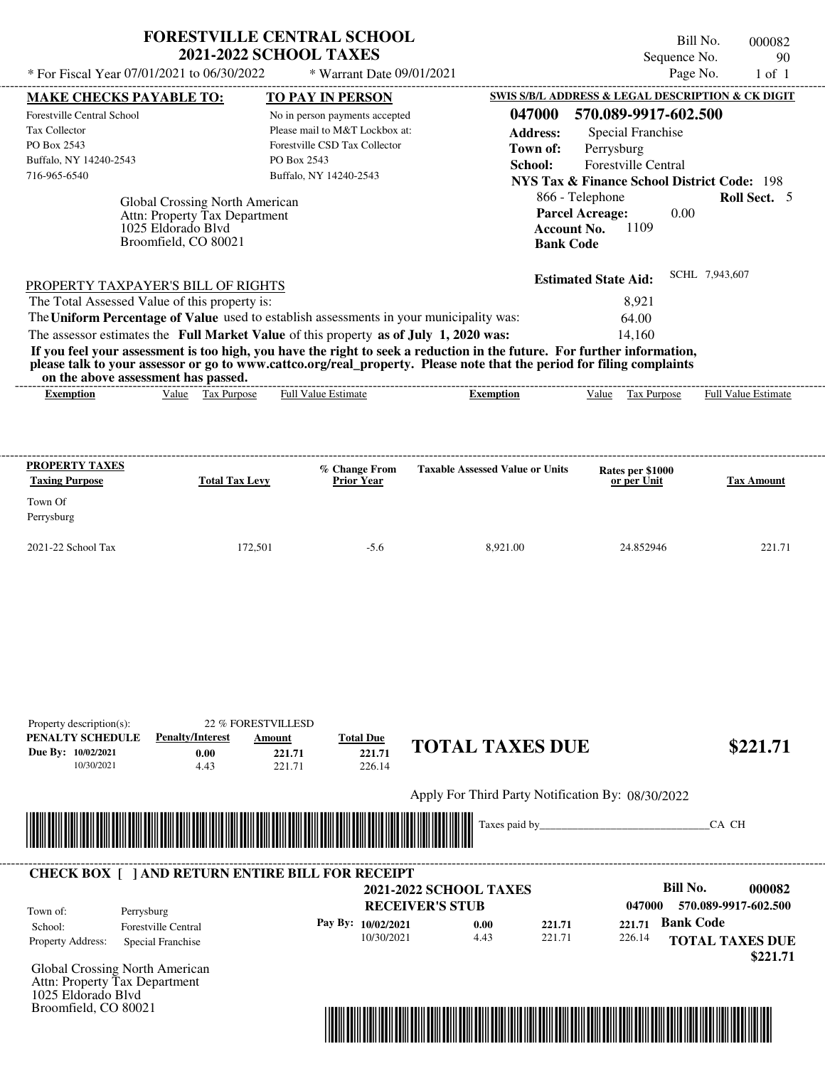| * For Fiscal Year 07/01/2021 to 06/30/2022                                                               |                                                                                                                      | <b>2021-2022 SCHOOL TAXES</b><br>* Warrant Date 09/01/2021                                                                                                                                                                                                                                                                                                                                                                                                         |                                                  | Sequence No.                                                                                                                                                                                                                                                  | 90<br>Page No.<br>$1$ of $1$ |
|----------------------------------------------------------------------------------------------------------|----------------------------------------------------------------------------------------------------------------------|--------------------------------------------------------------------------------------------------------------------------------------------------------------------------------------------------------------------------------------------------------------------------------------------------------------------------------------------------------------------------------------------------------------------------------------------------------------------|--------------------------------------------------|---------------------------------------------------------------------------------------------------------------------------------------------------------------------------------------------------------------------------------------------------------------|------------------------------|
| <b>MAKE CHECKS PAYABLE TO:</b>                                                                           |                                                                                                                      | TO PAY IN PERSON                                                                                                                                                                                                                                                                                                                                                                                                                                                   |                                                  | <b>SWIS S/B/L ADDRESS &amp; LEGAL DESCRIPTION &amp; CK DIGIT</b>                                                                                                                                                                                              |                              |
| Forestville Central School<br>Tax Collector<br>PO Box 2543<br>Buffalo, NY 14240-2543<br>716-965-6540     | <b>Global Crossing North American</b><br>Attn: Property Tax Department<br>1025 Eldorado Blvd<br>Broomfield, CO 80021 | No in person payments accepted<br>Please mail to M&T Lockbox at:<br>Forestville CSD Tax Collector<br>PO Box 2543<br>Buffalo, NY 14240-2543                                                                                                                                                                                                                                                                                                                         | 047000<br><b>Address:</b><br>Town of:<br>School: | 570.089-9917-602.500<br><b>Special Franchise</b><br>Perrysburg<br><b>Forestville Central</b><br><b>NYS Tax &amp; Finance School District Code: 198</b><br>866 - Telephone<br><b>Parcel Acreage:</b><br>0.00<br>1109<br><b>Account No.</b><br><b>Bank Code</b> | Roll Sect. 5                 |
| PROPERTY TAXPAYER'S BILL OF RIGHTS                                                                       |                                                                                                                      |                                                                                                                                                                                                                                                                                                                                                                                                                                                                    |                                                  | <b>Estimated State Aid:</b>                                                                                                                                                                                                                                   | SCHL 7.943.607               |
| The Total Assessed Value of this property is:<br>on the above assessment has passed.<br><b>Exemption</b> | Value Tax Purpose                                                                                                    | The Uniform Percentage of Value used to establish assessments in your municipality was:<br>The assessor estimates the Full Market Value of this property as of July 1, 2020 was:<br>If you feel your assessment is too high, you have the right to seek a reduction in the future. For further information,<br>please talk to your assessor or go to www.cattco.org/real_property. Please note that the period for filing complaints<br><b>Full Value Estimate</b> | <b>Exemption</b>                                 | 8.921<br>64.00<br>14,160<br>Value Tax Purpose                                                                                                                                                                                                                 | <b>Full Value Estimate</b>   |

| Property description(s):<br>PENALTY SCHEDULE<br>Due By: 10/02/2021<br>10/30/2021 | <b>Penalty/Interest</b><br>0.00<br>4.43                               | 22 % FORESTVILLESD<br>Amount<br>221.71<br>221.71 | <b>Total Due</b><br>221.71<br>226.14 | <b>TOTAL TAXES DUE</b>                                  |                  |                  | \$221.71                                               |
|----------------------------------------------------------------------------------|-----------------------------------------------------------------------|--------------------------------------------------|--------------------------------------|---------------------------------------------------------|------------------|------------------|--------------------------------------------------------|
|                                                                                  |                                                                       |                                                  |                                      | Apply For Third Party Notification By: 08/30/2022       |                  |                  |                                                        |
|                                                                                  |                                                                       |                                                  |                                      | Taxes paid by_                                          |                  |                  | CA CH                                                  |
| Town of:                                                                         | <b>CHECK BOX [ ] AND RETURN ENTIRE BILL FOR RECEIPT</b><br>Perrysburg |                                                  |                                      | <b>2021-2022 SCHOOL TAXES</b><br><b>RECEIVER'S STUB</b> |                  | 047000           | <b>Bill No.</b><br>000082<br>570.089-9917-602.500      |
| School:<br>Property Address:                                                     | <b>Forestville Central</b><br>Special Franchise                       |                                                  | Pay By: 10/02/2021<br>10/30/2021     | 0.00<br>4.43                                            | 221.71<br>221.71 | 221.71<br>226.14 | <b>Bank Code</b><br><b>TOTAL TAXES DUE</b><br>\$221.71 |
| Attn: Property Tax Department<br>1025 Eldorado Blvd<br>Broomfield, CO 80021      | Global Crossing North American                                        |                                                  |                                      |                                                         |                  |                  |                                                        |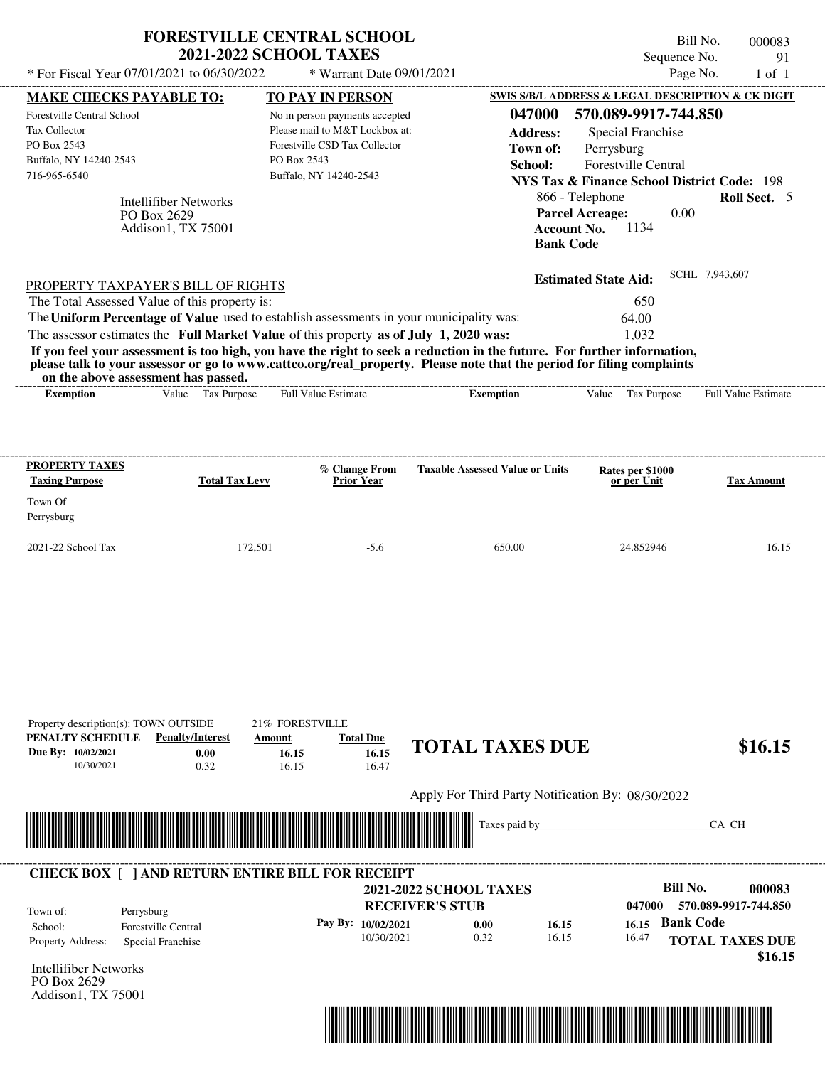| * For Fiscal Year 07/01/2021 to 06/30/2022                                                                                                                                                                                                                              | <b>2021-2022 SCHOOL TAXES</b>                                                          | * Warrant Date 09/01/2021                                                                                                   |                                                                                                                                                                                                                                                  | Sequence No.<br>Page No.                                                                                                                                        | 91<br>$1$ of $1$  |
|-------------------------------------------------------------------------------------------------------------------------------------------------------------------------------------------------------------------------------------------------------------------------|----------------------------------------------------------------------------------------|-----------------------------------------------------------------------------------------------------------------------------|--------------------------------------------------------------------------------------------------------------------------------------------------------------------------------------------------------------------------------------------------|-----------------------------------------------------------------------------------------------------------------------------------------------------------------|-------------------|
| <b>MAKE CHECKS PAYABLE TO:</b>                                                                                                                                                                                                                                          |                                                                                        | <b>TO PAY IN PERSON</b>                                                                                                     |                                                                                                                                                                                                                                                  | SWIS S/B/L ADDRESS & LEGAL DESCRIPTION & CK DIGIT                                                                                                               |                   |
| Forestville Central School<br>Tax Collector<br>PO Box 2543<br>Buffalo, NY 14240-2543<br>716-965-6540<br><b>Intellifiber Networks</b><br>PO Box 2629<br>Addison1, TX 75001                                                                                               | PO Box 2543                                                                            | No in person payments accepted<br>Please mail to M&T Lockbox at:<br>Forestville CSD Tax Collector<br>Buffalo, NY 14240-2543 | 047000<br><b>Address:</b><br>Town of:<br>School:<br>866 - Telephone<br><b>Parcel Acreage:</b><br><b>Account No.</b><br><b>Bank Code</b>                                                                                                          | 570.089-9917-744.850<br>Special Franchise<br>Perrysburg<br><b>Forestville Central</b><br><b>NYS Tax &amp; Finance School District Code: 198</b><br>0.00<br>1134 | Roll Sect. 5      |
| PROPERTY TAXPAYER'S BILL OF RIGHTS<br>The Total Assessed Value of this property is:<br>The Uniform Percentage of Value used to establish assessments in your municipality was:<br>The assessor estimates the Full Market Value of this property as of July 1, 2020 was: |                                                                                        |                                                                                                                             |                                                                                                                                                                                                                                                  | <b>Estimated State Aid:</b><br>650<br>64.00<br>1,032                                                                                                            | SCHL 7,943,607    |
| on the above assessment has passed.                                                                                                                                                                                                                                     |                                                                                        | <b>Full Value Estimate</b>                                                                                                  | If you feel your assessment is too high, you have the right to seek a reduction in the future. For further information,<br>please talk to your assessor or go to www.cattco.org/real_property. Please note that the period for filing complaints |                                                                                                                                                                 |                   |
| PROPERTY TAXES                                                                                                                                                                                                                                                          |                                                                                        |                                                                                                                             |                                                                                                                                                                                                                                                  |                                                                                                                                                                 |                   |
| <b>Taxing Purpose</b>                                                                                                                                                                                                                                                   | <b>Total Tax Levy</b>                                                                  | % Change From<br><b>Prior Year</b>                                                                                          | <b>Taxable Assessed Value or Units</b>                                                                                                                                                                                                           | Rates per \$1000<br>or per Unit                                                                                                                                 | <b>Tax Amount</b> |
| Town Of<br>Perrysburg                                                                                                                                                                                                                                                   |                                                                                        |                                                                                                                             |                                                                                                                                                                                                                                                  |                                                                                                                                                                 |                   |
| 2021-22 School Tax                                                                                                                                                                                                                                                      | 172,501                                                                                | $-5.6$                                                                                                                      | 650.00                                                                                                                                                                                                                                           | 24.852946                                                                                                                                                       | 16.15             |
|                                                                                                                                                                                                                                                                         |                                                                                        |                                                                                                                             |                                                                                                                                                                                                                                                  |                                                                                                                                                                 |                   |
| Property description(s): TOWN OUTSIDE<br>PENALTY SCHEDULE<br>Due By: 10/02/2021<br>10/30/2021                                                                                                                                                                           | 21% FORESTVILLE<br><b>Penalty/Interest</b><br>Amount<br>0.00<br>16.15<br>0.32<br>16.15 | <b>Total Due</b><br>16.15<br>16.47                                                                                          | <b>TOTAL TAXES DUE</b>                                                                                                                                                                                                                           |                                                                                                                                                                 |                   |
|                                                                                                                                                                                                                                                                         |                                                                                        |                                                                                                                             | Apply For Third Party Notification By: 08/30/2022                                                                                                                                                                                                |                                                                                                                                                                 | \$16.15           |

| Town of:<br>Perrysburg   |                     | <b>2021-2022 SCHOOL TAXES</b><br><b>RECEIVER'S STUB</b> |      |       | 047000 | Bill No.<br>000083<br>570.089-9917-744.850 |
|--------------------------|---------------------|---------------------------------------------------------|------|-------|--------|--------------------------------------------|
| School:                  | Forestville Central | Pay By: $10/02/2021$                                    | 0.00 | 16.15 | 16.15  | <b>Bank Code</b>                           |
| <b>Property Address:</b> | Special Franchise   | 10/30/2021                                              | 0.32 | 16.15 | 16.47  | <b>TOTAL TAXES DUE</b>                     |

Intellifiber Networks PO Box 2629 Addison1, TX 75001

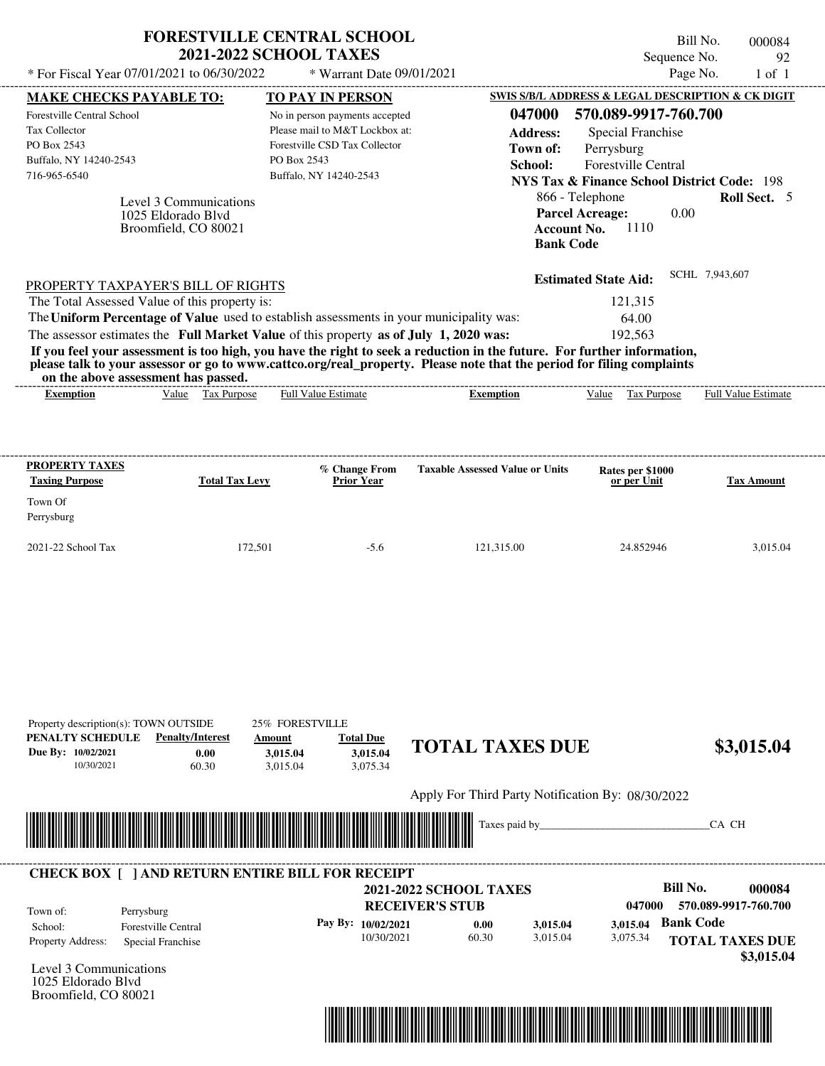| * For Fiscal Year 07/01/2021 to 06/30/2022                                                                                                     |                                                                      | <b>FORESTVILLE CENTRAL SCHOOL</b><br><b>2021-2022 SCHOOL TAXES</b><br>* Warrant Date 09/01/2021                                                                                                                |                                                                                                                                                                                                                                                                      | Bill No.<br>Sequence No.<br>Page No.                                                                                                                                                                                                                              | 000084<br>92<br>$1$ of $1$                   |
|------------------------------------------------------------------------------------------------------------------------------------------------|----------------------------------------------------------------------|----------------------------------------------------------------------------------------------------------------------------------------------------------------------------------------------------------------|----------------------------------------------------------------------------------------------------------------------------------------------------------------------------------------------------------------------------------------------------------------------|-------------------------------------------------------------------------------------------------------------------------------------------------------------------------------------------------------------------------------------------------------------------|----------------------------------------------|
| <b>MAKE CHECKS PAYABLE TO:</b><br>Forestville Central School<br>Tax Collector<br>PO Box 2543<br>Buffalo, NY 14240-2543<br>716-965-6540         | Level 3 Communications<br>1025 Eldorado Blvd<br>Broomfield, CO 80021 | <b>TO PAY IN PERSON</b><br>No in person payments accepted<br>Please mail to M&T Lockbox at:<br>Forestville CSD Tax Collector<br>PO Box 2543<br>Buffalo, NY 14240-2543                                          | 047000<br><b>Address:</b><br>Town of:<br>School:<br><b>Account No.</b><br><b>Bank Code</b>                                                                                                                                                                           | SWIS S/B/L ADDRESS & LEGAL DESCRIPTION & CK DIGIT<br>570.089-9917-760.700<br><b>Special Franchise</b><br>Perrysburg<br>Forestville Central<br><b>NYS Tax &amp; Finance School District Code: 198</b><br>866 - Telephone<br><b>Parcel Acreage:</b><br>0.00<br>1110 | <b>Roll Sect.</b> 5                          |
| PROPERTY TAXPAYER'S BILL OF RIGHTS<br>The Total Assessed Value of this property is:<br>on the above assessment has passed.<br><b>Exemption</b> | Value Tax Purpose                                                    | The Uniform Percentage of Value used to establish assessments in your municipality was:<br>The assessor estimates the Full Market Value of this property as of July 1, 2020 was:<br><b>Full Value Estimate</b> | If you feel your assessment is too high, you have the right to seek a reduction in the future. For further information,<br>please talk to your assessor or go to www.cattco.org/real_property. Please note that the period for filing complaints<br><b>Exemption</b> | <b>Estimated State Aid:</b><br>121,315<br>64.00<br>192,563<br>Value Tax Purpose                                                                                                                                                                                   | SCHL 7,943,607<br><b>Full Value Estimate</b> |
| <b>PROPERTY TAXES</b><br><b>Taxing Purpose</b><br>Town Of                                                                                      | <b>Total Tax Levy</b>                                                | % Change From<br><b>Prior Year</b>                                                                                                                                                                             | <b>Taxable Assessed Value or Units</b>                                                                                                                                                                                                                               | Rates per \$1000<br>or per Unit                                                                                                                                                                                                                                   | <b>Tax Amount</b>                            |
| Perrysburg<br>2021-22 School Tax                                                                                                               | 172,501                                                              | $-5.6$                                                                                                                                                                                                         | 121.315.00                                                                                                                                                                                                                                                           | 24.852946                                                                                                                                                                                                                                                         | 3,015.04                                     |
| Property description(s): TOWN OUTSIDE<br>PENALTY SCHEDULE<br>Due By: 10/02/2021<br>10/30/2021                                                  | <b>Penalty/Interest</b><br>0.00<br>60.30                             | 25% FORESTVILLE<br><b>Total Due</b><br>Amount<br>3,015.04<br>3,015.04<br>3,075.34<br>3,015.04                                                                                                                  | <b>TOTAL TAXES DUE</b>                                                                                                                                                                                                                                               |                                                                                                                                                                                                                                                                   | \$3,015.04                                   |
|                                                                                                                                                |                                                                      |                                                                                                                                                                                                                |                                                                                                                                                                                                                                                                      |                                                                                                                                                                                                                                                                   |                                              |
|                                                                                                                                                |                                                                      |                                                                                                                                                                                                                | Apply For Third Party Notification By: 08/30/2022<br>Taxes paid by_                                                                                                                                                                                                  |                                                                                                                                                                                                                                                                   | CA CH                                        |

|                          | <b>CHECK BOX     AND RETURN ENTIRE BILL FOR RECEIPT</b> |                               |       |          |          |                        |
|--------------------------|---------------------------------------------------------|-------------------------------|-------|----------|----------|------------------------|
|                          |                                                         | <b>2021-2022 SCHOOL TAXES</b> |       |          |          | Bill No.<br>000084     |
| Town of:                 | Perrysburg                                              | <b>RECEIVER'S STUB</b>        |       |          | 047000   | 570.089-9917-760.700   |
| School:                  | <b>Forestville Central</b>                              | Pay By: $10/02/2021$          | 0.00  | 3.015.04 | 3.015.04 | <b>Bank Code</b>       |
| <b>Property Address:</b> | Special Franchise                                       | 10/30/2021                    | 60.30 | 3.015.04 | 3,075.34 | <b>TOTAL TAXES DUE</b> |
| Level 3 Communications   |                                                         |                               |       |          |          | \$3,015.04             |



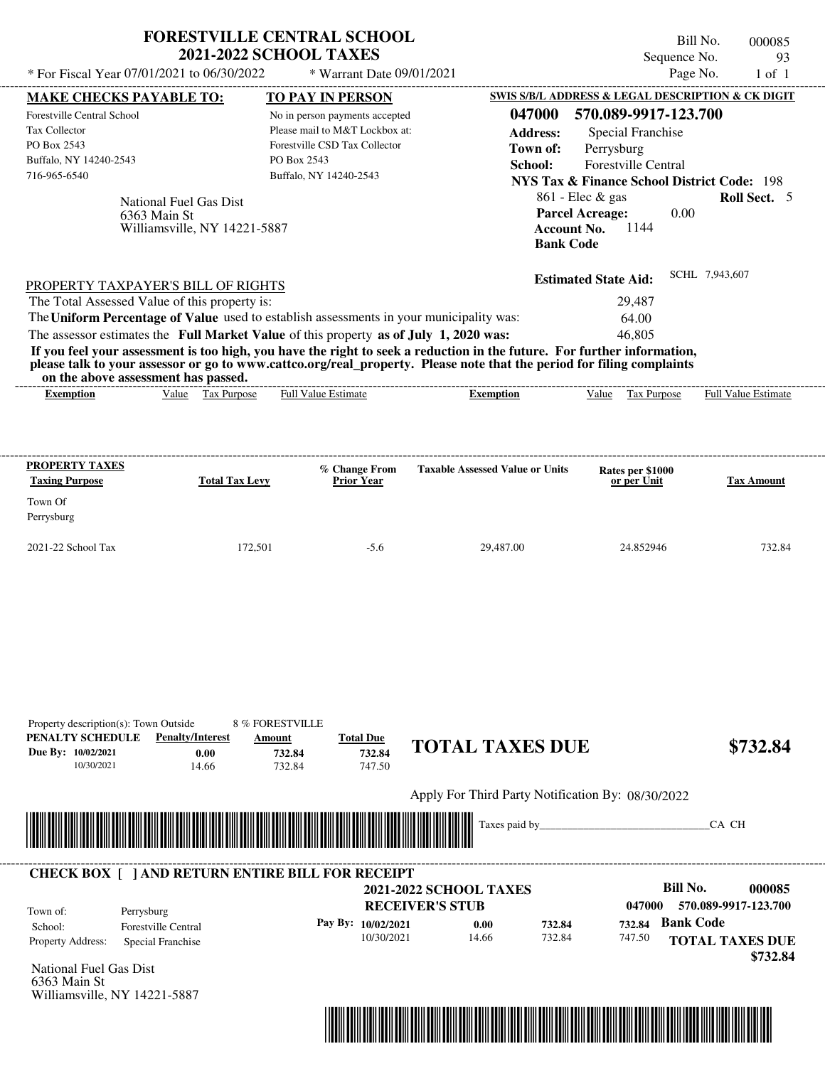| * For Fiscal Year 07/01/2021 to 06/30/2022                                                                                                                                                                                                                                                                                                                                                                                                                                                                                                                                                                  | <b>FORESTVILLE CENTRAL SCHOOL</b><br><b>2021-2022 SCHOOL TAXES</b><br>* Warrant Date 09/01/2021                                                                |                                                                                            | Bill No.<br>Sequence No.<br>Page No.                                                                                                                                                                                                                                       | 000085<br>93<br>$1$ of $1$                   |
|-------------------------------------------------------------------------------------------------------------------------------------------------------------------------------------------------------------------------------------------------------------------------------------------------------------------------------------------------------------------------------------------------------------------------------------------------------------------------------------------------------------------------------------------------------------------------------------------------------------|----------------------------------------------------------------------------------------------------------------------------------------------------------------|--------------------------------------------------------------------------------------------|----------------------------------------------------------------------------------------------------------------------------------------------------------------------------------------------------------------------------------------------------------------------------|----------------------------------------------|
| <b>MAKE CHECKS PAYABLE TO:</b><br>Forestville Central School<br>Tax Collector<br>PO Box 2543<br>Buffalo, NY 14240-2543<br>716-965-6540<br>National Fuel Gas Dist<br>6363 Main St<br>Williamsville, NY 14221-5887                                                                                                                                                                                                                                                                                                                                                                                            | TO PAY IN PERSON<br>No in person payments accepted<br>Please mail to M&T Lockbox at:<br>Forestville CSD Tax Collector<br>PO Box 2543<br>Buffalo, NY 14240-2543 | 047000<br><b>Address:</b><br>Town of:<br>School:<br><b>Account No.</b><br><b>Bank Code</b> | <b>SWIS S/B/L ADDRESS &amp; LEGAL DESCRIPTION &amp; CK DIGIT</b><br>570.089-9917-123.700<br>Special Franchise<br>Perrysburg<br>Forestville Central<br><b>NYS Tax &amp; Finance School District Code: 198</b><br>861 - Elec & gas<br><b>Parcel Acreage:</b><br>0.00<br>1144 | <b>Roll Sect.</b> 5                          |
| PROPERTY TAXPAYER'S BILL OF RIGHTS<br>The Total Assessed Value of this property is:<br>The Uniform Percentage of Value used to establish assessments in your municipality was:<br>The assessor estimates the Full Market Value of this property as of July 1, 2020 was:<br>If you feel your assessment is too high, you have the right to seek a reduction in the future. For further information,<br>please talk to your assessor or go to www.cattco.org/real_property. Please note that the period for filing complaints<br>on the above assessment has passed.<br>Value Tax Purpose<br><b>Exemption</b> | <b>Full Value Estimate</b>                                                                                                                                     | <b>Exemption</b>                                                                           | <b>Estimated State Aid:</b><br>29,487<br>64.00<br>46,805<br>Value Tax Purpose                                                                                                                                                                                              | SCHL 7,943,607<br><b>Full Value Estimate</b> |
| <b>PROPERTY TAXES</b><br><b>Total Tax Levy</b><br><b>Taxing Purpose</b><br>Town Of                                                                                                                                                                                                                                                                                                                                                                                                                                                                                                                          | % Change From<br><b>Prior Year</b>                                                                                                                             | <b>Taxable Assessed Value or Units</b>                                                     | Rates per \$1000<br>or per Unit                                                                                                                                                                                                                                            | <b>Tax Amount</b>                            |
| Perrysburg<br>2021-22 School Tax                                                                                                                                                                                                                                                                                                                                                                                                                                                                                                                                                                            | 172,501<br>$-5.6$                                                                                                                                              | 29,487.00                                                                                  | 24.852946                                                                                                                                                                                                                                                                  | 732.84                                       |
| Property description(s): Town Outside<br>PENALTY SCHEDULE<br><b>Penalty/Interest</b><br>Due By: 10/02/2021<br>0.00<br>10/30/2021<br>14.66                                                                                                                                                                                                                                                                                                                                                                                                                                                                   | 8 % FORESTVILLE<br><b>Total Due</b><br>Amount<br>732.84<br>732.84<br>732.84<br>747.50                                                                          | <b>TOTAL TAXES DUE</b>                                                                     |                                                                                                                                                                                                                                                                            | \$732.84                                     |
|                                                                                                                                                                                                                                                                                                                                                                                                                                                                                                                                                                                                             |                                                                                                                                                                |                                                                                            |                                                                                                                                                                                                                                                                            |                                              |
|                                                                                                                                                                                                                                                                                                                                                                                                                                                                                                                                                                                                             |                                                                                                                                                                | Apply For Third Party Notification By: 08/30/2022<br>Taxes paid by_                        |                                                                                                                                                                                                                                                                            | CA CH                                        |

|                                                                                                                                                                                                                                                                                                                                                                | <b>CHECK BOX     AND RETURN ENTIRE BILL FOR RECEIPT</b> |                        |                               |        |        |                                    |
|----------------------------------------------------------------------------------------------------------------------------------------------------------------------------------------------------------------------------------------------------------------------------------------------------------------------------------------------------------------|---------------------------------------------------------|------------------------|-------------------------------|--------|--------|------------------------------------|
|                                                                                                                                                                                                                                                                                                                                                                |                                                         |                        | <b>2021-2022 SCHOOL TAXES</b> |        |        | Bill No.<br>000085                 |
| Town of:                                                                                                                                                                                                                                                                                                                                                       | Perrysburg                                              | <b>RECEIVER'S STUB</b> |                               |        | 047000 | 570.089-9917-123.700               |
| School:                                                                                                                                                                                                                                                                                                                                                        | <b>Forestville Central</b>                              | Pay By: $10/02/2021$   | 0.00                          | 732.84 | 732.84 | <b>Bank Code</b>                   |
| <b>Property Address:</b><br>$\mathbf{v}$ $\mathbf{v}$ $\mathbf{v}$ $\mathbf{v}$ $\mathbf{v}$ $\mathbf{v}$ $\mathbf{v}$ $\mathbf{v}$ $\mathbf{v}$ $\mathbf{v}$ $\mathbf{v}$ $\mathbf{v}$ $\mathbf{v}$ $\mathbf{v}$ $\mathbf{v}$ $\mathbf{v}$ $\mathbf{v}$ $\mathbf{v}$ $\mathbf{v}$ $\mathbf{v}$ $\mathbf{v}$ $\mathbf{v}$ $\mathbf{v}$ $\mathbf{v}$ $\mathbf{$ | Special Franchise                                       | 10/30/2021             | 14.66                         | 732.84 | 747.50 | <b>TOTAL TAXES DUE</b><br>\$732.84 |

National Fuel Gas Dist 6363 Main St Williamsville, NY 14221-5887

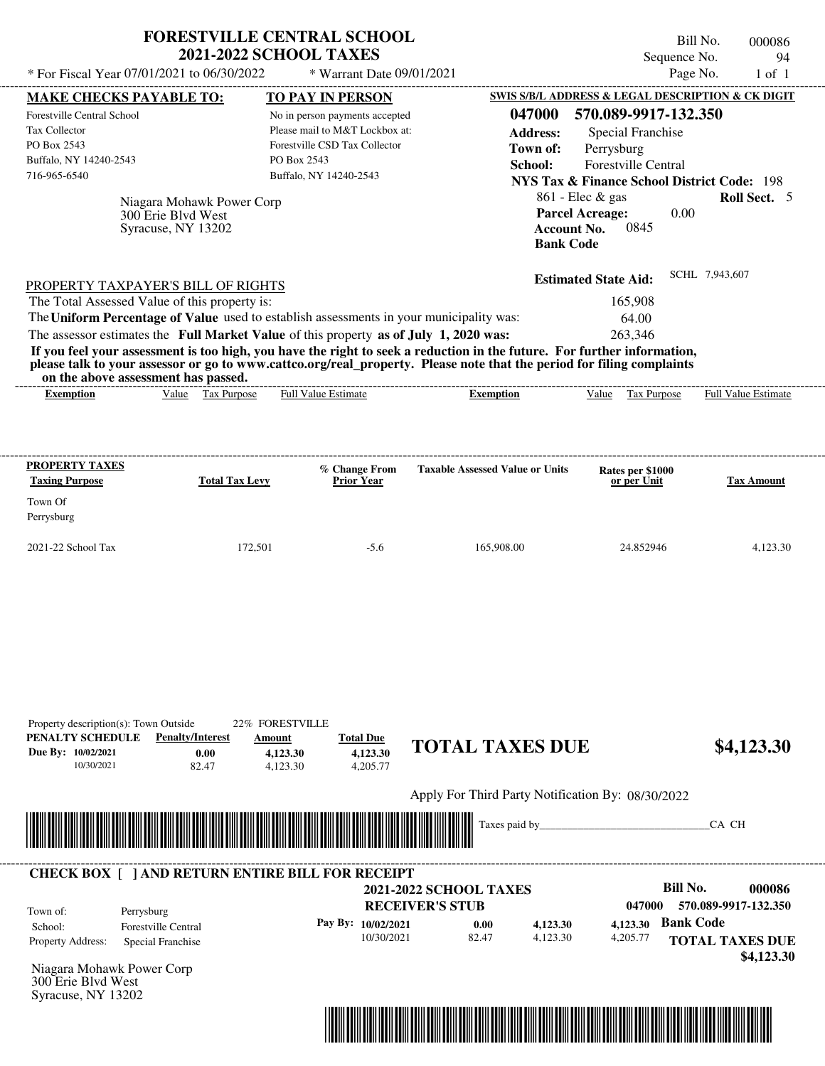| * For Fiscal Year 07/01/2021 to 06/30/2022                                                                                                                                                                                                                              | <b>FORESTVILLE CENTRAL SCHOOL</b><br><b>2021-2022 SCHOOL TAXES</b>    |                                                   | * Warrant Date 09/01/2021                                                                                                                              |                                                                                                                                                                                                                                                  |                                                                                                                                                                                                                                                              | Bill No.<br>Sequence No.<br>Page No. | 000086<br>94<br>$1$ of $1$ |
|-------------------------------------------------------------------------------------------------------------------------------------------------------------------------------------------------------------------------------------------------------------------------|-----------------------------------------------------------------------|---------------------------------------------------|--------------------------------------------------------------------------------------------------------------------------------------------------------|--------------------------------------------------------------------------------------------------------------------------------------------------------------------------------------------------------------------------------------------------|--------------------------------------------------------------------------------------------------------------------------------------------------------------------------------------------------------------------------------------------------------------|--------------------------------------|----------------------------|
| <b>MAKE CHECKS PAYABLE TO:</b><br>Forestville Central School<br>Tax Collector<br>PO Box 2543<br>Buffalo, NY 14240-2543<br>716-965-6540                                                                                                                                  | Niagara Mohawk Power Corp<br>300 Erie Blvd West<br>Syracuse, NY 13202 | PO Box 2543                                       | <b>TO PAY IN PERSON</b><br>No in person payments accepted<br>Please mail to M&T Lockbox at:<br>Forestville CSD Tax Collector<br>Buffalo, NY 14240-2543 | 047000<br><b>Address:</b><br>Town of:<br>School:<br>Account No.<br><b>Bank Code</b>                                                                                                                                                              | SWIS S/B/L ADDRESS & LEGAL DESCRIPTION & CK DIGIT<br>570.089-9917-132.350<br><b>Special Franchise</b><br>Perrysburg<br>Forestville Central<br><b>NYS Tax &amp; Finance School District Code: 198</b><br>$861$ - Elec & gas<br><b>Parcel Acreage:</b><br>0845 | 0.00                                 | <b>Roll Sect.</b> 5        |
| PROPERTY TAXPAYER'S BILL OF RIGHTS<br>The Total Assessed Value of this property is:<br>The Uniform Percentage of Value used to establish assessments in your municipality was:<br>The assessor estimates the Full Market Value of this property as of July 1, 2020 was: |                                                                       |                                                   |                                                                                                                                                        | If you feel your assessment is too high, you have the right to seek a reduction in the future. For further information,<br>please talk to your assessor or go to www.cattco.org/real_property. Please note that the period for filing complaints | <b>Estimated State Aid:</b><br>165,908<br>64.00<br>263.346                                                                                                                                                                                                   | SCHL 7,943,607                       |                            |
| on the above assessment has passed.<br><b>Exemption</b>                                                                                                                                                                                                                 | Value Tax Purpose                                                     |                                                   | <b>Full Value Estimate</b>                                                                                                                             | Exemption                                                                                                                                                                                                                                        | Value Tax Purpose                                                                                                                                                                                                                                            |                                      | <b>Full Value Estimate</b> |
|                                                                                                                                                                                                                                                                         |                                                                       |                                                   |                                                                                                                                                        |                                                                                                                                                                                                                                                  |                                                                                                                                                                                                                                                              |                                      |                            |
| PROPERTY TAXES<br><b>Taxing Purpose</b><br>Town Of<br>Perrysburg                                                                                                                                                                                                        | <b>Total Tax Levy</b>                                                 |                                                   | % Change From<br><b>Prior Year</b>                                                                                                                     | <b>Taxable Assessed Value or Units</b>                                                                                                                                                                                                           | Rates per \$1000<br>or per Unit                                                                                                                                                                                                                              |                                      | <b>Tax Amount</b>          |
|                                                                                                                                                                                                                                                                         |                                                                       | 172,501                                           | $-5.6$                                                                                                                                                 | 165,908.00                                                                                                                                                                                                                                       | 24.852946                                                                                                                                                                                                                                                    |                                      | 4,123.30                   |
| 2021-22 School Tax<br>Property description(s): Town Outside<br>PENALTY SCHEDULE<br>Due By: 10/02/2021<br>10/30/2021                                                                                                                                                     | <b>Penalty/Interest</b><br>0.00<br>82.47                              | 22% FORESTVILLE<br>Amount<br>4,123.30<br>4,123.30 | <b>Total Due</b><br>4,123.30<br>4,205.77                                                                                                               | <b>TOTAL TAXES DUE</b>                                                                                                                                                                                                                           |                                                                                                                                                                                                                                                              |                                      |                            |
|                                                                                                                                                                                                                                                                         |                                                                       |                                                   |                                                                                                                                                        | Apply For Third Party Notification By: 08/30/2022                                                                                                                                                                                                |                                                                                                                                                                                                                                                              |                                      | \$4,123.30                 |

|                          |                     |                      |                        | <b>2021-2022 SCHOOL TAXES</b> |          |          | Bill No.<br>000086                   |
|--------------------------|---------------------|----------------------|------------------------|-------------------------------|----------|----------|--------------------------------------|
| Town of:                 | Perrysburg          |                      | <b>RECEIVER'S STUB</b> |                               |          | 047000   | 570.089-9917-132.350                 |
| School:                  | Forestville Central | Pay By: $10/02/2021$ |                        | 0.00                          | 4,123,30 | 4.123.30 | <b>Bank Code</b>                     |
| <b>Property Address:</b> | Special Franchise   |                      | 10/30/2021             | 82.47                         | 4.123.30 | 4,205.77 | <b>TOTAL TAXES DUE</b><br>\$4,123.30 |



300 Erie Blvd West Syracuse, NY 13202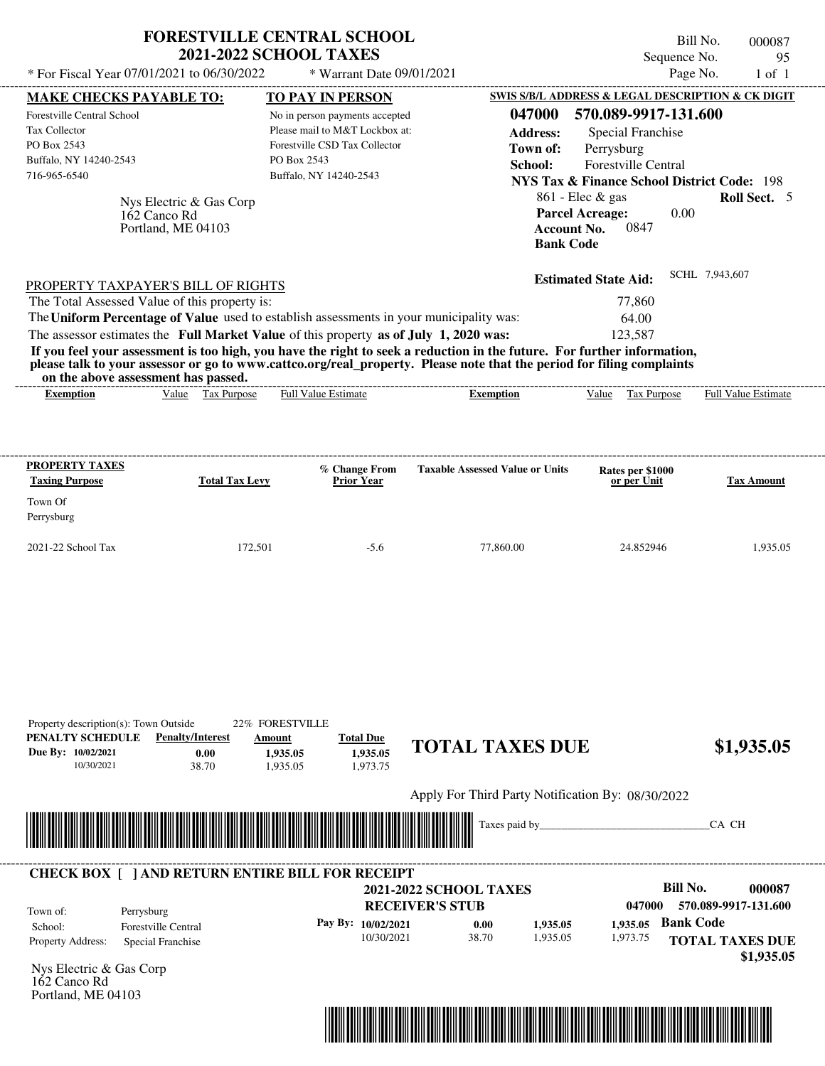| * For Fiscal Year 07/01/2021 to 06/30/2022                                                                                                                                                                                                                              | <b>2021-2022 SCHOOL TAXES</b>                                         | * Warrant Date 09/01/2021                                                                                                                                      |                                                                                                                                                                                                                                                  | Sequence No.<br>Page No.                                                                                                                                                                                                                                             | 95<br>$1$ of $1$    |
|-------------------------------------------------------------------------------------------------------------------------------------------------------------------------------------------------------------------------------------------------------------------------|-----------------------------------------------------------------------|----------------------------------------------------------------------------------------------------------------------------------------------------------------|--------------------------------------------------------------------------------------------------------------------------------------------------------------------------------------------------------------------------------------------------|----------------------------------------------------------------------------------------------------------------------------------------------------------------------------------------------------------------------------------------------------------------------|---------------------|
|                                                                                                                                                                                                                                                                         |                                                                       |                                                                                                                                                                |                                                                                                                                                                                                                                                  |                                                                                                                                                                                                                                                                      |                     |
| <b>MAKE CHECKS PAYABLE TO:</b><br>Forestville Central School<br>Tax Collector<br>PO Box 2543<br>Buffalo, NY 14240-2543<br>716-965-6540<br>162 Canco Rd<br>Portland, ME 04103                                                                                            | Nys Electric & Gas Corp                                               | TO PAY IN PERSON<br>No in person payments accepted<br>Please mail to M&T Lockbox at:<br>Forestville CSD Tax Collector<br>PO Box 2543<br>Buffalo, NY 14240-2543 | 047000<br><b>Address:</b><br>Town of:<br>School:<br><b>Account No.</b><br><b>Bank Code</b>                                                                                                                                                       | SWIS S/B/L ADDRESS & LEGAL DESCRIPTION & CK DIGIT<br>570.089-9917-131.600<br>Special Franchise<br>Perrysburg<br><b>Forestville Central</b><br><b>NYS Tax &amp; Finance School District Code: 198</b><br>$861$ - Elec & gas<br><b>Parcel Acreage:</b><br>0.00<br>0847 | <b>Roll Sect.</b> 5 |
| PROPERTY TAXPAYER'S BILL OF RIGHTS<br>The Total Assessed Value of this property is:<br>The Uniform Percentage of Value used to establish assessments in your municipality was:<br>The assessor estimates the Full Market Value of this property as of July 1, 2020 was: |                                                                       |                                                                                                                                                                |                                                                                                                                                                                                                                                  | <b>Estimated State Aid:</b><br>77,860<br>64.00<br>123,587                                                                                                                                                                                                            | SCHL 7,943,607      |
| on the above assessment has passed.                                                                                                                                                                                                                                     |                                                                       |                                                                                                                                                                | If you feel your assessment is too high, you have the right to seek a reduction in the future. For further information,<br>please talk to your assessor or go to www.cattco.org/real_property. Please note that the period for filing complaints |                                                                                                                                                                                                                                                                      |                     |
|                                                                                                                                                                                                                                                                         |                                                                       |                                                                                                                                                                |                                                                                                                                                                                                                                                  |                                                                                                                                                                                                                                                                      |                     |
|                                                                                                                                                                                                                                                                         |                                                                       | % Change From                                                                                                                                                  | <b>Taxable Assessed Value or Units</b>                                                                                                                                                                                                           | Rates per \$1000                                                                                                                                                                                                                                                     |                     |
| PROPERTY TAXES<br><b>Taxing Purpose</b><br>Town Of<br>Perrysburg                                                                                                                                                                                                        | <b>Total Tax Levy</b>                                                 | <b>Prior Year</b>                                                                                                                                              |                                                                                                                                                                                                                                                  | or per Unit                                                                                                                                                                                                                                                          | <b>Tax Amount</b>   |
| 2021-22 School Tax                                                                                                                                                                                                                                                      | 172,501                                                               | $-5.6$                                                                                                                                                         | 77,860.00                                                                                                                                                                                                                                        | 24.852946                                                                                                                                                                                                                                                            | 1,935.05            |
| Property description(s): Town Outside<br>PENALTY SCHEDULE<br>Due By: 10/02/2021<br>10/30/2021                                                                                                                                                                           | 22% FORESTVILLE<br><b>Penalty/Interest</b><br>Amount<br>0.00<br>38.70 | <b>Total Due</b><br>1,935.05<br>1,935.05<br>1,935.05<br>1,973.75                                                                                               | <b>TOTAL TAXES DUE</b>                                                                                                                                                                                                                           |                                                                                                                                                                                                                                                                      | \$1,935.05          |



## Nys Electric & Gas Corp **RECEIVER'S STUB Bill No. 000087 Bank Code** Property Address: Special Franchise Perrysburg School: Forestville Central **TOTAL TAXES DUE \$1,935.05 2021-2022 SCHOOL TAXES 047000 570.089-9917-131.600 Pay By: 10/02/2021** 10/30/2021 38.70 **0.00** 1,935.05 **1,935.05** 1,973.75 **1,935.05** 162 Canco Rd Town of: **CHECK BOX [ ] AND RETURN ENTIRE BILL FOR RECEIPT**



Portland, ME 04103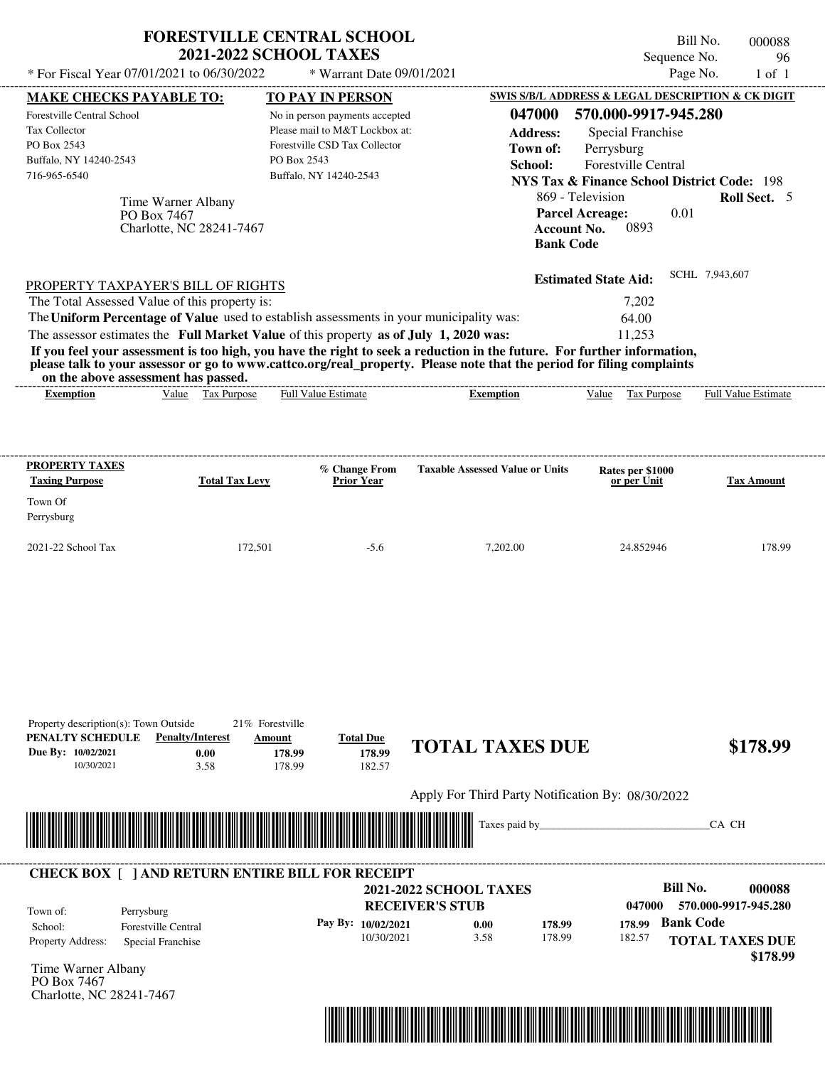|                                                                                                                                                                                                                                                                                         |                                                               |                       |         |                                     | <b>FORESTVILLE CENTRAL SCHOOL</b><br><b>2021-2022 SCHOOL TAXES</b>                                                          |                  |                                                   |                                                   |                                                                                                                                                              |                                                                                        | Bill No.<br>Sequence No. |       | 000088<br>96               |
|-----------------------------------------------------------------------------------------------------------------------------------------------------------------------------------------------------------------------------------------------------------------------------------------|---------------------------------------------------------------|-----------------------|---------|-------------------------------------|-----------------------------------------------------------------------------------------------------------------------------|------------------|---------------------------------------------------|---------------------------------------------------|--------------------------------------------------------------------------------------------------------------------------------------------------------------|----------------------------------------------------------------------------------------|--------------------------|-------|----------------------------|
| * For Fiscal Year 07/01/2021 to 06/30/2022                                                                                                                                                                                                                                              |                                                               |                       |         |                                     | * Warrant Date 09/01/2021                                                                                                   |                  |                                                   |                                                   |                                                                                                                                                              |                                                                                        | Page No.                 |       | $1$ of $1$                 |
| <b>MAKE CHECKS PAYABLE TO:</b>                                                                                                                                                                                                                                                          |                                                               |                       |         |                                     | TO PAY IN PERSON                                                                                                            |                  |                                                   | SWIS S/B/L ADDRESS & LEGAL DESCRIPTION & CK DIGIT |                                                                                                                                                              |                                                                                        |                          |       |                            |
| Forestville Central School<br>Tax Collector<br>PO Box 2543<br>Buffalo, NY 14240-2543<br>716-965-6540                                                                                                                                                                                    | Time Warner Albany<br>PO Box 7467<br>Charlotte, NC 28241-7467 |                       |         | PO Box 2543                         | No in person payments accepted<br>Please mail to M&T Lockbox at:<br>Forestville CSD Tax Collector<br>Buffalo, NY 14240-2543 |                  |                                                   | 047000<br><b>Address:</b><br>Town of:<br>School:  | Perrysburg<br><b>NYS Tax &amp; Finance School District Code: 198</b><br>869 - Television<br><b>Parcel Acreage:</b><br><b>Account No.</b><br><b>Bank Code</b> | 570.000-9917-945.280<br><b>Special Franchise</b><br><b>Forestville Central</b><br>0893 | 0.01                     |       | Roll Sect. 5               |
| PROPERTY TAXPAYER'S BILL OF RIGHTS                                                                                                                                                                                                                                                      |                                                               |                       |         |                                     |                                                                                                                             |                  |                                                   |                                                   | <b>Estimated State Aid:</b>                                                                                                                                  |                                                                                        | SCHL 7,943,607           |       |                            |
| The Total Assessed Value of this property is:                                                                                                                                                                                                                                           |                                                               |                       |         |                                     |                                                                                                                             |                  |                                                   |                                                   |                                                                                                                                                              | 7,202                                                                                  |                          |       |                            |
| The Uniform Percentage of Value used to establish assessments in your municipality was:                                                                                                                                                                                                 |                                                               |                       |         |                                     |                                                                                                                             |                  |                                                   |                                                   |                                                                                                                                                              | 64.00                                                                                  |                          |       |                            |
| The assessor estimates the Full Market Value of this property as of July 1, 2020 was:                                                                                                                                                                                                   |                                                               |                       |         |                                     |                                                                                                                             |                  |                                                   |                                                   |                                                                                                                                                              | 11,253                                                                                 |                          |       |                            |
| If you feel your assessment is too high, you have the right to seek a reduction in the future. For further information,<br>please talk to your assessor or go to www.cattco.org/real_property. Please note that the period for filing complaints<br>on the above assessment has passed. |                                                               |                       |         |                                     |                                                                                                                             |                  |                                                   |                                                   |                                                                                                                                                              |                                                                                        |                          |       |                            |
| Exemption                                                                                                                                                                                                                                                                               |                                                               | Value Tax Purpose     |         |                                     | <b>Full Value Estimate</b>                                                                                                  |                  |                                                   | <b>Exemption</b>                                  | Value                                                                                                                                                        | Tax Purpose                                                                            |                          |       | <b>Full Value Estimate</b> |
| <b>Taxing Purpose</b><br>Town Of<br>Perrysburg                                                                                                                                                                                                                                          |                                                               | <b>Total Tax Levy</b> |         |                                     | <b>Prior Year</b>                                                                                                           |                  |                                                   |                                                   |                                                                                                                                                              | or per Unit                                                                            |                          |       | <b>Tax Amount</b>          |
| 2021-22 School Tax                                                                                                                                                                                                                                                                      |                                                               |                       | 172,501 |                                     |                                                                                                                             | $-5.6$           |                                                   | 7,202.00                                          |                                                                                                                                                              | 24.852946                                                                              |                          |       | 178.99                     |
|                                                                                                                                                                                                                                                                                         |                                                               |                       |         |                                     |                                                                                                                             |                  |                                                   |                                                   |                                                                                                                                                              |                                                                                        |                          |       |                            |
| Property description(s): Town Outside<br>PENALTY SCHEDULE<br>Due By: 10/02/2021<br>10/30/2021                                                                                                                                                                                           | <b>Penalty/Interest</b>                                       | 0.00<br>3.58          | Amount  | 21% Forestville<br>178.99<br>178.99 | <b>Total Due</b>                                                                                                            | 178.99<br>182.57 |                                                   | <b>TOTAL TAXES DUE</b>                            |                                                                                                                                                              |                                                                                        |                          |       | \$178.99                   |
|                                                                                                                                                                                                                                                                                         |                                                               |                       |         |                                     |                                                                                                                             |                  |                                                   |                                                   |                                                                                                                                                              |                                                                                        |                          |       |                            |
|                                                                                                                                                                                                                                                                                         |                                                               |                       |         |                                     |                                                                                                                             |                  | Apply For Third Party Notification By: 08/30/2022 |                                                   |                                                                                                                                                              |                                                                                        |                          |       |                            |
|                                                                                                                                                                                                                                                                                         |                                                               |                       |         |                                     |                                                                                                                             |                  |                                                   | Taxes paid by_                                    |                                                                                                                                                              |                                                                                        |                          | CA CH |                            |

| <b>CHECK BOX 1</b>       | <b>AND RETURN ENTIRE BILL FOR RECEIPT</b> |                               |      |        |        |                                    |
|--------------------------|-------------------------------------------|-------------------------------|------|--------|--------|------------------------------------|
|                          |                                           | <b>2021-2022 SCHOOL TAXES</b> |      |        |        | Bill No.<br>000088                 |
| Town of:                 | Perrysburg                                | <b>RECEIVER'S STUB</b>        |      |        | 047000 | 570.000-9917-945.280               |
| School:                  | <b>Forestville Central</b>                | Pay By: $10/02/2021$          | 0.00 | 178.99 | 178.99 | <b>Bank Code</b>                   |
| <b>Property Address:</b> | Special Franchise                         | 10/30/2021                    | 3.58 | 178.99 | 182.57 | <b>TOTAL TAXES DUE</b><br>\$178.99 |

Time Warner Albany PO Box 7467 Charlotte, NC 28241-7467

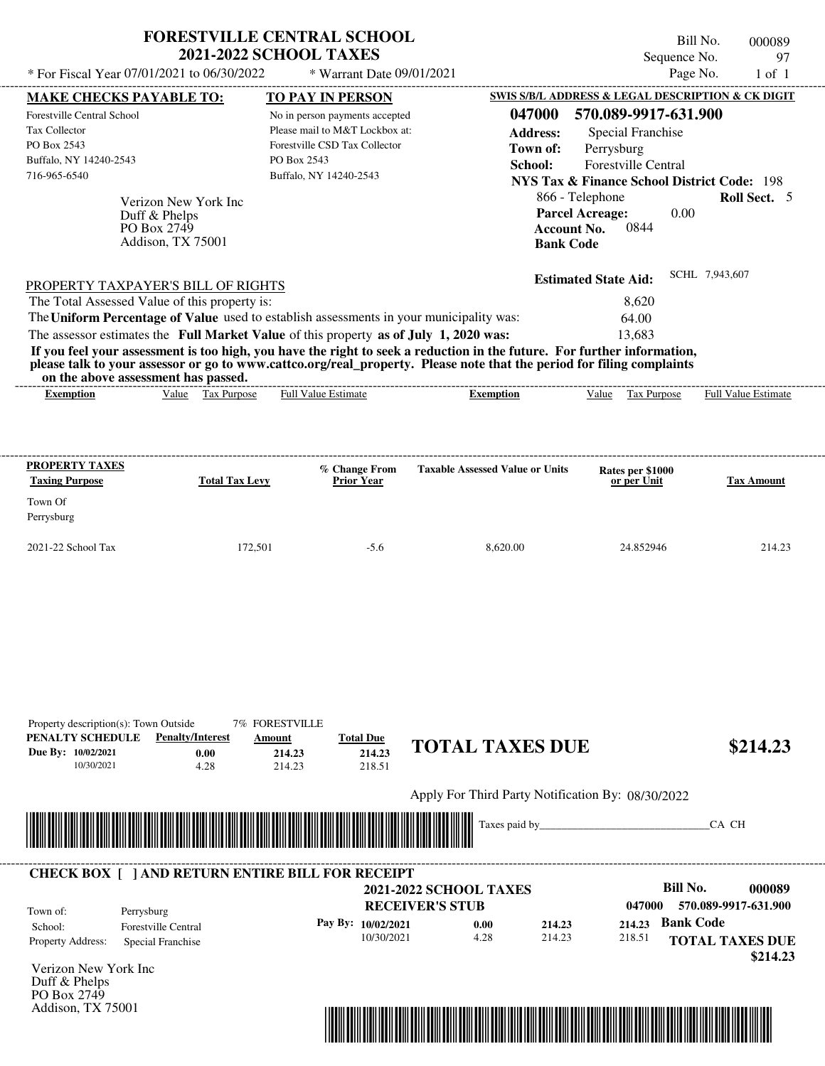|                                                         | * For Fiscal Year 07/01/2021 to 06/30/2022    | <b>2021-2022 SCHOOL TAXES</b><br>* Warrant Date 09/01/2021                                                                                                                                                                                       |                                        | Sequence No.                                           | Bill No.<br>000089<br>97<br>Page No.<br>$1$ of $1$ |
|---------------------------------------------------------|-----------------------------------------------|--------------------------------------------------------------------------------------------------------------------------------------------------------------------------------------------------------------------------------------------------|----------------------------------------|--------------------------------------------------------|----------------------------------------------------|
| <b>MAKE CHECKS PAYABLE TO:</b>                          |                                               | TO PAY IN PERSON                                                                                                                                                                                                                                 |                                        | SWIS S/B/L ADDRESS & LEGAL DESCRIPTION & CK DIGIT      |                                                    |
| Forestville Central School                              |                                               | No in person payments accepted                                                                                                                                                                                                                   | 047000                                 | 570.089-9917-631.900                                   |                                                    |
| <b>Tax Collector</b>                                    |                                               | Please mail to M&T Lockbox at:                                                                                                                                                                                                                   | <b>Address:</b>                        | Special Franchise                                      |                                                    |
| PO Box 2543                                             |                                               | Forestville CSD Tax Collector                                                                                                                                                                                                                    | Town of:                               | Perrysburg                                             |                                                    |
| Buffalo, NY 14240-2543                                  |                                               | PO Box 2543                                                                                                                                                                                                                                      | School:                                | Forestville Central                                    |                                                    |
| 716-965-6540                                            |                                               | Buffalo, NY 14240-2543                                                                                                                                                                                                                           |                                        | <b>NYS Tax &amp; Finance School District Code: 198</b> |                                                    |
|                                                         | Verizon New York Inc                          |                                                                                                                                                                                                                                                  |                                        | 866 - Telephone                                        | Roll Sect. 5                                       |
|                                                         | Duff & Phelps                                 |                                                                                                                                                                                                                                                  |                                        | <b>Parcel Acreage:</b><br>0.00                         |                                                    |
|                                                         | PO Box 2749                                   |                                                                                                                                                                                                                                                  | <b>Account No.</b>                     | 0844                                                   |                                                    |
|                                                         | Addison, TX 75001                             |                                                                                                                                                                                                                                                  | <b>Bank Code</b>                       |                                                        |                                                    |
|                                                         |                                               |                                                                                                                                                                                                                                                  |                                        | <b>Estimated State Aid:</b>                            | SCHL 7,943,607                                     |
|                                                         | PROPERTY TAXPAYER'S BILL OF RIGHTS            |                                                                                                                                                                                                                                                  |                                        |                                                        |                                                    |
|                                                         |                                               |                                                                                                                                                                                                                                                  |                                        |                                                        |                                                    |
|                                                         | The Total Assessed Value of this property is: |                                                                                                                                                                                                                                                  |                                        | 8,620                                                  |                                                    |
|                                                         |                                               | The Uniform Percentage of Value used to establish assessments in your municipality was:                                                                                                                                                          |                                        | 64.00                                                  |                                                    |
|                                                         |                                               | The assessor estimates the Full Market Value of this property as of July 1, 2020 was:                                                                                                                                                            |                                        | 13,683                                                 |                                                    |
|                                                         |                                               | If you feel your assessment is too high, you have the right to seek a reduction in the future. For further information,<br>please talk to your assessor or go to www.cattco.org/real_property. Please note that the period for filing complaints |                                        |                                                        |                                                    |
| on the above assessment has passed.<br><b>Exemption</b> | Value Tax Purpose                             | <b>Full Value Estimate</b>                                                                                                                                                                                                                       | <b>Exemption</b>                       | Value Tax Purpose                                      | <b>Full Value Estimate</b>                         |
| PROPERTY TAXES<br><b>Taxing Purpose</b>                 | <b>Total Tax Levy</b>                         | % Change From<br><b>Prior Year</b>                                                                                                                                                                                                               | <b>Taxable Assessed Value or Units</b> | Rates per \$1000<br>or per Unit                        | <b>Tax Amount</b>                                  |
| Town Of                                                 |                                               |                                                                                                                                                                                                                                                  |                                        |                                                        |                                                    |
| Perrysburg                                              |                                               |                                                                                                                                                                                                                                                  |                                        |                                                        |                                                    |
| 2021-22 School Tax                                      | 172,501                                       | $-5.6$                                                                                                                                                                                                                                           | 8.620.00                               | 24.852946                                              | 214.23                                             |

| PENALTY SCHEDULE<br>Due By: 10/02/2021<br>10/30/2021 | <b>Penalty/Interest</b><br>0.00<br>4.28                 | Amount<br>214.23<br>214.23      | <b>Total Due</b><br>214.23<br>218.51 | <b>TOTAL TAXES DUE</b>                            |                  |                  | \$214.23                                          |
|------------------------------------------------------|---------------------------------------------------------|---------------------------------|--------------------------------------|---------------------------------------------------|------------------|------------------|---------------------------------------------------|
|                                                      |                                                         |                                 |                                      | Apply For Third Party Notification By: 08/30/2022 |                  |                  |                                                   |
|                                                      |                                                         | <u> Harry Harry Harry Harry</u> |                                      | Taxes paid by_                                    |                  |                  | CA CH                                             |
|                                                      |                                                         |                                 |                                      |                                                   |                  |                  |                                                   |
|                                                      | <b>CHECK BOX [ ] AND RETURN ENTIRE BILL FOR RECEIPT</b> |                                 |                                      |                                                   |                  |                  |                                                   |
| Town of:                                             | Perrysburg                                              |                                 | <b>RECEIVER'S STUB</b>               | <b>2021-2022 SCHOOL TAXES</b>                     |                  | 047000           | <b>Bill No.</b><br>000089<br>570.089-9917-631.900 |
| School:                                              | Forestville Central                                     |                                 | Pay By: 10/02/2021<br>10/30/2021     | 0.00<br>4.28                                      | 214.23<br>214.23 | 214.23<br>218.51 | <b>Bank Code</b>                                  |
| Property Address:                                    | Special Franchise                                       |                                 |                                      |                                                   |                  |                  | <b>TOTAL TAXES DUE</b><br>\$214.23                |
| Verizon New York Inc<br>Duff & Phelps                |                                                         |                                 |                                      |                                                   |                  |                  |                                                   |
| PO Box 2749                                          |                                                         |                                 |                                      |                                                   |                  |                  |                                                   |
| Addison, TX 75001                                    |                                                         |                                 |                                      |                                                   |                  |                  |                                                   |
|                                                      |                                                         |                                 |                                      |                                                   |                  |                  |                                                   |

Property description(s): Town Outside 7% FORESTVILLE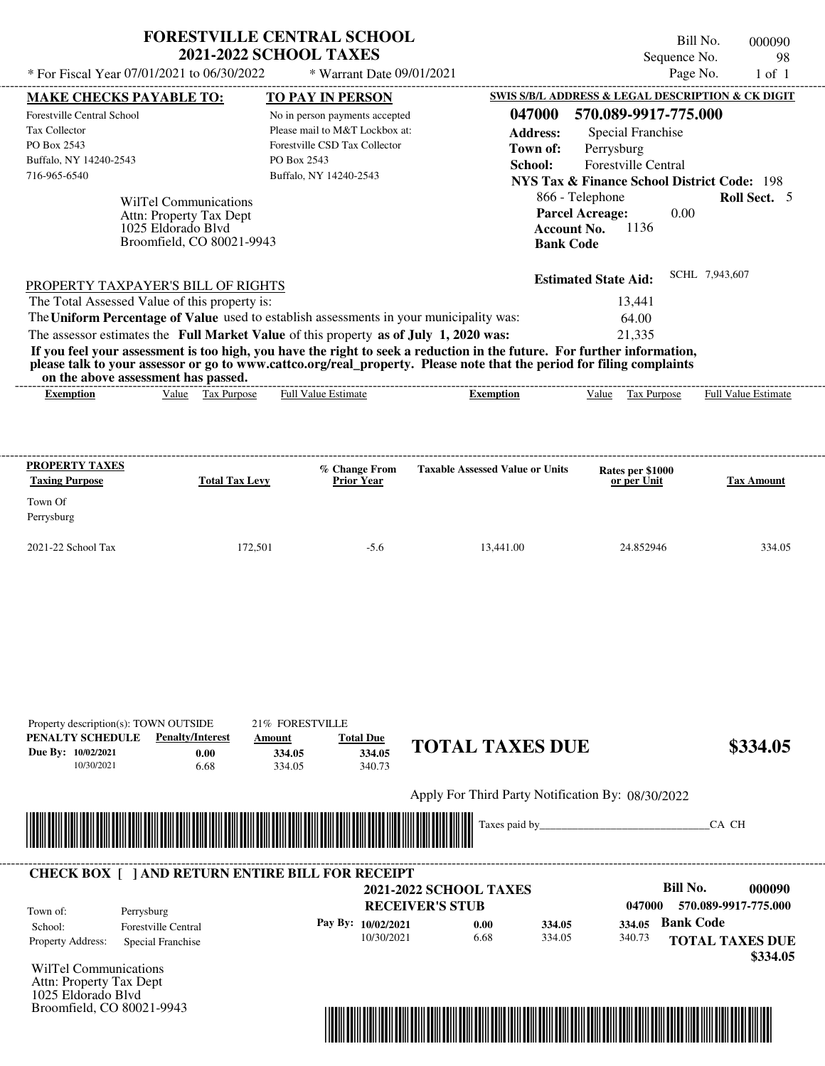|                                                                                                     | <b>FORESTVILLE CENTRAL SCHOOL</b><br><b>2021-2022 SCHOOL TAXES</b>                      | Bill No.<br>000090<br>Sequence No.                                                                                                                                                                                                               |
|-----------------------------------------------------------------------------------------------------|-----------------------------------------------------------------------------------------|--------------------------------------------------------------------------------------------------------------------------------------------------------------------------------------------------------------------------------------------------|
| * For Fiscal Year 07/01/2021 to 06/30/2022                                                          | * Warrant Date 09/01/2021                                                               | Page No.<br>$1$ of $1$                                                                                                                                                                                                                           |
| <b>MAKE CHECKS PAYABLE TO:</b>                                                                      | <b>TO PAY IN PERSON</b>                                                                 | SWIS S/B/L ADDRESS & LEGAL DESCRIPTION & CK DIGIT                                                                                                                                                                                                |
| Forestville Central School                                                                          | No in person payments accepted                                                          | 570.089-9917-775.000<br>047000                                                                                                                                                                                                                   |
| <b>Tax Collector</b>                                                                                | Please mail to M&T Lockbox at:                                                          | Special Franchise<br><b>Address:</b>                                                                                                                                                                                                             |
| PO Box 2543                                                                                         | Forestville CSD Tax Collector                                                           | Town of:<br>Perrysburg                                                                                                                                                                                                                           |
| Buffalo, NY 14240-2543                                                                              | PO Box 2543                                                                             | <b>Forestville Central</b><br>School:                                                                                                                                                                                                            |
| 716-965-6540                                                                                        | Buffalo, NY 14240-2543                                                                  | NYS Tax & Finance School District Code: 198                                                                                                                                                                                                      |
| WilTel Communications<br>Attn: Property Tax Dept<br>1025 Eldorado Blyd<br>Broomfield, CO 80021-9943 |                                                                                         | <b>Parcel Acreage:</b><br>0.00<br>1136<br><b>Account No.</b><br><b>Bank Code</b>                                                                                                                                                                 |
|                                                                                                     |                                                                                         | SCHL 7,943,607<br><b>Estimated State Aid:</b>                                                                                                                                                                                                    |
| PROPERTY TAXPAYER'S BILL OF RIGHTS                                                                  |                                                                                         |                                                                                                                                                                                                                                                  |
| The Total Assessed Value of this property is:                                                       |                                                                                         | 13.441                                                                                                                                                                                                                                           |
|                                                                                                     | The Uniform Percentage of Value used to establish assessments in your municipality was: | 64.00                                                                                                                                                                                                                                            |
|                                                                                                     | The assessor estimates the Full Market Value of this property as of July 1, 2020 was:   | 21.335                                                                                                                                                                                                                                           |
| on the above assessment has passed.                                                                 |                                                                                         | If you feel your assessment is too high, you have the right to seek a reduction in the future. For further information,<br>please talk to your assessor or go to www.cattco.org/real_property. Please note that the period for filing complaints |
| Value Tax Purpose<br><b>Exemption</b>                                                               | <b>Full Value Estimate</b>                                                              | <b>Full Value Estimate</b><br><b>Exemption</b><br>Value Tax Purpose                                                                                                                                                                              |

2021-22 School Tax 172,501 -5.6 13,441.00 24.852946 334.05

| PENALTY SCHEDULE         | <b>Penalty/Interest</b>                                                                                              | Amount | <b>Total Due</b>   |                                                   |        |        |                  |                        |
|--------------------------|----------------------------------------------------------------------------------------------------------------------|--------|--------------------|---------------------------------------------------|--------|--------|------------------|------------------------|
| Due By: 10/02/2021       | 0.00                                                                                                                 | 334.05 | 334.05             | <b>TOTAL TAXES DUE</b>                            |        |        |                  | \$334.05               |
| 10/30/2021               | 6.68                                                                                                                 | 334.05 | 340.73             |                                                   |        |        |                  |                        |
|                          |                                                                                                                      |        |                    | Apply For Third Party Notification By: 08/30/2022 |        |        |                  |                        |
|                          |                                                                                                                      |        |                    | Taxes paid by                                     |        |        |                  | CA CH                  |
|                          |                                                                                                                      |        |                    |                                                   |        |        |                  |                        |
|                          |                                                                                                                      |        |                    |                                                   |        |        |                  |                        |
|                          | <u> Tanzania di Baratta di Baratta di Baratta di Baratta di Baratta di Baratta di Baratta di Baratta di Baratta </u> |        |                    |                                                   |        |        |                  |                        |
|                          |                                                                                                                      |        |                    |                                                   |        |        |                  |                        |
|                          | <b>CHECK BOX   JAND RETURN ENTIRE BILL FOR RECEIPT</b>                                                               |        |                    | <b>2021-2022 SCHOOL TAXES</b>                     |        |        | <b>Bill No.</b>  | 000090                 |
|                          |                                                                                                                      |        |                    | <b>RECEIVER'S STUB</b>                            |        | 047000 |                  | 570.089-9917-775.000   |
| Town of:<br>School:      | Perrysburg<br><b>Forestville Central</b>                                                                             |        | Pay By: 10/02/2021 | 0.00                                              | 334.05 | 334.05 | <b>Bank Code</b> |                        |
| <b>Property Address:</b> | Special Franchise                                                                                                    |        | 10/30/2021         | 6.68                                              | 334.05 | 340.73 |                  | <b>TOTAL TAXES DUE</b> |

Attn: Property Tax Dept 1025 Eldorado Blvd Broomfield, CO 80021-9943

Property description(s): TOWN OUTSIDE 21% FORESTVILLE

Perrysburg

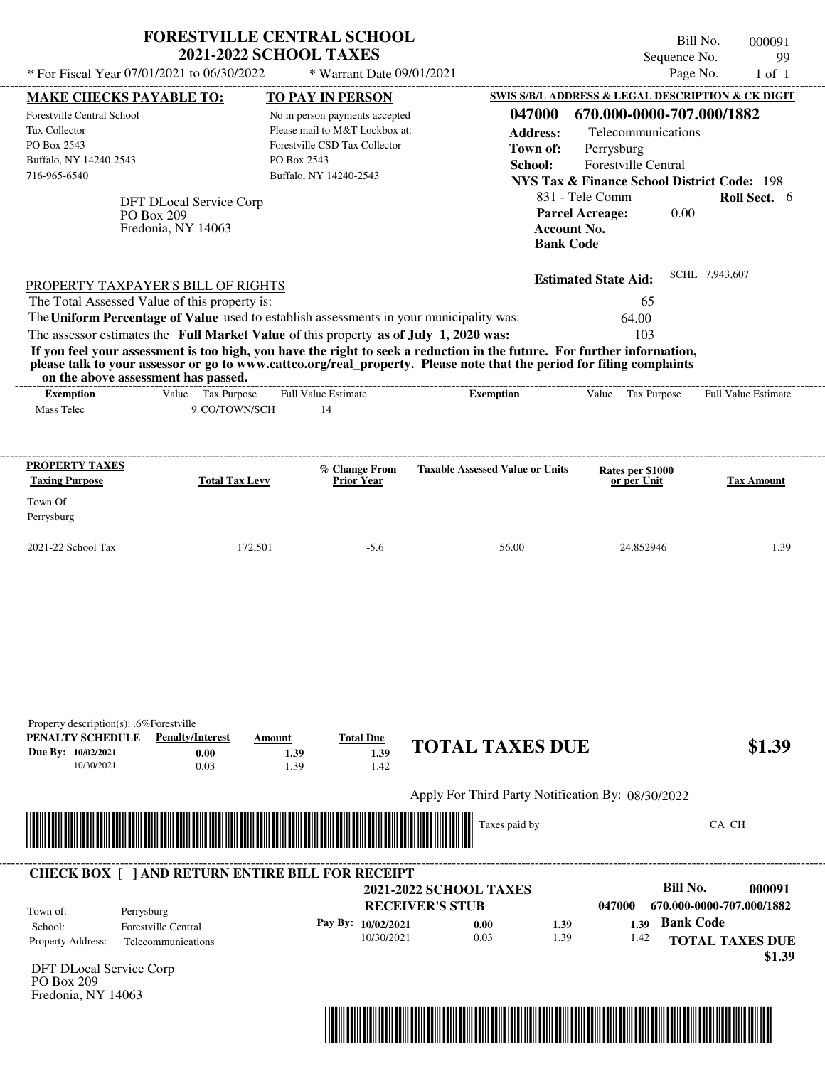| * For Fiscal Year 07/01/2021 to 06/30/2022                                                                                                                                                                                                                                                                                                                                                                                                                                                                                                                         | <b>FORESTVILLE CENTRAL SCHOOL</b><br><b>2021-2022 SCHOOL TAXES</b> | * Warrant Date 09/01/2021                                                                         |                                                                                                                      | Bill No.<br>Sequence No.<br>Page No.                                                                                                                                             | 000091<br>99<br>$1$ of $1$          |
|--------------------------------------------------------------------------------------------------------------------------------------------------------------------------------------------------------------------------------------------------------------------------------------------------------------------------------------------------------------------------------------------------------------------------------------------------------------------------------------------------------------------------------------------------------------------|--------------------------------------------------------------------|---------------------------------------------------------------------------------------------------|----------------------------------------------------------------------------------------------------------------------|----------------------------------------------------------------------------------------------------------------------------------------------------------------------------------|-------------------------------------|
| <b>MAKE CHECKS PAYABLE TO:</b>                                                                                                                                                                                                                                                                                                                                                                                                                                                                                                                                     | <b>TO PAY IN PERSON</b>                                            |                                                                                                   |                                                                                                                      | SWIS S/B/L ADDRESS & LEGAL DESCRIPTION & CK DIGIT                                                                                                                                |                                     |
| Forestville Central School<br>Tax Collector<br>PO Box 2543<br>Buffalo, NY 14240-2543<br>716-965-6540<br>DFT DLocal Service Corp<br>PO Box 209<br>Fredonia, NY 14063                                                                                                                                                                                                                                                                                                                                                                                                | PO Box 2543<br>Buffalo, NY 14240-2543                              | No in person payments accepted<br>Please mail to M&T Lockbox at:<br>Forestville CSD Tax Collector | 047000<br><b>Address:</b><br>Town of:<br>School:<br><b>Parcel Acreage:</b><br><b>Account No.</b><br><b>Bank Code</b> | 670.000-0000-707.000/1882<br>Telecommunications<br>Perrysburg<br><b>Forestville Central</b><br><b>NYS Tax &amp; Finance School District Code: 198</b><br>831 - Tele Comm<br>0.00 | Roll Sect. 6                        |
| PROPERTY TAXPAYER'S BILL OF RIGHTS<br>The Total Assessed Value of this property is:<br>The Uniform Percentage of Value used to establish assessments in your municipality was:<br>The assessor estimates the Full Market Value of this property as of July 1, 2020 was:<br>If you feel your assessment is too high, you have the right to seek a reduction in the future. For further information,<br>please talk to your assessor or go to www.cattco.org/real property. Please note that the period for filing complaints<br>on the above assessment has passed. |                                                                    |                                                                                                   |                                                                                                                      | <b>Estimated State Aid:</b><br>65<br>64.00<br>103                                                                                                                                | SCHL 7,943,607                      |
| Value Tax Purpose<br><b>Exemption</b>                                                                                                                                                                                                                                                                                                                                                                                                                                                                                                                              | Full Value Estimate                                                |                                                                                                   | <b>Exemption</b>                                                                                                     | Value<br>Tax Purpose                                                                                                                                                             | <b>Full Value Estimate</b>          |
| Mass Telec                                                                                                                                                                                                                                                                                                                                                                                                                                                                                                                                                         | 9 CO/TOWN/SCH<br>14                                                |                                                                                                   |                                                                                                                      |                                                                                                                                                                                  |                                     |
|                                                                                                                                                                                                                                                                                                                                                                                                                                                                                                                                                                    |                                                                    |                                                                                                   |                                                                                                                      |                                                                                                                                                                                  |                                     |
| <b>PROPERTY TAXES</b><br><b>Taxing Purpose</b>                                                                                                                                                                                                                                                                                                                                                                                                                                                                                                                     | <b>Total Tax Levy</b>                                              | % Change From<br><b>Prior Year</b>                                                                | <b>Taxable Assessed Value or Units</b>                                                                               | Rates per \$1000<br>or per Unit                                                                                                                                                  | <b>Tax Amount</b>                   |
|                                                                                                                                                                                                                                                                                                                                                                                                                                                                                                                                                                    |                                                                    |                                                                                                   |                                                                                                                      |                                                                                                                                                                                  |                                     |
| Town Of<br>Perrysburg                                                                                                                                                                                                                                                                                                                                                                                                                                                                                                                                              |                                                                    |                                                                                                   |                                                                                                                      |                                                                                                                                                                                  |                                     |
|                                                                                                                                                                                                                                                                                                                                                                                                                                                                                                                                                                    |                                                                    |                                                                                                   |                                                                                                                      |                                                                                                                                                                                  |                                     |
| 2021-22 School Tax                                                                                                                                                                                                                                                                                                                                                                                                                                                                                                                                                 | 172,501                                                            | $-5.6$                                                                                            | 56.00                                                                                                                | 24.852946                                                                                                                                                                        | 1.39                                |
| Property description(s): .6%Forestville<br>PENALTY SCHEDULE<br><b>Penalty/Interest</b><br>Due By: 10/02/2021<br>0.00                                                                                                                                                                                                                                                                                                                                                                                                                                               | Amount<br>1.39                                                     | <b>Total Due</b><br>1.39                                                                          | <b>TOTAL TAXES DUE</b>                                                                                               |                                                                                                                                                                                  | \$1.39                              |
| 0.03<br>10/30/2021                                                                                                                                                                                                                                                                                                                                                                                                                                                                                                                                                 | 1.39                                                               | 1.42                                                                                              |                                                                                                                      |                                                                                                                                                                                  |                                     |
|                                                                                                                                                                                                                                                                                                                                                                                                                                                                                                                                                                    |                                                                    |                                                                                                   | Apply For Third Party Notification By: 08/30/2022                                                                    |                                                                                                                                                                                  |                                     |
| <u> 1999 - 1999 - 1999 - 1999 - 1999 - 1999 - 1999 - 1999 - 1999 - 1999 - 1999 - 1999 - 1999 - 1999 - 1999 - 1999 - 1999 - 1999 - 1999 - 1999 - 1999 - 1999 - 1999 - 1999 - 1999 - 1999 - 1999 - 1999 - 1999 - 1999 - 1999 - 199</u>                                                                                                                                                                                                                                                                                                                               |                                                                    |                                                                                                   | Taxes paid by_                                                                                                       |                                                                                                                                                                                  | CA CH                               |
| <b>CHECK BOX [ ] AND RETURN ENTIRE BILL FOR RECEIPT</b><br>Town of:<br>Perrysburg                                                                                                                                                                                                                                                                                                                                                                                                                                                                                  |                                                                    |                                                                                                   | <b>2021-2022 SCHOOL TAXES</b><br><b>RECEIVER'S STUB</b>                                                              | <b>Bill No.</b><br>047000                                                                                                                                                        | 000091<br>670.000-0000-707.000/1882 |
| <b>Forestville Central</b><br>School:                                                                                                                                                                                                                                                                                                                                                                                                                                                                                                                              |                                                                    | Pay By: 10/02/2021                                                                                | 0.00<br>1.39                                                                                                         | 1.39 Bank Code                                                                                                                                                                   |                                     |
| Property Address:<br>Telecommunications                                                                                                                                                                                                                                                                                                                                                                                                                                                                                                                            |                                                                    | 10/30/2021                                                                                        | 0.03<br>1.39                                                                                                         | 1.42                                                                                                                                                                             | <b>TOTAL TAXES DUE</b><br>\$1.39    |

DFT DLocal Service Corp PO Box 209 Fredonia, NY 14063

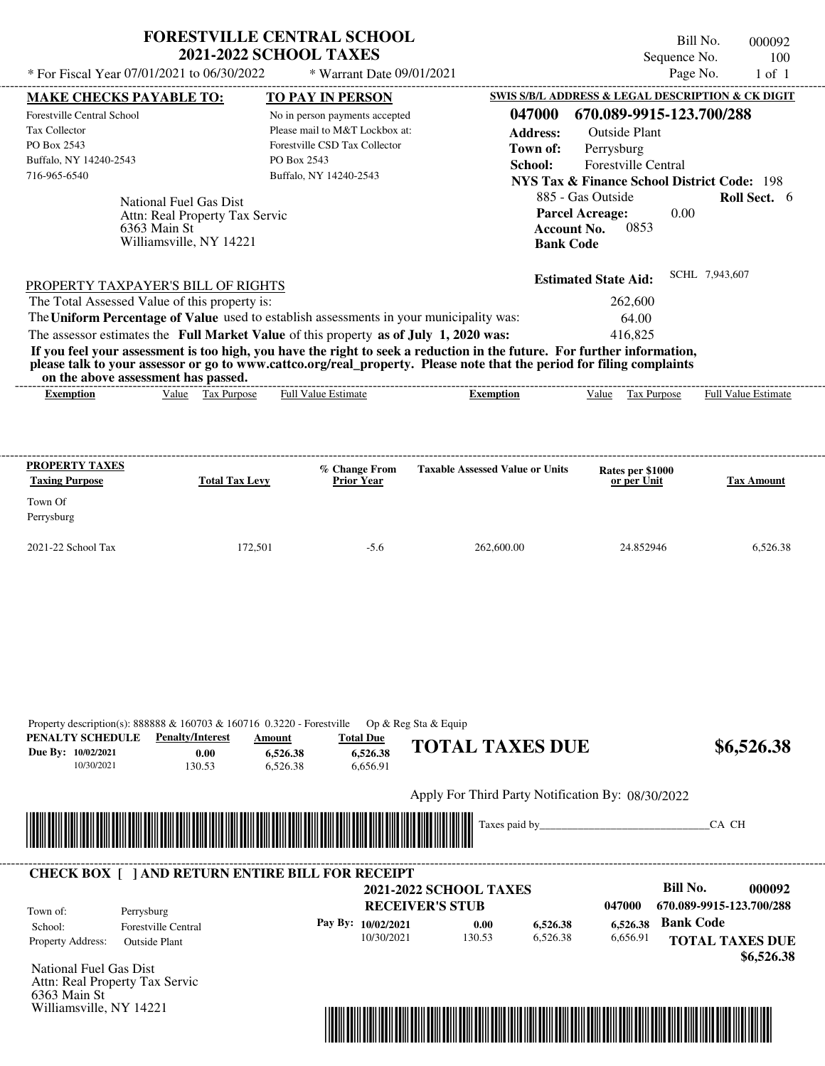|                                                                                                                                                                                                                                                                                                                | <b>FORESTVILLE CENTRAL SCHOOL</b><br><b>2021-2022 SCHOOL TAXES</b>                                                                         | Bill No.<br>000092<br>Sequence No.<br>100                                                                                                                                                                                                                                                                                        |
|----------------------------------------------------------------------------------------------------------------------------------------------------------------------------------------------------------------------------------------------------------------------------------------------------------------|--------------------------------------------------------------------------------------------------------------------------------------------|----------------------------------------------------------------------------------------------------------------------------------------------------------------------------------------------------------------------------------------------------------------------------------------------------------------------------------|
| * For Fiscal Year 07/01/2021 to 06/30/2022                                                                                                                                                                                                                                                                     | * Warrant Date 09/01/2021                                                                                                                  | Page No.<br>$1$ of $1$                                                                                                                                                                                                                                                                                                           |
| <b>MAKE CHECKS PAYABLE TO:</b>                                                                                                                                                                                                                                                                                 | <b>TO PAY IN PERSON</b>                                                                                                                    | SWIS S/B/L ADDRESS & LEGAL DESCRIPTION & CK DIGIT                                                                                                                                                                                                                                                                                |
| Forestville Central School<br><b>Tax Collector</b><br>PO Box 2543<br>Buffalo, NY 14240-2543<br>716-965-6540<br>National Fuel Gas Dist<br>Attn: Real Property Tax Servic<br>6363 Main St<br>Williamsville, NY 14221                                                                                             | No in person payments accepted<br>Please mail to M&T Lockbox at:<br>Forestville CSD Tax Collector<br>PO Box 2543<br>Buffalo, NY 14240-2543 | 670.089-9915-123.700/288<br>047000<br>Address:<br>Outside Plant<br>Town of:<br>Perrysburg<br>School:<br><b>Forestville Central</b><br>NYS Tax & Finance School District Code: 198<br>885 - Gas Outside<br><b>Roll Sect.</b> 6<br>0.00<br><b>Parcel Acreage:</b><br>0853<br><b>Account No.</b><br><b>Bank Code</b>                |
| PROPERTY TAXPAYER'S BILL OF RIGHTS<br>The Total Assessed Value of this property is:<br>The Uniform Percentage of Value used to establish assessments in your municipality was:<br>The assessor estimates the Full Market Value of this property as of July 1, 2020 was:<br>on the above assessment has passed. |                                                                                                                                            | SCHL 7,943,607<br><b>Estimated State Aid:</b><br>262,600<br>64.00<br>416.825<br>If you feel your assessment is too high, you have the right to seek a reduction in the future. For further information,<br>please talk to your assessor or go to www.cattco.org/real_property. Please note that the period for filing complaints |
| Value Tax Purpose<br><b>Exemption</b>                                                                                                                                                                                                                                                                          | <b>Full Value Estimate</b>                                                                                                                 | Value<br>Tax Purpose<br><b>Full Value Estimate</b><br><b>Exemption</b>                                                                                                                                                                                                                                                           |

| <b>PROPERTY TAXES</b><br><b>Taxing Purpose</b> | <b>Total Tax Levy</b> | % Change From<br><b>Prior Year</b> | <b>Taxable Assessed Value or Units</b> | <b>Rates per \$1000</b><br>or per Unit | <b>Tax Amount</b> |
|------------------------------------------------|-----------------------|------------------------------------|----------------------------------------|----------------------------------------|-------------------|
| Town Of<br>Perrysburg                          |                       |                                    |                                        |                                        |                   |
| $2021-22$ School Tax                           | 172,501               | $-5.6$                             | 262,600.00                             | 24.852946                              | 6,526.38          |

| PENALTY SCHEDULE<br>Due By: 10/02/2021<br>10/30/2021 | <b>Penalty/Interest</b><br>0.00<br>130.53               | Amount<br>6,526.38<br>6,526.38 | <b>Total Due</b><br>6,526.38<br>6,656.91 | <b>TOTAL TAXES DUE</b>                            |          | \$6,526.38               |
|------------------------------------------------------|---------------------------------------------------------|--------------------------------|------------------------------------------|---------------------------------------------------|----------|--------------------------|
|                                                      |                                                         |                                |                                          | Apply For Third Party Notification By: 08/30/2022 |          |                          |
|                                                      |                                                         |                                |                                          |                                                   |          |                          |
|                                                      |                                                         |                                |                                          | Taxes paid by                                     |          | CA CH                    |
|                                                      |                                                         | <u> Tanzania (h. 1888).</u>    |                                          |                                                   |          |                          |
|                                                      |                                                         |                                |                                          |                                                   |          |                          |
|                                                      | <b>CHECK BOX [ ] AND RETURN ENTIRE BILL FOR RECEIPT</b> |                                |                                          | <b>2021-2022 SCHOOL TAXES</b>                     |          | Bill No.<br>000092       |
|                                                      |                                                         |                                |                                          | <b>RECEIVER'S STUB</b>                            | 047000   | 670.089-9915-123.700/288 |
| Town of:<br>School:                                  | Perrysburg<br><b>Forestville Central</b>                |                                | Pay By: 10/02/2021                       | 0.00<br>6,526.38                                  | 6,526.38 | <b>Bank Code</b>         |

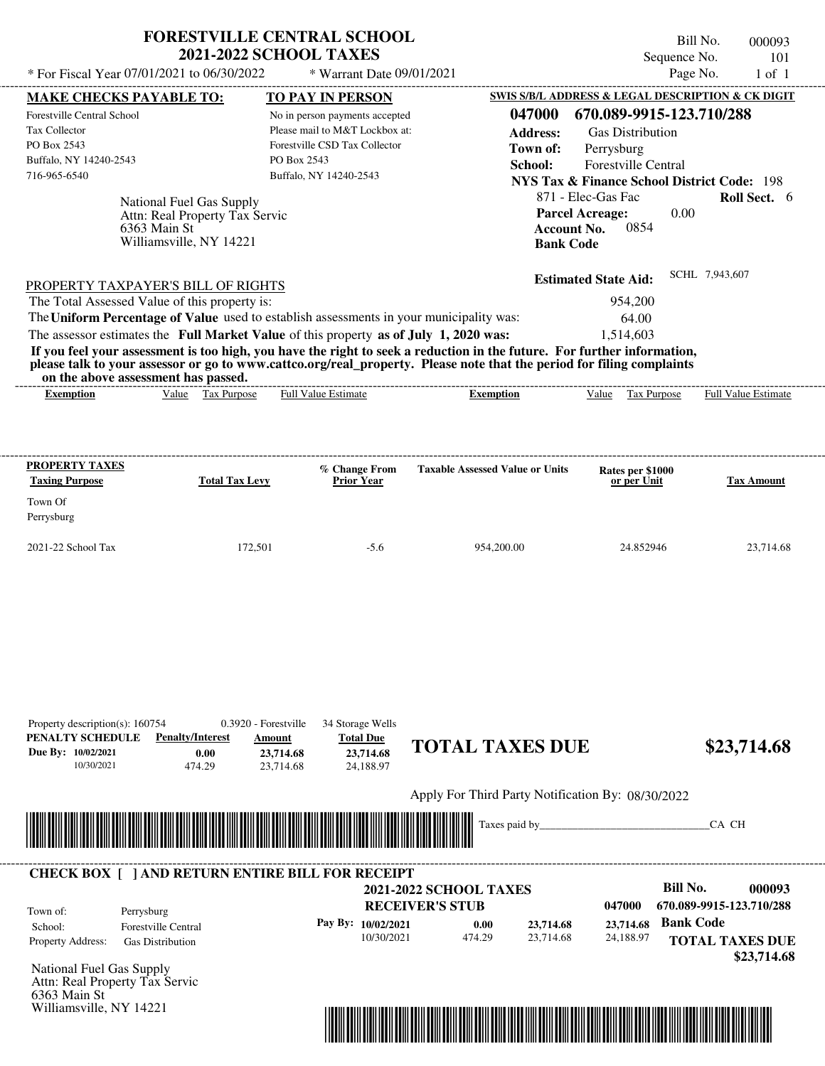| <b>FORESTVILLE CENTRAL SCHOOL</b> |
|-----------------------------------|
| <b>2021-2022 SCHOOL TAXES</b>     |

Bill No. 000093 Sequence No. 101

| * For Fiscal Year 07/01/2021 to 06/30/2022                                                                                               |                                   | * Warrant Date 09/01/2021                    |                                                                                                                         |                                                        | Page No.<br>$1$ of $1$   |
|------------------------------------------------------------------------------------------------------------------------------------------|-----------------------------------|----------------------------------------------|-------------------------------------------------------------------------------------------------------------------------|--------------------------------------------------------|--------------------------|
| <b>MAKE CHECKS PAYABLE TO:</b>                                                                                                           |                                   | TO PAY IN PERSON                             |                                                                                                                         | SWIS S/B/L ADDRESS & LEGAL DESCRIPTION & CK DIGIT      |                          |
| Forestville Central School                                                                                                               |                                   | No in person payments accepted               | 047000                                                                                                                  | 670.089-9915-123.710/288                               |                          |
| Tax Collector                                                                                                                            |                                   | Please mail to M&T Lockbox at:               | <b>Address:</b>                                                                                                         | <b>Gas Distribution</b>                                |                          |
| PO Box 2543                                                                                                                              |                                   | Forestville CSD Tax Collector<br>PO Box 2543 | Town of:                                                                                                                | Perrysburg                                             |                          |
| Buffalo, NY 14240-2543<br>716-965-6540                                                                                                   |                                   | Buffalo, NY 14240-2543                       | School:                                                                                                                 | <b>Forestville Central</b>                             |                          |
|                                                                                                                                          |                                   |                                              |                                                                                                                         | <b>NYS Tax &amp; Finance School District Code: 198</b> |                          |
|                                                                                                                                          | National Fuel Gas Supply          |                                              |                                                                                                                         | 871 - Elec-Gas Fac                                     | Roll Sect. 6             |
|                                                                                                                                          | Attn: Real Property Tax Servic    |                                              |                                                                                                                         | 0.00<br><b>Parcel Acreage:</b><br>0854                 |                          |
| 6363 Main St                                                                                                                             | Williamsville, NY 14221           |                                              | <b>Account No.</b><br><b>Bank Code</b>                                                                                  |                                                        |                          |
|                                                                                                                                          |                                   |                                              |                                                                                                                         |                                                        |                          |
|                                                                                                                                          |                                   |                                              |                                                                                                                         | <b>Estimated State Aid:</b>                            | SCHL 7,943,607           |
| PROPERTY TAXPAYER'S BILL OF RIGHTS                                                                                                       |                                   |                                              |                                                                                                                         |                                                        |                          |
| The Total Assessed Value of this property is:<br>The Uniform Percentage of Value used to establish assessments in your municipality was: |                                   |                                              |                                                                                                                         | 954,200                                                |                          |
|                                                                                                                                          |                                   |                                              |                                                                                                                         | 64.00                                                  |                          |
| The assessor estimates the Full Market Value of this property as of July 1, 2020 was:                                                    |                                   |                                              | If you feel your assessment is too high, you have the right to seek a reduction in the future. For further information, | 1,514,603                                              |                          |
|                                                                                                                                          |                                   |                                              | please talk to your assessor or go to www.cattco.org/real property. Please note that the period for filing complaints   |                                                        |                          |
| on the above assessment has passed.                                                                                                      |                                   |                                              |                                                                                                                         |                                                        |                          |
| <b>Exemption</b>                                                                                                                         | Value Tax Purpose                 | Full Value Estimate                          | <b>Exemption</b>                                                                                                        | Value Tax Purpose                                      | Full Value Estimate      |
|                                                                                                                                          |                                   |                                              |                                                                                                                         |                                                        |                          |
|                                                                                                                                          |                                   |                                              |                                                                                                                         |                                                        |                          |
|                                                                                                                                          |                                   |                                              |                                                                                                                         |                                                        |                          |
| <b>PROPERTY TAXES</b><br><b>Taxing Purpose</b>                                                                                           | <b>Total Tax Levy</b>             | % Change From<br><b>Prior Year</b>           | <b>Taxable Assessed Value or Units</b>                                                                                  | Rates per \$1000<br>or per Unit                        | <b>Tax Amount</b>        |
|                                                                                                                                          |                                   |                                              |                                                                                                                         |                                                        |                          |
| Town Of                                                                                                                                  |                                   |                                              |                                                                                                                         |                                                        |                          |
| Perrysburg                                                                                                                               |                                   |                                              |                                                                                                                         |                                                        |                          |
| 2021-22 School Tax                                                                                                                       | 172,501                           | $-5.6$                                       | 954,200.00                                                                                                              | 24.852946                                              | 23,714.68                |
|                                                                                                                                          |                                   |                                              |                                                                                                                         |                                                        |                          |
|                                                                                                                                          |                                   |                                              |                                                                                                                         |                                                        |                          |
|                                                                                                                                          |                                   |                                              |                                                                                                                         |                                                        |                          |
|                                                                                                                                          |                                   |                                              |                                                                                                                         |                                                        |                          |
|                                                                                                                                          |                                   |                                              |                                                                                                                         |                                                        |                          |
|                                                                                                                                          |                                   |                                              |                                                                                                                         |                                                        |                          |
|                                                                                                                                          |                                   |                                              |                                                                                                                         |                                                        |                          |
|                                                                                                                                          |                                   |                                              |                                                                                                                         |                                                        |                          |
|                                                                                                                                          |                                   |                                              |                                                                                                                         |                                                        |                          |
| Property description(s): 160754                                                                                                          | 0.3920 - Forestville              | 34 Storage Wells                             |                                                                                                                         |                                                        |                          |
| PENALTY SCHEDULE                                                                                                                         | <b>Penalty/Interest</b><br>Amount | <b>Total Due</b>                             |                                                                                                                         |                                                        |                          |
| Due By: 10/02/2021                                                                                                                       | 0.00                              | 23,714.68<br>23,714.68                       | <b>TOTAL TAXES DUE</b>                                                                                                  |                                                        | \$23,714.68              |
| 10/30/2021                                                                                                                               | 474.29                            | 23,714.68<br>24,188.97                       |                                                                                                                         |                                                        |                          |
|                                                                                                                                          |                                   |                                              |                                                                                                                         |                                                        |                          |
|                                                                                                                                          |                                   |                                              | Apply For Third Party Notification By: 08/30/2022                                                                       |                                                        |                          |
|                                                                                                                                          |                                   |                                              | Taxes paid by_                                                                                                          |                                                        | CA CH                    |
|                                                                                                                                          |                                   |                                              |                                                                                                                         |                                                        |                          |
|                                                                                                                                          |                                   |                                              |                                                                                                                         |                                                        |                          |
| <b>CHECK BOX [ ] AND RETURN ENTIRE BILL FOR RECEIPT</b>                                                                                  |                                   |                                              |                                                                                                                         |                                                        |                          |
|                                                                                                                                          |                                   |                                              | <b>2021-2022 SCHOOL TAXES</b>                                                                                           | <b>Bill No.</b>                                        | 000093                   |
| Town of:<br>Perrysburg                                                                                                                   |                                   |                                              | <b>RECEIVER'S STUB</b>                                                                                                  | 047000                                                 | 670.089-9915-123.710/288 |
| School:<br><b>Forestville Central</b>                                                                                                    |                                   | Pay By: 10/02/2021                           | 0.00<br>23,714.68                                                                                                       | <b>Bank Code</b><br>23,714.68                          |                          |
| Property Address:<br><b>Gas Distribution</b>                                                                                             |                                   | 10/30/2021                                   | 474.29<br>23,714.68                                                                                                     | 24,188.97                                              | <b>TOTAL TAXES DUE</b>   |
|                                                                                                                                          |                                   |                                              |                                                                                                                         |                                                        | \$23,714.68              |
| National Fuel Gas Supply                                                                                                                 |                                   |                                              |                                                                                                                         |                                                        |                          |
| Attn: Real Property Tax Servic<br>6363 Main St                                                                                           |                                   |                                              |                                                                                                                         |                                                        |                          |
| Williamsville, NY 14221                                                                                                                  |                                   |                                              |                                                                                                                         |                                                        |                          |
|                                                                                                                                          |                                   |                                              |                                                                                                                         |                                                        |                          |

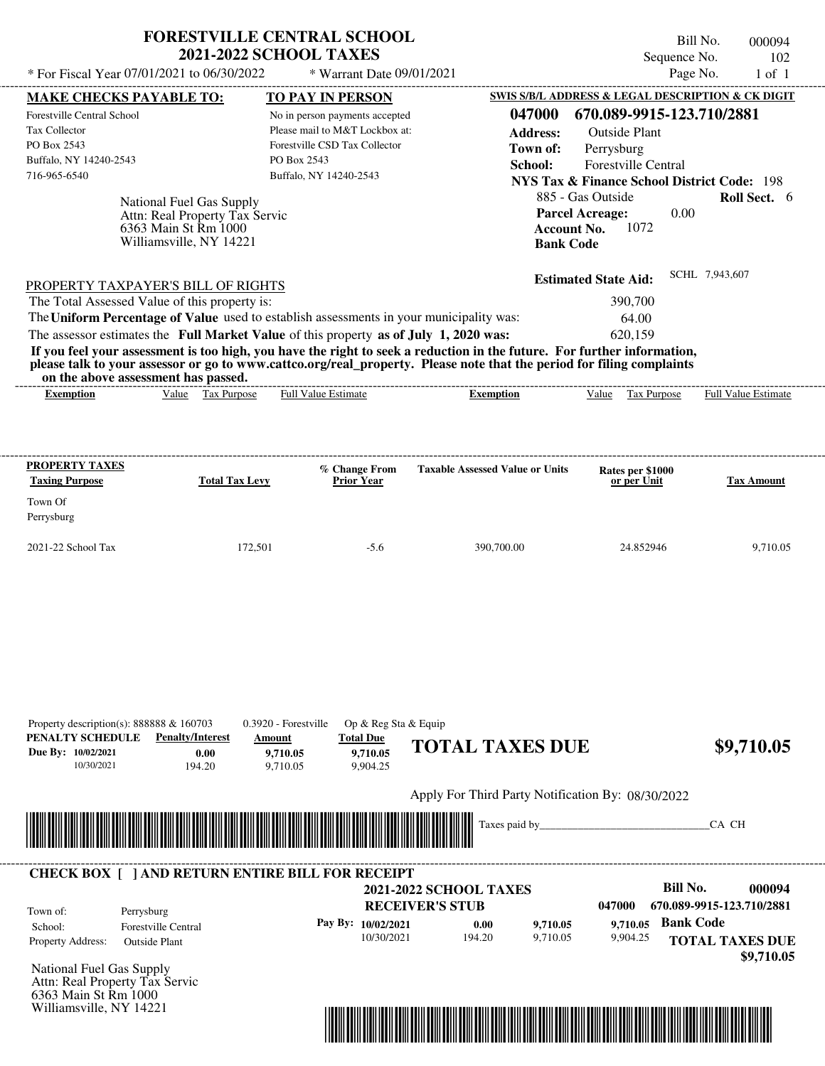|                                                                                                                  | <b>FORESTVILLE CENTRAL SCHOOL</b><br><b>2021-2022 SCHOOL TAXES</b> |                                                      |                                        | Bill No.<br>Sequence No.                               | 000094                     |
|------------------------------------------------------------------------------------------------------------------|--------------------------------------------------------------------|------------------------------------------------------|----------------------------------------|--------------------------------------------------------|----------------------------|
| * For Fiscal Year 07/01/2021 to 06/30/2022                                                                       |                                                                    | * Warrant Date 09/01/2021                            |                                        | Page No.                                               | 102<br>$1$ of $1$          |
| <b>MAKE CHECKS PAYABLE TO:</b>                                                                                   |                                                                    | <b>TO PAY IN PERSON</b>                              |                                        | SWIS S/B/L ADDRESS & LEGAL DESCRIPTION & CK DIGIT      |                            |
| Forestville Central School                                                                                       |                                                                    | No in person payments accepted                       | 047000                                 | 670.089-9915-123.710/2881                              |                            |
| Tax Collector                                                                                                    |                                                                    | Please mail to M&T Lockbox at:                       | <b>Address:</b>                        | <b>Outside Plant</b>                                   |                            |
| PO Box 2543                                                                                                      |                                                                    | Forestville CSD Tax Collector                        | Town of:                               | Perrysburg                                             |                            |
| Buffalo, NY 14240-2543                                                                                           | PO Box 2543                                                        |                                                      | School:                                | <b>Forestville Central</b>                             |                            |
| 716-965-6540                                                                                                     |                                                                    | Buffalo, NY 14240-2543                               |                                        | <b>NYS Tax &amp; Finance School District Code: 198</b> |                            |
|                                                                                                                  |                                                                    |                                                      |                                        | 885 - Gas Outside                                      | <b>Roll Sect.</b> 6        |
| National Fuel Gas Supply<br>Attn: Real Property Tax Servic                                                       |                                                                    |                                                      | <b>Parcel Acreage:</b>                 | 0.00                                                   |                            |
| 6363 Main St Rm 1000                                                                                             |                                                                    |                                                      | <b>Account No.</b>                     | 1072                                                   |                            |
| Williamsville, NY 14221                                                                                          |                                                                    |                                                      | <b>Bank Code</b>                       |                                                        |                            |
|                                                                                                                  |                                                                    |                                                      |                                        | <b>Estimated State Aid:</b>                            | SCHL 7,943,607             |
| PROPERTY TAXPAYER'S BILL OF RIGHTS<br>The Total Assessed Value of this property is:                              |                                                                    |                                                      |                                        | 390,700                                                |                            |
| The Uniform Percentage of Value used to establish assessments in your municipality was:                          |                                                                    |                                                      |                                        | 64.00                                                  |                            |
| The assessor estimates the Full Market Value of this property as of July 1, 2020 was:                            |                                                                    |                                                      |                                        | 620,159                                                |                            |
| on the above assessment has passed.                                                                              |                                                                    |                                                      |                                        |                                                        |                            |
| Value Tax Purpose<br><b>Exemption</b>                                                                            |                                                                    | <b>Full Value Estimate</b>                           | <b>Exemption</b>                       | Value Tax Purpose                                      | <b>Full Value Estimate</b> |
| <b>PROPERTY TAXES</b><br><b>Taxing Purpose</b>                                                                   | <b>Total Tax Levy</b>                                              | % Change From<br><b>Prior Year</b>                   | <b>Taxable Assessed Value or Units</b> | Rates per \$1000<br>or per Unit                        | <b>Tax Amount</b>          |
| Town Of                                                                                                          |                                                                    |                                                      |                                        |                                                        |                            |
|                                                                                                                  |                                                                    |                                                      |                                        |                                                        |                            |
| Perrysburg                                                                                                       |                                                                    |                                                      |                                        |                                                        |                            |
| 2021-22 School Tax                                                                                               | 172,501                                                            | $-5.6$                                               | 390,700.00                             | 24.852946                                              |                            |
| Property description(s): $888888 \& 160703$<br>PENALTY SCHEDULE<br><b>Penalty/Interest</b><br>Due By: 10/02/2021 | 0.3920 - Forestville<br>Amount                                     | Op & Reg Sta & Equip<br><b>Total Due</b><br>9,710.05 | <b>TOTAL TAXES DUE</b>                 |                                                        | 9,710.05<br>\$9,710.05     |



Williamsville, NY 14221

## National Fuel Gas Supply **RECEIVER'S STUB Bill No. 000094 Bank Code 9,710.05** Property Address: Outside Plant Perrysburg School: Forestville Central **TOTAL TAXES DUE \$9,710.05 2021-2022 SCHOOL TAXES 047000 670.089-9915-123.710/2881 Pay By: 10/02/2021** 10/30/2021 194.20 **0.00** 9,710.05 **9,710.05** 9,904.25 Attn: Real Property Tax Servic Town of: 6363 Main St Rm 1000 **CHECK BOX [ ] AND RETURN ENTIRE BILL FOR RECEIPT**

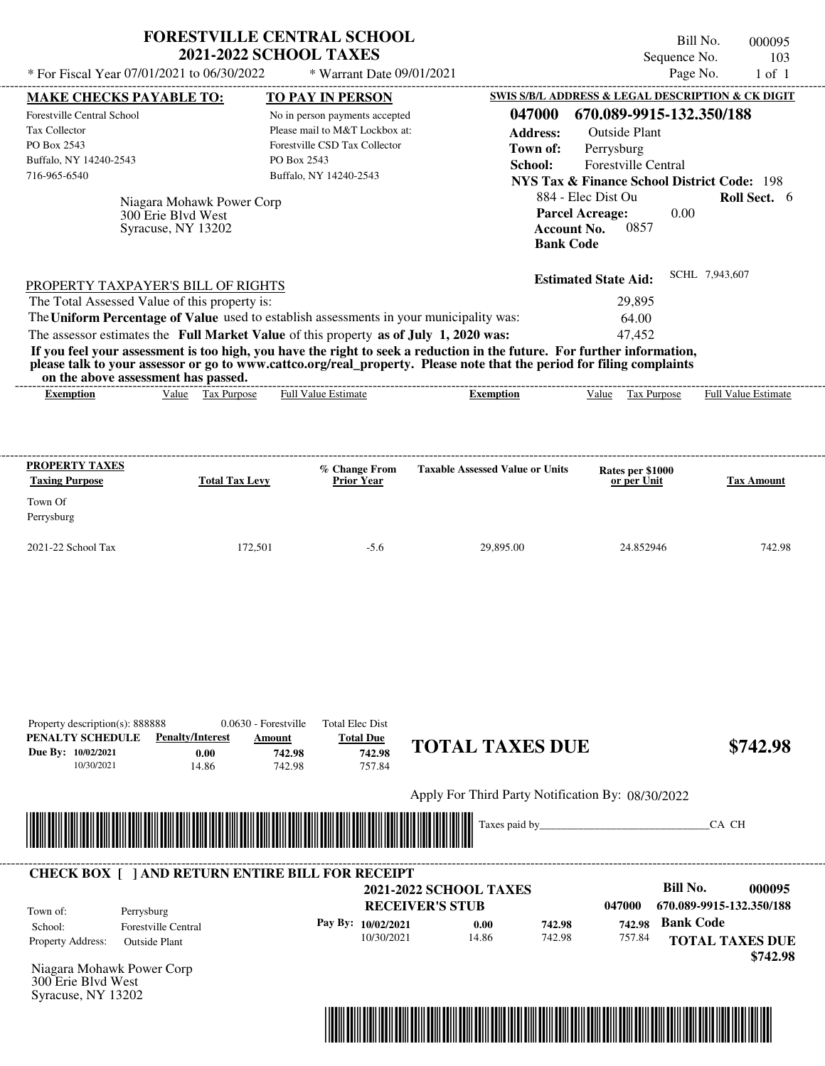|                                                                                                                                                                                                                                                                                                                                                                                                                                                                                                                             | <b>FORESTVILLE CENTRAL SCHOOL</b><br><b>2021-2022 SCHOOL TAXES</b>                                                                         |                                                   | Bill No.<br>Sequence No.                                                                                                                                                                                                                                         | 000095<br>103              |
|-----------------------------------------------------------------------------------------------------------------------------------------------------------------------------------------------------------------------------------------------------------------------------------------------------------------------------------------------------------------------------------------------------------------------------------------------------------------------------------------------------------------------------|--------------------------------------------------------------------------------------------------------------------------------------------|---------------------------------------------------|------------------------------------------------------------------------------------------------------------------------------------------------------------------------------------------------------------------------------------------------------------------|----------------------------|
| * For Fiscal Year 07/01/2021 to 06/30/2022                                                                                                                                                                                                                                                                                                                                                                                                                                                                                  |                                                                                                                                            | * Warrant Date 09/01/2021                         | Page No.                                                                                                                                                                                                                                                         | $1$ of $1$                 |
| <b>MAKE CHECKS PAYABLE TO:</b>                                                                                                                                                                                                                                                                                                                                                                                                                                                                                              | TO PAY IN PERSON                                                                                                                           |                                                   | SWIS S/B/L ADDRESS & LEGAL DESCRIPTION & CK DIGIT                                                                                                                                                                                                                |                            |
| Forestville Central School<br>Tax Collector<br>PO Box 2543<br>Buffalo, NY 14240-2543<br>716-965-6540<br>Niagara Mohawk Power Corp<br>300 Erie Blvd West<br>Syracuse, NY 13202                                                                                                                                                                                                                                                                                                                                               | No in person payments accepted<br>Please mail to M&T Lockbox at:<br>Forestville CSD Tax Collector<br>PO Box 2543<br>Buffalo, NY 14240-2543 | 047000<br><b>Address:</b><br>Town of:<br>School:  | 670.089-9915-132.350/188<br><b>Outside Plant</b><br>Perrysburg<br><b>Forestville Central</b><br><b>NYS Tax &amp; Finance School District Code: 198</b><br>884 - Elec Dist Ou<br><b>Parcel Acreage:</b><br>0.00<br><b>Account No.</b><br>0857<br><b>Bank Code</b> | Roll Sect. 6               |
| PROPERTY TAXPAYER'S BILL OF RIGHTS<br>The Total Assessed Value of this property is:<br>The Uniform Percentage of Value used to establish assessments in your municipality was:<br>The assessor estimates the Full Market Value of this property as of July 1, 2020 was:<br>If you feel your assessment is too high, you have the right to seek a reduction in the future. For further information,<br>please talk to your assessor or go to www.cattco.org/real_property. Please note that the period for filing complaints |                                                                                                                                            |                                                   | SCHL 7,943,607<br><b>Estimated State Aid:</b><br>29.895<br>64.00<br>47,452                                                                                                                                                                                       |                            |
| on the above assessment has passed.<br>Value Tax Purpose<br><b>Exemption</b>                                                                                                                                                                                                                                                                                                                                                                                                                                                | <b>Full Value Estimate</b>                                                                                                                 | <b>Exemption</b>                                  | Value Tax Purpose                                                                                                                                                                                                                                                | <b>Full Value Estimate</b> |
|                                                                                                                                                                                                                                                                                                                                                                                                                                                                                                                             |                                                                                                                                            |                                                   |                                                                                                                                                                                                                                                                  |                            |
| <b>Taxing Purpose</b><br><b>Total Tax Levy</b>                                                                                                                                                                                                                                                                                                                                                                                                                                                                              | % Change From<br><b>Prior Year</b>                                                                                                         | <b>Taxable Assessed Value or Units</b>            | Rates per \$1000<br>or per Unit                                                                                                                                                                                                                                  | <b>Tax Amount</b>          |
|                                                                                                                                                                                                                                                                                                                                                                                                                                                                                                                             | 172,501<br>$-5.6$                                                                                                                          | 29,895.00                                         | 24.852946                                                                                                                                                                                                                                                        | 742.98                     |
| <b>PROPERTY TAXES</b><br>Town Of<br>Perrysburg<br>2021-22 School Tax<br>Property description(s): 888888<br>PENALTY SCHEDULE<br><b>Penalty/Interest</b><br>Due By: 10/02/2021<br>0.00<br>10/30/2021<br>14.86                                                                                                                                                                                                                                                                                                                 | 0.0630 - Forestville<br><b>Total Elec Dist</b><br><b>Total Due</b><br>Amount<br>742.98<br>742.98<br>757.84<br>742.98                       | <b>TOTAL TAXES DUE</b>                            |                                                                                                                                                                                                                                                                  |                            |
|                                                                                                                                                                                                                                                                                                                                                                                                                                                                                                                             |                                                                                                                                            | Apply For Third Party Notification By: 08/30/2022 |                                                                                                                                                                                                                                                                  | \$742.98                   |

|                          |                     |                        | <b>2021-2022 SCHOOL TAXES</b> |        |        | Bill No.                 | 000095   |
|--------------------------|---------------------|------------------------|-------------------------------|--------|--------|--------------------------|----------|
| Town of:                 | Perrysburg          | <b>RECEIVER'S STUB</b> |                               |        | 047000 | 670.089-9915-132.350/188 |          |
| School:                  | Forestville Central | Pay By: $10/02/2021$   | 0.00                          | 742.98 | 742.98 | <b>Bank Code</b>         |          |
| <b>Property Address:</b> | Outside Plant       | 10/30/2021             | 14.86                         | 742.98 | 757.84 | <b>TOTAL TAXES DUE</b>   |          |
|                          |                     |                        |                               |        |        |                          | \$742.98 |

Niagara Mohawk Power Corp 300 Erie Blvd West Syracuse, NY 13202

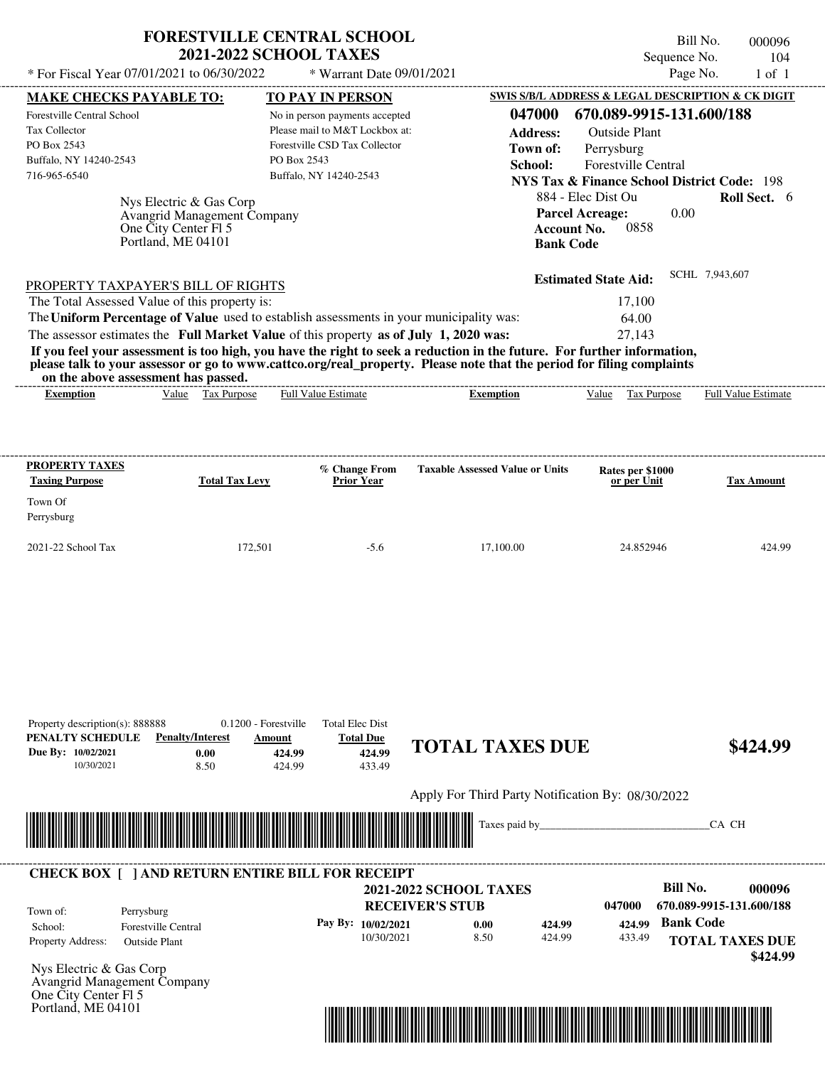| <b>FORESTVILLE CENTRAL SCHOOL</b> |  |
|-----------------------------------|--|
| <b>2021-2022 SCHOOL TAXES</b>     |  |

Bill No. 000096 Sequence No. 104

| * For Fiscal Year 07/01/2021 to 06/30/2022                                                                                               |                                            |                                              | * Warrant Date 09/01/2021                  |                                                   |                  |                                                        | Page No.         | $1$ of $1$               |
|------------------------------------------------------------------------------------------------------------------------------------------|--------------------------------------------|----------------------------------------------|--------------------------------------------|---------------------------------------------------|------------------|--------------------------------------------------------|------------------|--------------------------|
| <b>MAKE CHECKS PAYABLE TO:</b>                                                                                                           |                                            | TO PAY IN PERSON                             |                                            |                                                   |                  | SWIS S/B/L ADDRESS & LEGAL DESCRIPTION & CK DIGIT      |                  |                          |
| Forestville Central School                                                                                                               |                                            | No in person payments accepted               |                                            |                                                   | 047000           | 670.089-9915-131.600/188                               |                  |                          |
| Tax Collector                                                                                                                            |                                            | Please mail to M&T Lockbox at:               |                                            |                                                   | <b>Address:</b>  | <b>Outside Plant</b>                                   |                  |                          |
| PO Box 2543                                                                                                                              |                                            | Forestville CSD Tax Collector<br>PO Box 2543 |                                            |                                                   | Town of:         | Perrysburg                                             |                  |                          |
| Buffalo, NY 14240-2543<br>716-965-6540                                                                                                   |                                            | Buffalo, NY 14240-2543                       |                                            |                                                   | School:          | <b>Forestville Central</b>                             |                  |                          |
|                                                                                                                                          |                                            |                                              |                                            |                                                   |                  | <b>NYS Tax &amp; Finance School District Code: 198</b> |                  |                          |
|                                                                                                                                          | Nys Electric & Gas Corp                    |                                              |                                            |                                                   |                  | 884 - Elec Dist Ou                                     |                  | Roll Sect. 6             |
|                                                                                                                                          | Avangrid Management Company                |                                              |                                            |                                                   |                  | <b>Parcel Acreage:</b><br>0858                         | 0.00             |                          |
|                                                                                                                                          | One City Center Fl 5<br>Portland, ME 04101 |                                              |                                            |                                                   | <b>Bank Code</b> | <b>Account No.</b>                                     |                  |                          |
|                                                                                                                                          |                                            |                                              |                                            |                                                   |                  |                                                        |                  |                          |
|                                                                                                                                          |                                            |                                              |                                            |                                                   |                  | <b>Estimated State Aid:</b>                            | SCHL 7,943,607   |                          |
| PROPERTY TAXPAYER'S BILL OF RIGHTS                                                                                                       |                                            |                                              |                                            |                                                   |                  |                                                        |                  |                          |
| The Total Assessed Value of this property is:<br>The Uniform Percentage of Value used to establish assessments in your municipality was: |                                            |                                              |                                            |                                                   |                  | 17,100<br>64.00                                        |                  |                          |
| The assessor estimates the Full Market Value of this property as of July 1, 2020 was:                                                    |                                            |                                              |                                            |                                                   |                  | 27,143                                                 |                  |                          |
| If you feel your assessment is too high, you have the right to seek a reduction in the future. For further information,                  |                                            |                                              |                                            |                                                   |                  |                                                        |                  |                          |
| please talk to your assessor or go to www.cattco.org/real property. Please note that the period for filing complaints                    |                                            |                                              |                                            |                                                   |                  |                                                        |                  |                          |
| on the above assessment has passed.                                                                                                      |                                            |                                              |                                            |                                                   |                  |                                                        |                  |                          |
| <b>Exemption</b>                                                                                                                         | Value Tax Purpose                          | <b>Full Value Estimate</b>                   |                                            | <b>Exemption</b>                                  |                  | Value Tax Purpose                                      |                  | Full Value Estimate      |
|                                                                                                                                          |                                            |                                              |                                            |                                                   |                  |                                                        |                  |                          |
|                                                                                                                                          |                                            |                                              |                                            |                                                   |                  |                                                        |                  |                          |
|                                                                                                                                          |                                            |                                              |                                            |                                                   |                  |                                                        |                  |                          |
| <b>PROPERTY TAXES</b>                                                                                                                    |                                            |                                              | % Change From                              | <b>Taxable Assessed Value or Units</b>            |                  | Rates per \$1000                                       |                  |                          |
| <b>Taxing Purpose</b>                                                                                                                    | <b>Total Tax Levy</b>                      |                                              | <b>Prior Year</b>                          |                                                   |                  | or per Unit                                            |                  | <b>Tax Amount</b>        |
| Town Of                                                                                                                                  |                                            |                                              |                                            |                                                   |                  |                                                        |                  |                          |
| Perrysburg                                                                                                                               |                                            |                                              |                                            |                                                   |                  |                                                        |                  |                          |
| 2021-22 School Tax                                                                                                                       | 172,501                                    |                                              | $-5.6$                                     | 17,100.00                                         |                  | 24.852946                                              |                  | 424.99                   |
|                                                                                                                                          |                                            |                                              |                                            |                                                   |                  |                                                        |                  |                          |
|                                                                                                                                          |                                            |                                              |                                            |                                                   |                  |                                                        |                  |                          |
|                                                                                                                                          |                                            |                                              |                                            |                                                   |                  |                                                        |                  |                          |
|                                                                                                                                          |                                            |                                              |                                            |                                                   |                  |                                                        |                  |                          |
|                                                                                                                                          |                                            |                                              |                                            |                                                   |                  |                                                        |                  |                          |
|                                                                                                                                          |                                            |                                              |                                            |                                                   |                  |                                                        |                  |                          |
|                                                                                                                                          |                                            |                                              |                                            |                                                   |                  |                                                        |                  |                          |
|                                                                                                                                          |                                            |                                              |                                            |                                                   |                  |                                                        |                  |                          |
|                                                                                                                                          |                                            |                                              |                                            |                                                   |                  |                                                        |                  |                          |
|                                                                                                                                          |                                            |                                              |                                            |                                                   |                  |                                                        |                  |                          |
| Property description(s): 888888<br>PENALTY SCHEDULE                                                                                      | <b>Penalty/Interest</b>                    | 0.1200 - Forestville<br>Amount               | <b>Total Elec Dist</b><br><b>Total Due</b> |                                                   |                  |                                                        |                  |                          |
| Due By: 10/02/2021                                                                                                                       | 0.00                                       | 424.99                                       | 424.99                                     | <b>TOTAL TAXES DUE</b>                            |                  |                                                        |                  | \$424.99                 |
| 10/30/2021                                                                                                                               | 8.50                                       | 424.99                                       | 433.49                                     |                                                   |                  |                                                        |                  |                          |
|                                                                                                                                          |                                            |                                              |                                            |                                                   |                  |                                                        |                  |                          |
|                                                                                                                                          |                                            |                                              |                                            | Apply For Third Party Notification By: 08/30/2022 |                  |                                                        |                  |                          |
|                                                                                                                                          |                                            |                                              |                                            |                                                   | Taxes paid by_   |                                                        |                  | CA CH                    |
|                                                                                                                                          |                                            |                                              |                                            |                                                   |                  |                                                        |                  |                          |
|                                                                                                                                          |                                            |                                              |                                            |                                                   |                  |                                                        |                  |                          |
| <b>CHECK BOX [ ] AND RETURN ENTIRE BILL FOR RECEIPT</b>                                                                                  |                                            |                                              |                                            |                                                   |                  |                                                        |                  |                          |
|                                                                                                                                          |                                            |                                              |                                            | <b>2021-2022 SCHOOL TAXES</b>                     |                  |                                                        | <b>Bill No.</b>  | 000096                   |
|                                                                                                                                          |                                            |                                              |                                            | <b>RECEIVER'S STUB</b>                            |                  | 047000                                                 |                  | 670.089-9915-131.600/188 |
| Town of:<br>Perrysburg                                                                                                                   |                                            |                                              | Pay By: 10/02/2021                         | 0.00                                              | 424.99           | 424.99                                                 | <b>Bank Code</b> |                          |
| <b>Forestville Central</b><br>School:<br>Property Address:<br><b>Outside Plant</b>                                                       |                                            |                                              | 10/30/2021                                 | 8.50                                              | 424.99           | 433.49                                                 |                  | <b>TOTAL TAXES DUE</b>   |
|                                                                                                                                          |                                            |                                              |                                            |                                                   |                  |                                                        |                  | \$424.99                 |
| Nys Electric & Gas Corp                                                                                                                  |                                            |                                              |                                            |                                                   |                  |                                                        |                  |                          |
| Avangrid Management Company                                                                                                              |                                            |                                              |                                            |                                                   |                  |                                                        |                  |                          |
| One City Center Fl 5                                                                                                                     |                                            |                                              |                                            |                                                   |                  |                                                        |                  |                          |
| Portland, ME 04101                                                                                                                       |                                            |                                              |                                            |                                                   |                  |                                                        |                  |                          |